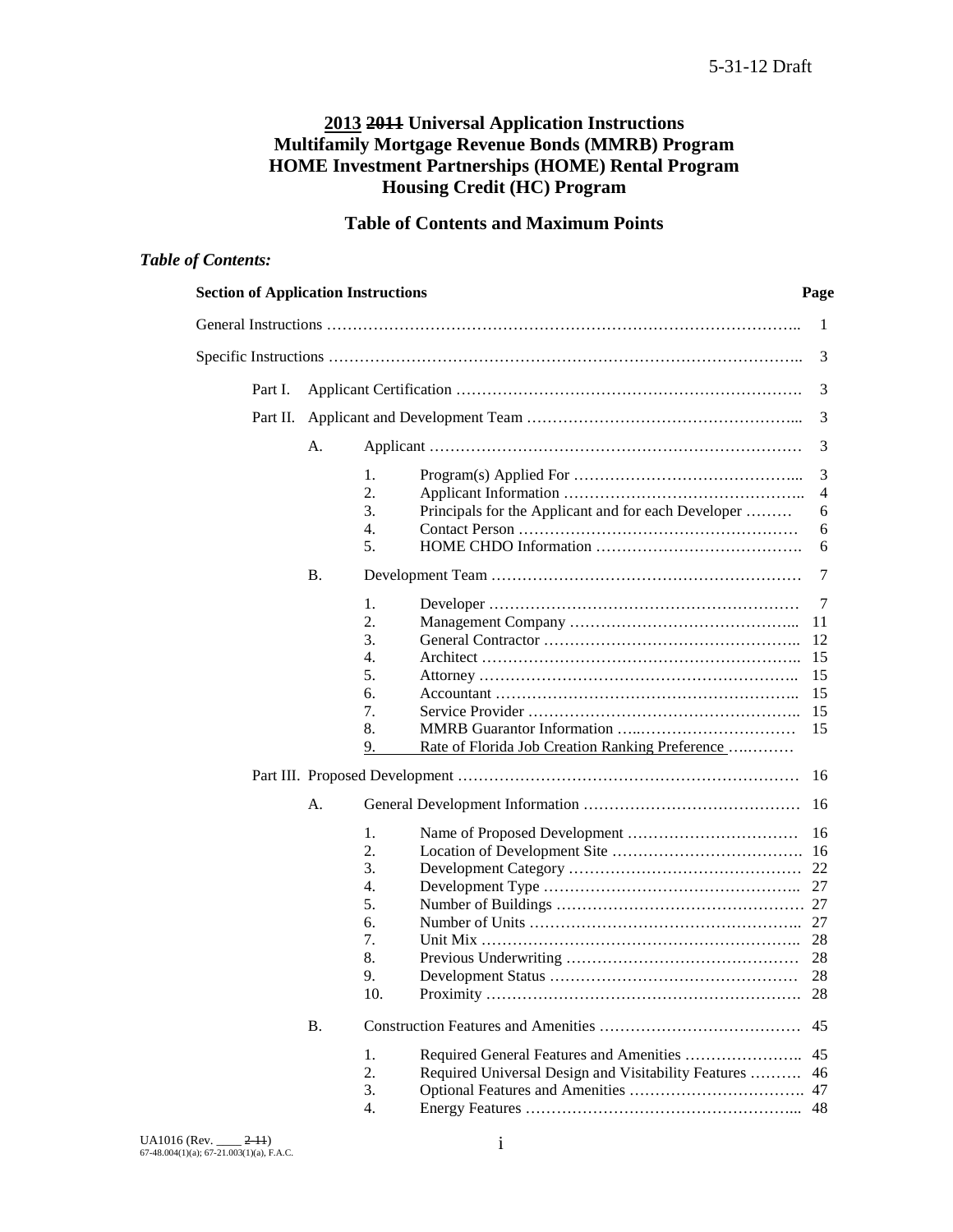# **2013 2011 Universal Application Instructions Multifamily Mortgage Revenue Bonds (MMRB) Program HOME Investment Partnerships (HOME) Rental Program Housing Credit (HC) Program**

# **Table of Contents and Maximum Points**

# *Table of Contents:*

| <b>Section of Application Instructions</b> |           |                                                           | Page           |
|--------------------------------------------|-----------|-----------------------------------------------------------|----------------|
|                                            |           |                                                           | 1              |
|                                            |           |                                                           | 3              |
| Part I.                                    |           |                                                           | 3              |
| Part II.                                   |           |                                                           | 3              |
|                                            | А.        |                                                           | 3              |
|                                            |           | 1.                                                        | 3              |
|                                            |           | 2.                                                        | $\overline{4}$ |
|                                            |           | 3.<br>Principals for the Applicant and for each Developer | 6              |
|                                            |           | 4.                                                        | 6              |
|                                            |           | 5.                                                        | 6              |
|                                            | <b>B.</b> |                                                           | 7              |
|                                            |           | 1.                                                        | 7              |
|                                            |           | 2.                                                        | 11             |
|                                            |           | 3.                                                        | 12             |
|                                            |           | 4.                                                        | 15             |
|                                            |           | 5.                                                        | 15             |
|                                            |           | 6.                                                        | 15             |
|                                            |           | 7.                                                        | 15             |
|                                            |           | 8.                                                        | 15             |
|                                            |           | Rate of Florida Job Creation Ranking Preference<br>9.     |                |
|                                            |           |                                                           |                |
|                                            | A.        |                                                           |                |
|                                            |           | 1.                                                        |                |
|                                            |           | 2.                                                        |                |
|                                            |           | 3.                                                        | 22             |
|                                            |           | 4.                                                        |                |
|                                            |           | 5.                                                        |                |
|                                            |           | б.                                                        |                |
|                                            |           | 7.                                                        |                |
|                                            |           | 8.                                                        |                |
|                                            |           | 9.                                                        | 28             |
|                                            |           | 10.                                                       |                |
|                                            | <b>B.</b> |                                                           | 45             |
|                                            |           | 1.                                                        | 45             |
|                                            |           | 2.<br>Required Universal Design and Visitability Features | 46             |
|                                            |           | 3.                                                        |                |
|                                            |           | $\overline{4}$ .                                          |                |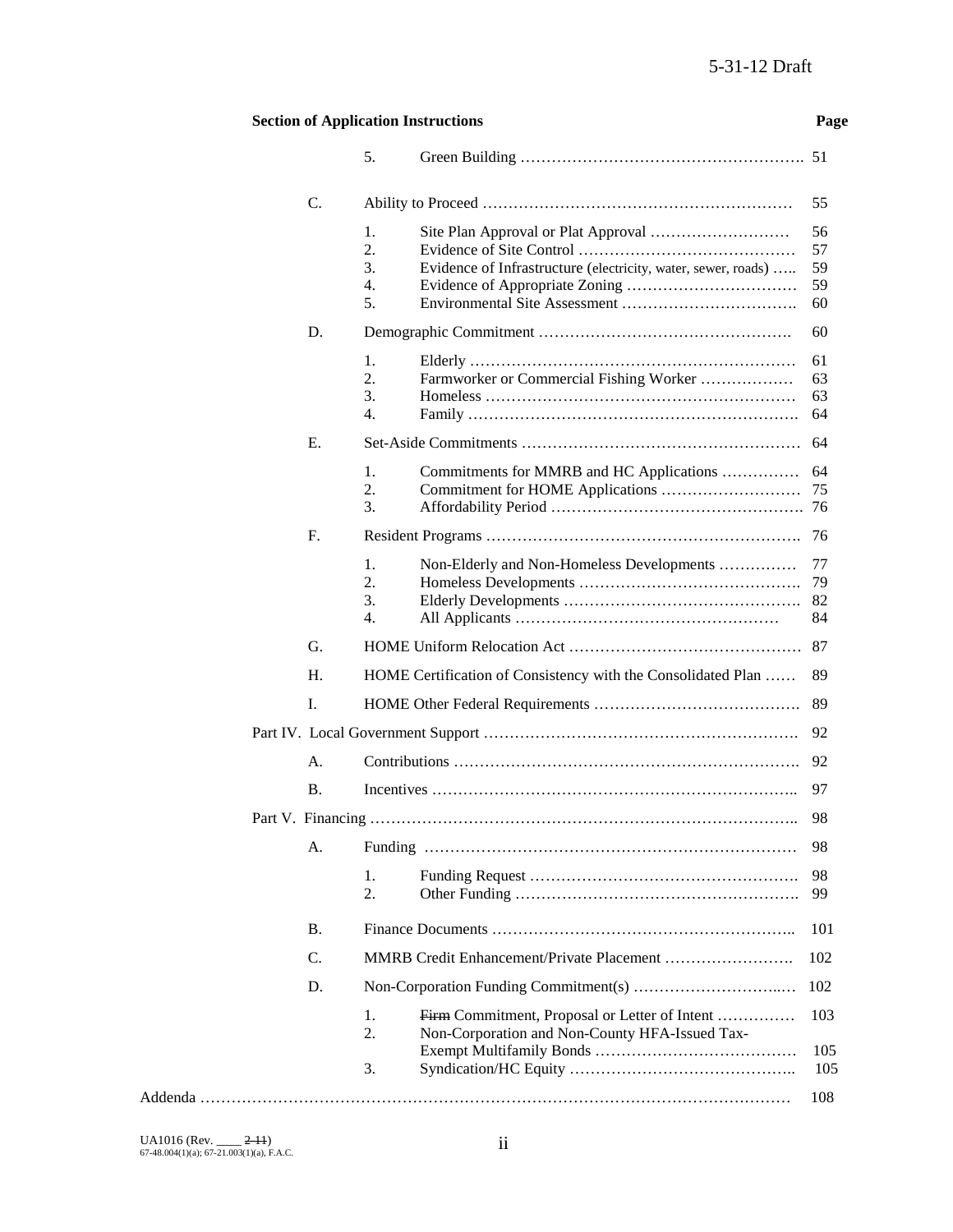## **Section of Application Instructions Page**

|                 | 5.                                                                  |     |
|-----------------|---------------------------------------------------------------------|-----|
| C.              |                                                                     | 55  |
|                 | 1.                                                                  | 56  |
|                 | 2.                                                                  | 57  |
|                 | 3.<br>Evidence of Infrastructure (electricity, water, sewer, roads) | 59  |
|                 | 4.                                                                  | 59  |
|                 | 5.                                                                  | 60  |
| D.              |                                                                     | 60  |
|                 | 1.                                                                  | 61  |
|                 | 2.<br>Farmworker or Commercial Fishing Worker                       | 63  |
|                 | 3.                                                                  | 63  |
|                 | 4.                                                                  | 64  |
| Е.              |                                                                     | 64  |
|                 | 1.<br>Commitments for MMRB and HC Applications                      | 64  |
|                 | 2.                                                                  | 75  |
|                 | 3.                                                                  |     |
| F.              |                                                                     |     |
|                 | 1.<br>Non-Elderly and Non-Homeless Developments                     | 77  |
|                 | 2.                                                                  | 79  |
|                 | 3.                                                                  | 82  |
|                 | $\overline{4}$ .                                                    | 84  |
| G.              |                                                                     | 87  |
| H.              | HOME Certification of Consistency with the Consolidated Plan        | 89  |
| I.              |                                                                     | 89  |
|                 |                                                                     | 92  |
| А.              |                                                                     | 92  |
| <b>B.</b>       |                                                                     | 97  |
|                 |                                                                     | 98  |
|                 | A. Funding                                                          | 98  |
|                 | 1.                                                                  | 98  |
|                 | 2.                                                                  | 99  |
| <b>B.</b>       |                                                                     | 101 |
| $\mathcal{C}$ . |                                                                     | 102 |
| D.              |                                                                     | 102 |
|                 | Firm Commitment, Proposal or Letter of Intent<br>1.                 | 103 |
|                 | 2.<br>Non-Corporation and Non-County HFA-Issued Tax-                | 105 |
|                 | 3.                                                                  | 105 |
|                 |                                                                     | 108 |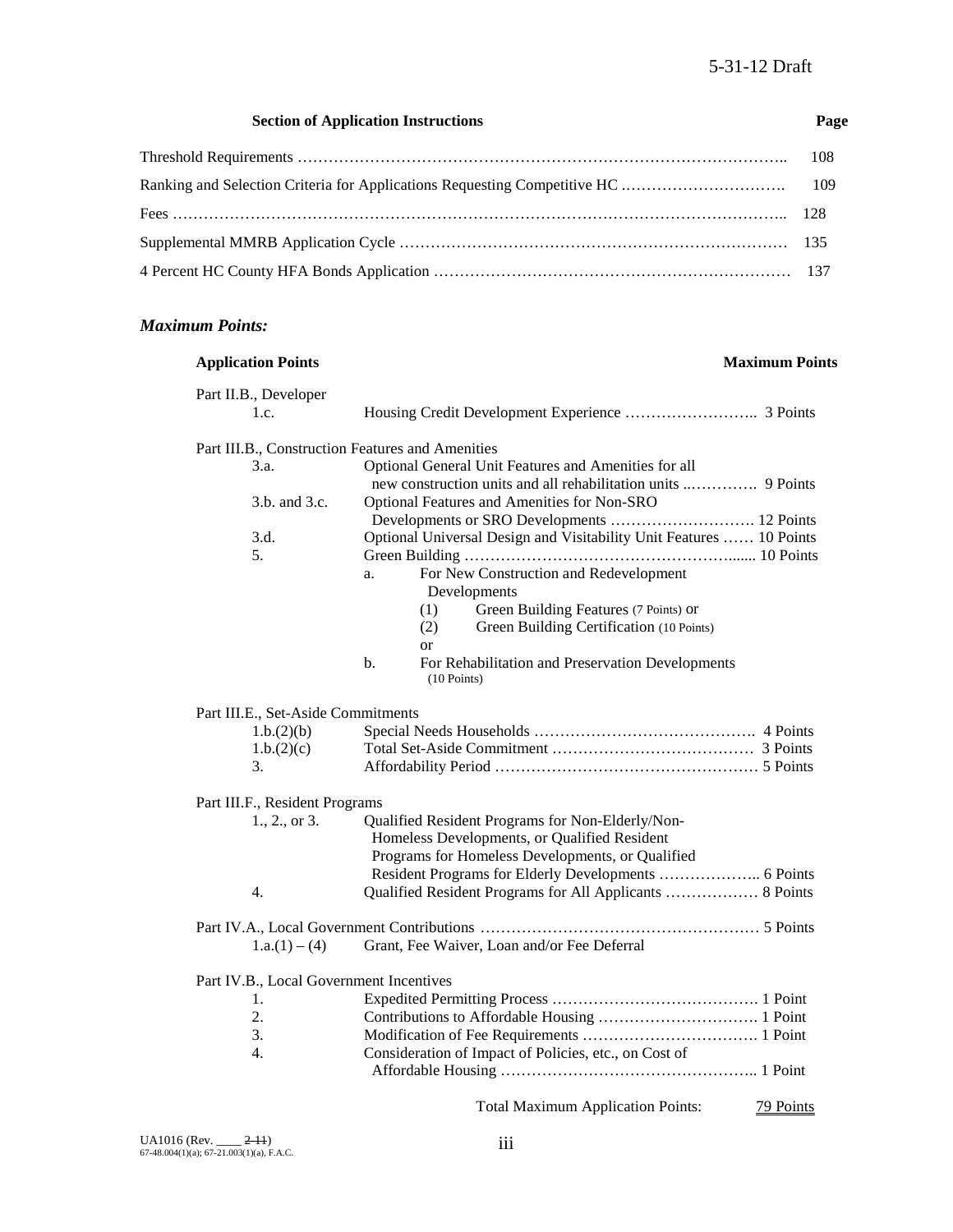#### **Section of Application Instructions Page**

#### *Maximum Points:*

## **Application Points Maximum Points** Part II.B., Developer 1.c. Housing Credit Development Experience …………………….. 3 Points Part III.B., Construction Features and Amenities 3.a. Optional General Unit Features and Amenities for all new construction units and all rehabilitation units ..…………. 9 Points 3.b. and 3.c. Optional Features and Amenities for Non-SRO Developments or SRO Developments ………………………. 12 Points 3.d. Optional Universal Design and Visitability Unit Features …… 10 Points 5. Green Building ……………………………………………....... 10 Points a. For New Construction and Redevelopment Developments (1) Green Building Features (7 Points) or (2) Green Building Certification (10 Points) or b. For Rehabilitation and Preservation Developments (10 Points) Part III.E., Set-Aside Commitments 1.b.(2)(b) Special Needs Households ……………………………………. 4 Points 1.b.(2)(c) Total Set-Aside Commitment ………………………………… 3 Points 3. Affordability Period …………………………………………… 5 Points Part III.F., Resident Programs 1., 2., or 3. Qualified Resident Programs for Non-Elderly/Non- Homeless Developments, or Qualified Resident Programs for Homeless Developments, or Qualified Resident Programs for Elderly Developments ……………….. 6 Points 4. Qualified Resident Programs for All Applicants ……………… 8 Points Part IV.A., Local Government Contributions ……………………………………………… 5 Points 1.a.(1) – (4) Grant, Fee Waiver, Loan and/or Fee Deferral Part IV.B., Local Government Incentives 1. Expedited Permitting Process …………………………………. 1 Point 2. Contributions to Affordable Housing …………………………. 1 Point 3. Modification of Fee Requirements ……………………………. 1 Point 4. Consideration of Impact of Policies, etc., on Cost of Affordable Housing ………………………………………….. 1 Point Total Maximum Application Points: 79 Points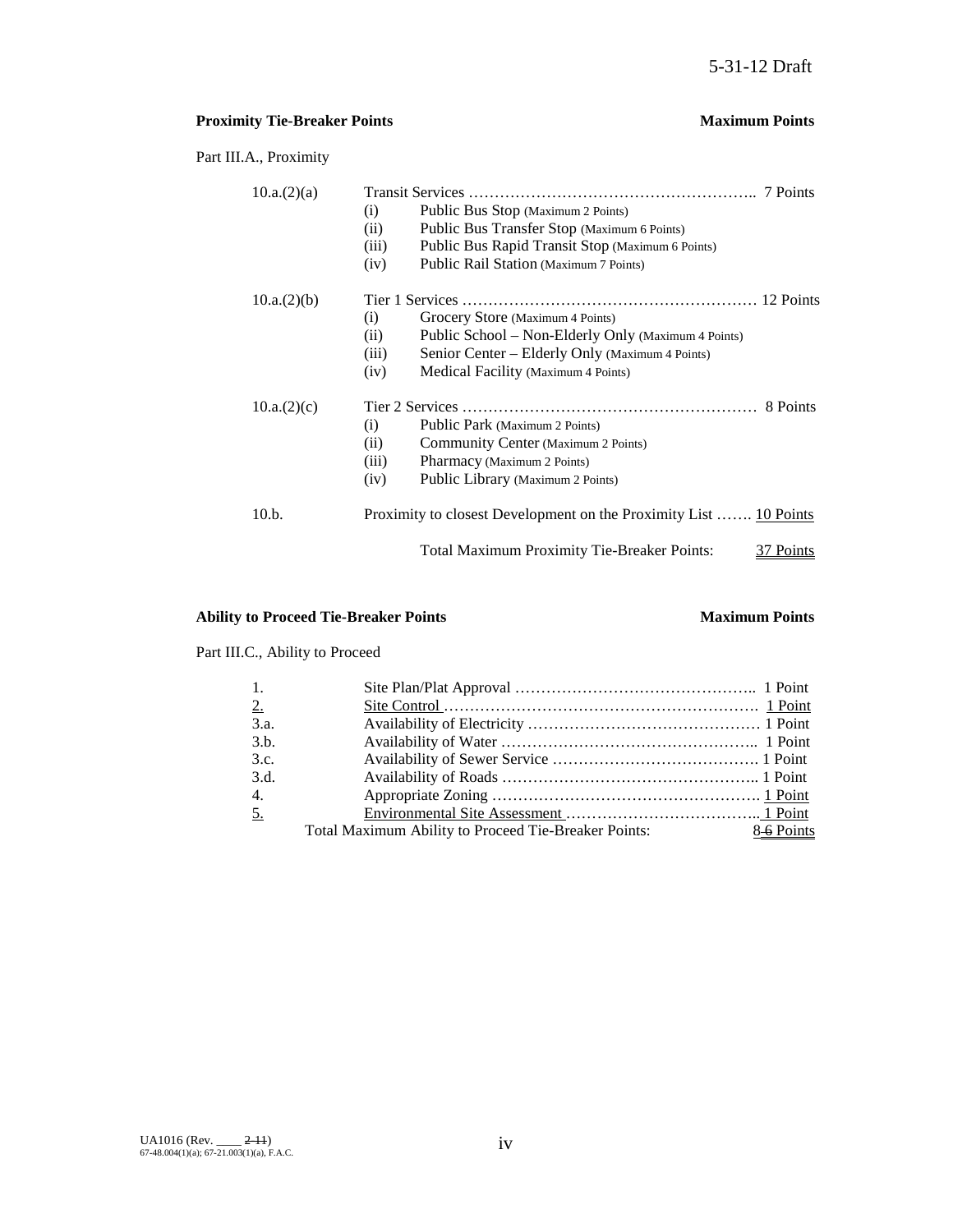## **Proximity Tie-Breaker Points Maximum Points**

Part III.A., Proximity

| 10.a.(2)(a) |                                                                   |
|-------------|-------------------------------------------------------------------|
|             | Public Bus Stop (Maximum 2 Points)<br>(i)                         |
|             | Public Bus Transfer Stop (Maximum 6 Points)<br>(ii)               |
|             | Public Bus Rapid Transit Stop (Maximum 6 Points)<br>(iii)         |
|             | Public Rail Station (Maximum 7 Points)<br>(iv)                    |
| 10.a.(2)(b) |                                                                   |
|             | Grocery Store (Maximum 4 Points)<br>(i)                           |
|             | Public School – Non-Elderly Only (Maximum 4 Points)<br>(ii)       |
|             | Senior Center – Elderly Only (Maximum 4 Points)<br>(iii)          |
|             | Medical Facility (Maximum 4 Points)<br>(iv)                       |
| 10.a.(2)(c) |                                                                   |
|             | Public Park (Maximum 2 Points)<br>(i)                             |
|             | Community Center (Maximum 2 Points)<br>(ii)                       |
|             | (iii)<br>Pharmacy (Maximum 2 Points)                              |
|             | Public Library (Maximum 2 Points)<br>(iv)                         |
| 10.b.       | Proximity to closest Development on the Proximity List  10 Points |
|             | Total Maximum Proximity Tie-Breaker Points:<br>Points             |

## **Ability to Proceed Tie-Breaker Points Maximum Points**

Part III.C., Ability to Proceed

| $\overline{1}$ . |                                                      |           |
|------------------|------------------------------------------------------|-----------|
| 2.               |                                                      |           |
| 3.a.             |                                                      |           |
| 3.h.             |                                                      |           |
| 3.c.             |                                                      |           |
| 3.d.             |                                                      |           |
| $\overline{4}$ . |                                                      |           |
| 5.               |                                                      |           |
|                  | Total Maximum Ability to Proceed Tie-Breaker Points: | 86 Points |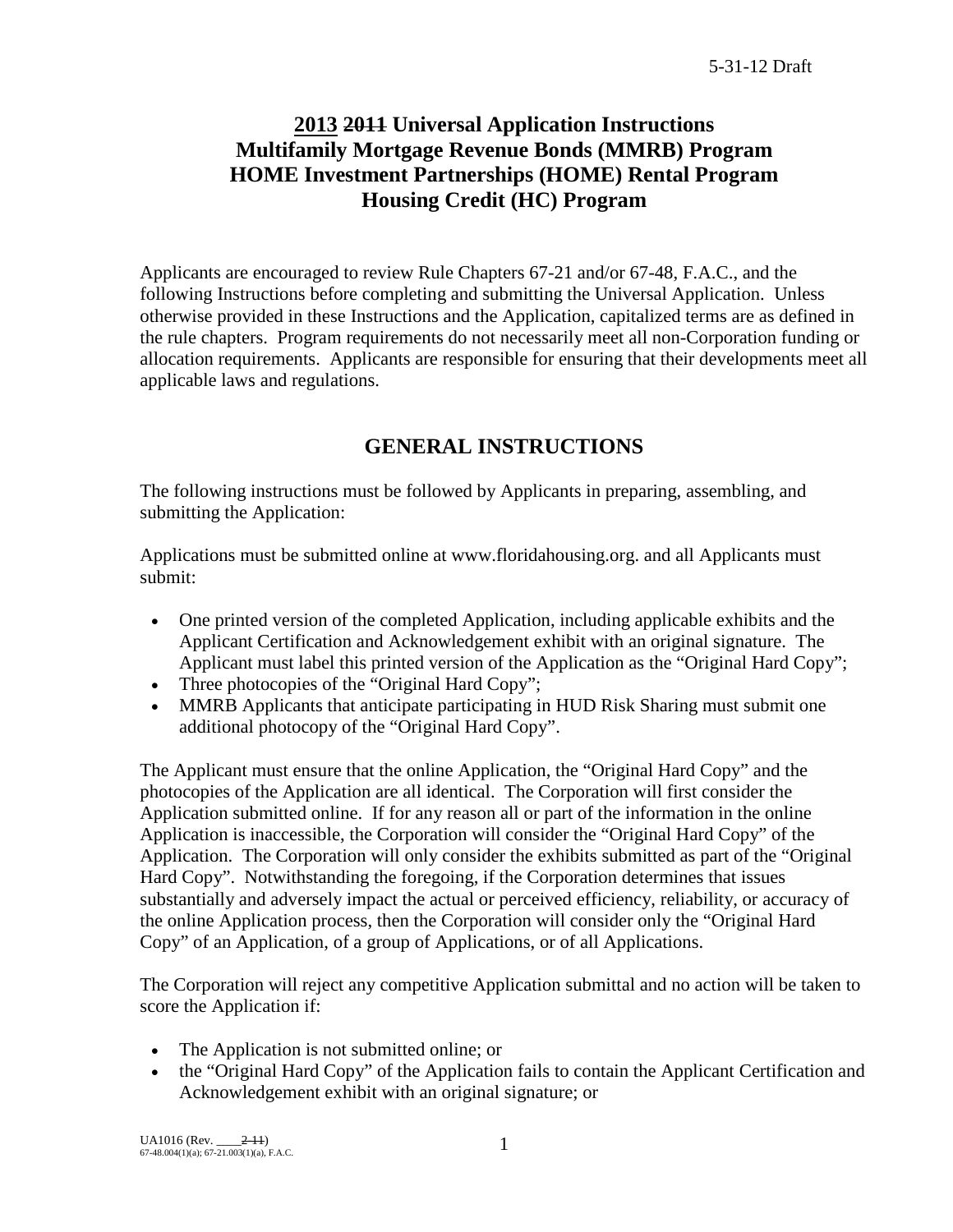# **2013 2011 Universal Application Instructions Multifamily Mortgage Revenue Bonds (MMRB) Program HOME Investment Partnerships (HOME) Rental Program Housing Credit (HC) Program**

Applicants are encouraged to review Rule Chapters 67-21 and/or 67-48, F.A.C., and the following Instructions before completing and submitting the Universal Application. Unless otherwise provided in these Instructions and the Application, capitalized terms are as defined in the rule chapters. Program requirements do not necessarily meet all non-Corporation funding or allocation requirements. Applicants are responsible for ensuring that their developments meet all applicable laws and regulations.

# **GENERAL INSTRUCTIONS**

The following instructions must be followed by Applicants in preparing, assembling, and submitting the Application:

Applications must be submitted online at www.floridahousing.org. and all Applicants must submit:

- One printed version of the completed Application, including applicable exhibits and the Applicant Certification and Acknowledgement exhibit with an original signature. The Applicant must label this printed version of the Application as the "Original Hard Copy";
- Three photocopies of the "Original Hard Copy";
- MMRB Applicants that anticipate participating in HUD Risk Sharing must submit one additional photocopy of the "Original Hard Copy".

The Applicant must ensure that the online Application, the "Original Hard Copy" and the photocopies of the Application are all identical. The Corporation will first consider the Application submitted online. If for any reason all or part of the information in the online Application is inaccessible, the Corporation will consider the "Original Hard Copy" of the Application. The Corporation will only consider the exhibits submitted as part of the "Original Hard Copy". Notwithstanding the foregoing, if the Corporation determines that issues substantially and adversely impact the actual or perceived efficiency, reliability, or accuracy of the online Application process, then the Corporation will consider only the "Original Hard Copy" of an Application, of a group of Applications, or of all Applications.

The Corporation will reject any competitive Application submittal and no action will be taken to score the Application if:

- The Application is not submitted online; or
- the "Original Hard Copy" of the Application fails to contain the Applicant Certification and Acknowledgement exhibit with an original signature; or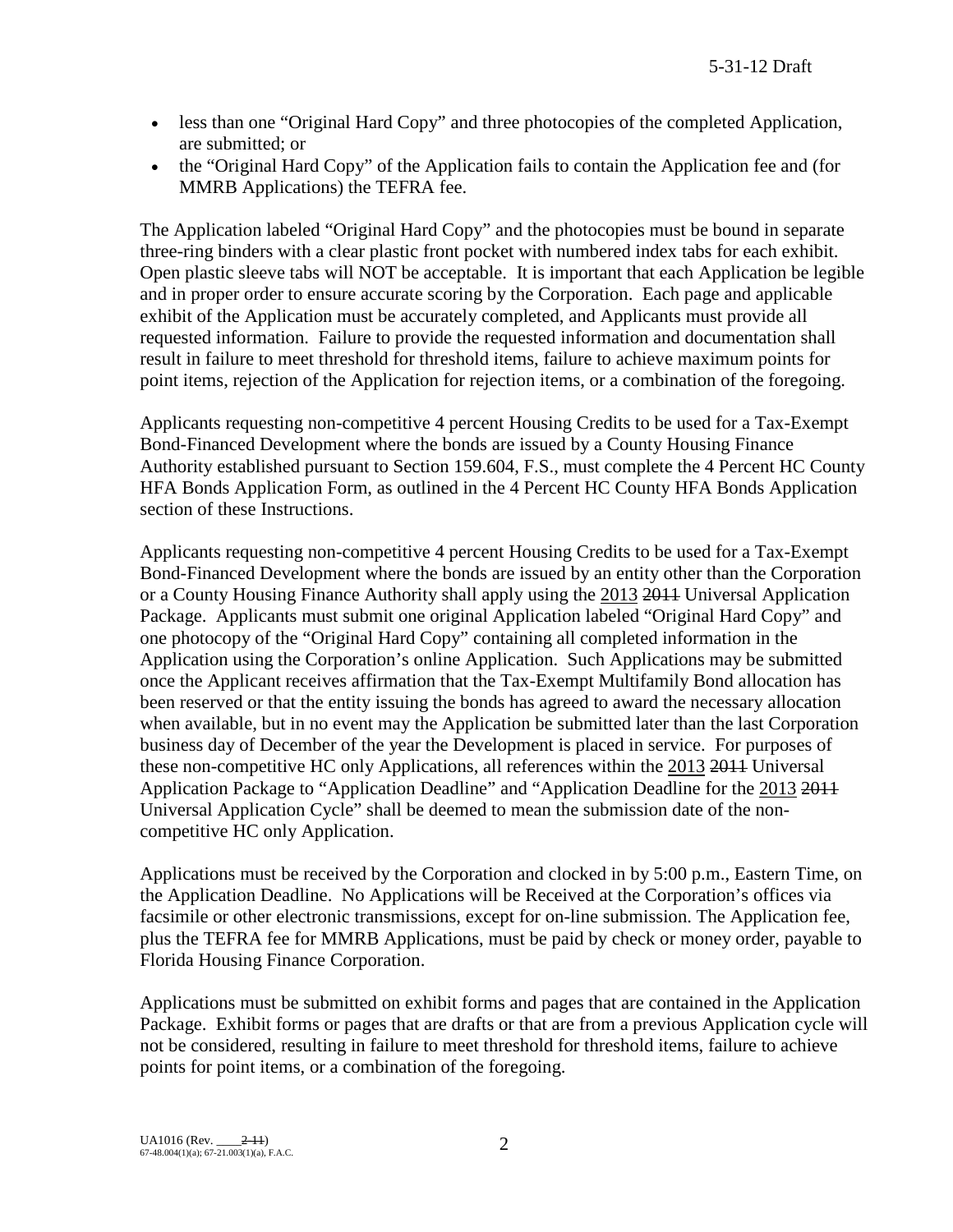- less than one "Original Hard Copy" and three photocopies of the completed Application, are submitted; or
- the "Original Hard Copy" of the Application fails to contain the Application fee and (for MMRB Applications) the TEFRA fee.

The Application labeled "Original Hard Copy" and the photocopies must be bound in separate three-ring binders with a clear plastic front pocket with numbered index tabs for each exhibit. Open plastic sleeve tabs will NOT be acceptable. It is important that each Application be legible and in proper order to ensure accurate scoring by the Corporation. Each page and applicable exhibit of the Application must be accurately completed, and Applicants must provide all requested information. Failure to provide the requested information and documentation shall result in failure to meet threshold for threshold items, failure to achieve maximum points for point items, rejection of the Application for rejection items, or a combination of the foregoing.

Applicants requesting non-competitive 4 percent Housing Credits to be used for a Tax-Exempt Bond-Financed Development where the bonds are issued by a County Housing Finance Authority established pursuant to Section 159.604, F.S., must complete the 4 Percent HC County HFA Bonds Application Form, as outlined in the 4 Percent HC County HFA Bonds Application section of these Instructions.

Applicants requesting non-competitive 4 percent Housing Credits to be used for a Tax-Exempt Bond-Financed Development where the bonds are issued by an entity other than the Corporation or a County Housing Finance Authority shall apply using the 2013 2011 Universal Application Package. Applicants must submit one original Application labeled "Original Hard Copy" and one photocopy of the "Original Hard Copy" containing all completed information in the Application using the Corporation's online Application. Such Applications may be submitted once the Applicant receives affirmation that the Tax-Exempt Multifamily Bond allocation has been reserved or that the entity issuing the bonds has agreed to award the necessary allocation when available, but in no event may the Application be submitted later than the last Corporation business day of December of the year the Development is placed in service. For purposes of these non-competitive HC only Applications, all references within the 2013 2011 Universal Application Package to "Application Deadline" and "Application Deadline for the 2013 2011 Universal Application Cycle" shall be deemed to mean the submission date of the noncompetitive HC only Application.

Applications must be received by the Corporation and clocked in by 5:00 p.m., Eastern Time, on the Application Deadline. No Applications will be Received at the Corporation's offices via facsimile or other electronic transmissions, except for on-line submission. The Application fee, plus the TEFRA fee for MMRB Applications, must be paid by check or money order, payable to Florida Housing Finance Corporation.

Applications must be submitted on exhibit forms and pages that are contained in the Application Package. Exhibit forms or pages that are drafts or that are from a previous Application cycle will not be considered, resulting in failure to meet threshold for threshold items, failure to achieve points for point items, or a combination of the foregoing.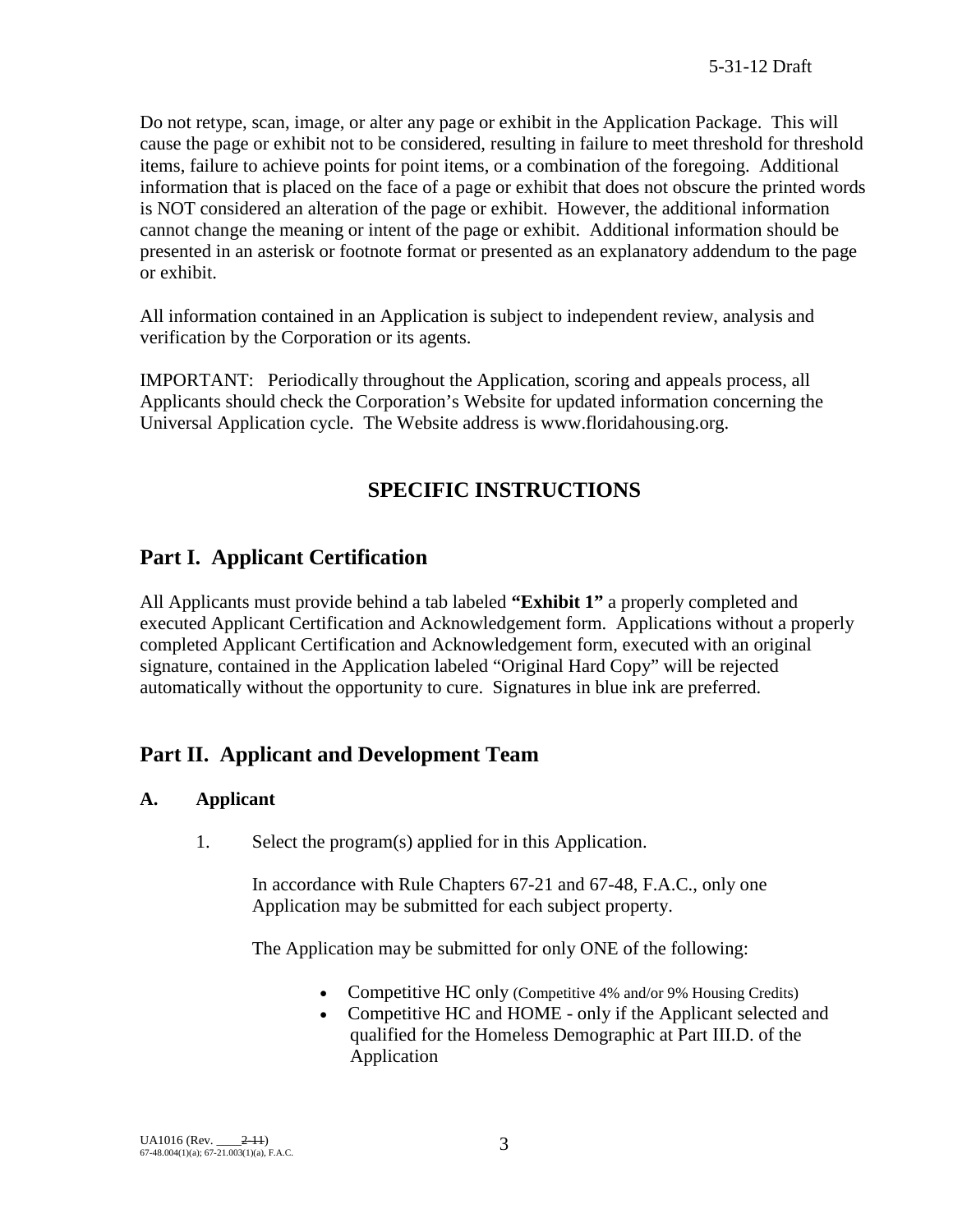Do not retype, scan, image, or alter any page or exhibit in the Application Package. This will cause the page or exhibit not to be considered, resulting in failure to meet threshold for threshold items, failure to achieve points for point items, or a combination of the foregoing. Additional information that is placed on the face of a page or exhibit that does not obscure the printed words is NOT considered an alteration of the page or exhibit. However, the additional information cannot change the meaning or intent of the page or exhibit. Additional information should be presented in an asterisk or footnote format or presented as an explanatory addendum to the page or exhibit.

All information contained in an Application is subject to independent review, analysis and verification by the Corporation or its agents.

IMPORTANT: Periodically throughout the Application, scoring and appeals process, all Applicants should check the Corporation's Website for updated information concerning the Universal Application cycle. The Website address is www.floridahousing.org.

# **SPECIFIC INSTRUCTIONS**

# **Part I. Applicant Certification**

All Applicants must provide behind a tab labeled **"Exhibit 1"** a properly completed and executed Applicant Certification and Acknowledgement form. Applications without a properly completed Applicant Certification and Acknowledgement form, executed with an original signature, contained in the Application labeled "Original Hard Copy" will be rejected automatically without the opportunity to cure. Signatures in blue ink are preferred.

# **Part II. Applicant and Development Team**

## **A. Applicant**

1. Select the program(s) applied for in this Application.

In accordance with Rule Chapters 67-21 and 67-48, F.A.C., only one Application may be submitted for each subject property.

The Application may be submitted for only ONE of the following:

- Competitive HC only (Competitive 4% and/or 9% Housing Credits)
- Competitive HC and HOME only if the Applicant selected and qualified for the Homeless Demographic at Part III.D. of the Application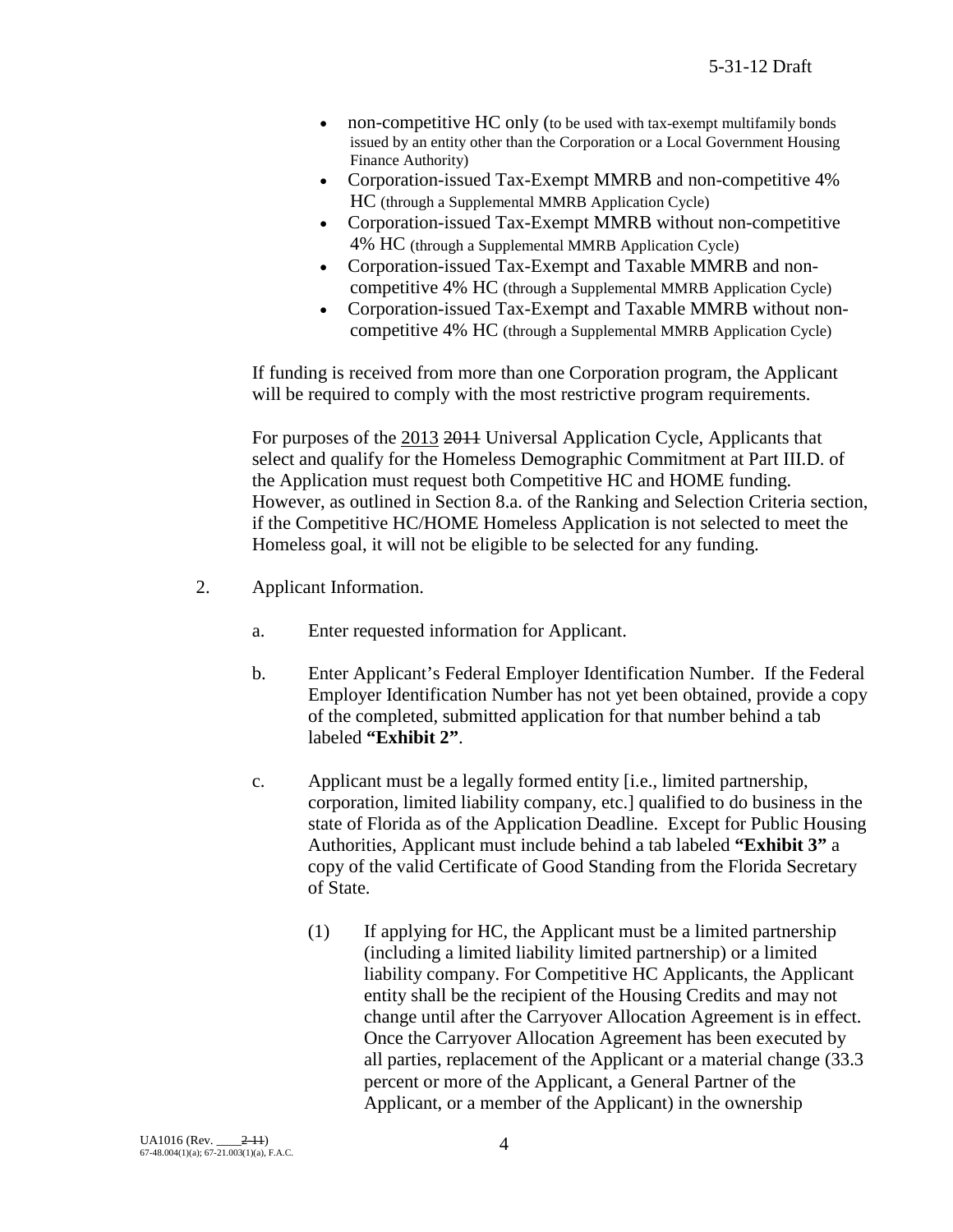- non-competitive HC only (to be used with tax-exempt multifamily bonds issued by an entity other than the Corporation or a Local Government Housing Finance Authority)
- Corporation-issued Tax-Exempt MMRB and non-competitive 4% HC (through a Supplemental MMRB Application Cycle)
- Corporation-issued Tax-Exempt MMRB without non-competitive 4% HC (through a Supplemental MMRB Application Cycle)
- Corporation-issued Tax-Exempt and Taxable MMRB and noncompetitive 4% HC (through a Supplemental MMRB Application Cycle)
- Corporation-issued Tax-Exempt and Taxable MMRB without noncompetitive 4% HC (through a Supplemental MMRB Application Cycle)

If funding is received from more than one Corporation program, the Applicant will be required to comply with the most restrictive program requirements.

For purposes of the 2013 2014 Universal Application Cycle, Applicants that select and qualify for the Homeless Demographic Commitment at Part III.D. of the Application must request both Competitive HC and HOME funding. However, as outlined in Section 8.a. of the Ranking and Selection Criteria section, if the Competitive HC/HOME Homeless Application is not selected to meet the Homeless goal, it will not be eligible to be selected for any funding.

- 2. Applicant Information.
	- a. Enter requested information for Applicant.
	- b. Enter Applicant's Federal Employer Identification Number. If the Federal Employer Identification Number has not yet been obtained, provide a copy of the completed, submitted application for that number behind a tab labeled **"Exhibit 2"**.
	- c. Applicant must be a legally formed entity [i.e., limited partnership, corporation, limited liability company, etc.] qualified to do business in the state of Florida as of the Application Deadline. Except for Public Housing Authorities, Applicant must include behind a tab labeled **"Exhibit 3"** a copy of the valid Certificate of Good Standing from the Florida Secretary of State.
		- (1) If applying for HC, the Applicant must be a limited partnership (including a limited liability limited partnership) or a limited liability company. For Competitive HC Applicants, the Applicant entity shall be the recipient of the Housing Credits and may not change until after the Carryover Allocation Agreement is in effect. Once the Carryover Allocation Agreement has been executed by all parties, replacement of the Applicant or a material change (33.3 percent or more of the Applicant, a General Partner of the Applicant, or a member of the Applicant) in the ownership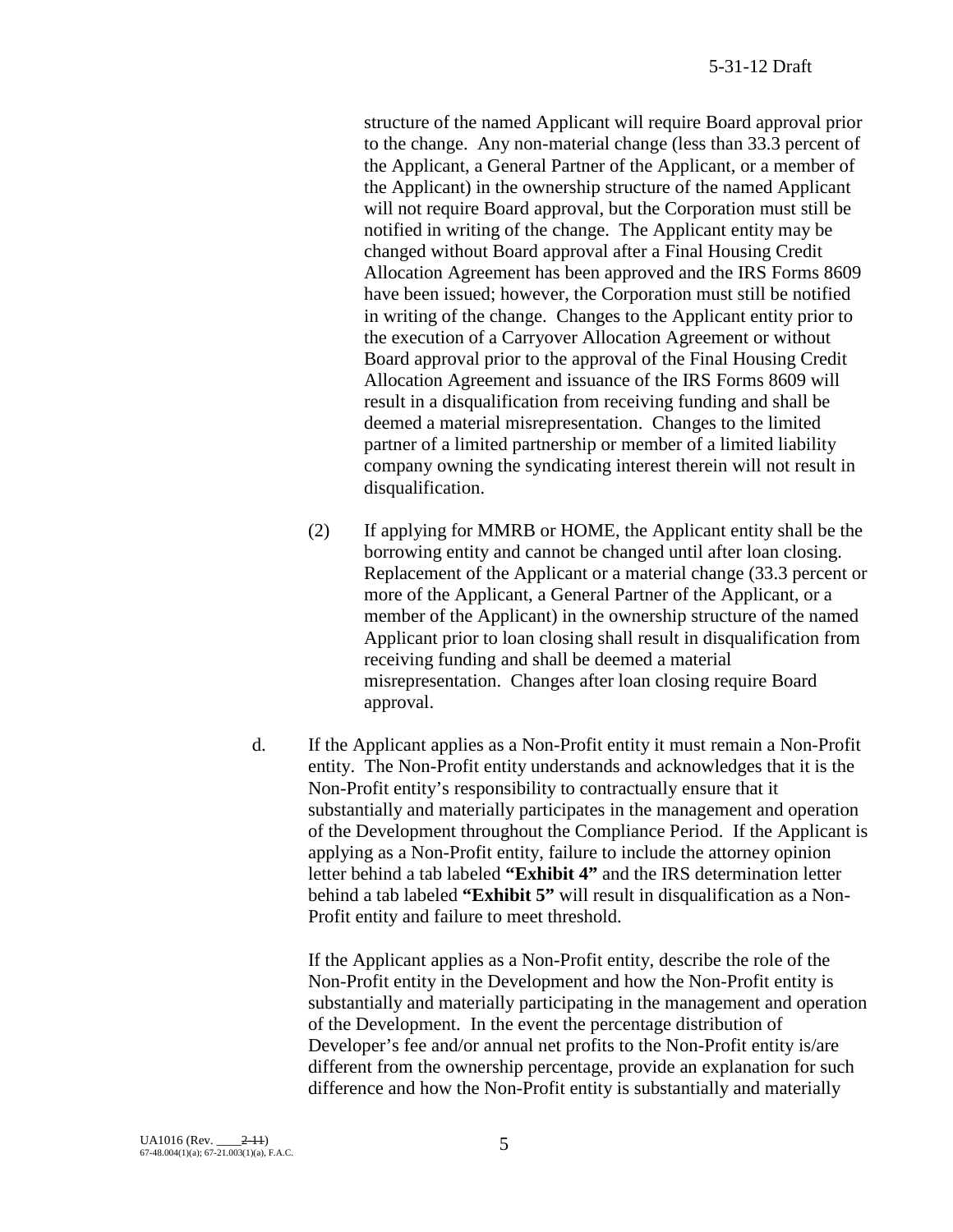structure of the named Applicant will require Board approval prior to the change. Any non-material change (less than 33.3 percent of the Applicant, a General Partner of the Applicant, or a member of the Applicant) in the ownership structure of the named Applicant will not require Board approval, but the Corporation must still be notified in writing of the change. The Applicant entity may be changed without Board approval after a Final Housing Credit Allocation Agreement has been approved and the IRS Forms 8609 have been issued; however, the Corporation must still be notified in writing of the change. Changes to the Applicant entity prior to the execution of a Carryover Allocation Agreement or without Board approval prior to the approval of the Final Housing Credit Allocation Agreement and issuance of the IRS Forms 8609 will result in a disqualification from receiving funding and shall be deemed a material misrepresentation. Changes to the limited partner of a limited partnership or member of a limited liability company owning the syndicating interest therein will not result in disqualification.

- (2) If applying for MMRB or HOME, the Applicant entity shall be the borrowing entity and cannot be changed until after loan closing. Replacement of the Applicant or a material change (33.3 percent or more of the Applicant, a General Partner of the Applicant, or a member of the Applicant) in the ownership structure of the named Applicant prior to loan closing shall result in disqualification from receiving funding and shall be deemed a material misrepresentation. Changes after loan closing require Board approval.
- d. If the Applicant applies as a Non-Profit entity it must remain a Non-Profit entity. The Non-Profit entity understands and acknowledges that it is the Non-Profit entity's responsibility to contractually ensure that it substantially and materially participates in the management and operation of the Development throughout the Compliance Period. If the Applicant is applying as a Non-Profit entity, failure to include the attorney opinion letter behind a tab labeled **"Exhibit 4"** and the IRS determination letter behind a tab labeled **"Exhibit 5"** will result in disqualification as a Non-Profit entity and failure to meet threshold.

If the Applicant applies as a Non-Profit entity, describe the role of the Non-Profit entity in the Development and how the Non-Profit entity is substantially and materially participating in the management and operation of the Development. In the event the percentage distribution of Developer's fee and/or annual net profits to the Non-Profit entity is/are different from the ownership percentage, provide an explanation for such difference and how the Non-Profit entity is substantially and materially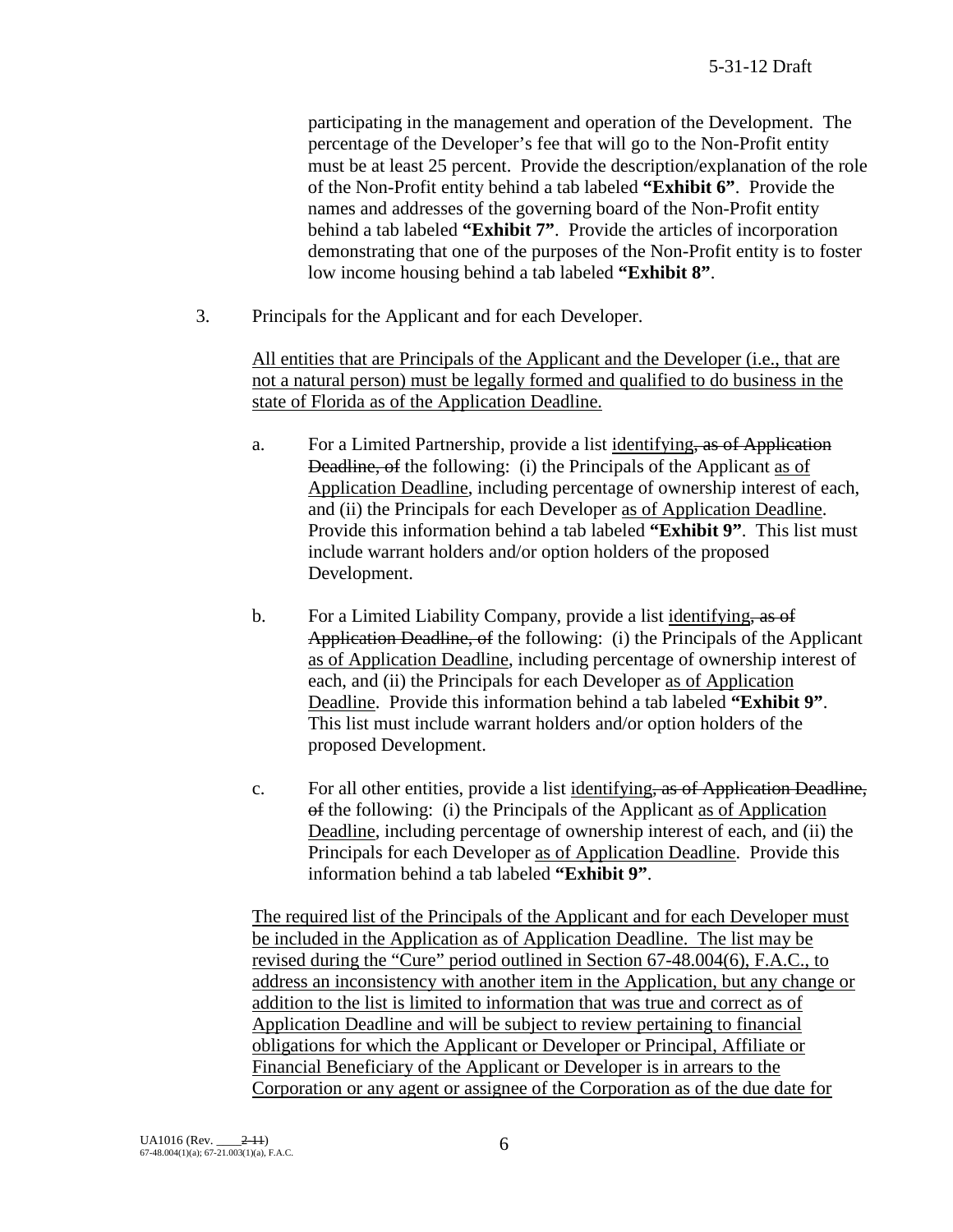participating in the management and operation of the Development. The percentage of the Developer's fee that will go to the Non-Profit entity must be at least 25 percent. Provide the description/explanation of the role of the Non-Profit entity behind a tab labeled **"Exhibit 6"**. Provide the names and addresses of the governing board of the Non-Profit entity behind a tab labeled **"Exhibit 7"**. Provide the articles of incorporation demonstrating that one of the purposes of the Non-Profit entity is to foster low income housing behind a tab labeled **"Exhibit 8"**.

3. Principals for the Applicant and for each Developer.

All entities that are Principals of the Applicant and the Developer (i.e., that are not a natural person) must be legally formed and qualified to do business in the state of Florida as of the Application Deadline.

- a. For a Limited Partnership, provide a list identifying, as of Application Deadline, of the following: (i) the Principals of the Applicant as of Application Deadline, including percentage of ownership interest of each, and (ii) the Principals for each Developer as of Application Deadline. Provide this information behind a tab labeled **"Exhibit 9"**. This list must include warrant holders and/or option holders of the proposed Development.
- b. For a Limited Liability Company, provide a list identifying, as of Application Deadline, of the following: (i) the Principals of the Applicant as of Application Deadline, including percentage of ownership interest of each, and (ii) the Principals for each Developer as of Application Deadline. Provide this information behind a tab labeled **"Exhibit 9"**. This list must include warrant holders and/or option holders of the proposed Development.
- c. For all other entities, provide a list identifying, as of Application Deadline, of the following: (i) the Principals of the Applicant as of Application Deadline, including percentage of ownership interest of each, and (ii) the Principals for each Developer as of Application Deadline. Provide this information behind a tab labeled **"Exhibit 9"**.

The required list of the Principals of the Applicant and for each Developer must be included in the Application as of Application Deadline. The list may be revised during the "Cure" period outlined in Section 67-48.004(6), F.A.C., to address an inconsistency with another item in the Application, but any change or addition to the list is limited to information that was true and correct as of Application Deadline and will be subject to review pertaining to financial obligations for which the Applicant or Developer or Principal, Affiliate or Financial Beneficiary of the Applicant or Developer is in arrears to the Corporation or any agent or assignee of the Corporation as of the due date for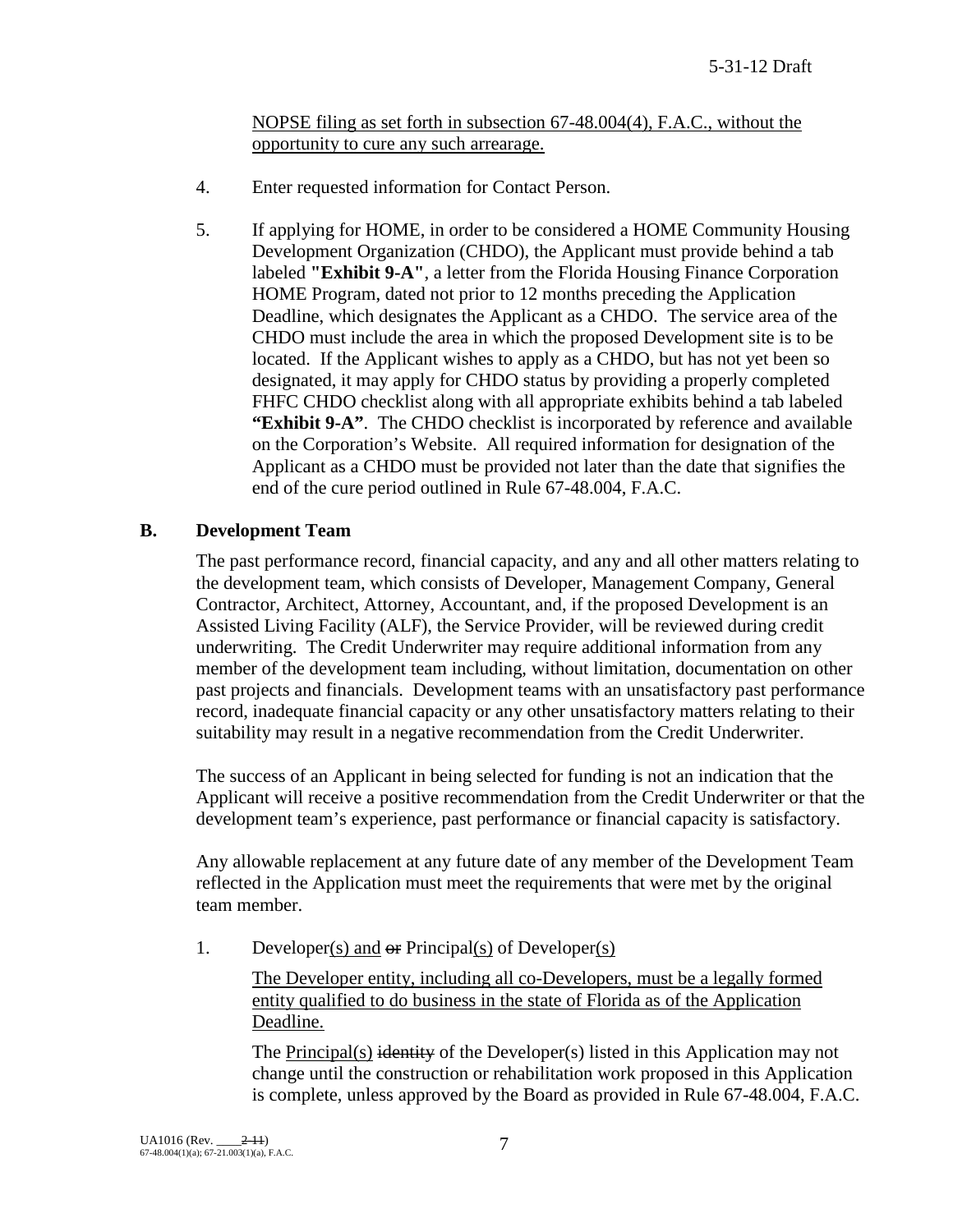## NOPSE filing as set forth in subsection 67-48.004(4), F.A.C., without the opportunity to cure any such arrearage.

- 4. Enter requested information for Contact Person.
- 5. If applying for HOME, in order to be considered a HOME Community Housing Development Organization (CHDO), the Applicant must provide behind a tab labeled **"Exhibit 9-A"**, a letter from the Florida Housing Finance Corporation HOME Program, dated not prior to 12 months preceding the Application Deadline, which designates the Applicant as a CHDO. The service area of the CHDO must include the area in which the proposed Development site is to be located. If the Applicant wishes to apply as a CHDO, but has not yet been so designated, it may apply for CHDO status by providing a properly completed FHFC CHDO checklist along with all appropriate exhibits behind a tab labeled **"Exhibit 9-A"**. The CHDO checklist is incorporated by reference and available on the Corporation's Website. All required information for designation of the Applicant as a CHDO must be provided not later than the date that signifies the end of the cure period outlined in Rule 67-48.004, F.A.C.

## **B. Development Team**

The past performance record, financial capacity, and any and all other matters relating to the development team, which consists of Developer, Management Company, General Contractor, Architect, Attorney, Accountant, and, if the proposed Development is an Assisted Living Facility (ALF), the Service Provider, will be reviewed during credit underwriting. The Credit Underwriter may require additional information from any member of the development team including, without limitation, documentation on other past projects and financials. Development teams with an unsatisfactory past performance record, inadequate financial capacity or any other unsatisfactory matters relating to their suitability may result in a negative recommendation from the Credit Underwriter.

The success of an Applicant in being selected for funding is not an indication that the Applicant will receive a positive recommendation from the Credit Underwriter or that the development team's experience, past performance or financial capacity is satisfactory.

Any allowable replacement at any future date of any member of the Development Team reflected in the Application must meet the requirements that were met by the original team member.

1. Developer(s) and  $\Theta$  Principal(s) of Developer(s)

The Developer entity, including all co-Developers, must be a legally formed entity qualified to do business in the state of Florida as of the Application Deadline.

The Principal(s) identity of the Developer(s) listed in this Application may not change until the construction or rehabilitation work proposed in this Application is complete, unless approved by the Board as provided in Rule 67-48.004, F.A.C.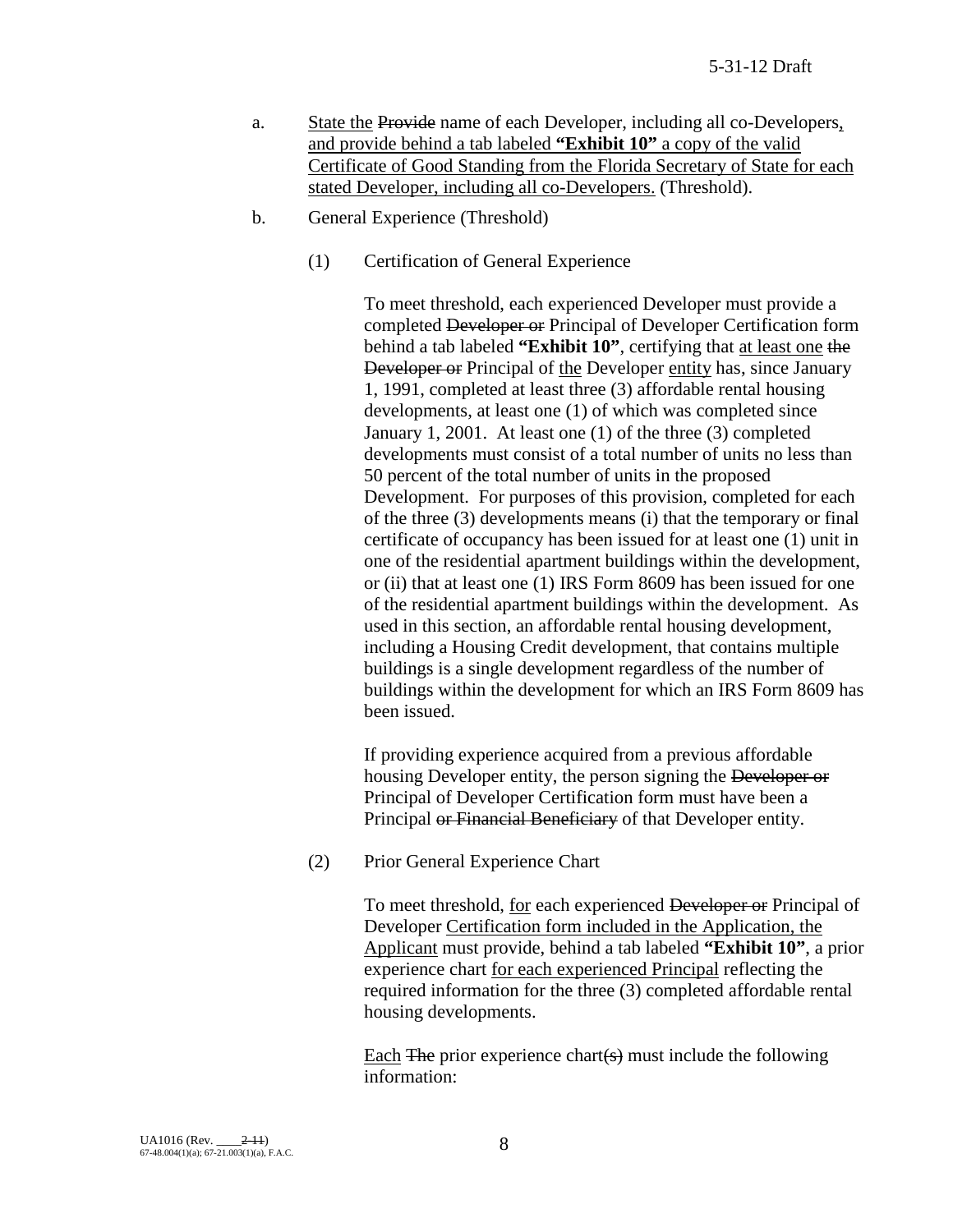- a. State the Provide name of each Developer, including all co-Developers, and provide behind a tab labeled **"Exhibit 10"** a copy of the valid Certificate of Good Standing from the Florida Secretary of State for each stated Developer, including all co-Developers. (Threshold).
- b. General Experience (Threshold)
	- (1) Certification of General Experience

To meet threshold, each experienced Developer must provide a completed Developer or Principal of Developer Certification form behind a tab labeled **"Exhibit 10"**, certifying that at least one the Developer or Principal of the Developer entity has, since January 1, 1991, completed at least three (3) affordable rental housing developments, at least one (1) of which was completed since January 1, 2001. At least one (1) of the three (3) completed developments must consist of a total number of units no less than 50 percent of the total number of units in the proposed Development. For purposes of this provision, completed for each of the three (3) developments means (i) that the temporary or final certificate of occupancy has been issued for at least one (1) unit in one of the residential apartment buildings within the development, or (ii) that at least one (1) IRS Form 8609 has been issued for one of the residential apartment buildings within the development. As used in this section, an affordable rental housing development, including a Housing Credit development, that contains multiple buildings is a single development regardless of the number of buildings within the development for which an IRS Form 8609 has been issued.

If providing experience acquired from a previous affordable housing Developer entity, the person signing the Developer or Principal of Developer Certification form must have been a Principal or Financial Beneficiary of that Developer entity.

(2) Prior General Experience Chart

To meet threshold, for each experienced Developer or Principal of Developer Certification form included in the Application, the Applicant must provide, behind a tab labeled **"Exhibit 10"**, a prior experience chart for each experienced Principal reflecting the required information for the three (3) completed affordable rental housing developments.

Each  $\overline{F}$  The prior experience chart(s) must include the following information: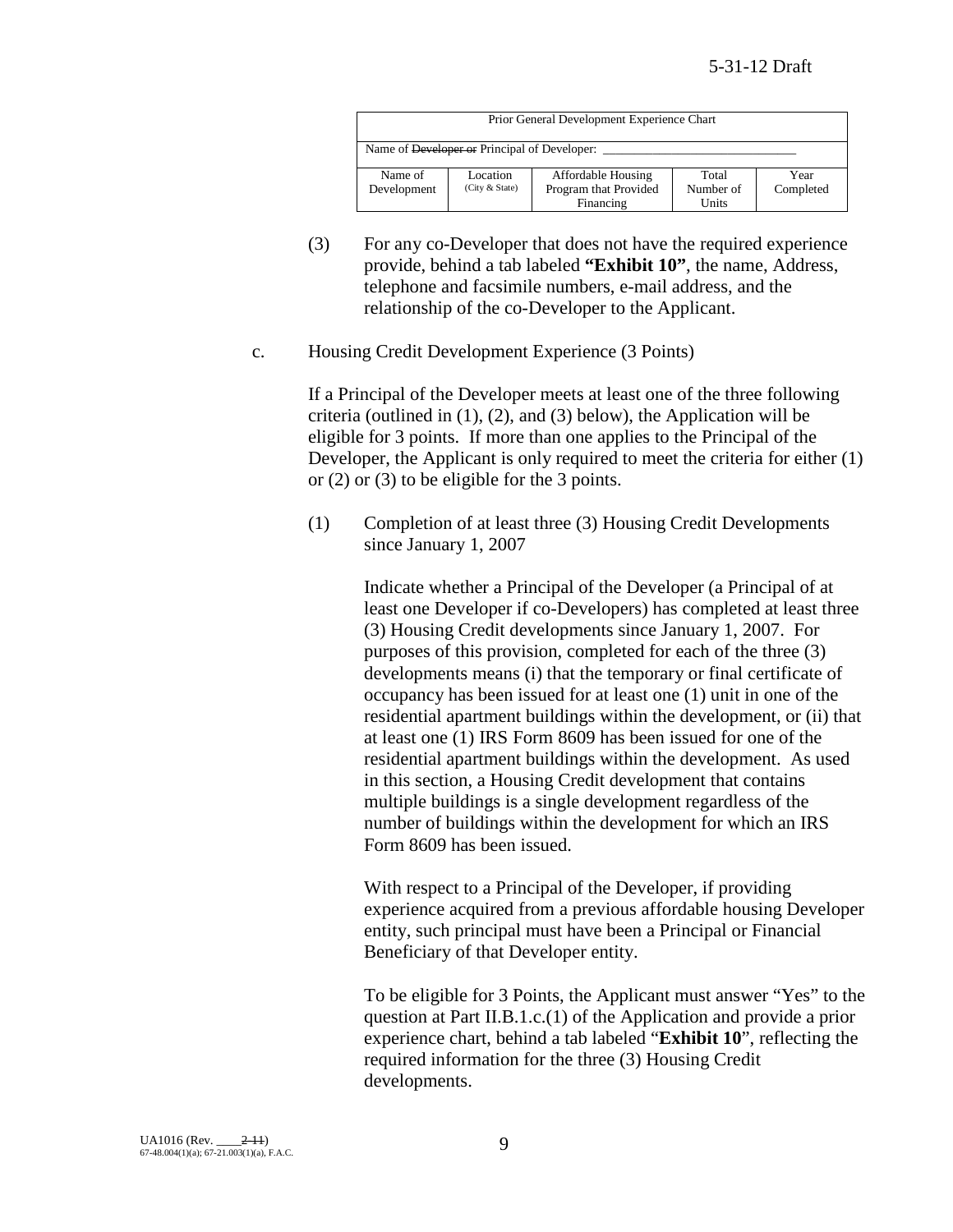| Prior General Development Experience Chart              |                |                           |           |           |
|---------------------------------------------------------|----------------|---------------------------|-----------|-----------|
| Name of <del>Developer or</del> Principal of Developer: |                |                           |           |           |
| Name of                                                 | Location       | <b>Affordable Housing</b> | Total     | Year      |
| Development                                             | (City & State) | Program that Provided     | Number of | Completed |
|                                                         |                | Financing                 | Units     |           |

- (3) For any co-Developer that does not have the required experience provide, behind a tab labeled **"Exhibit 10"**, the name, Address, telephone and facsimile numbers, e-mail address, and the relationship of the co-Developer to the Applicant.
- c. Housing Credit Development Experience (3 Points)

If a Principal of the Developer meets at least one of the three following criteria (outlined in  $(1)$ ,  $(2)$ , and  $(3)$  below), the Application will be eligible for 3 points. If more than one applies to the Principal of the Developer, the Applicant is only required to meet the criteria for either (1) or (2) or (3) to be eligible for the 3 points.

(1) Completion of at least three (3) Housing Credit Developments since January 1, 2007

> Indicate whether a Principal of the Developer (a Principal of at least one Developer if co-Developers) has completed at least three (3) Housing Credit developments since January 1, 2007. For purposes of this provision, completed for each of the three (3) developments means (i) that the temporary or final certificate of occupancy has been issued for at least one (1) unit in one of the residential apartment buildings within the development, or (ii) that at least one (1) IRS Form 8609 has been issued for one of the residential apartment buildings within the development. As used in this section, a Housing Credit development that contains multiple buildings is a single development regardless of the number of buildings within the development for which an IRS Form 8609 has been issued.

> With respect to a Principal of the Developer, if providing experience acquired from a previous affordable housing Developer entity, such principal must have been a Principal or Financial Beneficiary of that Developer entity.

> To be eligible for 3 Points, the Applicant must answer "Yes" to the question at Part II.B.1.c.(1) of the Application and provide a prior experience chart, behind a tab labeled "**Exhibit 10**", reflecting the required information for the three (3) Housing Credit developments.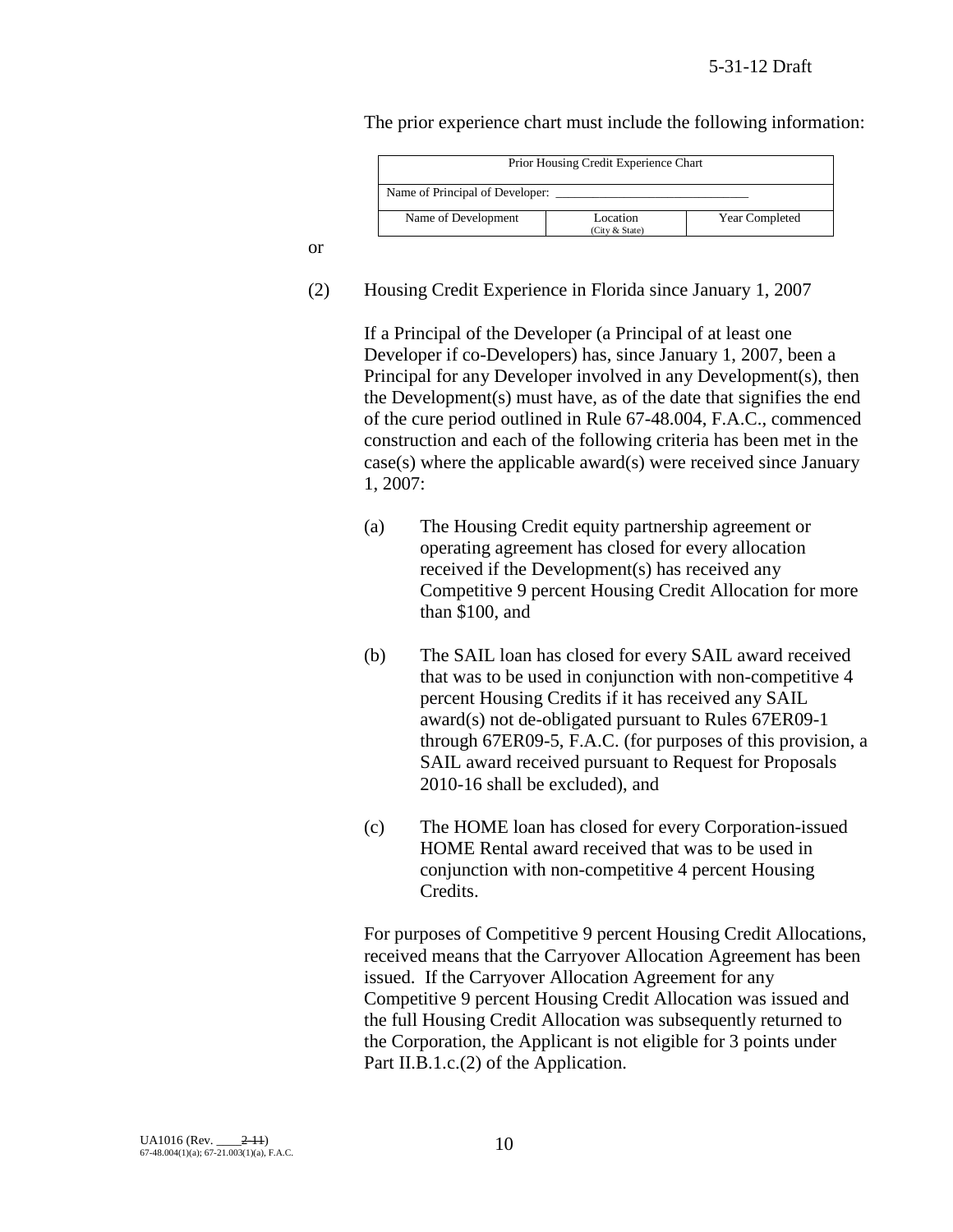The prior experience chart must include the following information:

| Prior Housing Credit Experience Chart                               |  |  |  |
|---------------------------------------------------------------------|--|--|--|
| Name of Principal of Developer:                                     |  |  |  |
| Name of Development<br>Year Completed<br>Location<br>(City & State) |  |  |  |

or

(2) Housing Credit Experience in Florida since January 1, 2007

If a Principal of the Developer (a Principal of at least one Developer if co-Developers) has, since January 1, 2007, been a Principal for any Developer involved in any Development(s), then the Development(s) must have, as of the date that signifies the end of the cure period outlined in Rule 67-48.004, F.A.C., commenced construction and each of the following criteria has been met in the case(s) where the applicable award(s) were received since January 1, 2007:

- (a) The Housing Credit equity partnership agreement or operating agreement has closed for every allocation received if the Development(s) has received any Competitive 9 percent Housing Credit Allocation for more than \$100, and
- (b) The SAIL loan has closed for every SAIL award received that was to be used in conjunction with non-competitive 4 percent Housing Credits if it has received any SAIL award(s) not de-obligated pursuant to Rules 67ER09-1 through 67ER09-5, F.A.C. (for purposes of this provision, a SAIL award received pursuant to Request for Proposals 2010-16 shall be excluded), and
- (c) The HOME loan has closed for every Corporation-issued HOME Rental award received that was to be used in conjunction with non-competitive 4 percent Housing Credits.

For purposes of Competitive 9 percent Housing Credit Allocations, received means that the Carryover Allocation Agreement has been issued. If the Carryover Allocation Agreement for any Competitive 9 percent Housing Credit Allocation was issued and the full Housing Credit Allocation was subsequently returned to the Corporation, the Applicant is not eligible for 3 points under Part II.B.1.c.(2) of the Application.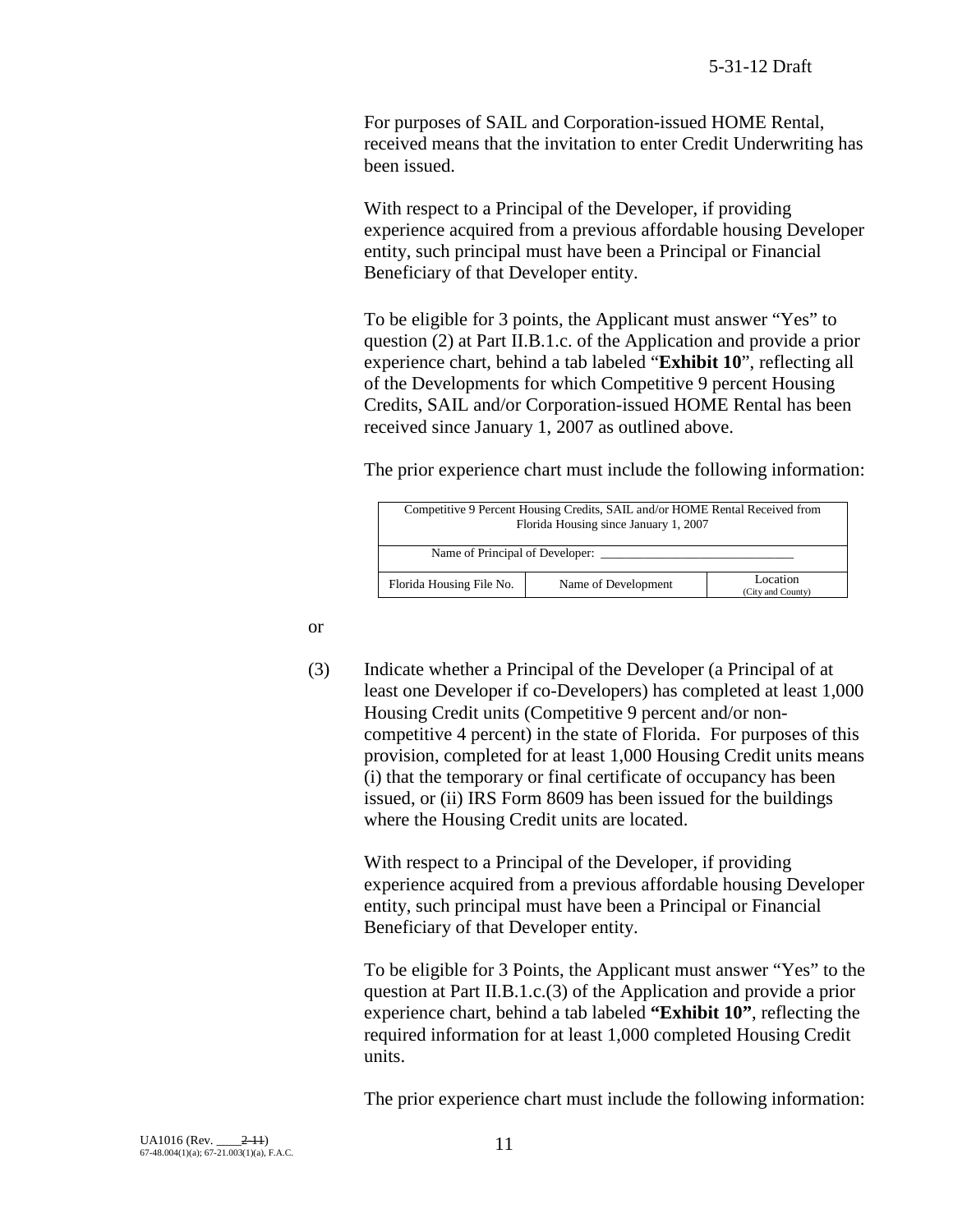For purposes of SAIL and Corporation-issued HOME Rental, received means that the invitation to enter Credit Underwriting has been issued.

With respect to a Principal of the Developer, if providing experience acquired from a previous affordable housing Developer entity, such principal must have been a Principal or Financial Beneficiary of that Developer entity.

To be eligible for 3 points, the Applicant must answer "Yes" to question (2) at Part II.B.1.c. of the Application and provide a prior experience chart, behind a tab labeled "**Exhibit 10**", reflecting all of the Developments for which Competitive 9 percent Housing Credits, SAIL and/or Corporation-issued HOME Rental has been received since January 1, 2007 as outlined above.

The prior experience chart must include the following information:

| Competitive 9 Percent Housing Credits, SAIL and/or HOME Rental Received from<br>Florida Housing since January 1, 2007 |  |  |  |  |
|-----------------------------------------------------------------------------------------------------------------------|--|--|--|--|
| Name of Principal of Developer:                                                                                       |  |  |  |  |
| Location<br>Florida Housing File No.<br>Name of Development<br>(City and County)                                      |  |  |  |  |

or

(3) Indicate whether a Principal of the Developer (a Principal of at least one Developer if co-Developers) has completed at least 1,000 Housing Credit units (Competitive 9 percent and/or noncompetitive 4 percent) in the state of Florida. For purposes of this provision, completed for at least 1,000 Housing Credit units means (i) that the temporary or final certificate of occupancy has been issued, or (ii) IRS Form 8609 has been issued for the buildings where the Housing Credit units are located.

With respect to a Principal of the Developer, if providing experience acquired from a previous affordable housing Developer entity, such principal must have been a Principal or Financial Beneficiary of that Developer entity.

To be eligible for 3 Points, the Applicant must answer "Yes" to the question at Part II.B.1.c.(3) of the Application and provide a prior experience chart, behind a tab labeled **"Exhibit 10"**, reflecting the required information for at least 1,000 completed Housing Credit units.

The prior experience chart must include the following information: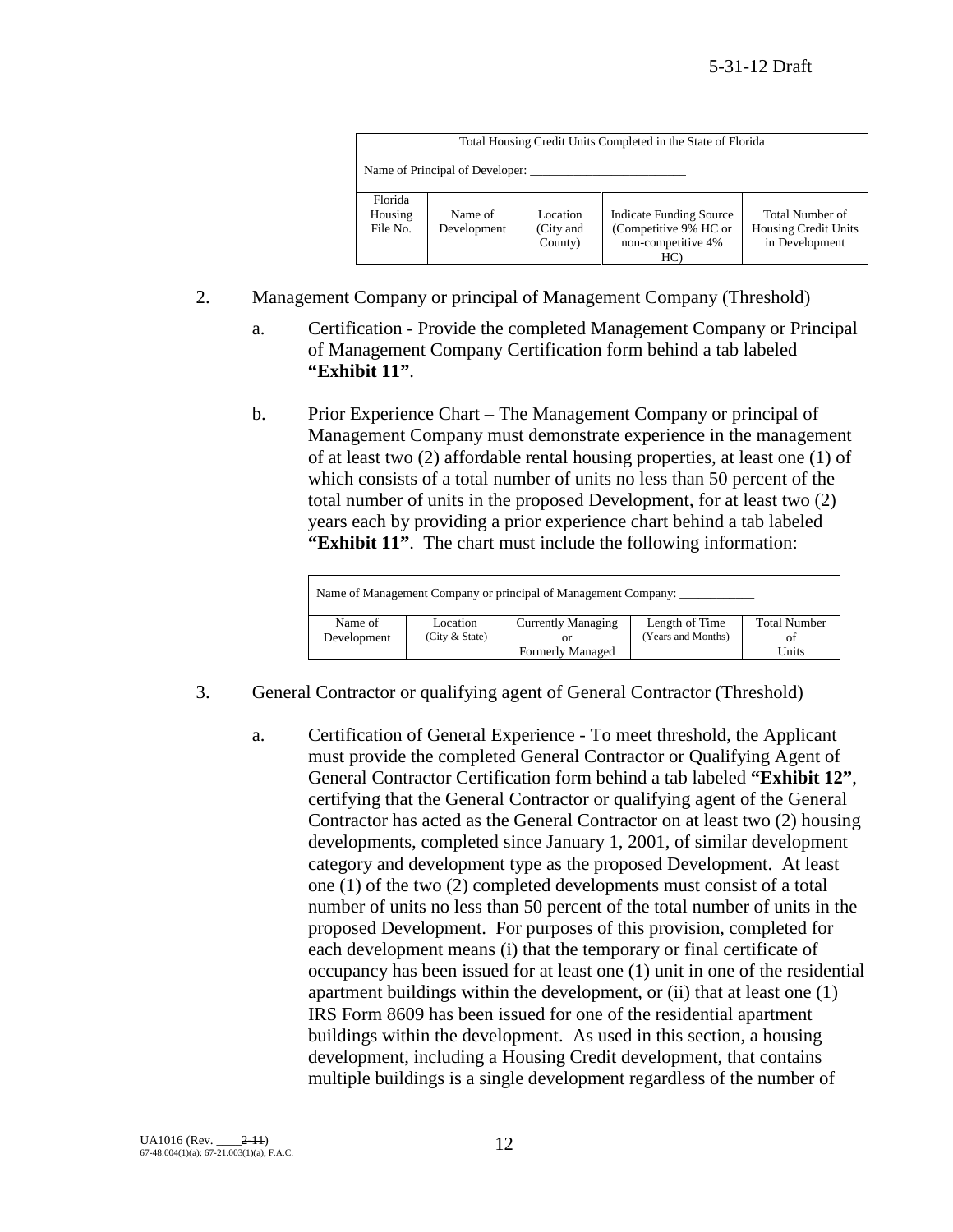|                                | Total Housing Credit Units Completed in the State of Florida |                                  |                                                                                      |                                                                  |  |
|--------------------------------|--------------------------------------------------------------|----------------------------------|--------------------------------------------------------------------------------------|------------------------------------------------------------------|--|
|                                | Name of Principal of Developer:                              |                                  |                                                                                      |                                                                  |  |
| Florida<br>Housing<br>File No. | Name of<br>Development                                       | Location<br>(City and<br>County) | <b>Indicate Funding Source</b><br>(Competitive 9% HC or<br>non-competitive 4%<br>HC) | Total Number of<br><b>Housing Credit Units</b><br>in Development |  |

- 2. Management Company or principal of Management Company (Threshold)
	- a. Certification Provide the completed Management Company or Principal of Management Company Certification form behind a tab labeled **"Exhibit 11"**.
	- b. Prior Experience Chart The Management Company or principal of Management Company must demonstrate experience in the management of at least two (2) affordable rental housing properties, at least one (1) of which consists of a total number of units no less than 50 percent of the total number of units in the proposed Development, for at least two (2) years each by providing a prior experience chart behind a tab labeled **"Exhibit 11"**. The chart must include the following information:

| Name of Management Company or principal of Management Company: |                              |                           |                                      |                           |
|----------------------------------------------------------------|------------------------------|---------------------------|--------------------------------------|---------------------------|
| Name of<br>Development                                         | Location<br>(City $&$ State) | <b>Currently Managing</b> | Length of Time<br>(Years and Months) | <b>Total Number</b><br>of |
|                                                                |                              | <b>Formerly Managed</b>   |                                      | Units                     |

- 3. General Contractor or qualifying agent of General Contractor (Threshold)
	- a. Certification of General Experience To meet threshold, the Applicant must provide the completed General Contractor or Qualifying Agent of General Contractor Certification form behind a tab labeled **"Exhibit 12"**, certifying that the General Contractor or qualifying agent of the General Contractor has acted as the General Contractor on at least two (2) housing developments, completed since January 1, 2001, of similar development category and development type as the proposed Development. At least one (1) of the two (2) completed developments must consist of a total number of units no less than 50 percent of the total number of units in the proposed Development. For purposes of this provision, completed for each development means (i) that the temporary or final certificate of occupancy has been issued for at least one (1) unit in one of the residential apartment buildings within the development, or (ii) that at least one (1) IRS Form 8609 has been issued for one of the residential apartment buildings within the development. As used in this section, a housing development, including a Housing Credit development, that contains multiple buildings is a single development regardless of the number of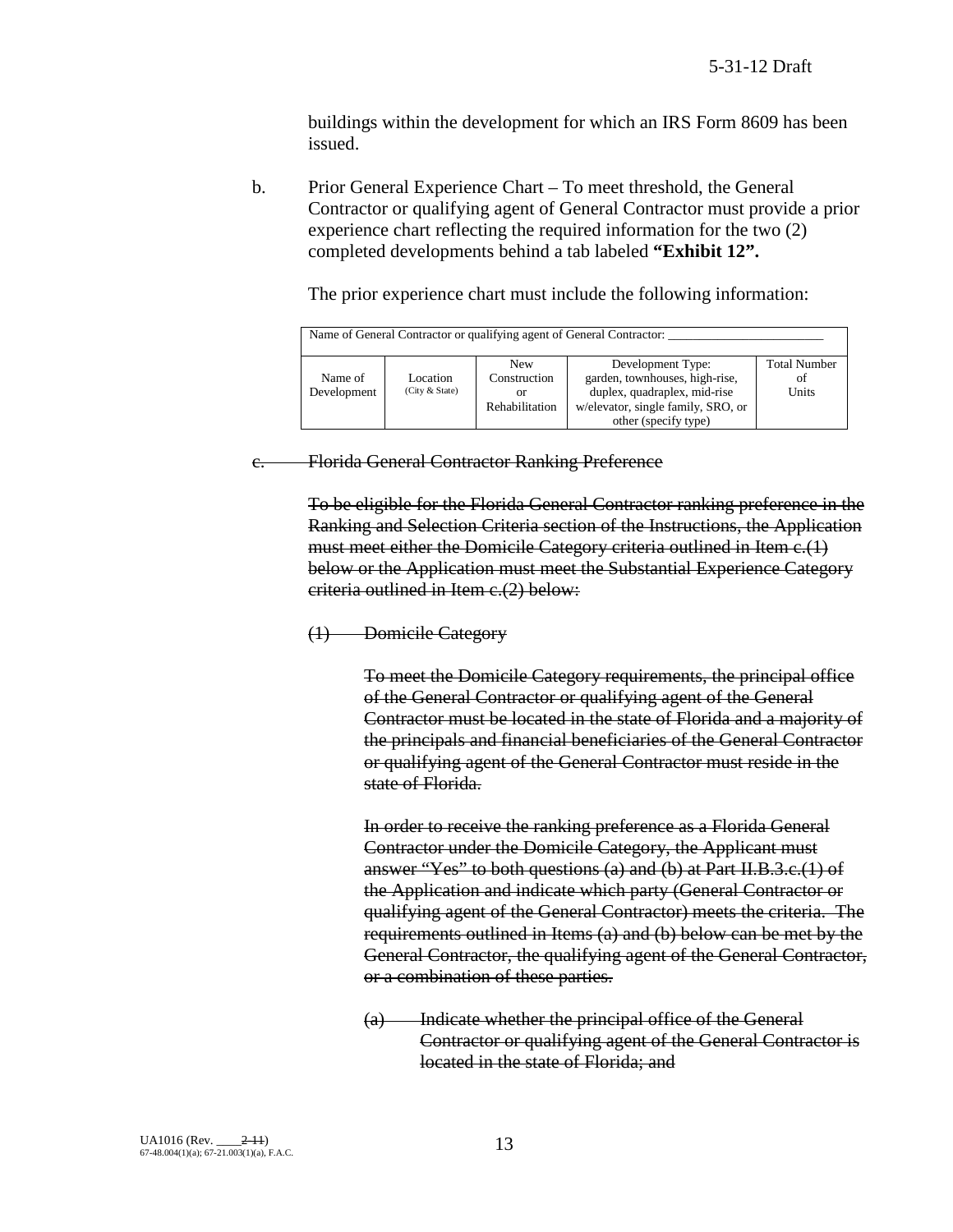buildings within the development for which an IRS Form 8609 has been issued.

b. Prior General Experience Chart – To meet threshold, the General Contractor or qualifying agent of General Contractor must provide a prior experience chart reflecting the required information for the two (2) completed developments behind a tab labeled **"Exhibit 12".**

The prior experience chart must include the following information:

| Name of General Contractor or qualifying agent of General Contractor: |                            |                                                    |                                                                                                                                                   |                                    |
|-----------------------------------------------------------------------|----------------------------|----------------------------------------------------|---------------------------------------------------------------------------------------------------------------------------------------------------|------------------------------------|
| Name of<br>Development                                                | Location<br>(City & State) | <b>New</b><br>Construction<br>or<br>Rehabilitation | Development Type:<br>garden, townhouses, high-rise,<br>duplex, quadraplex, mid-rise<br>w/elevator, single family, SRO, or<br>other (specify type) | <b>Total Number</b><br>οt<br>Units |

c. Florida General Contractor Ranking Preference

To be eligible for the Florida General Contractor ranking preference in the Ranking and Selection Criteria section of the Instructions, the Application must meet either the Domicile Category criteria outlined in Item c.(1) below or the Application must meet the Substantial Experience Category criteria outlined in Item c.(2) below:

## (1) Domicile Category

To meet the Domicile Category requirements, the principal office of the General Contractor or qualifying agent of the General Contractor must be located in the state of Florida and a majority of the principals and financial beneficiaries of the General Contractor or qualifying agent of the General Contractor must reside in the state of Florida.

In order to receive the ranking preference as a Florida General Contractor under the Domicile Category, the Applicant must answer "Yes" to both questions (a) and (b) at Part II.B.3.c.(1) of the Application and indicate which party (General Contractor or qualifying agent of the General Contractor) meets the criteria. The requirements outlined in Items (a) and (b) below can be met by the General Contractor, the qualifying agent of the General Contractor, or a combination of these parties.

(a) Indicate whether the principal office of the General Contractor or qualifying agent of the General Contractor is located in the state of Florida; and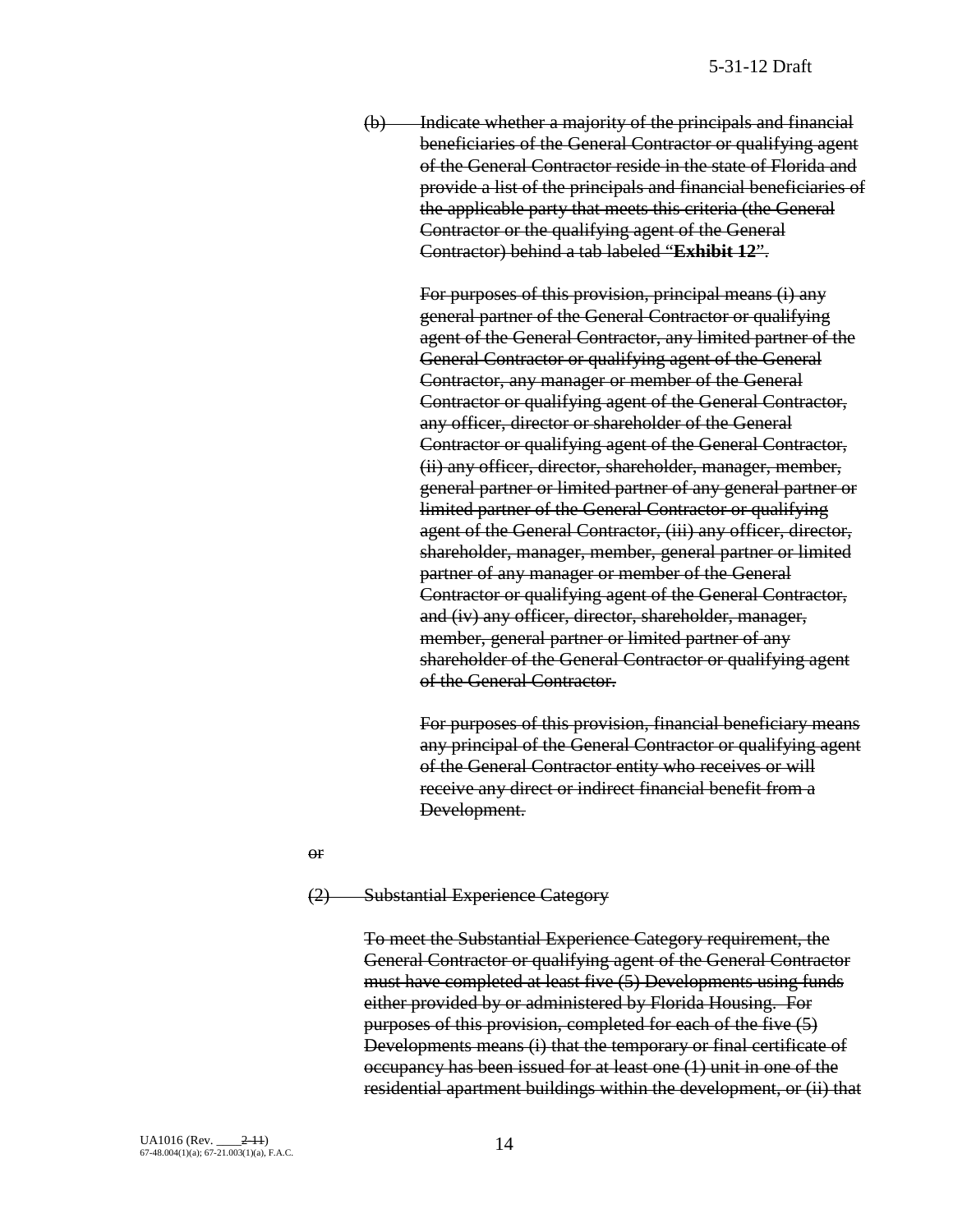(b) Indicate whether a majority of the principals and financial beneficiaries of the General Contractor or qualifying agent of the General Contractor reside in the state of Florida and provide a list of the principals and financial beneficiaries of the applicable party that meets this criteria (the General Contractor or the qualifying agent of the General Contractor) behind a tab labeled "**Exhibit 12**".

> For purposes of this provision, principal means (i) any general partner of the General Contractor or qualifying agent of the General Contractor, any limited partner of the General Contractor or qualifying agent of the General Contractor, any manager or member of the General Contractor or qualifying agent of the General Contractor, any officer, director or shareholder of the General Contractor or qualifying agent of the General Contractor, (ii) any officer, director, shareholder, manager, member, general partner or limited partner of any general partner or limited partner of the General Contractor or qualifying agent of the General Contractor, (iii) any officer, director, shareholder, manager, member, general partner or limited partner of any manager or member of the General Contractor or qualifying agent of the General Contractor, and (iv) any officer, director, shareholder, manager, member, general partner or limited partner of any shareholder of the General Contractor or qualifying agent of the General Contractor.

> For purposes of this provision, financial beneficiary means any principal of the General Contractor or qualifying agent of the General Contractor entity who receives or will receive any direct or indirect financial benefit from a Development.

or

#### (2) Substantial Experience Category

To meet the Substantial Experience Category requirement, the General Contractor or qualifying agent of the General Contractor must have completed at least five (5) Developments using funds either provided by or administered by Florida Housing. For purposes of this provision, completed for each of the five (5) Developments means (i) that the temporary or final certificate of occupancy has been issued for at least one (1) unit in one of the residential apartment buildings within the development, or (ii) that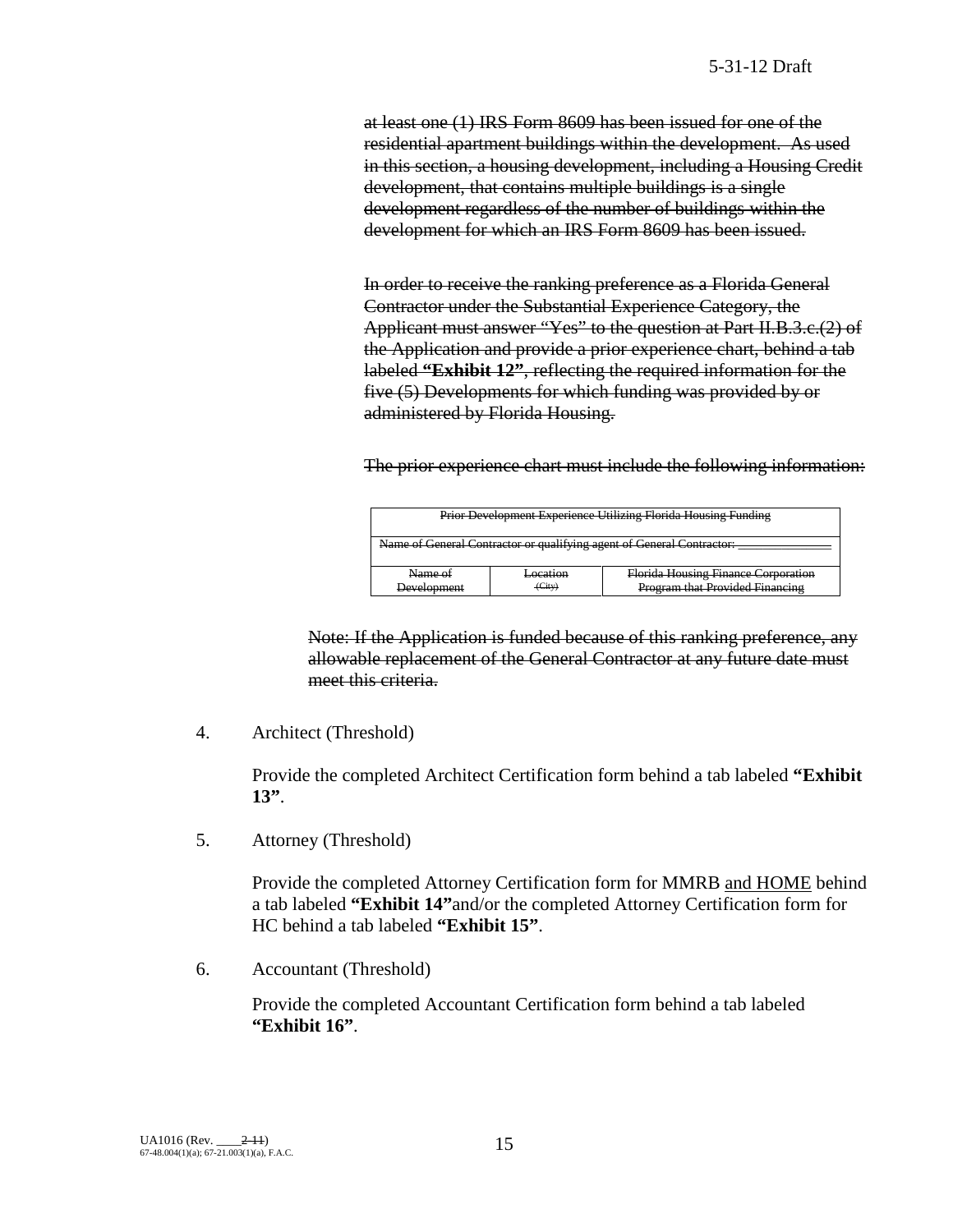at least one (1) IRS Form 8609 has been issued for one of the residential apartment buildings within the development. As used in this section, a housing development, including a Housing Credit development, that contains multiple buildings is a single development regardless of the number of buildings within the development for which an IRS Form 8609 has been issued.

In order to receive the ranking preference as a Florida General Contractor under the Substantial Experience Category, the Applicant must answer "Yes" to the question at Part II.B.3.c.(2) of the Application and provide a prior experience chart, behind a tab labeled **"Exhibit 12"**, reflecting the required information for the five (5) Developments for which funding was provided by or administered by Florida Housing.

The prior experience chart must include the following information:

| <b>Prior Development Experience Utilizing Florida Housing Funding</b> |        |                                 |  |  |
|-----------------------------------------------------------------------|--------|---------------------------------|--|--|
| Name of General Contractor or qualifying agent of General Contractor: |        |                                 |  |  |
|                                                                       |        |                                 |  |  |
| Florida Housing Finance Corporation<br>Name of<br>Location            |        |                                 |  |  |
| Development                                                           | (City) | Program that Provided Financing |  |  |

Note: If the Application is funded because of this ranking preference, any allowable replacement of the General Contractor at any future date must meet this criteria.

4. Architect (Threshold)

Provide the completed Architect Certification form behind a tab labeled **"Exhibit 13"**.

5. Attorney (Threshold)

Provide the completed Attorney Certification form for MMRB and HOME behind a tab labeled **"Exhibit 14"**and/or the completed Attorney Certification form for HC behind a tab labeled **"Exhibit 15"**.

6. Accountant (Threshold)

Provide the completed Accountant Certification form behind a tab labeled **"Exhibit 16"**.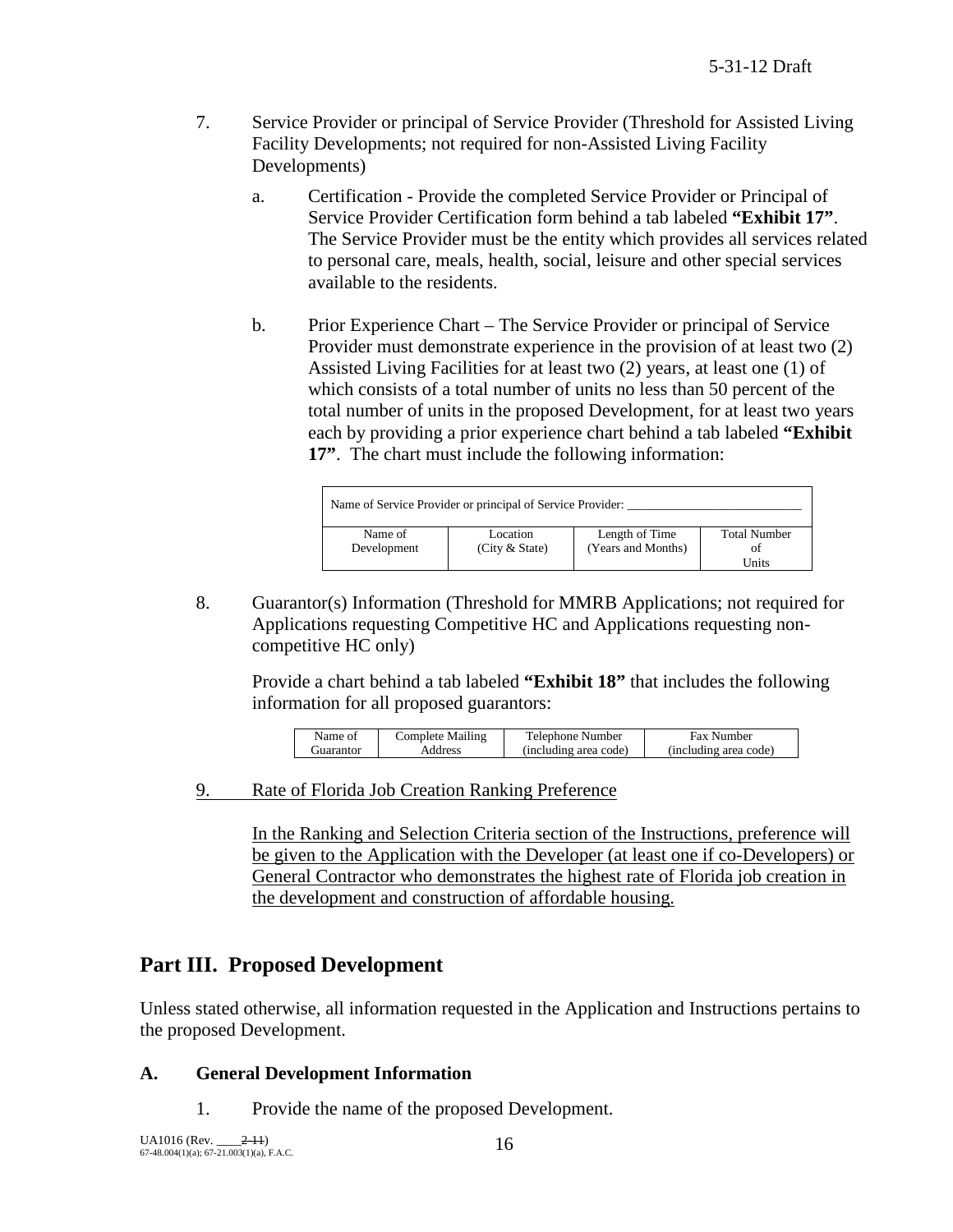- 7. Service Provider or principal of Service Provider (Threshold for Assisted Living Facility Developments; not required for non-Assisted Living Facility Developments)
	- a. Certification Provide the completed Service Provider or Principal of Service Provider Certification form behind a tab labeled **"Exhibit 17"**. The Service Provider must be the entity which provides all services related to personal care, meals, health, social, leisure and other special services available to the residents.
	- b. Prior Experience Chart The Service Provider or principal of Service Provider must demonstrate experience in the provision of at least two (2) Assisted Living Facilities for at least two (2) years, at least one (1) of which consists of a total number of units no less than 50 percent of the total number of units in the proposed Development, for at least two years each by providing a prior experience chart behind a tab labeled **"Exhibit 17"**. The chart must include the following information:

| Name of Service Provider or principal of Service Provider: |                |                    |                     |  |
|------------------------------------------------------------|----------------|--------------------|---------------------|--|
| Name of                                                    | Location       | Length of Time     | <b>Total Number</b> |  |
| Development                                                | (City & State) | (Years and Months) | ot                  |  |
|                                                            |                |                    | Units               |  |

8. Guarantor(s) Information (Threshold for MMRB Applications; not required for Applications requesting Competitive HC and Applications requesting noncompetitive HC only)

Provide a chart behind a tab labeled **"Exhibit 18"** that includes the following information for all proposed guarantors:

| (including area code)<br>(including area code)<br>Address<br>Guarantor | Name of | <b>Complete Mailing</b> | Telephone Number | <b>Fax Number</b> |
|------------------------------------------------------------------------|---------|-------------------------|------------------|-------------------|
|                                                                        |         |                         |                  |                   |

9. Rate of Florida Job Creation Ranking Preference

In the Ranking and Selection Criteria section of the Instructions, preference will be given to the Application with the Developer (at least one if co-Developers) or General Contractor who demonstrates the highest rate of Florida job creation in the development and construction of affordable housing.

# **Part III. Proposed Development**

Unless stated otherwise, all information requested in the Application and Instructions pertains to the proposed Development.

# **A. General Development Information**

1. Provide the name of the proposed Development.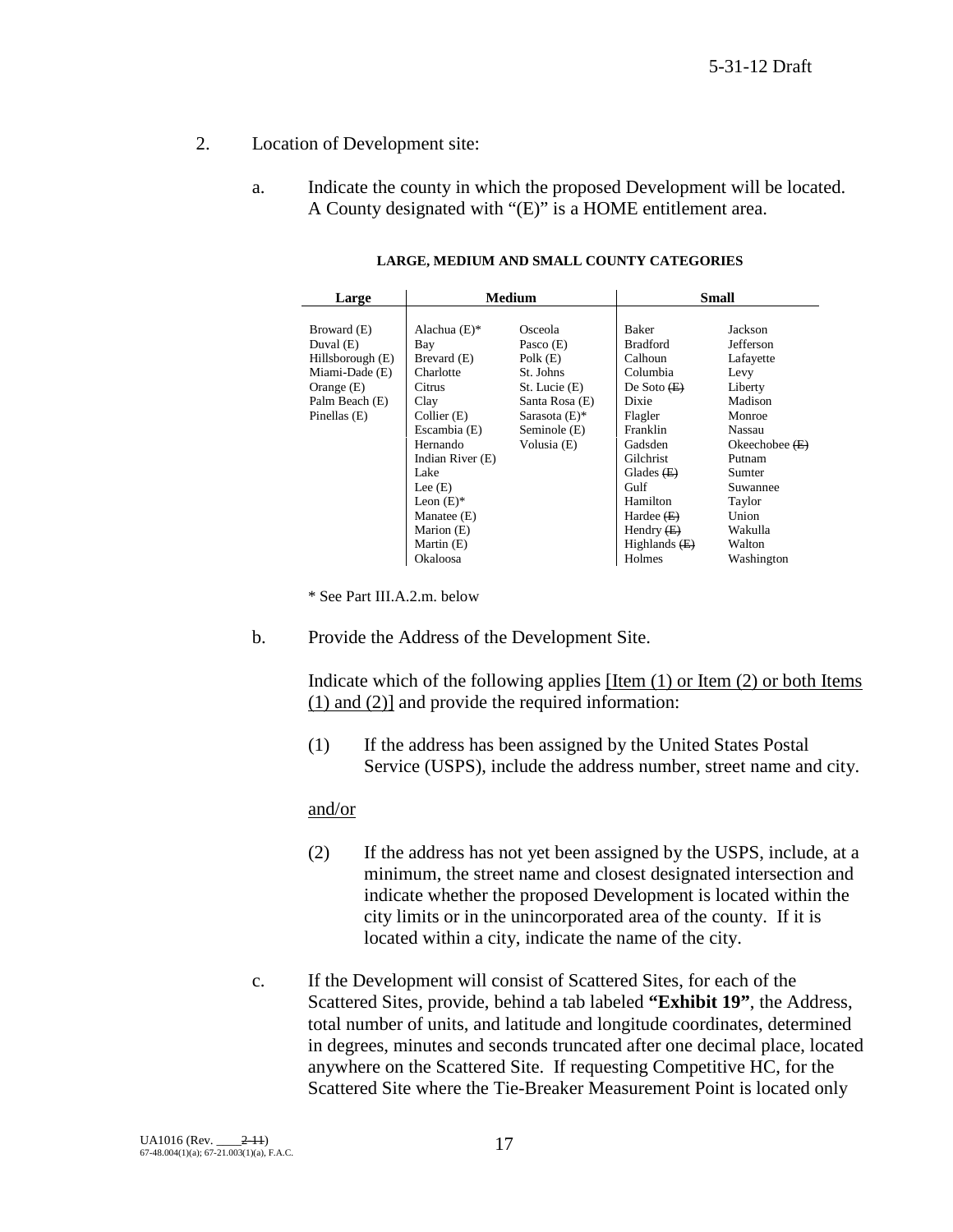- 2. Location of Development site:
	- a. Indicate the county in which the proposed Development will be located. A County designated with "(E)" is a HOME entitlement area.

| Large            | <b>Medium</b>    |                  | <b>Small</b>    |                  |
|------------------|------------------|------------------|-----------------|------------------|
|                  |                  |                  |                 |                  |
| Broward (E)      | Alachua $(E)$ *  | Osceola          | Baker           | Jackson          |
| Duval $(E)$      | Bay              | Pasco $(E)$      | <b>Bradford</b> | Jefferson        |
| Hillsborough (E) | Brevard (E)      | Polk $(E)$       | Calhoun         | Lafayette        |
| Miami-Dade (E)   | Charlotte        | St. Johns        | Columbia        | Levy             |
| Orange $(E)$     | Citrus           | St. Lucie (E)    | De Soto $(E)$   | Liberty          |
| Palm Beach (E)   | Clay             | Santa Rosa (E)   | Dixie           | Madison          |
| Pinellas $(E)$   | Collier (E)      | Sarasota $(E)$ * | Flagler         | Monroe           |
|                  | Escambia (E)     | Seminole (E)     | Franklin        | Nassau           |
|                  | Hernando         | Volusia (E)      | Gadsden         | Okeechobee $(E)$ |
|                  | Indian River (E) |                  | Gilchrist       | Putnam           |
|                  | Lake             |                  | Glades $(E)$    | Sumter           |
|                  | Lee $(E)$        |                  | Gulf            | Suwannee         |
|                  | Leon $(E)^*$     |                  | Hamilton        | Taylor           |
|                  | Manatee (E)      |                  | Hardee $(E)$    | Union            |
|                  | Marion (E)       |                  | Hendry $(E)$    | Wakulla          |
|                  | Martin (E)       |                  | Highlands $(E)$ | Walton           |
|                  | Okaloosa         |                  | Holmes          | Washington       |

**LARGE, MEDIUM AND SMALL COUNTY CATEGORIES**

\* See Part III.A.2.m. below

b. Provide the Address of the Development Site.

Indicate which of the following applies [Item (1) or Item (2) or both Items (1) and (2)] and provide the required information:

(1) If the address has been assigned by the United States Postal Service (USPS), include the address number, street name and city.

#### and/or

- (2) If the address has not yet been assigned by the USPS, include, at a minimum, the street name and closest designated intersection and indicate whether the proposed Development is located within the city limits or in the unincorporated area of the county. If it is located within a city, indicate the name of the city.
- c. If the Development will consist of Scattered Sites, for each of the Scattered Sites, provide, behind a tab labeled **"Exhibit 19"**, the Address, total number of units, and latitude and longitude coordinates, determined in degrees, minutes and seconds truncated after one decimal place, located anywhere on the Scattered Site. If requesting Competitive HC, for the Scattered Site where the Tie-Breaker Measurement Point is located only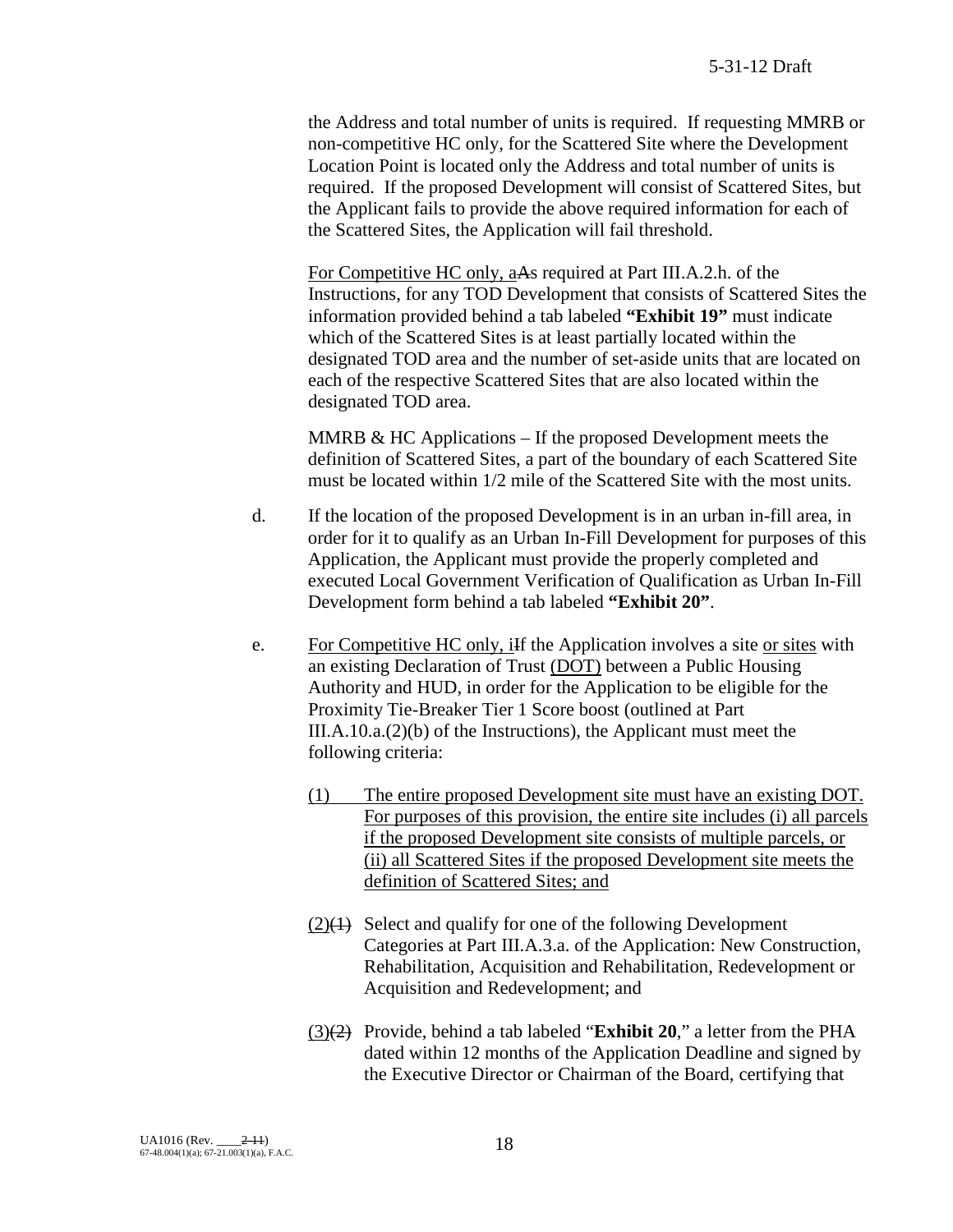the Address and total number of units is required. If requesting MMRB or non-competitive HC only, for the Scattered Site where the Development Location Point is located only the Address and total number of units is required. If the proposed Development will consist of Scattered Sites, but the Applicant fails to provide the above required information for each of the Scattered Sites, the Application will fail threshold.

For Competitive HC only, aAs required at Part III.A.2.h. of the Instructions, for any TOD Development that consists of Scattered Sites the information provided behind a tab labeled **"Exhibit 19"** must indicate which of the Scattered Sites is at least partially located within the designated TOD area and the number of set-aside units that are located on each of the respective Scattered Sites that are also located within the designated TOD area.

MMRB  $&$  HC Applications – If the proposed Development meets the definition of Scattered Sites, a part of the boundary of each Scattered Site must be located within 1/2 mile of the Scattered Site with the most units.

- d. If the location of the proposed Development is in an urban in-fill area, in order for it to qualify as an Urban In-Fill Development for purposes of this Application, the Applicant must provide the properly completed and executed Local Government Verification of Qualification as Urban In-Fill Development form behind a tab labeled **"Exhibit 20"**.
- e. For Competitive HC only, if the Application involves a site or sites with an existing Declaration of Trust (DOT) between a Public Housing Authority and HUD, in order for the Application to be eligible for the Proximity Tie-Breaker Tier 1 Score boost (outlined at Part III.A.10.a.(2)(b) of the Instructions), the Applicant must meet the following criteria:
	- (1) The entire proposed Development site must have an existing DOT. For purposes of this provision, the entire site includes (i) all parcels if the proposed Development site consists of multiple parcels, or (ii) all Scattered Sites if the proposed Development site meets the definition of Scattered Sites; and
	- $(2)(1)$  Select and qualify for one of the following Development Categories at Part III.A.3.a. of the Application: New Construction, Rehabilitation, Acquisition and Rehabilitation, Redevelopment or Acquisition and Redevelopment; and
	- (3)(2) Provide, behind a tab labeled "**Exhibit 20**," a letter from the PHA dated within 12 months of the Application Deadline and signed by the Executive Director or Chairman of the Board, certifying that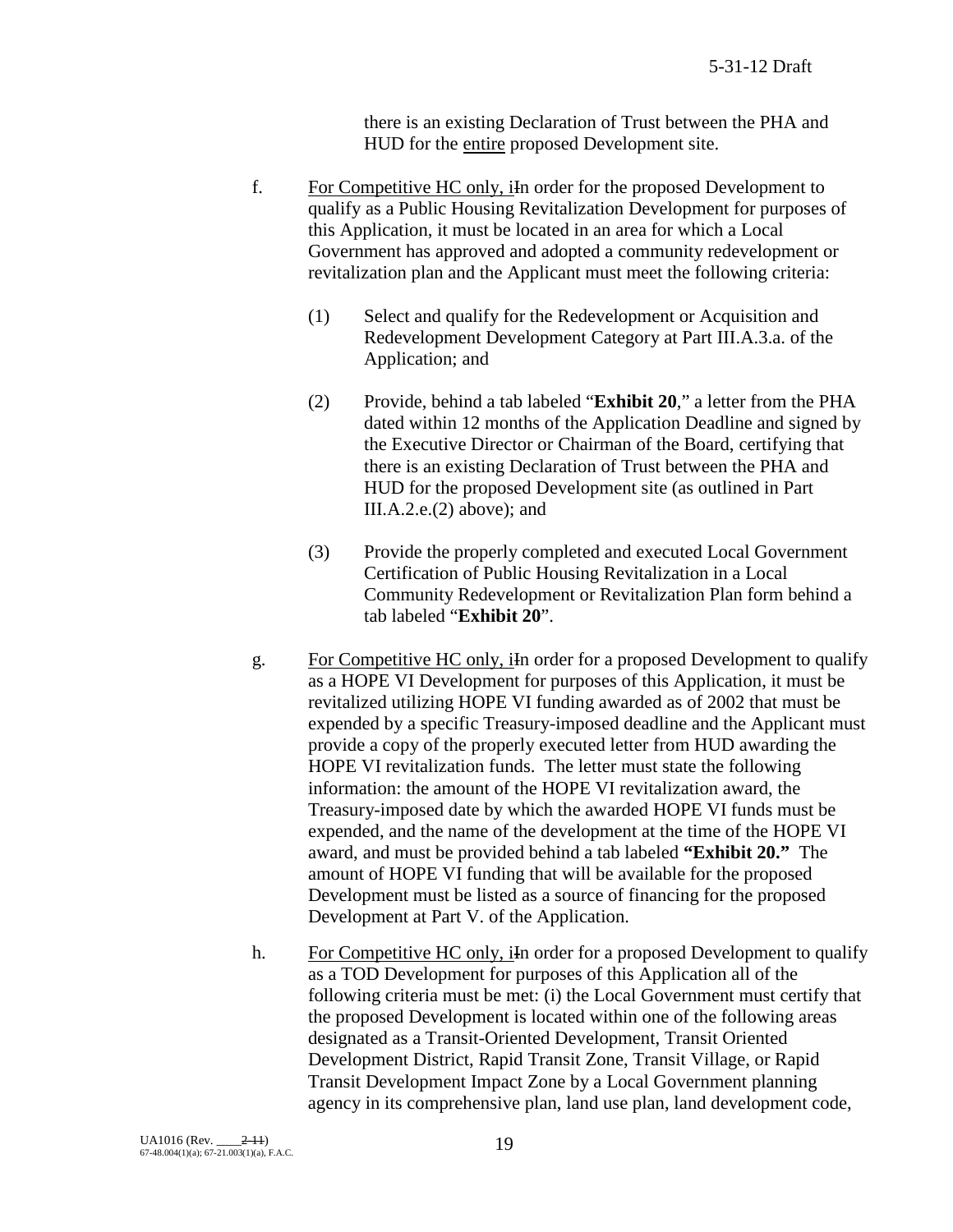there is an existing Declaration of Trust between the PHA and HUD for the entire proposed Development site.

- f. For Competitive HC only, iIn order for the proposed Development to qualify as a Public Housing Revitalization Development for purposes of this Application, it must be located in an area for which a Local Government has approved and adopted a community redevelopment or revitalization plan and the Applicant must meet the following criteria:
	- (1) Select and qualify for the Redevelopment or Acquisition and Redevelopment Development Category at Part III.A.3.a. of the Application; and
	- (2) Provide, behind a tab labeled "**Exhibit 20**," a letter from the PHA dated within 12 months of the Application Deadline and signed by the Executive Director or Chairman of the Board, certifying that there is an existing Declaration of Trust between the PHA and HUD for the proposed Development site (as outlined in Part III.A.2.e.(2) above); and
	- (3) Provide the properly completed and executed Local Government Certification of Public Housing Revitalization in a Local Community Redevelopment or Revitalization Plan form behind a tab labeled "**Exhibit 20**".
- g. For Competitive HC only, iIn order for a proposed Development to qualify as a HOPE VI Development for purposes of this Application, it must be revitalized utilizing HOPE VI funding awarded as of 2002 that must be expended by a specific Treasury-imposed deadline and the Applicant must provide a copy of the properly executed letter from HUD awarding the HOPE VI revitalization funds. The letter must state the following information: the amount of the HOPE VI revitalization award, the Treasury-imposed date by which the awarded HOPE VI funds must be expended, and the name of the development at the time of the HOPE VI award, and must be provided behind a tab labeled **"Exhibit 20."** The amount of HOPE VI funding that will be available for the proposed Development must be listed as a source of financing for the proposed Development at Part V. of the Application.
- h. For Competitive HC only, in order for a proposed Development to qualify as a TOD Development for purposes of this Application all of the following criteria must be met: (i) the Local Government must certify that the proposed Development is located within one of the following areas designated as a Transit-Oriented Development, Transit Oriented Development District, Rapid Transit Zone, Transit Village, or Rapid Transit Development Impact Zone by a Local Government planning agency in its comprehensive plan, land use plan, land development code,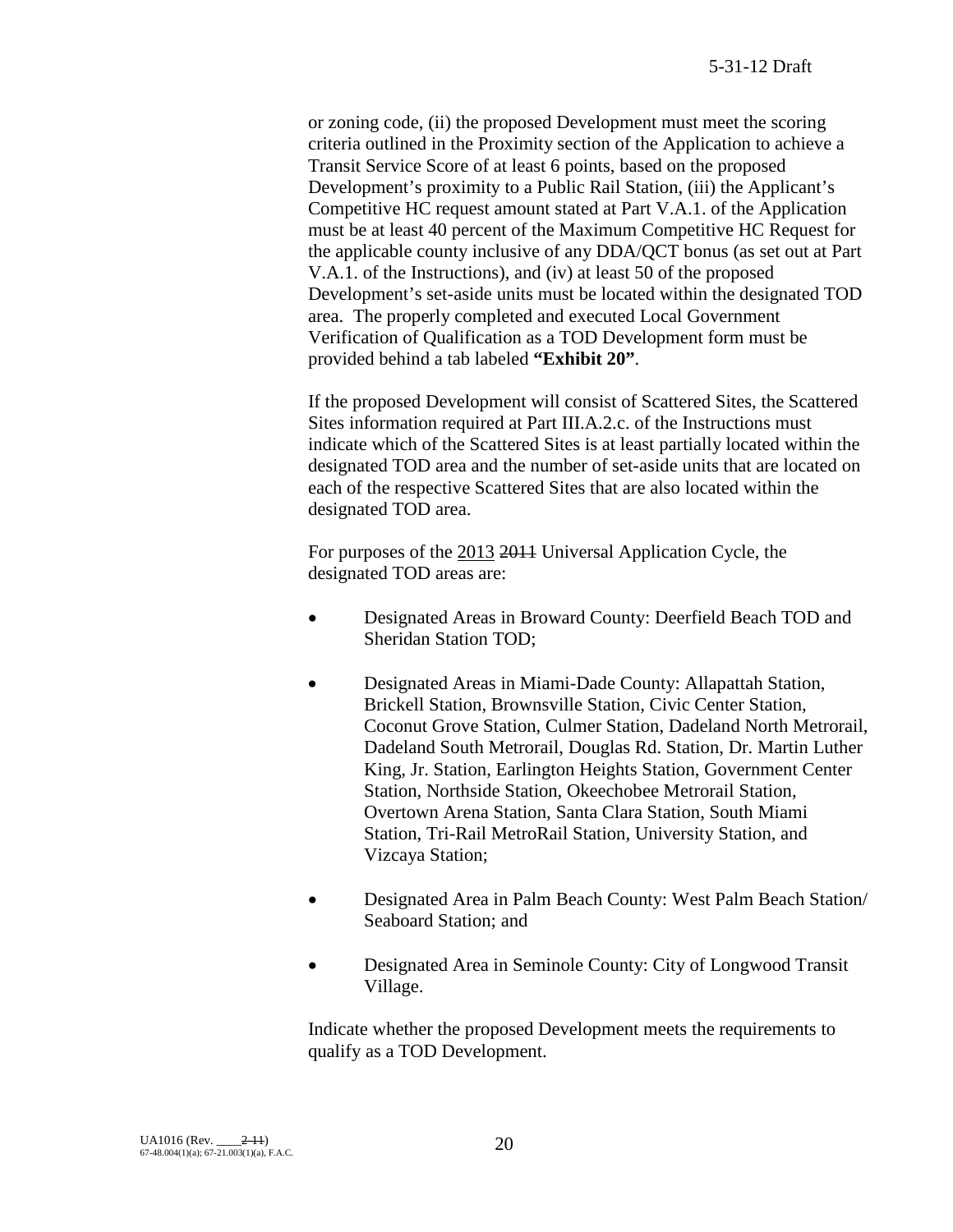or zoning code, (ii) the proposed Development must meet the scoring criteria outlined in the Proximity section of the Application to achieve a Transit Service Score of at least 6 points, based on the proposed Development's proximity to a Public Rail Station, (iii) the Applicant's Competitive HC request amount stated at Part V.A.1. of the Application must be at least 40 percent of the Maximum Competitive HC Request for the applicable county inclusive of any DDA/QCT bonus (as set out at Part V.A.1. of the Instructions), and (iv) at least 50 of the proposed Development's set-aside units must be located within the designated TOD area. The properly completed and executed Local Government Verification of Qualification as a TOD Development form must be provided behind a tab labeled **"Exhibit 20"**.

If the proposed Development will consist of Scattered Sites, the Scattered Sites information required at Part III.A.2.c. of the Instructions must indicate which of the Scattered Sites is at least partially located within the designated TOD area and the number of set-aside units that are located on each of the respective Scattered Sites that are also located within the designated TOD area.

For purposes of the 2013 2014 Universal Application Cycle, the designated TOD areas are:

- Designated Areas in Broward County: Deerfield Beach TOD and Sheridan Station TOD;
- Designated Areas in Miami-Dade County: Allapattah Station, Brickell Station, Brownsville Station, Civic Center Station, Coconut Grove Station, Culmer Station, Dadeland North Metrorail, Dadeland South Metrorail, Douglas Rd. Station, Dr. Martin Luther King, Jr. Station, Earlington Heights Station, Government Center Station, Northside Station, Okeechobee Metrorail Station, Overtown Arena Station, Santa Clara Station, South Miami Station, Tri-Rail MetroRail Station, University Station, and Vizcaya Station;
- Designated Area in Palm Beach County: West Palm Beach Station/ Seaboard Station; and
- Designated Area in Seminole County: City of Longwood Transit Village.

Indicate whether the proposed Development meets the requirements to qualify as a TOD Development.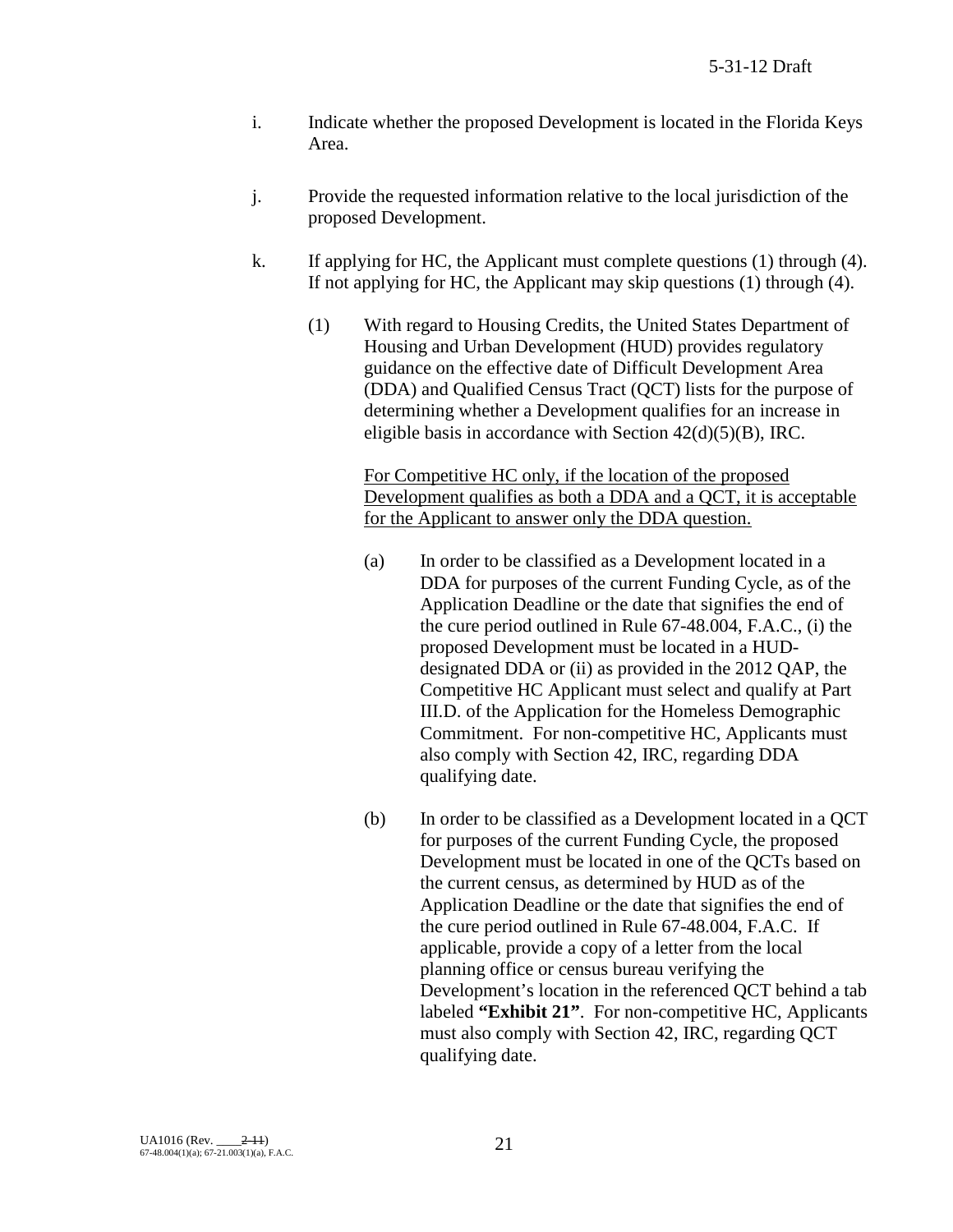- i. Indicate whether the proposed Development is located in the Florida Keys Area.
- j. Provide the requested information relative to the local jurisdiction of the proposed Development.
- k. If applying for HC, the Applicant must complete questions (1) through (4). If not applying for HC, the Applicant may skip questions (1) through (4).
	- (1) With regard to Housing Credits, the United States Department of Housing and Urban Development (HUD) provides regulatory guidance on the effective date of Difficult Development Area (DDA) and Qualified Census Tract (QCT) lists for the purpose of determining whether a Development qualifies for an increase in eligible basis in accordance with Section 42(d)(5)(B), IRC.

For Competitive HC only, if the location of the proposed Development qualifies as both a DDA and a QCT, it is acceptable for the Applicant to answer only the DDA question.

- (a) In order to be classified as a Development located in a DDA for purposes of the current Funding Cycle, as of the Application Deadline or the date that signifies the end of the cure period outlined in Rule 67-48.004, F.A.C., (i) the proposed Development must be located in a HUDdesignated DDA or (ii) as provided in the 2012 QAP, the Competitive HC Applicant must select and qualify at Part III.D. of the Application for the Homeless Demographic Commitment. For non-competitive HC, Applicants must also comply with Section 42, IRC, regarding DDA qualifying date.
- (b) In order to be classified as a Development located in a QCT for purposes of the current Funding Cycle, the proposed Development must be located in one of the QCTs based on the current census, as determined by HUD as of the Application Deadline or the date that signifies the end of the cure period outlined in Rule 67-48.004, F.A.C. If applicable, provide a copy of a letter from the local planning office or census bureau verifying the Development's location in the referenced QCT behind a tab labeled **"Exhibit 21"**. For non-competitive HC, Applicants must also comply with Section 42, IRC, regarding QCT qualifying date.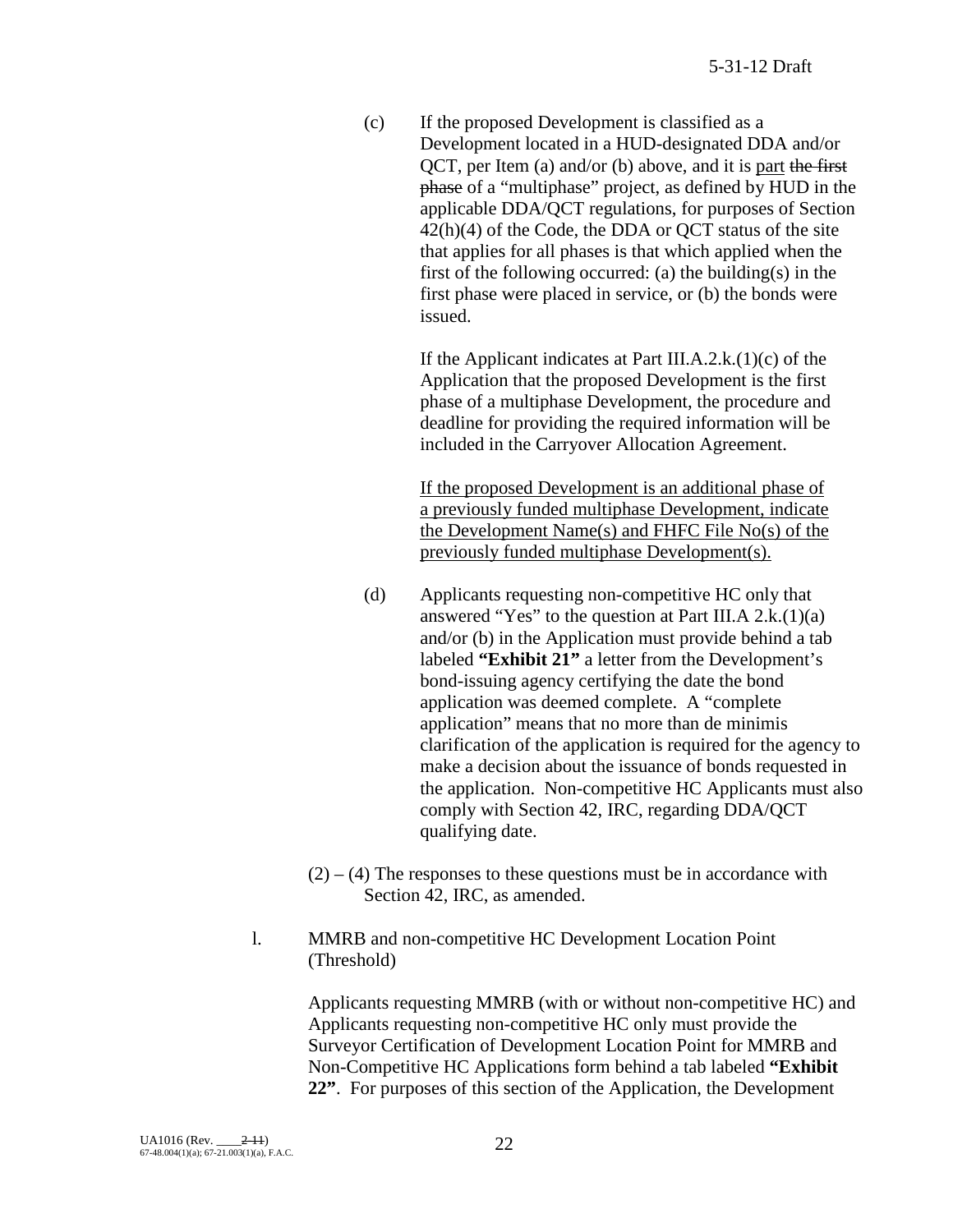(c) If the proposed Development is classified as a Development located in a HUD-designated DDA and/or QCT, per Item (a) and/or (b) above, and it is part the first phase of a "multiphase" project, as defined by HUD in the applicable DDA/QCT regulations, for purposes of Section  $42(h)(4)$  of the Code, the DDA or QCT status of the site that applies for all phases is that which applied when the first of the following occurred: (a) the building(s) in the first phase were placed in service, or (b) the bonds were issued.

> If the Applicant indicates at Part III.A.2.k.(1)(c) of the Application that the proposed Development is the first phase of a multiphase Development, the procedure and deadline for providing the required information will be included in the Carryover Allocation Agreement.

> If the proposed Development is an additional phase of a previously funded multiphase Development, indicate the Development Name(s) and FHFC File No(s) of the previously funded multiphase Development(s).

- (d) Applicants requesting non-competitive HC only that answered "Yes" to the question at Part III.A  $2.k.(1)(a)$ and/or (b) in the Application must provide behind a tab labeled **"Exhibit 21"** a letter from the Development's bond-issuing agency certifying the date the bond application was deemed complete. A "complete application" means that no more than de minimis clarification of the application is required for the agency to make a decision about the issuance of bonds requested in the application. Non-competitive HC Applicants must also comply with Section 42, IRC, regarding DDA/QCT qualifying date.
- $(2) (4)$  The responses to these questions must be in accordance with Section 42, IRC, as amended.
- l. MMRB and non-competitive HC Development Location Point (Threshold)

Applicants requesting MMRB (with or without non-competitive HC) and Applicants requesting non-competitive HC only must provide the Surveyor Certification of Development Location Point for MMRB and Non-Competitive HC Applications form behind a tab labeled **"Exhibit 22"**. For purposes of this section of the Application, the Development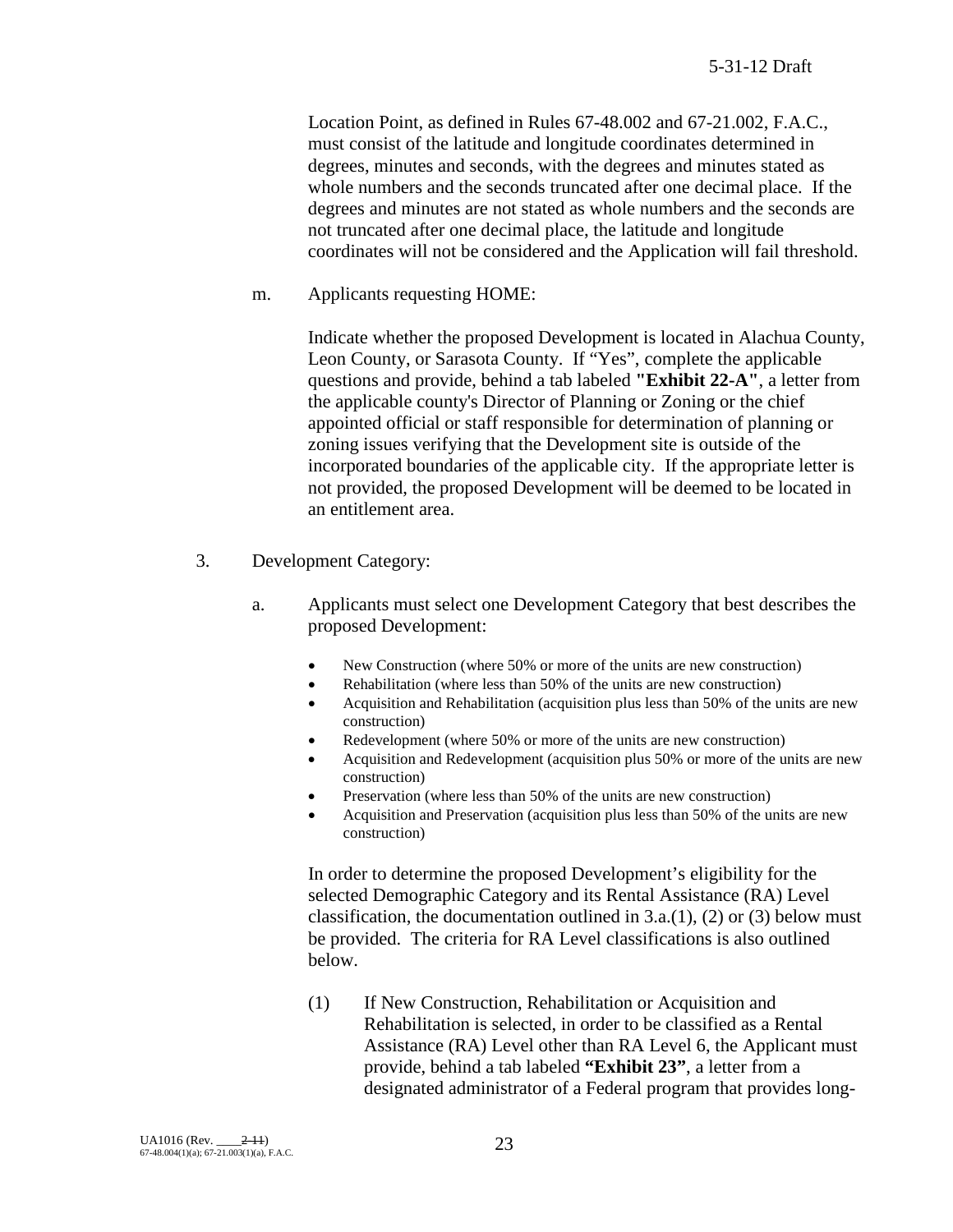Location Point, as defined in Rules 67-48.002 and 67-21.002, F.A.C., must consist of the latitude and longitude coordinates determined in degrees, minutes and seconds, with the degrees and minutes stated as whole numbers and the seconds truncated after one decimal place. If the degrees and minutes are not stated as whole numbers and the seconds are not truncated after one decimal place, the latitude and longitude coordinates will not be considered and the Application will fail threshold.

m. Applicants requesting HOME:

Indicate whether the proposed Development is located in Alachua County, Leon County, or Sarasota County. If "Yes", complete the applicable questions and provide, behind a tab labeled **"Exhibit 22-A"**, a letter from the applicable county's Director of Planning or Zoning or the chief appointed official or staff responsible for determination of planning or zoning issues verifying that the Development site is outside of the incorporated boundaries of the applicable city. If the appropriate letter is not provided, the proposed Development will be deemed to be located in an entitlement area.

- 3. Development Category:
	- a. Applicants must select one Development Category that best describes the proposed Development:
		- New Construction (where 50% or more of the units are new construction)
		- Rehabilitation (where less than 50% of the units are new construction)
		- Acquisition and Rehabilitation (acquisition plus less than 50% of the units are new construction)
		- Redevelopment (where 50% or more of the units are new construction)
		- Acquisition and Redevelopment (acquisition plus 50% or more of the units are new construction)
		- Preservation (where less than 50% of the units are new construction)
		- Acquisition and Preservation (acquisition plus less than 50% of the units are new construction)

In order to determine the proposed Development's eligibility for the selected Demographic Category and its Rental Assistance (RA) Level classification, the documentation outlined in  $3.a.(1)$ ,  $(2)$  or  $(3)$  below must be provided. The criteria for RA Level classifications is also outlined below.

(1) If New Construction, Rehabilitation or Acquisition and Rehabilitation is selected, in order to be classified as a Rental Assistance (RA) Level other than RA Level 6, the Applicant must provide, behind a tab labeled **"Exhibit 23"**, a letter from a designated administrator of a Federal program that provides long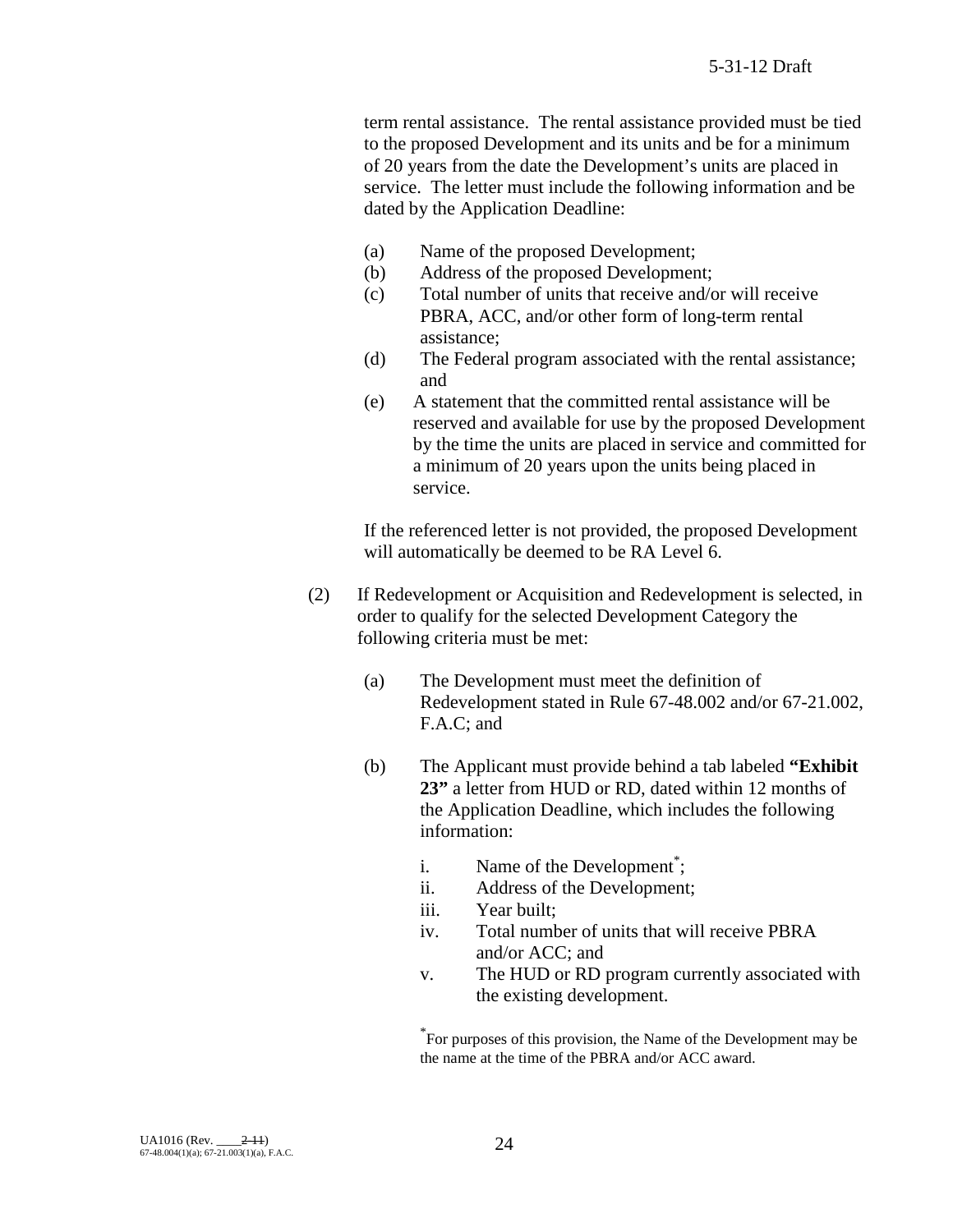term rental assistance. The rental assistance provided must be tied to the proposed Development and its units and be for a minimum of 20 years from the date the Development's units are placed in service. The letter must include the following information and be dated by the Application Deadline:

- (a) Name of the proposed Development;
- (b) Address of the proposed Development;
- (c) Total number of units that receive and/or will receive PBRA, ACC, and/or other form of long-term rental assistance;
- (d) The Federal program associated with the rental assistance; and
- (e) A statement that the committed rental assistance will be reserved and available for use by the proposed Development by the time the units are placed in service and committed for a minimum of 20 years upon the units being placed in service.

If the referenced letter is not provided, the proposed Development will automatically be deemed to be RA Level 6.

- (2) If Redevelopment or Acquisition and Redevelopment is selected, in order to qualify for the selected Development Category the following criteria must be met:
	- (a) The Development must meet the definition of Redevelopment stated in Rule 67-48.002 and/or 67-21.002, F.A.C; and
	- (b) The Applicant must provide behind a tab labeled **"Exhibit 23"** a letter from HUD or RD, dated within 12 months of the Application Deadline, which includes the following information:
		- i. Name of the Development<sup>\*</sup>;
		- ii. Address of the Development;
		- iii. Year built;
		- iv. Total number of units that will receive PBRA and/or ACC; and
		- v. The HUD or RD program currently associated with the existing development.

\* For purposes of this provision, the Name of the Development may be the name at the time of the PBRA and/or ACC award.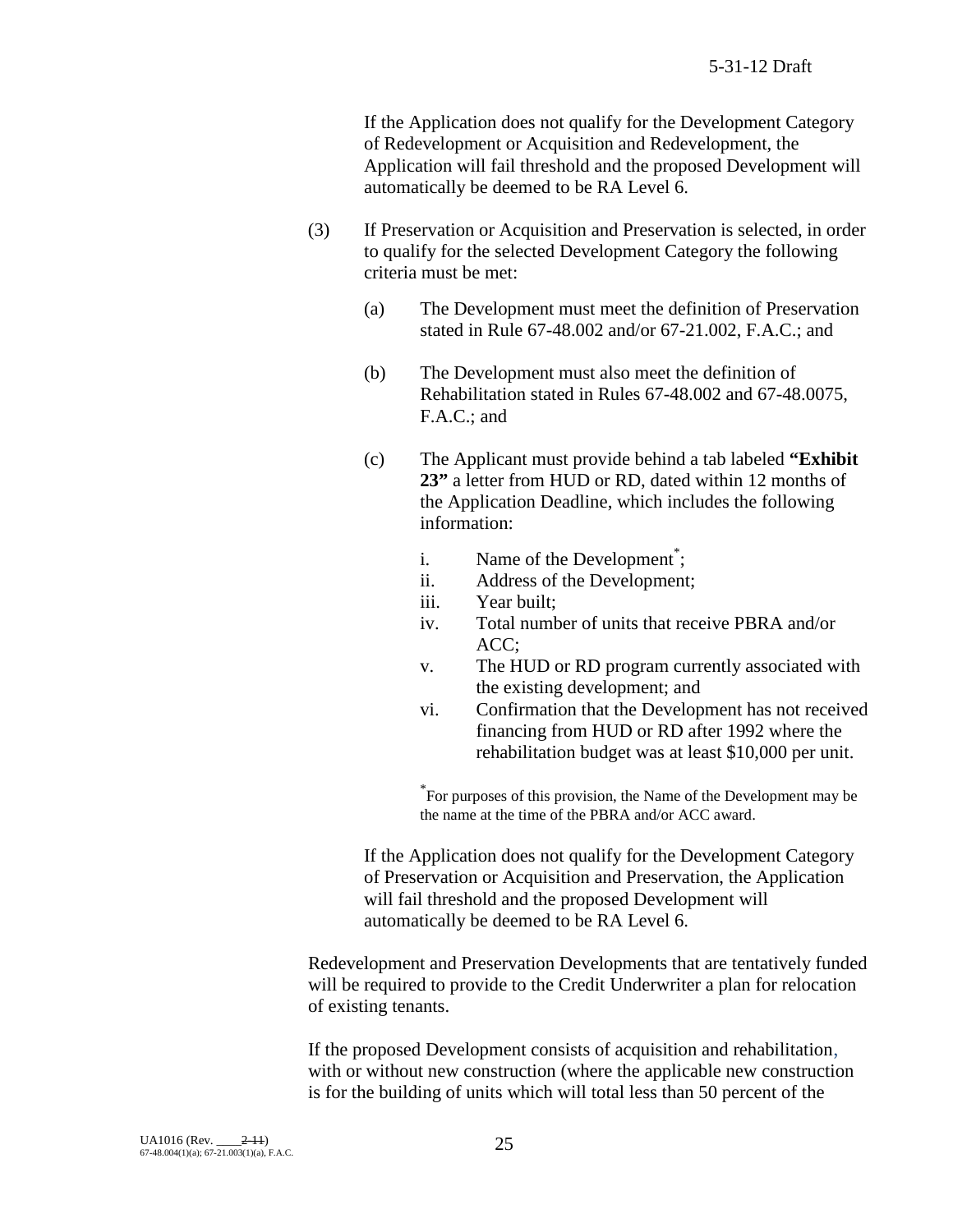If the Application does not qualify for the Development Category of Redevelopment or Acquisition and Redevelopment, the Application will fail threshold and the proposed Development will automatically be deemed to be RA Level 6.

- (3) If Preservation or Acquisition and Preservation is selected, in order to qualify for the selected Development Category the following criteria must be met:
	- (a) The Development must meet the definition of Preservation stated in Rule 67-48.002 and/or 67-21.002, F.A.C.; and
	- (b) The Development must also meet the definition of Rehabilitation stated in Rules 67-48.002 and 67-48.0075, F.A.C.; and
	- (c) The Applicant must provide behind a tab labeled **"Exhibit 23"** a letter from HUD or RD, dated within 12 months of the Application Deadline, which includes the following information:
		- i. Name of the Development<sup>\*</sup>;
		- ii. Address of the Development;
		- iii. Year built;
		- iv. Total number of units that receive PBRA and/or ACC;
		- v. The HUD or RD program currently associated with the existing development; and
		- vi. Confirmation that the Development has not received financing from HUD or RD after 1992 where the rehabilitation budget was at least \$10,000 per unit.

\* For purposes of this provision, the Name of the Development may be the name at the time of the PBRA and/or ACC award.

If the Application does not qualify for the Development Category of Preservation or Acquisition and Preservation, the Application will fail threshold and the proposed Development will automatically be deemed to be RA Level 6.

Redevelopment and Preservation Developments that are tentatively funded will be required to provide to the Credit Underwriter a plan for relocation of existing tenants.

If the proposed Development consists of acquisition and rehabilitation, with or without new construction (where the applicable new construction is for the building of units which will total less than 50 percent of the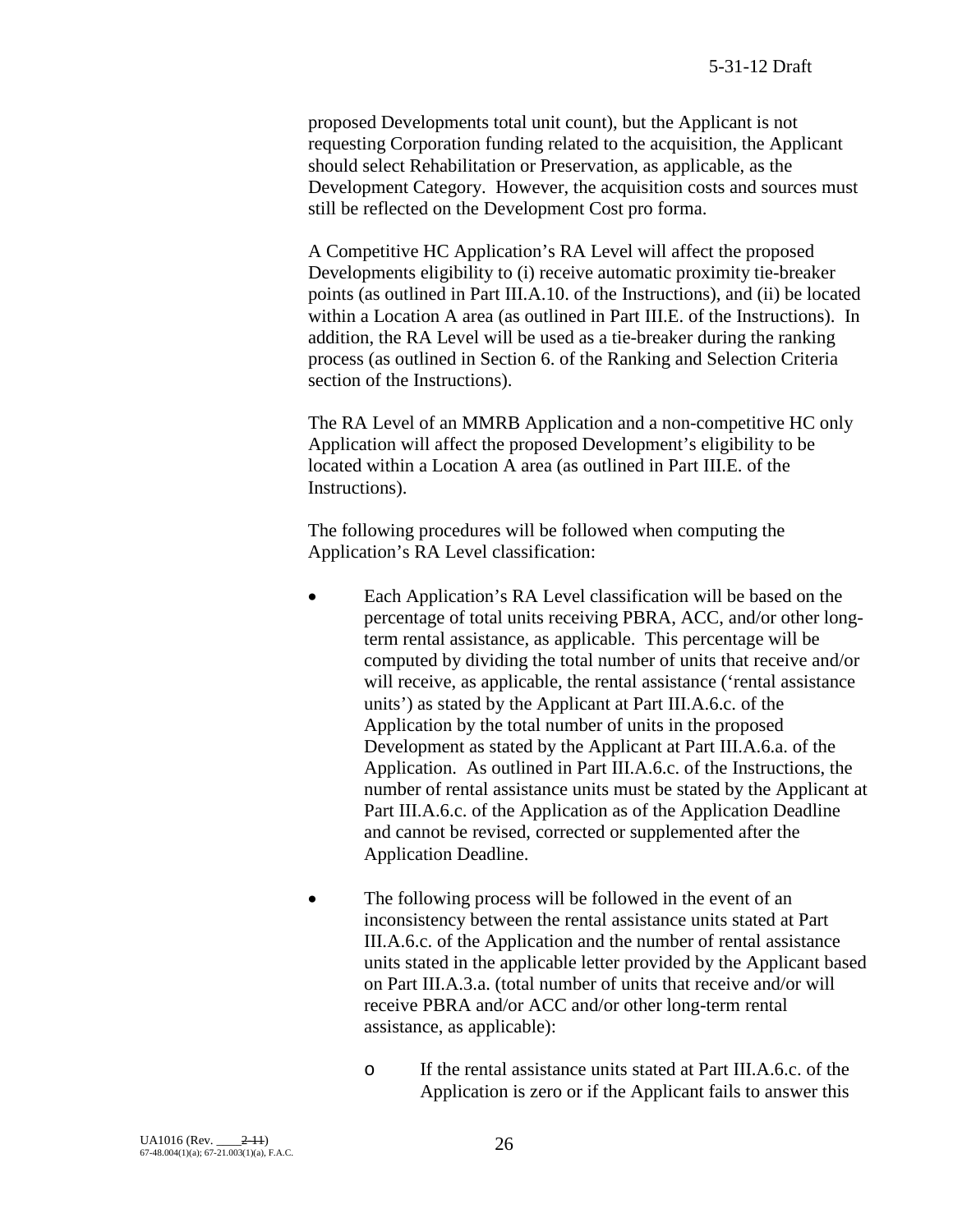proposed Developments total unit count), but the Applicant is not requesting Corporation funding related to the acquisition, the Applicant should select Rehabilitation or Preservation, as applicable, as the Development Category. However, the acquisition costs and sources must still be reflected on the Development Cost pro forma.

A Competitive HC Application's RA Level will affect the proposed Developments eligibility to (i) receive automatic proximity tie-breaker points (as outlined in Part III.A.10. of the Instructions), and (ii) be located within a Location A area (as outlined in Part III.E. of the Instructions). In addition, the RA Level will be used as a tie-breaker during the ranking process (as outlined in Section 6. of the Ranking and Selection Criteria section of the Instructions).

The RA Level of an MMRB Application and a non-competitive HC only Application will affect the proposed Development's eligibility to be located within a Location A area (as outlined in Part III.E. of the Instructions).

The following procedures will be followed when computing the Application's RA Level classification:

- Each Application's RA Level classification will be based on the percentage of total units receiving PBRA, ACC, and/or other longterm rental assistance, as applicable. This percentage will be computed by dividing the total number of units that receive and/or will receive, as applicable, the rental assistance ('rental assistance units') as stated by the Applicant at Part III.A.6.c. of the Application by the total number of units in the proposed Development as stated by the Applicant at Part III.A.6.a. of the Application. As outlined in Part III.A.6.c. of the Instructions, the number of rental assistance units must be stated by the Applicant at Part III.A.6.c. of the Application as of the Application Deadline and cannot be revised, corrected or supplemented after the Application Deadline.
- The following process will be followed in the event of an inconsistency between the rental assistance units stated at Part III.A.6.c. of the Application and the number of rental assistance units stated in the applicable letter provided by the Applicant based on Part III.A.3.a. (total number of units that receive and/or will receive PBRA and/or ACC and/or other long-term rental assistance, as applicable):
	- o If the rental assistance units stated at Part III.A.6.c. of the Application is zero or if the Applicant fails to answer this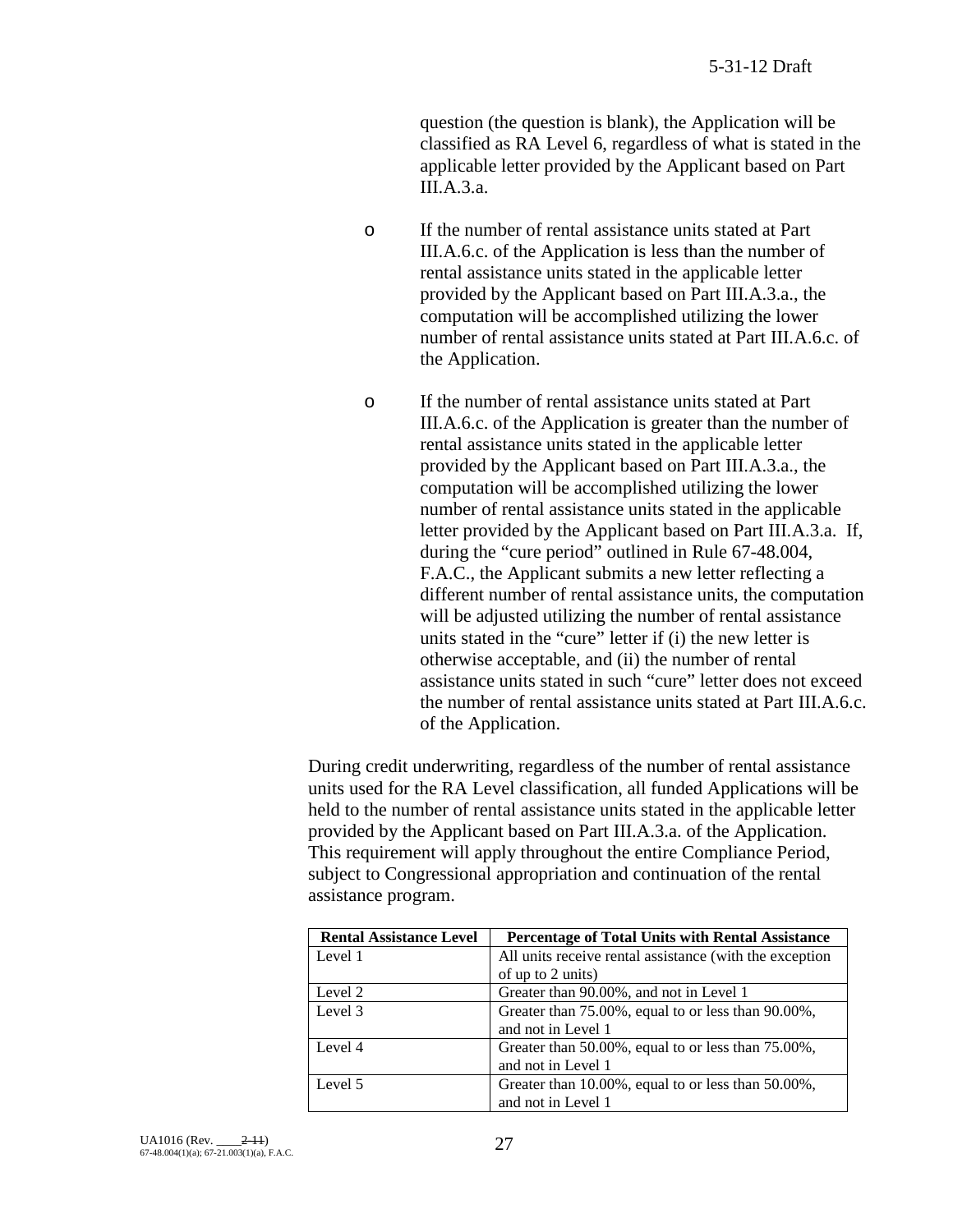question (the question is blank), the Application will be classified as RA Level 6, regardless of what is stated in the applicable letter provided by the Applicant based on Part III.A.3.a.

- o If the number of rental assistance units stated at Part III.A.6.c. of the Application is less than the number of rental assistance units stated in the applicable letter provided by the Applicant based on Part III.A.3.a., the computation will be accomplished utilizing the lower number of rental assistance units stated at Part III.A.6.c. of the Application.
- o If the number of rental assistance units stated at Part III.A.6.c. of the Application is greater than the number of rental assistance units stated in the applicable letter provided by the Applicant based on Part III.A.3.a., the computation will be accomplished utilizing the lower number of rental assistance units stated in the applicable letter provided by the Applicant based on Part III.A.3.a. If, during the "cure period" outlined in Rule 67-48.004, F.A.C., the Applicant submits a new letter reflecting a different number of rental assistance units, the computation will be adjusted utilizing the number of rental assistance units stated in the "cure" letter if (i) the new letter is otherwise acceptable, and (ii) the number of rental assistance units stated in such "cure" letter does not exceed the number of rental assistance units stated at Part III.A.6.c. of the Application.

During credit underwriting, regardless of the number of rental assistance units used for the RA Level classification, all funded Applications will be held to the number of rental assistance units stated in the applicable letter provided by the Applicant based on Part III.A.3.a. of the Application. This requirement will apply throughout the entire Compliance Period, subject to Congressional appropriation and continuation of the rental assistance program.

| <b>Rental Assistance Level</b> | <b>Percentage of Total Units with Rental Assistance</b> |
|--------------------------------|---------------------------------------------------------|
| Level 1                        | All units receive rental assistance (with the exception |
|                                | of up to 2 units)                                       |
| Level 2                        | Greater than 90.00%, and not in Level 1                 |
| Level 3                        | Greater than 75.00%, equal to or less than 90.00%,      |
|                                | and not in Level 1                                      |
| Level 4                        | Greater than 50.00%, equal to or less than 75.00%,      |
|                                | and not in Level 1                                      |
| Level 5                        | Greater than 10.00%, equal to or less than 50.00%,      |
|                                | and not in Level 1                                      |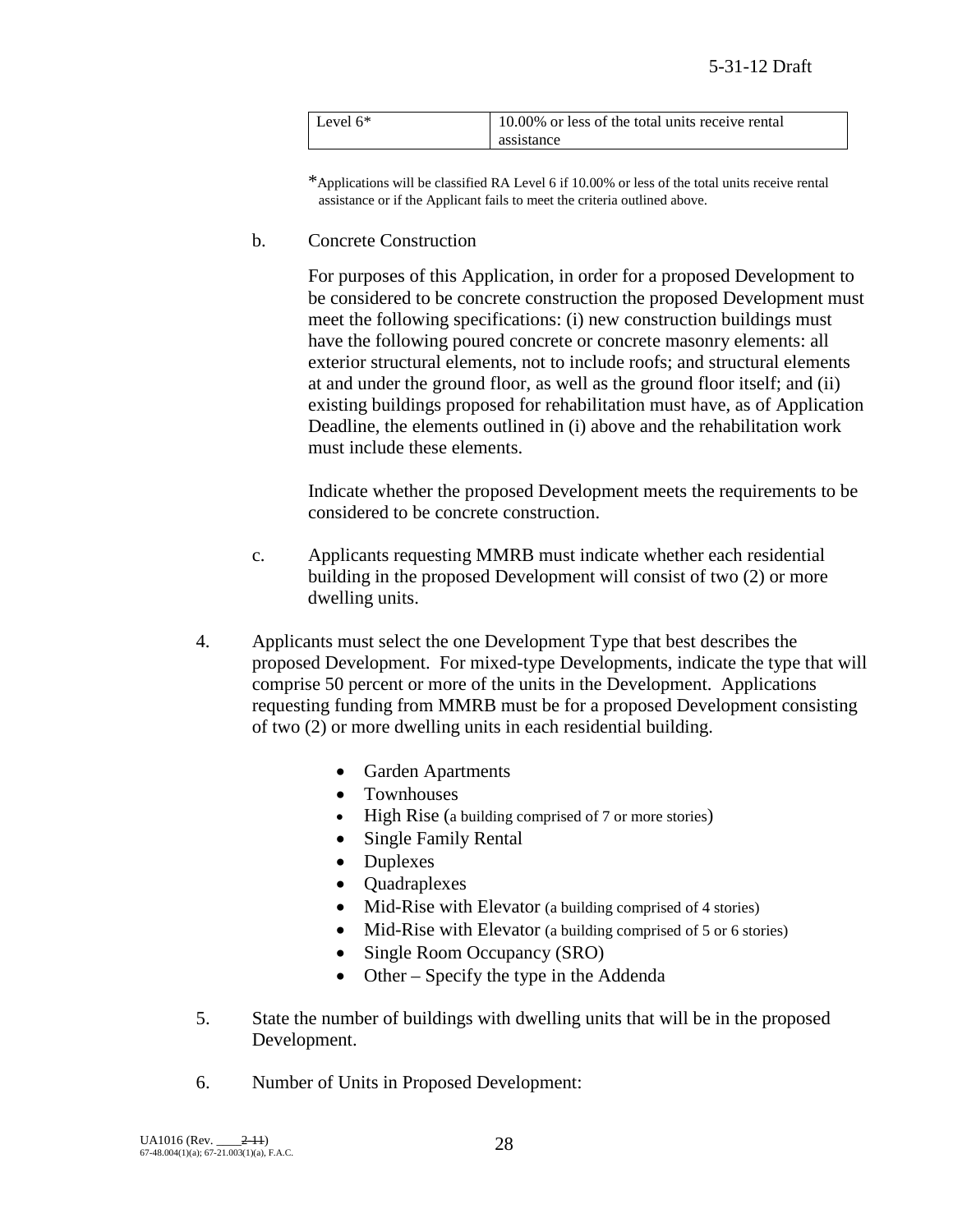| Level $6*$ | 10.00% or less of the total units receive rental |
|------------|--------------------------------------------------|
|            | assistance                                       |

\*Applications will be classified RA Level 6 if 10.00% or less of the total units receive rental assistance or if the Applicant fails to meet the criteria outlined above.

b. Concrete Construction

For purposes of this Application, in order for a proposed Development to be considered to be concrete construction the proposed Development must meet the following specifications: (i) new construction buildings must have the following poured concrete or concrete masonry elements: all exterior structural elements, not to include roofs; and structural elements at and under the ground floor, as well as the ground floor itself; and (ii) existing buildings proposed for rehabilitation must have, as of Application Deadline, the elements outlined in (i) above and the rehabilitation work must include these elements.

Indicate whether the proposed Development meets the requirements to be considered to be concrete construction.

- c. Applicants requesting MMRB must indicate whether each residential building in the proposed Development will consist of two (2) or more dwelling units.
- 4. Applicants must select the one Development Type that best describes the proposed Development. For mixed-type Developments, indicate the type that will comprise 50 percent or more of the units in the Development. Applications requesting funding from MMRB must be for a proposed Development consisting of two (2) or more dwelling units in each residential building.
	- Garden Apartments
	- Townhouses
	- High Rise (a building comprised of 7 or more stories)
	- Single Family Rental
	- Duplexes
	- Quadraplexes
	- Mid-Rise with Elevator (a building comprised of 4 stories)
	- Mid-Rise with Elevator (a building comprised of 5 or 6 stories)
	- Single Room Occupancy (SRO)
	- Other Specify the type in the Addenda
- 5. State the number of buildings with dwelling units that will be in the proposed Development.
- 6. Number of Units in Proposed Development: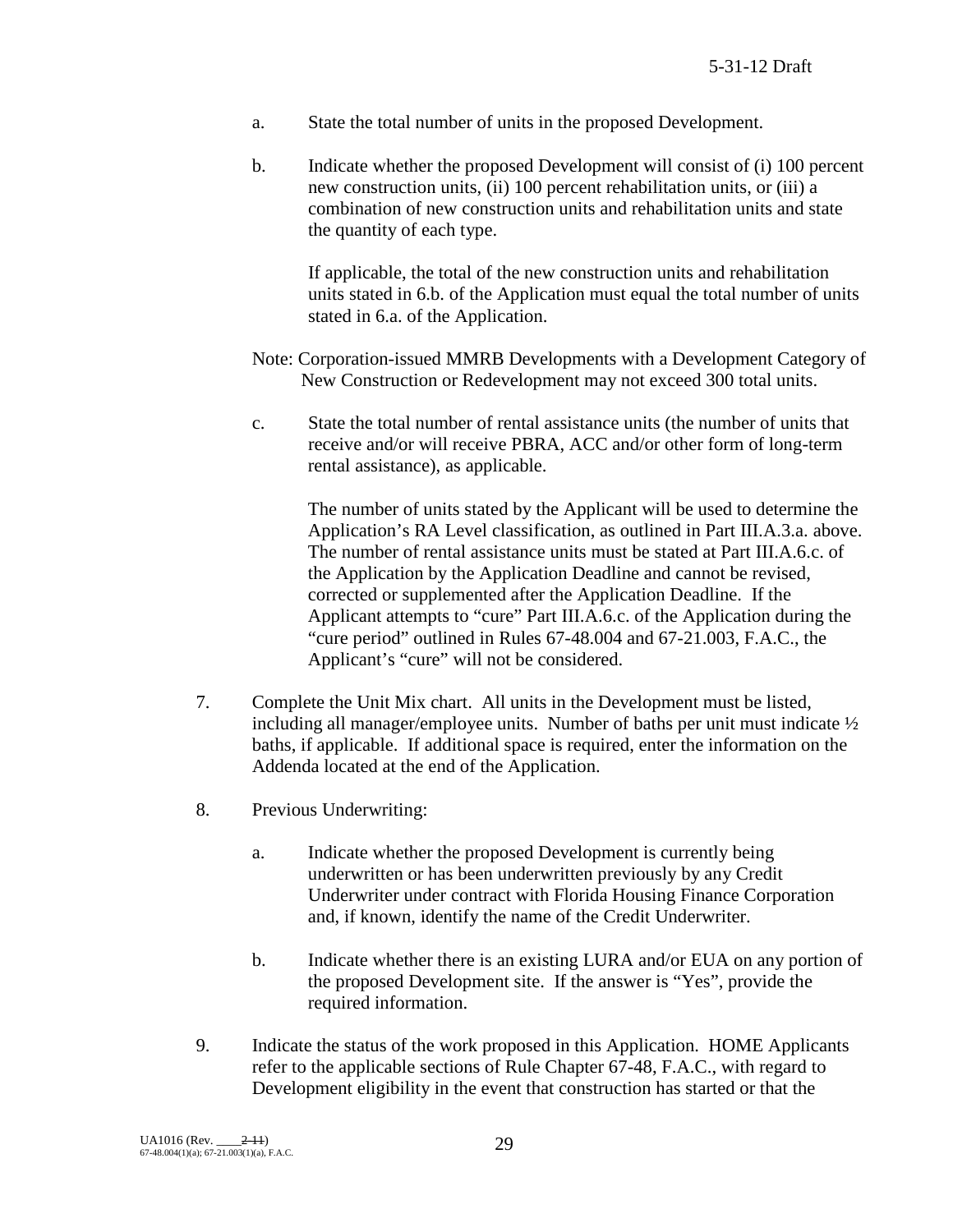- a. State the total number of units in the proposed Development.
- b. Indicate whether the proposed Development will consist of (i) 100 percent new construction units, (ii) 100 percent rehabilitation units, or (iii) a combination of new construction units and rehabilitation units and state the quantity of each type.

If applicable, the total of the new construction units and rehabilitation units stated in 6.b. of the Application must equal the total number of units stated in 6.a. of the Application.

- Note: Corporation-issued MMRB Developments with a Development Category of New Construction or Redevelopment may not exceed 300 total units.
- c. State the total number of rental assistance units (the number of units that receive and/or will receive PBRA, ACC and/or other form of long-term rental assistance), as applicable.

The number of units stated by the Applicant will be used to determine the Application's RA Level classification, as outlined in Part III.A.3.a. above. The number of rental assistance units must be stated at Part III.A.6.c. of the Application by the Application Deadline and cannot be revised, corrected or supplemented after the Application Deadline. If the Applicant attempts to "cure" Part III.A.6.c. of the Application during the "cure period" outlined in Rules 67-48.004 and 67-21.003, F.A.C., the Applicant's "cure" will not be considered.

- 7. Complete the Unit Mix chart. All units in the Development must be listed, including all manager/employee units. Number of baths per unit must indicate  $\frac{1}{2}$ baths, if applicable. If additional space is required, enter the information on the Addenda located at the end of the Application.
- 8. Previous Underwriting:
	- a. Indicate whether the proposed Development is currently being underwritten or has been underwritten previously by any Credit Underwriter under contract with Florida Housing Finance Corporation and, if known, identify the name of the Credit Underwriter.
	- b. Indicate whether there is an existing LURA and/or EUA on any portion of the proposed Development site. If the answer is "Yes", provide the required information.
- 9. Indicate the status of the work proposed in this Application. HOME Applicants refer to the applicable sections of Rule Chapter 67-48, F.A.C., with regard to Development eligibility in the event that construction has started or that the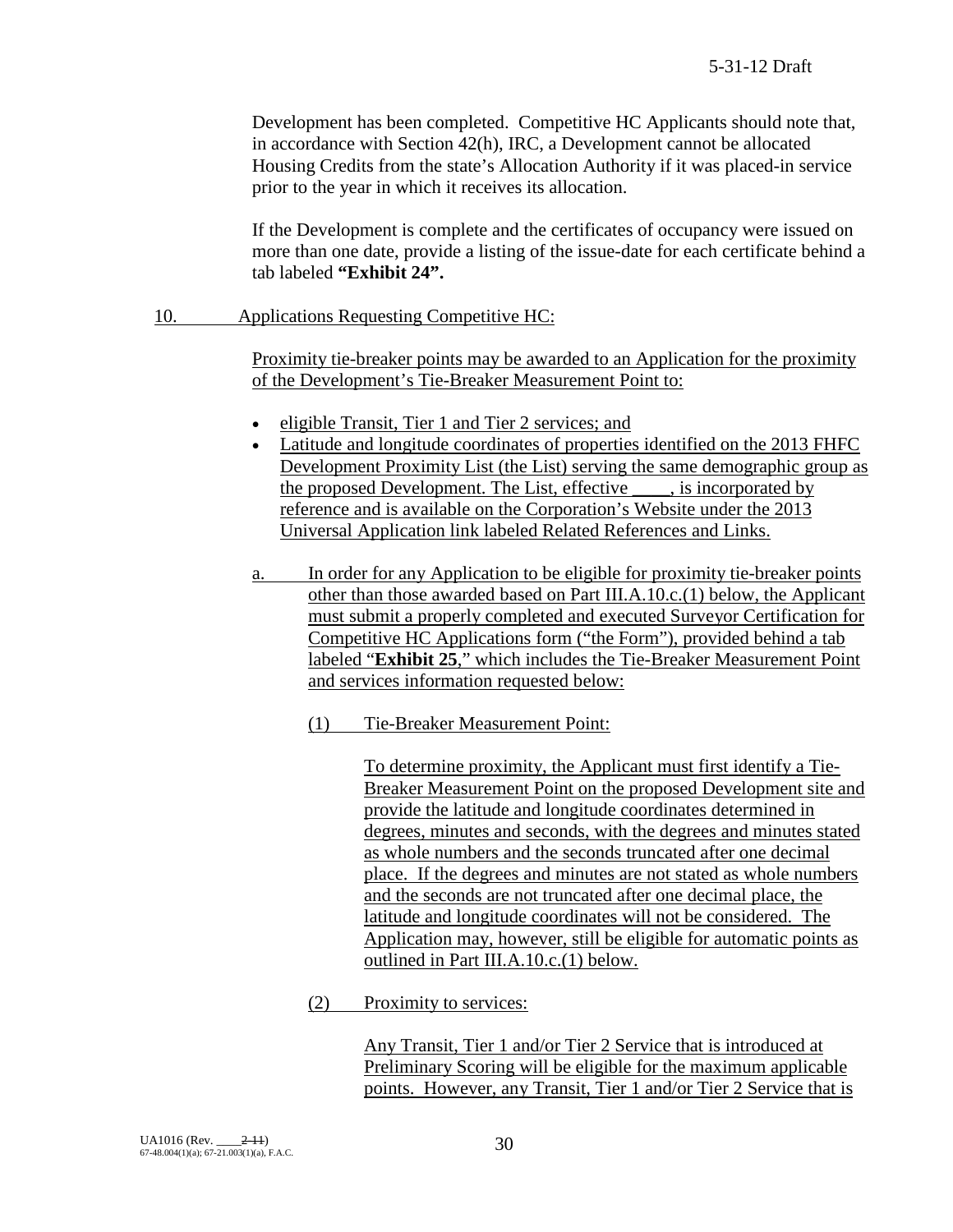Development has been completed. Competitive HC Applicants should note that, in accordance with Section 42(h), IRC, a Development cannot be allocated Housing Credits from the state's Allocation Authority if it was placed-in service prior to the year in which it receives its allocation.

If the Development is complete and the certificates of occupancy were issued on more than one date, provide a listing of the issue-date for each certificate behind a tab labeled **"Exhibit 24".**

## 10. Applications Requesting Competitive HC:

Proximity tie-breaker points may be awarded to an Application for the proximity of the Development's Tie-Breaker Measurement Point to:

- eligible Transit, Tier 1 and Tier 2 services; and
- Latitude and longitude coordinates of properties identified on the 2013 FHFC Development Proximity List (the List) serving the same demographic group as the proposed Development. The List, effective \_\_\_\_, is incorporated by reference and is available on the Corporation's Website under the 2013 Universal Application link labeled Related References and Links.
- a. In order for any Application to be eligible for proximity tie-breaker points other than those awarded based on Part III.A.10.c.(1) below, the Applicant must submit a properly completed and executed Surveyor Certification for Competitive HC Applications form ("the Form"), provided behind a tab labeled "**Exhibit 25**," which includes the Tie-Breaker Measurement Point and services information requested below:
	- (1) Tie-Breaker Measurement Point:

To determine proximity, the Applicant must first identify a Tie-Breaker Measurement Point on the proposed Development site and provide the latitude and longitude coordinates determined in degrees, minutes and seconds, with the degrees and minutes stated as whole numbers and the seconds truncated after one decimal place. If the degrees and minutes are not stated as whole numbers and the seconds are not truncated after one decimal place, the latitude and longitude coordinates will not be considered. The Application may, however, still be eligible for automatic points as outlined in Part III.A.10.c.(1) below.

(2) Proximity to services:

Any Transit, Tier 1 and/or Tier 2 Service that is introduced at Preliminary Scoring will be eligible for the maximum applicable points. However, any Transit, Tier 1 and/or Tier 2 Service that is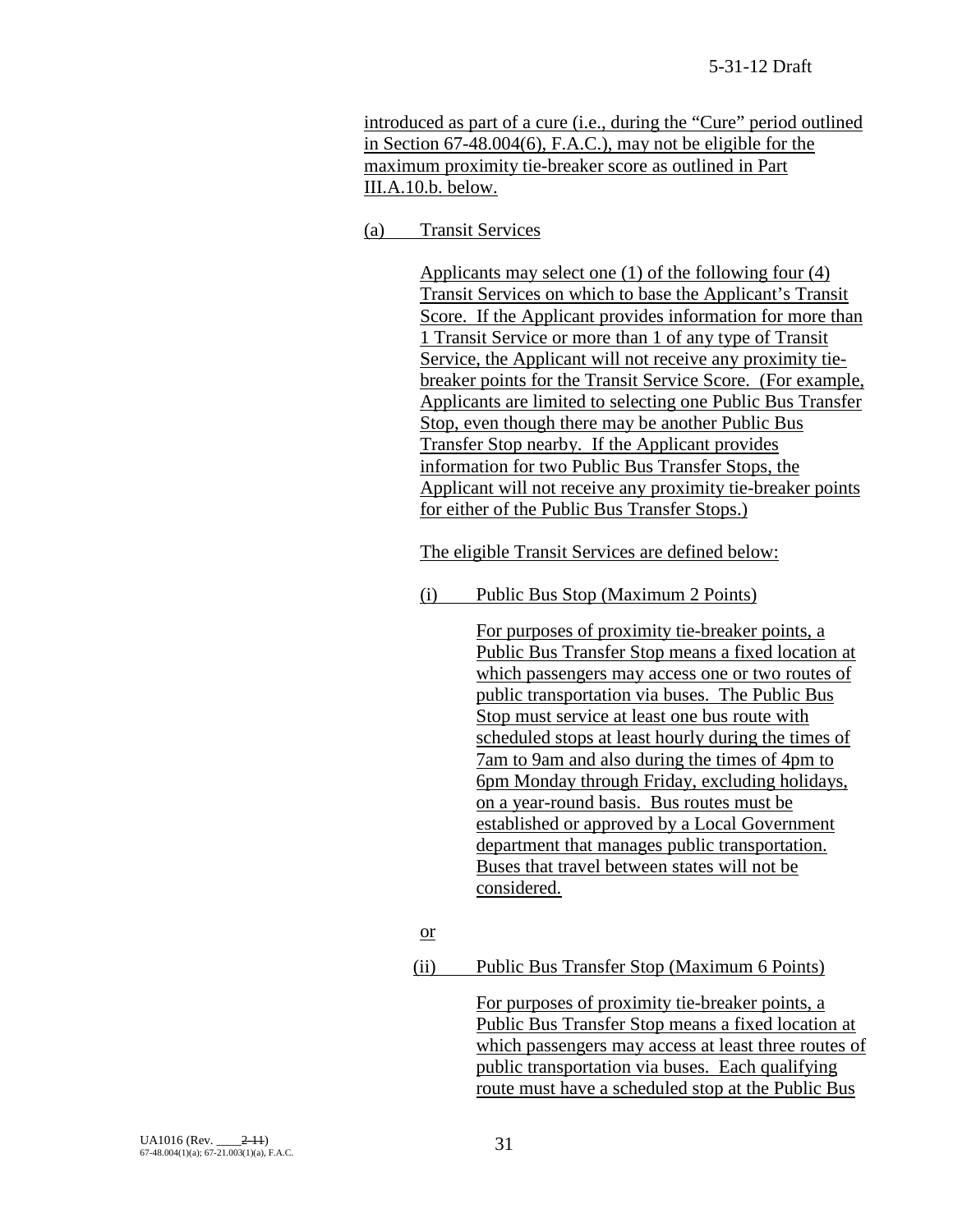introduced as part of a cure (i.e., during the "Cure" period outlined in Section 67-48.004(6), F.A.C.), may not be eligible for the maximum proximity tie-breaker score as outlined in Part III.A.10.b. below.

## (a) Transit Services

Applicants may select one (1) of the following four (4) Transit Services on which to base the Applicant's Transit Score. If the Applicant provides information for more than 1 Transit Service or more than 1 of any type of Transit Service, the Applicant will not receive any proximity tiebreaker points for the Transit Service Score. (For example, Applicants are limited to selecting one Public Bus Transfer Stop, even though there may be another Public Bus Transfer Stop nearby. If the Applicant provides information for two Public Bus Transfer Stops, the Applicant will not receive any proximity tie-breaker points for either of the Public Bus Transfer Stops.)

The eligible Transit Services are defined below:

(i) Public Bus Stop (Maximum 2 Points)

For purposes of proximity tie-breaker points, a Public Bus Transfer Stop means a fixed location at which passengers may access one or two routes of public transportation via buses. The Public Bus Stop must service at least one bus route with scheduled stops at least hourly during the times of 7am to 9am and also during the times of 4pm to 6pm Monday through Friday, excluding holidays, on a year-round basis. Bus routes must be established or approved by a Local Government department that manages public transportation. Buses that travel between states will not be considered.

- or
- (ii) Public Bus Transfer Stop (Maximum 6 Points)

For purposes of proximity tie-breaker points, a Public Bus Transfer Stop means a fixed location at which passengers may access at least three routes of public transportation via buses. Each qualifying route must have a scheduled stop at the Public Bus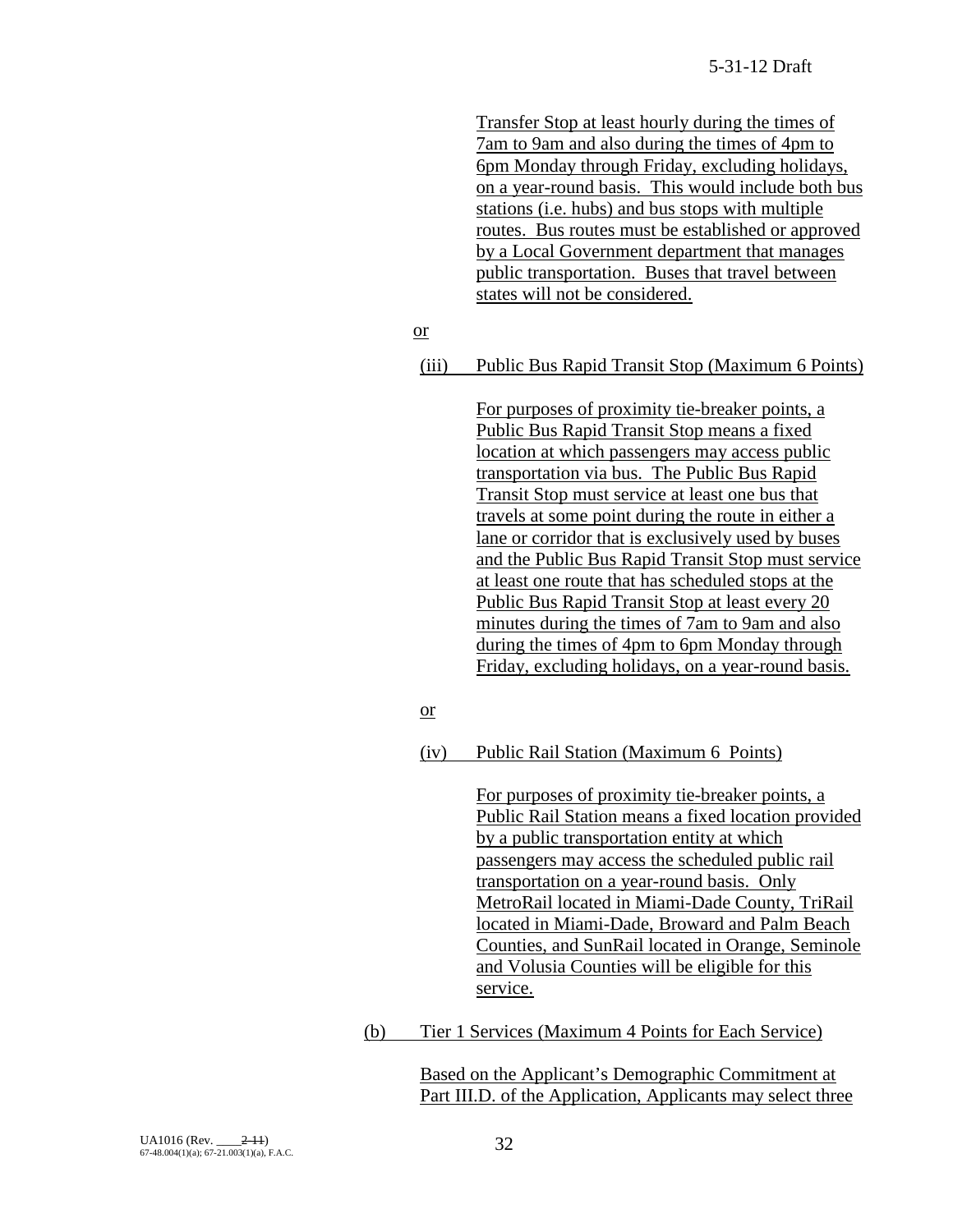Transfer Stop at least hourly during the times of 7am to 9am and also during the times of 4pm to 6pm Monday through Friday, excluding holidays, on a year-round basis. This would include both bus stations (i.e. hubs) and bus stops with multiple routes. Bus routes must be established or approved by a Local Government department that manages public transportation. Buses that travel between states will not be considered.

or

(iii) Public Bus Rapid Transit Stop (Maximum 6 Points)

For purposes of proximity tie-breaker points, a Public Bus Rapid Transit Stop means a fixed location at which passengers may access public transportation via bus. The Public Bus Rapid Transit Stop must service at least one bus that travels at some point during the route in either a lane or corridor that is exclusively used by buses and the Public Bus Rapid Transit Stop must service at least one route that has scheduled stops at the Public Bus Rapid Transit Stop at least every 20 minutes during the times of 7am to 9am and also during the times of 4pm to 6pm Monday through Friday, excluding holidays, on a year-round basis.

or

### (iv) Public Rail Station (Maximum 6 Points)

For purposes of proximity tie-breaker points, a Public Rail Station means a fixed location provided by a public transportation entity at which passengers may access the scheduled public rail transportation on a year-round basis. Only MetroRail located in Miami-Dade County, TriRail located in Miami-Dade, Broward and Palm Beach Counties, and SunRail located in Orange, Seminole and Volusia Counties will be eligible for this service.

(b) Tier 1 Services (Maximum 4 Points for Each Service)

Based on the Applicant's Demographic Commitment at Part III.D. of the Application, Applicants may select three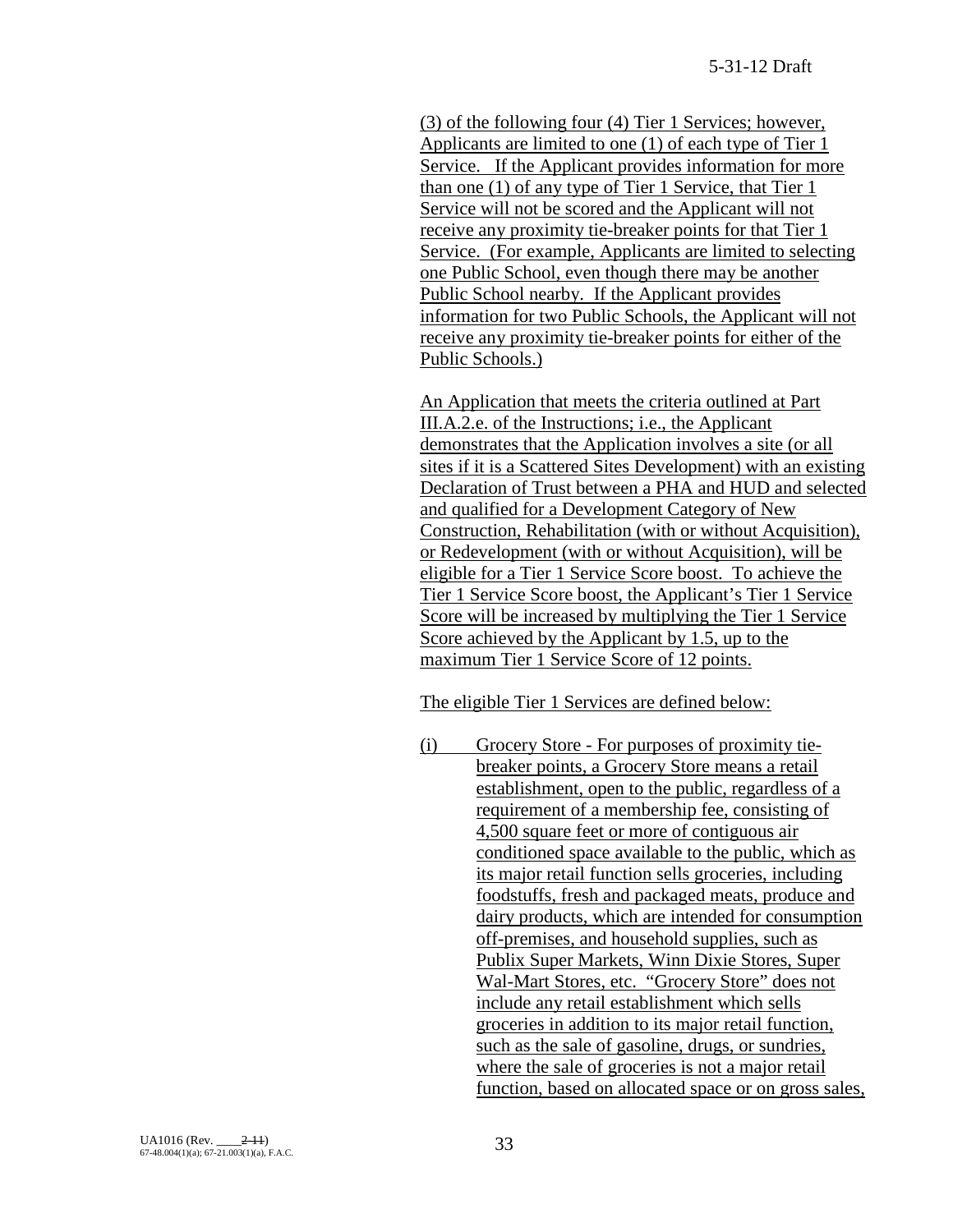(3) of the following four (4) Tier 1 Services; however, Applicants are limited to one (1) of each type of Tier 1 Service. If the Applicant provides information for more than one (1) of any type of Tier 1 Service, that Tier 1 Service will not be scored and the Applicant will not receive any proximity tie-breaker points for that Tier 1 Service. (For example, Applicants are limited to selecting one Public School, even though there may be another Public School nearby. If the Applicant provides information for two Public Schools, the Applicant will not receive any proximity tie-breaker points for either of the Public Schools.)

An Application that meets the criteria outlined at Part III.A.2.e. of the Instructions; i.e., the Applicant demonstrates that the Application involves a site (or all sites if it is a Scattered Sites Development) with an existing Declaration of Trust between a PHA and HUD and selected and qualified for a Development Category of New Construction, Rehabilitation (with or without Acquisition), or Redevelopment (with or without Acquisition), will be eligible for a Tier 1 Service Score boost. To achieve the Tier 1 Service Score boost, the Applicant's Tier 1 Service Score will be increased by multiplying the Tier 1 Service Score achieved by the Applicant by 1.5, up to the maximum Tier 1 Service Score of 12 points.

The eligible Tier 1 Services are defined below:

(i) Grocery Store - For purposes of proximity tiebreaker points, a Grocery Store means a retail establishment, open to the public, regardless of a requirement of a membership fee, consisting of 4,500 square feet or more of contiguous air conditioned space available to the public, which as its major retail function sells groceries, including foodstuffs, fresh and packaged meats, produce and dairy products, which are intended for consumption off-premises, and household supplies, such as Publix Super Markets, Winn Dixie Stores, Super Wal-Mart Stores, etc. "Grocery Store" does not include any retail establishment which sells groceries in addition to its major retail function, such as the sale of gasoline, drugs, or sundries, where the sale of groceries is not a major retail function, based on allocated space or on gross sales,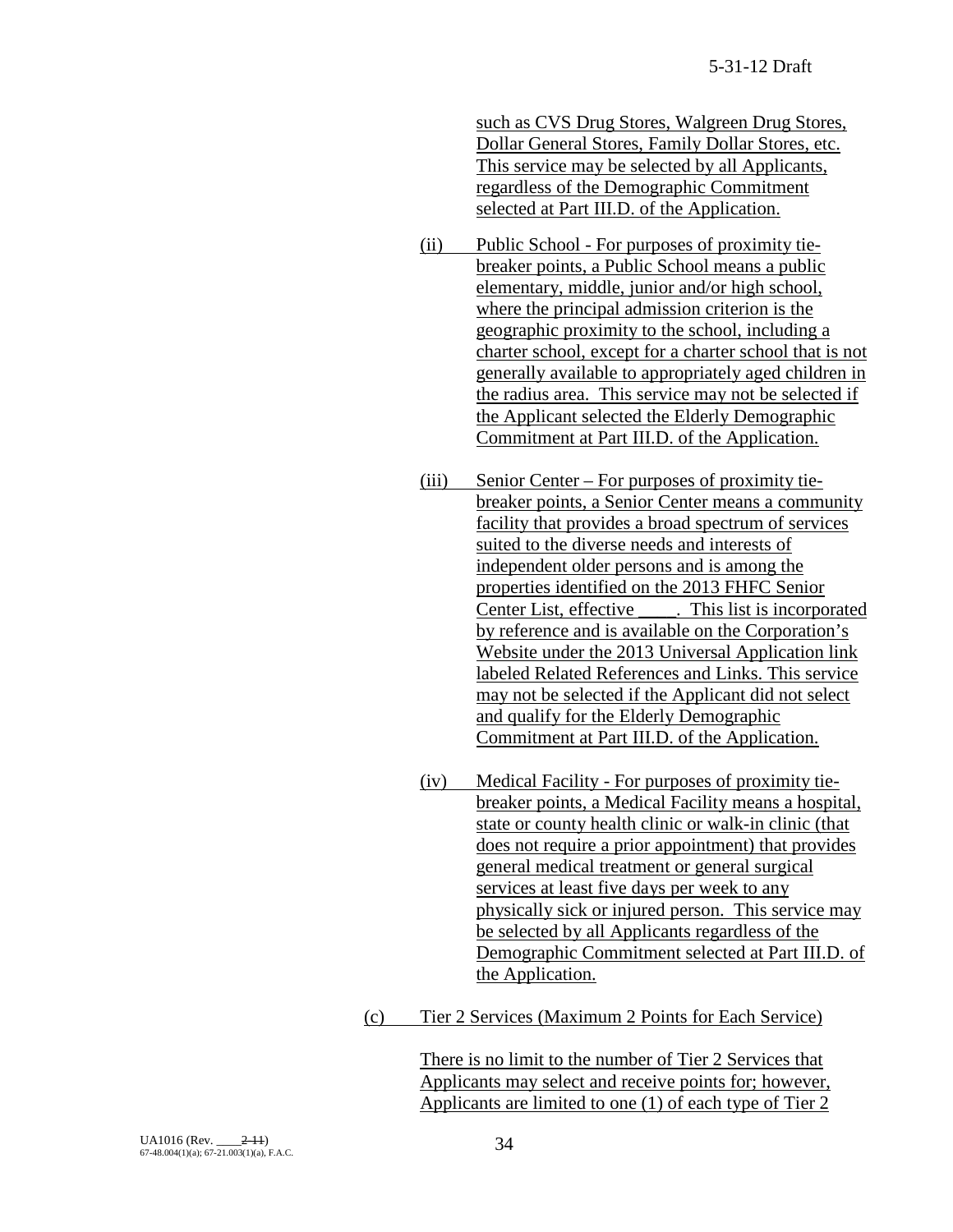such as CVS Drug Stores, Walgreen Drug Stores, Dollar General Stores, Family Dollar Stores, etc. This service may be selected by all Applicants, regardless of the Demographic Commitment selected at Part III.D. of the Application.

- (ii) Public School For purposes of proximity tiebreaker points, a Public School means a public elementary, middle, junior and/or high school, where the principal admission criterion is the geographic proximity to the school, including a charter school, except for a charter school that is not generally available to appropriately aged children in the radius area. This service may not be selected if the Applicant selected the Elderly Demographic Commitment at Part III.D. of the Application.
- (iii) Senior Center For purposes of proximity tiebreaker points, a Senior Center means a community facility that provides a broad spectrum of services suited to the diverse needs and interests of independent older persons and is among the properties identified on the 2013 FHFC Senior Center List, effective \_\_\_\_. This list is incorporated by reference and is available on the Corporation's Website under the 2013 Universal Application link labeled Related References and Links. This service may not be selected if the Applicant did not select and qualify for the Elderly Demographic Commitment at Part III.D. of the Application.
- (iv) Medical Facility For purposes of proximity tiebreaker points, a Medical Facility means a hospital, state or county health clinic or walk-in clinic (that does not require a prior appointment) that provides general medical treatment or general surgical services at least five days per week to any physically sick or injured person. This service may be selected by all Applicants regardless of the Demographic Commitment selected at Part III.D. of the Application.
- (c) Tier 2 Services (Maximum 2 Points for Each Service)

There is no limit to the number of Tier 2 Services that Applicants may select and receive points for; however, Applicants are limited to one (1) of each type of Tier 2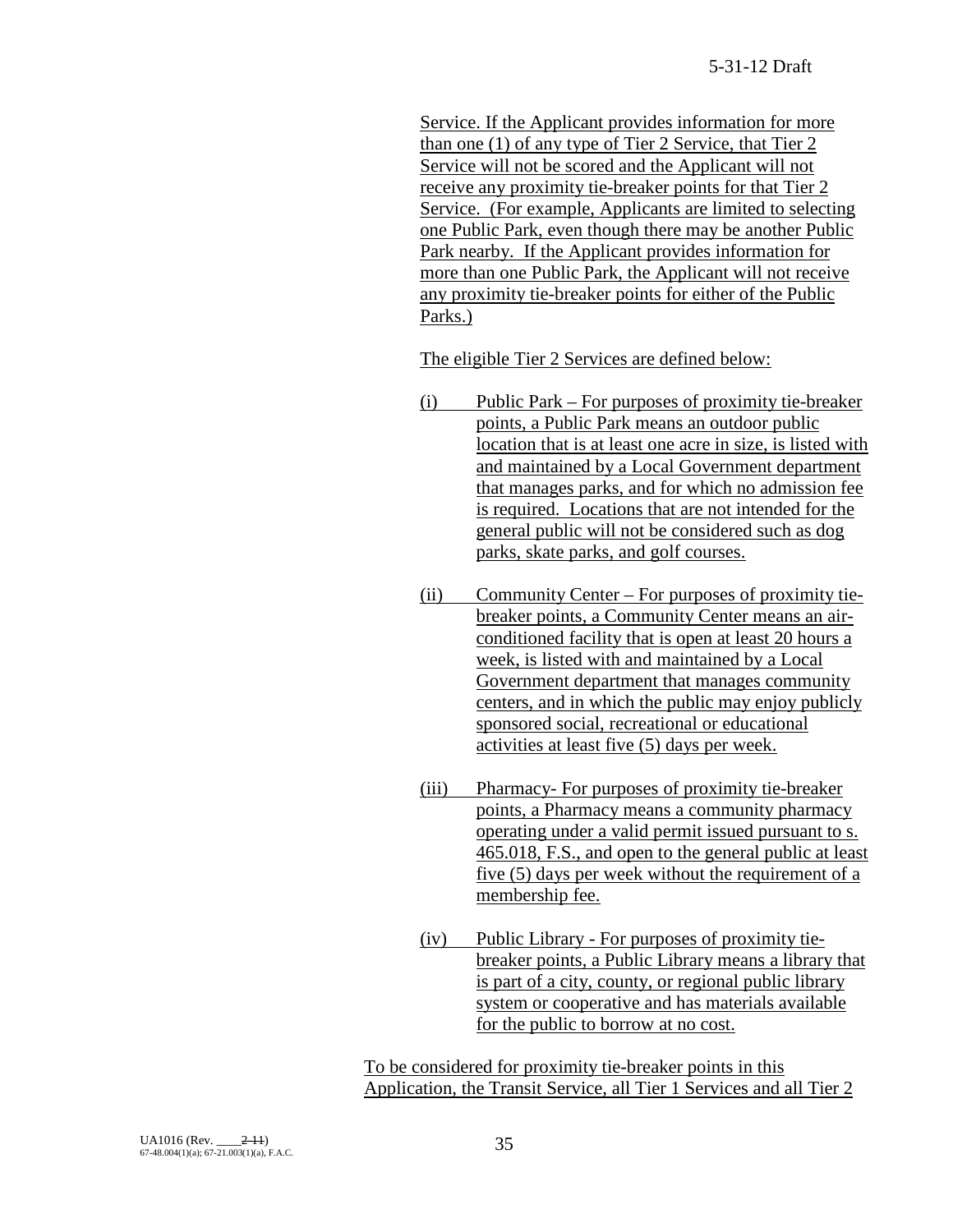Service. If the Applicant provides information for more than one (1) of any type of Tier 2 Service, that Tier 2 Service will not be scored and the Applicant will not receive any proximity tie-breaker points for that Tier 2 Service. (For example, Applicants are limited to selecting one Public Park, even though there may be another Public Park nearby. If the Applicant provides information for more than one Public Park, the Applicant will not receive any proximity tie-breaker points for either of the Public Parks.)

The eligible Tier 2 Services are defined below:

- (i) Public Park For purposes of proximity tie-breaker points, a Public Park means an outdoor public location that is at least one acre in size, is listed with and maintained by a Local Government department that manages parks, and for which no admission fee is required. Locations that are not intended for the general public will not be considered such as dog parks, skate parks, and golf courses.
- (ii) Community Center For purposes of proximity tiebreaker points, a Community Center means an airconditioned facility that is open at least 20 hours a week, is listed with and maintained by a Local Government department that manages community centers, and in which the public may enjoy publicly sponsored social, recreational or educational activities at least five (5) days per week.
- (iii) Pharmacy- For purposes of proximity tie-breaker points, a Pharmacy means a community pharmacy operating under a valid permit issued pursuant to s. 465.018, F.S., and open to the general public at least five (5) days per week without the requirement of a membership fee.
- (iv) Public Library For purposes of proximity tiebreaker points, a Public Library means a library that is part of a city, county, or regional public library system or cooperative and has materials available for the public to borrow at no cost.

To be considered for proximity tie-breaker points in this Application, the Transit Service, all Tier 1 Services and all Tier 2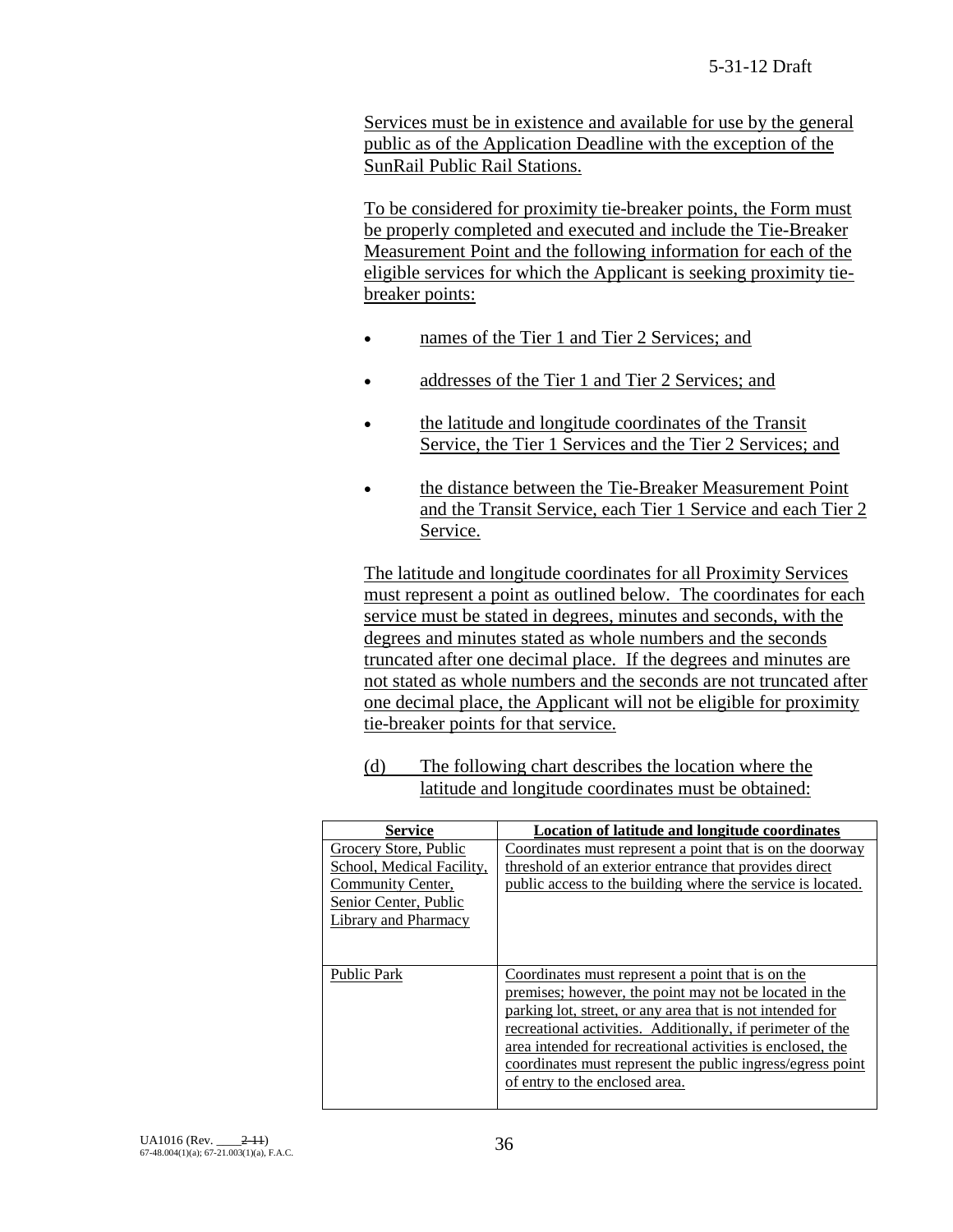Services must be in existence and available for use by the general public as of the Application Deadline with the exception of the SunRail Public Rail Stations.

To be considered for proximity tie-breaker points, the Form must be properly completed and executed and include the Tie-Breaker Measurement Point and the following information for each of the eligible services for which the Applicant is seeking proximity tiebreaker points:

- names of the Tier 1 and Tier 2 Services; and
- addresses of the Tier 1 and Tier 2 Services; and
- the latitude and longitude coordinates of the Transit Service, the Tier 1 Services and the Tier 2 Services; and
- the distance between the Tie-Breaker Measurement Point and the Transit Service, each Tier 1 Service and each Tier 2 Service.

The latitude and longitude coordinates for all Proximity Services must represent a point as outlined below. The coordinates for each service must be stated in degrees, minutes and seconds, with the degrees and minutes stated as whole numbers and the seconds truncated after one decimal place. If the degrees and minutes are not stated as whole numbers and the seconds are not truncated after one decimal place, the Applicant will not be eligible for proximity tie-breaker points for that service.

(d) The following chart describes the location where the latitude and longitude coordinates must be obtained:

| <b>Service</b>                                                                                                           | Location of latitude and longitude coordinates                                                                                                                                                                                                                                                                                                                                                       |
|--------------------------------------------------------------------------------------------------------------------------|------------------------------------------------------------------------------------------------------------------------------------------------------------------------------------------------------------------------------------------------------------------------------------------------------------------------------------------------------------------------------------------------------|
| Grocery Store, Public<br>School, Medical Facility,<br>Community Center,<br>Senior Center, Public<br>Library and Pharmacy | Coordinates must represent a point that is on the doorway<br>threshold of an exterior entrance that provides direct<br>public access to the building where the service is located.                                                                                                                                                                                                                   |
| <b>Public Park</b>                                                                                                       | Coordinates must represent a point that is on the<br>premises; however, the point may not be located in the<br>parking lot, street, or any area that is not intended for<br>recreational activities. Additionally, if perimeter of the<br>area intended for recreational activities is enclosed, the<br>coordinates must represent the public ingress/egress point<br>of entry to the enclosed area. |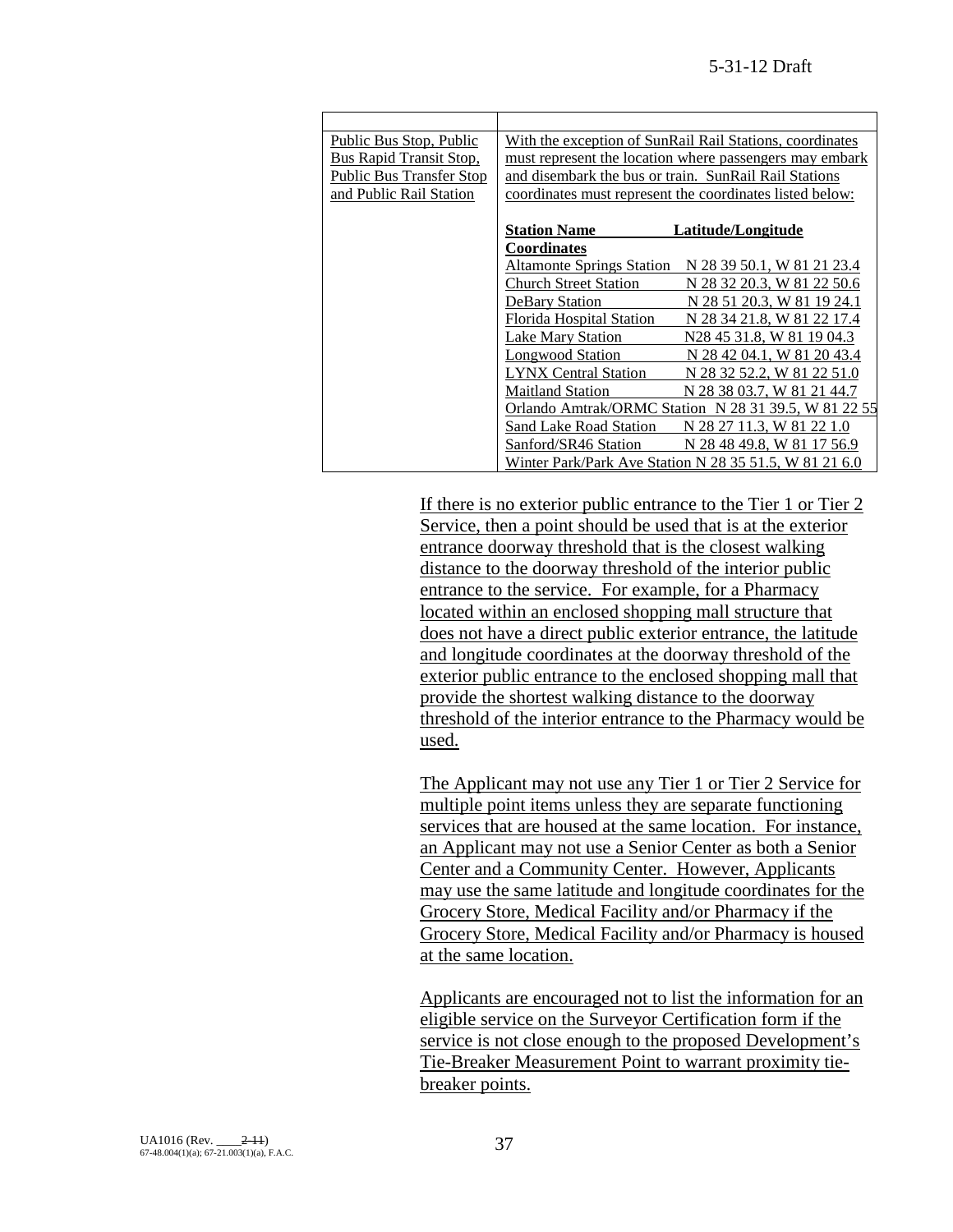| Public Bus Stop, Public         | With the exception of SunRail Rail Stations, coordinates |                                                          |  |
|---------------------------------|----------------------------------------------------------|----------------------------------------------------------|--|
| Bus Rapid Transit Stop,         |                                                          | must represent the location where passengers may embark  |  |
| <b>Public Bus Transfer Stop</b> | and disembark the bus or train. SunRail Rail Stations    |                                                          |  |
| and Public Rail Station         |                                                          | coordinates must represent the coordinates listed below: |  |
|                                 |                                                          |                                                          |  |
|                                 | <b>Station Name</b>                                      | Latitude/Longitude                                       |  |
|                                 | <b>Coordinates</b>                                       |                                                          |  |
|                                 | <b>Altamonte Springs Station</b>                         | N 28 39 50.1, W 81 21 23.4                               |  |
|                                 | <b>Church Street Station</b>                             | N 28 32 20.3. W 81 22 50.6                               |  |
|                                 | <b>DeBary Station</b>                                    | N 28 51 20.3, W 81 19 24.1                               |  |
|                                 | <b>Florida Hospital Station</b>                          | N 28 34 21.8, W 81 22 17.4                               |  |
|                                 | Lake Mary Station                                        | N28 45 31.8, W 81 19 04.3                                |  |
|                                 | <b>Longwood Station</b>                                  | N 28 42 04.1, W 81 20 43.4                               |  |
|                                 | <b>LYNX Central Station</b>                              | N 28 32 52.2, W 81 22 51.0                               |  |
|                                 | <b>Maitland Station</b>                                  | N 28 38 03.7, W 81 21 44.7                               |  |
|                                 | Orlando Amtrak/ORMC Station N 28 31 39.5, W 81 22 55     |                                                          |  |
|                                 | Sand Lake Road Station                                   | N 28 27 11.3. W 81 22 1.0                                |  |
|                                 | Sanford/SR46 Station                                     | N 28 48 49.8, W 81 17 56.9                               |  |
|                                 |                                                          | Winter Park/Park Ave Station N 28 35 51.5, W 81 21 6.0   |  |

If there is no exterior public entrance to the Tier 1 or Tier 2 Service, then a point should be used that is at the exterior entrance doorway threshold that is the closest walking distance to the doorway threshold of the interior public entrance to the service. For example, for a Pharmacy located within an enclosed shopping mall structure that does not have a direct public exterior entrance, the latitude and longitude coordinates at the doorway threshold of the exterior public entrance to the enclosed shopping mall that provide the shortest walking distance to the doorway threshold of the interior entrance to the Pharmacy would be used.

The Applicant may not use any Tier 1 or Tier 2 Service for multiple point items unless they are separate functioning services that are housed at the same location. For instance, an Applicant may not use a Senior Center as both a Senior Center and a Community Center. However, Applicants may use the same latitude and longitude coordinates for the Grocery Store, Medical Facility and/or Pharmacy if the Grocery Store, Medical Facility and/or Pharmacy is housed at the same location.

Applicants are encouraged not to list the information for an eligible service on the Surveyor Certification form if the service is not close enough to the proposed Development's Tie-Breaker Measurement Point to warrant proximity tiebreaker points.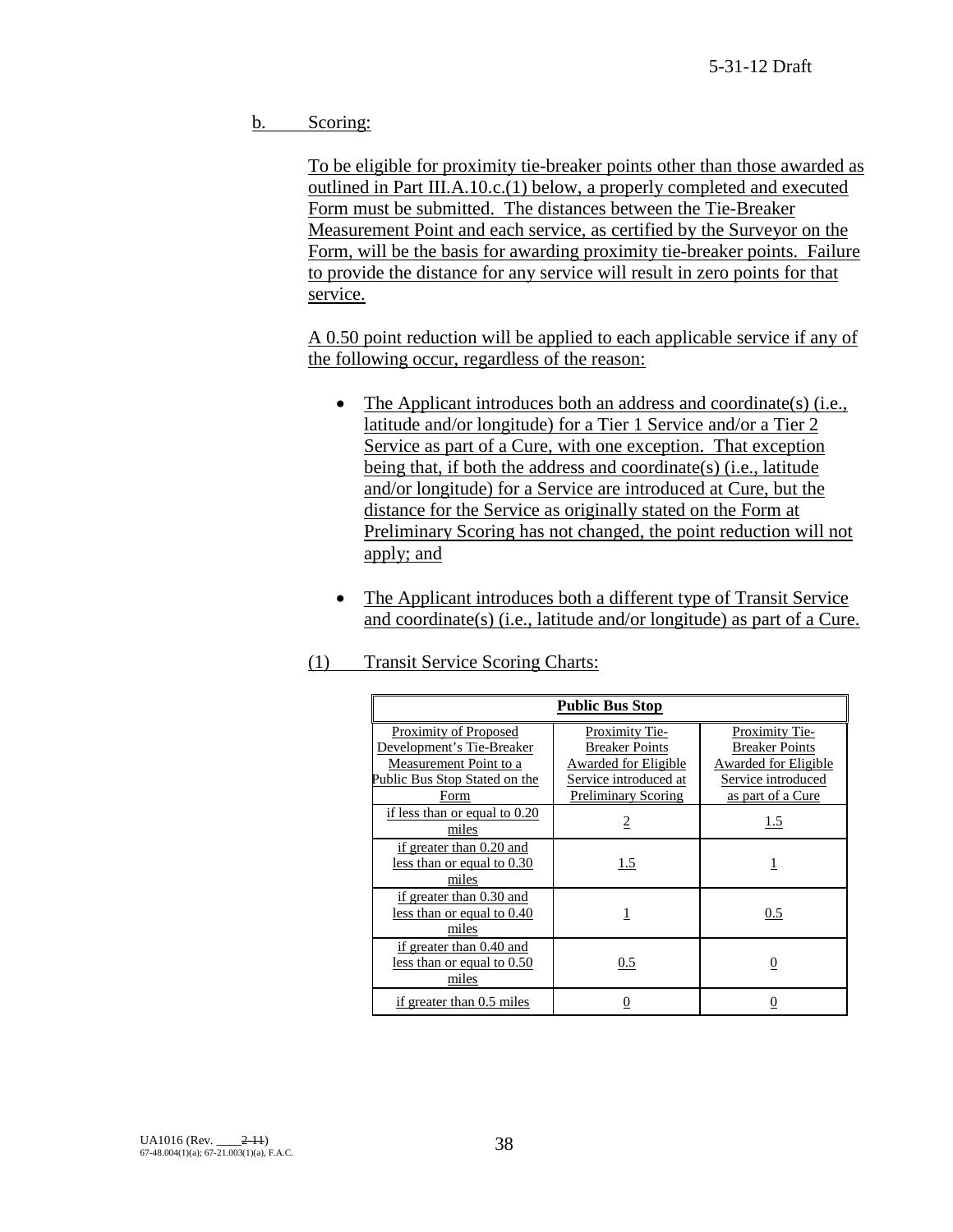b. Scoring:

To be eligible for proximity tie-breaker points other than those awarded as outlined in Part III.A.10.c.(1) below, a properly completed and executed Form must be submitted. The distances between the Tie-Breaker Measurement Point and each service, as certified by the Surveyor on the Form, will be the basis for awarding proximity tie-breaker points. Failure to provide the distance for any service will result in zero points for that service.

A 0.50 point reduction will be applied to each applicable service if any of the following occur, regardless of the reason:

- The Applicant introduces both an address and coordinate(s) (i.e., latitude and/or longitude) for a Tier 1 Service and/or a Tier 2 Service as part of a Cure, with one exception. That exception being that, if both the address and coordinate(s) (i.e., latitude and/or longitude) for a Service are introduced at Cure, but the distance for the Service as originally stated on the Form at Preliminary Scoring has not changed, the point reduction will not apply; and
- The Applicant introduces both a different type of Transit Service and coordinate(s) (i.e., latitude and/or longitude) as part of a Cure.
- (1) Transit Service Scoring Charts:

| <b>Public Bus Stop</b>                                                                                                       |                                                                                                                                      |                                                                                                                   |  |  |  |
|------------------------------------------------------------------------------------------------------------------------------|--------------------------------------------------------------------------------------------------------------------------------------|-------------------------------------------------------------------------------------------------------------------|--|--|--|
| Proximity of Proposed<br>Development's Tie-Breaker<br>Measurement Point to a<br>Public Bus Stop Stated on the<br><b>Form</b> | <b>Proximity Tie-</b><br><b>Breaker Points</b><br><b>Awarded for Eligible</b><br>Service introduced at<br><b>Preliminary Scoring</b> | Proximity Tie-<br><b>Breaker Points</b><br><b>Awarded for Eligible</b><br>Service introduced<br>as part of a Cure |  |  |  |
| if less than or equal to 0.20<br>miles                                                                                       | $\overline{2}$                                                                                                                       | 1.5                                                                                                               |  |  |  |
| if greater than 0.20 and<br>less than or equal to 0.30<br>miles                                                              | 1.5                                                                                                                                  |                                                                                                                   |  |  |  |
| if greater than 0.30 and<br>less than or equal to 0.40<br>miles                                                              |                                                                                                                                      | 0.5                                                                                                               |  |  |  |
| if greater than 0.40 and<br>less than or equal to 0.50<br>miles                                                              | 0.5                                                                                                                                  |                                                                                                                   |  |  |  |
| if greater than 0.5 miles                                                                                                    | 0                                                                                                                                    |                                                                                                                   |  |  |  |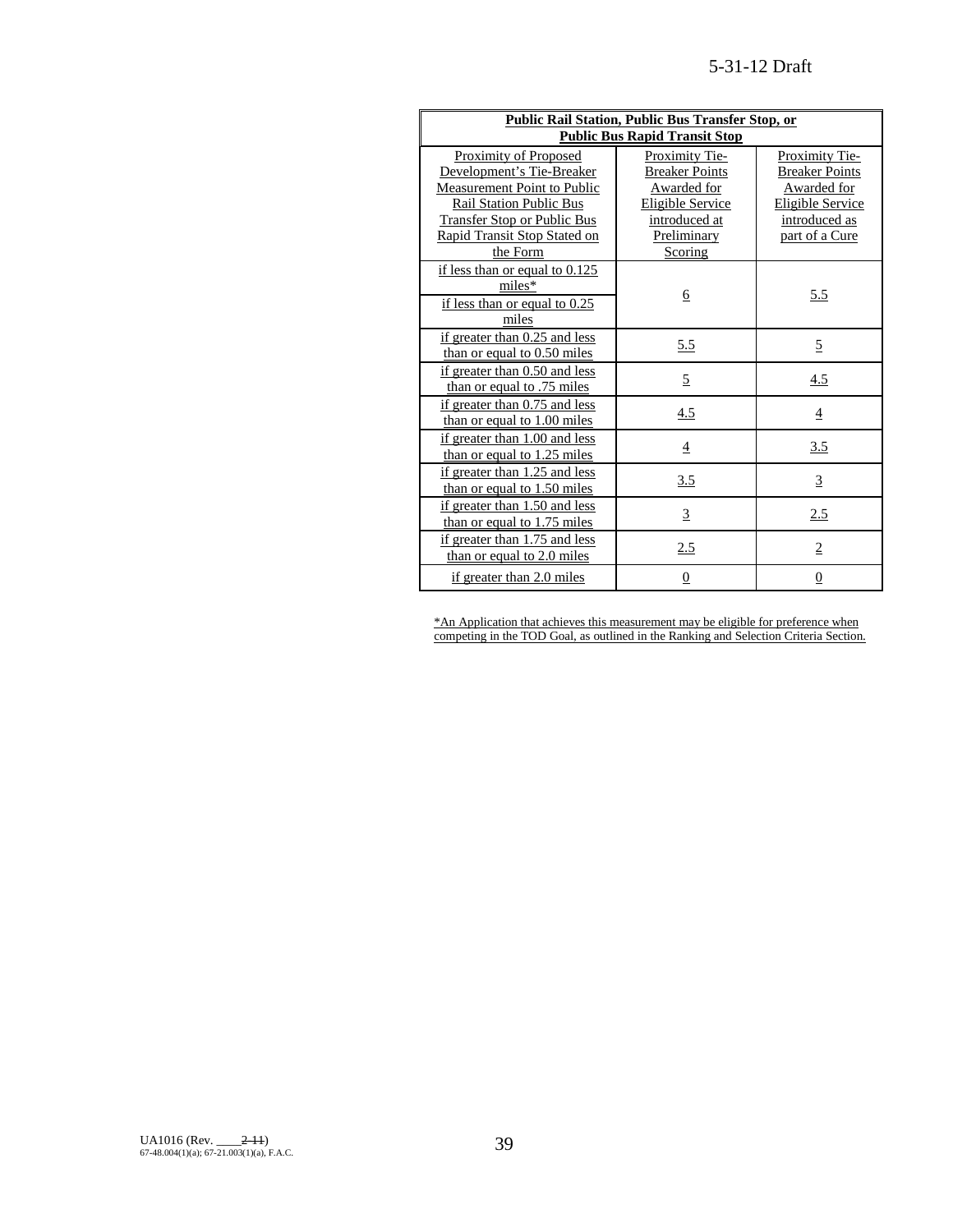| <b>Public Rail Station, Public Bus Transfer Stop, or</b>             |                              |                                 |  |  |  |  |
|----------------------------------------------------------------------|------------------------------|---------------------------------|--|--|--|--|
| <b>Public Bus Rapid Transit Stop</b>                                 |                              |                                 |  |  |  |  |
| Proximity of Proposed                                                | Proximity Tie-               | Proximity Tie-                  |  |  |  |  |
| Development's Tie-Breaker                                            | <b>Breaker Points</b>        | <b>Breaker Points</b>           |  |  |  |  |
| Measurement Point to Public                                          | Awarded for                  | Awarded for                     |  |  |  |  |
| <b>Rail Station Public Bus</b><br><b>Transfer Stop or Public Bus</b> | Eligible Service             | Eligible Service                |  |  |  |  |
| Rapid Transit Stop Stated on                                         | introduced at<br>Preliminary | introduced as<br>part of a Cure |  |  |  |  |
| the Form                                                             | Scoring                      |                                 |  |  |  |  |
| if less than or equal to $0.125$                                     |                              |                                 |  |  |  |  |
| miles*                                                               |                              |                                 |  |  |  |  |
| if less than or equal to $0.25$                                      | 6                            | 5.5                             |  |  |  |  |
| miles                                                                |                              |                                 |  |  |  |  |
| if greater than 0.25 and less                                        |                              |                                 |  |  |  |  |
| than or equal to $0.50$ miles                                        | <u>5.5</u>                   | 5                               |  |  |  |  |
| if greater than 0.50 and less                                        |                              |                                 |  |  |  |  |
| than or equal to .75 miles                                           | $\overline{5}$               | 4.5                             |  |  |  |  |
| if greater than 0.75 and less                                        | 4.5                          | $\overline{4}$                  |  |  |  |  |
| than or equal to 1.00 miles                                          |                              |                                 |  |  |  |  |
| if greater than 1.00 and less                                        | $\overline{4}$               | 3.5                             |  |  |  |  |
| than or equal to 1.25 miles                                          |                              |                                 |  |  |  |  |
| if greater than 1.25 and less                                        | <u>3.5</u>                   | $\overline{3}$                  |  |  |  |  |
| than or equal to $1.50$ miles                                        |                              |                                 |  |  |  |  |
| if greater than 1.50 and less                                        | $\overline{3}$               | 2.5                             |  |  |  |  |
| than or equal to 1.75 miles                                          |                              |                                 |  |  |  |  |
| if greater than 1.75 and less                                        | 2.5                          | $\overline{2}$                  |  |  |  |  |
| than or equal to 2.0 miles                                           |                              |                                 |  |  |  |  |
| if greater than 2.0 miles                                            | $\overline{0}$               | $\overline{0}$                  |  |  |  |  |

\*An Application that achieves this measurement may be eligible for preference when competing in the TOD Goal, as outlined in the Ranking and Selection Criteria Section.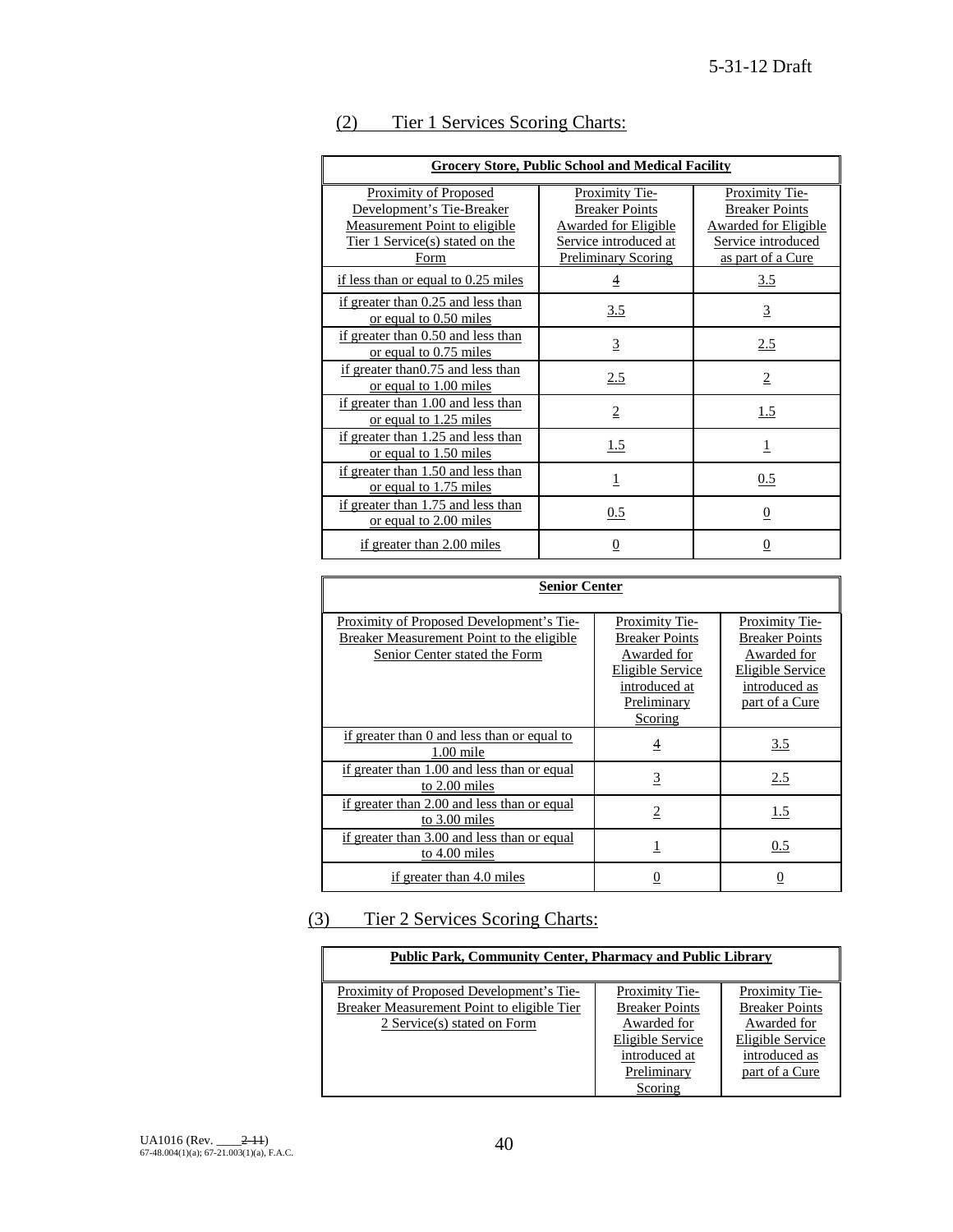| <b>Grocery Store, Public School and Medical Facility</b>                                                                       |                                                                                                                               |                                                                                                                          |  |  |
|--------------------------------------------------------------------------------------------------------------------------------|-------------------------------------------------------------------------------------------------------------------------------|--------------------------------------------------------------------------------------------------------------------------|--|--|
| Proximity of Proposed<br>Development's Tie-Breaker<br>Measurement Point to eligible<br>Tier 1 Service(s) stated on the<br>Form | <b>Proximity Tie-</b><br><b>Breaker Points</b><br>Awarded for Eligible<br>Service introduced at<br><b>Preliminary Scoring</b> | <b>Proximity Tie-</b><br><b>Breaker Points</b><br><b>Awarded for Eligible</b><br>Service introduced<br>as part of a Cure |  |  |
| if less than or equal to 0.25 miles                                                                                            | $\overline{4}$                                                                                                                | 3.5                                                                                                                      |  |  |
| if greater than 0.25 and less than<br>or equal to 0.50 miles                                                                   | 3.5                                                                                                                           | $\overline{3}$                                                                                                           |  |  |
| if greater than 0.50 and less than<br>or equal to 0.75 miles                                                                   | $\overline{3}$                                                                                                                | 2.5                                                                                                                      |  |  |
| if greater than 0.75 and less than<br>or equal to 1.00 miles                                                                   | 2.5                                                                                                                           | $\overline{2}$                                                                                                           |  |  |
| if greater than 1.00 and less than<br>or equal to 1.25 miles                                                                   | $\overline{2}$                                                                                                                | 1.5                                                                                                                      |  |  |
| if greater than 1.25 and less than<br>or equal to 1.50 miles                                                                   | 1.5                                                                                                                           | $\mathbf 1$                                                                                                              |  |  |
| if greater than 1.50 and less than<br>or equal to 1.75 miles                                                                   | 1                                                                                                                             | 0.5                                                                                                                      |  |  |
| if greater than 1.75 and less than<br>or equal to 2.00 miles                                                                   | 0.5                                                                                                                           | 0                                                                                                                        |  |  |
| if greater than 2.00 miles                                                                                                     | 0                                                                                                                             | 0                                                                                                                        |  |  |

# (2) Tier 1 Services Scoring Charts:

| <b>Senior Center</b>                                                                                                   |                                                                                                            |                                                                                                               |  |  |
|------------------------------------------------------------------------------------------------------------------------|------------------------------------------------------------------------------------------------------------|---------------------------------------------------------------------------------------------------------------|--|--|
| Proximity of Proposed Development's Tie-<br>Breaker Measurement Point to the eligible<br>Senior Center stated the Form | Proximity Tie-<br><b>Breaker Points</b><br>Awarded for<br>Eligible Service<br>introduced at<br>Preliminary | Proximity Tie-<br><b>Breaker Points</b><br>Awarded for<br>Eligible Service<br>introduced as<br>part of a Cure |  |  |
|                                                                                                                        | Scoring                                                                                                    |                                                                                                               |  |  |
| if greater than 0 and less than or equal to<br>$1.00$ mile                                                             | $\overline{4}$                                                                                             | 3.5                                                                                                           |  |  |
| if greater than 1.00 and less than or equal<br>to 2.00 miles                                                           | $\overline{3}$                                                                                             | 2.5                                                                                                           |  |  |
| if greater than 2.00 and less than or equal<br>to $3.00$ miles                                                         | $\overline{2}$                                                                                             | 1.5                                                                                                           |  |  |
| if greater than 3.00 and less than or equal<br>to $4.00$ miles                                                         | 1                                                                                                          | 0.5                                                                                                           |  |  |
| if greater than 4.0 miles                                                                                              | 0                                                                                                          |                                                                                                               |  |  |

# (3) Tier 2 Services Scoring Charts:

| <b>Public Park, Community Center, Pharmacy and Public Library</b> |                       |                       |  |  |  |  |  |
|-------------------------------------------------------------------|-----------------------|-----------------------|--|--|--|--|--|
| Proximity of Proposed Development's Tie-                          | Proximity Tie-        | Proximity Tie-        |  |  |  |  |  |
| Breaker Measurement Point to eligible Tier                        | <b>Breaker Points</b> | <b>Breaker Points</b> |  |  |  |  |  |
| Awarded for<br>2 Service(s) stated on Form<br>Awarded for         |                       |                       |  |  |  |  |  |
| Eligible Service<br>Eligible Service                              |                       |                       |  |  |  |  |  |
| introduced at<br>introduced as                                    |                       |                       |  |  |  |  |  |
| Preliminary<br>part of a Cure                                     |                       |                       |  |  |  |  |  |
|                                                                   | Scoring               |                       |  |  |  |  |  |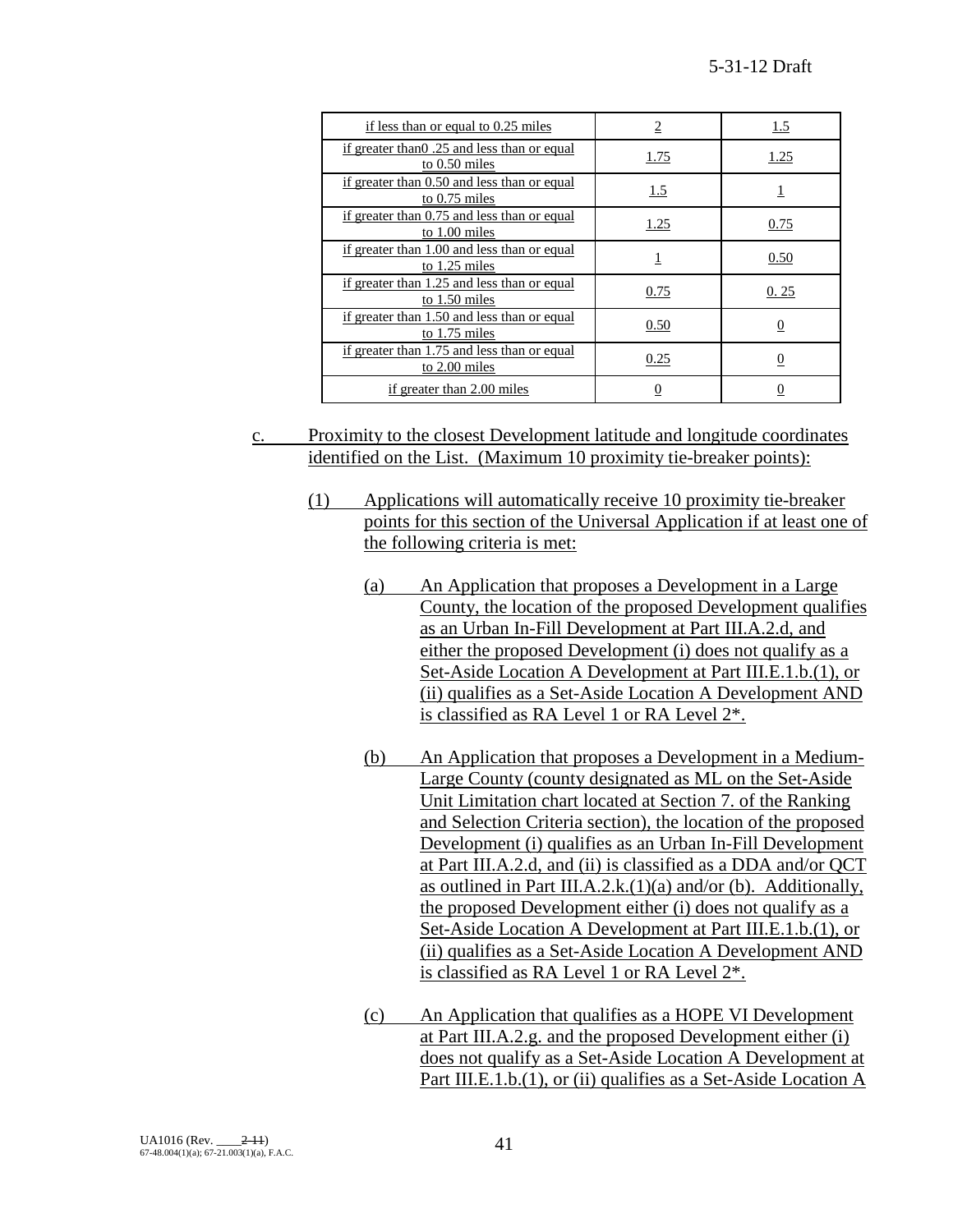| if less than or equal to 0.25 miles                            | 2    | 1.5            |
|----------------------------------------------------------------|------|----------------|
| if greater than 0.25 and less than or equal<br>to $0.50$ miles | 1.75 | 1.25           |
| if greater than 0.50 and less than or equal<br>to $0.75$ miles | 1.5  |                |
| if greater than 0.75 and less than or equal<br>to $1.00$ miles | 1.25 | 0.75           |
| if greater than 1.00 and less than or equal<br>to $1.25$ miles |      | 0.50           |
| if greater than 1.25 and less than or equal<br>to 1.50 miles   | 0.75 | 0.25           |
| if greater than 1.50 and less than or equal<br>to 1.75 miles   | 0.50 | $\overline{0}$ |
| if greater than 1.75 and less than or equal<br>to 2.00 miles   | 0.25 | 0              |
| if greater than 2.00 miles                                     |      |                |

- c. Proximity to the closest Development latitude and longitude coordinates identified on the List. (Maximum 10 proximity tie-breaker points):
	- (1) Applications will automatically receive 10 proximity tie-breaker points for this section of the Universal Application if at least one of the following criteria is met:
		- (a) An Application that proposes a Development in a Large County, the location of the proposed Development qualifies as an Urban In-Fill Development at Part III.A.2.d, and either the proposed Development (i) does not qualify as a Set-Aside Location A Development at Part III.E.1.b.(1), or (ii) qualifies as a Set-Aside Location A Development AND is classified as RA Level 1 or RA Level 2\*.
		- (b) An Application that proposes a Development in a Medium-Large County (county designated as ML on the Set-Aside Unit Limitation chart located at Section 7. of the Ranking and Selection Criteria section), the location of the proposed Development (i) qualifies as an Urban In-Fill Development at Part III.A.2.d, and (ii) is classified as a DDA and/or QCT as outlined in Part III.A.2.k. $(1)(a)$  and/or (b). Additionally, the proposed Development either (i) does not qualify as a Set-Aside Location A Development at Part III.E.1.b.(1), or (ii) qualifies as a Set-Aside Location A Development AND is classified as RA Level 1 or RA Level 2\*.
		- (c) An Application that qualifies as a HOPE VI Development at Part III.A.2.g. and the proposed Development either (i) does not qualify as a Set-Aside Location A Development at Part III.E.1.b.(1), or (ii) qualifies as a Set-Aside Location A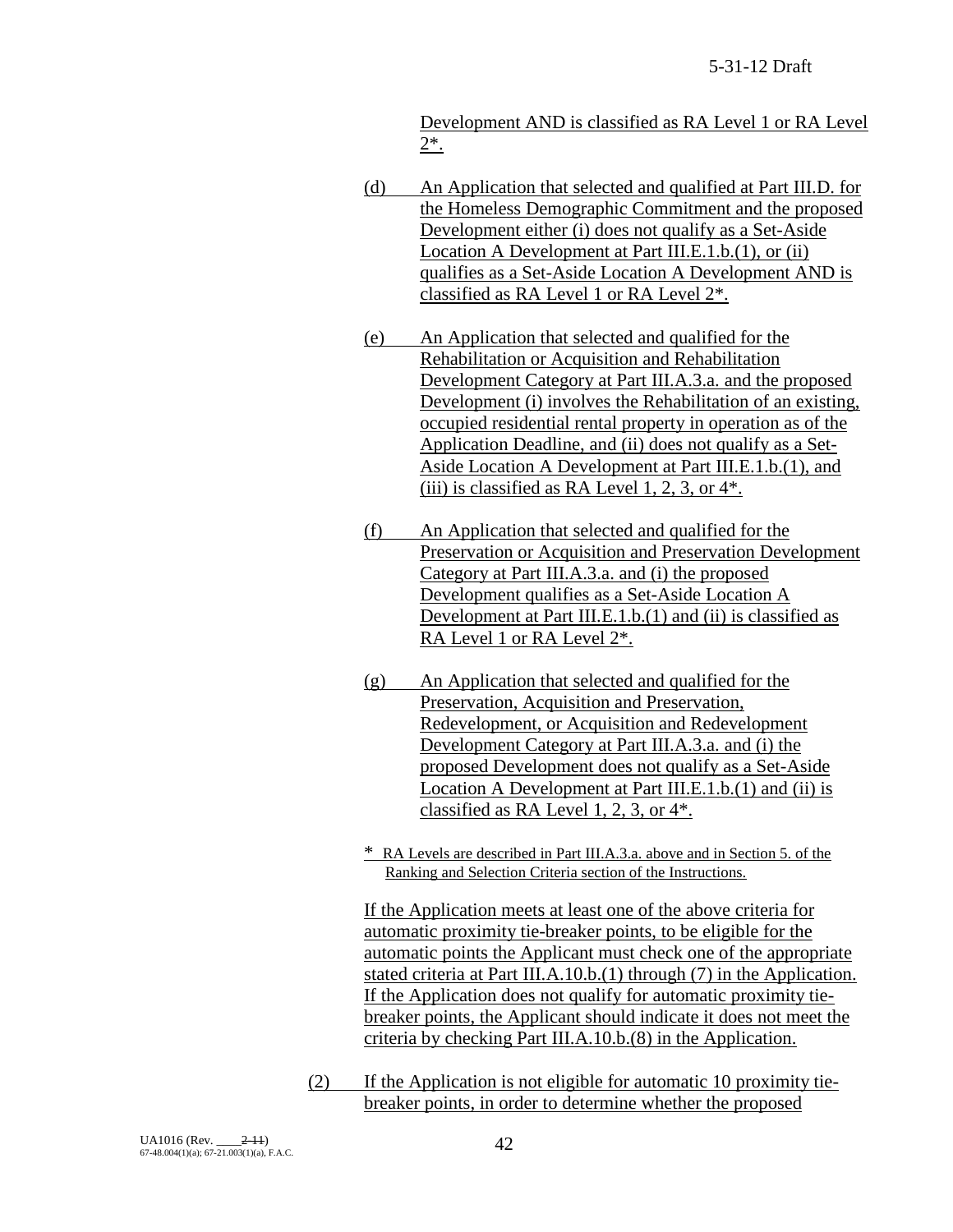Development AND is classified as RA Level 1 or RA Level 2\*.

- (d) An Application that selected and qualified at Part III.D. for the Homeless Demographic Commitment and the proposed Development either (i) does not qualify as a Set-Aside Location A Development at Part III.E.1.b.(1), or (ii) qualifies as a Set-Aside Location A Development AND is classified as RA Level 1 or RA Level 2\*.
- (e) An Application that selected and qualified for the Rehabilitation or Acquisition and Rehabilitation Development Category at Part III.A.3.a. and the proposed Development (i) involves the Rehabilitation of an existing, occupied residential rental property in operation as of the Application Deadline, and (ii) does not qualify as a Set-Aside Location A Development at Part III.E.1.b.(1), and (iii) is classified as RA Level 1, 2, 3, or  $4^*$ .
- (f) An Application that selected and qualified for the Preservation or Acquisition and Preservation Development Category at Part III.A.3.a. and (i) the proposed Development qualifies as a Set-Aside Location A Development at Part III.E.1.b.(1) and (ii) is classified as RA Level 1 or RA Level 2\*.
- (g) An Application that selected and qualified for the Preservation, Acquisition and Preservation, Redevelopment, or Acquisition and Redevelopment Development Category at Part III.A.3.a. and (i) the proposed Development does not qualify as a Set-Aside Location A Development at Part III.E.1.b.(1) and (ii) is classified as RA Level 1, 2, 3, or 4\*.
- \* RA Levels are described in Part III.A.3.a. above and in Section 5. of the Ranking and Selection Criteria section of the Instructions.

If the Application meets at least one of the above criteria for automatic proximity tie-breaker points, to be eligible for the automatic points the Applicant must check one of the appropriate stated criteria at Part III.A.10.b.(1) through (7) in the Application. If the Application does not qualify for automatic proximity tiebreaker points, the Applicant should indicate it does not meet the criteria by checking Part III.A.10.b.(8) in the Application.

(2) If the Application is not eligible for automatic 10 proximity tiebreaker points, in order to determine whether the proposed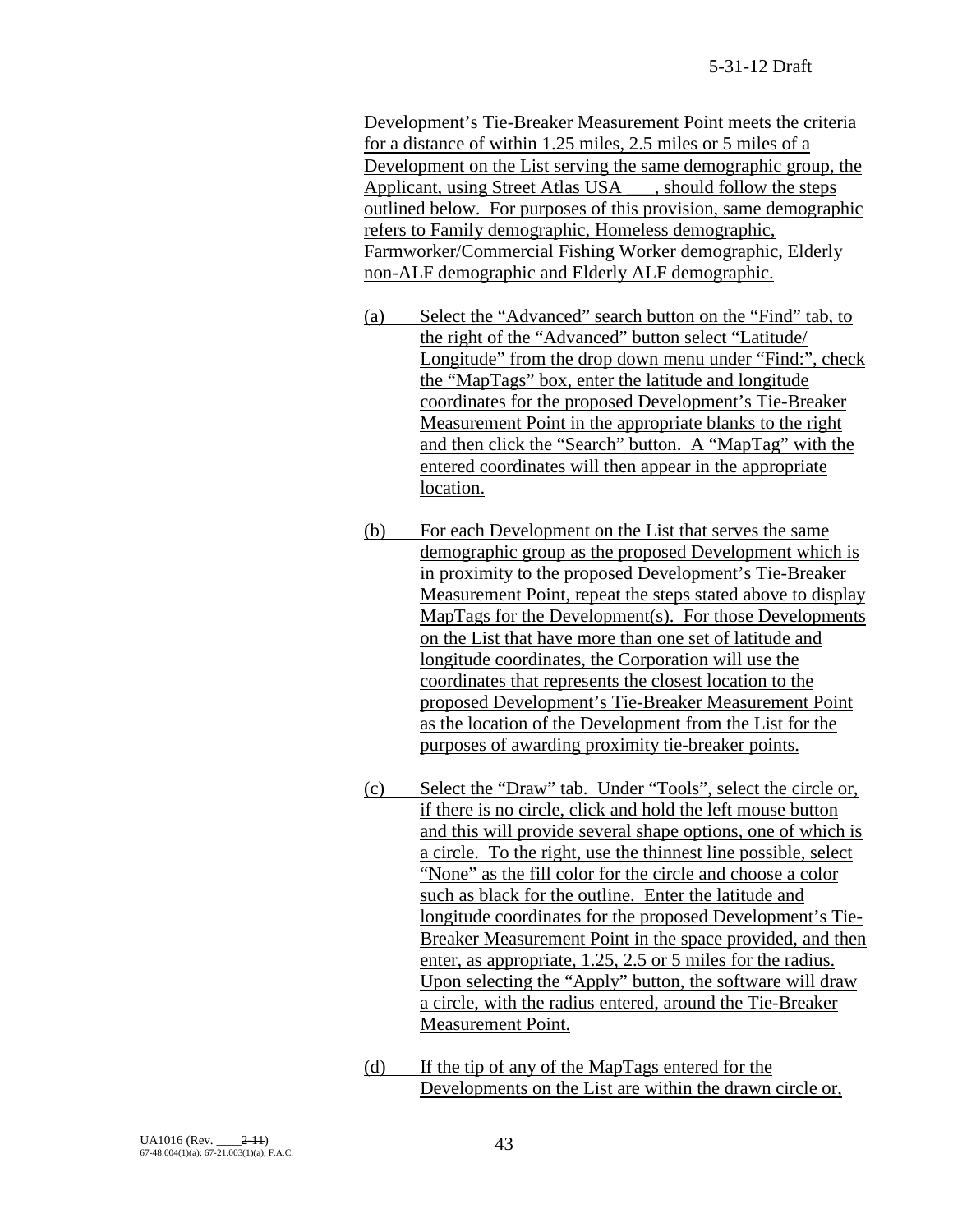Development's Tie-Breaker Measurement Point meets the criteria for a distance of within 1.25 miles, 2.5 miles or 5 miles of a Development on the List serving the same demographic group, the Applicant, using Street Atlas USA \_\_\_, should follow the steps outlined below. For purposes of this provision, same demographic refers to Family demographic, Homeless demographic, Farmworker/Commercial Fishing Worker demographic, Elderly non-ALF demographic and Elderly ALF demographic.

- (a) Select the "Advanced" search button on the "Find" tab, to the right of the "Advanced" button select "Latitude/ Longitude" from the drop down menu under "Find:", check the "MapTags" box, enter the latitude and longitude coordinates for the proposed Development's Tie-Breaker Measurement Point in the appropriate blanks to the right and then click the "Search" button. A "MapTag" with the entered coordinates will then appear in the appropriate location.
- (b) For each Development on the List that serves the same demographic group as the proposed Development which is in proximity to the proposed Development's Tie-Breaker Measurement Point, repeat the steps stated above to display MapTags for the Development(s). For those Developments on the List that have more than one set of latitude and longitude coordinates, the Corporation will use the coordinates that represents the closest location to the proposed Development's Tie-Breaker Measurement Point as the location of the Development from the List for the purposes of awarding proximity tie-breaker points.
- (c) Select the "Draw" tab. Under "Tools", select the circle or, if there is no circle, click and hold the left mouse button and this will provide several shape options, one of which is a circle. To the right, use the thinnest line possible, select "None" as the fill color for the circle and choose a color such as black for the outline. Enter the latitude and longitude coordinates for the proposed Development's Tie-Breaker Measurement Point in the space provided, and then enter, as appropriate, 1.25, 2.5 or 5 miles for the radius. Upon selecting the "Apply" button, the software will draw a circle, with the radius entered, around the Tie-Breaker Measurement Point.
- (d) If the tip of any of the MapTags entered for the Developments on the List are within the drawn circle or,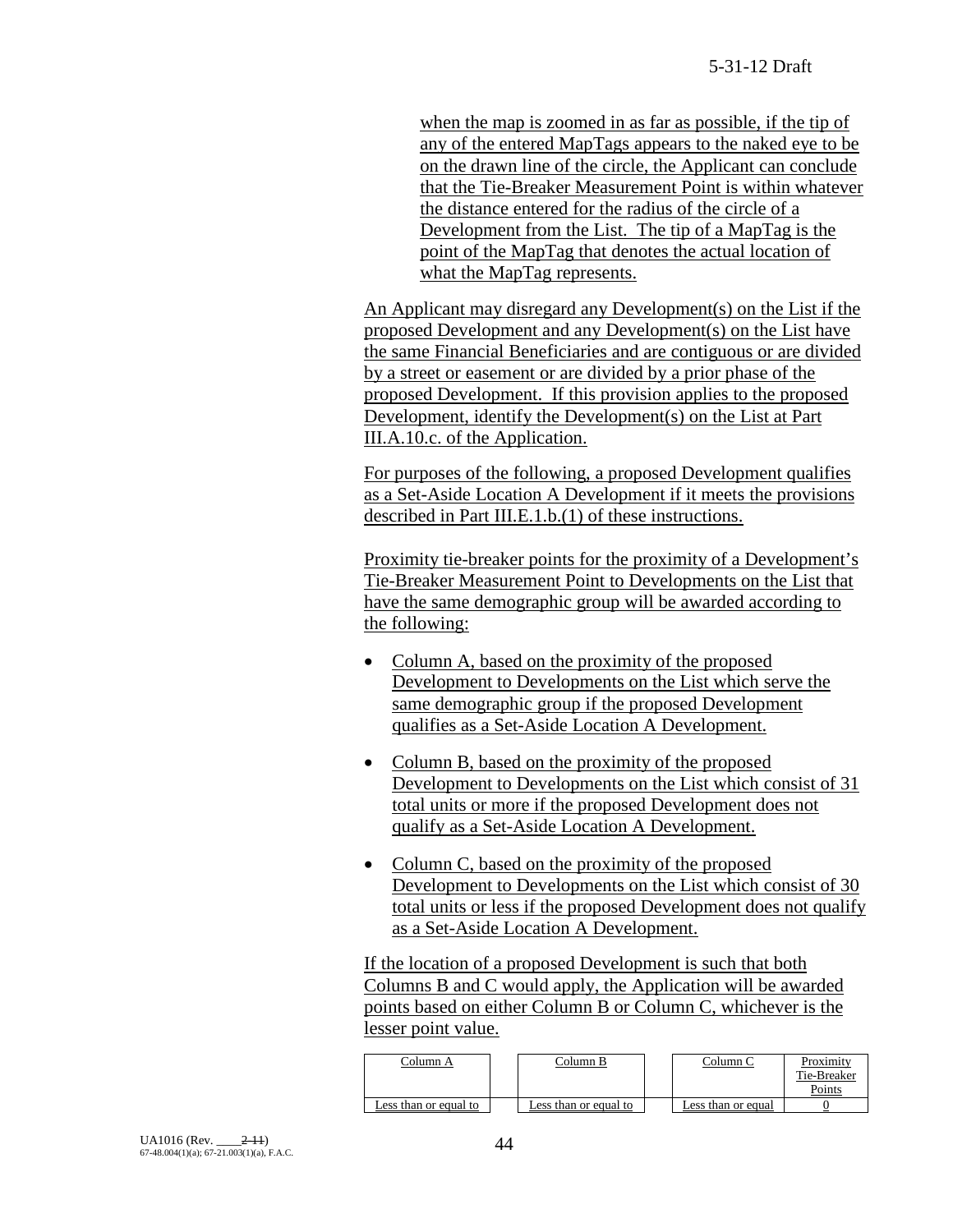when the map is zoomed in as far as possible, if the tip of any of the entered MapTags appears to the naked eye to be on the drawn line of the circle, the Applicant can conclude that the Tie-Breaker Measurement Point is within whatever the distance entered for the radius of the circle of a Development from the List. The tip of a MapTag is the point of the MapTag that denotes the actual location of what the MapTag represents.

An Applicant may disregard any Development(s) on the List if the proposed Development and any Development(s) on the List have the same Financial Beneficiaries and are contiguous or are divided by a street or easement or are divided by a prior phase of the proposed Development. If this provision applies to the proposed Development, identify the Development(s) on the List at Part III.A.10.c. of the Application.

For purposes of the following, a proposed Development qualifies as a Set-Aside Location A Development if it meets the provisions described in Part III.E.1.b.(1) of these instructions.

Proximity tie-breaker points for the proximity of a Development's Tie-Breaker Measurement Point to Developments on the List that have the same demographic group will be awarded according to the following:

- Column A, based on the proximity of the proposed Development to Developments on the List which serve the same demographic group if the proposed Development qualifies as a Set-Aside Location A Development.
- Column B, based on the proximity of the proposed Development to Developments on the List which consist of 31 total units or more if the proposed Development does not qualify as a Set-Aside Location A Development.
- Column C, based on the proximity of the proposed Development to Developments on the List which consist of 30 total units or less if the proposed Development does not qualify as a Set-Aside Location A Development.

If the location of a proposed Development is such that both Columns B and C would apply, the Application will be awarded points based on either Column B or Column C, whichever is the lesser point value.

| Column A              | Column B              | Column C           | Proximity             |
|-----------------------|-----------------------|--------------------|-----------------------|
|                       |                       |                    | Tie-Breaker<br>Points |
| Less than or equal to | Less than or equal to | ∟ess than or equal |                       |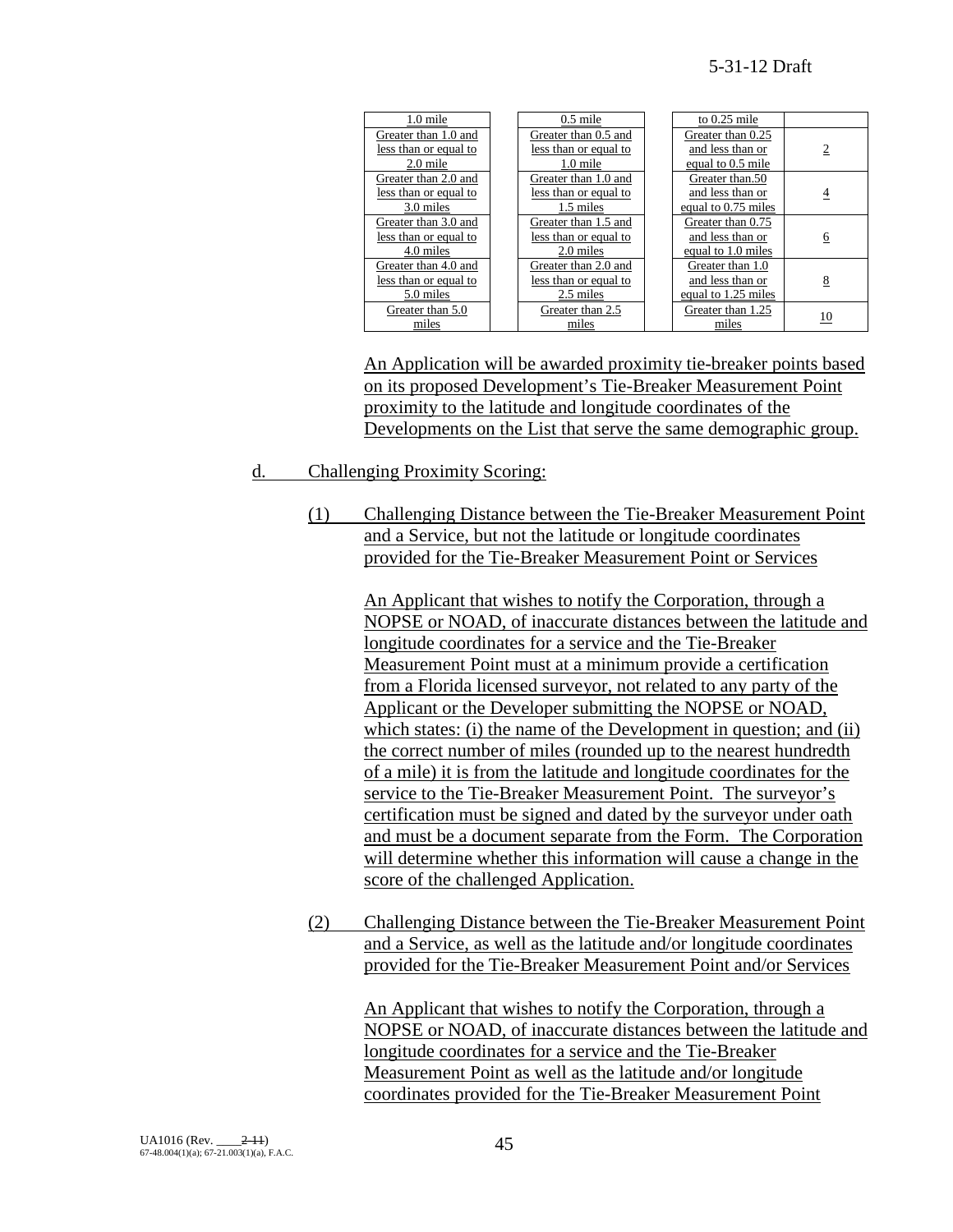| 1.0 mile              | $0.5$ mile            | to $0.25$ mile      |                |
|-----------------------|-----------------------|---------------------|----------------|
| Greater than 1.0 and  | Greater than 0.5 and  | Greater than 0.25   |                |
| less than or equal to | less than or equal to | and less than or    | $\overline{2}$ |
| $2.0$ mile            | $1.0$ mile            | equal to 0.5 mile   |                |
| Greater than 2.0 and  | Greater than 1.0 and  | Greater than.50     |                |
| less than or equal to | less than or equal to | and less than or    | 4              |
| 3.0 miles             | 1.5 miles             | equal to 0.75 miles |                |
| Greater than 3.0 and  | Greater than 1.5 and  | Greater than 0.75   |                |
| less than or equal to | less than or equal to | and less than or    | 6              |
| 4.0 miles             | 2.0 miles             | equal to 1.0 miles  |                |
| Greater than 4.0 and  | Greater than 2.0 and  | Greater than 1.0    |                |
| less than or equal to | less than or equal to | and less than or    | 8              |
| 5.0 miles             | 2.5 miles             | equal to 1.25 miles |                |
| Greater than 5.0      | Greater than 2.5      | Greater than 1.25   | 10             |
| miles                 | miles                 | miles               |                |

An Application will be awarded proximity tie-breaker points based on its proposed Development's Tie-Breaker Measurement Point proximity to the latitude and longitude coordinates of the Developments on the List that serve the same demographic group.

## d. Challenging Proximity Scoring:

(1) Challenging Distance between the Tie-Breaker Measurement Point and a Service, but not the latitude or longitude coordinates provided for the Tie-Breaker Measurement Point or Services

> An Applicant that wishes to notify the Corporation, through a NOPSE or NOAD, of inaccurate distances between the latitude and longitude coordinates for a service and the Tie-Breaker Measurement Point must at a minimum provide a certification from a Florida licensed surveyor, not related to any party of the Applicant or the Developer submitting the NOPSE or NOAD, which states: (i) the name of the Development in question; and (ii) the correct number of miles (rounded up to the nearest hundredth of a mile) it is from the latitude and longitude coordinates for the service to the Tie-Breaker Measurement Point. The surveyor's certification must be signed and dated by the surveyor under oath and must be a document separate from the Form. The Corporation will determine whether this information will cause a change in the score of the challenged Application.

(2) Challenging Distance between the Tie-Breaker Measurement Point and a Service, as well as the latitude and/or longitude coordinates provided for the Tie-Breaker Measurement Point and/or Services

An Applicant that wishes to notify the Corporation, through a NOPSE or NOAD, of inaccurate distances between the latitude and longitude coordinates for a service and the Tie-Breaker Measurement Point as well as the latitude and/or longitude coordinates provided for the Tie-Breaker Measurement Point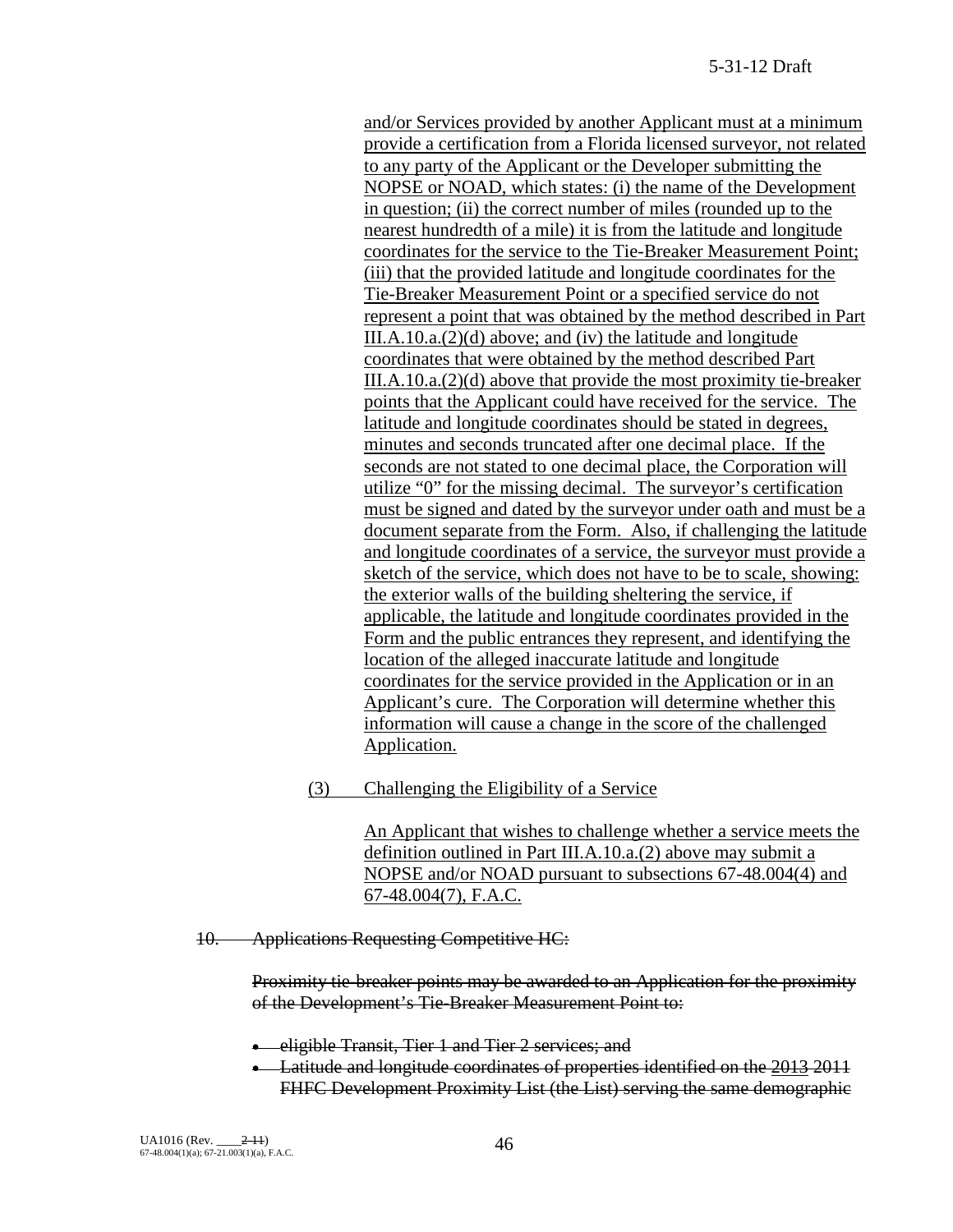and/or Services provided by another Applicant must at a minimum provide a certification from a Florida licensed surveyor, not related to any party of the Applicant or the Developer submitting the NOPSE or NOAD, which states: (i) the name of the Development in question; (ii) the correct number of miles (rounded up to the nearest hundredth of a mile) it is from the latitude and longitude coordinates for the service to the Tie-Breaker Measurement Point; (iii) that the provided latitude and longitude coordinates for the Tie-Breaker Measurement Point or a specified service do not represent a point that was obtained by the method described in Part III.A.10.a. $(2)(d)$  above; and  $(iv)$  the latitude and longitude coordinates that were obtained by the method described Part III.A.10.a.(2)(d) above that provide the most proximity tie-breaker points that the Applicant could have received for the service. The latitude and longitude coordinates should be stated in degrees, minutes and seconds truncated after one decimal place. If the seconds are not stated to one decimal place, the Corporation will utilize "0" for the missing decimal. The surveyor's certification must be signed and dated by the surveyor under oath and must be a document separate from the Form. Also, if challenging the latitude and longitude coordinates of a service, the surveyor must provide a sketch of the service, which does not have to be to scale, showing: the exterior walls of the building sheltering the service, if applicable, the latitude and longitude coordinates provided in the Form and the public entrances they represent, and identifying the location of the alleged inaccurate latitude and longitude coordinates for the service provided in the Application or in an Applicant's cure. The Corporation will determine whether this information will cause a change in the score of the challenged Application.

(3) Challenging the Eligibility of a Service

An Applicant that wishes to challenge whether a service meets the definition outlined in Part III.A.10.a.(2) above may submit a NOPSE and/or NOAD pursuant to subsections 67-48.004(4) and 67-48.004(7), F.A.C.

10. Applications Requesting Competitive HC:

Proximity tie-breaker points may be awarded to an Application for the proximity of the Development's Tie-Breaker Measurement Point to:

• eligible Transit, Tier 1 and Tier 2 services; and

• Latitude and longitude coordinates of properties identified on the 2013 2011 FHFC Development Proximity List (the List) serving the same demographic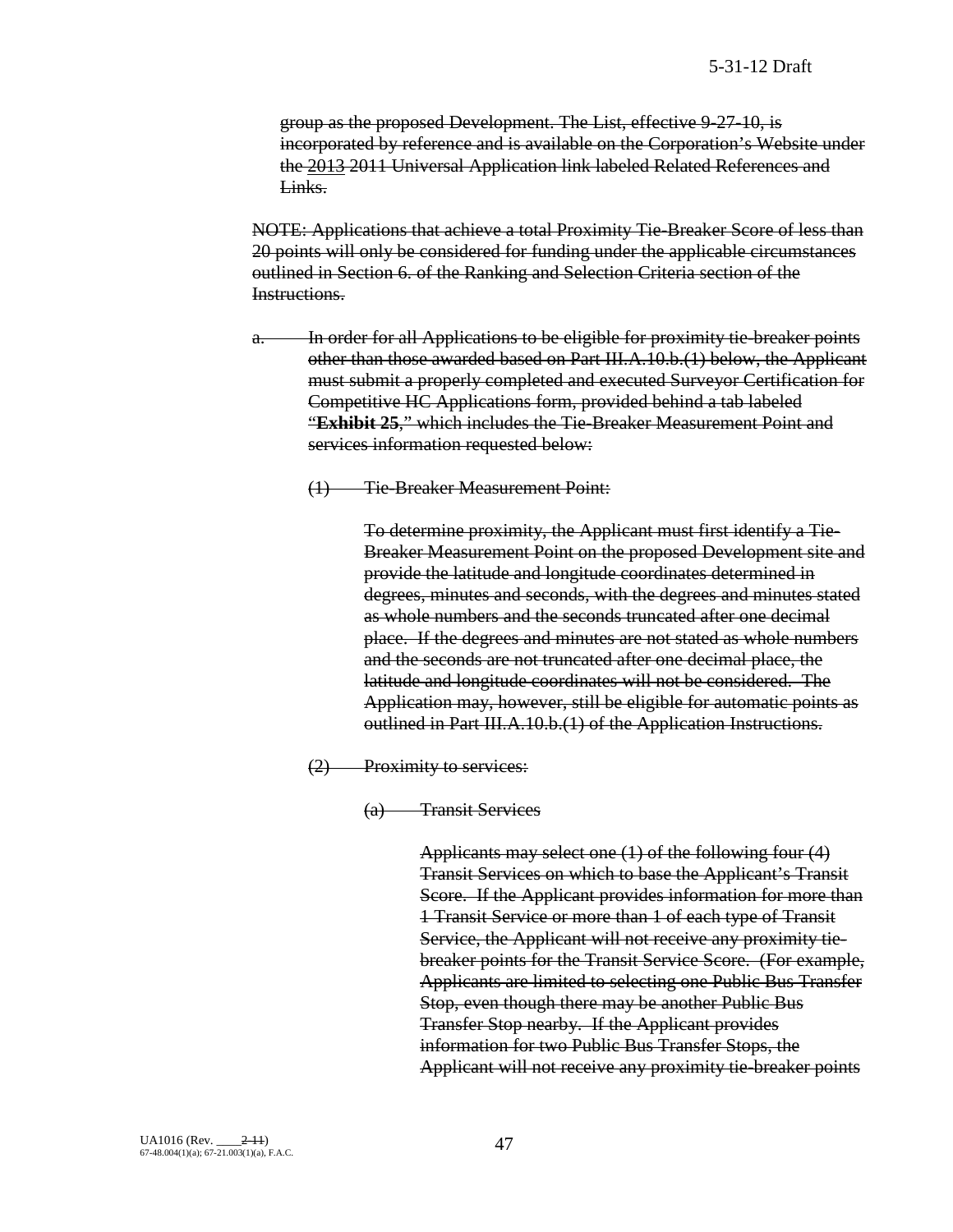group as the proposed Development. The List, effective 9-27-10, is incorporated by reference and is available on the Corporation's Website under the 2013 2011 Universal Application link labeled Related References and Links.

NOTE: Applications that achieve a total Proximity Tie-Breaker Score of less than 20 points will only be considered for funding under the applicable circumstances outlined in Section 6. of the Ranking and Selection Criteria section of the Instructions.

- a. In order for all Applications to be eligible for proximity tie-breaker points other than those awarded based on Part III.A.10.b.(1) below, the Applicant must submit a properly completed and executed Surveyor Certification for Competitive HC Applications form, provided behind a tab labeled "**Exhibit 25**," which includes the Tie-Breaker Measurement Point and services information requested below:
	- (1) Tie-Breaker Measurement Point:

To determine proximity, the Applicant must first identify a Tie-Breaker Measurement Point on the proposed Development site and provide the latitude and longitude coordinates determined in degrees, minutes and seconds, with the degrees and minutes stated as whole numbers and the seconds truncated after one decimal place. If the degrees and minutes are not stated as whole numbers and the seconds are not truncated after one decimal place, the latitude and longitude coordinates will not be considered. The Application may, however, still be eligible for automatic points as outlined in Part III.A.10.b.(1) of the Application Instructions.

- (2) Proximity to services:
	- (a) Transit Services

Applicants may select one (1) of the following four (4) Transit Services on which to base the Applicant's Transit Score. If the Applicant provides information for more than 1 Transit Service or more than 1 of each type of Transit Service, the Applicant will not receive any proximity tiebreaker points for the Transit Service Score. (For example, Applicants are limited to selecting one Public Bus Transfer Stop, even though there may be another Public Bus Transfer Stop nearby. If the Applicant provides information for two Public Bus Transfer Stops, the Applicant will not receive any proximity tie-breaker points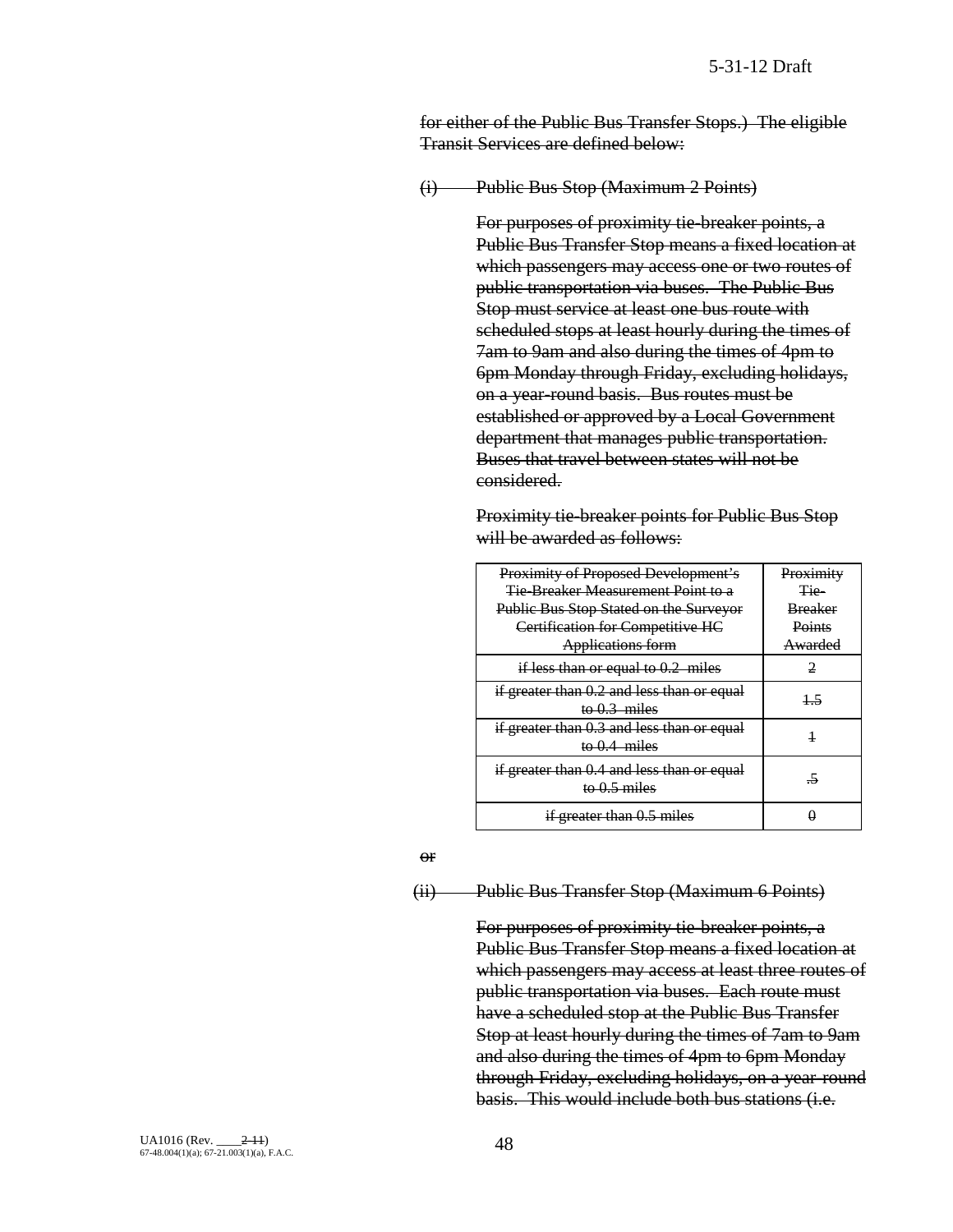for either of the Public Bus Transfer Stops.) The eligible Transit Services are defined below:

(i) Public Bus Stop (Maximum 2 Points)

For purposes of proximity tie-breaker points, a Public Bus Transfer Stop means a fixed location at which passengers may access one or two routes of public transportation via buses. The Public Bus Stop must service at least one bus route with scheduled stops at least hourly during the times of 7am to 9am and also during the times of 4pm to 6pm Monday through Friday, excluding holidays, on a year-round basis. Bus routes must be established or approved by a Local Government department that manages public transportation. Buses that travel between states will not be considered.

Proximity tie-breaker points for Public Bus Stop will be awarded as follows:

| <b>Proximity of Proposed Development's</b>                   | Proximity      |
|--------------------------------------------------------------|----------------|
| Tie Breaker Measurement Point to a                           | Tie-           |
| Public Bus Stop Stated on the Surveyor                       | <b>Breaker</b> |
| Certification for Competitive HC                             | Points         |
| <b>Applications form</b>                                     | Awarded        |
| if less than or equal to $0.2$ miles                         |                |
| if greater than 0.2 and less than or equal<br>to $0.3$ miles | 45             |
| if greater than 0.3 and less than or equal                   |                |
| to $0.4$ miles                                               |                |
| if greater than 0.4 and less than or equal<br>to $0.5$ miles | -5             |
| if greater than 0.5 miles                                    |                |

#### or

## (ii) Public Bus Transfer Stop (Maximum 6 Points)

For purposes of proximity tie-breaker points, a Public Bus Transfer Stop means a fixed location at which passengers may access at least three routes of public transportation via buses. Each route must have a scheduled stop at the Public Bus Transfer Stop at least hourly during the times of 7am to 9am and also during the times of 4pm to 6pm Monday through Friday, excluding holidays, on a year-round basis. This would include both bus stations (i.e.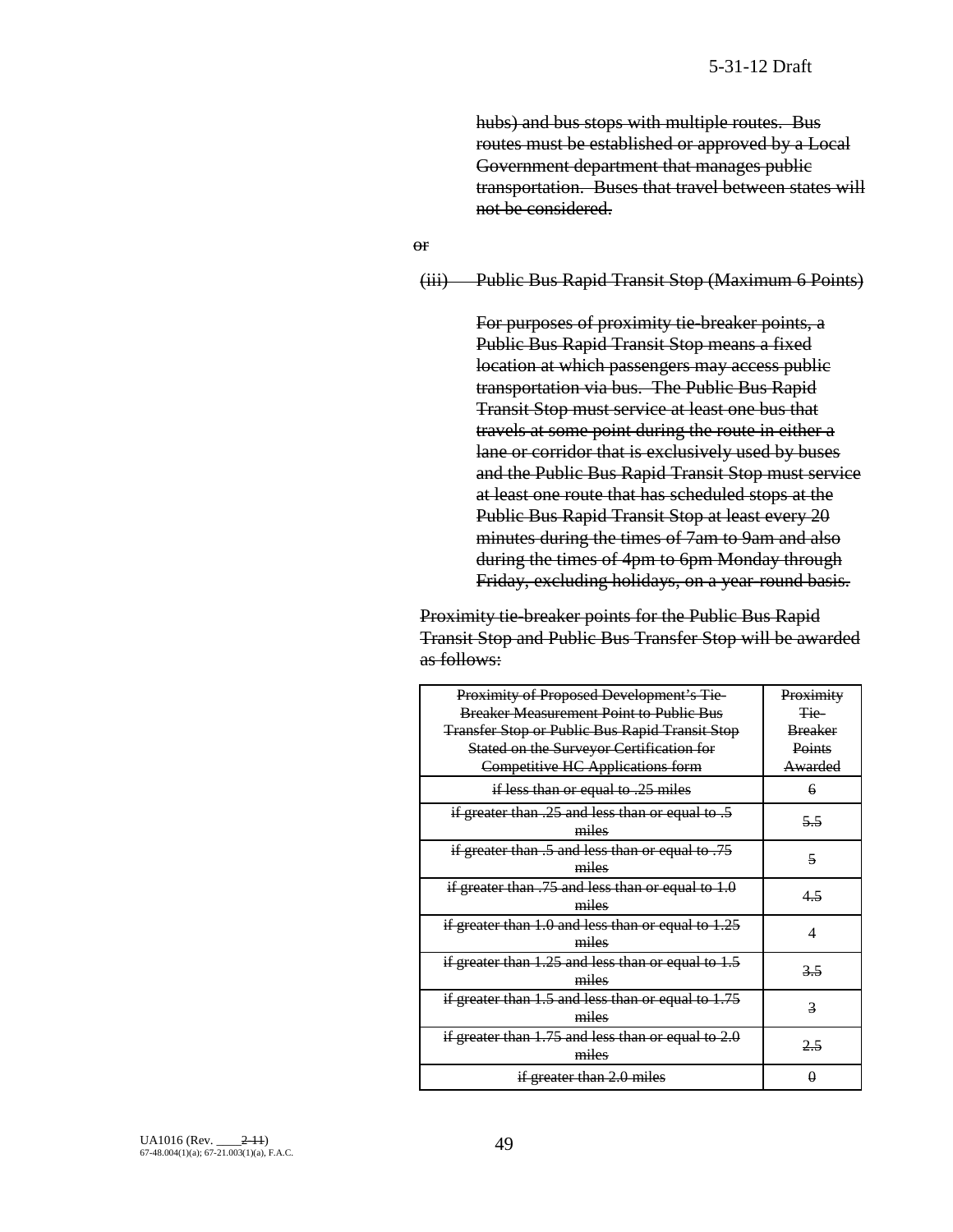hubs) and bus stops with multiple routes. Bus routes must be established or approved by a Local Government department that manages public transportation. Buses that travel between states will not be considered.

or

#### (iii) Public Bus Rapid Transit Stop (Maximum 6 Points)

For purposes of proximity tie-breaker points, a Public Bus Rapid Transit Stop means a fixed location at which passengers may access public transportation via bus. The Public Bus Rapid Transit Stop must service at least one bus that travels at some point during the route in either a lane or corridor that is exclusively used by buses and the Public Bus Rapid Transit Stop must service at least one route that has scheduled stops at the Public Bus Rapid Transit Stop at least every 20 minutes during the times of 7am to 9am and also during the times of 4pm to 6pm Monday through Friday, excluding holidays, on a year-round basis.

Proximity tie-breaker points for the Public Bus Rapid Transit Stop and Public Bus Transfer Stop will be awarded as follows:

| Proximity of Proposed Development's Tie-                        | Proximity      |
|-----------------------------------------------------------------|----------------|
| <b>Breaker Measurement Point to Public Bus</b>                  | <del>Tie</del> |
| <b>Transfer Stop or Public Bus Rapid Transit Stop</b>           | <b>Breaker</b> |
| Stated on the Surveyor Certification for                        | Points         |
| <b>Competitive HC Applications form</b>                         | Awarded        |
| if less than or equal to .25 miles                              | 6              |
| if greater than .25 and less than or equal to .5<br>miles       | 55             |
| if greater than .5 and less than or equal to .75<br>miles       | 5              |
| if greater than $.75$ and less than or equal to $1.0$<br>miles  | 45             |
| if greater than $1.0$ and less than or equal to $1.25$<br>miles | 4              |
| if greater than 1.25 and less than or equal to 1.5<br>miles     | 3.5            |
| if greater than $1.5$ and less than or equal to $1.75$<br>miles | 3              |
| if greater than 1.75 and less than or equal to 2.0<br>miles     | 2.5            |
| if greater than 2.0 miles                                       | A              |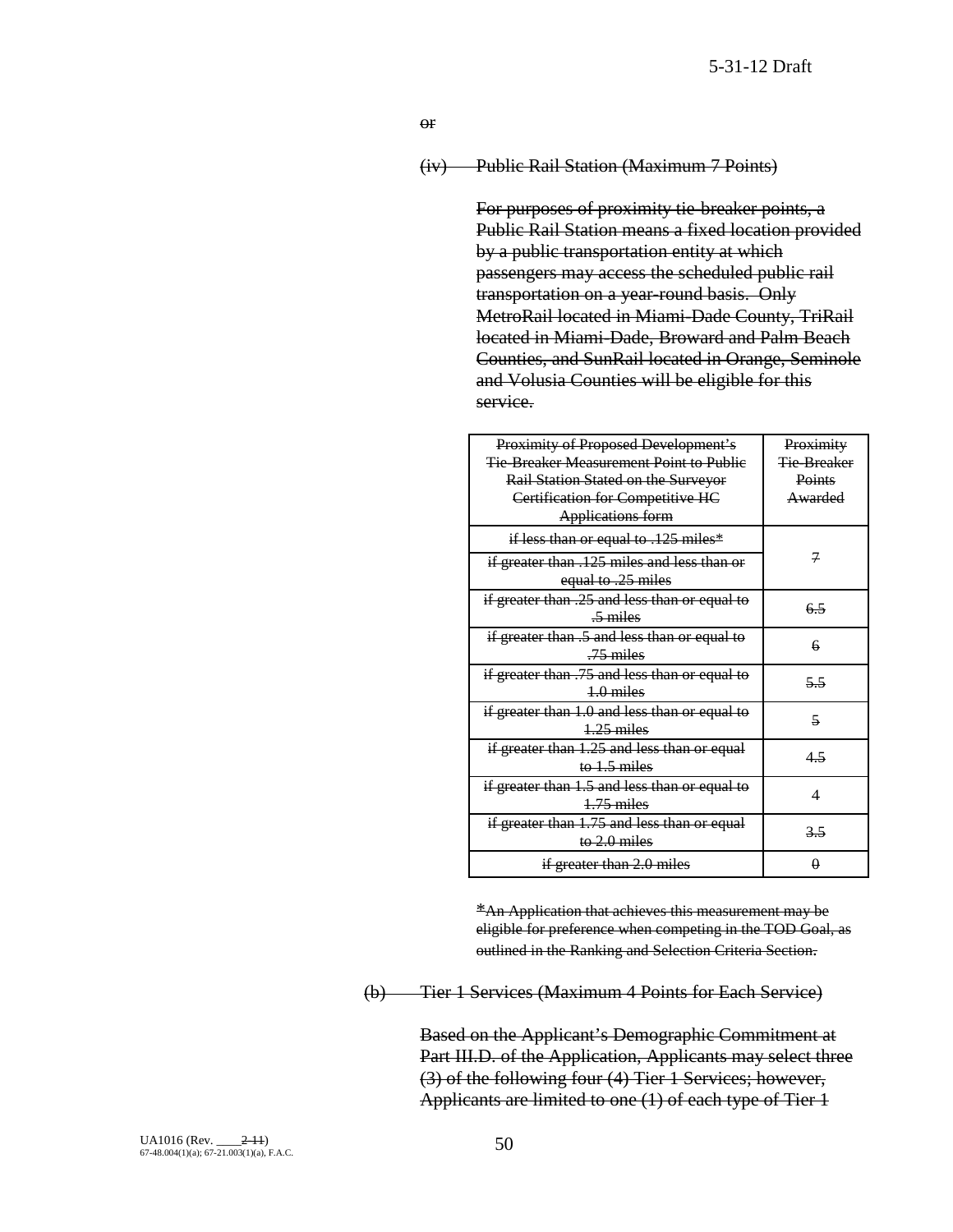or

(iv) Public Rail Station (Maximum 7 Points)

For purposes of proximity tie-breaker points, a Public Rail Station means a fixed location provided by a public transportation entity at which passengers may access the scheduled public rail transportation on a year-round basis. Only MetroRail located in Miami-Dade County, TriRail located in Miami-Dade, Broward and Palm Beach Counties, and SunRail located in Orange, Seminole and Volusia Counties will be eligible for this service.

| Proximity of Proposed Development's           | Proximity                |
|-----------------------------------------------|--------------------------|
| Tie Breaker Measurement Point to Public       | Tie Breaker              |
| Rail Station Stated on the Surveyor           | Points                   |
| Certification for Competitive HC              | Awarded                  |
| <b>Applications form</b>                      |                          |
| if less than or equal to .125 miles*          |                          |
| if greater than .125 miles and less than or   | 7                        |
| equal to .25 miles                            |                          |
| if greater than .25 and less than or equal to |                          |
| $\frac{5}{2}$ miles                           | 65                       |
| if greater than .5 and less than or equal to  |                          |
| $-75$ miles                                   | 6                        |
| if greater than .75 and less than or equal to |                          |
| $4.0$ miles                                   | 5.5                      |
| if greater than 1.0 and less than or equal to | $\overline{\mathbf{z}}$  |
| $+25$ miles                                   |                          |
| if greater than 1.25 and less than or equal   | $4-5$                    |
| to $1.5$ miles                                |                          |
| if greater than 1.5 and less than or equal to | $\overline{\mathcal{A}}$ |
| $4.75$ miles                                  |                          |
| if greater than 1.75 and less than or equal   |                          |
| to $2.0$ miles                                | 3,5                      |
| if greater than 2.0 miles                     | $\theta$                 |

\*An Application that achieves this measurement may be eligible for preference when competing in the TOD Goal, as outlined in the Ranking and Selection Criteria Section.

(b) Tier 1 Services (Maximum 4 Points for Each Service)

Based on the Applicant's Demographic Commitment at Part III.D. of the Application, Applicants may select three (3) of the following four (4) Tier 1 Services; however, Applicants are limited to one (1) of each type of Tier 1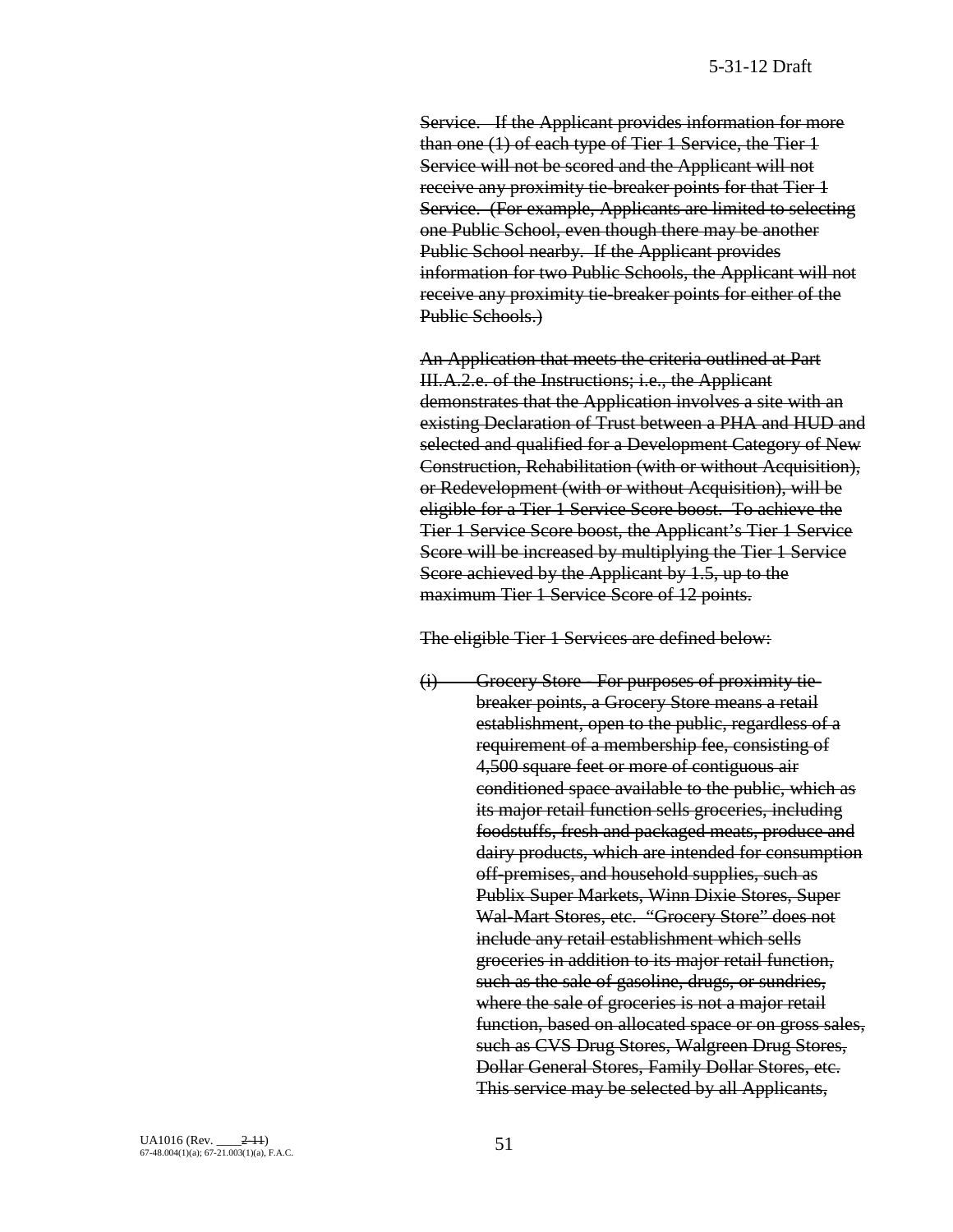Service. If the Applicant provides information for more than one (1) of each type of Tier 1 Service, the Tier 1 Service will not be scored and the Applicant will not receive any proximity tie-breaker points for that Tier 1 Service. (For example, Applicants are limited to selecting one Public School, even though there may be another Public School nearby. If the Applicant provides information for two Public Schools, the Applicant will not receive any proximity tie-breaker points for either of the Public Schools.)

An Application that meets the criteria outlined at Part III.A.2.e. of the Instructions; i.e., the Applicant demonstrates that the Application involves a site with an existing Declaration of Trust between a PHA and HUD and selected and qualified for a Development Category of New Construction, Rehabilitation (with or without Acquisition), or Redevelopment (with or without Acquisition), will be eligible for a Tier 1 Service Score boost. To achieve the Tier 1 Service Score boost, the Applicant's Tier 1 Service Score will be increased by multiplying the Tier 1 Service Score achieved by the Applicant by 1.5, up to the maximum Tier 1 Service Score of 12 points.

The eligible Tier 1 Services are defined below:

(i) Grocery Store - For purposes of proximity tiebreaker points, a Grocery Store means a retail establishment, open to the public, regardless of a requirement of a membership fee, consisting of 4,500 square feet or more of contiguous air conditioned space available to the public, which as its major retail function sells groceries, including foodstuffs, fresh and packaged meats, produce and dairy products, which are intended for consumption off-premises, and household supplies, such as Publix Super Markets, Winn Dixie Stores, Super Wal-Mart Stores, etc. "Grocery Store" does not include any retail establishment which sells groceries in addition to its major retail function, such as the sale of gasoline, drugs, or sundries, where the sale of groceries is not a major retail function, based on allocated space or on gross sales, such as CVS Drug Stores, Walgreen Drug Stores, Dollar General Stores, Family Dollar Stores, etc. This service may be selected by all Applicants,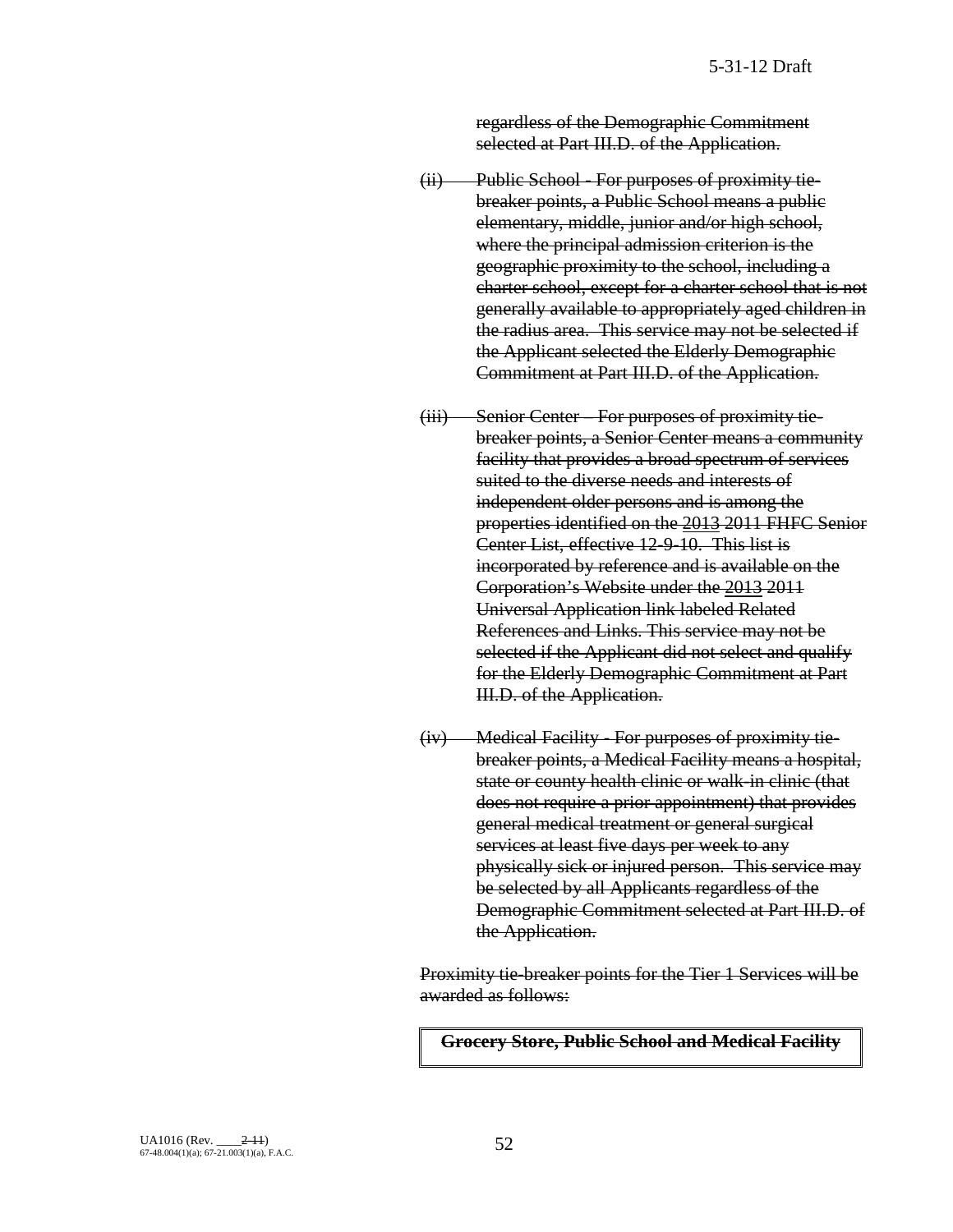regardless of the Demographic Commitment selected at Part III.D. of the Application.

- (ii) Public School For purposes of proximity tiebreaker points, a Public School means a public elementary, middle, junior and/or high school, where the principal admission criterion is the geographic proximity to the school, including a charter school, except for a charter school that is not generally available to appropriately aged children in the radius area. This service may not be selected if the Applicant selected the Elderly Demographic Commitment at Part III.D. of the Application.
- (iii) Senior Center For purposes of proximity tiebreaker points, a Senior Center means a community facility that provides a broad spectrum of services suited to the diverse needs and interests of independent older persons and is among the properties identified on the 2013 2011 FHFC Senior Center List, effective 12-9-10. This list is incorporated by reference and is available on the Corporation's Website under the 2013 2011 Universal Application link labeled Related References and Links. This service may not be selected if the Applicant did not select and qualify for the Elderly Demographic Commitment at Part III.D. of the Application.
- (iv) Medical Facility For purposes of proximity tiebreaker points, a Medical Facility means a hospital, state or county health clinic or walk-in clinic (that does not require a prior appointment) that provides general medical treatment or general surgical services at least five days per week to any physically sick or injured person. This service may be selected by all Applicants regardless of the Demographic Commitment selected at Part III.D. of the Application.

Proximity tie-breaker points for the Tier 1 Services will be awarded as follows:

**Grocery Store, Public School and Medical Facility**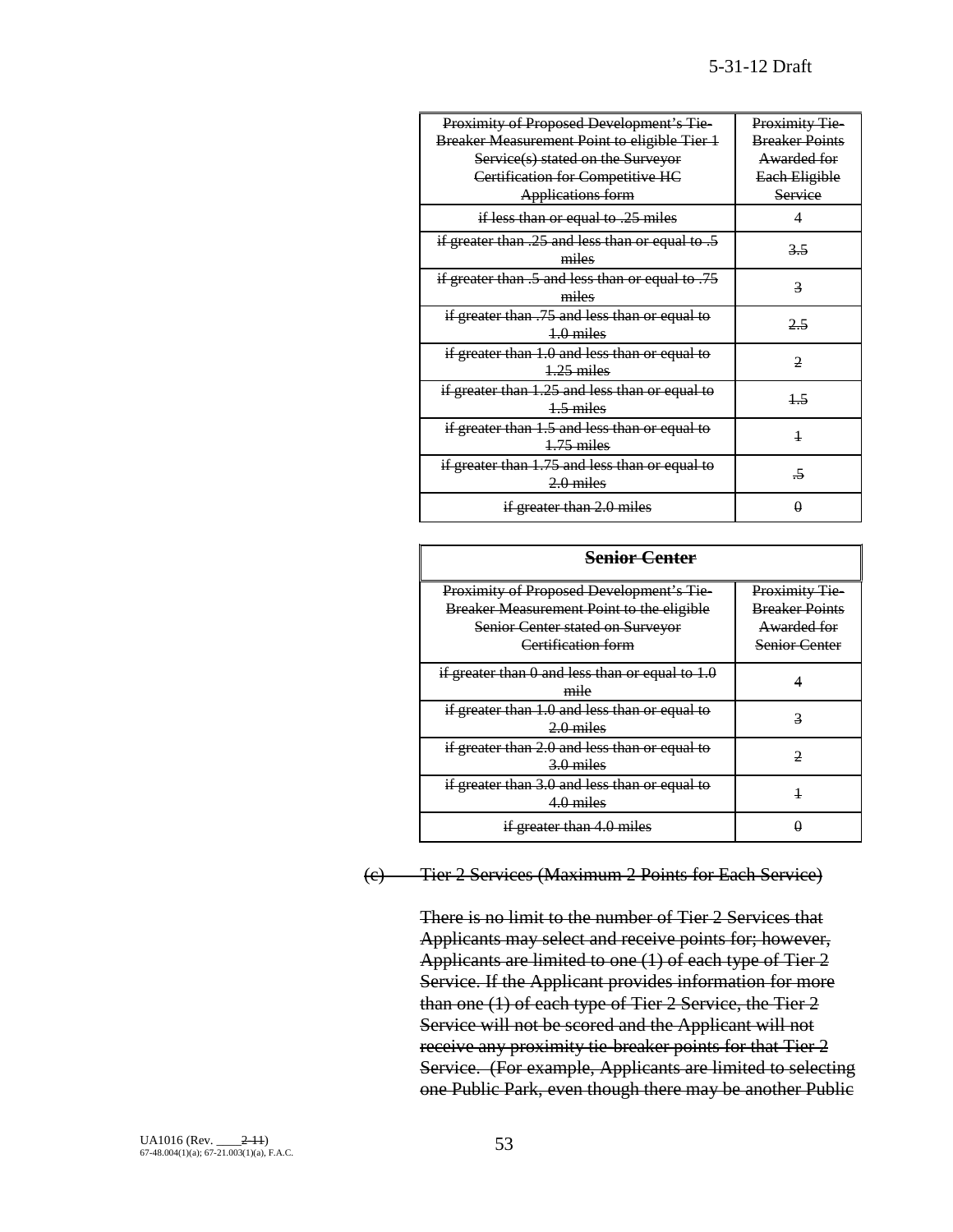| Proximity of Proposed Development's Tie-            | Proximity Tie-        |
|-----------------------------------------------------|-----------------------|
| <b>Breaker Measurement Point to eligible Tier 1</b> | <b>Breaker Points</b> |
| Service(s) stated on the Surveyor                   | Awarded for           |
| Certification for Competitive HC                    | Each Eligible         |
| <b>Applications form</b>                            | Service               |
| if less than or equal to .25 miles                  | 4                     |
| if greater than .25 and less than or equal to .5    | 3.5                   |
| miles                                               |                       |
| if greater than .5 and less than or equal to .75    | 3                     |
| miles                                               |                       |
| if greater than .75 and less than or equal to       | 2.5                   |
| $4.0$ miles                                         |                       |
| if greater than 1.0 and less than or equal to       | 2                     |
| $1.25$ miles                                        |                       |
| if greater than 1.25 and less than or equal to      | $\overline{15}$       |
| $4.5$ miles                                         |                       |
| if greater than 1.5 and less than or equal to       | $\overline{1}$        |
| $1.75$ miles                                        |                       |
| if greater than 1.75 and less than or equal to      | -5                    |
| $2.0$ miles                                         |                       |
| if greater than 2.0 miles                           |                       |

| <b>Senior Center</b>                                                                                                                                          |                                                                                      |  |  |
|---------------------------------------------------------------------------------------------------------------------------------------------------------------|--------------------------------------------------------------------------------------|--|--|
| <b>Proximity of Proposed Development's Tie-</b><br>Breaker Measurement Point to the eligible<br><b>Senior Center stated on Surveyor</b><br>Certification form | <b>Proximity Tie</b><br><b>Breaker Points</b><br>Awarded for<br><b>Senior Center</b> |  |  |
| if greater than 0 and less than or equal to 1.0<br>mile                                                                                                       |                                                                                      |  |  |
| if greater than 1.0 and less than or equal to<br>$2.0$ miles                                                                                                  |                                                                                      |  |  |
| if greater than 2.0 and less than or equal to<br>3.0 miles                                                                                                    |                                                                                      |  |  |
| if greater than 3.0 and less than or equal to<br>$4.0$ miles                                                                                                  |                                                                                      |  |  |
| if greater than 4.0 miles                                                                                                                                     |                                                                                      |  |  |

# (c) Tier 2 Services (Maximum 2 Points for Each Service)

There is no limit to the number of Tier 2 Services that Applicants may select and receive points for; however, Applicants are limited to one (1) of each type of Tier 2 Service. If the Applicant provides information for more than one (1) of each type of Tier 2 Service, the Tier 2 Service will not be scored and the Applicant will not receive any proximity tie-breaker points for that Tier 2 Service. (For example, Applicants are limited to selecting one Public Park, even though there may be another Public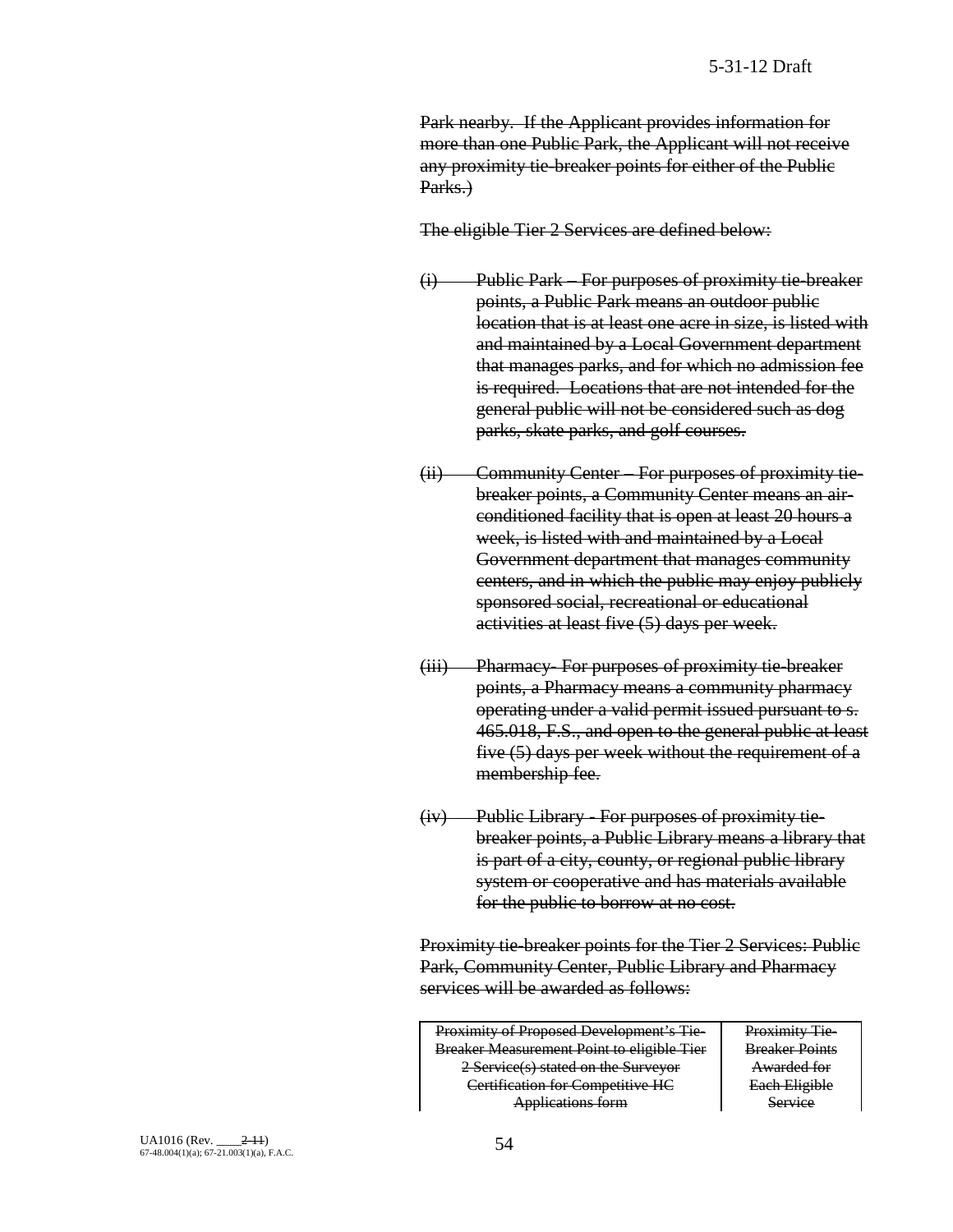Park nearby. If the Applicant provides information for more than one Public Park, the Applicant will not receive any proximity tie-breaker points for either of the Public Parks.)

The eligible Tier 2 Services are defined below:

- (i) Public Park For purposes of proximity tie-breaker points, a Public Park means an outdoor public location that is at least one acre in size, is listed with and maintained by a Local Government department that manages parks, and for which no admission fee is required. Locations that are not intended for the general public will not be considered such as dog parks, skate parks, and golf courses.
- (ii) Community Center For purposes of proximity tiebreaker points, a Community Center means an airconditioned facility that is open at least 20 hours a week, is listed with and maintained by a Local Government department that manages community centers, and in which the public may enjoy publicly sponsored social, recreational or educational activities at least five (5) days per week.
- (iii) Pharmacy- For purposes of proximity tie-breaker points, a Pharmacy means a community pharmacy operating under a valid permit issued pursuant to s. 465.018, F.S., and open to the general public at least five (5) days per week without the requirement of a membership fee.
- (iv) Public Library For purposes of proximity tiebreaker points, a Public Library means a library that is part of a city, county, or regional public library system or cooperative and has materials available for the public to borrow at no cost.

Proximity tie-breaker points for the Tier 2 Services: Public Park, Community Center, Public Library and Pharmacy services will be awarded as follows:

Proximity of Proposed Development's Tie-Breaker Measurement Point to eligible Tier 2 Service(s) stated on the Surveyor Certification for Competitive HC Applications form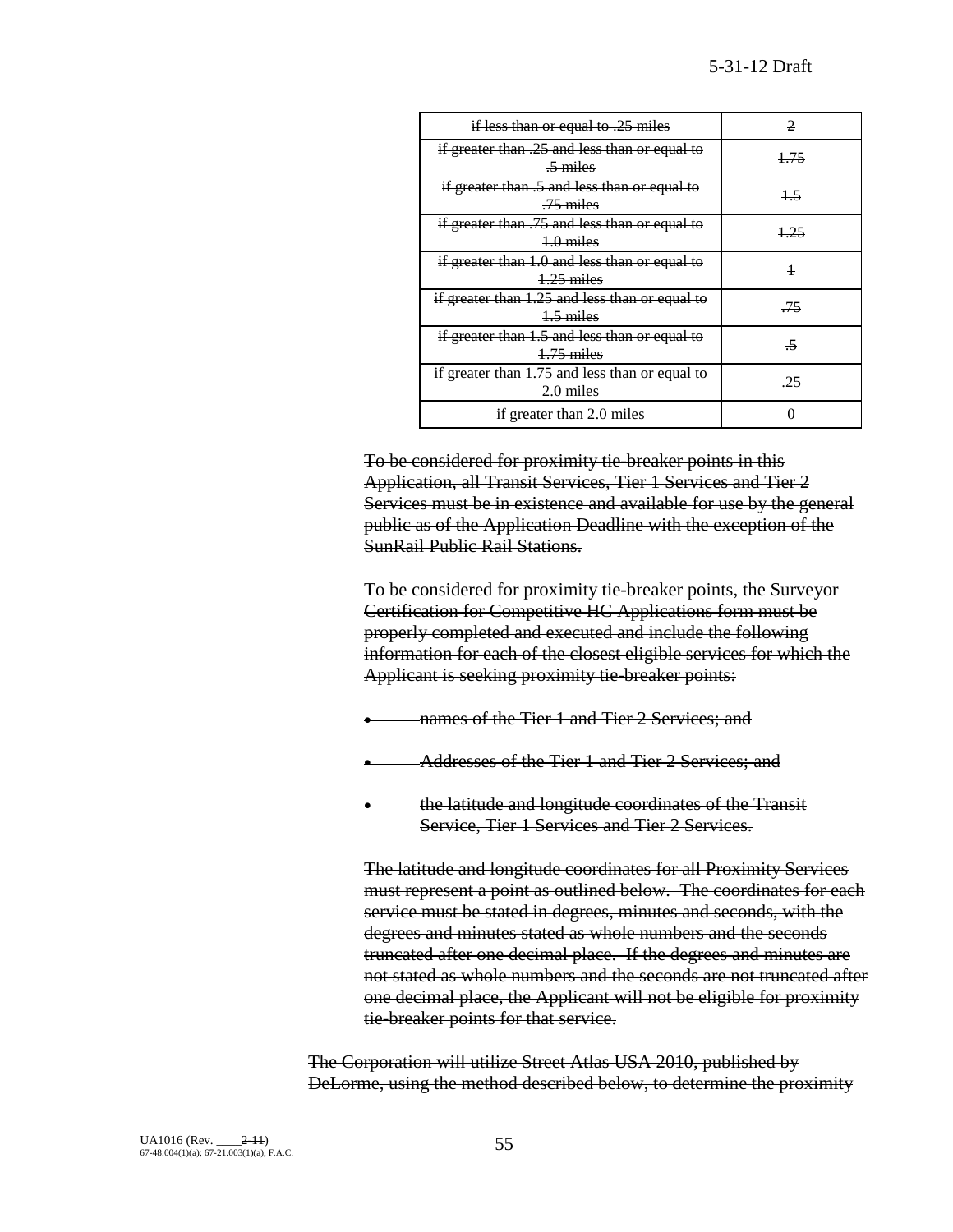| if less than or equal to .25 miles                                   |      |
|----------------------------------------------------------------------|------|
| if greater than .25 and less than or equal to<br>$\frac{5}{2}$ miles | 1.75 |
| if greater than .5 and less than or equal to<br>$-75$ miles          |      |
| if greater than .75 and less than or equal to<br>$4.0$ miles         |      |
| if greater than 1.0 and less than or equal to<br>$1.25$ miles        | 1    |
| if greater than 1.25 and less than or equal to<br>$4.5$ miles        | 75   |
| if greater than 1.5 and less than or equal to<br>$1.75$ miles        |      |
| if greater than 1.75 and less than or equal to<br>$2.0$ miles        |      |
| if greater than 2.0 miles                                            |      |

To be considered for proximity tie-breaker points in this Application, all Transit Services, Tier 1 Services and Tier 2 Services must be in existence and available for use by the general public as of the Application Deadline with the exception of the SunRail Public Rail Stations.

To be considered for proximity tie-breaker points, the Surveyor Certification for Competitive HC Applications form must be properly completed and executed and include the following information for each of the closest eligible services for which the Applicant is seeking proximity tie-breaker points:

- hames of the Tier 1 and Tier 2 Services; and
- Addresses of the Tier 1 and Tier 2 Services; and
- the latitude and longitude coordinates of the Transit Service, Tier 1 Services and Tier 2 Services.

The latitude and longitude coordinates for all Proximity Services must represent a point as outlined below. The coordinates for each service must be stated in degrees, minutes and seconds, with the degrees and minutes stated as whole numbers and the seconds truncated after one decimal place. If the degrees and minutes are not stated as whole numbers and the seconds are not truncated after one decimal place, the Applicant will not be eligible for proximity tie-breaker points for that service.

The Corporation will utilize Street Atlas USA 2010, published by DeLorme, using the method described below, to determine the proximity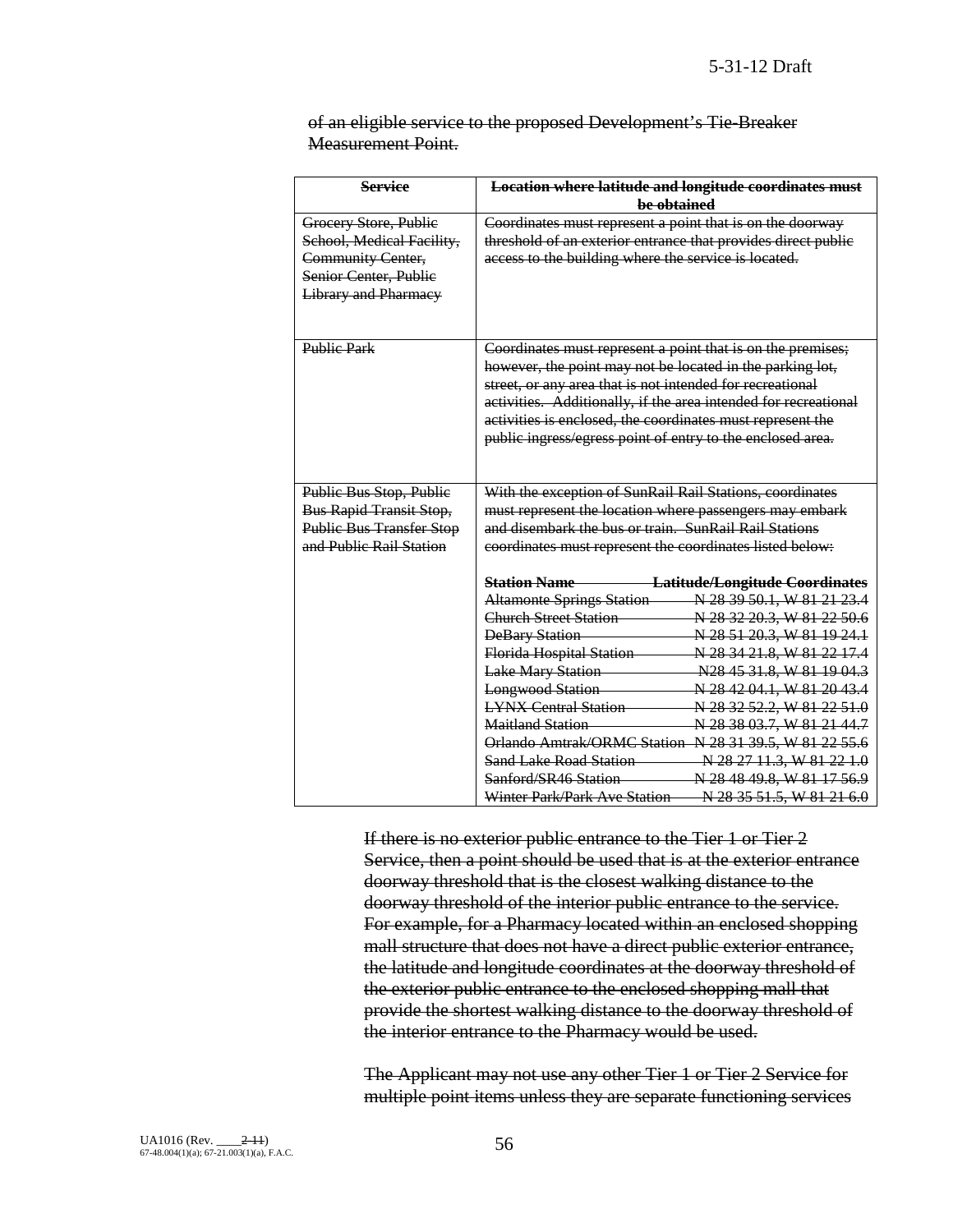|                           |  | of an eligible service to the proposed Development's Tie-Breaker |  |
|---------------------------|--|------------------------------------------------------------------|--|
| <b>Measurement Point.</b> |  |                                                                  |  |

| <b>Service</b>                  | <b>Location where latitude and longitude coordinates must</b>   |  |  |
|---------------------------------|-----------------------------------------------------------------|--|--|
|                                 | be obtained                                                     |  |  |
| Grocery Store, Public           | Coordinates must represent a point that is on the doorway       |  |  |
| School, Medical Facility,       | threshold of an exterior entrance that provides direct public   |  |  |
| <b>Community Center,</b>        | access to the building where the service is located.            |  |  |
| Senior Center, Public           |                                                                 |  |  |
| Library and Pharmacy            |                                                                 |  |  |
|                                 |                                                                 |  |  |
|                                 |                                                                 |  |  |
| <b>Public Park</b>              | Coordinates must represent a point that is on the premises;     |  |  |
|                                 | however, the point may not be located in the parking lot,       |  |  |
|                                 | street, or any area that is not intended for recreational       |  |  |
|                                 | activities. Additionally, if the area intended for recreational |  |  |
|                                 | activities is enclosed, the coordinates must represent the      |  |  |
|                                 | public ingress/egress point of entry to the enclosed area.      |  |  |
|                                 |                                                                 |  |  |
|                                 |                                                                 |  |  |
| Public Bus Stop, Public         | With the exception of SunRail Rail Stations, coordinates        |  |  |
| <b>Bus Rapid Transit Stop,</b>  | must represent the location where passengers may embark         |  |  |
| <b>Public Bus Transfer Stop</b> | and disembark the bus or train. SunRail Rail Stations           |  |  |
| and Public Rail Station         | coordinates must represent the coordinates listed below:        |  |  |
|                                 | Latitude/Longitude Coordinates<br><b>Station Name</b>           |  |  |
|                                 | <b>Altamonte Springs Station</b><br>N 28 39 50.1, W 81 21 23.4  |  |  |
|                                 | <b>Church Street Station</b><br>N 28 32 20.3, W 81 22 50.6      |  |  |
|                                 | <b>DeBary Station</b><br>N 28 51 20.3, W 81 19 24.1             |  |  |
|                                 | Florida Hospital Station<br>N 28 34 21.8, W 81 22 17.4          |  |  |
|                                 | <b>Lake Mary Station</b><br>$-N28$ 45 31.8, W 81 19 04.3        |  |  |
|                                 | <b>Longwood Station</b><br>N 28 42 04.1, W 81 20 43.4           |  |  |
|                                 | <b>LYNX Central Station</b><br>N 28 32 52.2, W 81 22 51.0       |  |  |
|                                 | Maitland Station<br>N 28 38 03.7, W 81 21 44.7                  |  |  |
|                                 | <b>Orlando Amtrak/ORMC Station N 28 31 39.5, W 81 22 55.6</b>   |  |  |
|                                 | <b>Sand Lake Road Station</b><br>N 28 27 11.3, W 81 22 1.0      |  |  |
|                                 | Sanford/SR46 Station<br>N 28 48 49.8, W 81 17 56.9              |  |  |
|                                 | Winter Park/Park Ave Station<br>N 28 35 51.5, W 81 21 6.0       |  |  |

If there is no exterior public entrance to the Tier 1 or Tier 2 Service, then a point should be used that is at the exterior entrance doorway threshold that is the closest walking distance to the doorway threshold of the interior public entrance to the service. For example, for a Pharmacy located within an enclosed shopping mall structure that does not have a direct public exterior entrance, the latitude and longitude coordinates at the doorway threshold of the exterior public entrance to the enclosed shopping mall that provide the shortest walking distance to the doorway threshold of the interior entrance to the Pharmacy would be used.

The Applicant may not use any other Tier 1 or Tier 2 Service for multiple point items unless they are separate functioning services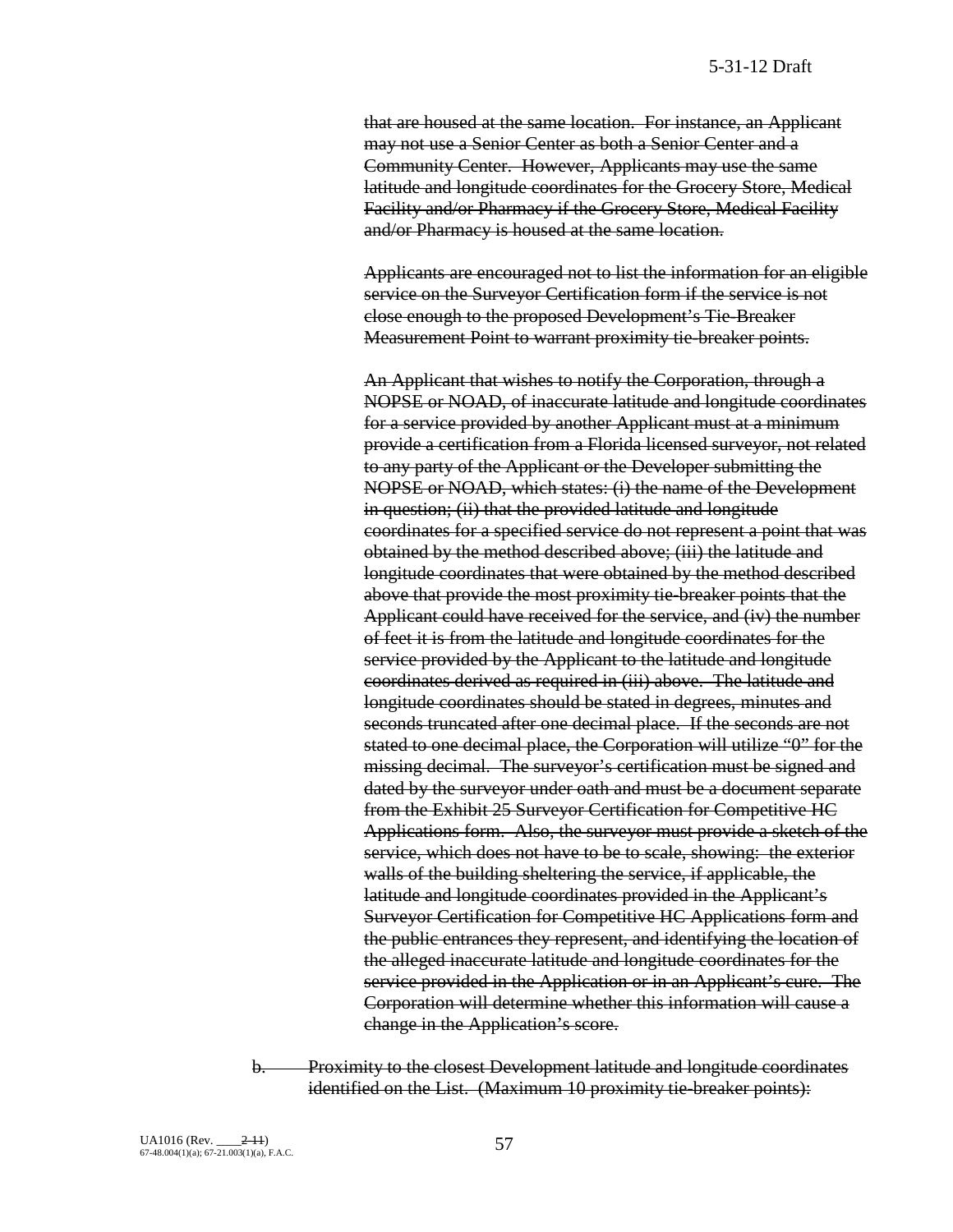that are housed at the same location. For instance, an Applicant may not use a Senior Center as both a Senior Center and a Community Center. However, Applicants may use the same latitude and longitude coordinates for the Grocery Store, Medical Facility and/or Pharmacy if the Grocery Store, Medical Facility and/or Pharmacy is housed at the same location.

Applicants are encouraged not to list the information for an eligible service on the Surveyor Certification form if the service is not close enough to the proposed Development's Tie-Breaker Measurement Point to warrant proximity tie-breaker points.

An Applicant that wishes to notify the Corporation, through a NOPSE or NOAD, of inaccurate latitude and longitude coordinates for a service provided by another Applicant must at a minimum provide a certification from a Florida licensed surveyor, not related to any party of the Applicant or the Developer submitting the NOPSE or NOAD, which states: (i) the name of the Development in question; (ii) that the provided latitude and longitude coordinates for a specified service do not represent a point that was obtained by the method described above; (iii) the latitude and longitude coordinates that were obtained by the method described above that provide the most proximity tie-breaker points that the Applicant could have received for the service, and (iv) the number of feet it is from the latitude and longitude coordinates for the service provided by the Applicant to the latitude and longitude coordinates derived as required in (iii) above. The latitude and longitude coordinates should be stated in degrees, minutes and seconds truncated after one decimal place. If the seconds are not stated to one decimal place, the Corporation will utilize "0" for the missing decimal. The surveyor's certification must be signed and dated by the surveyor under oath and must be a document separate from the Exhibit 25 Surveyor Certification for Competitive HC Applications form. Also, the surveyor must provide a sketch of the service, which does not have to be to scale, showing: the exterior walls of the building sheltering the service, if applicable, the latitude and longitude coordinates provided in the Applicant's Surveyor Certification for Competitive HC Applications form and the public entrances they represent, and identifying the location of the alleged inaccurate latitude and longitude coordinates for the service provided in the Application or in an Applicant's cure. The Corporation will determine whether this information will cause a change in the Application's score.

b. Proximity to the closest Development latitude and longitude coordinates identified on the List. (Maximum 10 proximity tie-breaker points):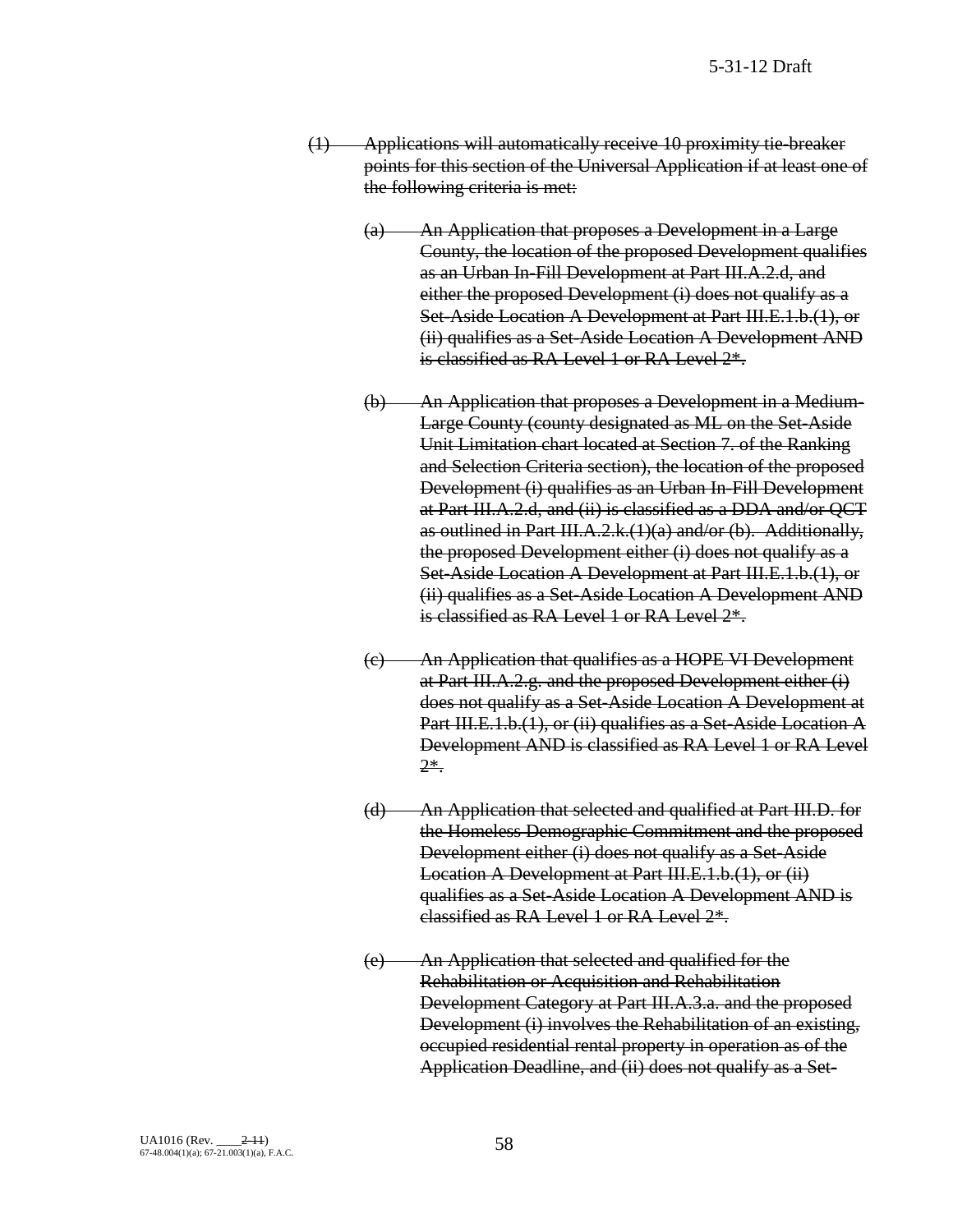- (1) Applications will automatically receive 10 proximity tie-breaker points for this section of the Universal Application if at least one of the following criteria is met:
	- (a) An Application that proposes a Development in a Large County, the location of the proposed Development qualifies as an Urban In-Fill Development at Part III.A.2.d, and either the proposed Development (i) does not qualify as a Set-Aside Location A Development at Part III.E.1.b.(1), or (ii) qualifies as a Set-Aside Location A Development AND is classified as RA Level 1 or RA Level  $2^*$ .
	- (b) An Application that proposes a Development in a Medium-Large County (county designated as ML on the Set-Aside Unit Limitation chart located at Section 7. of the Ranking and Selection Criteria section), the location of the proposed Development (i) qualifies as an Urban In-Fill Development at Part III.A.2.d, and (ii) is classified as a DDA and/or QCT as outlined in Part III.A.2.k. $(1)(a)$  and/or (b). Additionally, the proposed Development either (i) does not qualify as a Set-Aside Location A Development at Part III.E.1.b.(1), or (ii) qualifies as a Set-Aside Location A Development AND is classified as RA Level 1 or RA Level  $2^*$ .
	- (c) An Application that qualifies as a HOPE VI Development at Part III.A.2.g. and the proposed Development either (i) does not qualify as a Set-Aside Location A Development at Part III.E.1.b.(1), or (ii) qualifies as a Set-Aside Location A Development AND is classified as RA Level 1 or RA Level 2\*.
	- (d) An Application that selected and qualified at Part III.D. for the Homeless Demographic Commitment and the proposed Development either (i) does not qualify as a Set-Aside Location A Development at Part III.E.1.b.(1), or (ii) qualifies as a Set-Aside Location A Development AND is classified as RA Level 1 or RA Level 2\*.
	- (e) An Application that selected and qualified for the Rehabilitation or Acquisition and Rehabilitation Development Category at Part III.A.3.a. and the proposed Development (i) involves the Rehabilitation of an existing, occupied residential rental property in operation as of the Application Deadline, and (ii) does not qualify as a Set-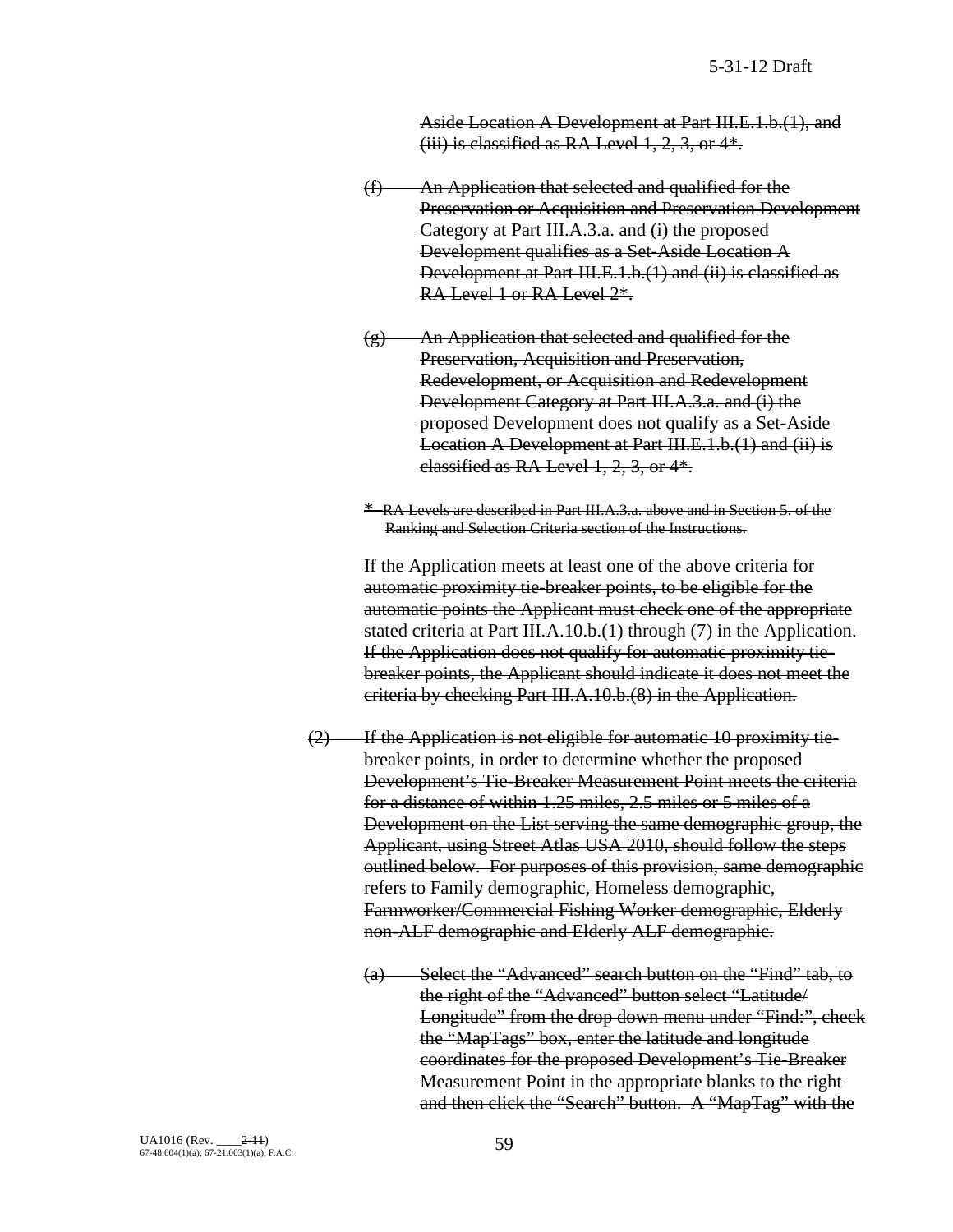Aside Location A Development at Part III.E.1.b.(1), and  $(iii)$  is classified as RA Level 1, 2, 3, or  $4*$ .

- (f) An Application that selected and qualified for the Preservation or Acquisition and Preservation Development Category at Part III.A.3.a. and (i) the proposed Development qualifies as a Set-Aside Location A Development at Part III.E.1.b.(1) and (ii) is classified as RA Level 1 or RA Level 2\*.
- (g) An Application that selected and qualified for the Preservation, Acquisition and Preservation, Redevelopment, or Acquisition and Redevelopment Development Category at Part III.A.3.a. and (i) the proposed Development does not qualify as a Set-Aside Location A Development at Part III.E.1.b.(1) and (ii) is classified as RA Level 1, 2, 3, or 4\*.
- \* RA Levels are described in Part III.A.3.a. above and in Section 5. of the Ranking and Selection Criteria section of the Instructions.

If the Application meets at least one of the above criteria for automatic proximity tie-breaker points, to be eligible for the automatic points the Applicant must check one of the appropriate stated criteria at Part III.A.10.b.(1) through (7) in the Application. If the Application does not qualify for automatic proximity tiebreaker points, the Applicant should indicate it does not meet the criteria by checking Part III.A.10.b.(8) in the Application.

- $(2)$  If the Application is not eligible for automatic 10 proximity tiebreaker points, in order to determine whether the proposed Development's Tie-Breaker Measurement Point meets the criteria for a distance of within 1.25 miles, 2.5 miles or 5 miles of a Development on the List serving the same demographic group, the Applicant, using Street Atlas USA 2010, should follow the steps outlined below. For purposes of this provision, same demographic refers to Family demographic, Homeless demographic, Farmworker/Commercial Fishing Worker demographic, Elderly non-ALF demographic and Elderly ALF demographic.
	- (a) Select the "Advanced" search button on the "Find" tab, to the right of the "Advanced" button select "Latitude/ Longitude" from the drop down menu under "Find:", check the "MapTags" box, enter the latitude and longitude coordinates for the proposed Development's Tie-Breaker Measurement Point in the appropriate blanks to the right and then click the "Search" button. A "MapTag" with the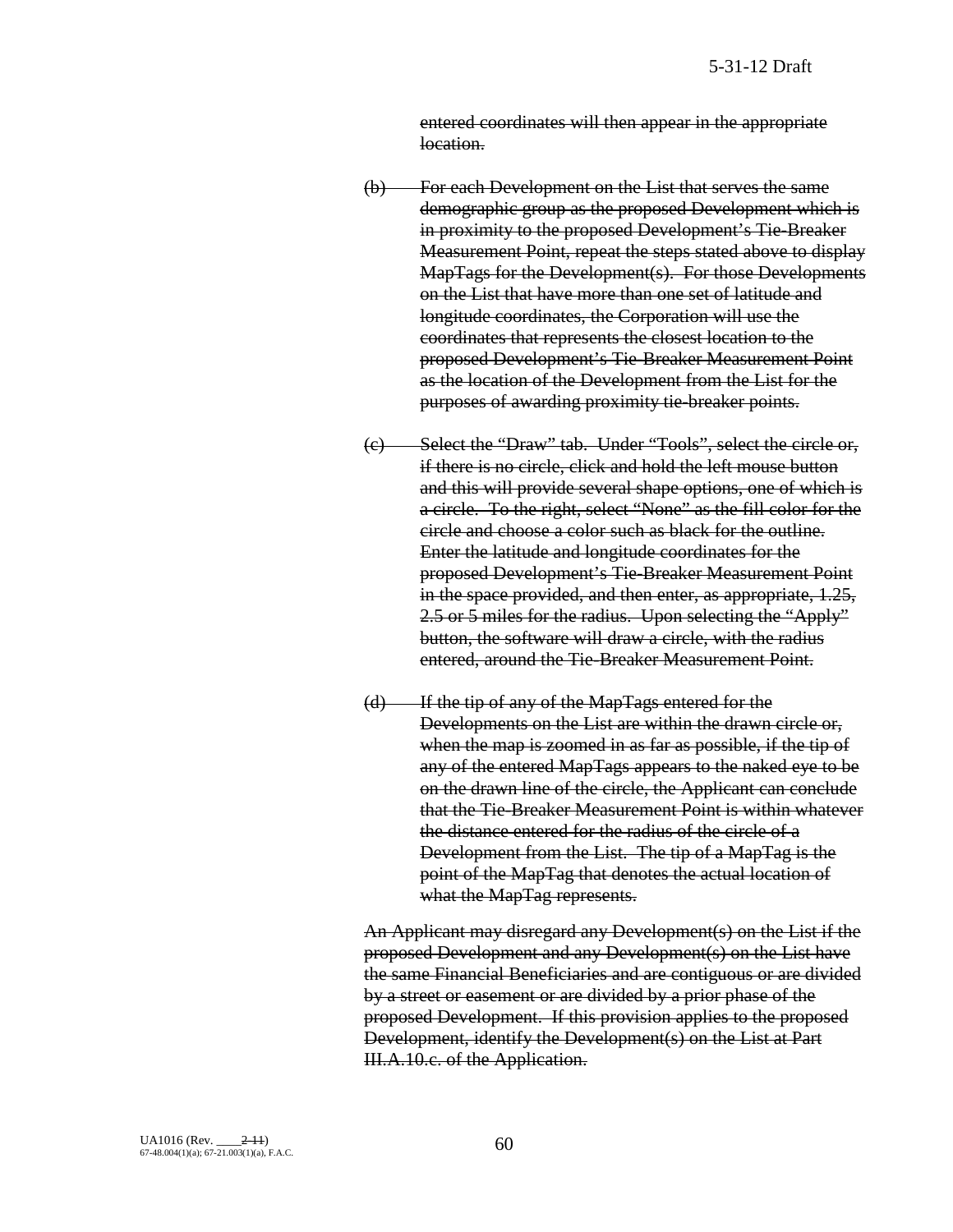entered coordinates will then appear in the appropriate location.

- (b) For each Development on the List that serves the same demographic group as the proposed Development which is in proximity to the proposed Development's Tie-Breaker Measurement Point, repeat the steps stated above to display MapTags for the Development(s). For those Developments on the List that have more than one set of latitude and longitude coordinates, the Corporation will use the coordinates that represents the closest location to the proposed Development's Tie-Breaker Measurement Point as the location of the Development from the List for the purposes of awarding proximity tie-breaker points.
- (c) Select the "Draw" tab. Under "Tools", select the circle or, if there is no circle, click and hold the left mouse button and this will provide several shape options, one of which is a circle. To the right, select "None" as the fill color for the circle and choose a color such as black for the outline. Enter the latitude and longitude coordinates for the proposed Development's Tie-Breaker Measurement Point in the space provided, and then enter, as appropriate, 1.25, 2.5 or 5 miles for the radius. Upon selecting the "Apply" button, the software will draw a circle, with the radius entered, around the Tie-Breaker Measurement Point.
- (d) If the tip of any of the MapTags entered for the Developments on the List are within the drawn circle or, when the map is zoomed in as far as possible, if the tip of any of the entered MapTags appears to the naked eye to be on the drawn line of the circle, the Applicant can conclude that the Tie-Breaker Measurement Point is within whatever the distance entered for the radius of the circle of a Development from the List. The tip of a MapTag is the point of the MapTag that denotes the actual location of what the MapTag represents.

An Applicant may disregard any Development(s) on the List if the proposed Development and any Development(s) on the List have the same Financial Beneficiaries and are contiguous or are divided by a street or easement or are divided by a prior phase of the proposed Development. If this provision applies to the proposed Development, identify the Development(s) on the List at Part III.A.10.c. of the Application.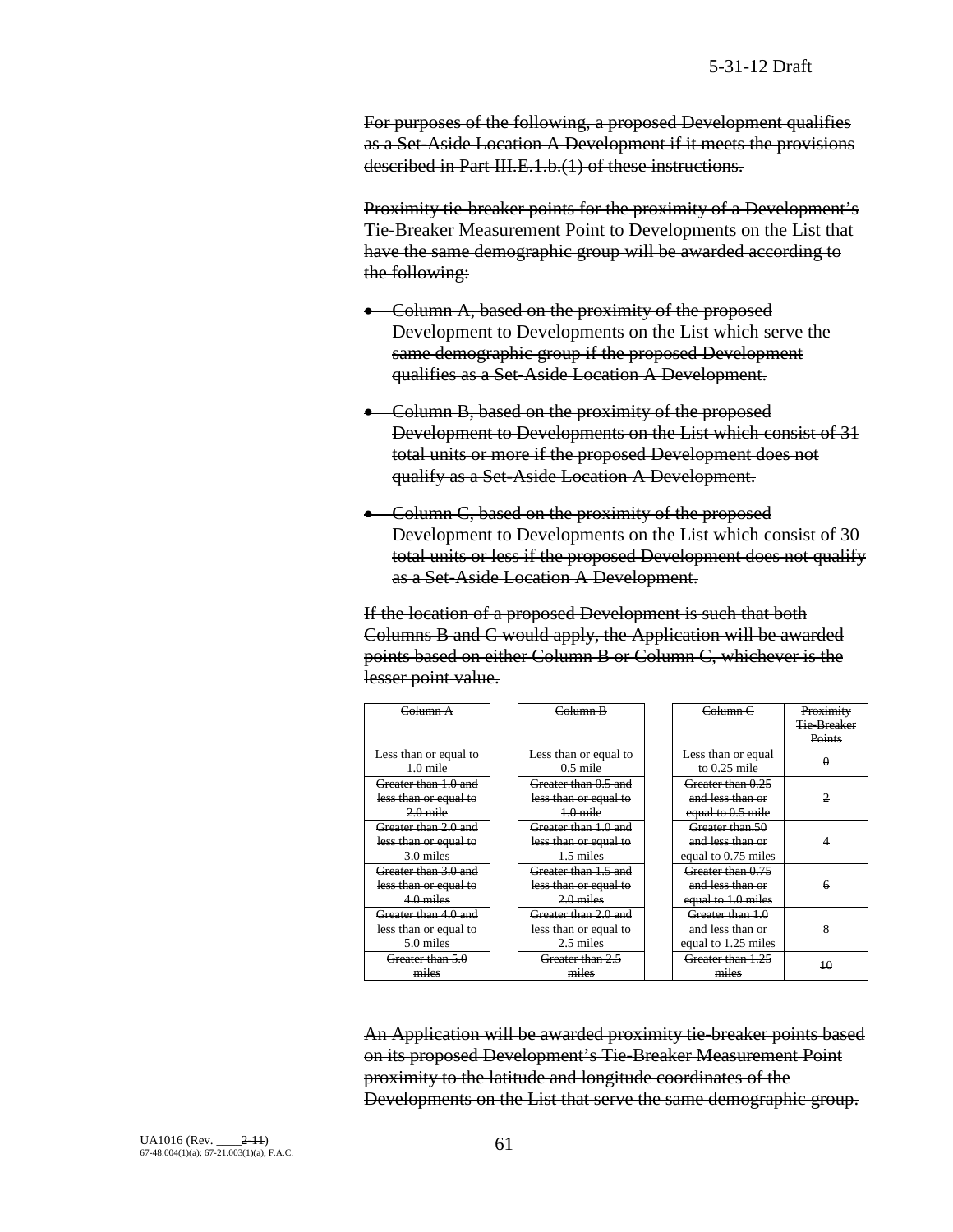For purposes of the following, a proposed Development qualifies as a Set-Aside Location A Development if it meets the provisions described in Part III.E.1.b.(1) of these instructions.

Proximity tie-breaker points for the proximity of a Development's Tie-Breaker Measurement Point to Developments on the List that have the same demographic group will be awarded according to the following:

- Column A, based on the proximity of the proposed Development to Developments on the List which serve the same demographic group if the proposed Development qualifies as a Set-Aside Location A Development.
- Column B, based on the proximity of the proposed Development to Developments on the List which consist of 31 total units or more if the proposed Development does not qualify as a Set-Aside Location A Development.
- Column C, based on the proximity of the proposed Development to Developments on the List which consist of 30 total units or less if the proposed Development does not qualify as a Set-Aside Location A Development.

If the location of a proposed Development is such that both Columns B and C would apply, the Application will be awarded points based on either Column B or Column C, whichever is the lesser point value.

| Column <sub>A</sub>   | Column B              | Column <sub>C</sub> | Proximity          |
|-----------------------|-----------------------|---------------------|--------------------|
|                       |                       |                     | <b>Tie-Breaker</b> |
|                       |                       |                     | Points             |
| Less than or equal to | Less than or equal to | Less than or equal  |                    |
| $1.0$ mile            | $0.5$ mile            | to $0.25$ mile      |                    |
| Greater than 1.0 and  | Greater than 0.5 and  | Greater than 0.25   |                    |
| less than or equal to | less than or equal to | and less than or    | 2                  |
| $2.0$ mile            | $1.0$ mile            | equal to 0.5 mile   |                    |
| Greater than 2.0 and  | Greater than 1.0 and  | Greater than.50     |                    |
| less than or equal to | less than or equal to | and less than or    |                    |
| $3.0$ miles           | $1.5$ miles           | equal to 0.75 miles |                    |
| Greater than 3.0 and  | Greater than 1.5 and  | Greater than 0.75   |                    |
| less than or equal to | less than or equal to | and less than or    | 6                  |
| 4.0 miles             | $2.0$ miles           | equal to 1.0 miles  |                    |
| Greater than 4.0 and  | Greater than 2.0 and  | Greater than 1.0    |                    |
| less than or equal to | less than or equal to | and less than or    | 8                  |
| $5.0$ miles           | $2.5$ miles           | equal to 1.25 miles |                    |
| Greater than 5.0      | Greater than 2.5      | Greater than 1.25   | 10                 |
| miles                 | miles                 | miles               |                    |

An Application will be awarded proximity tie-breaker points based on its proposed Development's Tie-Breaker Measurement Point proximity to the latitude and longitude coordinates of the Developments on the List that serve the same demographic group.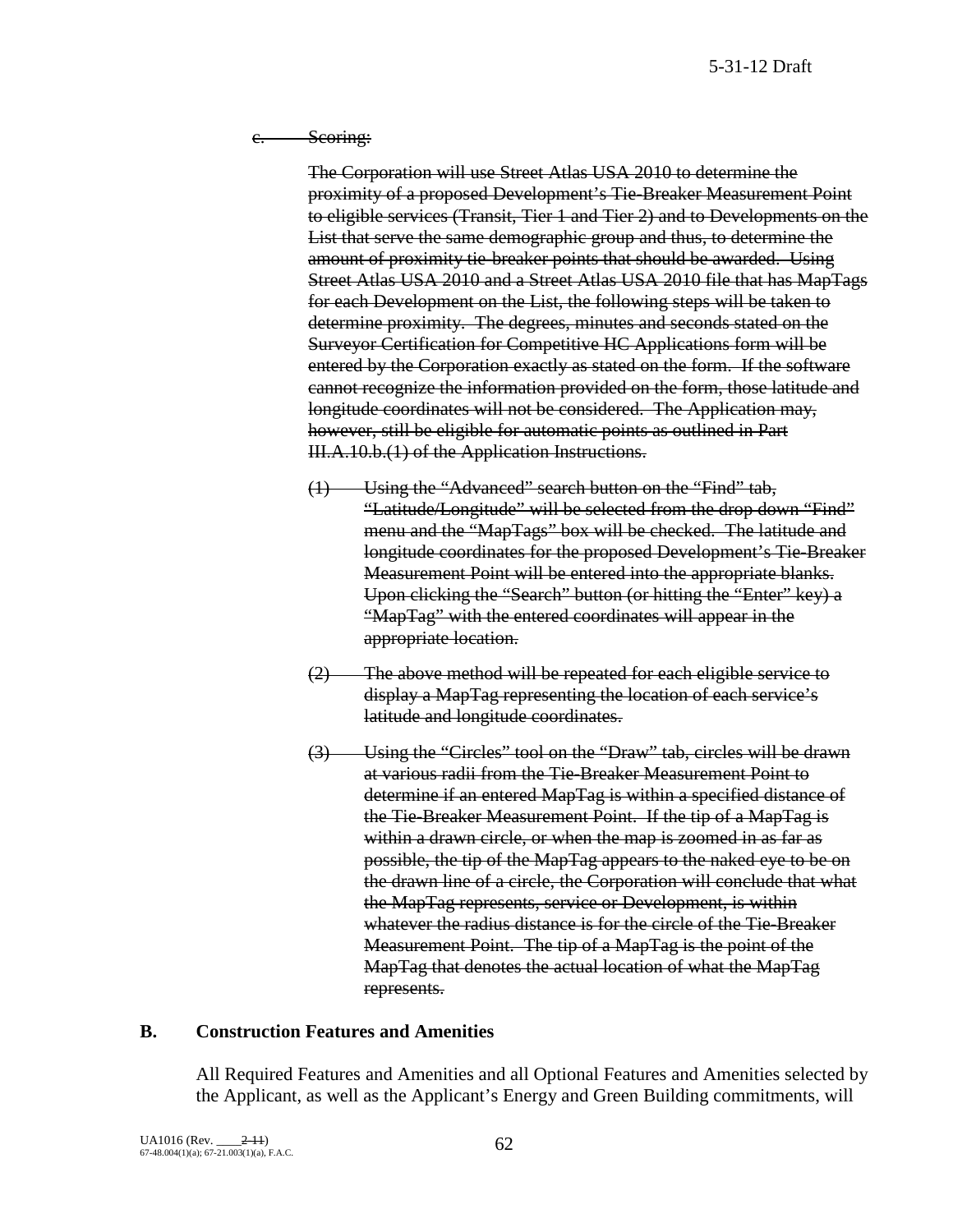5-31-12 Draft

e. Seoring:

The Corporation will use Street Atlas USA 2010 to determine the proximity of a proposed Development's Tie-Breaker Measurement Point to eligible services (Transit, Tier 1 and Tier 2) and to Developments on the List that serve the same demographic group and thus, to determine the amount of proximity tie-breaker points that should be awarded. Using Street Atlas USA 2010 and a Street Atlas USA 2010 file that has MapTags for each Development on the List, the following steps will be taken to determine proximity. The degrees, minutes and seconds stated on the Surveyor Certification for Competitive HC Applications form will be entered by the Corporation exactly as stated on the form. If the software cannot recognize the information provided on the form, those latitude and longitude coordinates will not be considered. The Application may, however, still be eligible for automatic points as outlined in Part III.A.10.b.(1) of the Application Instructions.

- (1) Using the "Advanced" search button on the "Find" tab, "Latitude/Longitude" will be selected from the drop down "Find" menu and the "MapTags" box will be checked. The latitude and longitude coordinates for the proposed Development's Tie-Breaker Measurement Point will be entered into the appropriate blanks. Upon clicking the "Search" button (or hitting the "Enter" key) a "MapTag" with the entered coordinates will appear in the appropriate location.
- (2) The above method will be repeated for each eligible service to display a MapTag representing the location of each service's latitude and longitude coordinates.
- (3) Using the "Circles" tool on the "Draw" tab, circles will be drawn at various radii from the Tie-Breaker Measurement Point to determine if an entered MapTag is within a specified distance of the Tie-Breaker Measurement Point. If the tip of a MapTag is within a drawn circle, or when the map is zoomed in as far as possible, the tip of the MapTag appears to the naked eye to be on the drawn line of a circle, the Corporation will conclude that what the MapTag represents, service or Development, is within whatever the radius distance is for the circle of the Tie-Breaker Measurement Point. The tip of a MapTag is the point of the MapTag that denotes the actual location of what the MapTag represents.

### **B. Construction Features and Amenities**

All Required Features and Amenities and all Optional Features and Amenities selected by the Applicant, as well as the Applicant's Energy and Green Building commitments, will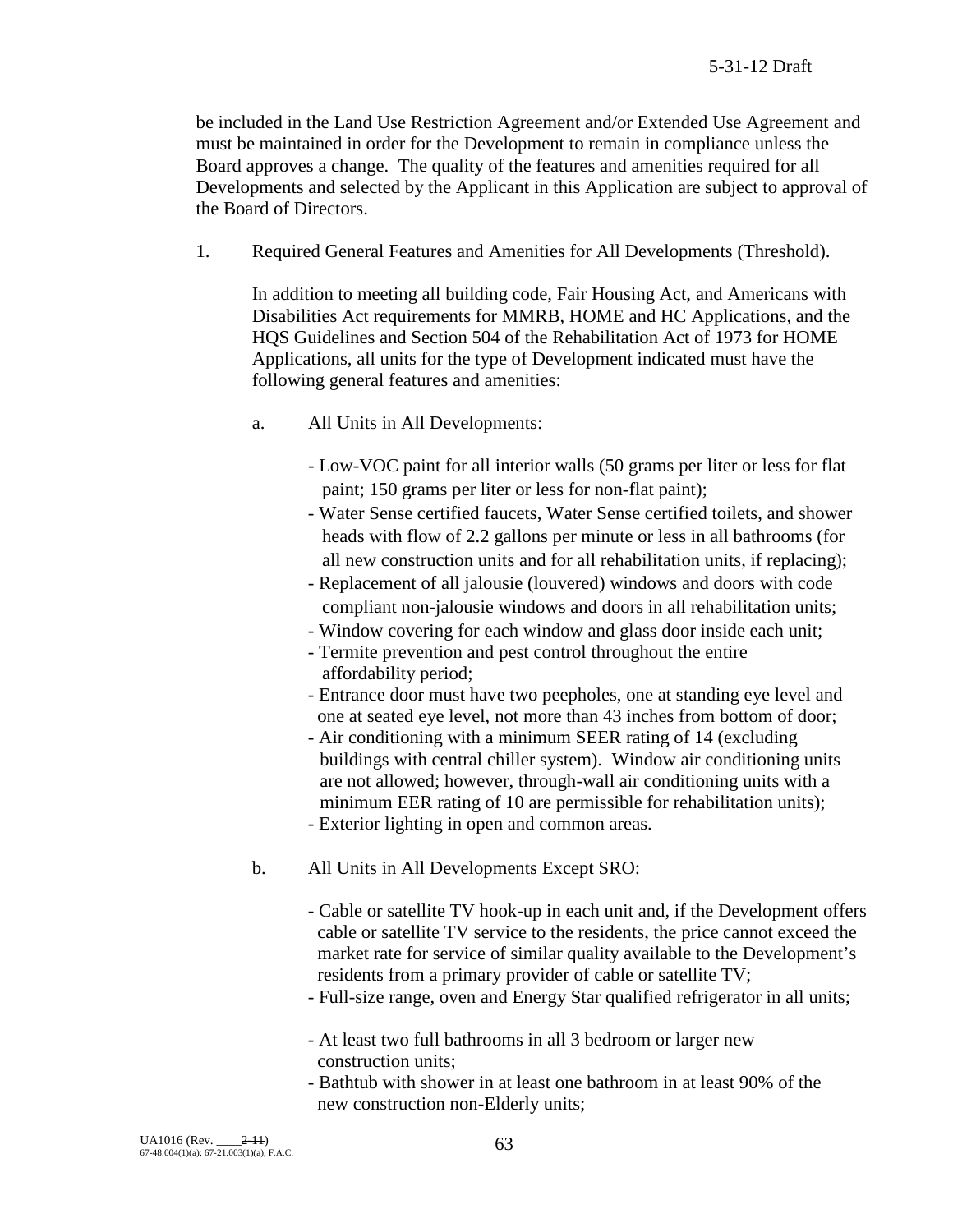be included in the Land Use Restriction Agreement and/or Extended Use Agreement and must be maintained in order for the Development to remain in compliance unless the Board approves a change. The quality of the features and amenities required for all Developments and selected by the Applicant in this Application are subject to approval of the Board of Directors.

1. Required General Features and Amenities for All Developments (Threshold).

In addition to meeting all building code, Fair Housing Act, and Americans with Disabilities Act requirements for MMRB, HOME and HC Applications, and the HQS Guidelines and Section 504 of the Rehabilitation Act of 1973 for HOME Applications, all units for the type of Development indicated must have the following general features and amenities:

- a. All Units in All Developments:
	- Low-VOC paint for all interior walls (50 grams per liter or less for flat paint; 150 grams per liter or less for non-flat paint);
	- Water Sense certified faucets, Water Sense certified toilets, and shower heads with flow of 2.2 gallons per minute or less in all bathrooms (for all new construction units and for all rehabilitation units, if replacing);
	- Replacement of all jalousie (louvered) windows and doors with code compliant non-jalousie windows and doors in all rehabilitation units;
	- Window covering for each window and glass door inside each unit;
	- Termite prevention and pest control throughout the entire affordability period;
	- Entrance door must have two peepholes, one at standing eye level and one at seated eye level, not more than 43 inches from bottom of door;
	- Air conditioning with a minimum SEER rating of 14 (excluding buildings with central chiller system). Window air conditioning units are not allowed; however, through-wall air conditioning units with a minimum EER rating of 10 are permissible for rehabilitation units); - Exterior lighting in open and common areas.
- b. All Units in All Developments Except SRO:
	- Cable or satellite TV hook-up in each unit and, if the Development offers cable or satellite TV service to the residents, the price cannot exceed the market rate for service of similar quality available to the Development's residents from a primary provider of cable or satellite TV;
	- Full-size range, oven and Energy Star qualified refrigerator in all units;
	- At least two full bathrooms in all 3 bedroom or larger new construction units;
	- Bathtub with shower in at least one bathroom in at least 90% of the new construction non-Elderly units;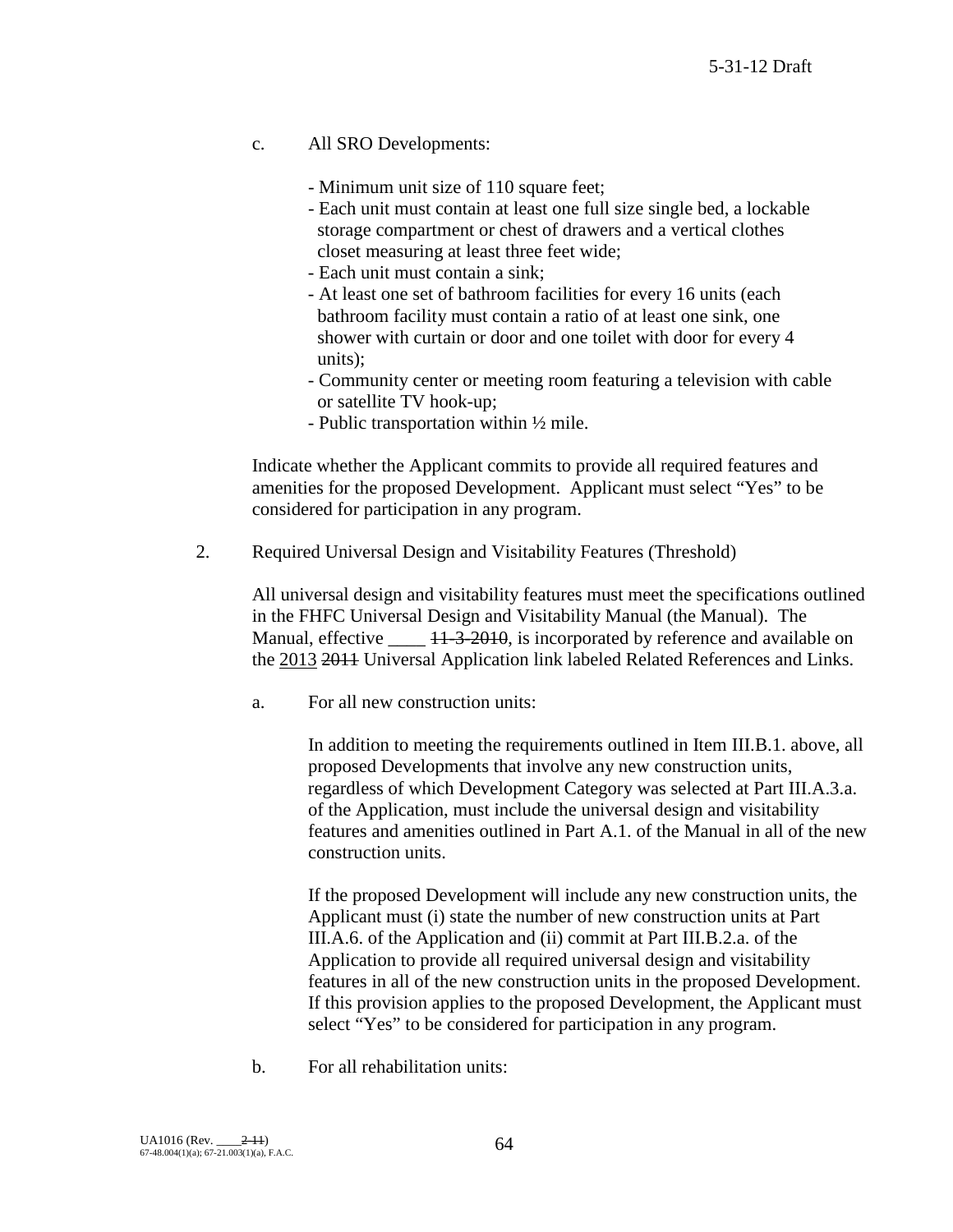c. All SRO Developments:

- Minimum unit size of 110 square feet;

- Each unit must contain at least one full size single bed, a lockable storage compartment or chest of drawers and a vertical clothes closet measuring at least three feet wide;
- Each unit must contain a sink;
- At least one set of bathroom facilities for every 16 units (each bathroom facility must contain a ratio of at least one sink, one shower with curtain or door and one toilet with door for every 4 units);
- Community center or meeting room featuring a television with cable or satellite TV hook-up;
- Public transportation within ½ mile.

Indicate whether the Applicant commits to provide all required features and amenities for the proposed Development. Applicant must select "Yes" to be considered for participation in any program.

2. Required Universal Design and Visitability Features (Threshold)

All universal design and visitability features must meet the specifications outlined in the FHFC Universal Design and Visitability Manual (the Manual). The Manual, effective  $\frac{11-3-2010}{1}$ , is incorporated by reference and available on the 2013 2011 Universal Application link labeled Related References and Links.

a. For all new construction units:

In addition to meeting the requirements outlined in Item III.B.1. above, all proposed Developments that involve any new construction units, regardless of which Development Category was selected at Part III.A.3.a. of the Application, must include the universal design and visitability features and amenities outlined in Part A.1. of the Manual in all of the new construction units.

If the proposed Development will include any new construction units, the Applicant must (i) state the number of new construction units at Part III.A.6. of the Application and (ii) commit at Part III.B.2.a. of the Application to provide all required universal design and visitability features in all of the new construction units in the proposed Development. If this provision applies to the proposed Development, the Applicant must select "Yes" to be considered for participation in any program.

b. For all rehabilitation units: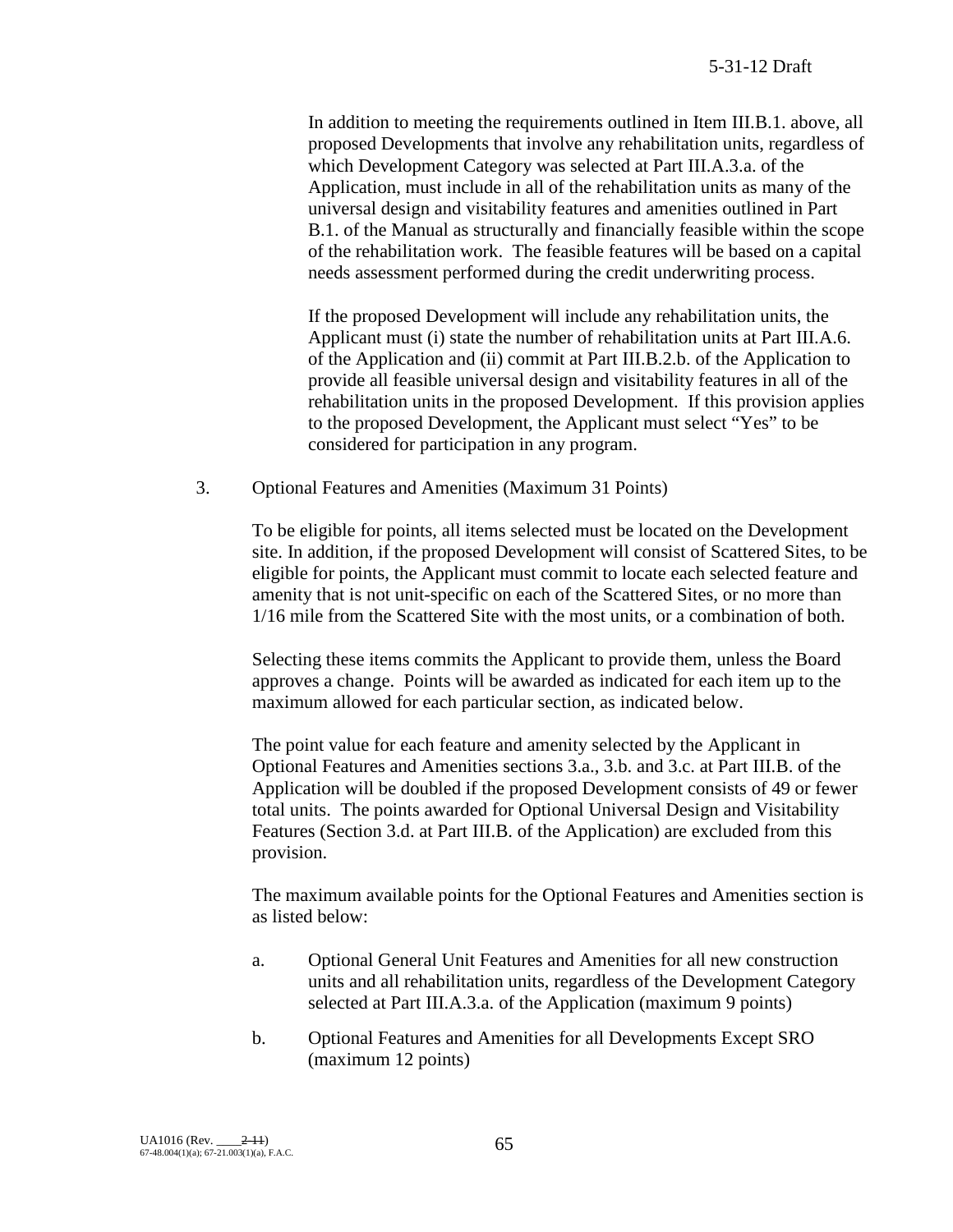In addition to meeting the requirements outlined in Item III.B.1. above, all proposed Developments that involve any rehabilitation units, regardless of which Development Category was selected at Part III.A.3.a. of the Application, must include in all of the rehabilitation units as many of the universal design and visitability features and amenities outlined in Part B.1. of the Manual as structurally and financially feasible within the scope of the rehabilitation work. The feasible features will be based on a capital needs assessment performed during the credit underwriting process.

If the proposed Development will include any rehabilitation units, the Applicant must (i) state the number of rehabilitation units at Part III.A.6. of the Application and (ii) commit at Part III.B.2.b. of the Application to provide all feasible universal design and visitability features in all of the rehabilitation units in the proposed Development. If this provision applies to the proposed Development, the Applicant must select "Yes" to be considered for participation in any program.

3. Optional Features and Amenities (Maximum 31 Points)

To be eligible for points, all items selected must be located on the Development site. In addition, if the proposed Development will consist of Scattered Sites, to be eligible for points, the Applicant must commit to locate each selected feature and amenity that is not unit-specific on each of the Scattered Sites, or no more than 1/16 mile from the Scattered Site with the most units, or a combination of both.

Selecting these items commits the Applicant to provide them, unless the Board approves a change. Points will be awarded as indicated for each item up to the maximum allowed for each particular section, as indicated below.

The point value for each feature and amenity selected by the Applicant in Optional Features and Amenities sections 3.a., 3.b. and 3.c. at Part III.B. of the Application will be doubled if the proposed Development consists of 49 or fewer total units. The points awarded for Optional Universal Design and Visitability Features (Section 3.d. at Part III.B. of the Application) are excluded from this provision.

The maximum available points for the Optional Features and Amenities section is as listed below:

- a. Optional General Unit Features and Amenities for all new construction units and all rehabilitation units, regardless of the Development Category selected at Part III.A.3.a. of the Application (maximum 9 points)
- b. Optional Features and Amenities for all Developments Except SRO (maximum 12 points)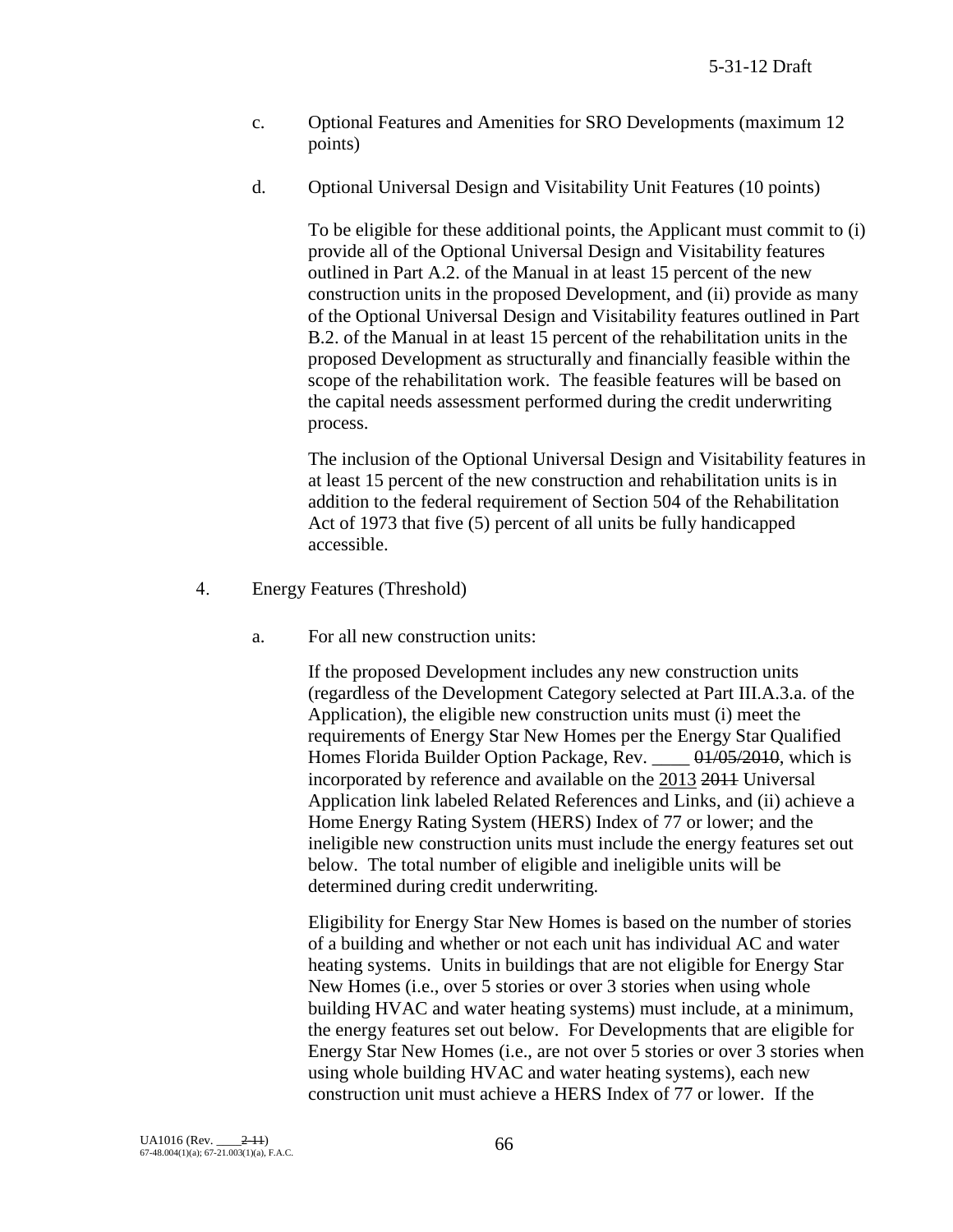- c. Optional Features and Amenities for SRO Developments (maximum 12 points)
- d. Optional Universal Design and Visitability Unit Features (10 points)

To be eligible for these additional points, the Applicant must commit to (i) provide all of the Optional Universal Design and Visitability features outlined in Part A.2. of the Manual in at least 15 percent of the new construction units in the proposed Development, and (ii) provide as many of the Optional Universal Design and Visitability features outlined in Part B.2. of the Manual in at least 15 percent of the rehabilitation units in the proposed Development as structurally and financially feasible within the scope of the rehabilitation work. The feasible features will be based on the capital needs assessment performed during the credit underwriting process.

The inclusion of the Optional Universal Design and Visitability features in at least 15 percent of the new construction and rehabilitation units is in addition to the federal requirement of Section 504 of the Rehabilitation Act of 1973 that five (5) percent of all units be fully handicapped accessible.

- 4. Energy Features (Threshold)
	- a. For all new construction units:

If the proposed Development includes any new construction units (regardless of the Development Category selected at Part III.A.3.a. of the Application), the eligible new construction units must (i) meet the requirements of Energy Star New Homes per the Energy Star Qualified Homes Florida Builder Option Package, Rev. \_\_\_\_ 01/05/2010, which is incorporated by reference and available on the 2013 2011 Universal Application link labeled Related References and Links, and (ii) achieve a Home Energy Rating System (HERS) Index of 77 or lower; and the ineligible new construction units must include the energy features set out below. The total number of eligible and ineligible units will be determined during credit underwriting.

Eligibility for Energy Star New Homes is based on the number of stories of a building and whether or not each unit has individual AC and water heating systems. Units in buildings that are not eligible for Energy Star New Homes (i.e., over 5 stories or over 3 stories when using whole building HVAC and water heating systems) must include, at a minimum, the energy features set out below. For Developments that are eligible for Energy Star New Homes (i.e., are not over 5 stories or over 3 stories when using whole building HVAC and water heating systems), each new construction unit must achieve a HERS Index of 77 or lower. If the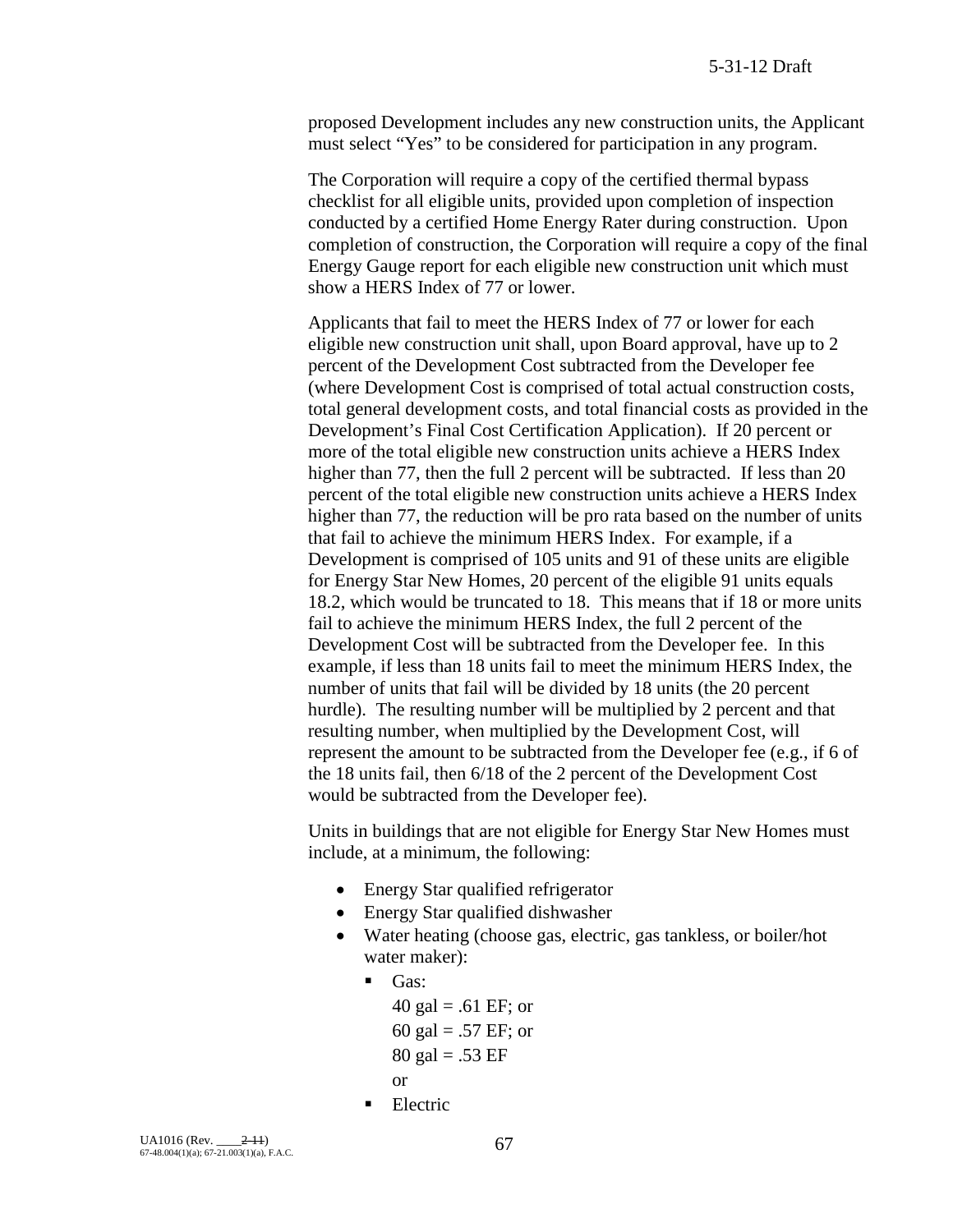proposed Development includes any new construction units, the Applicant must select "Yes" to be considered for participation in any program.

The Corporation will require a copy of the certified thermal bypass checklist for all eligible units, provided upon completion of inspection conducted by a certified Home Energy Rater during construction. Upon completion of construction, the Corporation will require a copy of the final Energy Gauge report for each eligible new construction unit which must show a HERS Index of 77 or lower.

Applicants that fail to meet the HERS Index of 77 or lower for each eligible new construction unit shall, upon Board approval, have up to 2 percent of the Development Cost subtracted from the Developer fee (where Development Cost is comprised of total actual construction costs, total general development costs, and total financial costs as provided in the Development's Final Cost Certification Application). If 20 percent or more of the total eligible new construction units achieve a HERS Index higher than 77, then the full 2 percent will be subtracted. If less than 20 percent of the total eligible new construction units achieve a HERS Index higher than 77, the reduction will be pro rata based on the number of units that fail to achieve the minimum HERS Index. For example, if a Development is comprised of 105 units and 91 of these units are eligible for Energy Star New Homes, 20 percent of the eligible 91 units equals 18.2, which would be truncated to 18. This means that if 18 or more units fail to achieve the minimum HERS Index, the full 2 percent of the Development Cost will be subtracted from the Developer fee. In this example, if less than 18 units fail to meet the minimum HERS Index, the number of units that fail will be divided by 18 units (the 20 percent hurdle). The resulting number will be multiplied by 2 percent and that resulting number, when multiplied by the Development Cost, will represent the amount to be subtracted from the Developer fee (e.g., if 6 of the 18 units fail, then 6/18 of the 2 percent of the Development Cost would be subtracted from the Developer fee).

Units in buildings that are not eligible for Energy Star New Homes must include, at a minimum, the following:

- Energy Star qualified refrigerator
- Energy Star qualified dishwasher
- Water heating (choose gas, electric, gas tankless, or boiler/hot water maker):
	- Gas:
	- 40 gal = .61 EF; or 60 gal = .57 EF; or  $80 \text{ gal} = .53 \text{ EF}$ or **Electric**
-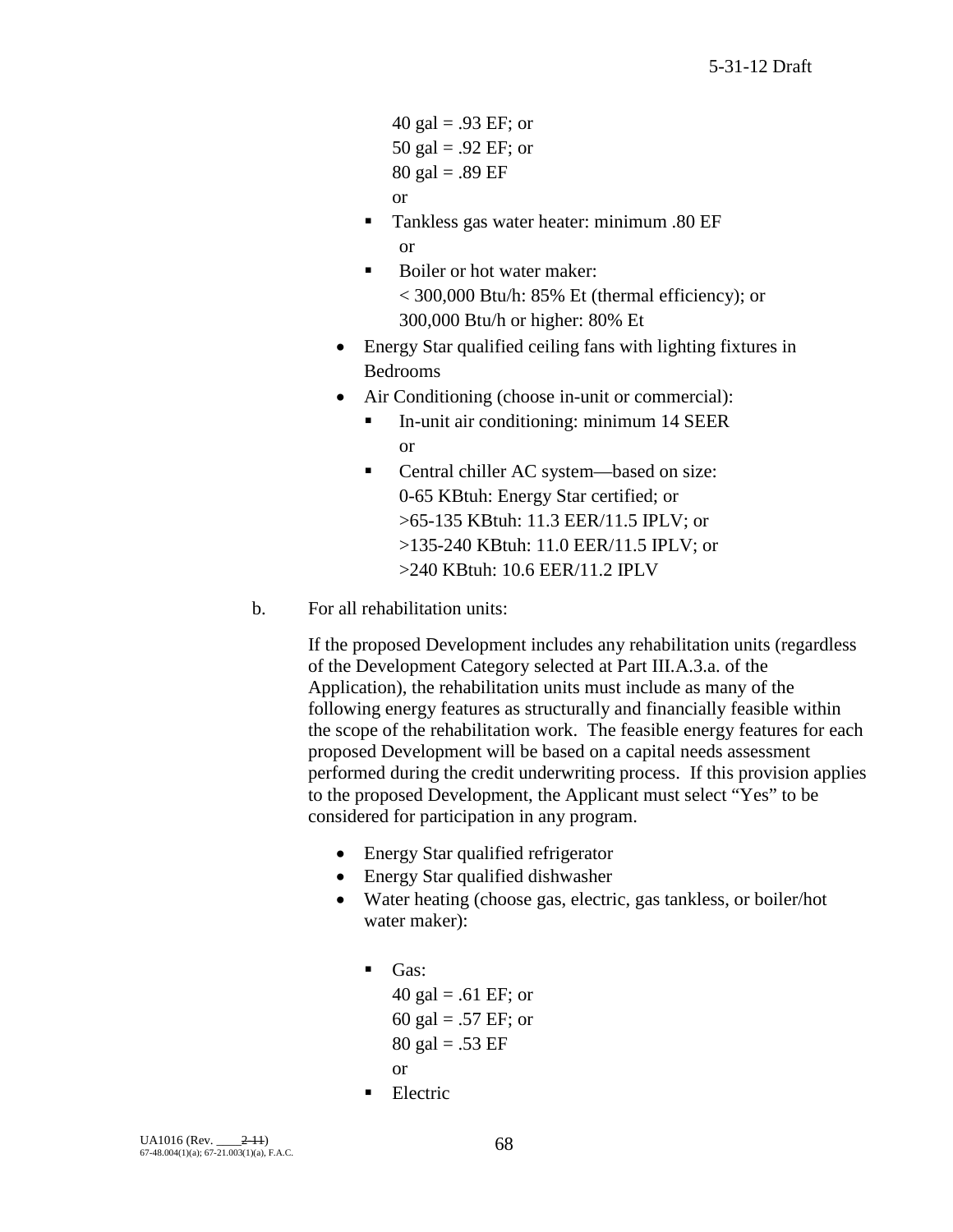40 gal = .93 EF; or 50 gal = .92 EF; or 80 gal =  $.89$  EF or

- **Tankless gas water heater: minimum .80 EF** or
- Boiler or hot water maker: < 300,000 Btu/h: 85% Et (thermal efficiency); or 300,000 Btu/h or higher: 80% Et
- Energy Star qualified ceiling fans with lighting fixtures in Bedrooms
- Air Conditioning (choose in-unit or commercial):
	- In-unit air conditioning: minimum 14 SEER or
	- Central chiller AC system—based on size: 0-65 KBtuh: Energy Star certified; or >65-135 KBtuh: 11.3 EER/11.5 IPLV; or >135-240 KBtuh: 11.0 EER/11.5 IPLV; or >240 KBtuh: 10.6 EER/11.2 IPLV
- b. For all rehabilitation units:

If the proposed Development includes any rehabilitation units (regardless of the Development Category selected at Part III.A.3.a. of the Application), the rehabilitation units must include as many of the following energy features as structurally and financially feasible within the scope of the rehabilitation work. The feasible energy features for each proposed Development will be based on a capital needs assessment performed during the credit underwriting process. If this provision applies to the proposed Development, the Applicant must select "Yes" to be considered for participation in any program.

- Energy Star qualified refrigerator
- Energy Star qualified dishwasher
- Water heating (choose gas, electric, gas tankless, or boiler/hot water maker):
	- $\blacksquare$  Gas:

40 gal = .61 EF; or 60 gal = .57 EF; or  $80 \text{ gal} = .53 \text{ EF}$ or

Electric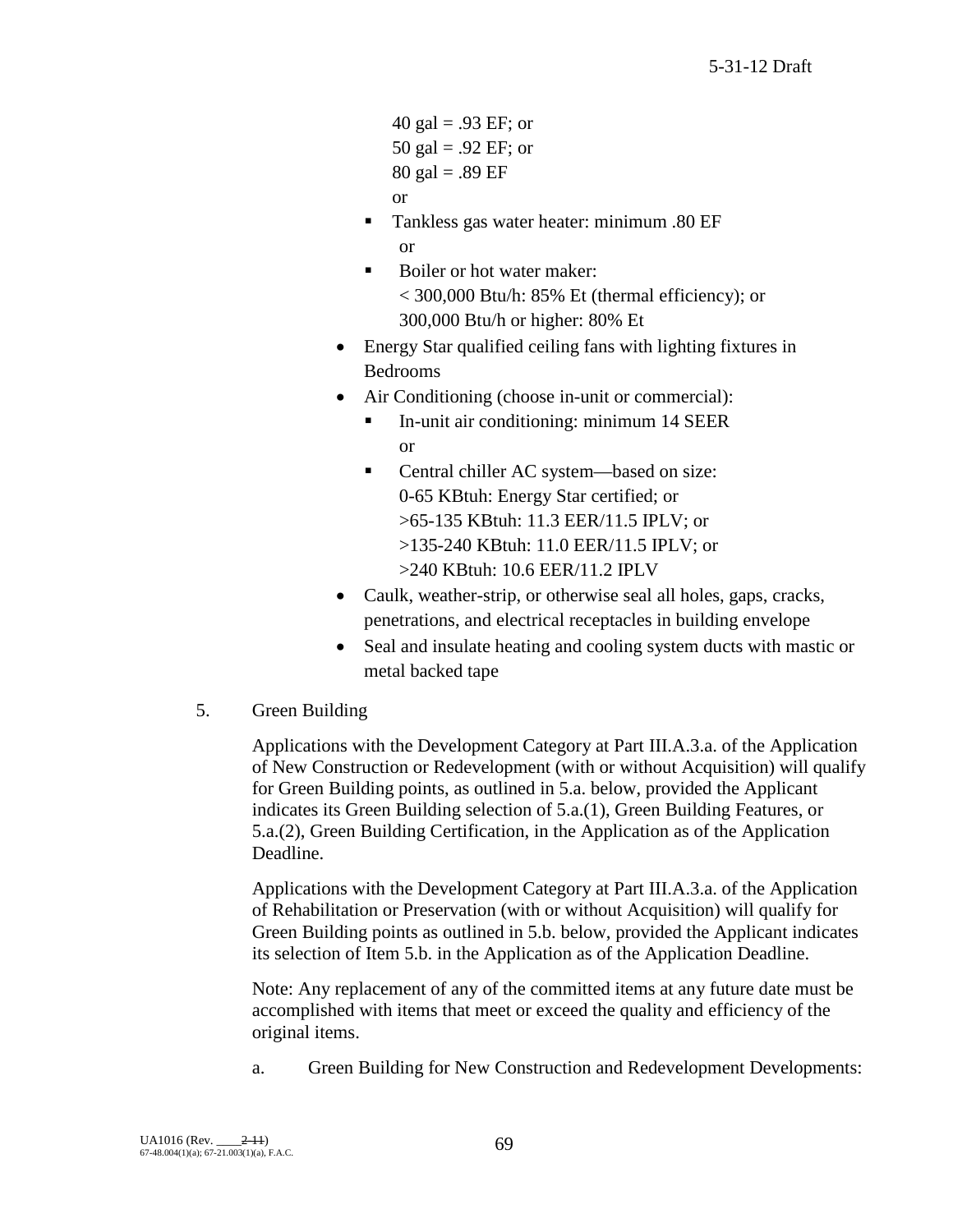40 gal = .93 EF; or 50 gal = .92 EF; or 80 gal =  $.89$  EF or

- **Tankless gas water heater: minimum .80 EF** or
- Boiler or hot water maker: < 300,000 Btu/h: 85% Et (thermal efficiency); or 300,000 Btu/h or higher: 80% Et
- Energy Star qualified ceiling fans with lighting fixtures in Bedrooms
- Air Conditioning (choose in-unit or commercial):
	- In-unit air conditioning: minimum 14 SEER or
	- Central chiller AC system—based on size: 0-65 KBtuh: Energy Star certified; or >65-135 KBtuh: 11.3 EER/11.5 IPLV; or >135-240 KBtuh: 11.0 EER/11.5 IPLV; or >240 KBtuh: 10.6 EER/11.2 IPLV
- Caulk, weather-strip, or otherwise seal all holes, gaps, cracks, penetrations, and electrical receptacles in building envelope
- Seal and insulate heating and cooling system ducts with mastic or metal backed tape
- 5. Green Building

Applications with the Development Category at Part III.A.3.a. of the Application of New Construction or Redevelopment (with or without Acquisition) will qualify for Green Building points, as outlined in 5.a. below, provided the Applicant indicates its Green Building selection of 5.a.(1), Green Building Features, or 5.a.(2), Green Building Certification, in the Application as of the Application Deadline.

Applications with the Development Category at Part III.A.3.a. of the Application of Rehabilitation or Preservation (with or without Acquisition) will qualify for Green Building points as outlined in 5.b. below, provided the Applicant indicates its selection of Item 5.b. in the Application as of the Application Deadline.

Note: Any replacement of any of the committed items at any future date must be accomplished with items that meet or exceed the quality and efficiency of the original items.

a. Green Building for New Construction and Redevelopment Developments: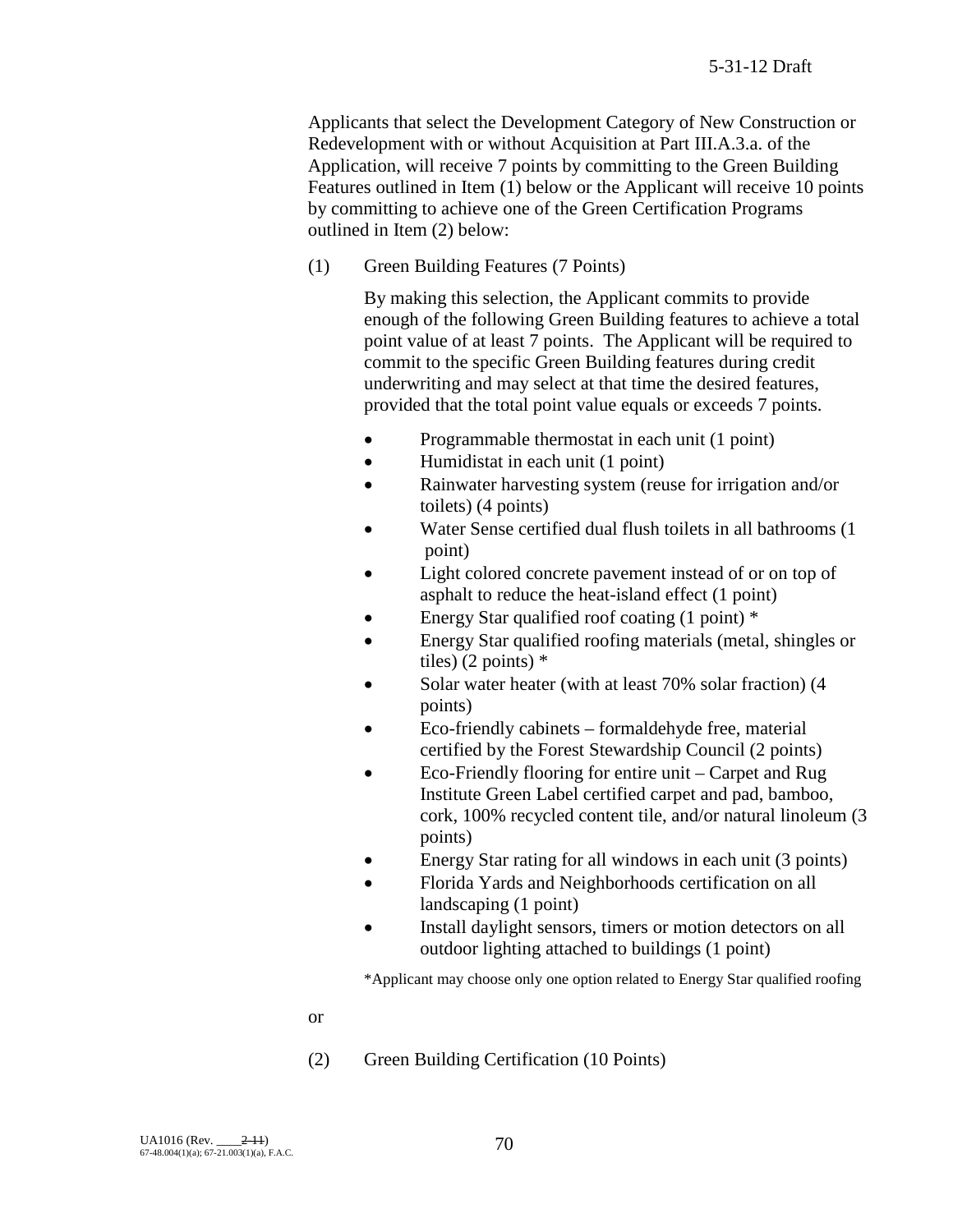Applicants that select the Development Category of New Construction or Redevelopment with or without Acquisition at Part III.A.3.a. of the Application, will receive 7 points by committing to the Green Building Features outlined in Item (1) below or the Applicant will receive 10 points by committing to achieve one of the Green Certification Programs outlined in Item (2) below:

(1) Green Building Features (7 Points)

By making this selection, the Applicant commits to provide enough of the following Green Building features to achieve a total point value of at least 7 points. The Applicant will be required to commit to the specific Green Building features during credit underwriting and may select at that time the desired features, provided that the total point value equals or exceeds 7 points.

- Programmable thermostat in each unit (1 point)
- Humidistat in each unit (1 point)
- Rainwater harvesting system (reuse for irrigation and/or toilets) (4 points)
- Water Sense certified dual flush toilets in all bathrooms (1 point)
- Light colored concrete pavement instead of or on top of asphalt to reduce the heat-island effect (1 point)
- Energy Star qualified roof coating  $(1 \text{ point})$  \*
- Energy Star qualified roofing materials (metal, shingles or tiles) (2 points) \*
- Solar water heater (with at least 70% solar fraction) (4 points)
- Eco-friendly cabinets formaldehyde free, material certified by the Forest Stewardship Council (2 points)
- Eco-Friendly flooring for entire unit Carpet and Rug Institute Green Label certified carpet and pad, bamboo, cork, 100% recycled content tile, and/or natural linoleum (3 points)
- Energy Star rating for all windows in each unit (3 points)
- Florida Yards and Neighborhoods certification on all landscaping (1 point)
- Install daylight sensors, timers or motion detectors on all outdoor lighting attached to buildings (1 point)

\*Applicant may choose only one option related to Energy Star qualified roofing

or

(2) Green Building Certification (10 Points)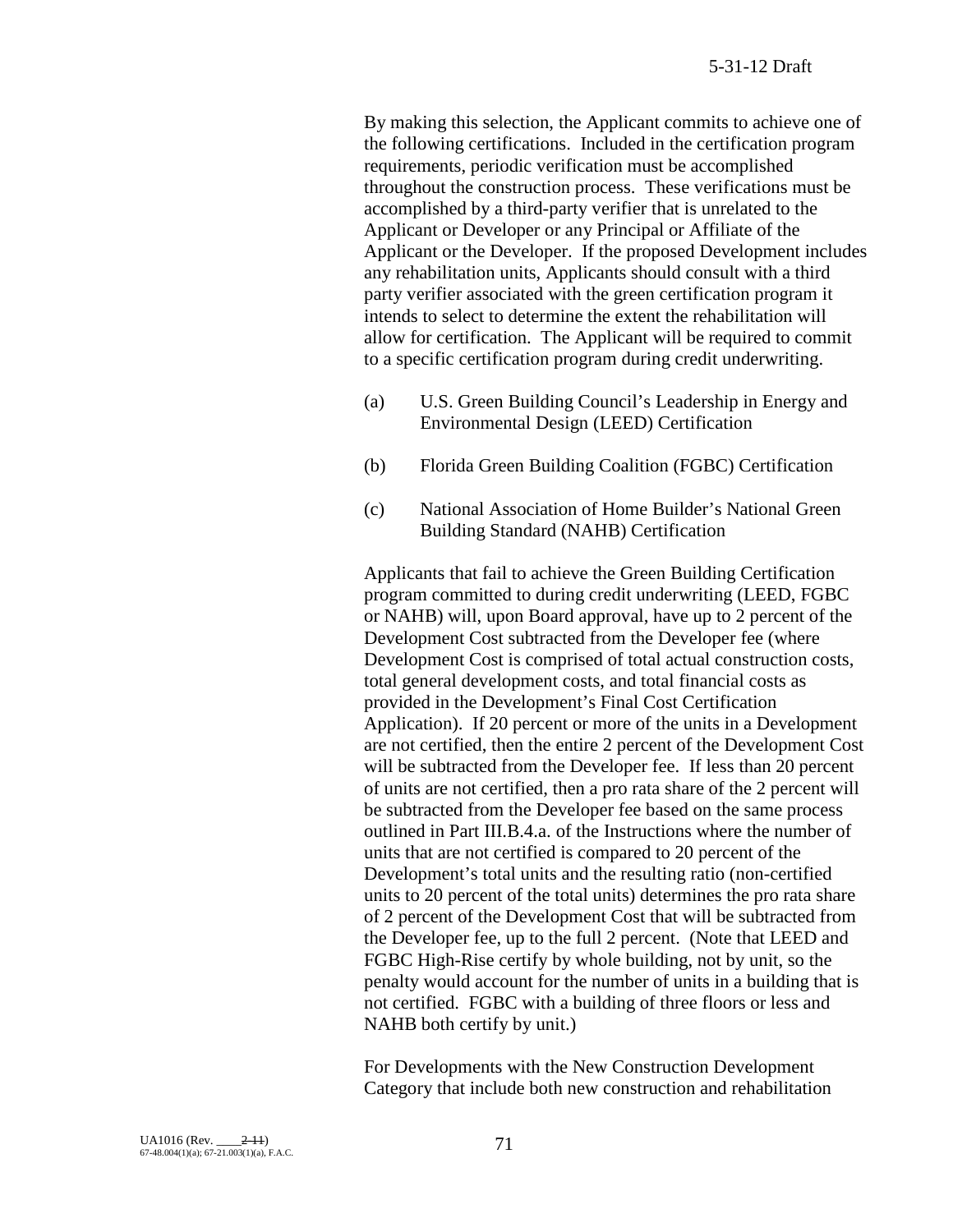By making this selection, the Applicant commits to achieve one of the following certifications. Included in the certification program requirements, periodic verification must be accomplished throughout the construction process. These verifications must be accomplished by a third-party verifier that is unrelated to the Applicant or Developer or any Principal or Affiliate of the Applicant or the Developer. If the proposed Development includes any rehabilitation units, Applicants should consult with a third party verifier associated with the green certification program it intends to select to determine the extent the rehabilitation will allow for certification. The Applicant will be required to commit to a specific certification program during credit underwriting.

- (a) U.S. Green Building Council's Leadership in Energy and Environmental Design (LEED) Certification
- (b) Florida Green Building Coalition (FGBC) Certification
- (c) National Association of Home Builder's National Green Building Standard (NAHB) Certification

Applicants that fail to achieve the Green Building Certification program committed to during credit underwriting (LEED, FGBC or NAHB) will, upon Board approval, have up to 2 percent of the Development Cost subtracted from the Developer fee (where Development Cost is comprised of total actual construction costs, total general development costs, and total financial costs as provided in the Development's Final Cost Certification Application). If 20 percent or more of the units in a Development are not certified, then the entire 2 percent of the Development Cost will be subtracted from the Developer fee. If less than 20 percent of units are not certified, then a pro rata share of the 2 percent will be subtracted from the Developer fee based on the same process outlined in Part III.B.4.a. of the Instructions where the number of units that are not certified is compared to 20 percent of the Development's total units and the resulting ratio (non-certified units to 20 percent of the total units) determines the pro rata share of 2 percent of the Development Cost that will be subtracted from the Developer fee, up to the full 2 percent. (Note that LEED and FGBC High-Rise certify by whole building, not by unit, so the penalty would account for the number of units in a building that is not certified. FGBC with a building of three floors or less and NAHB both certify by unit.)

For Developments with the New Construction Development Category that include both new construction and rehabilitation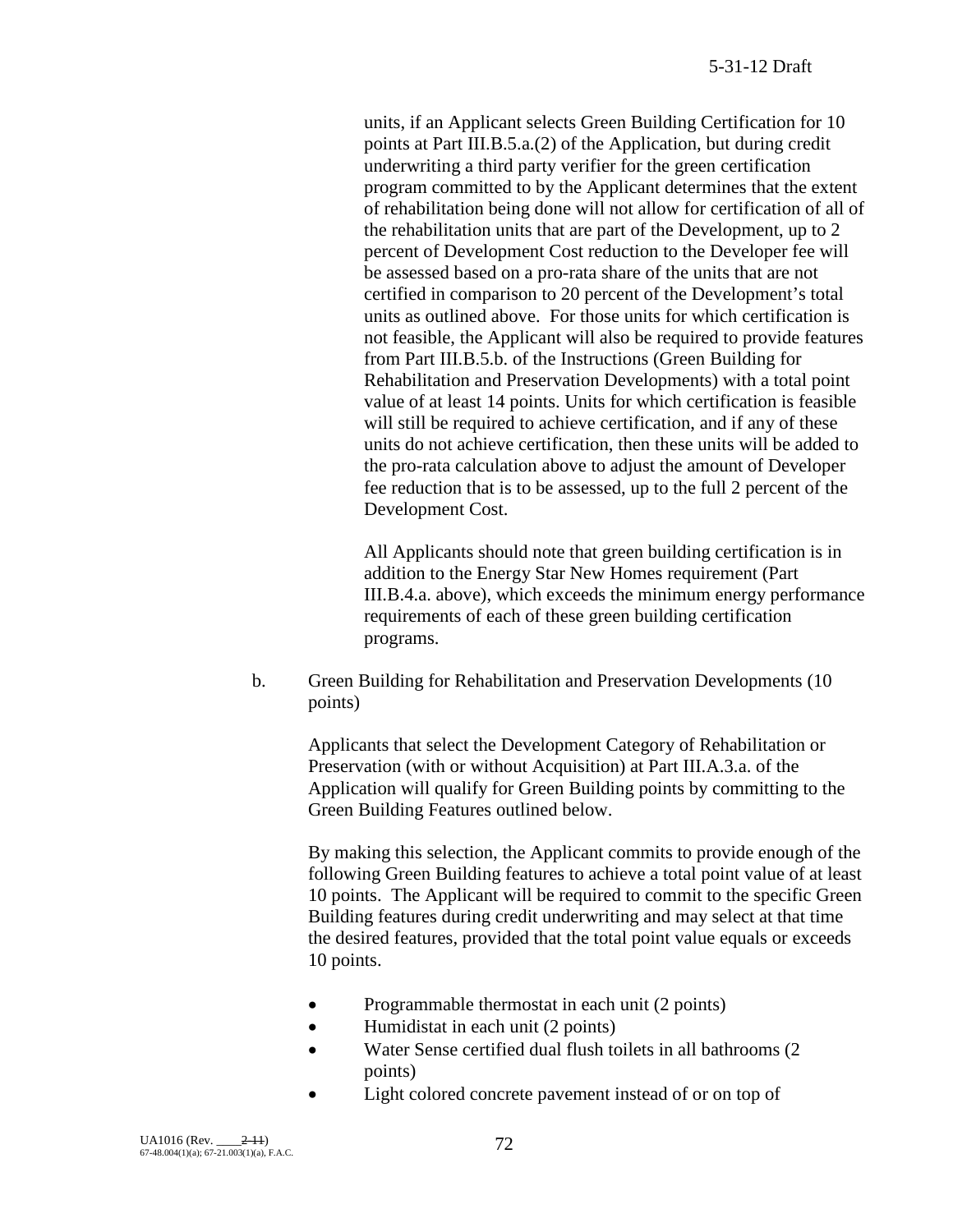units, if an Applicant selects Green Building Certification for 10 points at Part III.B.5.a.(2) of the Application, but during credit underwriting a third party verifier for the green certification program committed to by the Applicant determines that the extent of rehabilitation being done will not allow for certification of all of the rehabilitation units that are part of the Development, up to 2 percent of Development Cost reduction to the Developer fee will be assessed based on a pro-rata share of the units that are not certified in comparison to 20 percent of the Development's total units as outlined above. For those units for which certification is not feasible, the Applicant will also be required to provide features from Part III.B.5.b. of the Instructions (Green Building for Rehabilitation and Preservation Developments) with a total point value of at least 14 points. Units for which certification is feasible will still be required to achieve certification, and if any of these units do not achieve certification, then these units will be added to the pro-rata calculation above to adjust the amount of Developer fee reduction that is to be assessed, up to the full 2 percent of the Development Cost.

All Applicants should note that green building certification is in addition to the Energy Star New Homes requirement (Part III.B.4.a. above), which exceeds the minimum energy performance requirements of each of these green building certification programs.

b. Green Building for Rehabilitation and Preservation Developments (10 points)

Applicants that select the Development Category of Rehabilitation or Preservation (with or without Acquisition) at Part III.A.3.a. of the Application will qualify for Green Building points by committing to the Green Building Features outlined below.

By making this selection, the Applicant commits to provide enough of the following Green Building features to achieve a total point value of at least 10 points. The Applicant will be required to commit to the specific Green Building features during credit underwriting and may select at that time the desired features, provided that the total point value equals or exceeds 10 points.

- Programmable thermostat in each unit (2 points)
- Humidistat in each unit (2 points)
- Water Sense certified dual flush toilets in all bathrooms (2) points)
- Light colored concrete pavement instead of or on top of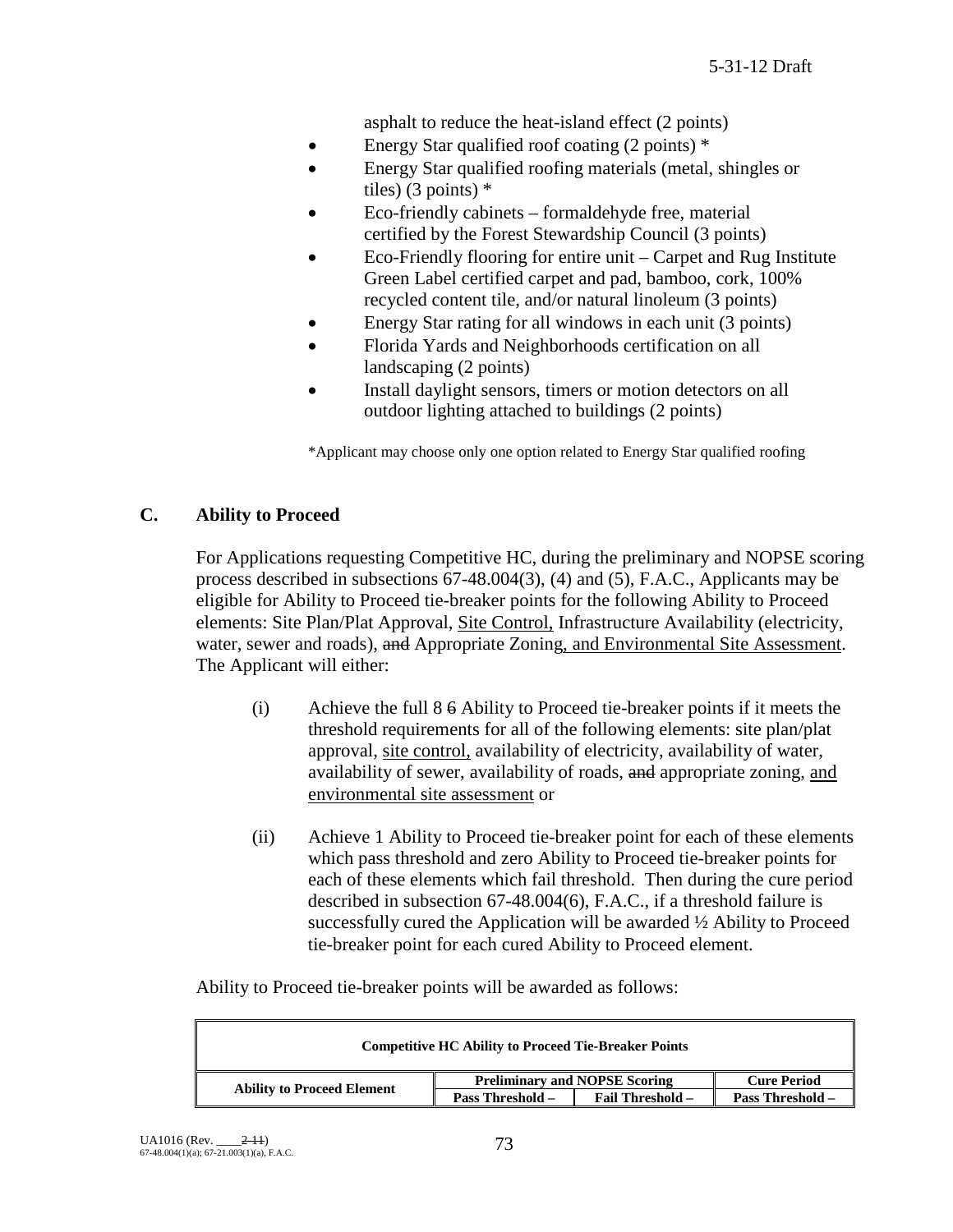asphalt to reduce the heat-island effect (2 points)

- Energy Star qualified roof coating (2 points) \*
- Energy Star qualified roofing materials (metal, shingles or tiles) (3 points)  $*$
- Eco-friendly cabinets formaldehyde free, material certified by the Forest Stewardship Council (3 points)
- Eco-Friendly flooring for entire unit Carpet and Rug Institute Green Label certified carpet and pad, bamboo, cork, 100% recycled content tile, and/or natural linoleum (3 points)
- Energy Star rating for all windows in each unit (3 points)
- Florida Yards and Neighborhoods certification on all landscaping (2 points)
- Install daylight sensors, timers or motion detectors on all outdoor lighting attached to buildings (2 points)

\*Applicant may choose only one option related to Energy Star qualified roofing

# **C. Ability to Proceed**

For Applications requesting Competitive HC, during the preliminary and NOPSE scoring process described in subsections 67-48.004(3), (4) and (5), F.A.C., Applicants may be eligible for Ability to Proceed tie-breaker points for the following Ability to Proceed elements: Site Plan/Plat Approval, Site Control, Infrastructure Availability (electricity, water, sewer and roads), and Appropriate Zoning, and Environmental Site Assessment. The Applicant will either:

- (i) Achieve the full 8 6 Ability to Proceed tie-breaker points if it meets the threshold requirements for all of the following elements: site plan/plat approval, site control, availability of electricity, availability of water, availability of sewer, availability of roads, and appropriate zoning, and environmental site assessment or
- (ii) Achieve 1 Ability to Proceed tie-breaker point for each of these elements which pass threshold and zero Ability to Proceed tie-breaker points for each of these elements which fail threshold. Then during the cure period described in subsection 67-48.004(6), F.A.C., if a threshold failure is successfully cured the Application will be awarded ½ Ability to Proceed tie-breaker point for each cured Ability to Proceed element.

Ability to Proceed tie-breaker points will be awarded as follows:

| <b>Competitive HC Ability to Proceed Tie-Breaker Points</b> |                                      |                         |                         |
|-------------------------------------------------------------|--------------------------------------|-------------------------|-------------------------|
| <b>Ability to Proceed Element</b>                           | <b>Preliminary and NOPSE Scoring</b> |                         | <b>Cure Period</b>      |
|                                                             | <b>Pass Threshold –</b>              | <b>Fail Threshold –</b> | <b>Pass Threshold –</b> |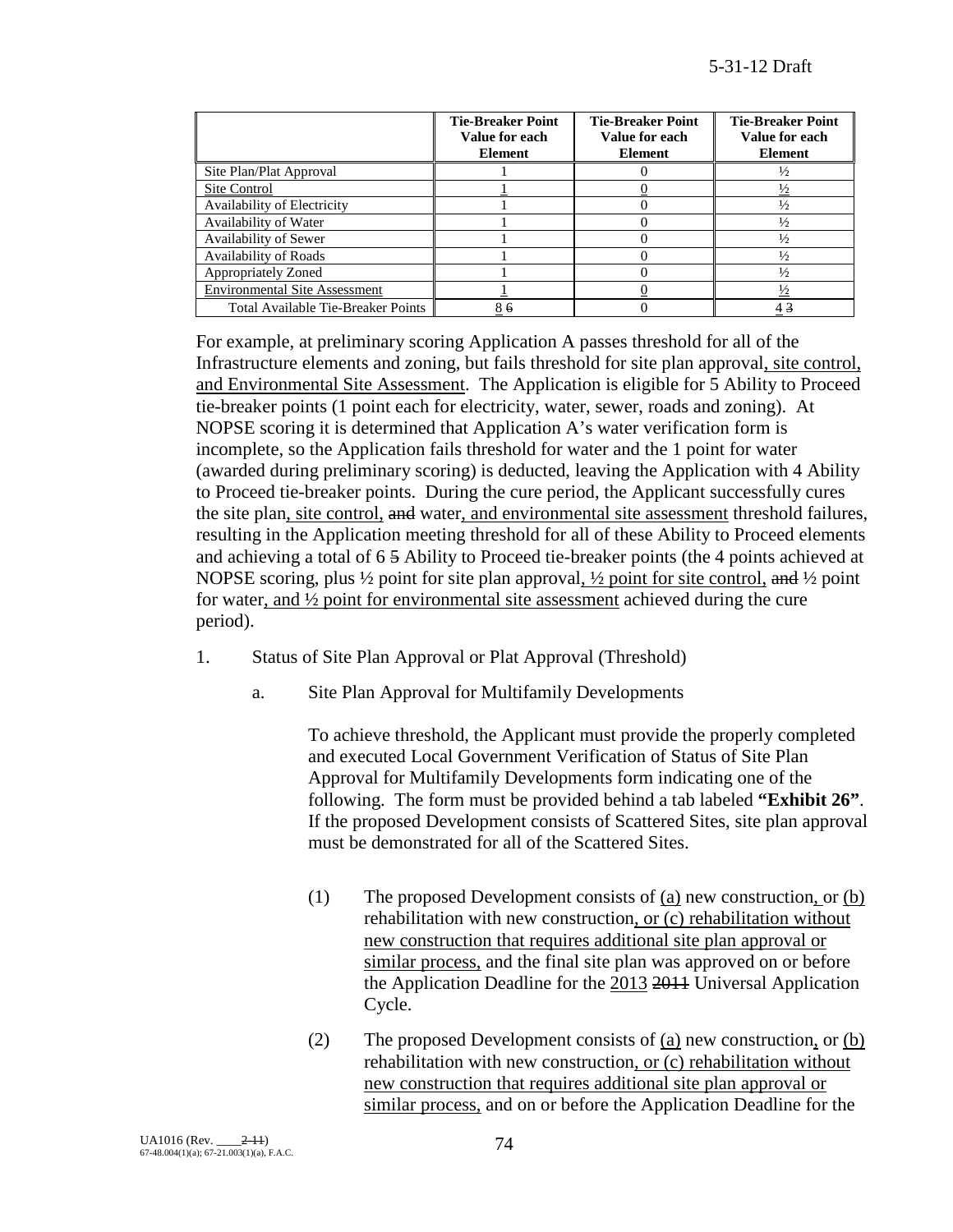|                                           | <b>Tie-Breaker Point</b><br>Value for each<br><b>Element</b> | <b>Tie-Breaker Point</b><br>Value for each<br><b>Element</b> | <b>Tie-Breaker Point</b><br>Value for each<br><b>Element</b> |
|-------------------------------------------|--------------------------------------------------------------|--------------------------------------------------------------|--------------------------------------------------------------|
| Site Plan/Plat Approval                   |                                                              |                                                              | $\frac{1}{2}$                                                |
| Site Control                              |                                                              |                                                              | $\frac{1}{2}$                                                |
| Availability of Electricity               |                                                              |                                                              | $\frac{1}{2}$                                                |
| Availability of Water                     |                                                              |                                                              | $\frac{1}{2}$                                                |
| Availability of Sewer                     |                                                              |                                                              | $\frac{1}{2}$                                                |
| <b>Availability of Roads</b>              |                                                              |                                                              | $\frac{1}{2}$                                                |
| <b>Appropriately Zoned</b>                |                                                              |                                                              | $\frac{1}{2}$                                                |
| <b>Environmental Site Assessment</b>      |                                                              |                                                              | $\frac{1}{2}$                                                |
| <b>Total Available Tie-Breaker Points</b> | 86                                                           |                                                              | 43                                                           |

For example, at preliminary scoring Application A passes threshold for all of the Infrastructure elements and zoning, but fails threshold for site plan approval, site control, and Environmental Site Assessment. The Application is eligible for 5 Ability to Proceed tie-breaker points (1 point each for electricity, water, sewer, roads and zoning). At NOPSE scoring it is determined that Application A's water verification form is incomplete, so the Application fails threshold for water and the 1 point for water (awarded during preliminary scoring) is deducted, leaving the Application with 4 Ability to Proceed tie-breaker points. During the cure period, the Applicant successfully cures the site plan, site control, and water, and environmental site assessment threshold failures, resulting in the Application meeting threshold for all of these Ability to Proceed elements and achieving a total of 6 5 Ability to Proceed tie-breaker points (the 4 points achieved at NOPSE scoring, plus  $\frac{1}{2}$  point for site plan approval,  $\frac{1}{2}$  point for site control, and  $\frac{1}{2}$  point for water, and ½ point for environmental site assessment achieved during the cure period).

- 1. Status of Site Plan Approval or Plat Approval (Threshold)
	- a. Site Plan Approval for Multifamily Developments

To achieve threshold, the Applicant must provide the properly completed and executed Local Government Verification of Status of Site Plan Approval for Multifamily Developments form indicating one of the following. The form must be provided behind a tab labeled **"Exhibit 26"**. If the proposed Development consists of Scattered Sites, site plan approval must be demonstrated for all of the Scattered Sites.

- (1) The proposed Development consists of (a) new construction, or (b) rehabilitation with new construction, or (c) rehabilitation without new construction that requires additional site plan approval or similar process, and the final site plan was approved on or before the Application Deadline for the 2013 2011 Universal Application Cycle.
- (2) The proposed Development consists of  $(a)$  new construction, or  $(b)$ rehabilitation with new construction, or (c) rehabilitation without new construction that requires additional site plan approval or similar process, and on or before the Application Deadline for the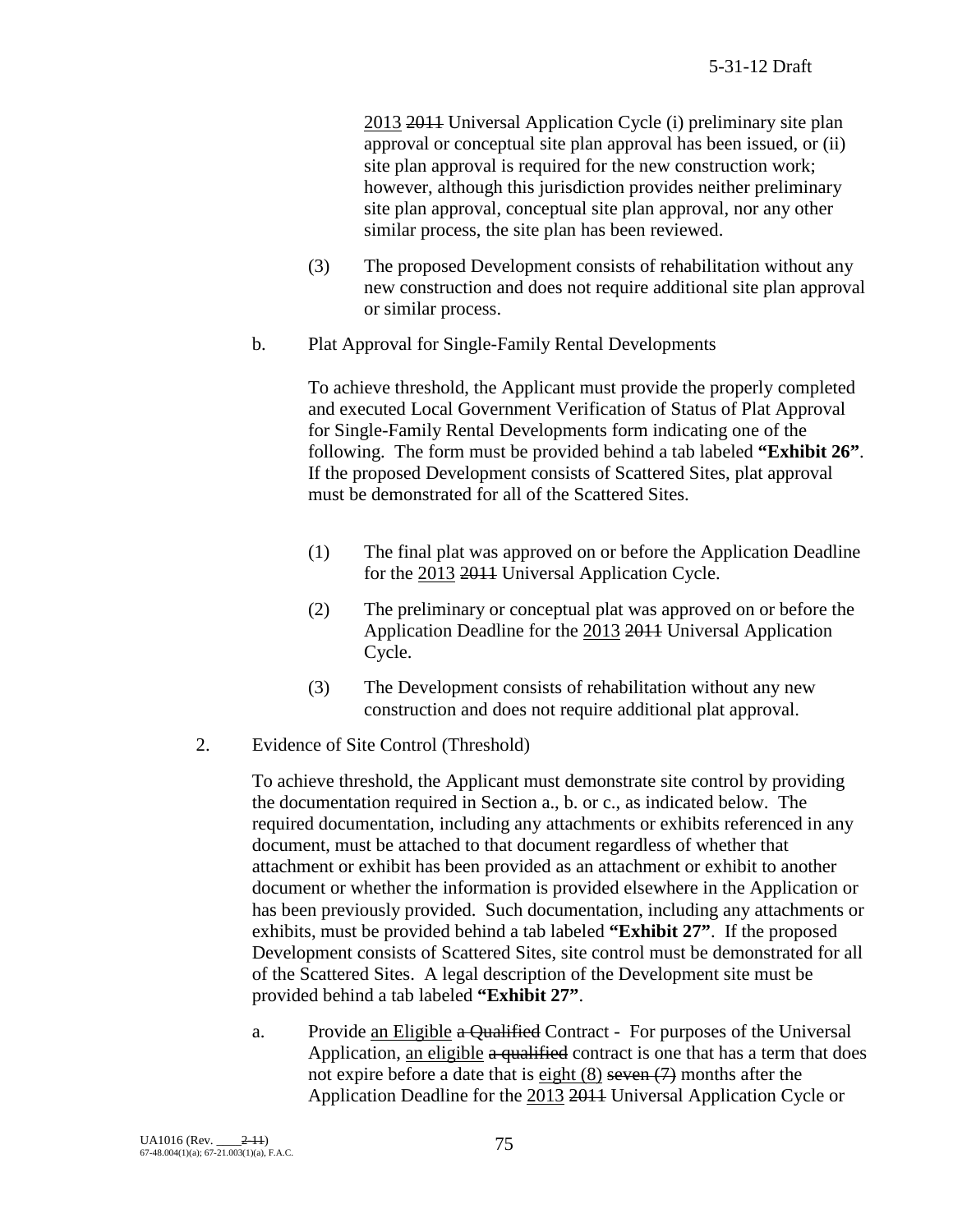2013 2011 Universal Application Cycle (i) preliminary site plan approval or conceptual site plan approval has been issued, or (ii) site plan approval is required for the new construction work; however, although this jurisdiction provides neither preliminary site plan approval, conceptual site plan approval, nor any other similar process, the site plan has been reviewed.

- (3) The proposed Development consists of rehabilitation without any new construction and does not require additional site plan approval or similar process.
- b. Plat Approval for Single-Family Rental Developments

To achieve threshold, the Applicant must provide the properly completed and executed Local Government Verification of Status of Plat Approval for Single-Family Rental Developments form indicating one of the following. The form must be provided behind a tab labeled **"Exhibit 26"**. If the proposed Development consists of Scattered Sites, plat approval must be demonstrated for all of the Scattered Sites.

- (1) The final plat was approved on or before the Application Deadline for the 2013 2011 Universal Application Cycle.
- (2) The preliminary or conceptual plat was approved on or before the Application Deadline for the 2013 2011 Universal Application Cycle.
- (3) The Development consists of rehabilitation without any new construction and does not require additional plat approval.
- 2. Evidence of Site Control (Threshold)

To achieve threshold, the Applicant must demonstrate site control by providing the documentation required in Section a., b. or c., as indicated below. The required documentation, including any attachments or exhibits referenced in any document, must be attached to that document regardless of whether that attachment or exhibit has been provided as an attachment or exhibit to another document or whether the information is provided elsewhere in the Application or has been previously provided. Such documentation, including any attachments or exhibits, must be provided behind a tab labeled **"Exhibit 27"**. If the proposed Development consists of Scattered Sites, site control must be demonstrated for all of the Scattered Sites. A legal description of the Development site must be provided behind a tab labeled **"Exhibit 27"**.

a. Provide an Eligible a Qualified Contract - For purposes of the Universal Application, an eligible a qualified contract is one that has a term that does not expire before a date that is eight  $(8)$  seven  $(7)$  months after the Application Deadline for the 2013 2011 Universal Application Cycle or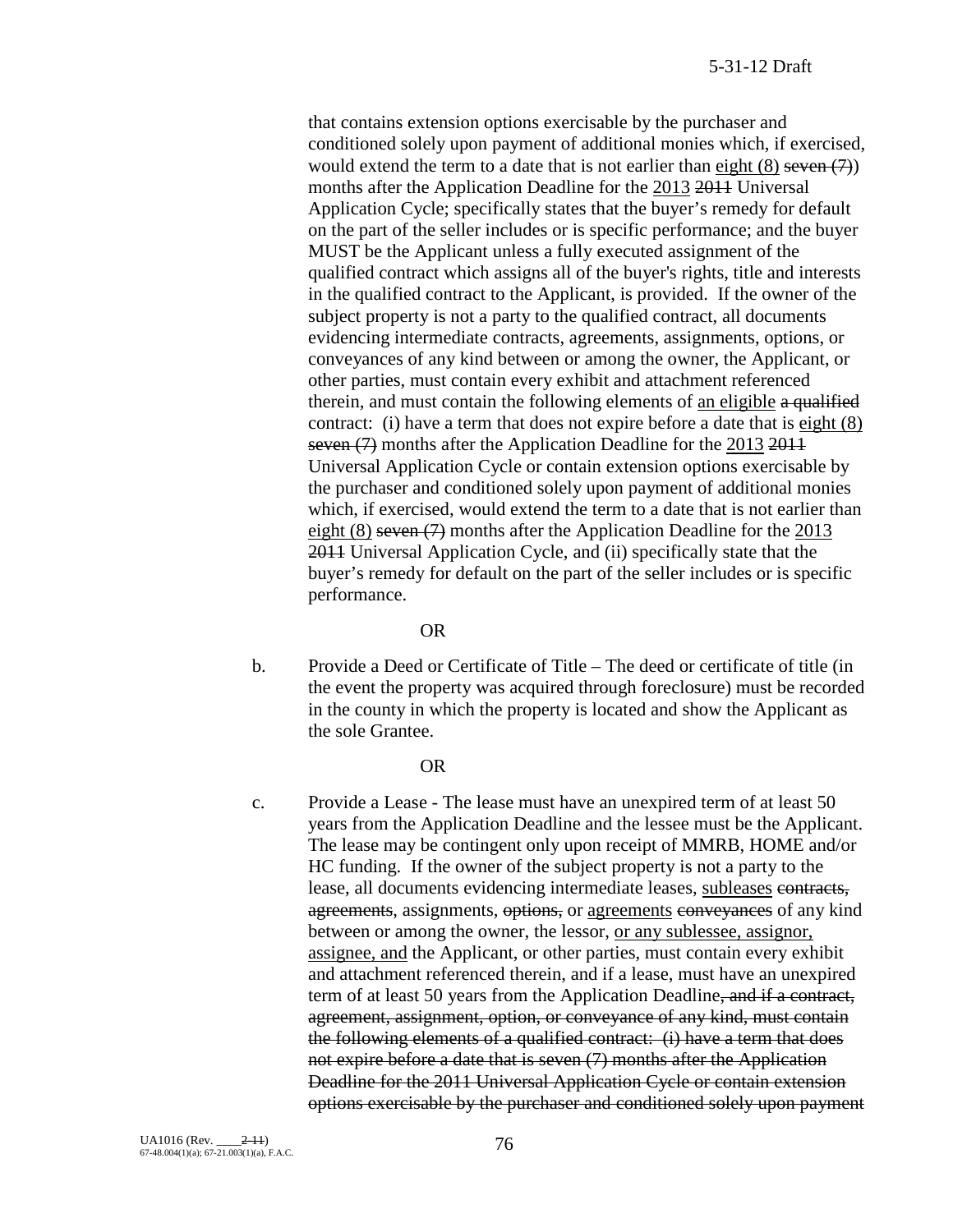that contains extension options exercisable by the purchaser and conditioned solely upon payment of additional monies which, if exercised, would extend the term to a date that is not earlier than eight  $(8)$  seven  $(7)$ ) months after the Application Deadline for the 2013 2011 Universal Application Cycle; specifically states that the buyer's remedy for default on the part of the seller includes or is specific performance; and the buyer MUST be the Applicant unless a fully executed assignment of the qualified contract which assigns all of the buyer's rights, title and interests in the qualified contract to the Applicant, is provided. If the owner of the subject property is not a party to the qualified contract, all documents evidencing intermediate contracts, agreements, assignments, options, or conveyances of any kind between or among the owner, the Applicant, or other parties, must contain every exhibit and attachment referenced therein, and must contain the following elements of an eligible a qualified contract: (i) have a term that does not expire before a date that is eight (8) seven (7) months after the Application Deadline for the 2013 2011 Universal Application Cycle or contain extension options exercisable by the purchaser and conditioned solely upon payment of additional monies which, if exercised, would extend the term to a date that is not earlier than eight  $(8)$  seven  $(7)$  months after the Application Deadline for the 2013 2011 Universal Application Cycle, and (ii) specifically state that the buyer's remedy for default on the part of the seller includes or is specific performance.

#### OR

b. Provide a Deed or Certificate of Title – The deed or certificate of title (in the event the property was acquired through foreclosure) must be recorded in the county in which the property is located and show the Applicant as the sole Grantee.

#### OR

c. Provide a Lease - The lease must have an unexpired term of at least 50 years from the Application Deadline and the lessee must be the Applicant. The lease may be contingent only upon receipt of MMRB, HOME and/or HC funding. If the owner of the subject property is not a party to the lease, all documents evidencing intermediate leases, subleases contracts, agreements, assignments, options, or agreements conveyances of any kind between or among the owner, the lessor, or any sublessee, assignor, assignee, and the Applicant, or other parties, must contain every exhibit and attachment referenced therein, and if a lease, must have an unexpired term of at least 50 years from the Application Deadline, and if a contract, agreement, assignment, option, or conveyance of any kind, must contain the following elements of a qualified contract: (i) have a term that does not expire before a date that is seven (7) months after the Application Deadline for the 2011 Universal Application Cycle or contain extension options exercisable by the purchaser and conditioned solely upon payment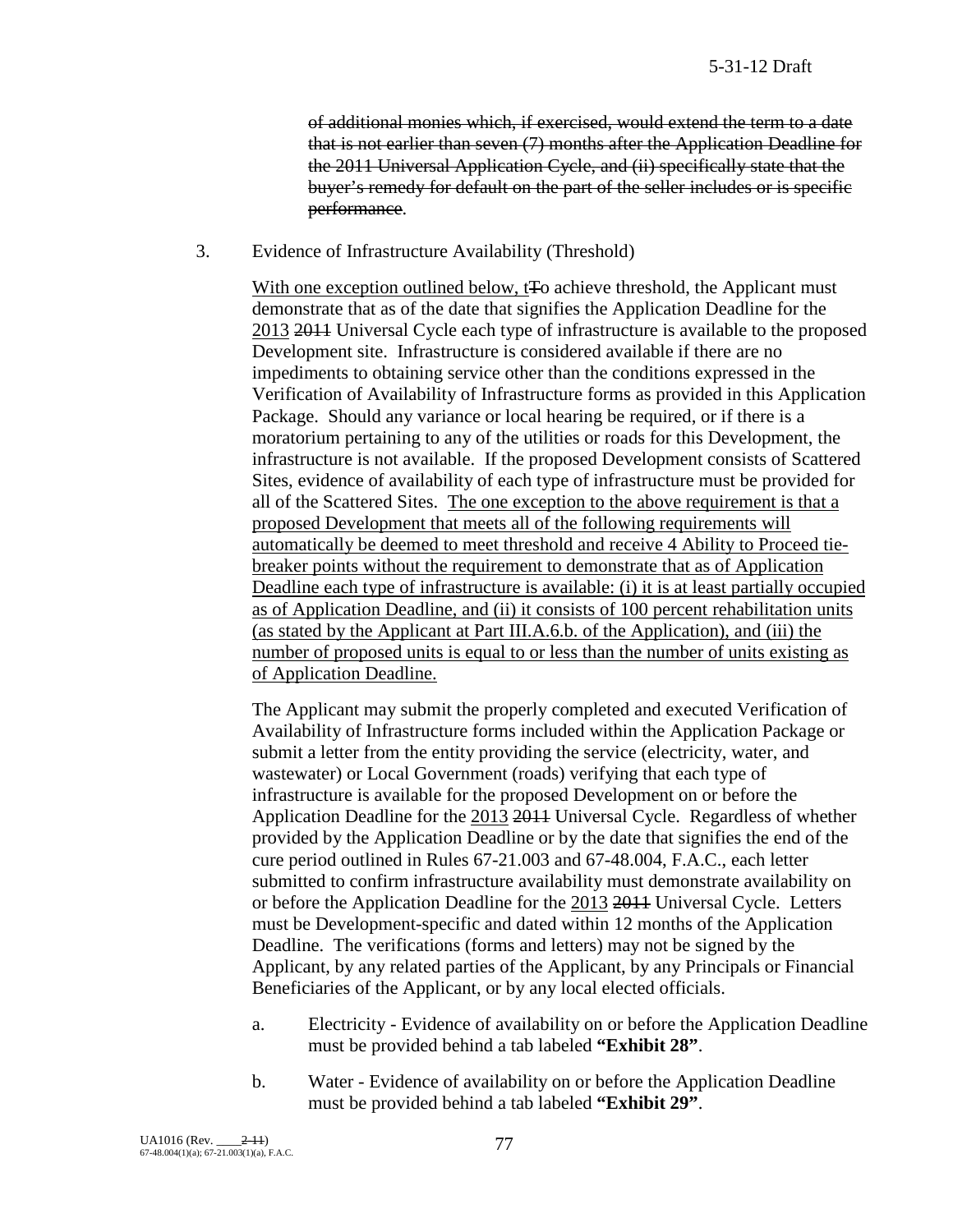of additional monies which, if exercised, would extend the term to a date that is not earlier than seven (7) months after the Application Deadline for the 2011 Universal Application Cycle, and (ii) specifically state that the buyer's remedy for default on the part of the seller includes or is specific performance.

3. Evidence of Infrastructure Availability (Threshold)

With one exception outlined below, t<sub>F</sub>o achieve threshold, the Applicant must demonstrate that as of the date that signifies the Application Deadline for the 2013 2011 Universal Cycle each type of infrastructure is available to the proposed Development site. Infrastructure is considered available if there are no impediments to obtaining service other than the conditions expressed in the Verification of Availability of Infrastructure forms as provided in this Application Package. Should any variance or local hearing be required, or if there is a moratorium pertaining to any of the utilities or roads for this Development, the infrastructure is not available. If the proposed Development consists of Scattered Sites, evidence of availability of each type of infrastructure must be provided for all of the Scattered Sites. The one exception to the above requirement is that a proposed Development that meets all of the following requirements will automatically be deemed to meet threshold and receive 4 Ability to Proceed tiebreaker points without the requirement to demonstrate that as of Application Deadline each type of infrastructure is available: (i) it is at least partially occupied as of Application Deadline, and (ii) it consists of 100 percent rehabilitation units (as stated by the Applicant at Part III.A.6.b. of the Application), and (iii) the number of proposed units is equal to or less than the number of units existing as of Application Deadline.

The Applicant may submit the properly completed and executed Verification of Availability of Infrastructure forms included within the Application Package or submit a letter from the entity providing the service (electricity, water, and wastewater) or Local Government (roads) verifying that each type of infrastructure is available for the proposed Development on or before the Application Deadline for the 2013 2011 Universal Cycle. Regardless of whether provided by the Application Deadline or by the date that signifies the end of the cure period outlined in Rules 67-21.003 and 67-48.004, F.A.C., each letter submitted to confirm infrastructure availability must demonstrate availability on or before the Application Deadline for the 2013 2011 Universal Cycle. Letters must be Development-specific and dated within 12 months of the Application Deadline. The verifications (forms and letters) may not be signed by the Applicant, by any related parties of the Applicant, by any Principals or Financial Beneficiaries of the Applicant, or by any local elected officials.

- a. Electricity Evidence of availability on or before the Application Deadline must be provided behind a tab labeled **"Exhibit 28"**.
- b. Water Evidence of availability on or before the Application Deadline must be provided behind a tab labeled **"Exhibit 29"**.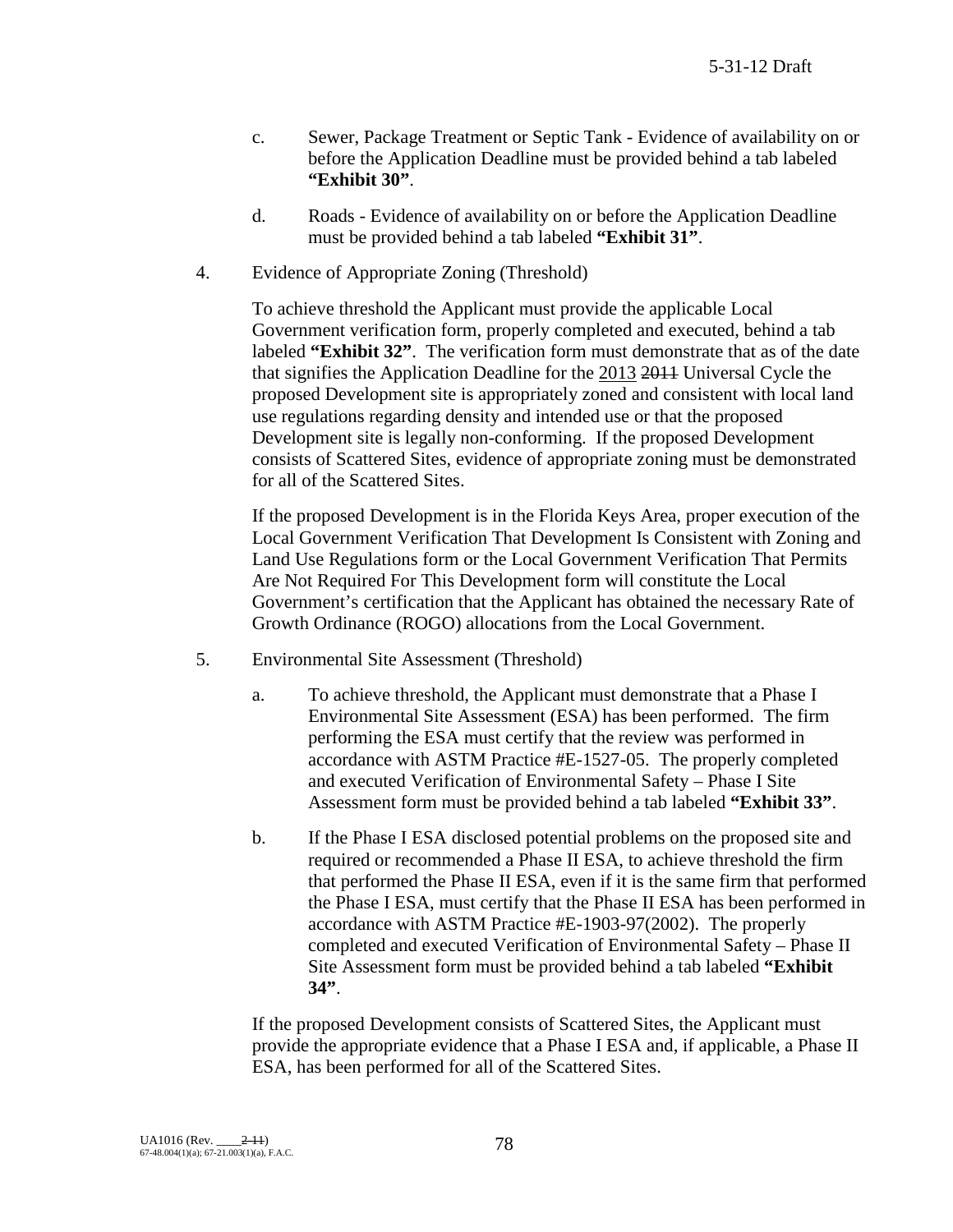- c. Sewer, Package Treatment or Septic Tank Evidence of availability on or before the Application Deadline must be provided behind a tab labeled **"Exhibit 30"**.
- d. Roads Evidence of availability on or before the Application Deadline must be provided behind a tab labeled **"Exhibit 31"**.
- 4. Evidence of Appropriate Zoning (Threshold)

To achieve threshold the Applicant must provide the applicable Local Government verification form, properly completed and executed, behind a tab labeled **"Exhibit 32"**. The verification form must demonstrate that as of the date that signifies the Application Deadline for the 2013 2011 Universal Cycle the proposed Development site is appropriately zoned and consistent with local land use regulations regarding density and intended use or that the proposed Development site is legally non-conforming. If the proposed Development consists of Scattered Sites, evidence of appropriate zoning must be demonstrated for all of the Scattered Sites.

If the proposed Development is in the Florida Keys Area, proper execution of the Local Government Verification That Development Is Consistent with Zoning and Land Use Regulations form or the Local Government Verification That Permits Are Not Required For This Development form will constitute the Local Government's certification that the Applicant has obtained the necessary Rate of Growth Ordinance (ROGO) allocations from the Local Government.

- 5. Environmental Site Assessment (Threshold)
	- a. To achieve threshold, the Applicant must demonstrate that a Phase I Environmental Site Assessment (ESA) has been performed. The firm performing the ESA must certify that the review was performed in accordance with ASTM Practice #E-1527-05. The properly completed and executed Verification of Environmental Safety – Phase I Site Assessment form must be provided behind a tab labeled **"Exhibit 33"**.
	- b. If the Phase I ESA disclosed potential problems on the proposed site and required or recommended a Phase II ESA, to achieve threshold the firm that performed the Phase II ESA, even if it is the same firm that performed the Phase I ESA, must certify that the Phase II ESA has been performed in accordance with ASTM Practice #E-1903-97(2002). The properly completed and executed Verification of Environmental Safety – Phase II Site Assessment form must be provided behind a tab labeled **"Exhibit 34"**.

If the proposed Development consists of Scattered Sites, the Applicant must provide the appropriate evidence that a Phase I ESA and, if applicable, a Phase II ESA, has been performed for all of the Scattered Sites.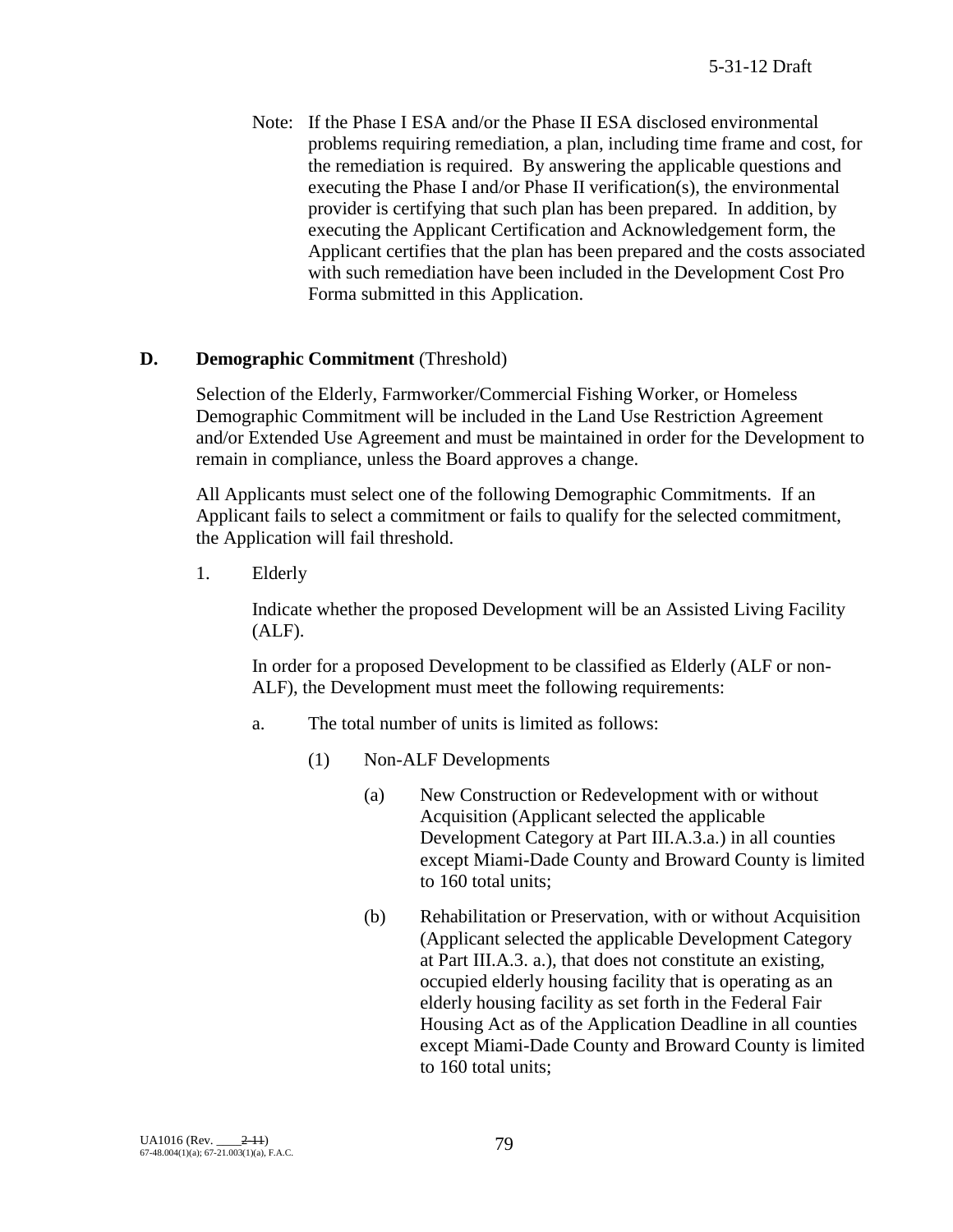Note: If the Phase I ESA and/or the Phase II ESA disclosed environmental problems requiring remediation, a plan, including time frame and cost, for the remediation is required. By answering the applicable questions and executing the Phase I and/or Phase II verification(s), the environmental provider is certifying that such plan has been prepared. In addition, by executing the Applicant Certification and Acknowledgement form, the Applicant certifies that the plan has been prepared and the costs associated with such remediation have been included in the Development Cost Pro Forma submitted in this Application.

# **D. Demographic Commitment** (Threshold)

Selection of the Elderly, Farmworker/Commercial Fishing Worker, or Homeless Demographic Commitment will be included in the Land Use Restriction Agreement and/or Extended Use Agreement and must be maintained in order for the Development to remain in compliance, unless the Board approves a change.

All Applicants must select one of the following Demographic Commitments. If an Applicant fails to select a commitment or fails to qualify for the selected commitment, the Application will fail threshold.

1. Elderly

Indicate whether the proposed Development will be an Assisted Living Facility (ALF).

In order for a proposed Development to be classified as Elderly (ALF or non-ALF), the Development must meet the following requirements:

- a. The total number of units is limited as follows:
	- (1) Non-ALF Developments
		- (a) New Construction or Redevelopment with or without Acquisition (Applicant selected the applicable Development Category at Part III.A.3.a.) in all counties except Miami-Dade County and Broward County is limited to 160 total units;
		- (b) Rehabilitation or Preservation, with or without Acquisition (Applicant selected the applicable Development Category at Part III.A.3. a.), that does not constitute an existing, occupied elderly housing facility that is operating as an elderly housing facility as set forth in the Federal Fair Housing Act as of the Application Deadline in all counties except Miami-Dade County and Broward County is limited to 160 total units;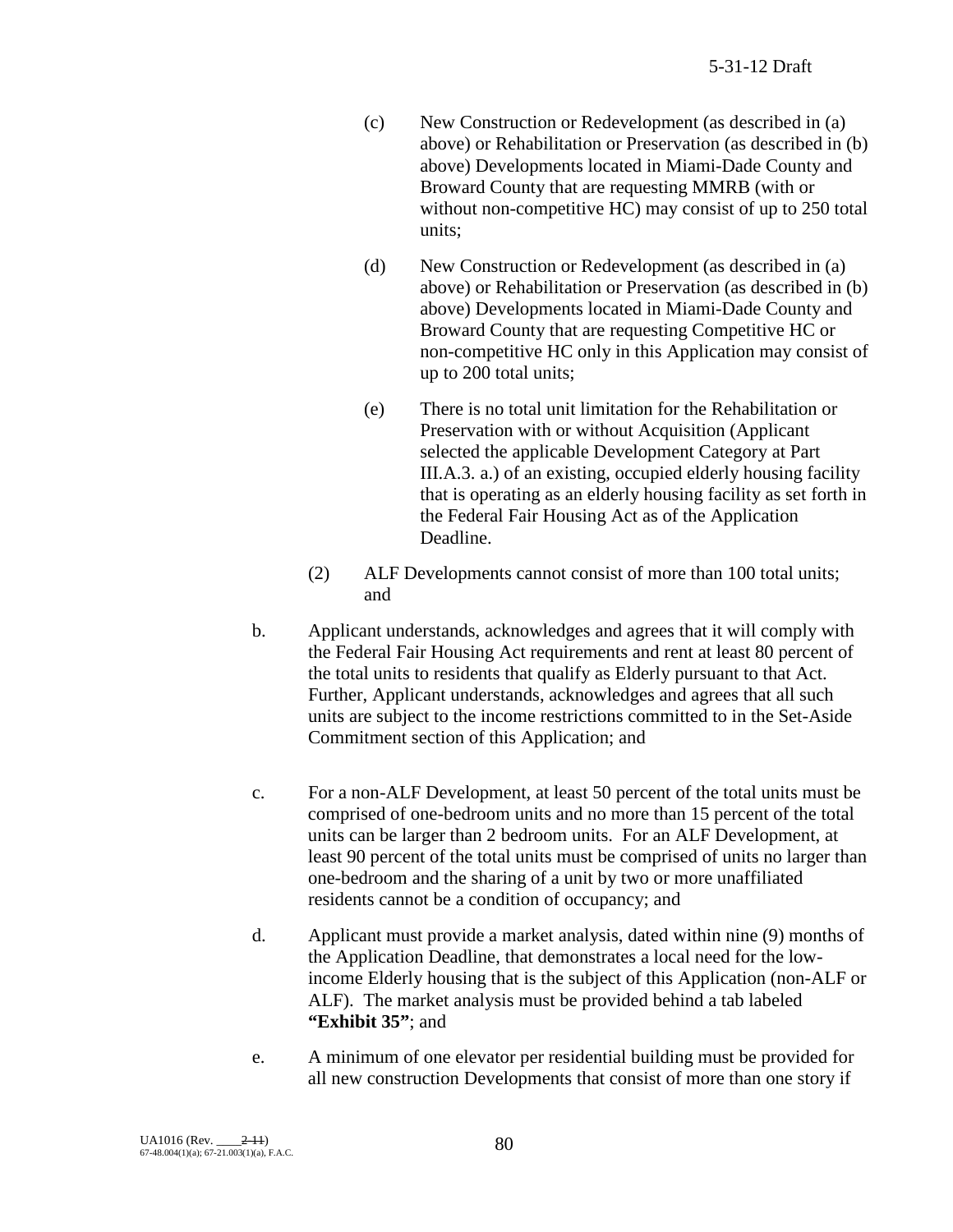- (c) New Construction or Redevelopment (as described in (a) above) or Rehabilitation or Preservation (as described in (b) above) Developments located in Miami-Dade County and Broward County that are requesting MMRB (with or without non-competitive HC) may consist of up to 250 total units;
- (d) New Construction or Redevelopment (as described in (a) above) or Rehabilitation or Preservation (as described in (b) above) Developments located in Miami-Dade County and Broward County that are requesting Competitive HC or non-competitive HC only in this Application may consist of up to 200 total units;
- (e) There is no total unit limitation for the Rehabilitation or Preservation with or without Acquisition (Applicant selected the applicable Development Category at Part III.A.3. a.) of an existing, occupied elderly housing facility that is operating as an elderly housing facility as set forth in the Federal Fair Housing Act as of the Application Deadline.
- (2) ALF Developments cannot consist of more than 100 total units; and
- b. Applicant understands, acknowledges and agrees that it will comply with the Federal Fair Housing Act requirements and rent at least 80 percent of the total units to residents that qualify as Elderly pursuant to that Act. Further, Applicant understands, acknowledges and agrees that all such units are subject to the income restrictions committed to in the Set-Aside Commitment section of this Application; and
- c. For a non-ALF Development, at least 50 percent of the total units must be comprised of one-bedroom units and no more than 15 percent of the total units can be larger than 2 bedroom units. For an ALF Development, at least 90 percent of the total units must be comprised of units no larger than one-bedroom and the sharing of a unit by two or more unaffiliated residents cannot be a condition of occupancy; and
- d. Applicant must provide a market analysis, dated within nine (9) months of the Application Deadline, that demonstrates a local need for the lowincome Elderly housing that is the subject of this Application (non-ALF or ALF). The market analysis must be provided behind a tab labeled **"Exhibit 35"**; and
- e. A minimum of one elevator per residential building must be provided for all new construction Developments that consist of more than one story if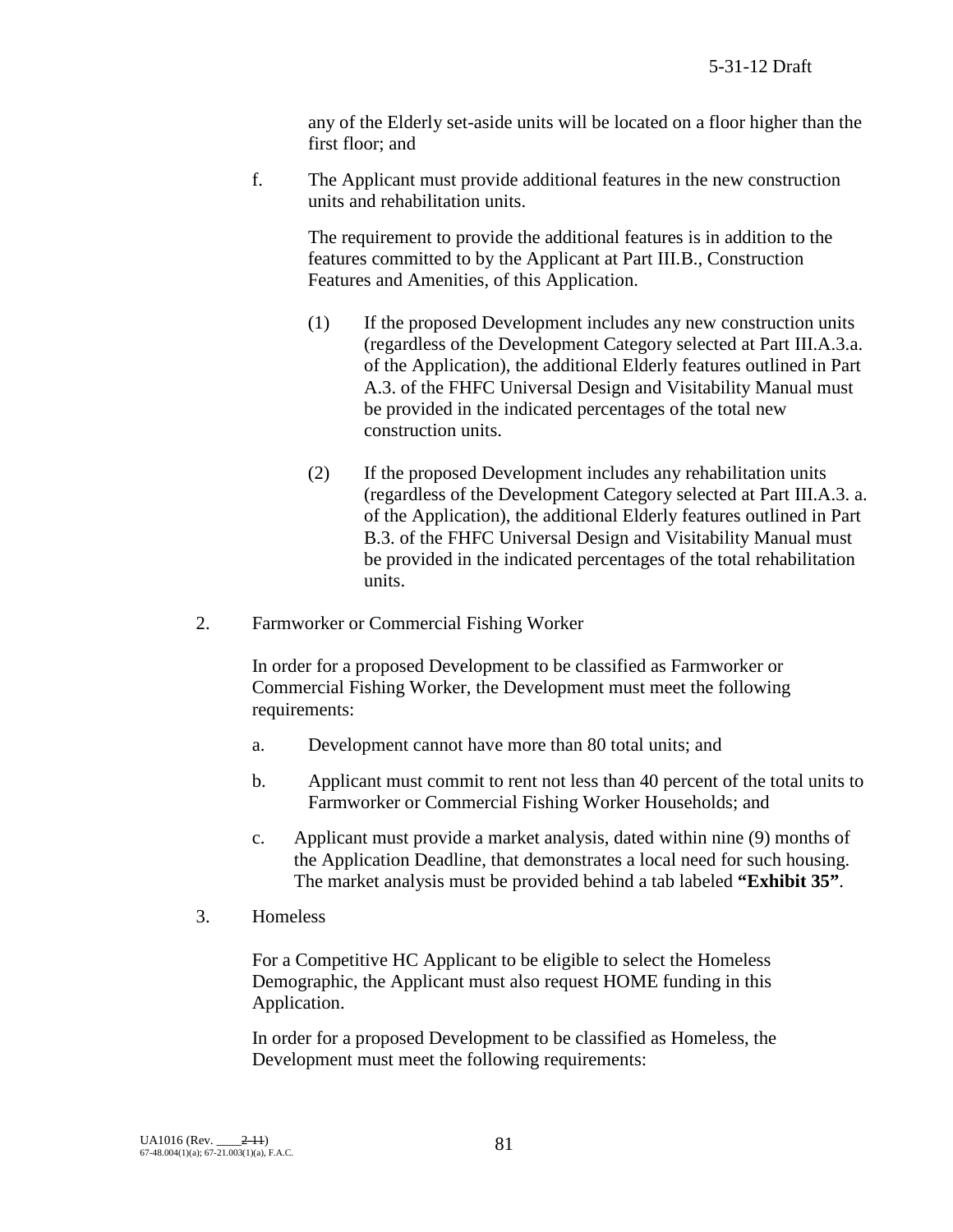any of the Elderly set-aside units will be located on a floor higher than the first floor; and

f. The Applicant must provide additional features in the new construction units and rehabilitation units.

The requirement to provide the additional features is in addition to the features committed to by the Applicant at Part III.B., Construction Features and Amenities, of this Application.

- (1) If the proposed Development includes any new construction units (regardless of the Development Category selected at Part III.A.3.a. of the Application), the additional Elderly features outlined in Part A.3. of the FHFC Universal Design and Visitability Manual must be provided in the indicated percentages of the total new construction units.
- (2) If the proposed Development includes any rehabilitation units (regardless of the Development Category selected at Part III.A.3. a. of the Application), the additional Elderly features outlined in Part B.3. of the FHFC Universal Design and Visitability Manual must be provided in the indicated percentages of the total rehabilitation units.
- 2. Farmworker or Commercial Fishing Worker

In order for a proposed Development to be classified as Farmworker or Commercial Fishing Worker, the Development must meet the following requirements:

- a. Development cannot have more than 80 total units; and
- b. Applicant must commit to rent not less than 40 percent of the total units to Farmworker or Commercial Fishing Worker Households; and
- c. Applicant must provide a market analysis, dated within nine (9) months of the Application Deadline, that demonstrates a local need for such housing. The market analysis must be provided behind a tab labeled **"Exhibit 35"**.
- 3. Homeless

For a Competitive HC Applicant to be eligible to select the Homeless Demographic, the Applicant must also request HOME funding in this Application.

In order for a proposed Development to be classified as Homeless, the Development must meet the following requirements: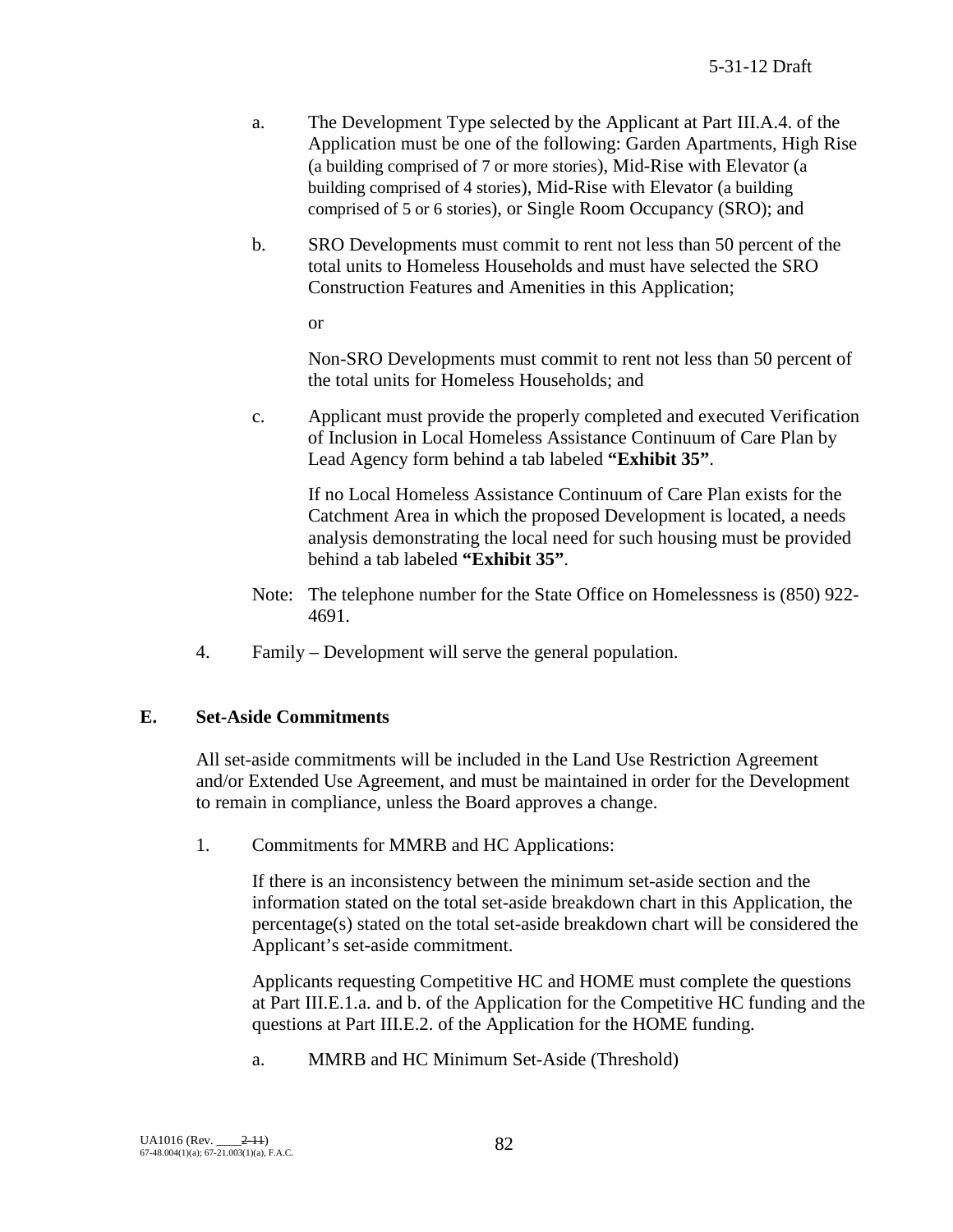- a. The Development Type selected by the Applicant at Part III.A.4. of the Application must be one of the following: Garden Apartments, High Rise (a building comprised of 7 or more stories), Mid-Rise with Elevator (a building comprised of 4 stories), Mid-Rise with Elevator (a building comprised of 5 or 6 stories), or Single Room Occupancy (SRO); and
- b. SRO Developments must commit to rent not less than 50 percent of the total units to Homeless Households and must have selected the SRO Construction Features and Amenities in this Application;

or

Non-SRO Developments must commit to rent not less than 50 percent of the total units for Homeless Households; and

c. Applicant must provide the properly completed and executed Verification of Inclusion in Local Homeless Assistance Continuum of Care Plan by Lead Agency form behind a tab labeled **"Exhibit 35"**.

If no Local Homeless Assistance Continuum of Care Plan exists for the Catchment Area in which the proposed Development is located, a needs analysis demonstrating the local need for such housing must be provided behind a tab labeled **"Exhibit 35"**.

- Note: The telephone number for the State Office on Homelessness is (850) 922- 4691.
- 4. Family Development will serve the general population.

# **E. Set-Aside Commitments**

All set-aside commitments will be included in the Land Use Restriction Agreement and/or Extended Use Agreement, and must be maintained in order for the Development to remain in compliance, unless the Board approves a change.

1. Commitments for MMRB and HC Applications:

If there is an inconsistency between the minimum set-aside section and the information stated on the total set-aside breakdown chart in this Application, the percentage(s) stated on the total set-aside breakdown chart will be considered the Applicant's set-aside commitment.

Applicants requesting Competitive HC and HOME must complete the questions at Part III.E.1.a. and b. of the Application for the Competitive HC funding and the questions at Part III.E.2. of the Application for the HOME funding.

a. MMRB and HC Minimum Set-Aside (Threshold)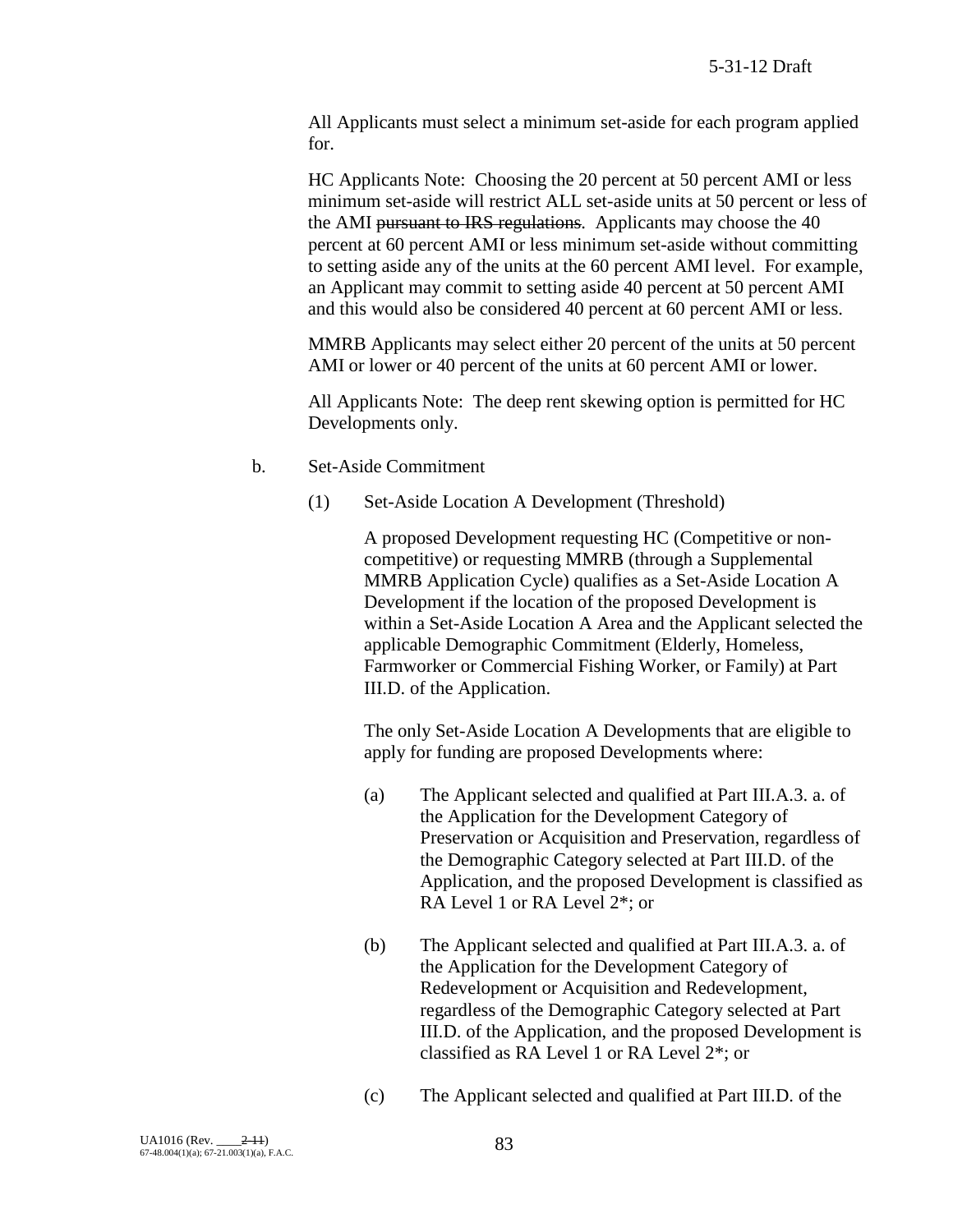All Applicants must select a minimum set-aside for each program applied for.

HC Applicants Note: Choosing the 20 percent at 50 percent AMI or less minimum set-aside will restrict ALL set-aside units at 50 percent or less of the AMI pursuant to IRS regulations. Applicants may choose the 40 percent at 60 percent AMI or less minimum set-aside without committing to setting aside any of the units at the 60 percent AMI level. For example, an Applicant may commit to setting aside 40 percent at 50 percent AMI and this would also be considered 40 percent at 60 percent AMI or less.

MMRB Applicants may select either 20 percent of the units at 50 percent AMI or lower or 40 percent of the units at 60 percent AMI or lower.

All Applicants Note: The deep rent skewing option is permitted for HC Developments only.

- b. Set-Aside Commitment
	- (1) Set-Aside Location A Development (Threshold)

A proposed Development requesting HC (Competitive or noncompetitive) or requesting MMRB (through a Supplemental MMRB Application Cycle) qualifies as a Set-Aside Location A Development if the location of the proposed Development is within a Set-Aside Location A Area and the Applicant selected the applicable Demographic Commitment (Elderly, Homeless, Farmworker or Commercial Fishing Worker, or Family) at Part III.D. of the Application.

The only Set-Aside Location A Developments that are eligible to apply for funding are proposed Developments where:

- (a) The Applicant selected and qualified at Part III.A.3. a. of the Application for the Development Category of Preservation or Acquisition and Preservation, regardless of the Demographic Category selected at Part III.D. of the Application, and the proposed Development is classified as RA Level 1 or RA Level 2\*; or
- (b) The Applicant selected and qualified at Part III.A.3. a. of the Application for the Development Category of Redevelopment or Acquisition and Redevelopment, regardless of the Demographic Category selected at Part III.D. of the Application, and the proposed Development is classified as RA Level 1 or RA Level 2\*; or
- (c) The Applicant selected and qualified at Part III.D. of the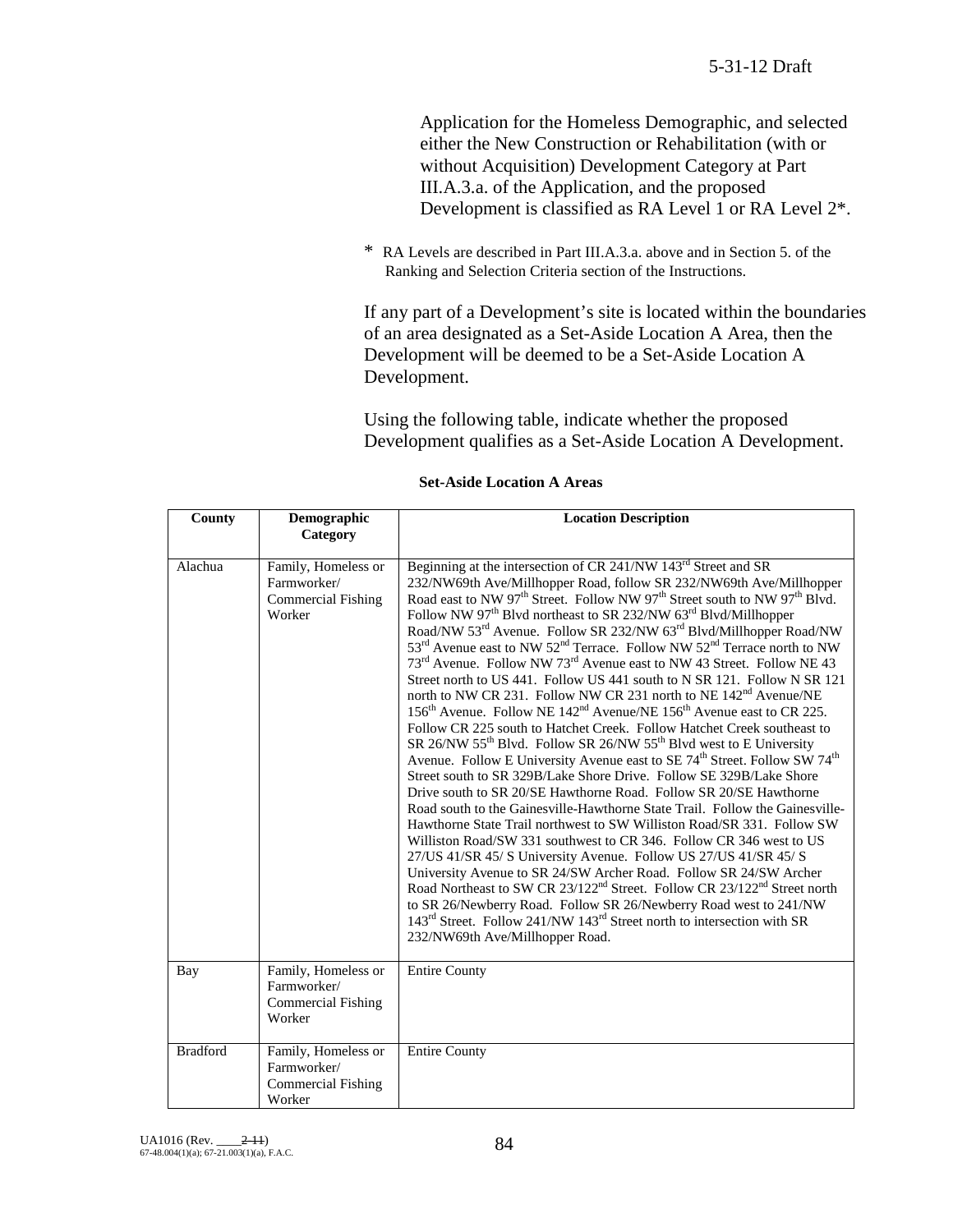Application for the Homeless Demographic, and selected either the New Construction or Rehabilitation (with or without Acquisition) Development Category at Part III.A.3.a. of the Application, and the proposed Development is classified as RA Level 1 or RA Level  $2^*$ .

\* RA Levels are described in Part III.A.3.a. above and in Section 5. of the Ranking and Selection Criteria section of the Instructions.

If any part of a Development's site is located within the boundaries of an area designated as a Set-Aside Location A Area, then the Development will be deemed to be a Set-Aside Location A Development.

Using the following table, indicate whether the proposed Development qualifies as a Set-Aside Location A Development.

| County          | Demographic<br>Category                                                   | <b>Location Description</b>                                                                                                                                                                                                                                                                                                                                                                                                                                                                                                                                                                                                                                                                                                                                                                                                                                                                                                                                                                                                                                                                                                                                                                                                                                                                                                                                                                                                                                                                                                                                                                                                                                                                                                                                                                                                                                                                                                                                                                                                                                         |
|-----------------|---------------------------------------------------------------------------|---------------------------------------------------------------------------------------------------------------------------------------------------------------------------------------------------------------------------------------------------------------------------------------------------------------------------------------------------------------------------------------------------------------------------------------------------------------------------------------------------------------------------------------------------------------------------------------------------------------------------------------------------------------------------------------------------------------------------------------------------------------------------------------------------------------------------------------------------------------------------------------------------------------------------------------------------------------------------------------------------------------------------------------------------------------------------------------------------------------------------------------------------------------------------------------------------------------------------------------------------------------------------------------------------------------------------------------------------------------------------------------------------------------------------------------------------------------------------------------------------------------------------------------------------------------------------------------------------------------------------------------------------------------------------------------------------------------------------------------------------------------------------------------------------------------------------------------------------------------------------------------------------------------------------------------------------------------------------------------------------------------------------------------------------------------------|
| Alachua         | Family, Homeless or<br>Farmworker/<br><b>Commercial Fishing</b><br>Worker | Beginning at the intersection of CR 241/NW 143 <sup>rd</sup> Street and SR<br>232/NW69th Ave/Millhopper Road, follow SR 232/NW69th Ave/Millhopper<br>Road east to NW 97 <sup>th</sup> Street. Follow NW 97 <sup>th</sup> Street south to NW 97 <sup>th</sup> Blvd.<br>Follow NW 97 <sup>th</sup> Blvd northeast to SR 232/NW 63 <sup>rd</sup> Blvd/Millhopper<br>Road/NW 53 <sup>rd</sup> Avenue. Follow SR 232/NW 63 <sup>rd</sup> Blvd/Millhopper Road/NW<br>53 <sup>rd</sup> Avenue east to NW 52 <sup>nd</sup> Terrace. Follow NW 52 <sup>nd</sup> Terrace north to NW<br>73 <sup>rd</sup> Avenue. Follow NW 73 <sup>rd</sup> Avenue east to NW 43 Street. Follow NE 43<br>Street north to US 441. Follow US 441 south to N SR 121. Follow N SR 121<br>north to NW CR 231. Follow NW CR 231 north to NE 142 <sup>nd</sup> Avenue/NE<br>156 <sup>th</sup> Avenue. Follow NE 142 <sup>nd</sup> Avenue/NE 156 <sup>th</sup> Avenue east to CR 225.<br>Follow CR 225 south to Hatchet Creek. Follow Hatchet Creek southeast to<br>SR 26/NW 55 <sup>th</sup> Blvd. Follow SR 26/NW 55 <sup>th</sup> Blvd west to E University<br>Avenue. Follow E University Avenue east to SE 74 <sup>th</sup> Street. Follow SW 74 <sup>th</sup><br>Street south to SR 329B/Lake Shore Drive. Follow SE 329B/Lake Shore<br>Drive south to SR 20/SE Hawthorne Road. Follow SR 20/SE Hawthorne<br>Road south to the Gainesville-Hawthorne State Trail. Follow the Gainesville-<br>Hawthorne State Trail northwest to SW Williston Road/SR 331. Follow SW<br>Williston Road/SW 331 southwest to CR 346. Follow CR 346 west to US<br>27/US 41/SR 45/S University Avenue. Follow US 27/US 41/SR 45/S<br>University Avenue to SR 24/SW Archer Road. Follow SR 24/SW Archer<br>Road Northeast to SW CR 23/122 <sup>nd</sup> Street. Follow CR 23/122 <sup>nd</sup> Street north<br>to SR 26/Newberry Road. Follow SR 26/Newberry Road west to 241/NW<br>143 <sup>rd</sup> Street. Follow 241/NW 143 <sup>rd</sup> Street north to intersection with SR<br>232/NW69th Ave/Millhopper Road. |
| Bay             | Family, Homeless or<br>Farmworker/<br><b>Commercial Fishing</b><br>Worker | <b>Entire County</b>                                                                                                                                                                                                                                                                                                                                                                                                                                                                                                                                                                                                                                                                                                                                                                                                                                                                                                                                                                                                                                                                                                                                                                                                                                                                                                                                                                                                                                                                                                                                                                                                                                                                                                                                                                                                                                                                                                                                                                                                                                                |
| <b>Bradford</b> | Family, Homeless or<br>Farmworker/<br><b>Commercial Fishing</b><br>Worker | <b>Entire County</b>                                                                                                                                                                                                                                                                                                                                                                                                                                                                                                                                                                                                                                                                                                                                                                                                                                                                                                                                                                                                                                                                                                                                                                                                                                                                                                                                                                                                                                                                                                                                                                                                                                                                                                                                                                                                                                                                                                                                                                                                                                                |

**Set-Aside Location A Areas**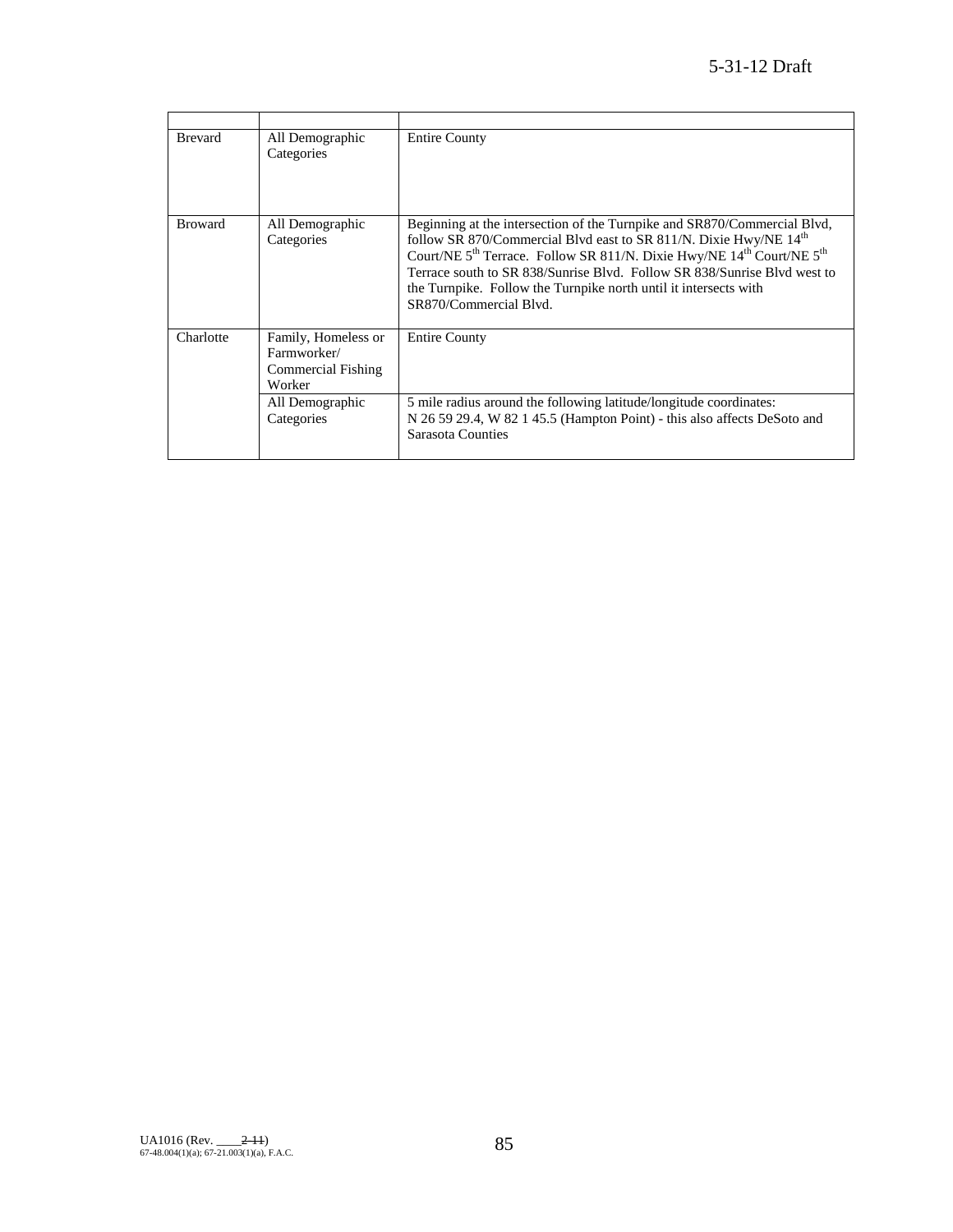| <b>Brevard</b> | All Demographic<br>Categories                                                                       | <b>Entire County</b>                                                                                                                                                                                                                                                                                                                                                                                                                             |
|----------------|-----------------------------------------------------------------------------------------------------|--------------------------------------------------------------------------------------------------------------------------------------------------------------------------------------------------------------------------------------------------------------------------------------------------------------------------------------------------------------------------------------------------------------------------------------------------|
| <b>Broward</b> | All Demographic<br>Categories                                                                       | Beginning at the intersection of the Turnpike and SR870/Commercial Blvd,<br>follow SR 870/Commercial Blvd east to SR 811/N. Dixie Hwy/NE 14 <sup>th</sup><br>Court/NE 5 <sup>th</sup> Terrace. Follow SR 811/N. Dixie Hwy/NE 14 <sup>th</sup> Court/NE 5 <sup>th</sup><br>Terrace south to SR 838/Sunrise Blvd. Follow SR 838/Sunrise Blvd west to<br>the Turnpike. Follow the Turnpike north until it intersects with<br>SR870/Commercial Blvd. |
| Charlotte      | Family, Homeless or<br>Farmworker/<br>Commercial Fishing<br>Worker<br>All Demographic<br>Categories | <b>Entire County</b><br>5 mile radius around the following latitude/longitude coordinates:<br>N 26 59 29.4, W 82 1 45.5 (Hampton Point) - this also affects DeSoto and<br>Sarasota Counties                                                                                                                                                                                                                                                      |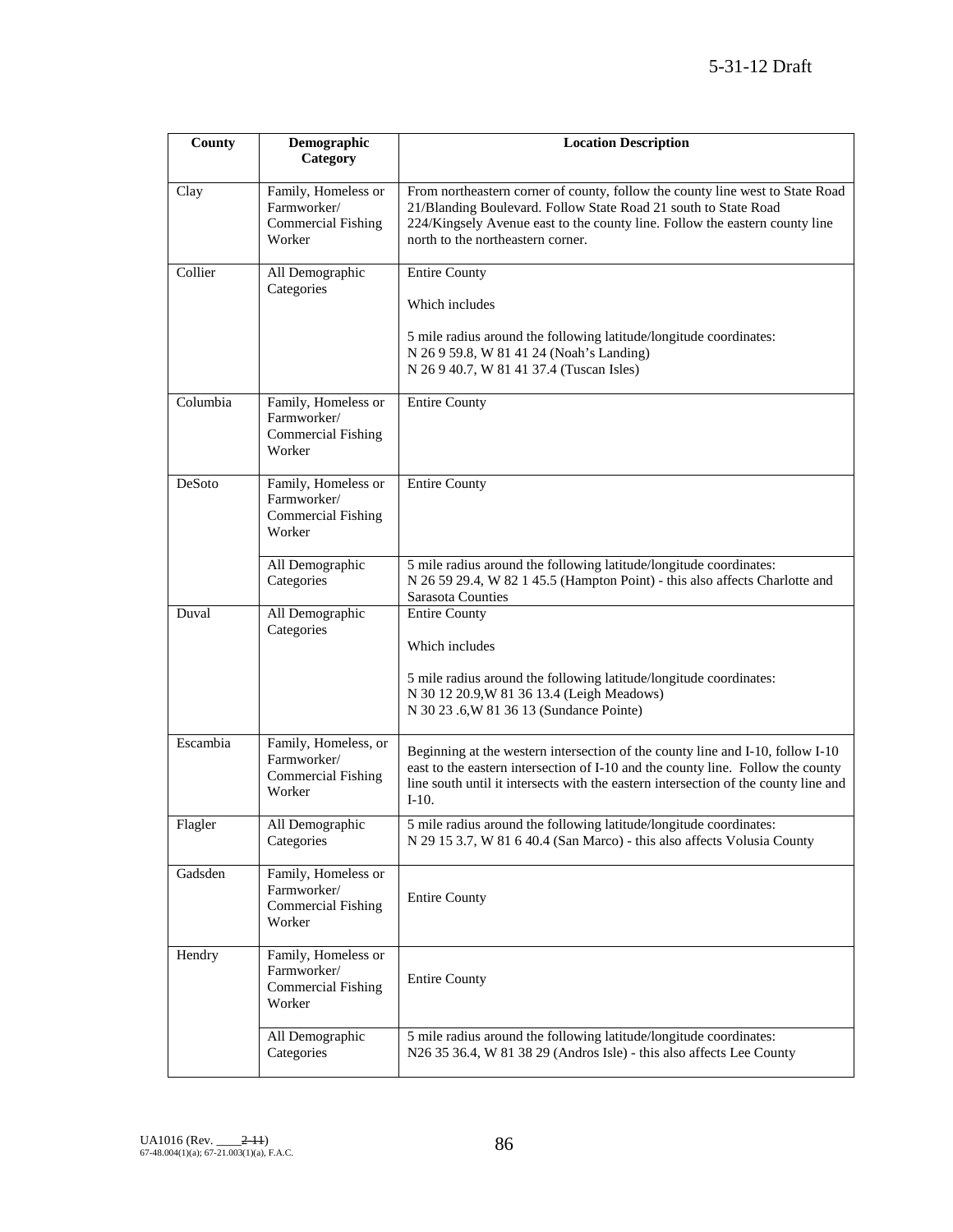| County                                                                              | Demographic                                                               | <b>Location Description</b>                                                                                                                                                                                                                                          |
|-------------------------------------------------------------------------------------|---------------------------------------------------------------------------|----------------------------------------------------------------------------------------------------------------------------------------------------------------------------------------------------------------------------------------------------------------------|
|                                                                                     | Category                                                                  |                                                                                                                                                                                                                                                                      |
| Clay                                                                                | Family, Homeless or<br>Farmworker/<br>Commercial Fishing<br>Worker        | From northeastern corner of county, follow the county line west to State Road<br>21/Blanding Boulevard. Follow State Road 21 south to State Road<br>224/Kingsely Avenue east to the county line. Follow the eastern county line<br>north to the northeastern corner. |
| Collier                                                                             | All Demographic<br>Categories                                             | <b>Entire County</b>                                                                                                                                                                                                                                                 |
|                                                                                     |                                                                           | Which includes                                                                                                                                                                                                                                                       |
|                                                                                     |                                                                           | 5 mile radius around the following latitude/longitude coordinates:<br>N 26 9 59.8, W 81 41 24 (Noah's Landing)<br>N 26 9 40.7, W 81 41 37.4 (Tuscan Isles)                                                                                                           |
| Columbia                                                                            | Family, Homeless or<br>Farmworker/<br><b>Commercial Fishing</b><br>Worker | <b>Entire County</b>                                                                                                                                                                                                                                                 |
| DeSoto<br>Family, Homeless or<br>Farmworker/<br><b>Commercial Fishing</b><br>Worker |                                                                           | <b>Entire County</b>                                                                                                                                                                                                                                                 |
|                                                                                     | All Demographic<br>Categories                                             | 5 mile radius around the following latitude/longitude coordinates:<br>N 26 59 29.4, W 82 1 45.5 (Hampton Point) - this also affects Charlotte and<br>Sarasota Counties                                                                                               |
| Duval                                                                               | All Demographic<br>Categories                                             | <b>Entire County</b><br>Which includes<br>5 mile radius around the following latitude/longitude coordinates:<br>N 30 12 20.9, W 81 36 13.4 (Leigh Meadows)<br>N 30 23 .6, W 81 36 13 (Sundance Pointe)                                                               |
| Escambia                                                                            | Family, Homeless, or<br>Farmworker/<br>Commercial Fishing<br>Worker       | Beginning at the western intersection of the county line and I-10, follow I-10<br>east to the eastern intersection of I-10 and the county line. Follow the county<br>line south until it intersects with the eastern intersection of the county line and<br>$I-10.$  |
| Flagler                                                                             | All Demographic<br>Categories                                             | 5 mile radius around the following latitude/longitude coordinates:<br>N 29 15 3.7, W 81 6 40.4 (San Marco) - this also affects Volusia County                                                                                                                        |
| Gadsden                                                                             | Family, Homeless or<br>Farmworker/<br><b>Commercial Fishing</b><br>Worker | <b>Entire County</b>                                                                                                                                                                                                                                                 |
| Hendry                                                                              | Family, Homeless or<br>Farmworker/<br><b>Commercial Fishing</b><br>Worker | <b>Entire County</b>                                                                                                                                                                                                                                                 |
|                                                                                     | All Demographic<br>Categories                                             | 5 mile radius around the following latitude/longitude coordinates:<br>N26 35 36.4, W 81 38 29 (Andros Isle) - this also affects Lee County                                                                                                                           |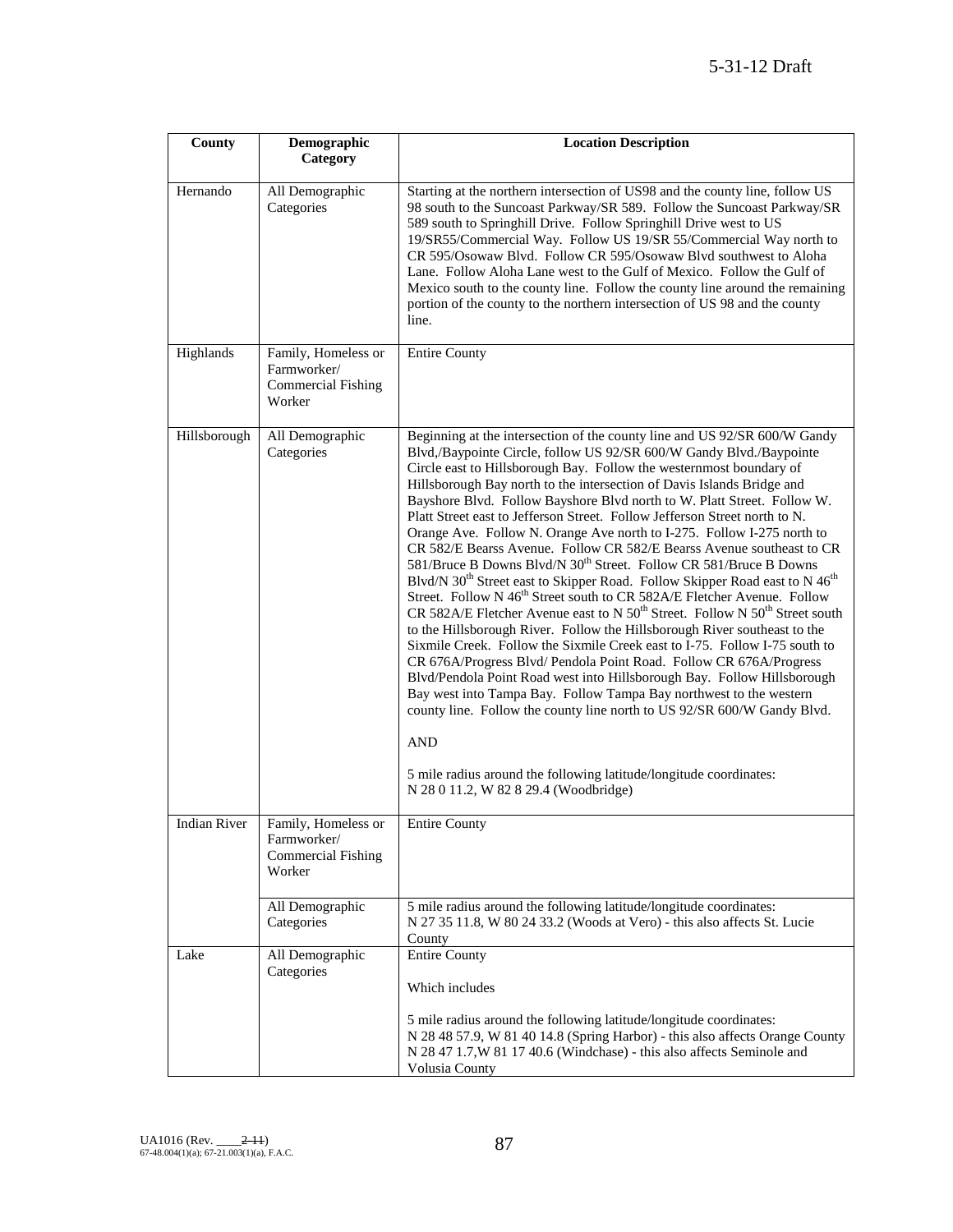| County              | Demographic                                                               | <b>Location Description</b>                                                                                                                                                                                                                                                                                                                                                                                                                                                                                                                                                                                                                                                                                                                                                                                                                                                                                                                                                                                                                                                                                                                                                                                                                                                                                                                                                                                                                                                                                                                                                                   |
|---------------------|---------------------------------------------------------------------------|-----------------------------------------------------------------------------------------------------------------------------------------------------------------------------------------------------------------------------------------------------------------------------------------------------------------------------------------------------------------------------------------------------------------------------------------------------------------------------------------------------------------------------------------------------------------------------------------------------------------------------------------------------------------------------------------------------------------------------------------------------------------------------------------------------------------------------------------------------------------------------------------------------------------------------------------------------------------------------------------------------------------------------------------------------------------------------------------------------------------------------------------------------------------------------------------------------------------------------------------------------------------------------------------------------------------------------------------------------------------------------------------------------------------------------------------------------------------------------------------------------------------------------------------------------------------------------------------------|
|                     | Category                                                                  |                                                                                                                                                                                                                                                                                                                                                                                                                                                                                                                                                                                                                                                                                                                                                                                                                                                                                                                                                                                                                                                                                                                                                                                                                                                                                                                                                                                                                                                                                                                                                                                               |
| Hernando            | All Demographic<br>Categories                                             | Starting at the northern intersection of US98 and the county line, follow US<br>98 south to the Suncoast Parkway/SR 589. Follow the Suncoast Parkway/SR<br>589 south to Springhill Drive. Follow Springhill Drive west to US<br>19/SR55/Commercial Way. Follow US 19/SR 55/Commercial Way north to<br>CR 595/Osowaw Blvd. Follow CR 595/Osowaw Blvd southwest to Aloha<br>Lane. Follow Aloha Lane west to the Gulf of Mexico. Follow the Gulf of<br>Mexico south to the county line. Follow the county line around the remaining<br>portion of the county to the northern intersection of US 98 and the county<br>line.                                                                                                                                                                                                                                                                                                                                                                                                                                                                                                                                                                                                                                                                                                                                                                                                                                                                                                                                                                       |
| Highlands           | Family, Homeless or<br>Farmworker/<br><b>Commercial Fishing</b><br>Worker | Entire County                                                                                                                                                                                                                                                                                                                                                                                                                                                                                                                                                                                                                                                                                                                                                                                                                                                                                                                                                                                                                                                                                                                                                                                                                                                                                                                                                                                                                                                                                                                                                                                 |
| Hillsborough        | All Demographic<br>Categories                                             | Beginning at the intersection of the county line and US 92/SR 600/W Gandy<br>Blvd,/Baypointe Circle, follow US 92/SR 600/W Gandy Blvd./Baypointe<br>Circle east to Hillsborough Bay. Follow the westernmost boundary of<br>Hillsborough Bay north to the intersection of Davis Islands Bridge and<br>Bayshore Blvd. Follow Bayshore Blvd north to W. Platt Street. Follow W.<br>Platt Street east to Jefferson Street. Follow Jefferson Street north to N.<br>Orange Ave. Follow N. Orange Ave north to I-275. Follow I-275 north to<br>CR 582/E Bearss Avenue. Follow CR 582/E Bearss Avenue southeast to CR<br>581/Bruce B Downs Blvd/N 30 <sup>th</sup> Street. Follow CR 581/Bruce B Downs<br>Blvd/N 30 <sup>th</sup> Street east to Skipper Road. Follow Skipper Road east to N 46 <sup>th</sup><br>Street. Follow N 46 <sup>th</sup> Street south to CR 582A/E Fletcher Avenue. Follow<br>CR 582A/E Fletcher Avenue east to N 50 <sup>th</sup> Street. Follow N 50 <sup>th</sup> Street south<br>to the Hillsborough River. Follow the Hillsborough River southeast to the<br>Sixmile Creek. Follow the Sixmile Creek east to I-75. Follow I-75 south to<br>CR 676A/Progress Blvd/ Pendola Point Road. Follow CR 676A/Progress<br>Blvd/Pendola Point Road west into Hillsborough Bay. Follow Hillsborough<br>Bay west into Tampa Bay. Follow Tampa Bay northwest to the western<br>county line. Follow the county line north to US 92/SR 600/W Gandy Blvd.<br><b>AND</b><br>5 mile radius around the following latitude/longitude coordinates:<br>N 28 0 11.2, W 82 8 29.4 (Woodbridge) |
| <b>Indian River</b> | Family, Homeless or<br>Farmworker/<br>Commercial Fishing<br>Worker        | <b>Entire County</b>                                                                                                                                                                                                                                                                                                                                                                                                                                                                                                                                                                                                                                                                                                                                                                                                                                                                                                                                                                                                                                                                                                                                                                                                                                                                                                                                                                                                                                                                                                                                                                          |
|                     | All Demographic<br>Categories                                             | 5 mile radius around the following latitude/longitude coordinates:<br>N 27 35 11.8, W 80 24 33.2 (Woods at Vero) - this also affects St. Lucie<br>County                                                                                                                                                                                                                                                                                                                                                                                                                                                                                                                                                                                                                                                                                                                                                                                                                                                                                                                                                                                                                                                                                                                                                                                                                                                                                                                                                                                                                                      |
| Lake                | All Demographic<br>Categories                                             | <b>Entire County</b><br>Which includes                                                                                                                                                                                                                                                                                                                                                                                                                                                                                                                                                                                                                                                                                                                                                                                                                                                                                                                                                                                                                                                                                                                                                                                                                                                                                                                                                                                                                                                                                                                                                        |
|                     |                                                                           | 5 mile radius around the following latitude/longitude coordinates:<br>N 28 48 57.9, W 81 40 14.8 (Spring Harbor) - this also affects Orange County<br>N 28 47 1.7, W 81 17 40.6 (Windchase) - this also affects Seminole and<br>Volusia County                                                                                                                                                                                                                                                                                                                                                                                                                                                                                                                                                                                                                                                                                                                                                                                                                                                                                                                                                                                                                                                                                                                                                                                                                                                                                                                                                |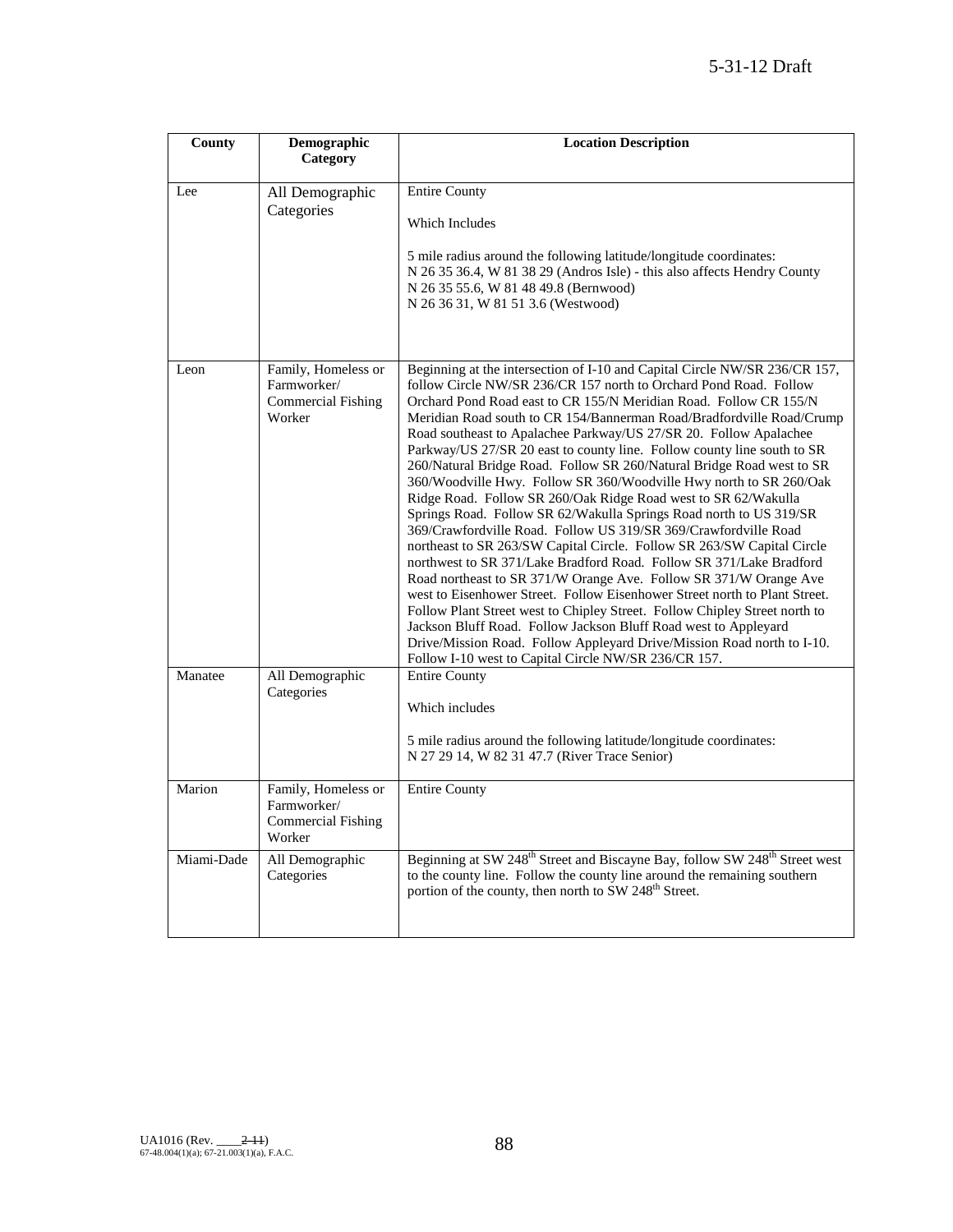| County     | Demographic<br>Category                                                   | <b>Location Description</b>                                                                                                                                                                                                                                                                                                                                                                                                                                                                                                                                                                                                                                                                                                                                                                                                                                                                                                                                                                                                                                                                                                                                                                                                                                                                                                                                                                    |
|------------|---------------------------------------------------------------------------|------------------------------------------------------------------------------------------------------------------------------------------------------------------------------------------------------------------------------------------------------------------------------------------------------------------------------------------------------------------------------------------------------------------------------------------------------------------------------------------------------------------------------------------------------------------------------------------------------------------------------------------------------------------------------------------------------------------------------------------------------------------------------------------------------------------------------------------------------------------------------------------------------------------------------------------------------------------------------------------------------------------------------------------------------------------------------------------------------------------------------------------------------------------------------------------------------------------------------------------------------------------------------------------------------------------------------------------------------------------------------------------------|
|            |                                                                           |                                                                                                                                                                                                                                                                                                                                                                                                                                                                                                                                                                                                                                                                                                                                                                                                                                                                                                                                                                                                                                                                                                                                                                                                                                                                                                                                                                                                |
| Lee        | All Demographic<br>Categories                                             | <b>Entire County</b><br>Which Includes<br>5 mile radius around the following latitude/longitude coordinates:<br>N 26 35 36.4, W 81 38 29 (Andros Isle) - this also affects Hendry County<br>N 26 35 55.6, W 81 48 49.8 (Bernwood)<br>N 26 36 31, W 81 51 3.6 (Westwood)                                                                                                                                                                                                                                                                                                                                                                                                                                                                                                                                                                                                                                                                                                                                                                                                                                                                                                                                                                                                                                                                                                                        |
| Leon       | Family, Homeless or<br>Farmworker/<br><b>Commercial Fishing</b><br>Worker | Beginning at the intersection of I-10 and Capital Circle NW/SR 236/CR 157,<br>follow Circle NW/SR 236/CR 157 north to Orchard Pond Road. Follow<br>Orchard Pond Road east to CR 155/N Meridian Road. Follow CR 155/N<br>Meridian Road south to CR 154/Bannerman Road/Bradfordville Road/Crump<br>Road southeast to Apalachee Parkway/US 27/SR 20. Follow Apalachee<br>Parkway/US 27/SR 20 east to county line. Follow county line south to SR<br>260/Natural Bridge Road. Follow SR 260/Natural Bridge Road west to SR<br>360/Woodville Hwy. Follow SR 360/Woodville Hwy north to SR 260/Oak<br>Ridge Road. Follow SR 260/Oak Ridge Road west to SR 62/Wakulla<br>Springs Road. Follow SR 62/Wakulla Springs Road north to US 319/SR<br>369/Crawfordville Road. Follow US 319/SR 369/Crawfordville Road<br>northeast to SR 263/SW Capital Circle. Follow SR 263/SW Capital Circle<br>northwest to SR 371/Lake Bradford Road. Follow SR 371/Lake Bradford<br>Road northeast to SR 371/W Orange Ave. Follow SR 371/W Orange Ave<br>west to Eisenhower Street. Follow Eisenhower Street north to Plant Street.<br>Follow Plant Street west to Chipley Street. Follow Chipley Street north to<br>Jackson Bluff Road. Follow Jackson Bluff Road west to Appleyard<br>Drive/Mission Road. Follow Appleyard Drive/Mission Road north to I-10.<br>Follow I-10 west to Capital Circle NW/SR 236/CR 157. |
| Manatee    | All Demographic<br>Categories                                             | Entire County<br>Which includes<br>5 mile radius around the following latitude/longitude coordinates:<br>N 27 29 14, W 82 31 47.7 (River Trace Senior)                                                                                                                                                                                                                                                                                                                                                                                                                                                                                                                                                                                                                                                                                                                                                                                                                                                                                                                                                                                                                                                                                                                                                                                                                                         |
| Marion     | Family, Homeless or<br>Farmworker/<br>Commercial Fishing<br>Worker        | <b>Entire County</b>                                                                                                                                                                                                                                                                                                                                                                                                                                                                                                                                                                                                                                                                                                                                                                                                                                                                                                                                                                                                                                                                                                                                                                                                                                                                                                                                                                           |
| Miami-Dade | All Demographic<br>Categories                                             | Beginning at SW 248 <sup>th</sup> Street and Biscayne Bay, follow SW 248 <sup>th</sup> Street west<br>to the county line. Follow the county line around the remaining southern<br>portion of the county, then north to SW 248 <sup>th</sup> Street.                                                                                                                                                                                                                                                                                                                                                                                                                                                                                                                                                                                                                                                                                                                                                                                                                                                                                                                                                                                                                                                                                                                                            |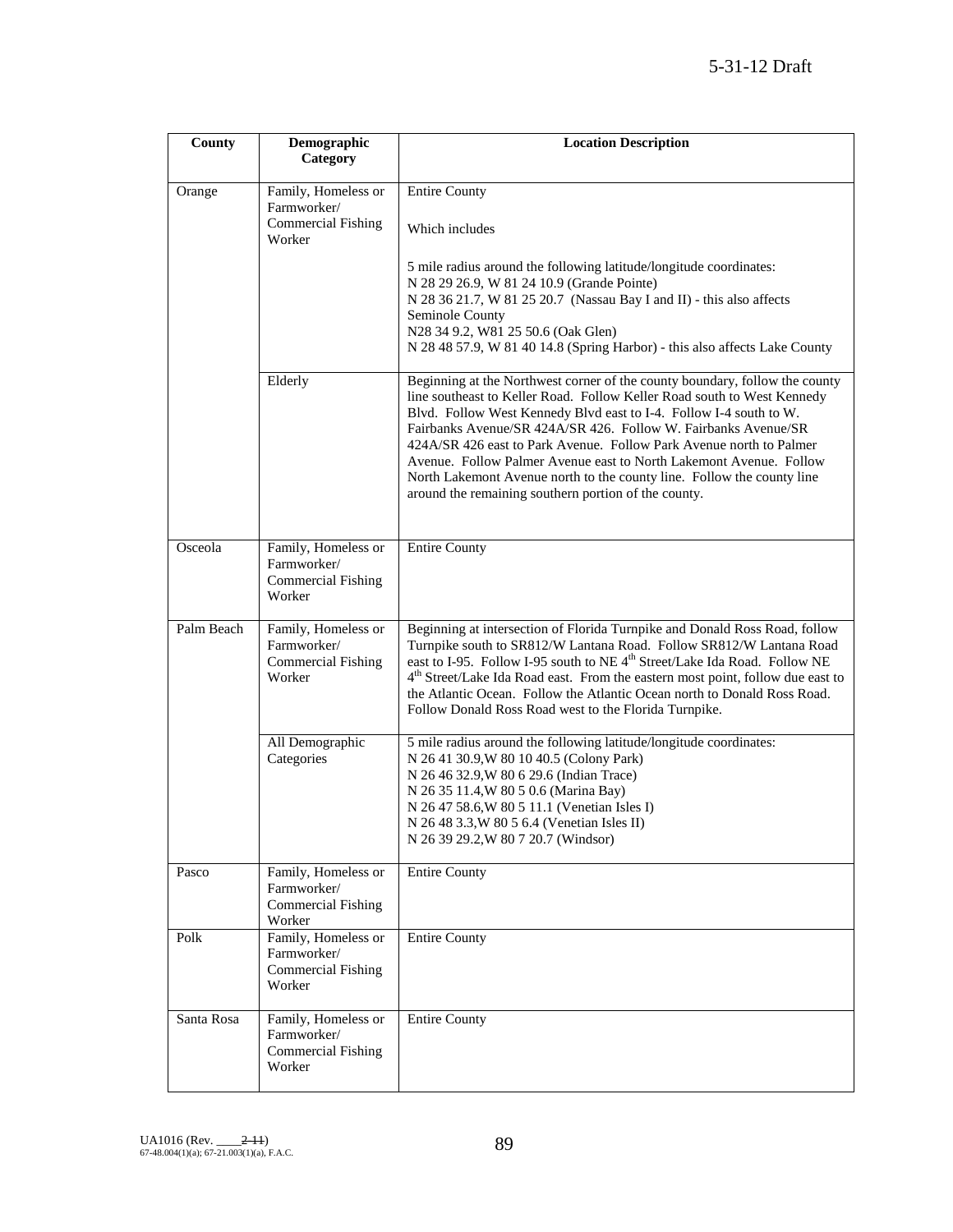| County     | Demographic<br>Category                                                   | <b>Location Description</b>                                                                                                                                                                                                                                                                                                                                                                                                                                                                                                                                                   |
|------------|---------------------------------------------------------------------------|-------------------------------------------------------------------------------------------------------------------------------------------------------------------------------------------------------------------------------------------------------------------------------------------------------------------------------------------------------------------------------------------------------------------------------------------------------------------------------------------------------------------------------------------------------------------------------|
| Orange     | Family, Homeless or<br>Farmworker/<br><b>Commercial Fishing</b>           | <b>Entire County</b>                                                                                                                                                                                                                                                                                                                                                                                                                                                                                                                                                          |
|            | Worker                                                                    | Which includes                                                                                                                                                                                                                                                                                                                                                                                                                                                                                                                                                                |
|            |                                                                           | 5 mile radius around the following latitude/longitude coordinates:<br>N 28 29 26.9, W 81 24 10.9 (Grande Pointe)<br>N 28 36 21.7, W 81 25 20.7 (Nassau Bay I and II) - this also affects<br>Seminole County                                                                                                                                                                                                                                                                                                                                                                   |
|            |                                                                           | N28 34 9.2, W81 25 50.6 (Oak Glen)<br>N 28 48 57.9, W 81 40 14.8 (Spring Harbor) - this also affects Lake County                                                                                                                                                                                                                                                                                                                                                                                                                                                              |
|            | Elderly                                                                   | Beginning at the Northwest corner of the county boundary, follow the county<br>line southeast to Keller Road. Follow Keller Road south to West Kennedy<br>Blvd. Follow West Kennedy Blvd east to I-4. Follow I-4 south to W.<br>Fairbanks Avenue/SR 424A/SR 426. Follow W. Fairbanks Avenue/SR<br>424A/SR 426 east to Park Avenue. Follow Park Avenue north to Palmer<br>Avenue. Follow Palmer Avenue east to North Lakemont Avenue. Follow<br>North Lakemont Avenue north to the county line. Follow the county line<br>around the remaining southern portion of the county. |
|            |                                                                           |                                                                                                                                                                                                                                                                                                                                                                                                                                                                                                                                                                               |
| Osceola    | Family, Homeless or<br>Farmworker/<br><b>Commercial Fishing</b><br>Worker | <b>Entire County</b>                                                                                                                                                                                                                                                                                                                                                                                                                                                                                                                                                          |
| Palm Beach | Family, Homeless or<br>Farmworker/<br><b>Commercial Fishing</b><br>Worker | Beginning at intersection of Florida Turnpike and Donald Ross Road, follow<br>Turnpike south to SR812/W Lantana Road. Follow SR812/W Lantana Road<br>east to I-95. Follow I-95 south to NE 4 <sup>th</sup> Street/Lake Ida Road. Follow NE<br>$4th$ Street/Lake Ida Road east. From the eastern most point, follow due east to<br>the Atlantic Ocean. Follow the Atlantic Ocean north to Donald Ross Road.<br>Follow Donald Ross Road west to the Florida Turnpike.                                                                                                           |
|            | All Demographic<br>Categories                                             | 5 mile radius around the following latitude/longitude coordinates:<br>N 26 41 30.9, W 80 10 40.5 (Colony Park)<br>N 26 46 32.9, W 80 6 29.6 (Indian Trace)<br>N 26 35 11.4, W 80 5 0.6 (Marina Bay)<br>N 26 47 58.6, W 80 5 11.1 (Venetian Isles I)<br>N 26 48 3.3, W 80 5 6.4 (Venetian Isles II)<br>N 26 39 29.2, W 80 7 20.7 (Windsor)                                                                                                                                                                                                                                     |
| Pasco      | Family, Homeless or<br>Farmworker/<br><b>Commercial Fishing</b><br>Worker | <b>Entire County</b>                                                                                                                                                                                                                                                                                                                                                                                                                                                                                                                                                          |
| Polk       | Family, Homeless or<br>Farmworker/<br><b>Commercial Fishing</b><br>Worker | <b>Entire County</b>                                                                                                                                                                                                                                                                                                                                                                                                                                                                                                                                                          |
| Santa Rosa | Family, Homeless or<br>Farmworker/<br><b>Commercial Fishing</b><br>Worker | <b>Entire County</b>                                                                                                                                                                                                                                                                                                                                                                                                                                                                                                                                                          |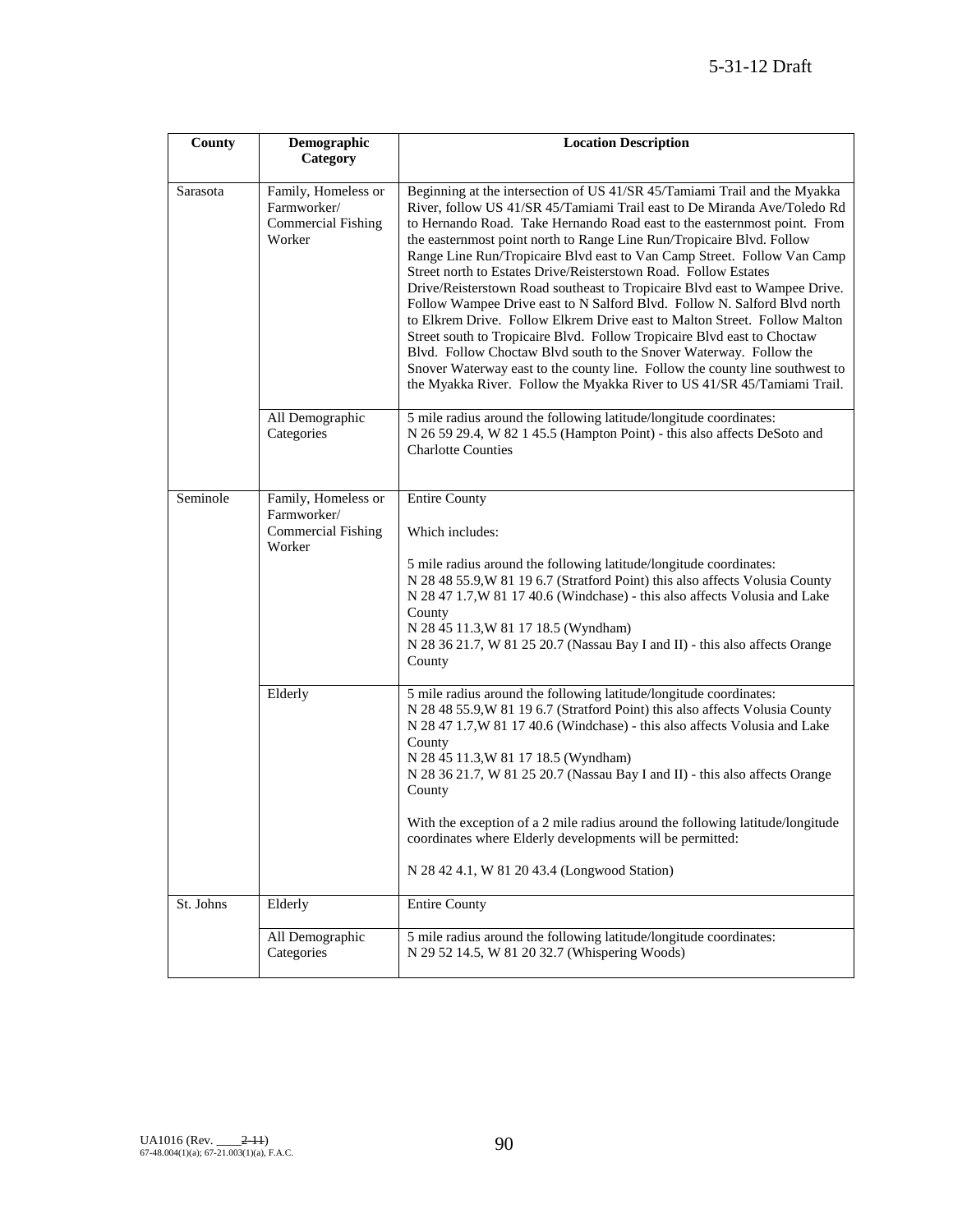| County    | Demographic<br>Category                                                   | <b>Location Description</b>                                                                                                                                                                                                                                                                                                                                                                                                                                                                                                                                                                                                                                                                                                                                                                                                                                                                                                                                                                                 |
|-----------|---------------------------------------------------------------------------|-------------------------------------------------------------------------------------------------------------------------------------------------------------------------------------------------------------------------------------------------------------------------------------------------------------------------------------------------------------------------------------------------------------------------------------------------------------------------------------------------------------------------------------------------------------------------------------------------------------------------------------------------------------------------------------------------------------------------------------------------------------------------------------------------------------------------------------------------------------------------------------------------------------------------------------------------------------------------------------------------------------|
| Sarasota  | Family, Homeless or<br>Farmworker/<br><b>Commercial Fishing</b><br>Worker | Beginning at the intersection of US 41/SR 45/Tamiami Trail and the Myakka<br>River, follow US 41/SR 45/Tamiami Trail east to De Miranda Ave/Toledo Rd<br>to Hernando Road. Take Hernando Road east to the easternmost point. From<br>the easternmost point north to Range Line Run/Tropicaire Blvd. Follow<br>Range Line Run/Tropicaire Blvd east to Van Camp Street. Follow Van Camp<br>Street north to Estates Drive/Reisterstown Road. Follow Estates<br>Drive/Reisterstown Road southeast to Tropicaire Blvd east to Wampee Drive.<br>Follow Wampee Drive east to N Salford Blvd. Follow N. Salford Blvd north<br>to Elkrem Drive. Follow Elkrem Drive east to Malton Street. Follow Malton<br>Street south to Tropicaire Blvd. Follow Tropicaire Blvd east to Choctaw<br>Blvd. Follow Choctaw Blvd south to the Snover Waterway. Follow the<br>Snover Waterway east to the county line. Follow the county line southwest to<br>the Myakka River. Follow the Myakka River to US 41/SR 45/Tamiami Trail. |
|           | All Demographic<br>Categories                                             | 5 mile radius around the following latitude/longitude coordinates:<br>N 26 59 29.4, W 82 1 45.5 (Hampton Point) - this also affects DeSoto and<br><b>Charlotte Counties</b>                                                                                                                                                                                                                                                                                                                                                                                                                                                                                                                                                                                                                                                                                                                                                                                                                                 |
| Seminole  | Family, Homeless or<br>Farmworker/<br>Commercial Fishing<br>Worker        | <b>Entire County</b><br>Which includes:<br>5 mile radius around the following latitude/longitude coordinates:<br>N 28 48 55.9, W 81 19 6.7 (Stratford Point) this also affects Volusia County<br>N 28 47 1.7, W 81 17 40.6 (Windchase) - this also affects Volusia and Lake<br>County<br>N 28 45 11.3, W 81 17 18.5 (Wyndham)<br>N 28 36 21.7, W 81 25 20.7 (Nassau Bay I and II) - this also affects Orange<br>County                                                                                                                                                                                                                                                                                                                                                                                                                                                                                                                                                                                      |
|           | Elderly                                                                   | 5 mile radius around the following latitude/longitude coordinates:<br>N 28 48 55.9, W 81 19 6.7 (Stratford Point) this also affects Volusia County<br>N 28 47 1.7, W 81 17 40.6 (Windchase) - this also affects Volusia and Lake<br>County<br>N 28 45 11.3, W 81 17 18.5 (Wyndham)<br>N 28 36 21.7, W 81 25 20.7 (Nassau Bay I and II) - this also affects Orange<br>County<br>With the exception of a 2 mile radius around the following latitude/longitude<br>coordinates where Elderly developments will be permitted:<br>N 28 42 4.1, W 81 20 43.4 (Longwood Station)                                                                                                                                                                                                                                                                                                                                                                                                                                   |
| St. Johns | Elderly                                                                   | <b>Entire County</b>                                                                                                                                                                                                                                                                                                                                                                                                                                                                                                                                                                                                                                                                                                                                                                                                                                                                                                                                                                                        |
|           | All Demographic<br>Categories                                             | 5 mile radius around the following latitude/longitude coordinates:<br>N 29 52 14.5, W 81 20 32.7 (Whispering Woods)                                                                                                                                                                                                                                                                                                                                                                                                                                                                                                                                                                                                                                                                                                                                                                                                                                                                                         |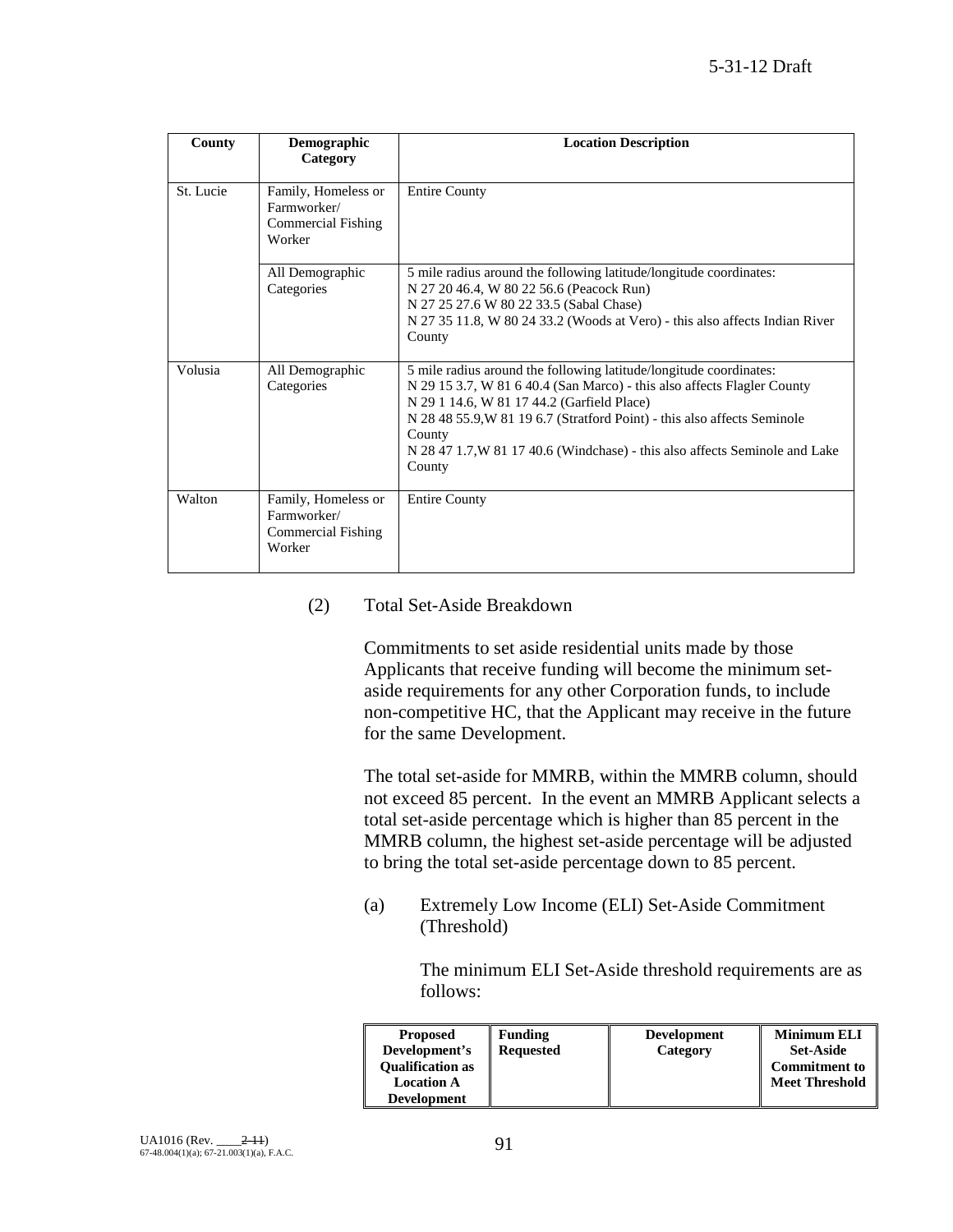| County    | Demographic<br>Category                                            | <b>Location Description</b>                                                                                                                                                                                                                                                                                                                                                |
|-----------|--------------------------------------------------------------------|----------------------------------------------------------------------------------------------------------------------------------------------------------------------------------------------------------------------------------------------------------------------------------------------------------------------------------------------------------------------------|
| St. Lucie | Family, Homeless or<br>Farmworker/<br>Commercial Fishing<br>Worker | <b>Entire County</b>                                                                                                                                                                                                                                                                                                                                                       |
|           | All Demographic<br>Categories                                      | 5 mile radius around the following latitude/longitude coordinates:<br>N 27 20 46.4, W 80 22 56.6 (Peacock Run)<br>N 27 25 27.6 W 80 22 33.5 (Sabal Chase)<br>N 27 35 11.8, W 80 24 33.2 (Woods at Vero) - this also affects Indian River<br>County                                                                                                                         |
| Volusia   | All Demographic<br>Categories                                      | 5 mile radius around the following latitude/longitude coordinates:<br>N 29 15 3.7, W 81 6 40.4 (San Marco) - this also affects Flagler County<br>N 29 1 14.6, W 81 17 44.2 (Garfield Place)<br>N 28 48 55.9, W 81 19 6.7 (Stratford Point) - this also affects Seminole<br>County<br>N 28 47 1.7, W 81 17 40.6 (Windchase) - this also affects Seminole and Lake<br>County |
| Walton    | Family, Homeless or<br>Farmworker/<br>Commercial Fishing<br>Worker | <b>Entire County</b>                                                                                                                                                                                                                                                                                                                                                       |

#### (2) Total Set-Aside Breakdown

Commitments to set aside residential units made by those Applicants that receive funding will become the minimum setaside requirements for any other Corporation funds, to include non-competitive HC, that the Applicant may receive in the future for the same Development.

The total set-aside for MMRB, within the MMRB column, should not exceed 85 percent. In the event an MMRB Applicant selects a total set-aside percentage which is higher than 85 percent in the MMRB column, the highest set-aside percentage will be adjusted to bring the total set-aside percentage down to 85 percent.

(a) Extremely Low Income (ELI) Set-Aside Commitment (Threshold)

> The minimum ELI Set-Aside threshold requirements are as follows:

| <b>Proposed</b>         | <b>Funding</b>   | <b>Development</b> | <b>Minimum ELI</b>    |
|-------------------------|------------------|--------------------|-----------------------|
| Development's           | <b>Requested</b> | Category           | <b>Set-Aside</b>      |
| <b>Oualification as</b> |                  |                    | <b>Commitment to</b>  |
| <b>Location A</b>       |                  |                    | <b>Meet Threshold</b> |
| <b>Development</b>      |                  |                    |                       |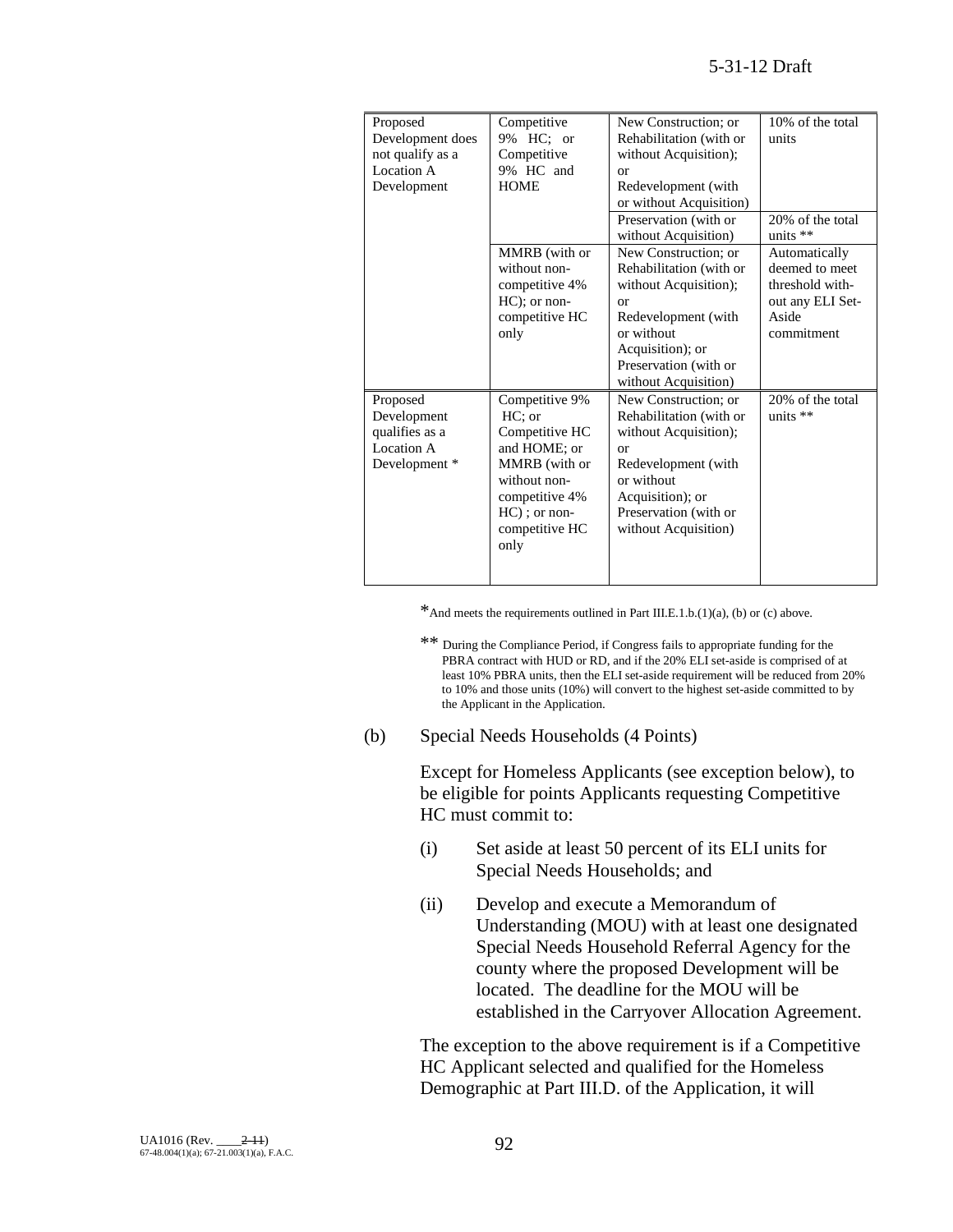| Proposed         | Competitive     | New Construction; or    | 10% of the total |
|------------------|-----------------|-------------------------|------------------|
| Development does | 9% HC; or       | Rehabilitation (with or | units            |
| not qualify as a | Competitive     | without Acquisition);   |                  |
| Location A       | 9% HC and       | or                      |                  |
| Development      | <b>HOME</b>     | Redevelopment (with     |                  |
|                  |                 | or without Acquisition) |                  |
|                  |                 | Preservation (with or   | 20% of the total |
|                  |                 | without Acquisition)    | units **         |
|                  | MMRB (with or   | New Construction; or    | Automatically    |
|                  | without non-    | Rehabilitation (with or | deemed to meet   |
|                  | competitive 4%  | without Acquisition);   | threshold with-  |
|                  | HC); or non-    | or                      | out any ELI Set- |
|                  | competitive HC  | Redevelopment (with     | Aside            |
|                  | only            | or without              | commitment       |
|                  |                 | Acquisition); or        |                  |
|                  |                 | Preservation (with or   |                  |
|                  |                 | without Acquisition)    |                  |
| Proposed         | Competitive 9%  | New Construction; or    | 20% of the total |
| Development      | HC: or          | Rehabilitation (with or | units $**$       |
| qualifies as a   | Competitive HC  | without Acquisition);   |                  |
| Location A       | and HOME; or    | or                      |                  |
| Development *    | MMRB (with or   | Redevelopment (with     |                  |
|                  | without non-    | or without              |                  |
|                  | competitive 4%  | Acquisition); or        |                  |
|                  | $HC$ ); or non- | Preservation (with or   |                  |
|                  | competitive HC  | without Acquisition)    |                  |
|                  | only            |                         |                  |
|                  |                 |                         |                  |
|                  |                 |                         |                  |

\*And meets the requirements outlined in Part III.E.1.b.(1)(a), (b) or (c) above.

\*\* During the Compliance Period, if Congress fails to appropriate funding for the PBRA contract with HUD or RD, and if the 20% ELI set-aside is comprised of at least 10% PBRA units, then the ELI set-aside requirement will be reduced from 20% to 10% and those units (10%) will convert to the highest set-aside committed to by the Applicant in the Application.

(b) Special Needs Households (4 Points)

Except for Homeless Applicants (see exception below), to be eligible for points Applicants requesting Competitive HC must commit to:

- (i) Set aside at least 50 percent of its ELI units for Special Needs Households; and
- (ii) Develop and execute a Memorandum of Understanding (MOU) with at least one designated Special Needs Household Referral Agency for the county where the proposed Development will be located. The deadline for the MOU will be established in the Carryover Allocation Agreement.

The exception to the above requirement is if a Competitive HC Applicant selected and qualified for the Homeless Demographic at Part III.D. of the Application, it will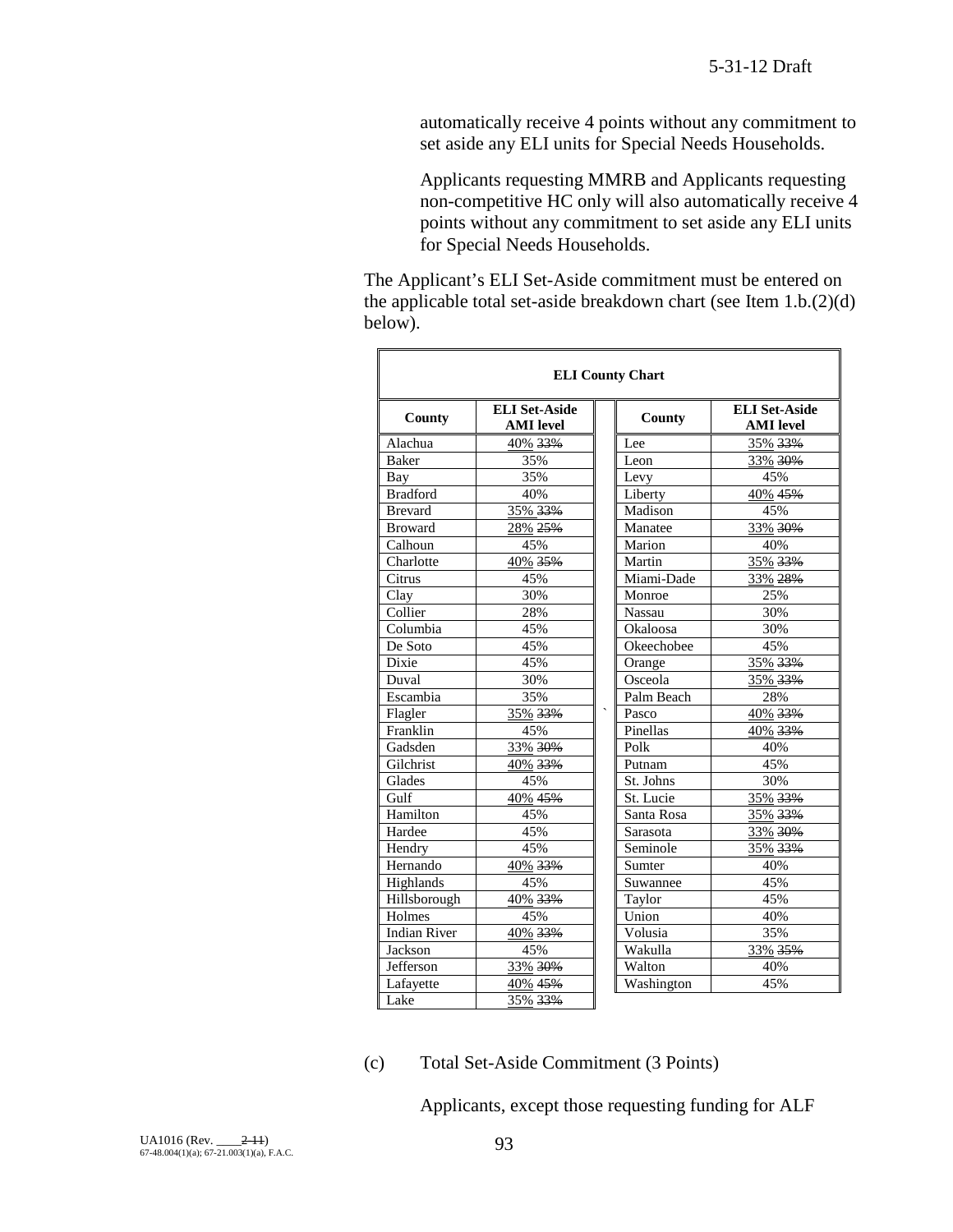automatically receive 4 points without any commitment to set aside any ELI units for Special Needs Households.

Applicants requesting MMRB and Applicants requesting non-competitive HC only will also automatically receive 4 points without any commitment to set aside any ELI units for Special Needs Households.

The Applicant's ELI Set-Aside commitment must be entered on the applicable total set-aside breakdown chart (see Item  $1.b.(2)(d)$ ) below).

| <b>ELI County Chart</b> |                                          |  |            |                                          |  |
|-------------------------|------------------------------------------|--|------------|------------------------------------------|--|
| County                  | <b>ELI Set-Aside</b><br><b>AMI</b> level |  | County     | <b>ELI Set-Aside</b><br><b>AMI</b> level |  |
| Alachua                 | 40% 33%                                  |  | Lee        | 35% 33%                                  |  |
| <b>Baker</b>            | 35%                                      |  | Leon       | 33% 30%                                  |  |
| Bay                     | 35%                                      |  | Levy       | 45%                                      |  |
| Bradford                | 40%                                      |  | Liberty    | 40% 45%                                  |  |
| <b>Brevard</b>          | 35% 33%                                  |  | Madison    | 45%                                      |  |
| <b>Broward</b>          | 28% 25%                                  |  | Manatee    | 33% 30%                                  |  |
| Calhoun                 | 45%                                      |  | Marion     | 40%                                      |  |
| Charlotte               | 40% 35%                                  |  | Martin     | 35% 33%                                  |  |
| Citrus                  | 45%                                      |  | Miami-Dade | 33% 28%                                  |  |
| Clay                    | 30%                                      |  | Monroe     | 25%                                      |  |
| Collier                 | 28%                                      |  | Nassau     | 30%                                      |  |
| Columbia                | 45%                                      |  | Okaloosa   | 30%                                      |  |
| De Soto                 | 45%                                      |  | Okeechobee | 45%                                      |  |
| Dixie                   | 45%                                      |  | Orange     | 35% 33%                                  |  |
| Duval                   | 30%                                      |  | Osceola    | 35% 33%                                  |  |
| Escambia                | 35%                                      |  | Palm Beach | 28%                                      |  |
| Flagler                 | 35% 33%                                  |  | Pasco      | 40% 33%                                  |  |
| Franklin                | 45%                                      |  | Pinellas   | 40% 33%                                  |  |
| Gadsden                 | 33% 30%                                  |  | Polk       | 40%                                      |  |
| Gilchrist               | 40% 33%                                  |  | Putnam     | 45%                                      |  |
| Glades                  | 45%                                      |  | St. Johns  | 30%                                      |  |
| Gulf                    | $40\%$ 45%                               |  | St. Lucie  | 35% 33%                                  |  |
| Hamilton                | 45%                                      |  | Santa Rosa | 35% 33%                                  |  |
| Hardee                  | 45%                                      |  | Sarasota   | 33% 30%                                  |  |
| Hendry                  | 45%                                      |  | Seminole   | 35% 33%                                  |  |
| Hernando                | 40% 33%                                  |  | Sumter     | 40%                                      |  |
| Highlands               | 45%                                      |  | Suwannee   | 45%                                      |  |
| Hillsborough            | 40% 33%                                  |  | Taylor     | 45%                                      |  |
| Holmes                  | 45%                                      |  | Union      | 40%                                      |  |
| <b>Indian River</b>     | 40% 33%                                  |  | Volusia    | 35%                                      |  |
| Jackson                 | 45%                                      |  | Wakulla    | 33% 35%                                  |  |
| Jefferson               | 33% 30%                                  |  | Walton     | 40%                                      |  |
| Lafayette               | 40% 45%                                  |  | Washington | 45%                                      |  |
| Lake                    | 35% 33%                                  |  |            |                                          |  |

#### (c) Total Set-Aside Commitment (3 Points)

Applicants, except those requesting funding for ALF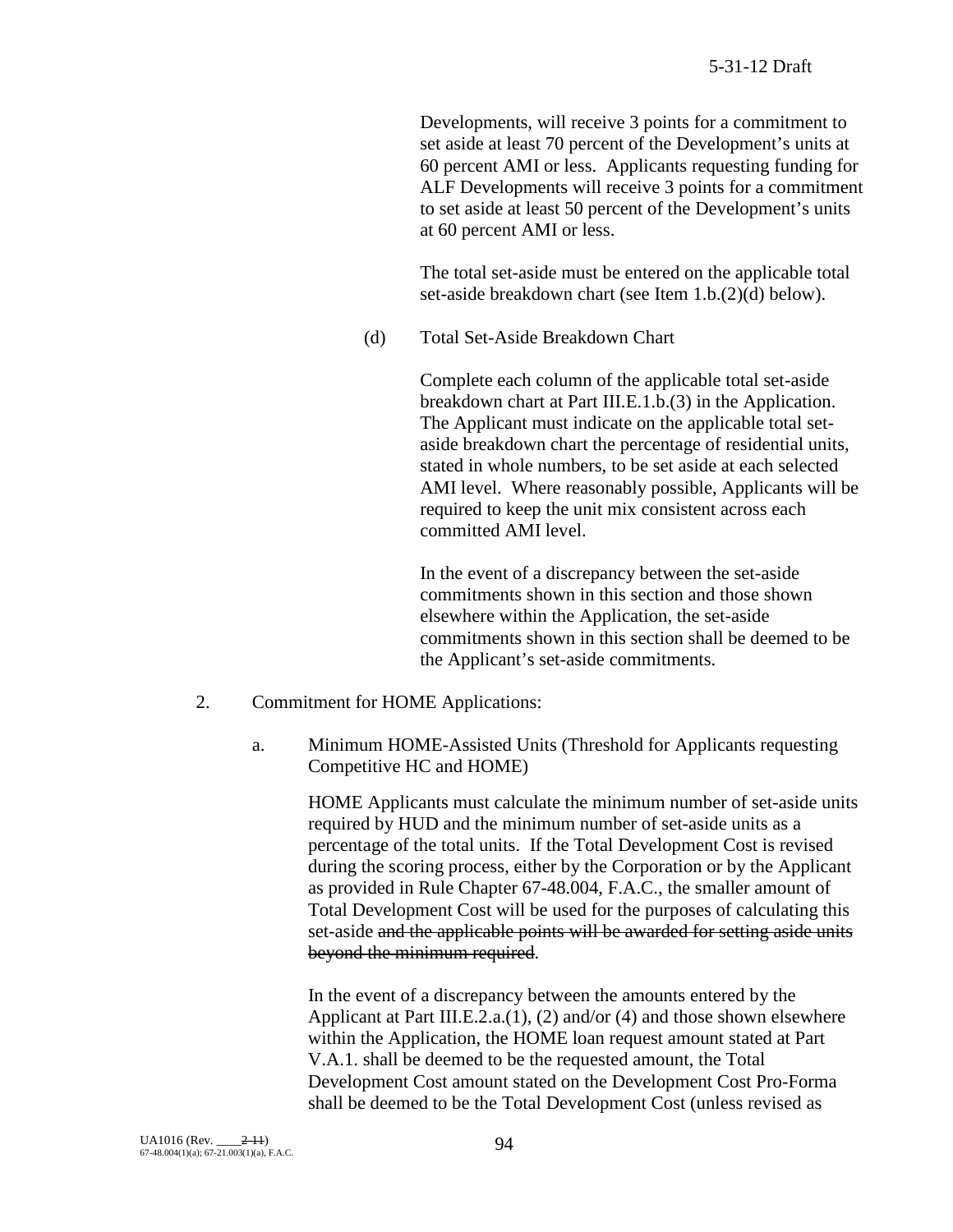Developments, will receive 3 points for a commitment to set aside at least 70 percent of the Development's units at 60 percent AMI or less. Applicants requesting funding for ALF Developments will receive 3 points for a commitment to set aside at least 50 percent of the Development's units at 60 percent AMI or less.

The total set-aside must be entered on the applicable total set-aside breakdown chart (see Item 1.b.(2)(d) below).

(d) Total Set-Aside Breakdown Chart

Complete each column of the applicable total set-aside breakdown chart at Part III.E.1.b.(3) in the Application. The Applicant must indicate on the applicable total setaside breakdown chart the percentage of residential units, stated in whole numbers, to be set aside at each selected AMI level. Where reasonably possible, Applicants will be required to keep the unit mix consistent across each committed AMI level.

In the event of a discrepancy between the set-aside commitments shown in this section and those shown elsewhere within the Application, the set-aside commitments shown in this section shall be deemed to be the Applicant's set-aside commitments.

- 2. Commitment for HOME Applications:
	- a. Minimum HOME-Assisted Units (Threshold for Applicants requesting Competitive HC and HOME)

HOME Applicants must calculate the minimum number of set-aside units required by HUD and the minimum number of set-aside units as a percentage of the total units. If the Total Development Cost is revised during the scoring process, either by the Corporation or by the Applicant as provided in Rule Chapter 67-48.004, F.A.C., the smaller amount of Total Development Cost will be used for the purposes of calculating this set-aside and the applicable points will be awarded for setting aside units beyond the minimum required.

In the event of a discrepancy between the amounts entered by the Applicant at Part III.E.2.a.(1), (2) and/or (4) and those shown elsewhere within the Application, the HOME loan request amount stated at Part V.A.1. shall be deemed to be the requested amount, the Total Development Cost amount stated on the Development Cost Pro-Forma shall be deemed to be the Total Development Cost (unless revised as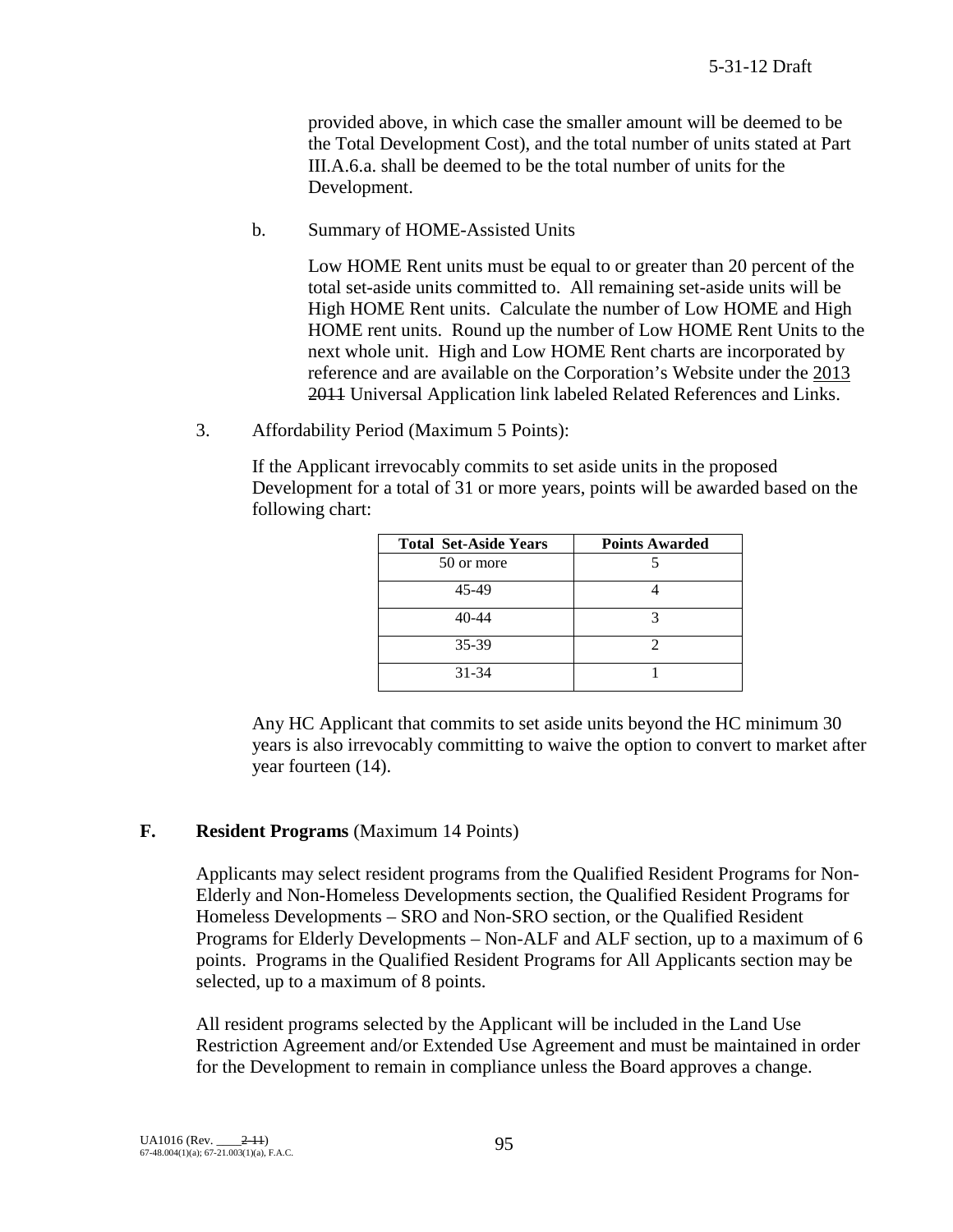provided above, in which case the smaller amount will be deemed to be the Total Development Cost), and the total number of units stated at Part III.A.6.a. shall be deemed to be the total number of units for the Development.

b. Summary of HOME-Assisted Units

Low HOME Rent units must be equal to or greater than 20 percent of the total set-aside units committed to. All remaining set-aside units will be High HOME Rent units. Calculate the number of Low HOME and High HOME rent units. Round up the number of Low HOME Rent Units to the next whole unit. High and Low HOME Rent charts are incorporated by reference and are available on the Corporation's Website under the 2013 2011 Universal Application link labeled Related References and Links.

3. Affordability Period (Maximum 5 Points):

If the Applicant irrevocably commits to set aside units in the proposed Development for a total of 31 or more years, points will be awarded based on the following chart:

| <b>Total Set-Aside Years</b> | <b>Points Awarded</b> |
|------------------------------|-----------------------|
| 50 or more                   |                       |
| 45-49                        |                       |
| $40 - 44$                    |                       |
| 35-39                        |                       |
| $31 - 34$                    |                       |

Any HC Applicant that commits to set aside units beyond the HC minimum 30 years is also irrevocably committing to waive the option to convert to market after year fourteen (14).

# **F. Resident Programs** (Maximum 14 Points)

Applicants may select resident programs from the Qualified Resident Programs for Non-Elderly and Non-Homeless Developments section, the Qualified Resident Programs for Homeless Developments – SRO and Non-SRO section, or the Qualified Resident Programs for Elderly Developments – Non-ALF and ALF section, up to a maximum of 6 points. Programs in the Qualified Resident Programs for All Applicants section may be selected, up to a maximum of 8 points.

All resident programs selected by the Applicant will be included in the Land Use Restriction Agreement and/or Extended Use Agreement and must be maintained in order for the Development to remain in compliance unless the Board approves a change.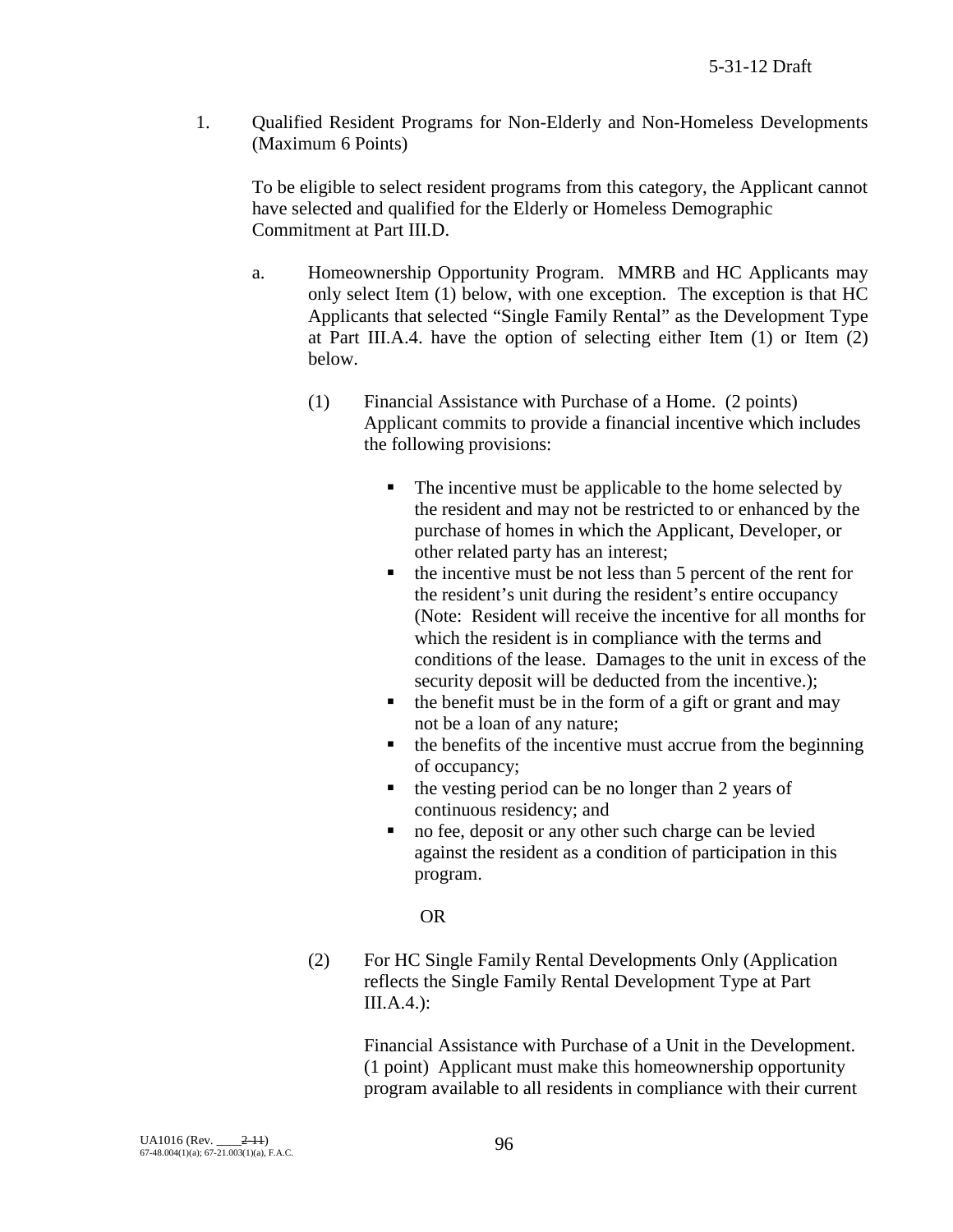1. Qualified Resident Programs for Non-Elderly and Non-Homeless Developments (Maximum 6 Points)

To be eligible to select resident programs from this category, the Applicant cannot have selected and qualified for the Elderly or Homeless Demographic Commitment at Part III.D.

- a. Homeownership Opportunity Program. MMRB and HC Applicants may only select Item (1) below, with one exception. The exception is that HC Applicants that selected "Single Family Rental" as the Development Type at Part III.A.4. have the option of selecting either Item (1) or Item (2) below.
	- (1) Financial Assistance with Purchase of a Home. (2 points) Applicant commits to provide a financial incentive which includes the following provisions:
		- The incentive must be applicable to the home selected by the resident and may not be restricted to or enhanced by the purchase of homes in which the Applicant, Developer, or other related party has an interest;
		- $\blacksquare$  the incentive must be not less than 5 percent of the rent for the resident's unit during the resident's entire occupancy (Note: Resident will receive the incentive for all months for which the resident is in compliance with the terms and conditions of the lease. Damages to the unit in excess of the security deposit will be deducted from the incentive.);
		- $\blacksquare$  the benefit must be in the form of a gift or grant and may not be a loan of any nature;
		- $\blacksquare$  the benefits of the incentive must accrue from the beginning of occupancy;
		- the vesting period can be no longer than 2 years of continuous residency; and
		- no fee, deposit or any other such charge can be levied against the resident as a condition of participation in this program.

# OR

(2) For HC Single Family Rental Developments Only (Application reflects the Single Family Rental Development Type at Part III.A.4.):

> Financial Assistance with Purchase of a Unit in the Development. (1 point) Applicant must make this homeownership opportunity program available to all residents in compliance with their current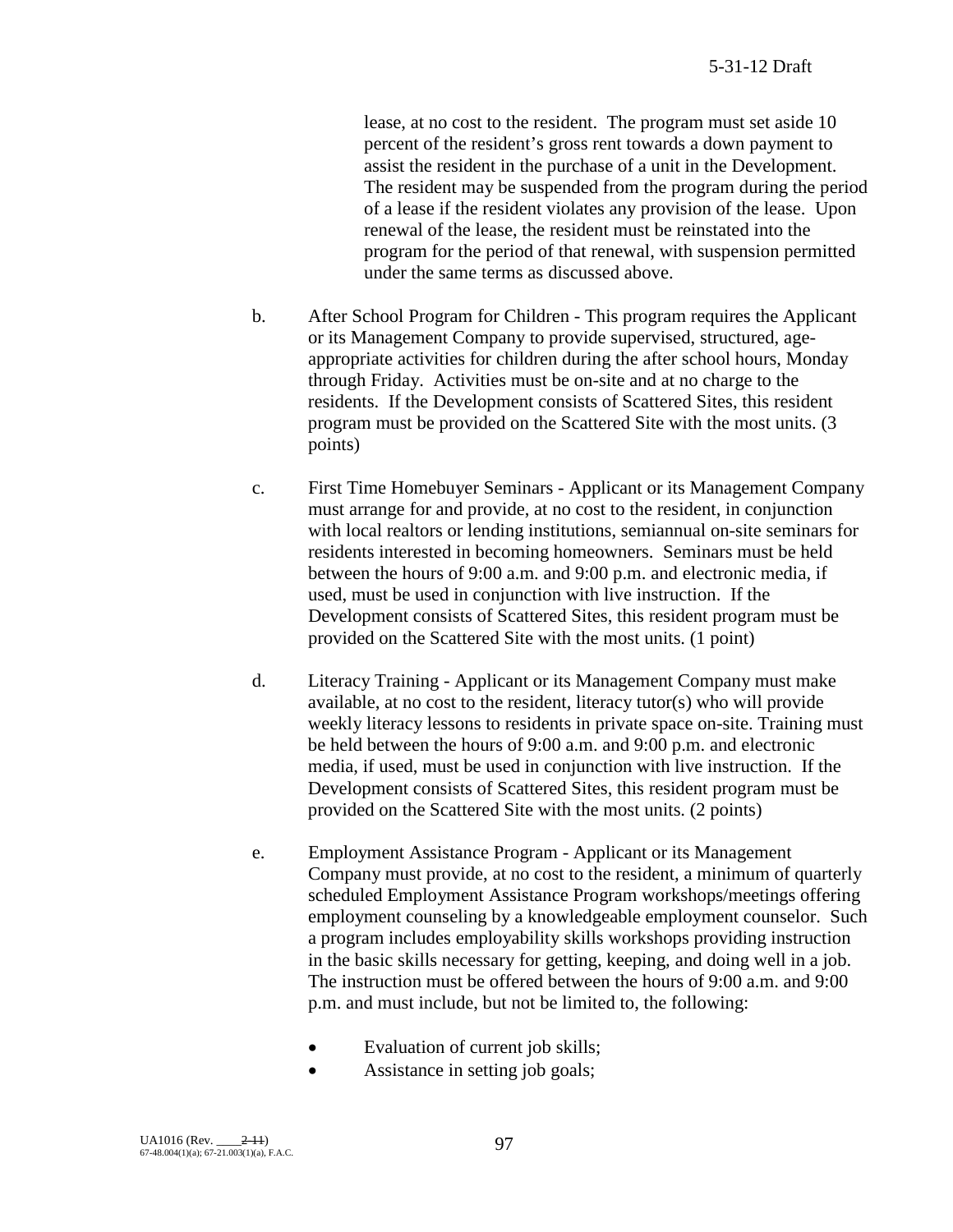lease, at no cost to the resident. The program must set aside 10 percent of the resident's gross rent towards a down payment to assist the resident in the purchase of a unit in the Development. The resident may be suspended from the program during the period of a lease if the resident violates any provision of the lease. Upon renewal of the lease, the resident must be reinstated into the program for the period of that renewal, with suspension permitted under the same terms as discussed above.

- b. After School Program for Children This program requires the Applicant or its Management Company to provide supervised, structured, ageappropriate activities for children during the after school hours, Monday through Friday. Activities must be on-site and at no charge to the residents. If the Development consists of Scattered Sites, this resident program must be provided on the Scattered Site with the most units. (3 points)
- c. First Time Homebuyer Seminars Applicant or its Management Company must arrange for and provide, at no cost to the resident, in conjunction with local realtors or lending institutions, semiannual on-site seminars for residents interested in becoming homeowners. Seminars must be held between the hours of 9:00 a.m. and 9:00 p.m. and electronic media, if used, must be used in conjunction with live instruction. If the Development consists of Scattered Sites, this resident program must be provided on the Scattered Site with the most units. (1 point)
- d. Literacy Training Applicant or its Management Company must make available, at no cost to the resident, literacy tutor(s) who will provide weekly literacy lessons to residents in private space on-site. Training must be held between the hours of 9:00 a.m. and 9:00 p.m. and electronic media, if used, must be used in conjunction with live instruction. If the Development consists of Scattered Sites, this resident program must be provided on the Scattered Site with the most units. (2 points)
- e. Employment Assistance Program Applicant or its Management Company must provide, at no cost to the resident, a minimum of quarterly scheduled Employment Assistance Program workshops/meetings offering employment counseling by a knowledgeable employment counselor. Such a program includes employability skills workshops providing instruction in the basic skills necessary for getting, keeping, and doing well in a job. The instruction must be offered between the hours of 9:00 a.m. and 9:00 p.m. and must include, but not be limited to, the following:
	- Evaluation of current job skills;
	- Assistance in setting job goals;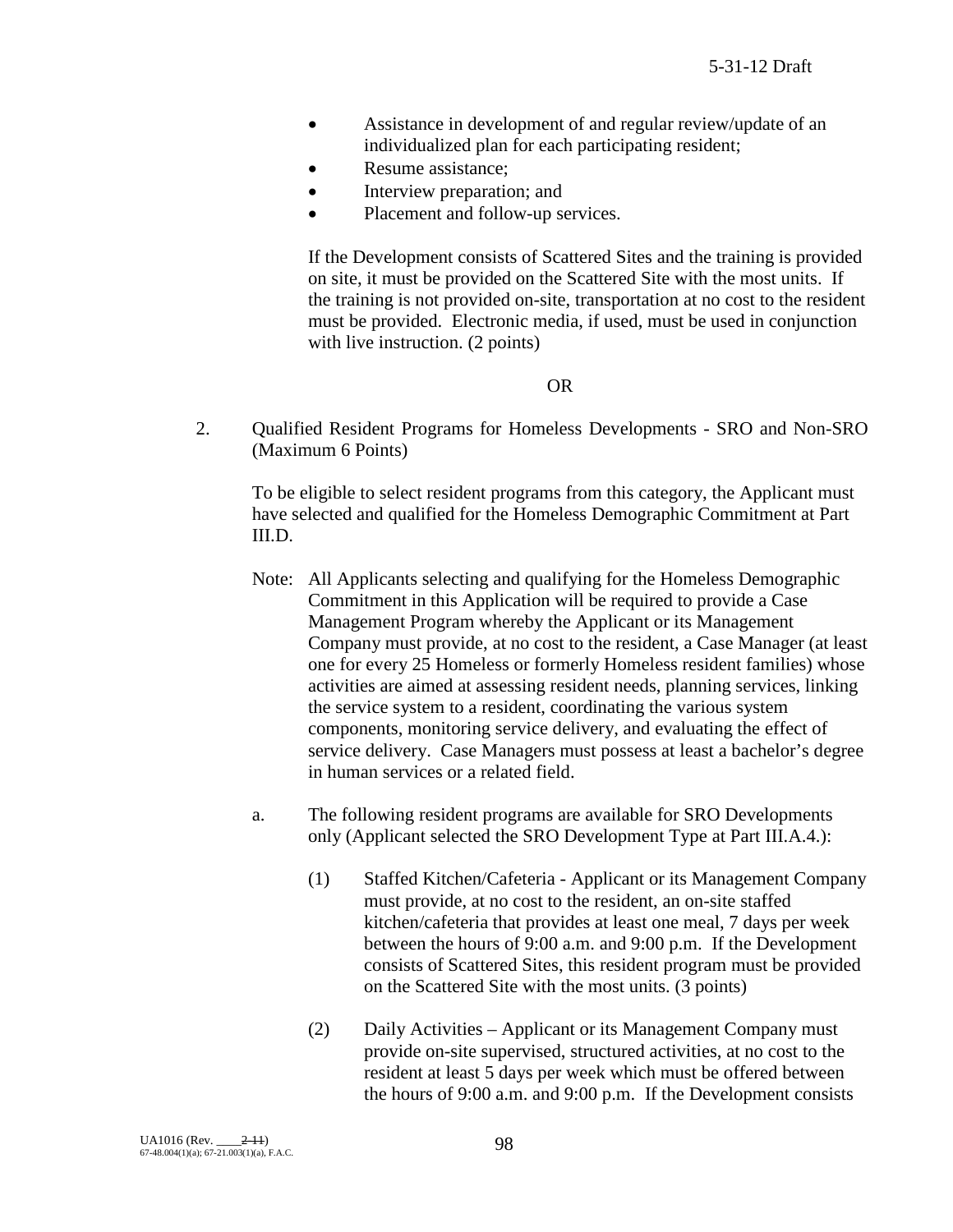- Assistance in development of and regular review/update of an individualized plan for each participating resident;
- Resume assistance;
- Interview preparation; and
- Placement and follow-up services.

If the Development consists of Scattered Sites and the training is provided on site, it must be provided on the Scattered Site with the most units. If the training is not provided on-site, transportation at no cost to the resident must be provided. Electronic media, if used, must be used in conjunction with live instruction. (2 points)

OR

2. Qualified Resident Programs for Homeless Developments - SRO and Non-SRO (Maximum 6 Points)

To be eligible to select resident programs from this category, the Applicant must have selected and qualified for the Homeless Demographic Commitment at Part III.D.

- Note: All Applicants selecting and qualifying for the Homeless Demographic Commitment in this Application will be required to provide a Case Management Program whereby the Applicant or its Management Company must provide, at no cost to the resident, a Case Manager (at least one for every 25 Homeless or formerly Homeless resident families) whose activities are aimed at assessing resident needs, planning services, linking the service system to a resident, coordinating the various system components, monitoring service delivery, and evaluating the effect of service delivery. Case Managers must possess at least a bachelor's degree in human services or a related field.
- a. The following resident programs are available for SRO Developments only (Applicant selected the SRO Development Type at Part III.A.4.):
	- (1) Staffed Kitchen/Cafeteria Applicant or its Management Company must provide, at no cost to the resident, an on-site staffed kitchen/cafeteria that provides at least one meal, 7 days per week between the hours of 9:00 a.m. and 9:00 p.m. If the Development consists of Scattered Sites, this resident program must be provided on the Scattered Site with the most units. (3 points)
	- (2) Daily Activities Applicant or its Management Company must provide on-site supervised, structured activities, at no cost to the resident at least 5 days per week which must be offered between the hours of 9:00 a.m. and 9:00 p.m. If the Development consists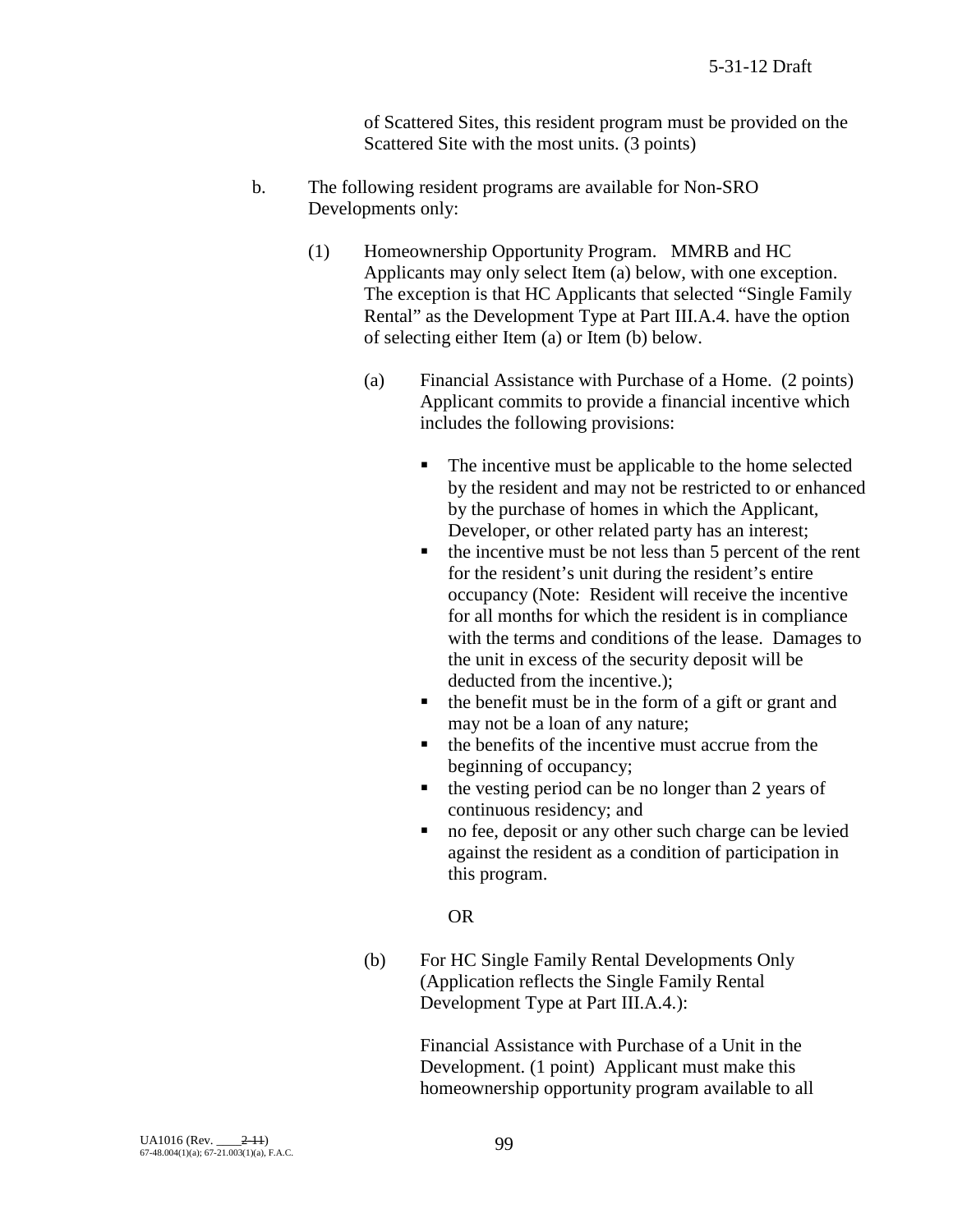of Scattered Sites, this resident program must be provided on the Scattered Site with the most units. (3 points)

- b. The following resident programs are available for Non-SRO Developments only:
	- (1) Homeownership Opportunity Program. MMRB and HC Applicants may only select Item (a) below, with one exception. The exception is that HC Applicants that selected "Single Family Rental" as the Development Type at Part III.A.4. have the option of selecting either Item (a) or Item (b) below.
		- (a) Financial Assistance with Purchase of a Home. (2 points) Applicant commits to provide a financial incentive which includes the following provisions:
			- The incentive must be applicable to the home selected by the resident and may not be restricted to or enhanced by the purchase of homes in which the Applicant, Developer, or other related party has an interest;
			- $\blacksquare$  the incentive must be not less than 5 percent of the rent for the resident's unit during the resident's entire occupancy (Note: Resident will receive the incentive for all months for which the resident is in compliance with the terms and conditions of the lease. Damages to the unit in excess of the security deposit will be deducted from the incentive.);
			- $\blacksquare$  the benefit must be in the form of a gift or grant and may not be a loan of any nature;
			- $\blacksquare$  the benefits of the incentive must accrue from the beginning of occupancy;
			- $\blacksquare$  the vesting period can be no longer than 2 years of continuous residency; and
			- no fee, deposit or any other such charge can be levied against the resident as a condition of participation in this program.

# OR

(b) For HC Single Family Rental Developments Only (Application reflects the Single Family Rental Development Type at Part III.A.4.):

> Financial Assistance with Purchase of a Unit in the Development. (1 point) Applicant must make this homeownership opportunity program available to all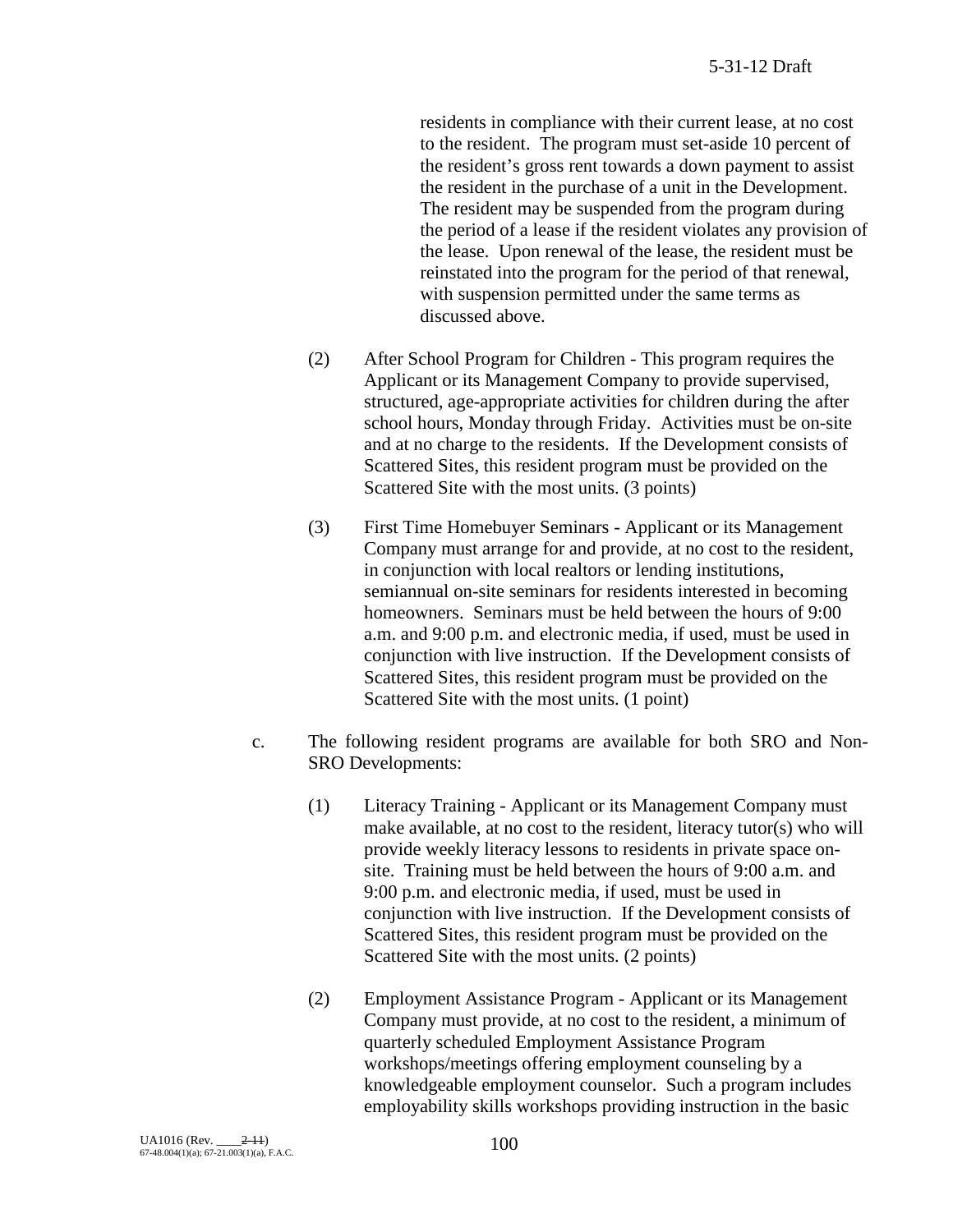residents in compliance with their current lease, at no cost to the resident. The program must set-aside 10 percent of the resident's gross rent towards a down payment to assist the resident in the purchase of a unit in the Development. The resident may be suspended from the program during the period of a lease if the resident violates any provision of the lease. Upon renewal of the lease, the resident must be reinstated into the program for the period of that renewal, with suspension permitted under the same terms as discussed above.

- (2) After School Program for Children This program requires the Applicant or its Management Company to provide supervised, structured, age-appropriate activities for children during the after school hours, Monday through Friday. Activities must be on-site and at no charge to the residents. If the Development consists of Scattered Sites, this resident program must be provided on the Scattered Site with the most units. (3 points)
- (3) First Time Homebuyer Seminars Applicant or its Management Company must arrange for and provide, at no cost to the resident, in conjunction with local realtors or lending institutions, semiannual on-site seminars for residents interested in becoming homeowners. Seminars must be held between the hours of 9:00 a.m. and 9:00 p.m. and electronic media, if used, must be used in conjunction with live instruction. If the Development consists of Scattered Sites, this resident program must be provided on the Scattered Site with the most units. (1 point)
- c. The following resident programs are available for both SRO and Non-SRO Developments:
	- (1) Literacy Training Applicant or its Management Company must make available, at no cost to the resident, literacy tutor(s) who will provide weekly literacy lessons to residents in private space onsite. Training must be held between the hours of 9:00 a.m. and 9:00 p.m. and electronic media, if used, must be used in conjunction with live instruction. If the Development consists of Scattered Sites, this resident program must be provided on the Scattered Site with the most units. (2 points)
	- (2) Employment Assistance Program Applicant or its Management Company must provide, at no cost to the resident, a minimum of quarterly scheduled Employment Assistance Program workshops/meetings offering employment counseling by a knowledgeable employment counselor. Such a program includes employability skills workshops providing instruction in the basic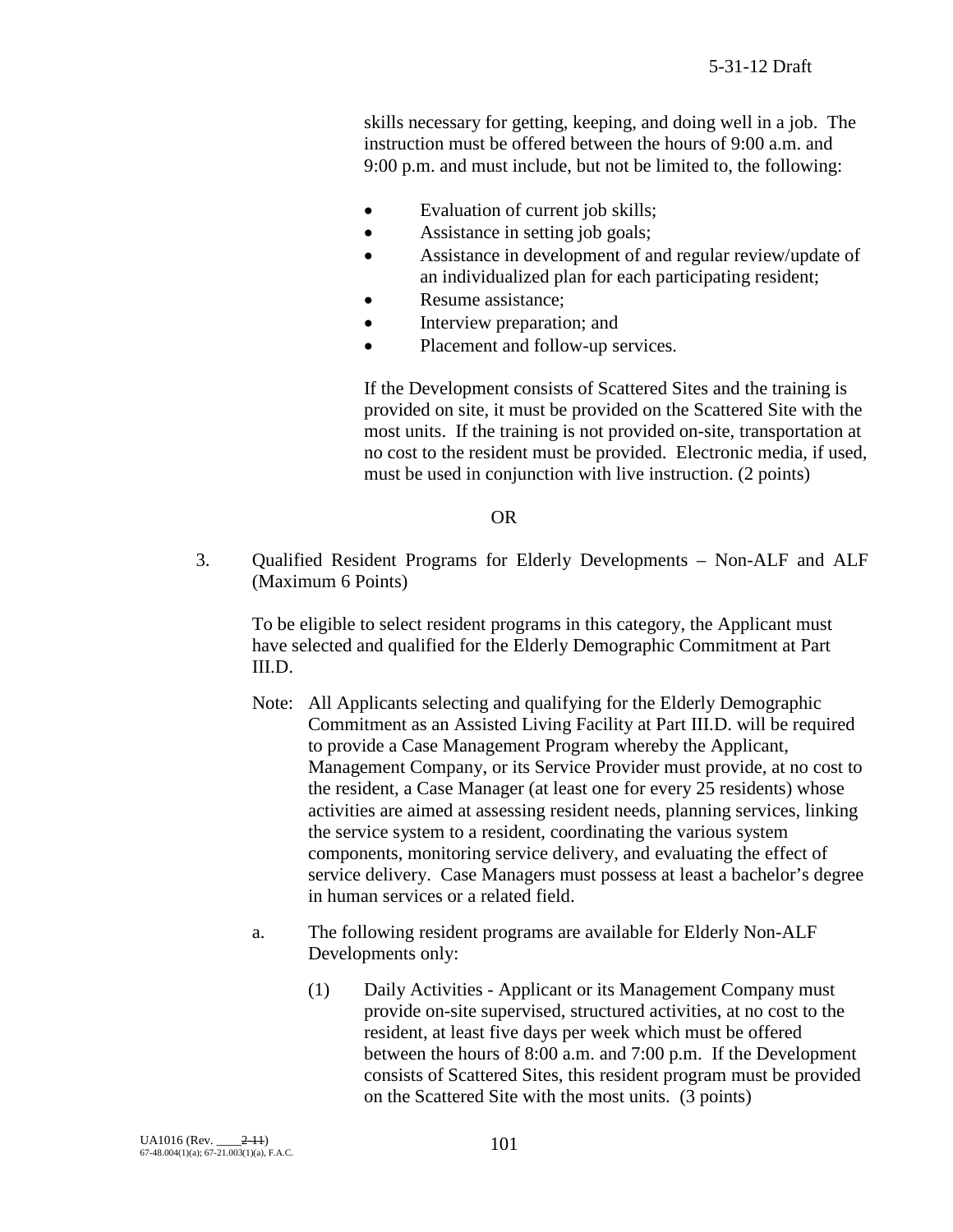skills necessary for getting, keeping, and doing well in a job. The instruction must be offered between the hours of 9:00 a.m. and 9:00 p.m. and must include, but not be limited to, the following:

- Evaluation of current job skills;
- Assistance in setting job goals;
- Assistance in development of and regular review/update of an individualized plan for each participating resident;
- Resume assistance:
- Interview preparation; and
- Placement and follow-up services.

If the Development consists of Scattered Sites and the training is provided on site, it must be provided on the Scattered Site with the most units. If the training is not provided on-site, transportation at no cost to the resident must be provided. Electronic media, if used, must be used in conjunction with live instruction. (2 points)

#### OR

3. Qualified Resident Programs for Elderly Developments – Non-ALF and ALF (Maximum 6 Points)

To be eligible to select resident programs in this category, the Applicant must have selected and qualified for the Elderly Demographic Commitment at Part III.D.

- Note: All Applicants selecting and qualifying for the Elderly Demographic Commitment as an Assisted Living Facility at Part III.D. will be required to provide a Case Management Program whereby the Applicant, Management Company, or its Service Provider must provide, at no cost to the resident, a Case Manager (at least one for every 25 residents) whose activities are aimed at assessing resident needs, planning services, linking the service system to a resident, coordinating the various system components, monitoring service delivery, and evaluating the effect of service delivery. Case Managers must possess at least a bachelor's degree in human services or a related field.
- a. The following resident programs are available for Elderly Non-ALF Developments only:
	- (1) Daily Activities Applicant or its Management Company must provide on-site supervised, structured activities, at no cost to the resident, at least five days per week which must be offered between the hours of 8:00 a.m. and 7:00 p.m. If the Development consists of Scattered Sites, this resident program must be provided on the Scattered Site with the most units. (3 points)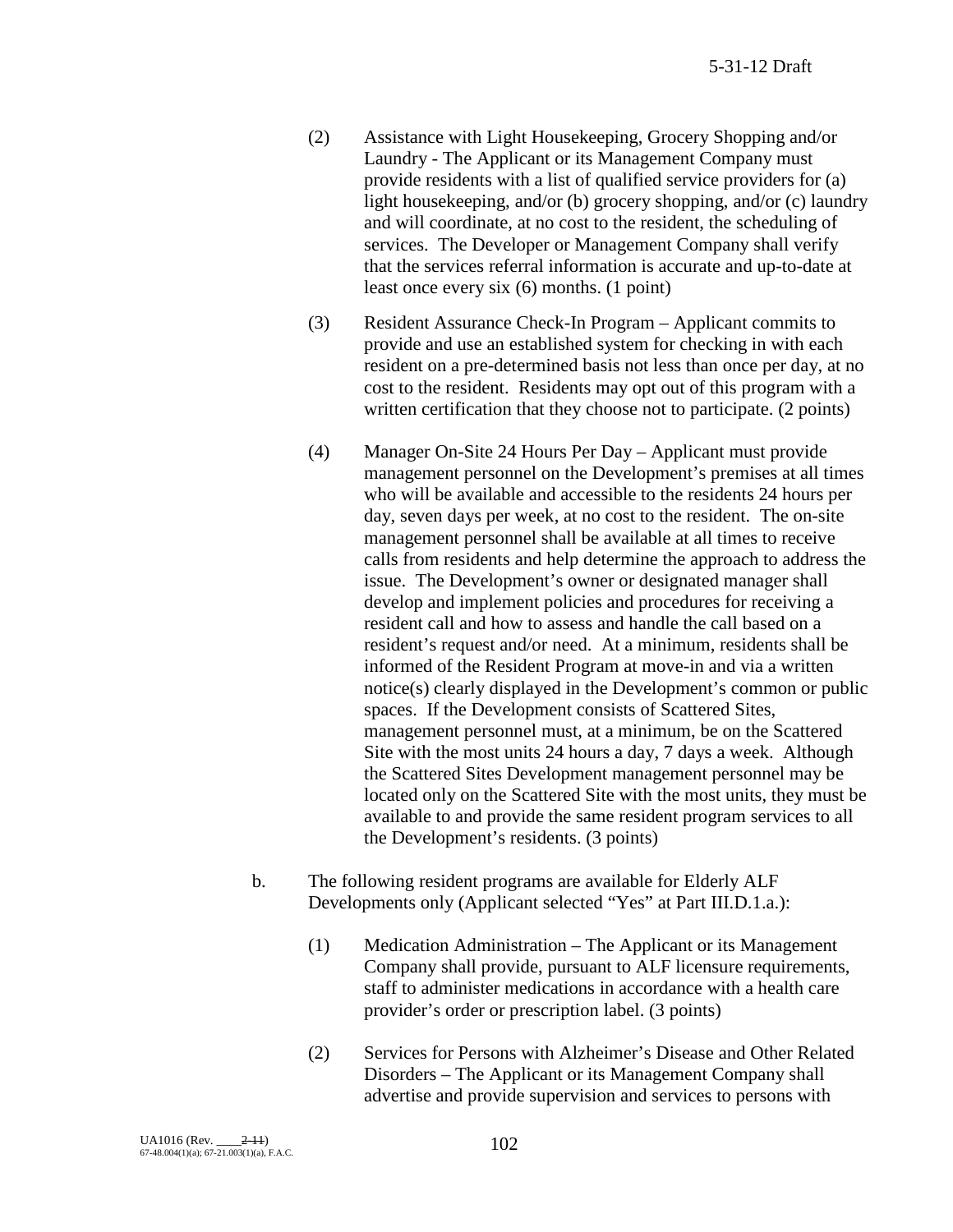- (2) Assistance with Light Housekeeping, Grocery Shopping and/or Laundry - The Applicant or its Management Company must provide residents with a list of qualified service providers for (a) light housekeeping, and/or (b) grocery shopping, and/or (c) laundry and will coordinate, at no cost to the resident, the scheduling of services. The Developer or Management Company shall verify that the services referral information is accurate and up-to-date at least once every six (6) months. (1 point)
- (3) Resident Assurance Check-In Program Applicant commits to provide and use an established system for checking in with each resident on a pre-determined basis not less than once per day, at no cost to the resident. Residents may opt out of this program with a written certification that they choose not to participate. (2 points)
- (4) Manager On-Site 24 Hours Per Day Applicant must provide management personnel on the Development's premises at all times who will be available and accessible to the residents 24 hours per day, seven days per week, at no cost to the resident. The on-site management personnel shall be available at all times to receive calls from residents and help determine the approach to address the issue. The Development's owner or designated manager shall develop and implement policies and procedures for receiving a resident call and how to assess and handle the call based on a resident's request and/or need. At a minimum, residents shall be informed of the Resident Program at move-in and via a written notice(s) clearly displayed in the Development's common or public spaces. If the Development consists of Scattered Sites, management personnel must, at a minimum, be on the Scattered Site with the most units 24 hours a day, 7 days a week. Although the Scattered Sites Development management personnel may be located only on the Scattered Site with the most units, they must be available to and provide the same resident program services to all the Development's residents. (3 points)
- b. The following resident programs are available for Elderly ALF Developments only (Applicant selected "Yes" at Part III.D.1.a.):
	- (1) Medication Administration The Applicant or its Management Company shall provide, pursuant to ALF licensure requirements, staff to administer medications in accordance with a health care provider's order or prescription label. (3 points)
	- (2) Services for Persons with Alzheimer's Disease and Other Related Disorders – The Applicant or its Management Company shall advertise and provide supervision and services to persons with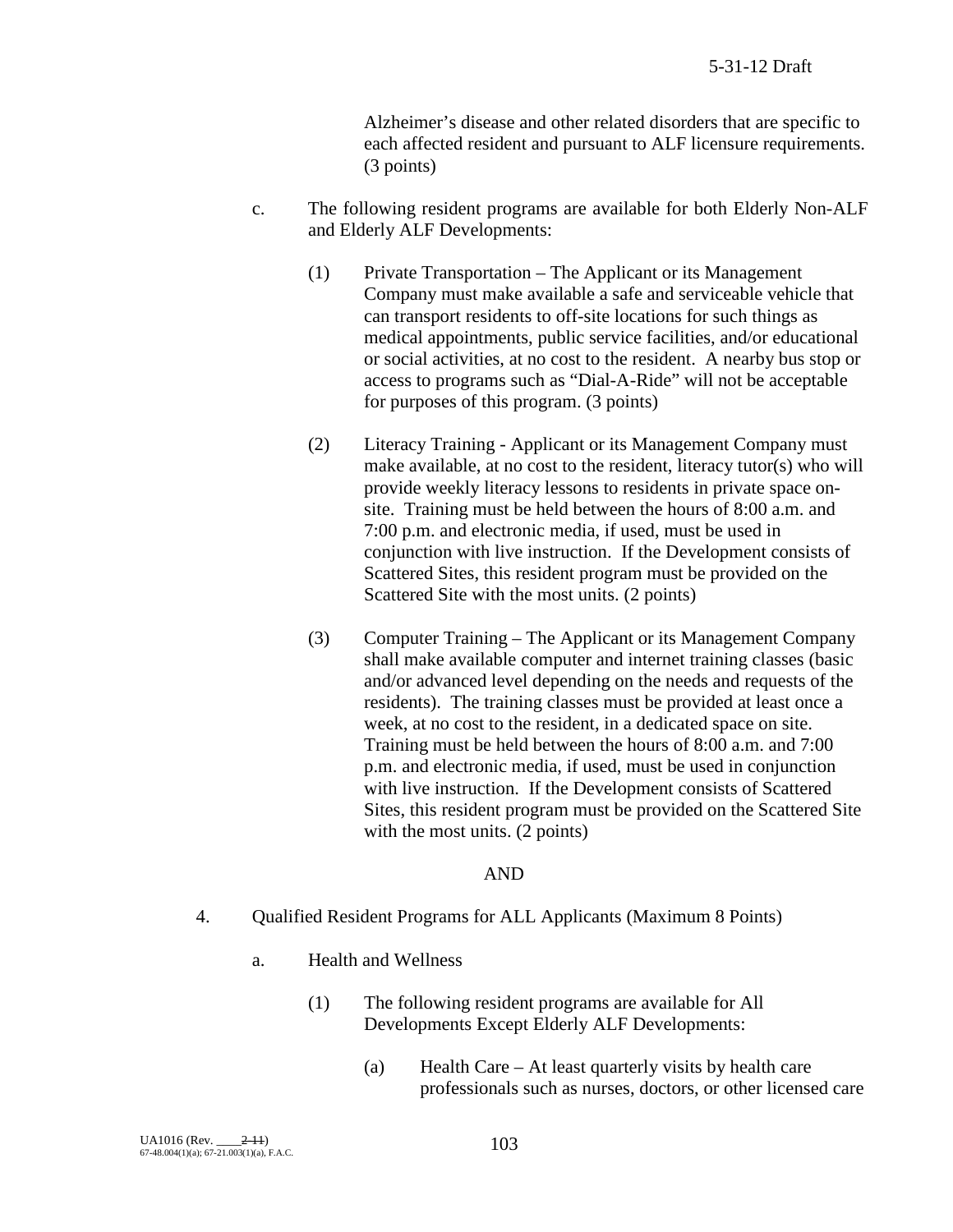Alzheimer's disease and other related disorders that are specific to each affected resident and pursuant to ALF licensure requirements. (3 points)

- c. The following resident programs are available for both Elderly Non-ALF and Elderly ALF Developments:
	- (1) Private Transportation The Applicant or its Management Company must make available a safe and serviceable vehicle that can transport residents to off-site locations for such things as medical appointments, public service facilities, and/or educational or social activities, at no cost to the resident. A nearby bus stop or access to programs such as "Dial-A-Ride" will not be acceptable for purposes of this program. (3 points)
	- (2) Literacy Training Applicant or its Management Company must make available, at no cost to the resident, literacy tutor(s) who will provide weekly literacy lessons to residents in private space onsite. Training must be held between the hours of 8:00 a.m. and 7:00 p.m. and electronic media, if used, must be used in conjunction with live instruction. If the Development consists of Scattered Sites, this resident program must be provided on the Scattered Site with the most units. (2 points)
	- (3) Computer Training The Applicant or its Management Company shall make available computer and internet training classes (basic and/or advanced level depending on the needs and requests of the residents). The training classes must be provided at least once a week, at no cost to the resident, in a dedicated space on site. Training must be held between the hours of 8:00 a.m. and 7:00 p.m. and electronic media, if used, must be used in conjunction with live instruction. If the Development consists of Scattered Sites, this resident program must be provided on the Scattered Site with the most units. (2 points)

#### AND

- 4. Qualified Resident Programs for ALL Applicants (Maximum 8 Points)
	- a. Health and Wellness
		- (1) The following resident programs are available for All Developments Except Elderly ALF Developments:
			- (a) Health Care At least quarterly visits by health care professionals such as nurses, doctors, or other licensed care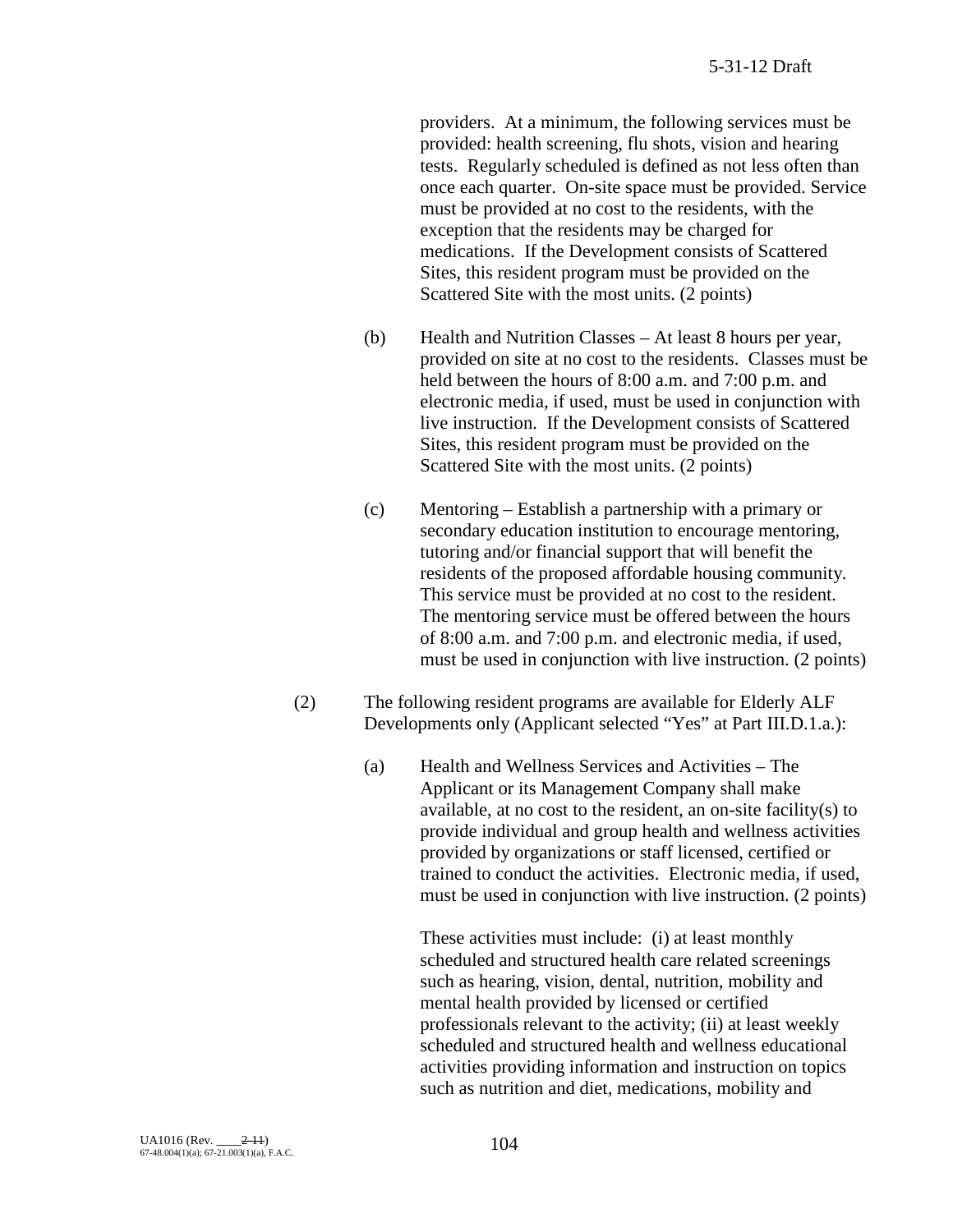providers. At a minimum, the following services must be provided: health screening, flu shots, vision and hearing tests. Regularly scheduled is defined as not less often than once each quarter. On-site space must be provided. Service must be provided at no cost to the residents, with the exception that the residents may be charged for medications. If the Development consists of Scattered Sites, this resident program must be provided on the Scattered Site with the most units. (2 points)

- (b) Health and Nutrition Classes At least 8 hours per year, provided on site at no cost to the residents. Classes must be held between the hours of 8:00 a.m. and 7:00 p.m. and electronic media, if used, must be used in conjunction with live instruction. If the Development consists of Scattered Sites, this resident program must be provided on the Scattered Site with the most units. (2 points)
- (c) Mentoring Establish a partnership with a primary or secondary education institution to encourage mentoring, tutoring and/or financial support that will benefit the residents of the proposed affordable housing community. This service must be provided at no cost to the resident. The mentoring service must be offered between the hours of 8:00 a.m. and 7:00 p.m. and electronic media, if used, must be used in conjunction with live instruction. (2 points)
- (2) The following resident programs are available for Elderly ALF Developments only (Applicant selected "Yes" at Part III.D.1.a.):
	- (a) Health and Wellness Services and Activities The Applicant or its Management Company shall make available, at no cost to the resident, an on-site facility(s) to provide individual and group health and wellness activities provided by organizations or staff licensed, certified or trained to conduct the activities. Electronic media, if used, must be used in conjunction with live instruction. (2 points)

These activities must include: (i) at least monthly scheduled and structured health care related screenings such as hearing, vision, dental, nutrition, mobility and mental health provided by licensed or certified professionals relevant to the activity; (ii) at least weekly scheduled and structured health and wellness educational activities providing information and instruction on topics such as nutrition and diet, medications, mobility and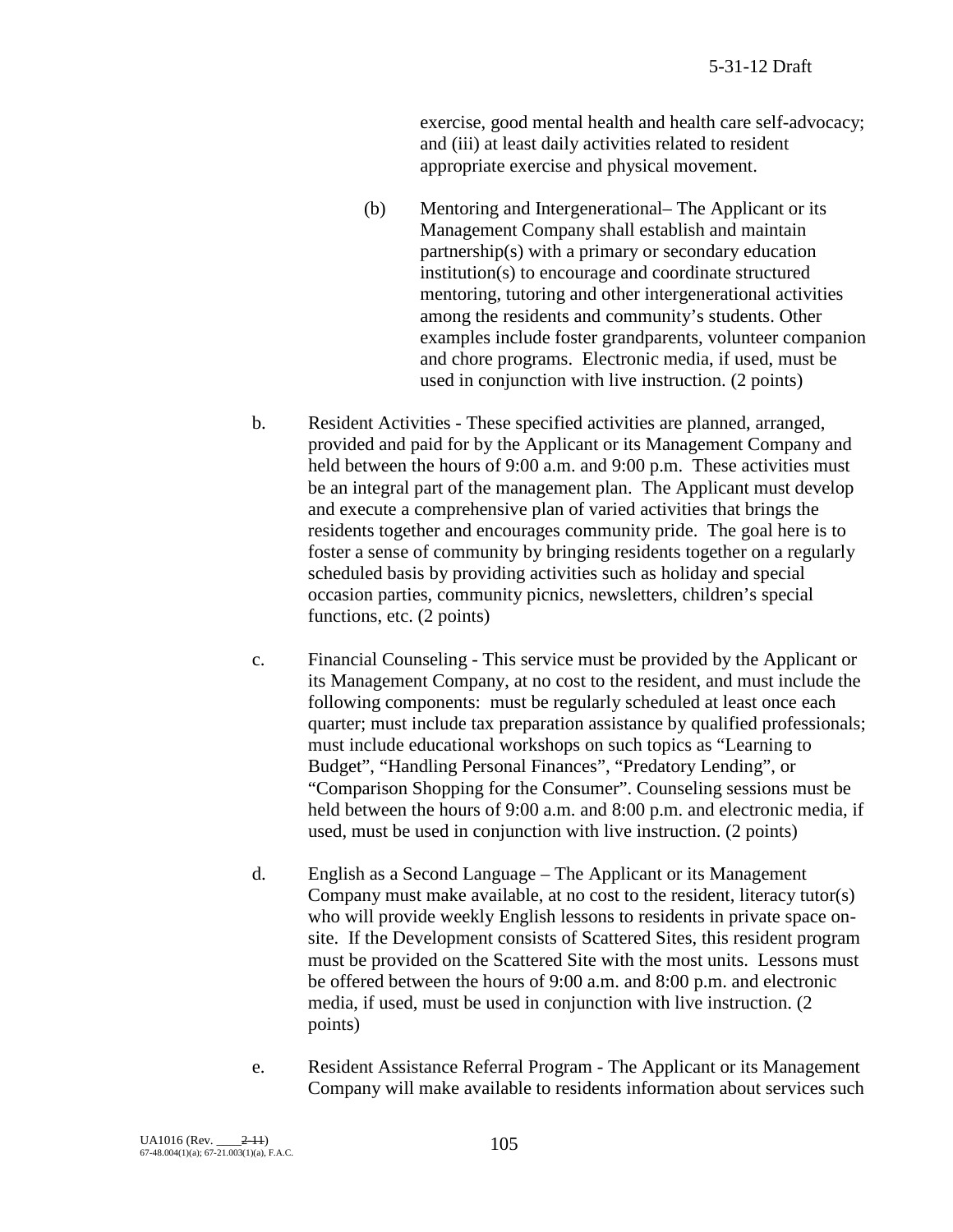exercise, good mental health and health care self-advocacy; and (iii) at least daily activities related to resident appropriate exercise and physical movement.

- (b) Mentoring and Intergenerational– The Applicant or its Management Company shall establish and maintain partnership(s) with a primary or secondary education institution(s) to encourage and coordinate structured mentoring, tutoring and other intergenerational activities among the residents and community's students. Other examples include foster grandparents, volunteer companion and chore programs. Electronic media, if used, must be used in conjunction with live instruction. (2 points)
- b. Resident Activities These specified activities are planned, arranged, provided and paid for by the Applicant or its Management Company and held between the hours of 9:00 a.m. and 9:00 p.m. These activities must be an integral part of the management plan. The Applicant must develop and execute a comprehensive plan of varied activities that brings the residents together and encourages community pride. The goal here is to foster a sense of community by bringing residents together on a regularly scheduled basis by providing activities such as holiday and special occasion parties, community picnics, newsletters, children's special functions, etc. (2 points)
- c. Financial Counseling This service must be provided by the Applicant or its Management Company, at no cost to the resident, and must include the following components: must be regularly scheduled at least once each quarter; must include tax preparation assistance by qualified professionals; must include educational workshops on such topics as "Learning to Budget", "Handling Personal Finances", "Predatory Lending", or "Comparison Shopping for the Consumer". Counseling sessions must be held between the hours of 9:00 a.m. and 8:00 p.m. and electronic media, if used, must be used in conjunction with live instruction. (2 points)
- d. English as a Second Language The Applicant or its Management Company must make available, at no cost to the resident, literacy tutor(s) who will provide weekly English lessons to residents in private space onsite. If the Development consists of Scattered Sites, this resident program must be provided on the Scattered Site with the most units. Lessons must be offered between the hours of 9:00 a.m. and 8:00 p.m. and electronic media, if used, must be used in conjunction with live instruction. (2 points)
- e. Resident Assistance Referral Program The Applicant or its Management Company will make available to residents information about services such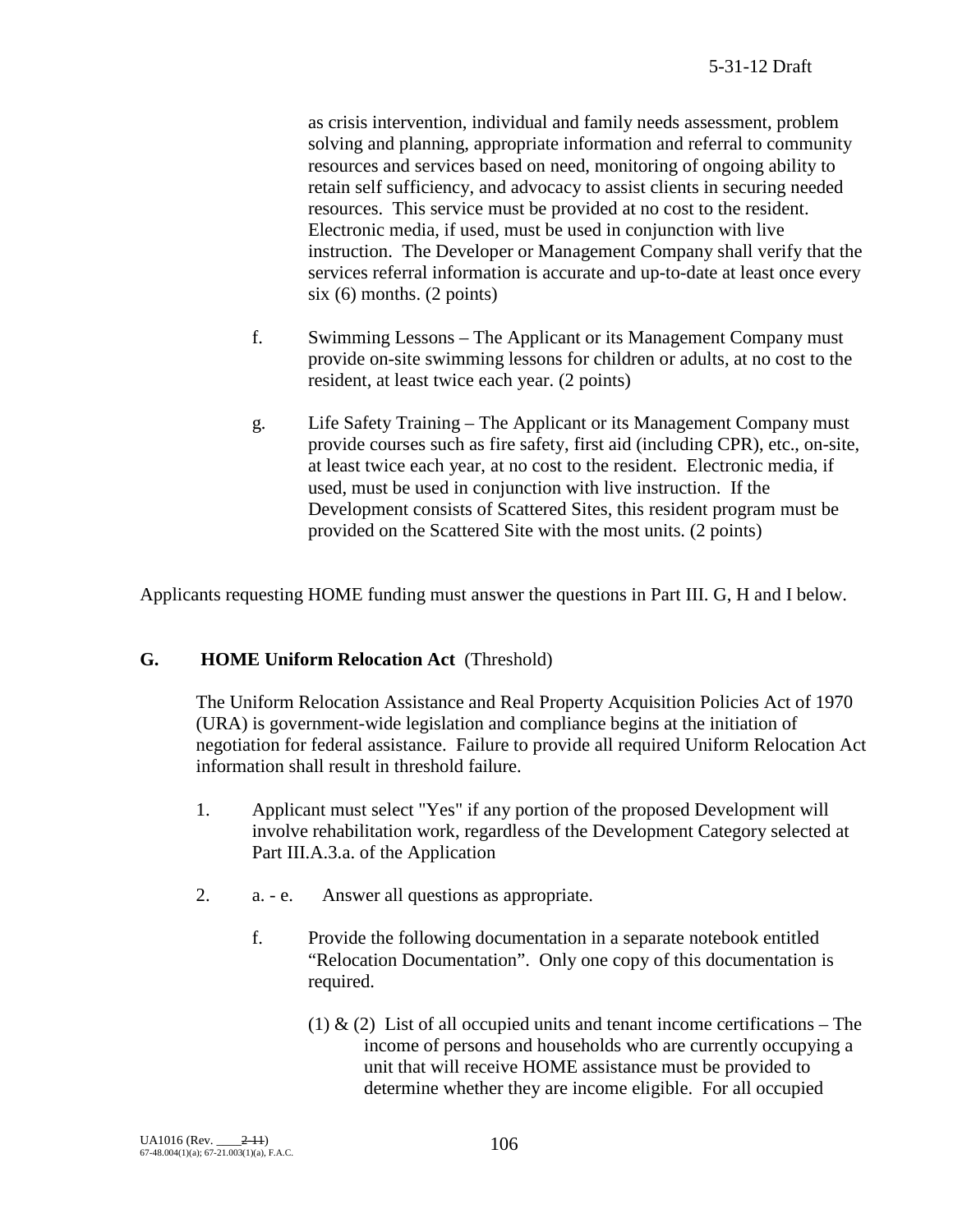as crisis intervention, individual and family needs assessment, problem solving and planning, appropriate information and referral to community resources and services based on need, monitoring of ongoing ability to retain self sufficiency, and advocacy to assist clients in securing needed resources. This service must be provided at no cost to the resident. Electronic media, if used, must be used in conjunction with live instruction. The Developer or Management Company shall verify that the services referral information is accurate and up-to-date at least once every six (6) months. (2 points)

- f. Swimming Lessons The Applicant or its Management Company must provide on-site swimming lessons for children or adults, at no cost to the resident, at least twice each year. (2 points)
- g. Life Safety Training The Applicant or its Management Company must provide courses such as fire safety, first aid (including CPR), etc., on-site, at least twice each year, at no cost to the resident. Electronic media, if used, must be used in conjunction with live instruction. If the Development consists of Scattered Sites, this resident program must be provided on the Scattered Site with the most units. (2 points)

Applicants requesting HOME funding must answer the questions in Part III. G, H and I below.

## **G. HOME Uniform Relocation Act** (Threshold)

The Uniform Relocation Assistance and Real Property Acquisition Policies Act of 1970 (URA) is government-wide legislation and compliance begins at the initiation of negotiation for federal assistance. Failure to provide all required Uniform Relocation Act information shall result in threshold failure.

- 1. Applicant must select "Yes" if any portion of the proposed Development will involve rehabilitation work, regardless of the Development Category selected at Part III.A.3.a. of the Application
- 2. a. e. Answer all questions as appropriate.
	- f. Provide the following documentation in a separate notebook entitled "Relocation Documentation". Only one copy of this documentation is required.
		- (1)  $\&$  (2) List of all occupied units and tenant income certifications The income of persons and households who are currently occupying a unit that will receive HOME assistance must be provided to determine whether they are income eligible. For all occupied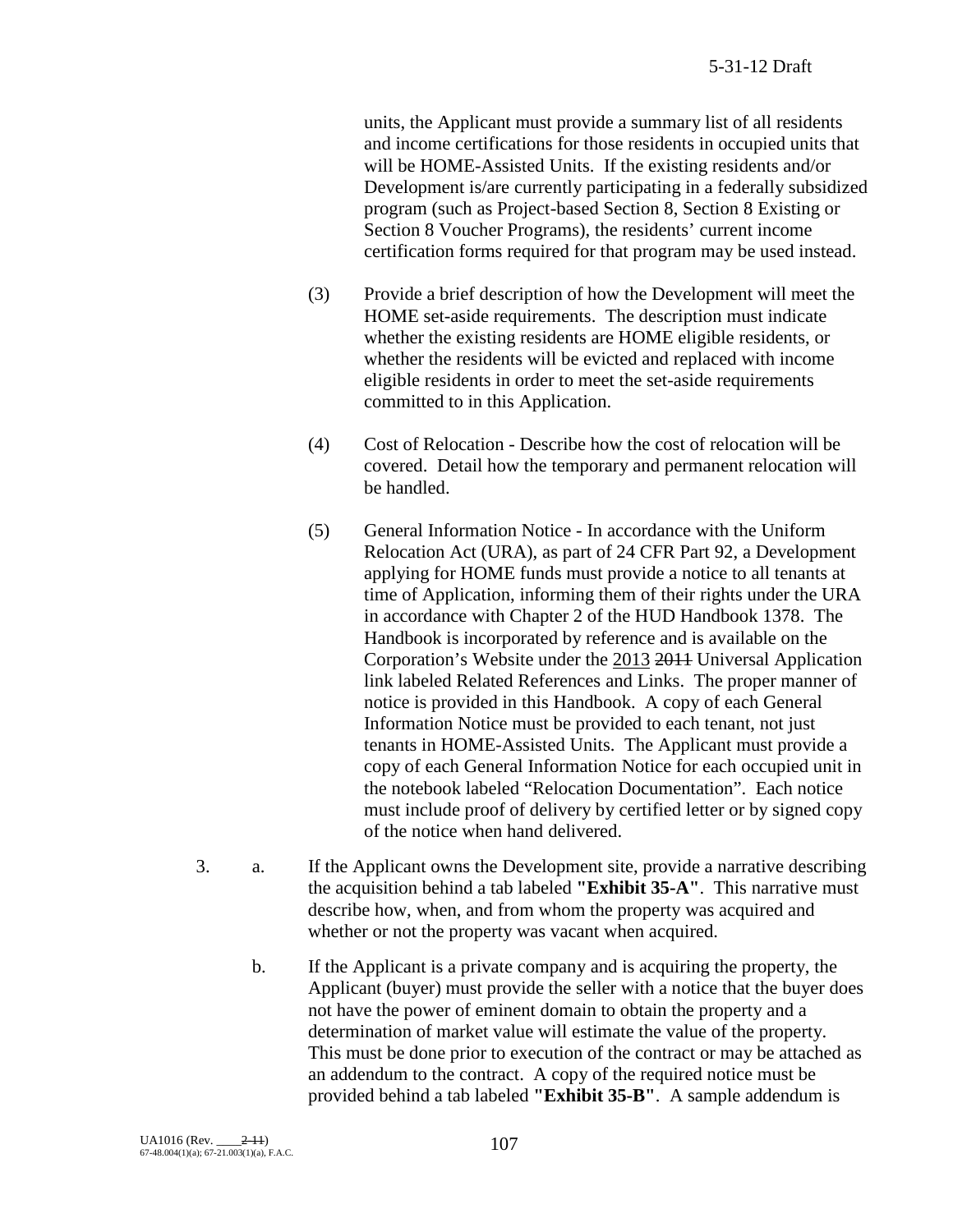units, the Applicant must provide a summary list of all residents and income certifications for those residents in occupied units that will be HOME-Assisted Units. If the existing residents and/or Development is/are currently participating in a federally subsidized program (such as Project-based Section 8, Section 8 Existing or Section 8 Voucher Programs), the residents' current income certification forms required for that program may be used instead.

- (3) Provide a brief description of how the Development will meet the HOME set-aside requirements. The description must indicate whether the existing residents are HOME eligible residents, or whether the residents will be evicted and replaced with income eligible residents in order to meet the set-aside requirements committed to in this Application.
- (4) Cost of Relocation Describe how the cost of relocation will be covered. Detail how the temporary and permanent relocation will be handled.
- (5) General Information Notice In accordance with the Uniform Relocation Act (URA), as part of 24 CFR Part 92, a Development applying for HOME funds must provide a notice to all tenants at time of Application, informing them of their rights under the URA in accordance with Chapter 2 of the HUD Handbook 1378. The Handbook is incorporated by reference and is available on the Corporation's Website under the 2013 2011 Universal Application link labeled Related References and Links. The proper manner of notice is provided in this Handbook. A copy of each General Information Notice must be provided to each tenant, not just tenants in HOME-Assisted Units. The Applicant must provide a copy of each General Information Notice for each occupied unit in the notebook labeled "Relocation Documentation". Each notice must include proof of delivery by certified letter or by signed copy of the notice when hand delivered.
- 3. a. If the Applicant owns the Development site, provide a narrative describing the acquisition behind a tab labeled **"Exhibit 35-A"**. This narrative must describe how, when, and from whom the property was acquired and whether or not the property was vacant when acquired.
	- b. If the Applicant is a private company and is acquiring the property, the Applicant (buyer) must provide the seller with a notice that the buyer does not have the power of eminent domain to obtain the property and a determination of market value will estimate the value of the property. This must be done prior to execution of the contract or may be attached as an addendum to the contract. A copy of the required notice must be provided behind a tab labeled **"Exhibit 35-B"**. A sample addendum is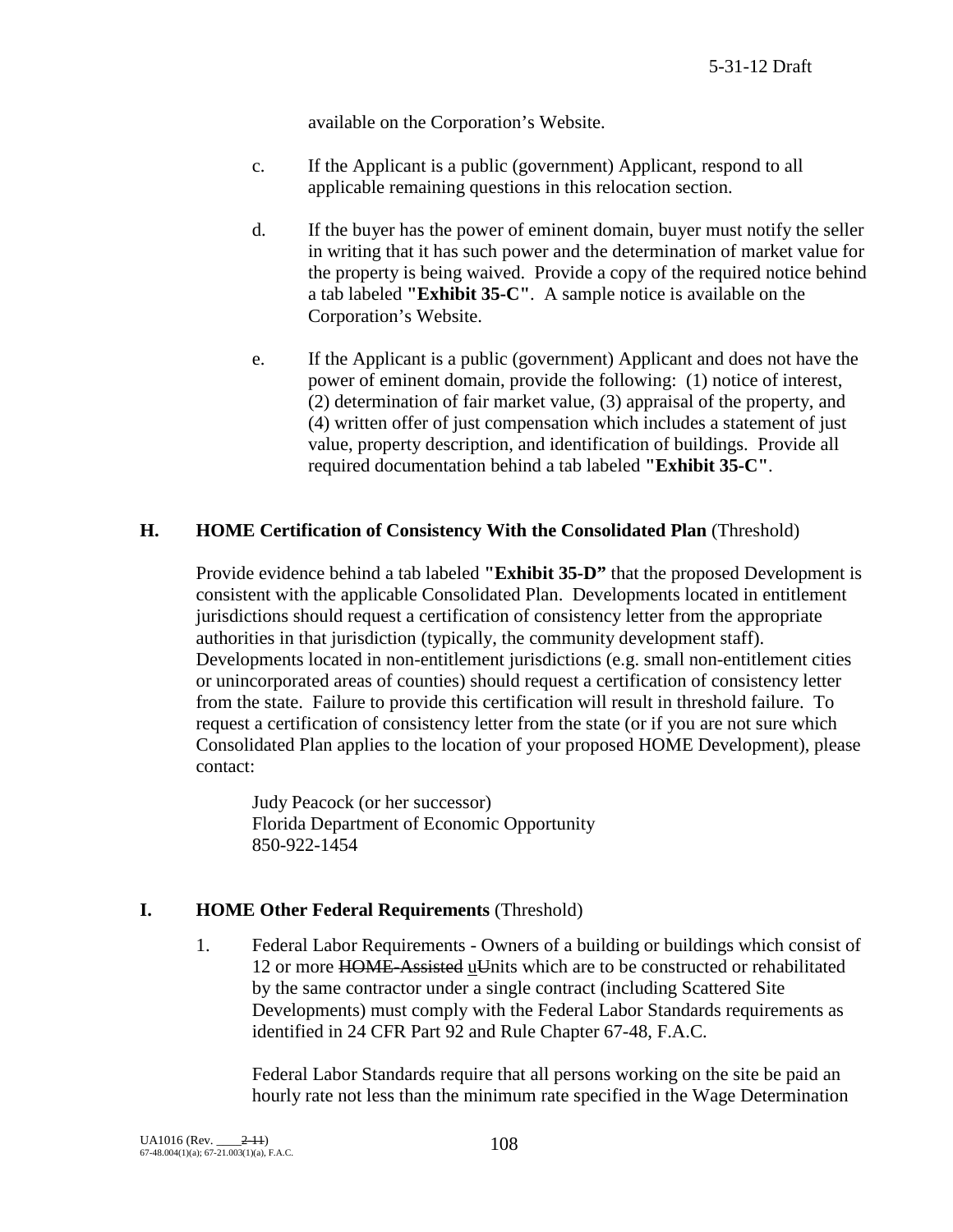available on the Corporation's Website.

- c. If the Applicant is a public (government) Applicant, respond to all applicable remaining questions in this relocation section.
- d. If the buyer has the power of eminent domain, buyer must notify the seller in writing that it has such power and the determination of market value for the property is being waived. Provide a copy of the required notice behind a tab labeled **"Exhibit 35-C"**. A sample notice is available on the Corporation's Website.
- e. If the Applicant is a public (government) Applicant and does not have the power of eminent domain, provide the following: (1) notice of interest, (2) determination of fair market value, (3) appraisal of the property, and (4) written offer of just compensation which includes a statement of just value, property description, and identification of buildings. Provide all required documentation behind a tab labeled **"Exhibit 35-C"**.

#### **H. HOME Certification of Consistency With the Consolidated Plan** (Threshold)

Provide evidence behind a tab labeled **"Exhibit 35-D"** that the proposed Development is consistent with the applicable Consolidated Plan. Developments located in entitlement jurisdictions should request a certification of consistency letter from the appropriate authorities in that jurisdiction (typically, the community development staff). Developments located in non-entitlement jurisdictions (e.g. small non-entitlement cities or unincorporated areas of counties) should request a certification of consistency letter from the state. Failure to provide this certification will result in threshold failure. To request a certification of consistency letter from the state (or if you are not sure which Consolidated Plan applies to the location of your proposed HOME Development), please contact:

Judy Peacock (or her successor) Florida Department of Economic Opportunity 850-922-1454

#### **I. HOME Other Federal Requirements** (Threshold)

1. Federal Labor Requirements - Owners of a building or buildings which consist of 12 or more HOME-Assisted uUnits which are to be constructed or rehabilitated by the same contractor under a single contract (including Scattered Site Developments) must comply with the Federal Labor Standards requirements as identified in 24 CFR Part 92 and Rule Chapter 67-48, F.A.C.

Federal Labor Standards require that all persons working on the site be paid an hourly rate not less than the minimum rate specified in the Wage Determination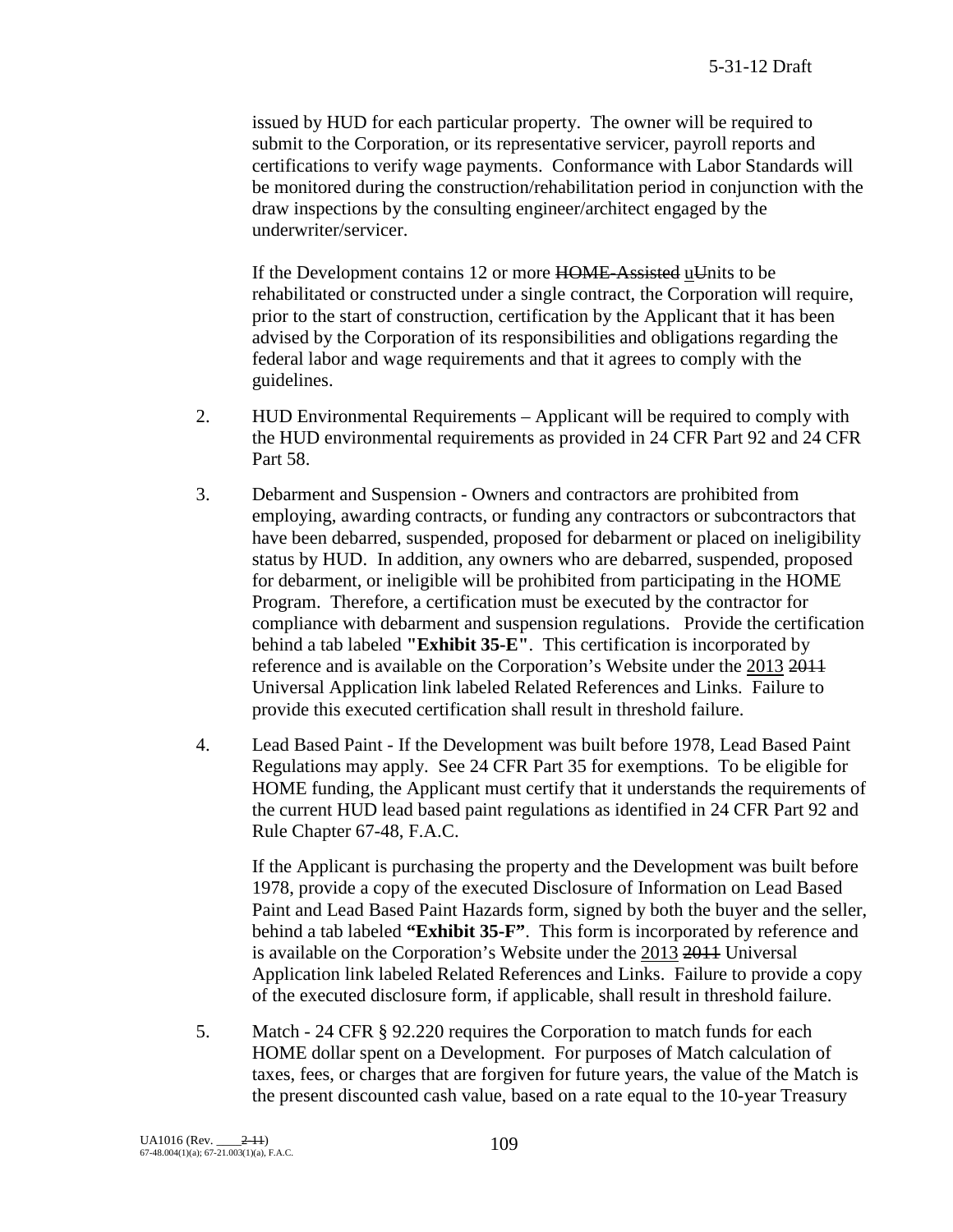issued by HUD for each particular property. The owner will be required to submit to the Corporation, or its representative servicer, payroll reports and certifications to verify wage payments. Conformance with Labor Standards will be monitored during the construction/rehabilitation period in conjunction with the draw inspections by the consulting engineer/architect engaged by the underwriter/servicer.

If the Development contains 12 or more HOME-Assisted uUnits to be rehabilitated or constructed under a single contract, the Corporation will require, prior to the start of construction, certification by the Applicant that it has been advised by the Corporation of its responsibilities and obligations regarding the federal labor and wage requirements and that it agrees to comply with the guidelines.

- 2. HUD Environmental Requirements Applicant will be required to comply with the HUD environmental requirements as provided in 24 CFR Part 92 and 24 CFR Part 58.
- 3. Debarment and Suspension Owners and contractors are prohibited from employing, awarding contracts, or funding any contractors or subcontractors that have been debarred, suspended, proposed for debarment or placed on ineligibility status by HUD. In addition, any owners who are debarred, suspended, proposed for debarment, or ineligible will be prohibited from participating in the HOME Program. Therefore, a certification must be executed by the contractor for compliance with debarment and suspension regulations. Provide the certification behind a tab labeled **"Exhibit 35-E"**. This certification is incorporated by reference and is available on the Corporation's Website under the 2013 2011 Universal Application link labeled Related References and Links. Failure to provide this executed certification shall result in threshold failure.
- 4. Lead Based Paint If the Development was built before 1978, Lead Based Paint Regulations may apply. See 24 CFR Part 35 for exemptions. To be eligible for HOME funding, the Applicant must certify that it understands the requirements of the current HUD lead based paint regulations as identified in 24 CFR Part 92 and Rule Chapter 67-48, F.A.C.

If the Applicant is purchasing the property and the Development was built before 1978, provide a copy of the executed Disclosure of Information on Lead Based Paint and Lead Based Paint Hazards form, signed by both the buyer and the seller, behind a tab labeled **"Exhibit 35-F"**. This form is incorporated by reference and is available on the Corporation's Website under the 2013 2011 Universal Application link labeled Related References and Links. Failure to provide a copy of the executed disclosure form, if applicable, shall result in threshold failure.

5. Match - 24 CFR § 92.220 requires the Corporation to match funds for each HOME dollar spent on a Development. For purposes of Match calculation of taxes, fees, or charges that are forgiven for future years, the value of the Match is the present discounted cash value, based on a rate equal to the 10-year Treasury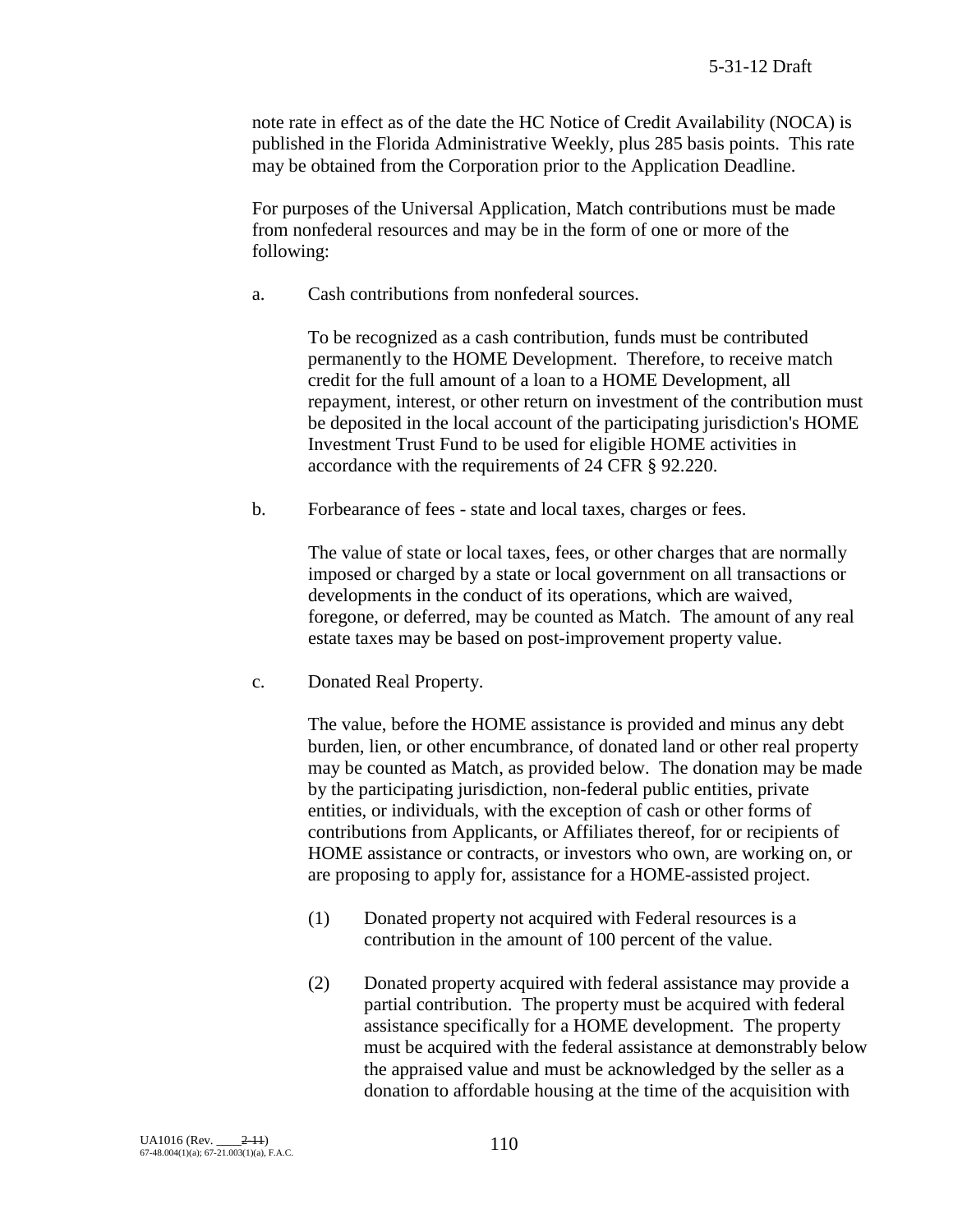note rate in effect as of the date the HC Notice of Credit Availability (NOCA) is published in the Florida Administrative Weekly, plus 285 basis points. This rate may be obtained from the Corporation prior to the Application Deadline.

For purposes of the Universal Application, Match contributions must be made from nonfederal resources and may be in the form of one or more of the following:

a. Cash contributions from nonfederal sources.

To be recognized as a cash contribution, funds must be contributed permanently to the HOME Development. Therefore, to receive match credit for the full amount of a loan to a HOME Development, all repayment, interest, or other return on investment of the contribution must be deposited in the local account of the participating jurisdiction's HOME Investment Trust Fund to be used for eligible HOME activities in accordance with the requirements of 24 CFR § 92.220.

b. Forbearance of fees - state and local taxes, charges or fees.

The value of state or local taxes, fees, or other charges that are normally imposed or charged by a state or local government on all transactions or developments in the conduct of its operations, which are waived, foregone, or deferred, may be counted as Match. The amount of any real estate taxes may be based on post-improvement property value.

c. Donated Real Property.

The value, before the HOME assistance is provided and minus any debt burden, lien, or other encumbrance, of donated land or other real property may be counted as Match, as provided below. The donation may be made by the participating jurisdiction, non-federal public entities, private entities, or individuals, with the exception of cash or other forms of contributions from Applicants, or Affiliates thereof, for or recipients of HOME assistance or contracts, or investors who own, are working on, or are proposing to apply for, assistance for a HOME-assisted project.

- (1) Donated property not acquired with Federal resources is a contribution in the amount of 100 percent of the value.
- (2) Donated property acquired with federal assistance may provide a partial contribution. The property must be acquired with federal assistance specifically for a HOME development. The property must be acquired with the federal assistance at demonstrably below the appraised value and must be acknowledged by the seller as a donation to affordable housing at the time of the acquisition with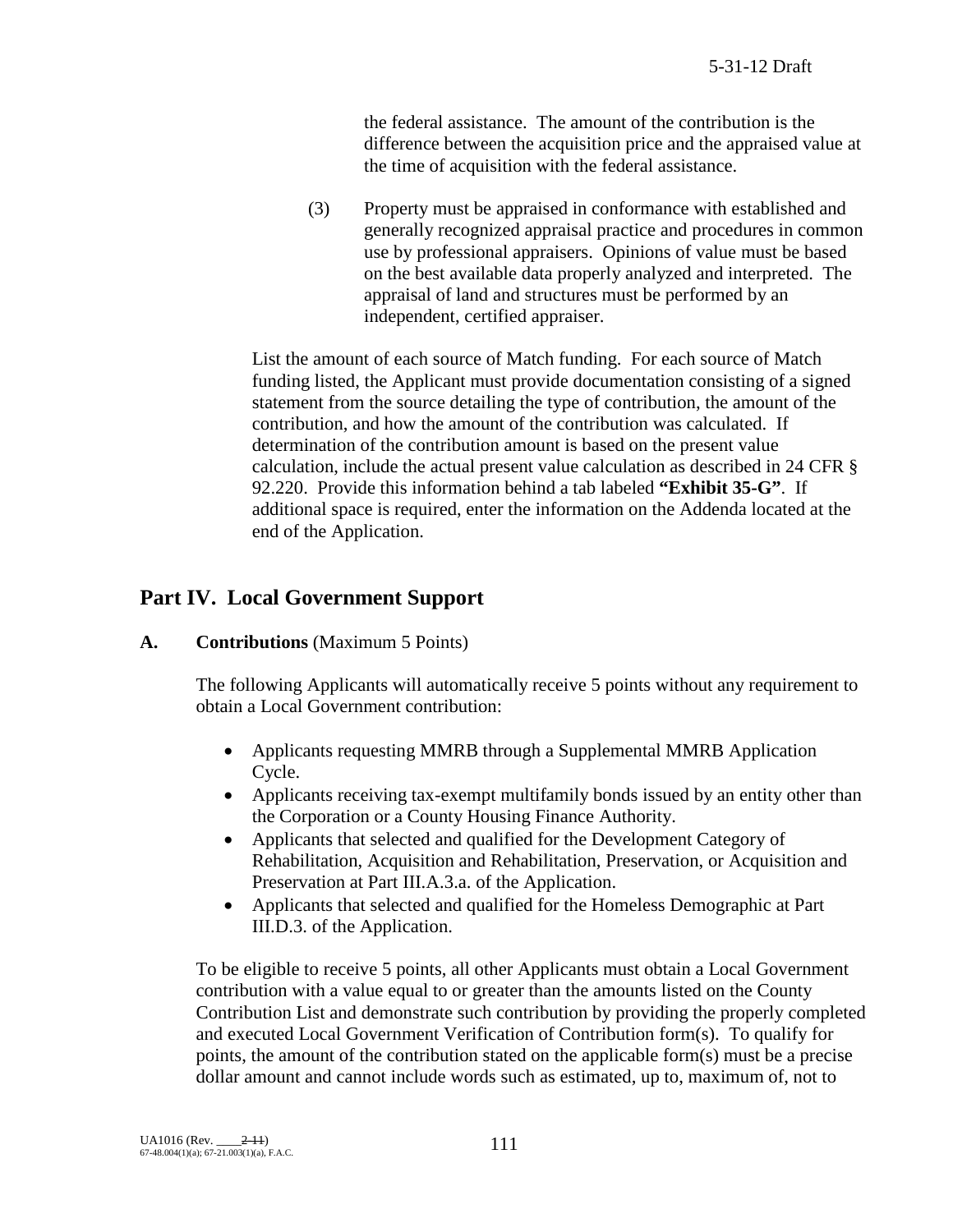the federal assistance. The amount of the contribution is the difference between the acquisition price and the appraised value at the time of acquisition with the federal assistance.

(3) Property must be appraised in conformance with established and generally recognized appraisal practice and procedures in common use by professional appraisers. Opinions of value must be based on the best available data properly analyzed and interpreted. The appraisal of land and structures must be performed by an independent, certified appraiser.

List the amount of each source of Match funding. For each source of Match funding listed, the Applicant must provide documentation consisting of a signed statement from the source detailing the type of contribution, the amount of the contribution, and how the amount of the contribution was calculated. If determination of the contribution amount is based on the present value calculation, include the actual present value calculation as described in 24 CFR § 92.220. Provide this information behind a tab labeled **"Exhibit 35-G"**. If additional space is required, enter the information on the Addenda located at the end of the Application.

# **Part IV. Local Government Support**

#### **A. Contributions** (Maximum 5 Points)

The following Applicants will automatically receive 5 points without any requirement to obtain a Local Government contribution:

- Applicants requesting MMRB through a Supplemental MMRB Application Cycle.
- Applicants receiving tax-exempt multifamily bonds issued by an entity other than the Corporation or a County Housing Finance Authority.
- Applicants that selected and qualified for the Development Category of Rehabilitation, Acquisition and Rehabilitation, Preservation, or Acquisition and Preservation at Part III.A.3.a. of the Application.
- Applicants that selected and qualified for the Homeless Demographic at Part III.D.3. of the Application.

To be eligible to receive 5 points, all other Applicants must obtain a Local Government contribution with a value equal to or greater than the amounts listed on the County Contribution List and demonstrate such contribution by providing the properly completed and executed Local Government Verification of Contribution form(s). To qualify for points, the amount of the contribution stated on the applicable form(s) must be a precise dollar amount and cannot include words such as estimated, up to, maximum of, not to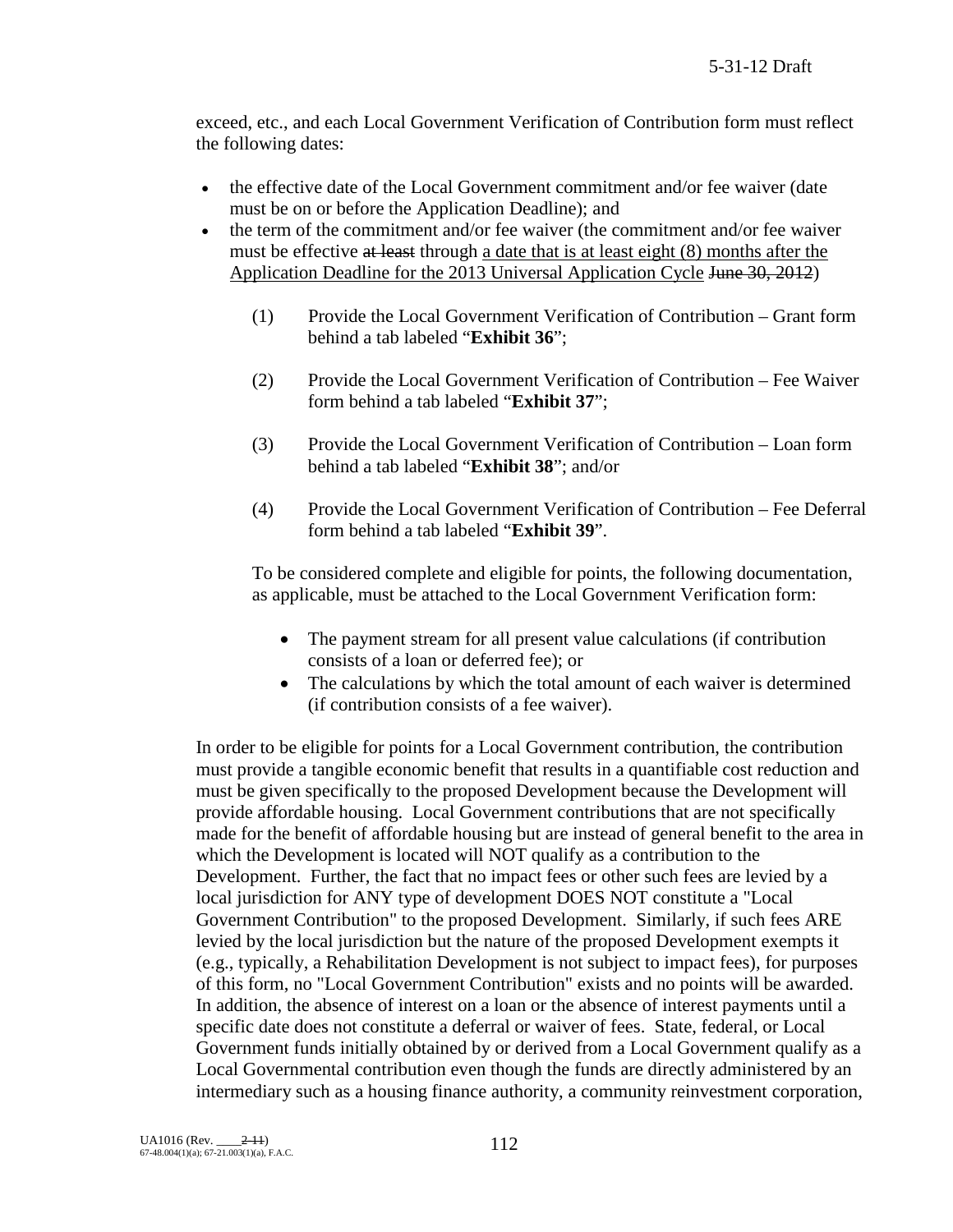exceed, etc., and each Local Government Verification of Contribution form must reflect the following dates:

- the effective date of the Local Government commitment and/or fee waiver (date must be on or before the Application Deadline); and
- the term of the commitment and/or fee waiver (the commitment and/or fee waiver must be effective at least through a date that is at least eight (8) months after the Application Deadline for the 2013 Universal Application Cycle June 30, 2012)
	- (1) Provide the Local Government Verification of Contribution Grant form behind a tab labeled "**Exhibit 36**";
	- (2) Provide the Local Government Verification of Contribution Fee Waiver form behind a tab labeled "**Exhibit 37**";
	- (3) Provide the Local Government Verification of Contribution Loan form behind a tab labeled "**Exhibit 38**"; and/or
	- (4) Provide the Local Government Verification of Contribution Fee Deferral form behind a tab labeled "**Exhibit 39**".

To be considered complete and eligible for points, the following documentation, as applicable, must be attached to the Local Government Verification form:

- The payment stream for all present value calculations (if contribution consists of a loan or deferred fee); or
- The calculations by which the total amount of each waiver is determined (if contribution consists of a fee waiver).

In order to be eligible for points for a Local Government contribution, the contribution must provide a tangible economic benefit that results in a quantifiable cost reduction and must be given specifically to the proposed Development because the Development will provide affordable housing. Local Government contributions that are not specifically made for the benefit of affordable housing but are instead of general benefit to the area in which the Development is located will NOT qualify as a contribution to the Development. Further, the fact that no impact fees or other such fees are levied by a local jurisdiction for ANY type of development DOES NOT constitute a "Local Government Contribution" to the proposed Development. Similarly, if such fees ARE levied by the local jurisdiction but the nature of the proposed Development exempts it (e.g., typically, a Rehabilitation Development is not subject to impact fees), for purposes of this form, no "Local Government Contribution" exists and no points will be awarded. In addition, the absence of interest on a loan or the absence of interest payments until a specific date does not constitute a deferral or waiver of fees. State, federal, or Local Government funds initially obtained by or derived from a Local Government qualify as a Local Governmental contribution even though the funds are directly administered by an intermediary such as a housing finance authority, a community reinvestment corporation,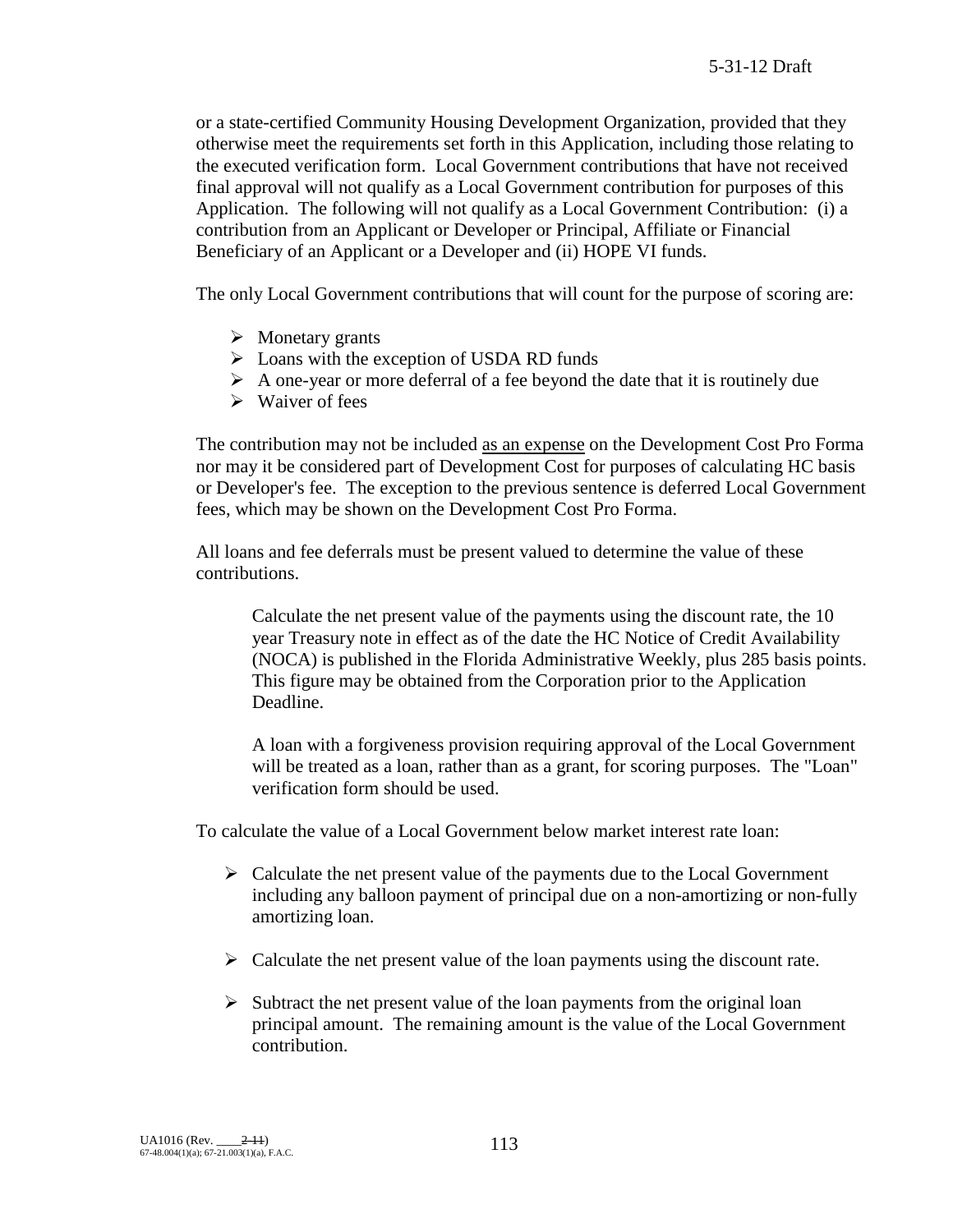or a state-certified Community Housing Development Organization, provided that they otherwise meet the requirements set forth in this Application, including those relating to the executed verification form. Local Government contributions that have not received final approval will not qualify as a Local Government contribution for purposes of this Application. The following will not qualify as a Local Government Contribution: (i) a contribution from an Applicant or Developer or Principal, Affiliate or Financial Beneficiary of an Applicant or a Developer and (ii) HOPE VI funds.

The only Local Government contributions that will count for the purpose of scoring are:

- $\triangleright$  Monetary grants
- $\triangleright$  Loans with the exception of USDA RD funds
- $\triangleright$  A one-year or more deferral of a fee beyond the date that it is routinely due
- $\triangleright$  Waiver of fees

The contribution may not be included as an expense on the Development Cost Pro Forma nor may it be considered part of Development Cost for purposes of calculating HC basis or Developer's fee. The exception to the previous sentence is deferred Local Government fees, which may be shown on the Development Cost Pro Forma.

All loans and fee deferrals must be present valued to determine the value of these contributions.

Calculate the net present value of the payments using the discount rate, the 10 year Treasury note in effect as of the date the HC Notice of Credit Availability (NOCA) is published in the Florida Administrative Weekly, plus 285 basis points. This figure may be obtained from the Corporation prior to the Application Deadline.

A loan with a forgiveness provision requiring approval of the Local Government will be treated as a loan, rather than as a grant, for scoring purposes. The "Loan" verification form should be used.

To calculate the value of a Local Government below market interest rate loan:

- $\triangleright$  Calculate the net present value of the payments due to the Local Government including any balloon payment of principal due on a non-amortizing or non-fully amortizing loan.
- $\triangleright$  Calculate the net present value of the loan payments using the discount rate.
- $\triangleright$  Subtract the net present value of the loan payments from the original loan principal amount. The remaining amount is the value of the Local Government contribution.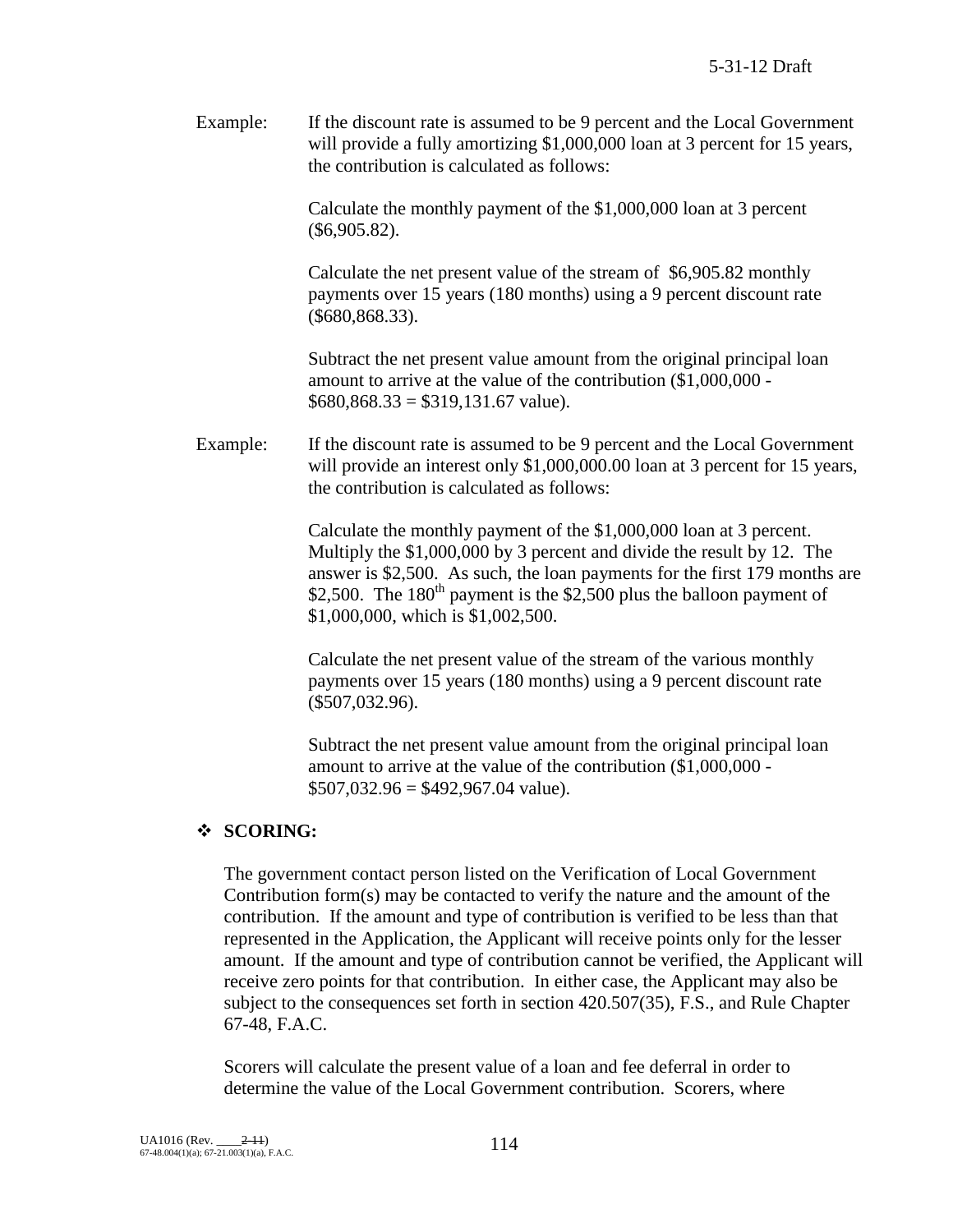Example: If the discount rate is assumed to be 9 percent and the Local Government will provide a fully amortizing \$1,000,000 loan at 3 percent for 15 years, the contribution is calculated as follows:

> Calculate the monthly payment of the \$1,000,000 loan at 3 percent (\$6,905.82).

Calculate the net present value of the stream of \$6,905.82 monthly payments over 15 years (180 months) using a 9 percent discount rate (\$680,868.33).

Subtract the net present value amount from the original principal loan amount to arrive at the value of the contribution (\$1,000,000 -  $$680,868.33 = $319,131.67$  value).

Example: If the discount rate is assumed to be 9 percent and the Local Government will provide an interest only \$1,000,000.00 loan at 3 percent for 15 years, the contribution is calculated as follows:

> Calculate the monthly payment of the \$1,000,000 loan at 3 percent. Multiply the \$1,000,000 by 3 percent and divide the result by 12. The answer is \$2,500. As such, the loan payments for the first 179 months are \$2,500. The  $180<sup>th</sup>$  payment is the \$2,500 plus the balloon payment of \$1,000,000, which is \$1,002,500.

Calculate the net present value of the stream of the various monthly payments over 15 years (180 months) using a 9 percent discount rate (\$507,032.96).

Subtract the net present value amount from the original principal loan amount to arrive at the value of the contribution (\$1,000,000 -  $$507,032.96 = $492,967.04$  value).

#### **SCORING:**

The government contact person listed on the Verification of Local Government Contribution form(s) may be contacted to verify the nature and the amount of the contribution. If the amount and type of contribution is verified to be less than that represented in the Application, the Applicant will receive points only for the lesser amount. If the amount and type of contribution cannot be verified, the Applicant will receive zero points for that contribution. In either case, the Applicant may also be subject to the consequences set forth in section 420.507(35), F.S., and Rule Chapter 67-48, F.A.C.

Scorers will calculate the present value of a loan and fee deferral in order to determine the value of the Local Government contribution. Scorers, where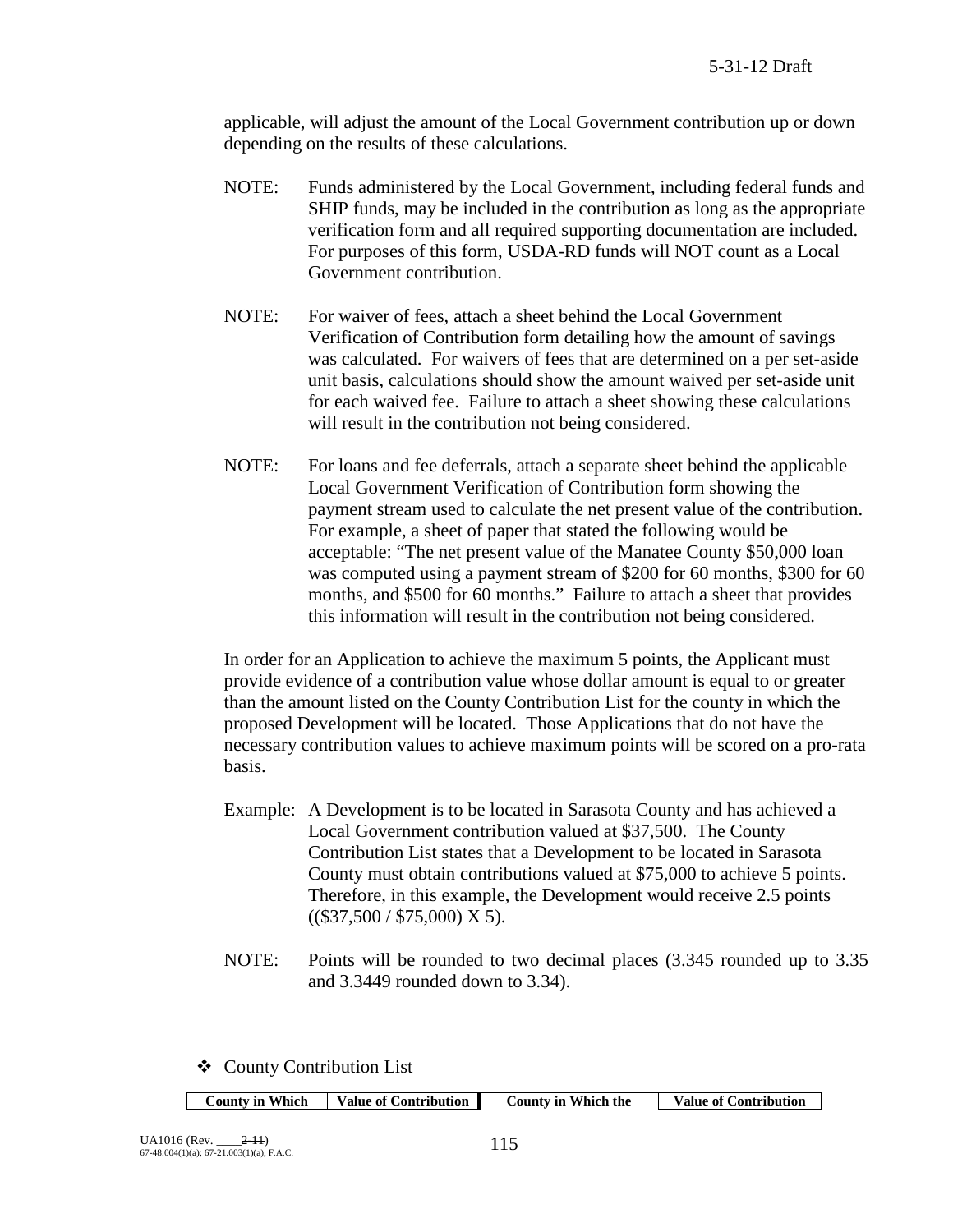applicable, will adjust the amount of the Local Government contribution up or down depending on the results of these calculations.

- NOTE: Funds administered by the Local Government, including federal funds and SHIP funds, may be included in the contribution as long as the appropriate verification form and all required supporting documentation are included. For purposes of this form, USDA-RD funds will NOT count as a Local Government contribution.
- NOTE: For waiver of fees, attach a sheet behind the Local Government Verification of Contribution form detailing how the amount of savings was calculated. For waivers of fees that are determined on a per set-aside unit basis, calculations should show the amount waived per set-aside unit for each waived fee. Failure to attach a sheet showing these calculations will result in the contribution not being considered.
- NOTE: For loans and fee deferrals, attach a separate sheet behind the applicable Local Government Verification of Contribution form showing the payment stream used to calculate the net present value of the contribution. For example, a sheet of paper that stated the following would be acceptable: "The net present value of the Manatee County \$50,000 loan was computed using a payment stream of \$200 for 60 months, \$300 for 60 months, and \$500 for 60 months." Failure to attach a sheet that provides this information will result in the contribution not being considered.

In order for an Application to achieve the maximum 5 points, the Applicant must provide evidence of a contribution value whose dollar amount is equal to or greater than the amount listed on the County Contribution List for the county in which the proposed Development will be located. Those Applications that do not have the necessary contribution values to achieve maximum points will be scored on a pro-rata basis.

- Example: A Development is to be located in Sarasota County and has achieved a Local Government contribution valued at \$37,500. The County Contribution List states that a Development to be located in Sarasota County must obtain contributions valued at \$75,000 to achieve 5 points. Therefore, in this example, the Development would receive 2.5 points  $((\$37,500 / \$75,000)$  X 5).
- NOTE: Points will be rounded to two decimal places (3.345 rounded up to 3.35 and 3.3449 rounded down to 3.34).

County Contribution List

|--|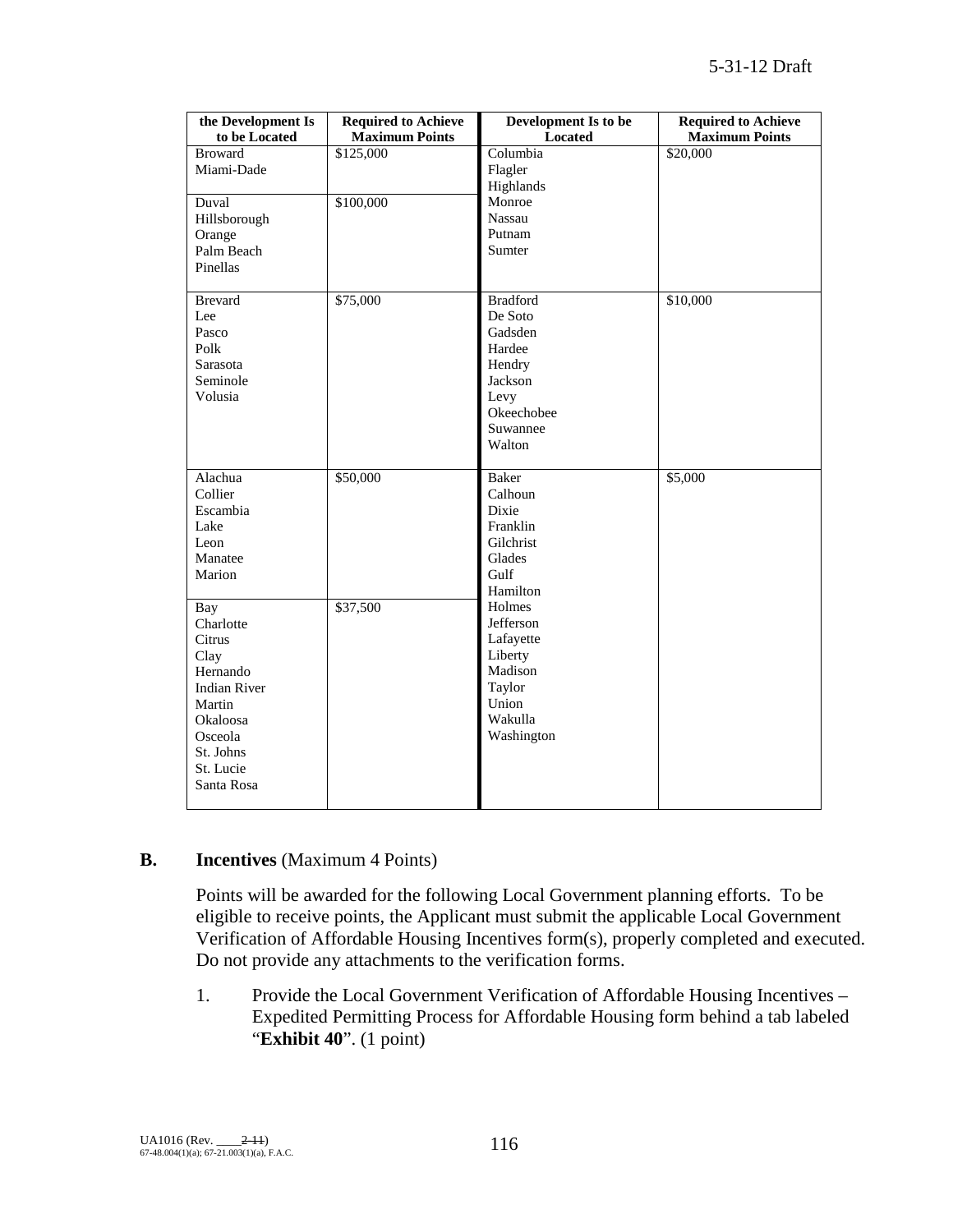| the Development Is<br>to be Located                                                                                                            | <b>Required to Achieve</b><br><b>Maximum Points</b> | Development Is to be<br><b>Located</b>                                                                           | <b>Required to Achieve</b><br><b>Maximum Points</b> |
|------------------------------------------------------------------------------------------------------------------------------------------------|-----------------------------------------------------|------------------------------------------------------------------------------------------------------------------|-----------------------------------------------------|
| <b>Broward</b><br>Miami-Dade<br>Duval<br>Hillsborough<br>Orange<br>Palm Beach<br>Pinellas                                                      | \$125,000<br>\$100,000                              | Columbia<br>Flagler<br>Highlands<br>Monroe<br>Nassau<br>Putnam<br>Sumter                                         | \$20,000                                            |
| <b>Brevard</b><br>Lee<br>Pasco<br>Polk<br>Sarasota<br>Seminole<br>Volusia                                                                      | \$75,000                                            | <b>Bradford</b><br>De Soto<br>Gadsden<br>Hardee<br>Hendry<br>Jackson<br>Levy<br>Okeechobee<br>Suwannee<br>Walton | \$10,000                                            |
| Alachua<br>Collier<br>Escambia<br>Lake<br>Leon<br>Manatee<br>Marion                                                                            | \$50,000                                            | <b>Baker</b><br>Calhoun<br>Dixie<br>Franklin<br>Gilchrist<br>Glades<br>Gulf<br>Hamilton                          | \$5,000                                             |
| Bay<br>Charlotte<br>Citrus<br>Clay<br>Hernando<br><b>Indian River</b><br>Martin<br>Okaloosa<br>Osceola<br>St. Johns<br>St. Lucie<br>Santa Rosa | \$37,500                                            | Holmes<br>Jefferson<br>Lafayette<br>Liberty<br>Madison<br>Taylor<br>Union<br>Wakulla<br>Washington               |                                                     |

#### **B. Incentives** (Maximum 4 Points)

Points will be awarded for the following Local Government planning efforts. To be eligible to receive points, the Applicant must submit the applicable Local Government Verification of Affordable Housing Incentives form(s), properly completed and executed. Do not provide any attachments to the verification forms.

1. Provide the Local Government Verification of Affordable Housing Incentives – Expedited Permitting Process for Affordable Housing form behind a tab labeled "**Exhibit 40**". (1 point)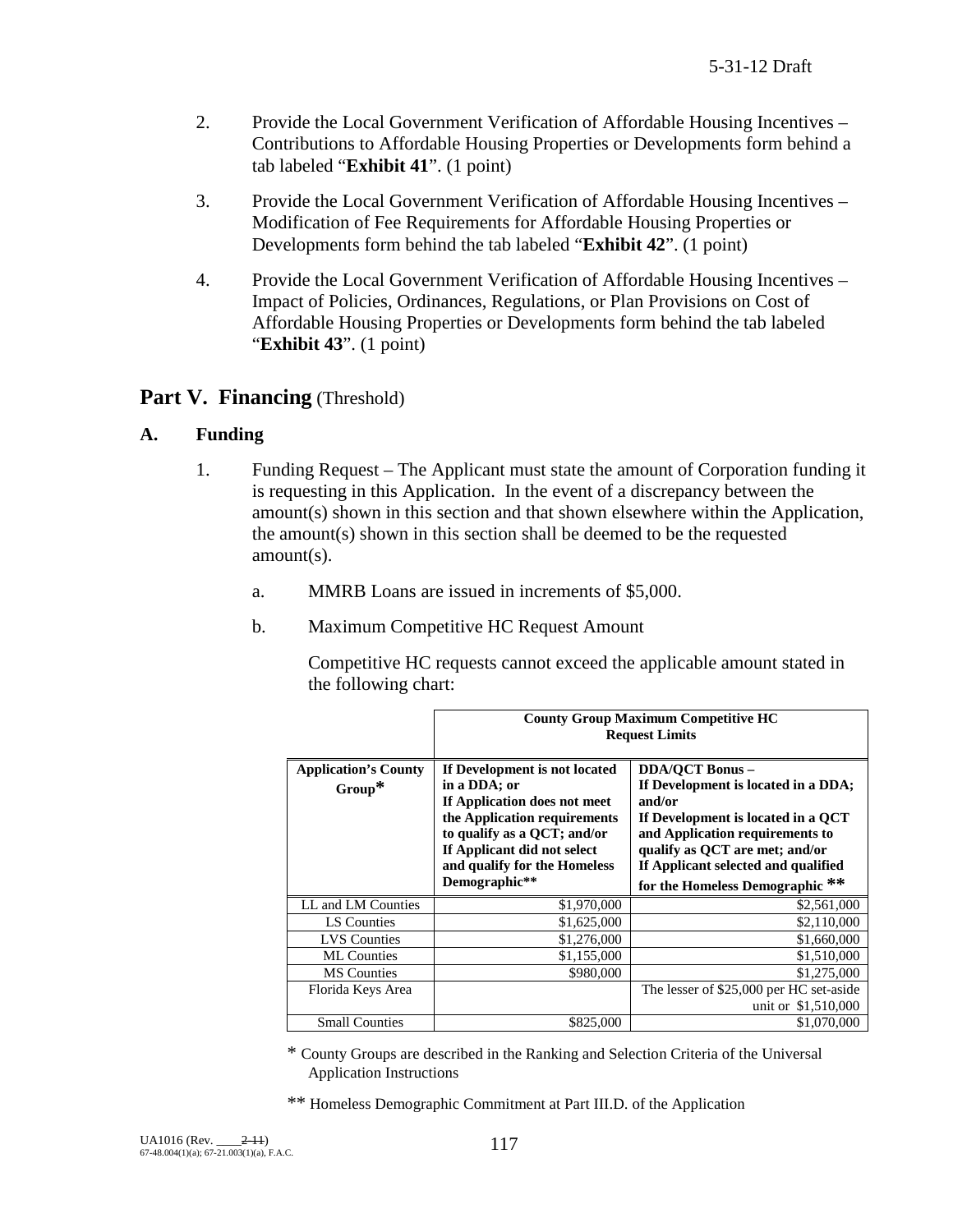- 2. Provide the Local Government Verification of Affordable Housing Incentives Contributions to Affordable Housing Properties or Developments form behind a tab labeled "**Exhibit 41**". (1 point)
- 3. Provide the Local Government Verification of Affordable Housing Incentives Modification of Fee Requirements for Affordable Housing Properties or Developments form behind the tab labeled "**Exhibit 42**". (1 point)
- 4. Provide the Local Government Verification of Affordable Housing Incentives Impact of Policies, Ordinances, Regulations, or Plan Provisions on Cost of Affordable Housing Properties or Developments form behind the tab labeled "**Exhibit 43**". (1 point)

## Part V. Financing (Threshold)

#### **A. Funding**

- 1. Funding Request The Applicant must state the amount of Corporation funding it is requesting in this Application. In the event of a discrepancy between the amount(s) shown in this section and that shown elsewhere within the Application, the amount(s) shown in this section shall be deemed to be the requested amount(s).
	- a. MMRB Loans are issued in increments of \$5,000.
	- b. Maximum Competitive HC Request Amount

Competitive HC requests cannot exceed the applicable amount stated in the following chart:

|                                          | <b>County Group Maximum Competitive HC</b><br><b>Request Limits</b>                                                                                                                                                          |                                                                                                                                                                                                                                                              |  |  |
|------------------------------------------|------------------------------------------------------------------------------------------------------------------------------------------------------------------------------------------------------------------------------|--------------------------------------------------------------------------------------------------------------------------------------------------------------------------------------------------------------------------------------------------------------|--|--|
| <b>Application's County</b><br>$Group^*$ | If Development is not located<br>in a DDA; or<br>If Application does not meet<br>the Application requirements<br>to qualify as a QCT; and/or<br>If Applicant did not select<br>and qualify for the Homeless<br>Demographic** | <b>DDA/OCT Bonus -</b><br>If Development is located in a DDA;<br>and/or<br>If Development is located in a QCT<br>and Application requirements to<br>qualify as QCT are met; and/or<br>If Applicant selected and qualified<br>for the Homeless Demographic ** |  |  |
| LL and LM Counties                       | \$1,970,000                                                                                                                                                                                                                  | \$2,561,000                                                                                                                                                                                                                                                  |  |  |
| LS Counties                              | \$1,625,000                                                                                                                                                                                                                  | \$2,110,000                                                                                                                                                                                                                                                  |  |  |
| <b>LVS</b> Counties                      | \$1,276,000                                                                                                                                                                                                                  | \$1,660,000                                                                                                                                                                                                                                                  |  |  |
| <b>ML</b> Counties                       | \$1,155,000                                                                                                                                                                                                                  | \$1,510,000                                                                                                                                                                                                                                                  |  |  |
| <b>MS</b> Counties                       | \$980,000                                                                                                                                                                                                                    | \$1,275,000                                                                                                                                                                                                                                                  |  |  |
| Florida Keys Area                        |                                                                                                                                                                                                                              | The lesser of \$25,000 per HC set-aside<br>unit or \$1,510,000                                                                                                                                                                                               |  |  |
| <b>Small Counties</b>                    |                                                                                                                                                                                                                              |                                                                                                                                                                                                                                                              |  |  |

\* County Groups are described in the Ranking and Selection Criteria of the Universal Application Instructions

\*\* Homeless Demographic Commitment at Part III.D. of the Application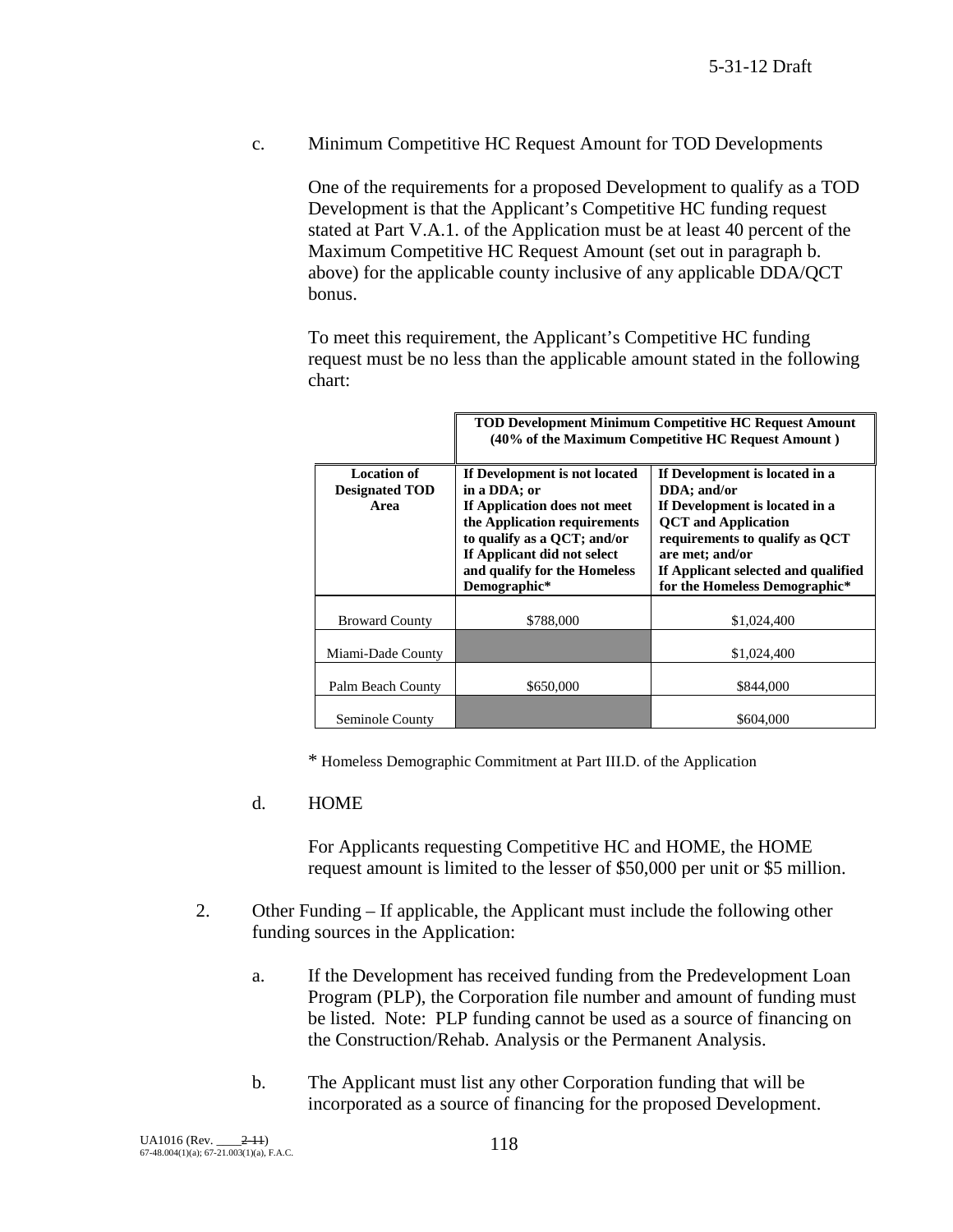c. Minimum Competitive HC Request Amount for TOD Developments

One of the requirements for a proposed Development to qualify as a TOD Development is that the Applicant's Competitive HC funding request stated at Part V.A.1. of the Application must be at least 40 percent of the Maximum Competitive HC Request Amount (set out in paragraph b. above) for the applicable county inclusive of any applicable DDA/QCT bonus.

To meet this requirement, the Applicant's Competitive HC funding request must be no less than the applicable amount stated in the following chart:

|                                                     | <b>TOD Development Minimum Competitive HC Request Amount</b><br>(40% of the Maximum Competitive HC Request Amount)                                                                                                                                                                                                                                                                                                                                                        |             |  |  |
|-----------------------------------------------------|---------------------------------------------------------------------------------------------------------------------------------------------------------------------------------------------------------------------------------------------------------------------------------------------------------------------------------------------------------------------------------------------------------------------------------------------------------------------------|-------------|--|--|
| <b>Location of</b><br><b>Designated TOD</b><br>Area | If Development is not located<br>If Development is located in a<br>in a DDA; or<br>DDA; and/or<br>If Application does not meet<br>If Development is located in a<br>the Application requirements<br><b>QCT</b> and Application<br>to qualify as a QCT; and/or<br>requirements to qualify as QCT<br>If Applicant did not select<br>are met; and/or<br>and qualify for the Homeless<br>If Applicant selected and qualified<br>Demographic*<br>for the Homeless Demographic* |             |  |  |
| <b>Broward County</b>                               | \$788,000                                                                                                                                                                                                                                                                                                                                                                                                                                                                 | \$1,024,400 |  |  |
| Miami-Dade County                                   |                                                                                                                                                                                                                                                                                                                                                                                                                                                                           | \$1,024,400 |  |  |
| Palm Beach County                                   | \$650,000                                                                                                                                                                                                                                                                                                                                                                                                                                                                 | \$844,000   |  |  |
| Seminole County                                     |                                                                                                                                                                                                                                                                                                                                                                                                                                                                           | \$604,000   |  |  |

\* Homeless Demographic Commitment at Part III.D. of the Application

#### d. HOME

For Applicants requesting Competitive HC and HOME, the HOME request amount is limited to the lesser of \$50,000 per unit or \$5 million.

- 2. Other Funding If applicable, the Applicant must include the following other funding sources in the Application:
	- a. If the Development has received funding from the Predevelopment Loan Program (PLP), the Corporation file number and amount of funding must be listed. Note: PLP funding cannot be used as a source of financing on the Construction/Rehab. Analysis or the Permanent Analysis.
	- b. The Applicant must list any other Corporation funding that will be incorporated as a source of financing for the proposed Development.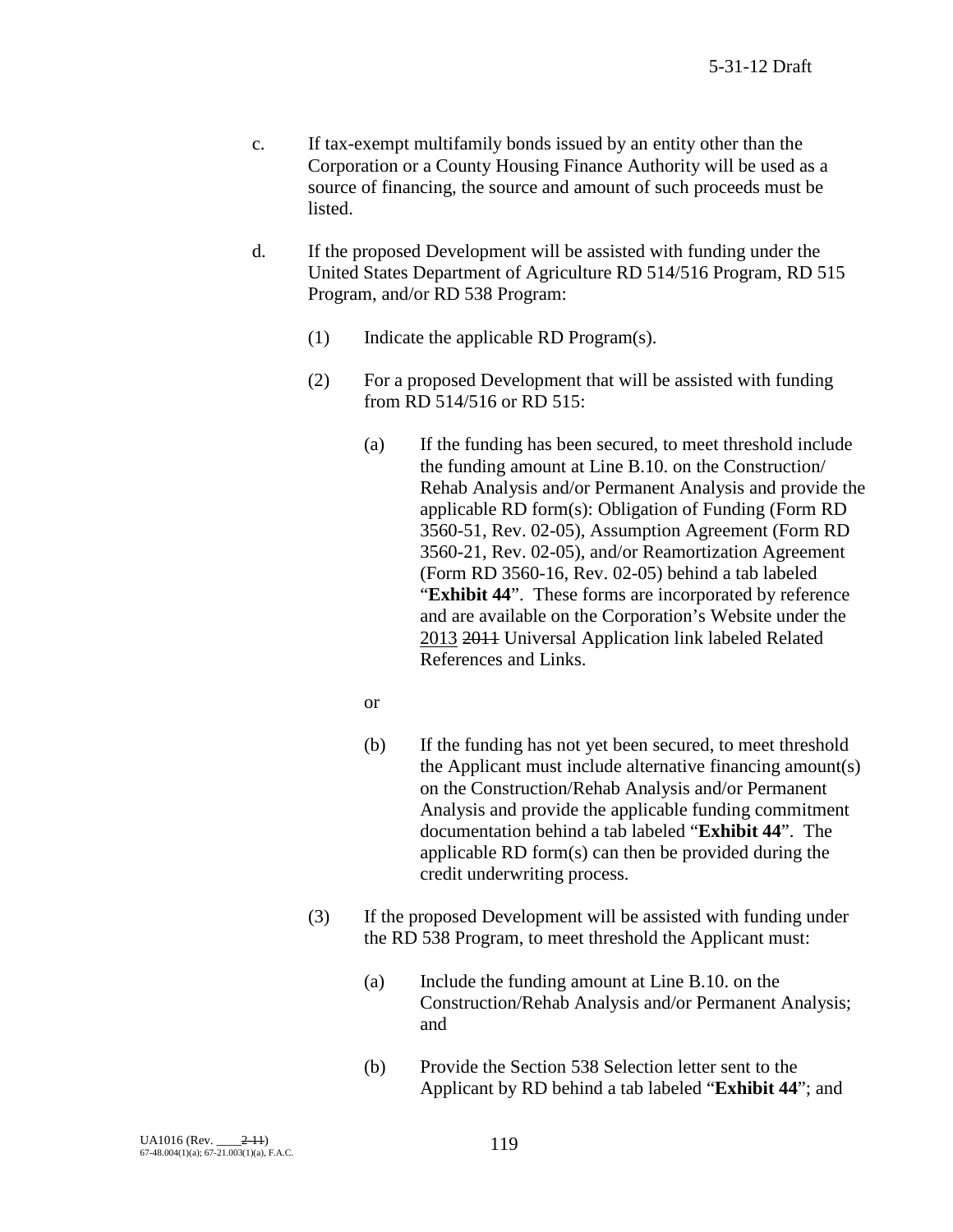- c. If tax-exempt multifamily bonds issued by an entity other than the Corporation or a County Housing Finance Authority will be used as a source of financing, the source and amount of such proceeds must be listed.
- d. If the proposed Development will be assisted with funding under the United States Department of Agriculture RD 514/516 Program, RD 515 Program, and/or RD 538 Program:
	- (1) Indicate the applicable RD Program(s).
	- (2) For a proposed Development that will be assisted with funding from RD 514/516 or RD 515:
		- (a) If the funding has been secured, to meet threshold include the funding amount at Line B.10. on the Construction/ Rehab Analysis and/or Permanent Analysis and provide the applicable RD form(s): Obligation of Funding (Form RD 3560-51, Rev. 02-05), Assumption Agreement (Form RD 3560-21, Rev. 02-05), and/or Reamortization Agreement (Form RD 3560-16, Rev. 02-05) behind a tab labeled "**Exhibit 44**". These forms are incorporated by reference and are available on the Corporation's Website under the 2013 2011 Universal Application link labeled Related References and Links.
		- or
		- (b) If the funding has not yet been secured, to meet threshold the Applicant must include alternative financing amount(s) on the Construction/Rehab Analysis and/or Permanent Analysis and provide the applicable funding commitment documentation behind a tab labeled "**Exhibit 44**". The applicable RD form(s) can then be provided during the credit underwriting process.
	- (3) If the proposed Development will be assisted with funding under the RD 538 Program, to meet threshold the Applicant must:
		- (a) Include the funding amount at Line B.10. on the Construction/Rehab Analysis and/or Permanent Analysis; and
		- (b) Provide the Section 538 Selection letter sent to the Applicant by RD behind a tab labeled "**Exhibit 44**"; and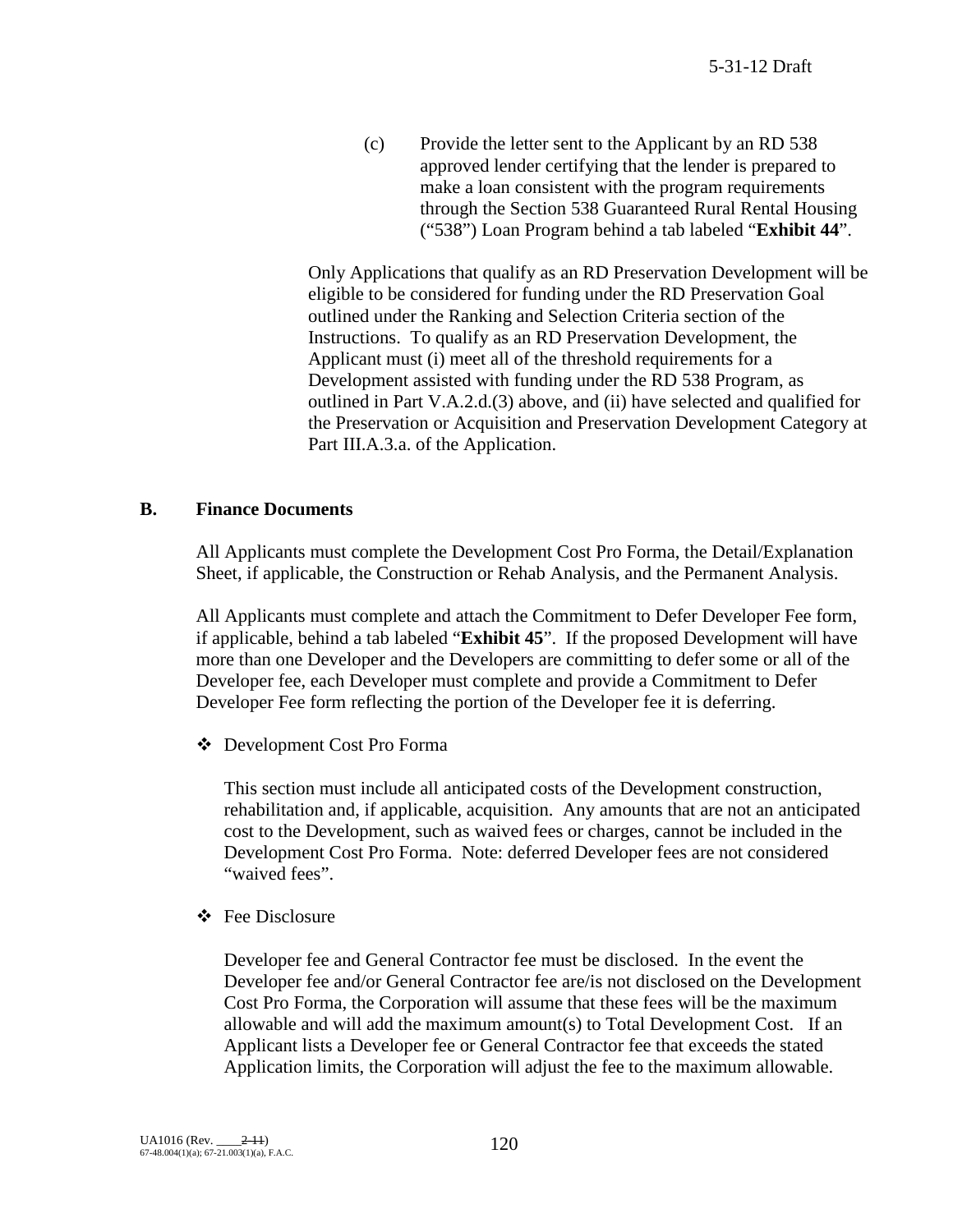(c) Provide the letter sent to the Applicant by an RD 538 approved lender certifying that the lender is prepared to make a loan consistent with the program requirements through the Section 538 Guaranteed Rural Rental Housing ("538") Loan Program behind a tab labeled "**Exhibit 44**".

Only Applications that qualify as an RD Preservation Development will be eligible to be considered for funding under the RD Preservation Goal outlined under the Ranking and Selection Criteria section of the Instructions. To qualify as an RD Preservation Development, the Applicant must (i) meet all of the threshold requirements for a Development assisted with funding under the RD 538 Program, as outlined in Part V.A.2.d.(3) above, and (ii) have selected and qualified for the Preservation or Acquisition and Preservation Development Category at Part III.A.3.a. of the Application.

#### **B. Finance Documents**

All Applicants must complete the Development Cost Pro Forma, the Detail/Explanation Sheet, if applicable, the Construction or Rehab Analysis, and the Permanent Analysis.

All Applicants must complete and attach the Commitment to Defer Developer Fee form, if applicable, behind a tab labeled "**Exhibit 45**". If the proposed Development will have more than one Developer and the Developers are committing to defer some or all of the Developer fee, each Developer must complete and provide a Commitment to Defer Developer Fee form reflecting the portion of the Developer fee it is deferring.

Development Cost Pro Forma

 This section must include all anticipated costs of the Development construction, rehabilitation and, if applicable, acquisition. Any amounts that are not an anticipated cost to the Development, such as waived fees or charges, cannot be included in the Development Cost Pro Forma. Note: deferred Developer fees are not considered "waived fees".

Fee Disclosure

Developer fee and General Contractor fee must be disclosed. In the event the Developer fee and/or General Contractor fee are/is not disclosed on the Development Cost Pro Forma, the Corporation will assume that these fees will be the maximum allowable and will add the maximum amount(s) to Total Development Cost. If an Applicant lists a Developer fee or General Contractor fee that exceeds the stated Application limits, the Corporation will adjust the fee to the maximum allowable.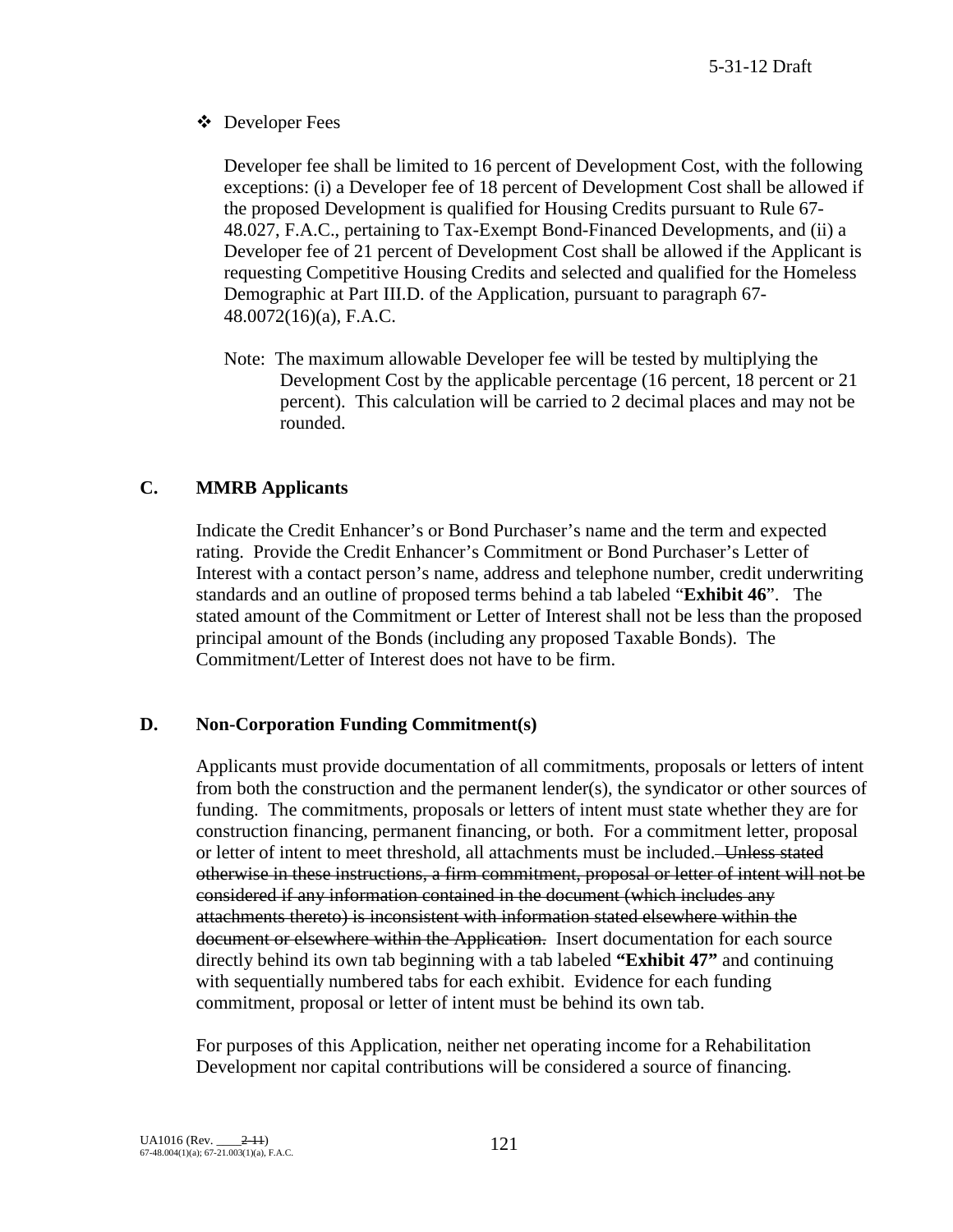Developer Fees

Developer fee shall be limited to 16 percent of Development Cost, with the following exceptions: (i) a Developer fee of 18 percent of Development Cost shall be allowed if the proposed Development is qualified for Housing Credits pursuant to Rule 67- 48.027, F.A.C., pertaining to Tax-Exempt Bond-Financed Developments, and (ii) a Developer fee of 21 percent of Development Cost shall be allowed if the Applicant is requesting Competitive Housing Credits and selected and qualified for the Homeless Demographic at Part III.D. of the Application, pursuant to paragraph 67- 48.0072(16)(a), F.A.C.

Note: The maximum allowable Developer fee will be tested by multiplying the Development Cost by the applicable percentage (16 percent, 18 percent or 21 percent). This calculation will be carried to 2 decimal places and may not be rounded.

## **C. MMRB Applicants**

Indicate the Credit Enhancer's or Bond Purchaser's name and the term and expected rating. Provide the Credit Enhancer's Commitment or Bond Purchaser's Letter of Interest with a contact person's name, address and telephone number, credit underwriting standards and an outline of proposed terms behind a tab labeled "**Exhibit 46**". The stated amount of the Commitment or Letter of Interest shall not be less than the proposed principal amount of the Bonds (including any proposed Taxable Bonds). The Commitment/Letter of Interest does not have to be firm.

#### **D. Non-Corporation Funding Commitment(s)**

Applicants must provide documentation of all commitments, proposals or letters of intent from both the construction and the permanent lender(s), the syndicator or other sources of funding. The commitments, proposals or letters of intent must state whether they are for construction financing, permanent financing, or both. For a commitment letter, proposal or letter of intent to meet threshold, all attachments must be included. Unless stated otherwise in these instructions, a firm commitment, proposal or letter of intent will not be considered if any information contained in the document (which includes any attachments thereto) is inconsistent with information stated elsewhere within the document or elsewhere within the Application. Insert documentation for each source directly behind its own tab beginning with a tab labeled **"Exhibit 47"** and continuing with sequentially numbered tabs for each exhibit. Evidence for each funding commitment, proposal or letter of intent must be behind its own tab.

For purposes of this Application, neither net operating income for a Rehabilitation Development nor capital contributions will be considered a source of financing.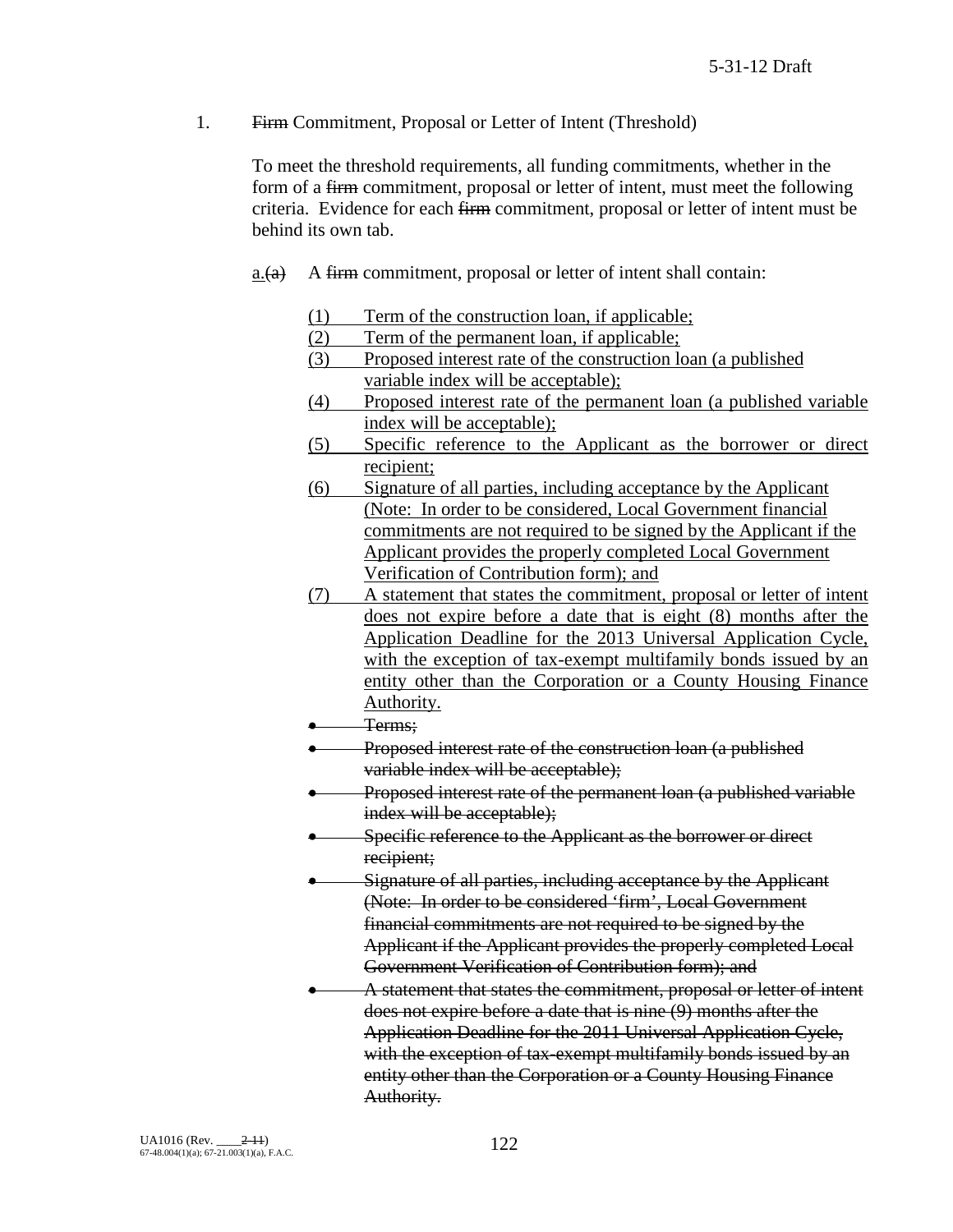1. Firm Commitment, Proposal or Letter of Intent (Threshold)

To meet the threshold requirements, all funding commitments, whether in the form of a firm commitment, proposal or letter of intent, must meet the following criteria. Evidence for each firm commitment, proposal or letter of intent must be behind its own tab.

- $a_{\text{A}}(a)$  A firm commitment, proposal or letter of intent shall contain:
	- (1) Term of the construction loan, if applicable;
	- (2) Term of the permanent loan, if applicable;
	- (3) Proposed interest rate of the construction loan (a published variable index will be acceptable);
	- (4) Proposed interest rate of the permanent loan (a published variable index will be acceptable);
	- (5) Specific reference to the Applicant as the borrower or direct recipient;
	- (6) Signature of all parties, including acceptance by the Applicant (Note: In order to be considered, Local Government financial commitments are not required to be signed by the Applicant if the Applicant provides the properly completed Local Government Verification of Contribution form); and
	- (7) A statement that states the commitment, proposal or letter of intent does not expire before a date that is eight (8) months after the Application Deadline for the 2013 Universal Application Cycle, with the exception of tax-exempt multifamily bonds issued by an entity other than the Corporation or a County Housing Finance Authority.
	- Terms;
	- Proposed interest rate of the construction loan (a published variable index will be acceptable);
	- Proposed interest rate of the permanent loan (a published variable index will be acceptable);
	- Specific reference to the Applicant as the borrower or direct recipient;
	- Signature of all parties, including acceptance by the Applicant (Note: In order to be considered 'firm', Local Government financial commitments are not required to be signed by the Applicant if the Applicant provides the properly completed Local Government Verification of Contribution form); and
	- A statement that states the commitment, proposal or letter of intent does not expire before a date that is nine (9) months after the Application Deadline for the 2011 Universal Application Cycle, with the exception of tax-exempt multifamily bonds issued by an entity other than the Corporation or a County Housing Finance Authority.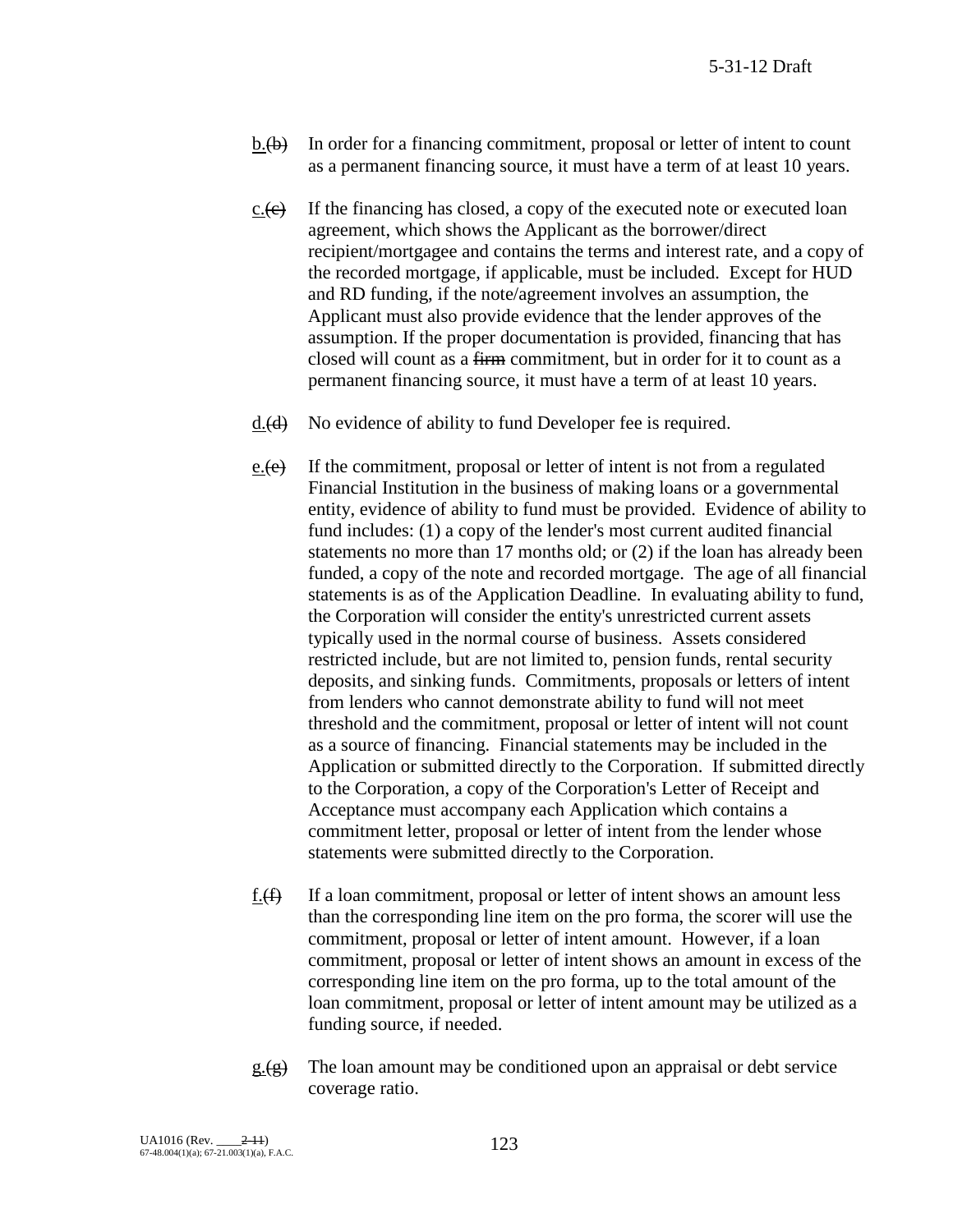- $b.$  (b) In order for a financing commitment, proposal or letter of intent to count as a permanent financing source, it must have a term of at least 10 years.
- $c.$  (e) If the financing has closed, a copy of the executed note or executed loan agreement, which shows the Applicant as the borrower/direct recipient/mortgagee and contains the terms and interest rate, and a copy of the recorded mortgage, if applicable, must be included. Except for HUD and RD funding, if the note/agreement involves an assumption, the Applicant must also provide evidence that the lender approves of the assumption. If the proper documentation is provided, financing that has closed will count as a firm commitment, but in order for it to count as a permanent financing source, it must have a term of at least 10 years.
- $d.$  (d) No evidence of ability to fund Developer fee is required.
- e. $(e)$  If the commitment, proposal or letter of intent is not from a regulated Financial Institution in the business of making loans or a governmental entity, evidence of ability to fund must be provided. Evidence of ability to fund includes: (1) a copy of the lender's most current audited financial statements no more than 17 months old; or (2) if the loan has already been funded, a copy of the note and recorded mortgage. The age of all financial statements is as of the Application Deadline. In evaluating ability to fund, the Corporation will consider the entity's unrestricted current assets typically used in the normal course of business. Assets considered restricted include, but are not limited to, pension funds, rental security deposits, and sinking funds. Commitments, proposals or letters of intent from lenders who cannot demonstrate ability to fund will not meet threshold and the commitment, proposal or letter of intent will not count as a source of financing. Financial statements may be included in the Application or submitted directly to the Corporation. If submitted directly to the Corporation, a copy of the Corporation's Letter of Receipt and Acceptance must accompany each Application which contains a commitment letter, proposal or letter of intent from the lender whose statements were submitted directly to the Corporation.
- $f(f)$  If a loan commitment, proposal or letter of intent shows an amount less than the corresponding line item on the pro forma, the scorer will use the commitment, proposal or letter of intent amount. However, if a loan commitment, proposal or letter of intent shows an amount in excess of the corresponding line item on the pro forma, up to the total amount of the loan commitment, proposal or letter of intent amount may be utilized as a funding source, if needed.
- $g(g)$  The loan amount may be conditioned upon an appraisal or debt service coverage ratio.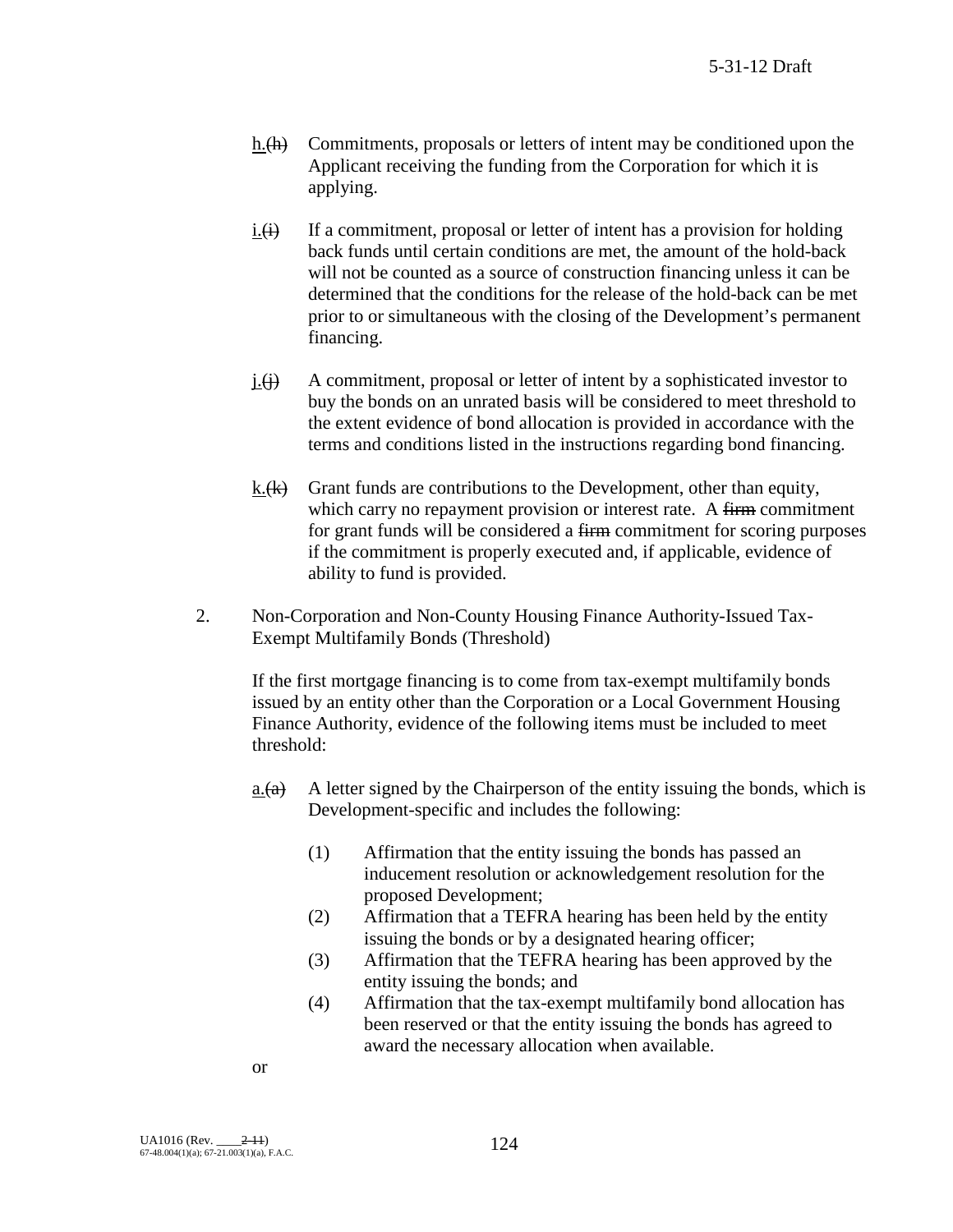- h. $\langle h \rangle$  Commitments, proposals or letters of intent may be conditioned upon the Applicant receiving the funding from the Corporation for which it is applying.
- $i. (i)$  If a commitment, proposal or letter of intent has a provision for holding back funds until certain conditions are met, the amount of the hold-back will not be counted as a source of construction financing unless it can be determined that the conditions for the release of the hold-back can be met prior to or simultaneous with the closing of the Development's permanent financing.
- $j.(\mathbf{i})$  A commitment, proposal or letter of intent by a sophisticated investor to buy the bonds on an unrated basis will be considered to meet threshold to the extent evidence of bond allocation is provided in accordance with the terms and conditions listed in the instructions regarding bond financing.
- k. $(k)$  Grant funds are contributions to the Development, other than equity, which carry no repayment provision or interest rate. A firm commitment for grant funds will be considered a firm commitment for scoring purposes if the commitment is properly executed and, if applicable, evidence of ability to fund is provided.
- 2. Non-Corporation and Non-County Housing Finance Authority-Issued Tax-Exempt Multifamily Bonds (Threshold)

If the first mortgage financing is to come from tax-exempt multifamily bonds issued by an entity other than the Corporation or a Local Government Housing Finance Authority, evidence of the following items must be included to meet threshold:

- a. $\overrightarrow{a}$  A letter signed by the Chairperson of the entity issuing the bonds, which is Development-specific and includes the following:
	- (1) Affirmation that the entity issuing the bonds has passed an inducement resolution or acknowledgement resolution for the proposed Development;
	- (2) Affirmation that a TEFRA hearing has been held by the entity issuing the bonds or by a designated hearing officer;
	- (3) Affirmation that the TEFRA hearing has been approved by the entity issuing the bonds; and
	- (4) Affirmation that the tax-exempt multifamily bond allocation has been reserved or that the entity issuing the bonds has agreed to award the necessary allocation when available.

or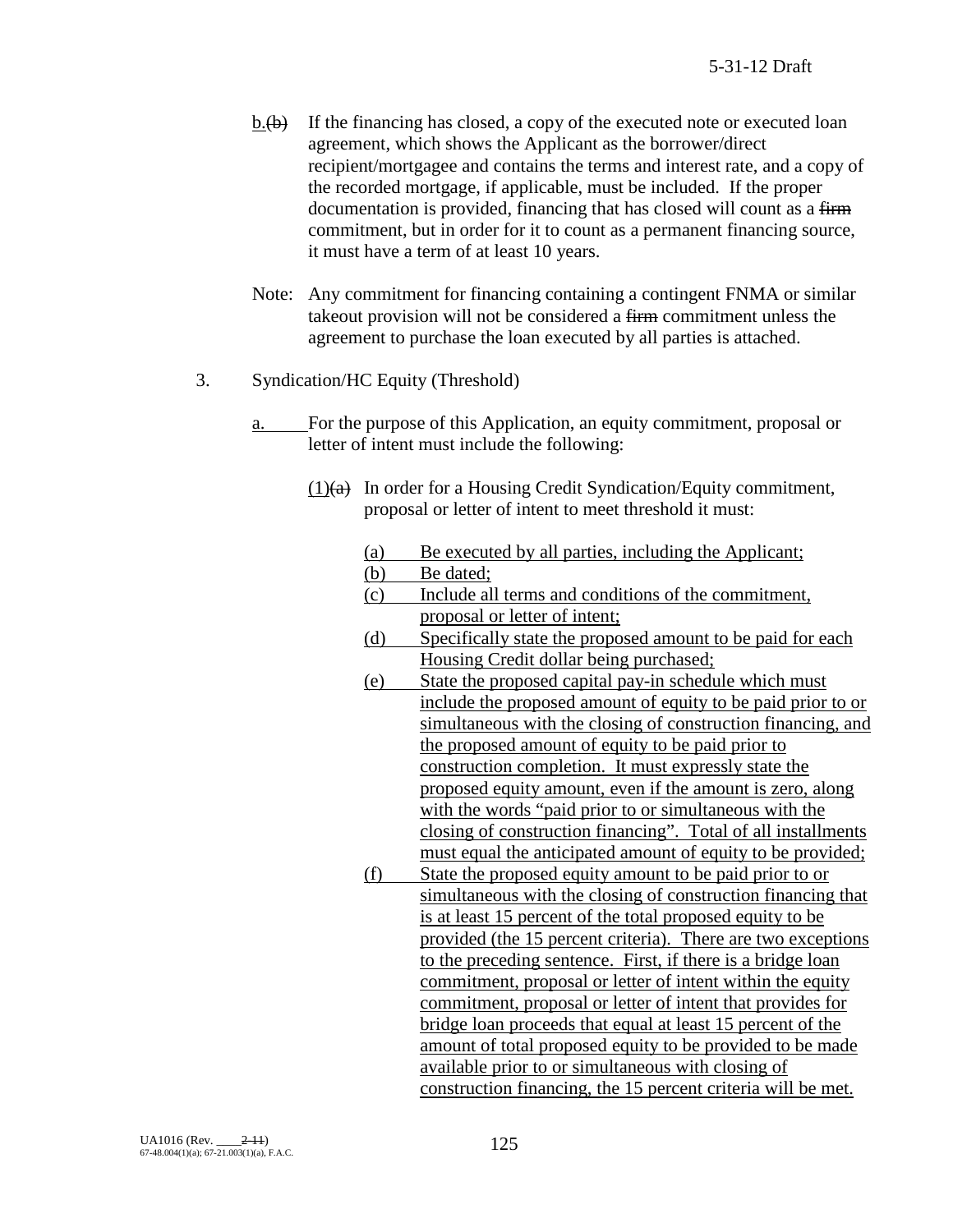- $b.\overline{(b)}$  If the financing has closed, a copy of the executed note or executed loan agreement, which shows the Applicant as the borrower/direct recipient/mortgagee and contains the terms and interest rate, and a copy of the recorded mortgage, if applicable, must be included. If the proper documentation is provided, financing that has closed will count as a firm commitment, but in order for it to count as a permanent financing source, it must have a term of at least 10 years.
- Note: Any commitment for financing containing a contingent FNMA or similar takeout provision will not be considered a firm commitment unless the agreement to purchase the loan executed by all parties is attached.
- 3. Syndication/HC Equity (Threshold)
	- a. For the purpose of this Application, an equity commitment, proposal or letter of intent must include the following:
		- $(1)(a)$  In order for a Housing Credit Syndication/Equity commitment, proposal or letter of intent to meet threshold it must:
			- (a) Be executed by all parties, including the Applicant;<br>(b) Be dated;
			- Be dated;
			- (c) Include all terms and conditions of the commitment, proposal or letter of intent;
			- (d) Specifically state the proposed amount to be paid for each Housing Credit dollar being purchased;
			- (e) State the proposed capital pay-in schedule which must include the proposed amount of equity to be paid prior to or simultaneous with the closing of construction financing, and the proposed amount of equity to be paid prior to construction completion. It must expressly state the proposed equity amount, even if the amount is zero, along with the words "paid prior to or simultaneous with the closing of construction financing". Total of all installments must equal the anticipated amount of equity to be provided;
			- (f) State the proposed equity amount to be paid prior to or simultaneous with the closing of construction financing that is at least 15 percent of the total proposed equity to be provided (the 15 percent criteria). There are two exceptions to the preceding sentence. First, if there is a bridge loan commitment, proposal or letter of intent within the equity commitment, proposal or letter of intent that provides for bridge loan proceeds that equal at least 15 percent of the amount of total proposed equity to be provided to be made available prior to or simultaneous with closing of construction financing, the 15 percent criteria will be met.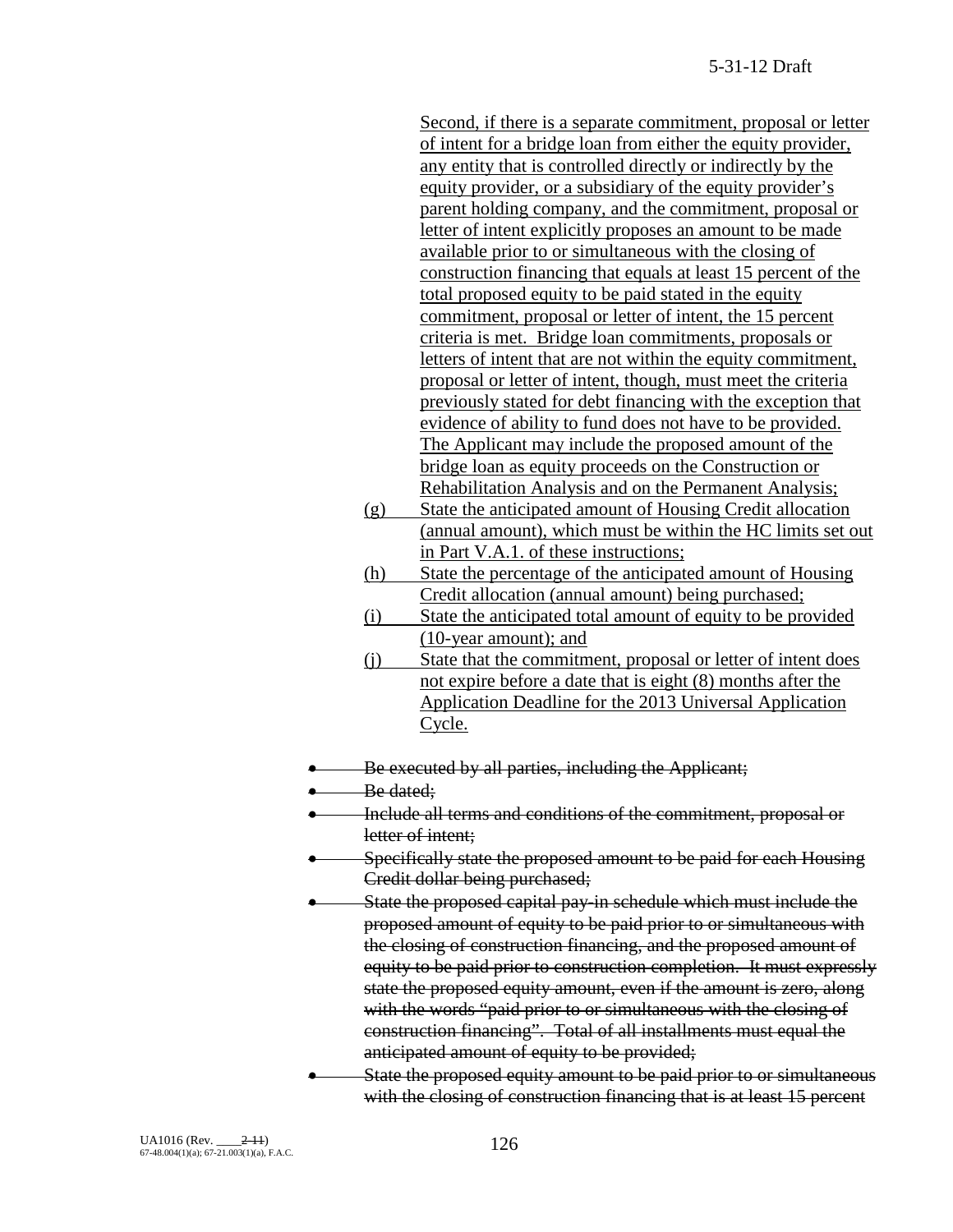Second, if there is a separate commitment, proposal or letter of intent for a bridge loan from either the equity provider, any entity that is controlled directly or indirectly by the equity provider, or a subsidiary of the equity provider's parent holding company, and the commitment, proposal or letter of intent explicitly proposes an amount to be made available prior to or simultaneous with the closing of construction financing that equals at least 15 percent of the total proposed equity to be paid stated in the equity commitment, proposal or letter of intent, the 15 percent criteria is met. Bridge loan commitments, proposals or letters of intent that are not within the equity commitment, proposal or letter of intent, though, must meet the criteria previously stated for debt financing with the exception that evidence of ability to fund does not have to be provided. The Applicant may include the proposed amount of the bridge loan as equity proceeds on the Construction or Rehabilitation Analysis and on the Permanent Analysis;

- (g) State the anticipated amount of Housing Credit allocation (annual amount), which must be within the HC limits set out in Part V.A.1. of these instructions;
- (h) State the percentage of the anticipated amount of Housing Credit allocation (annual amount) being purchased;
- (i) State the anticipated total amount of equity to be provided (10-year amount); and
- (j) State that the commitment, proposal or letter of intent does not expire before a date that is eight (8) months after the Application Deadline for the 2013 Universal Application Cycle.
- Be executed by all parties, including the Applicant;
- Be dated:
- Include all terms and conditions of the commitment, proposal or letter of intent;
- Specifically state the proposed amount to be paid for each Housing Credit dollar being purchased;
- State the proposed capital pay-in schedule which must include the proposed amount of equity to be paid prior to or simultaneous with the closing of construction financing, and the proposed amount of equity to be paid prior to construction completion. It must expressly state the proposed equity amount, even if the amount is zero, along with the words "paid prior to or simultaneous with the closing of construction financing". Total of all installments must equal the anticipated amount of equity to be provided;
- State the proposed equity amount to be paid prior to or simultaneous with the closing of construction financing that is at least 15 percent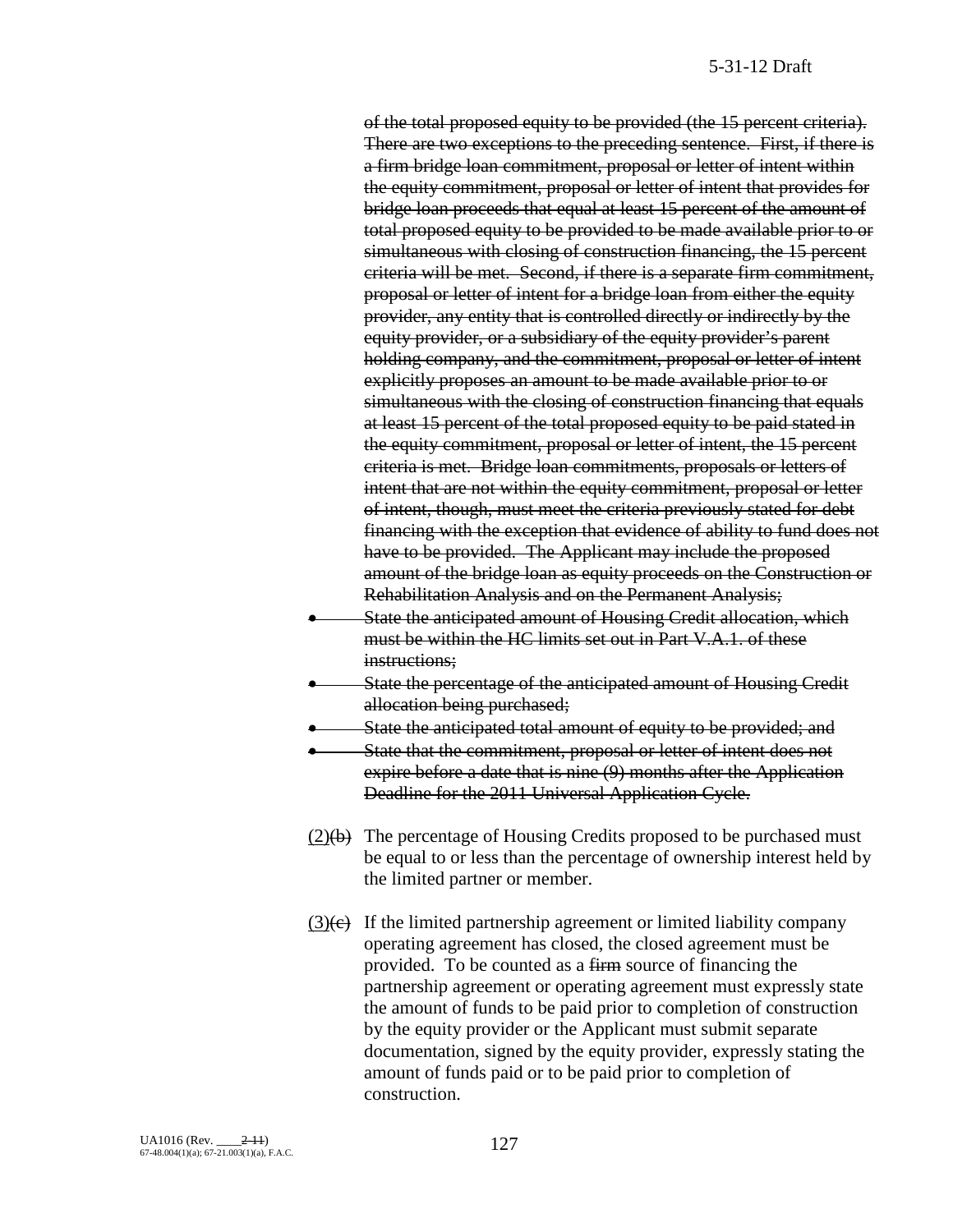of the total proposed equity to be provided (the 15 percent criteria). There are two exceptions to the preceding sentence. First, if there is a firm bridge loan commitment, proposal or letter of intent within the equity commitment, proposal or letter of intent that provides for bridge loan proceeds that equal at least 15 percent of the amount of total proposed equity to be provided to be made available prior to or simultaneous with closing of construction financing, the 15 percent criteria will be met. Second, if there is a separate firm commitment, proposal or letter of intent for a bridge loan from either the equity provider, any entity that is controlled directly or indirectly by the equity provider, or a subsidiary of the equity provider's parent holding company, and the commitment, proposal or letter of intent explicitly proposes an amount to be made available prior to or simultaneous with the closing of construction financing that equals at least 15 percent of the total proposed equity to be paid stated in the equity commitment, proposal or letter of intent, the 15 percent criteria is met. Bridge loan commitments, proposals or letters of intent that are not within the equity commitment, proposal or letter of intent, though, must meet the criteria previously stated for debt financing with the exception that evidence of ability to fund does not have to be provided. The Applicant may include the proposed amount of the bridge loan as equity proceeds on the Construction or Rehabilitation Analysis and on the Permanent Analysis;

- State the anticipated amount of Housing Credit allocation, which must be within the HC limits set out in Part V.A.1. of these instructions;
- State the percentage of the anticipated amount of Housing Credit allocation being purchased;
- State the anticipated total amount of equity to be provided; and
- State that the commitment, proposal or letter of intent does not expire before a date that is nine (9) months after the Application Deadline for the 2011 Universal Application Cycle.
- $(2)(b)$  The percentage of Housing Credits proposed to be purchased must be equal to or less than the percentage of ownership interest held by the limited partner or member.
- $(3)(\epsilon)$  If the limited partnership agreement or limited liability company operating agreement has closed, the closed agreement must be provided. To be counted as a firm source of financing the partnership agreement or operating agreement must expressly state the amount of funds to be paid prior to completion of construction by the equity provider or the Applicant must submit separate documentation, signed by the equity provider, expressly stating the amount of funds paid or to be paid prior to completion of construction.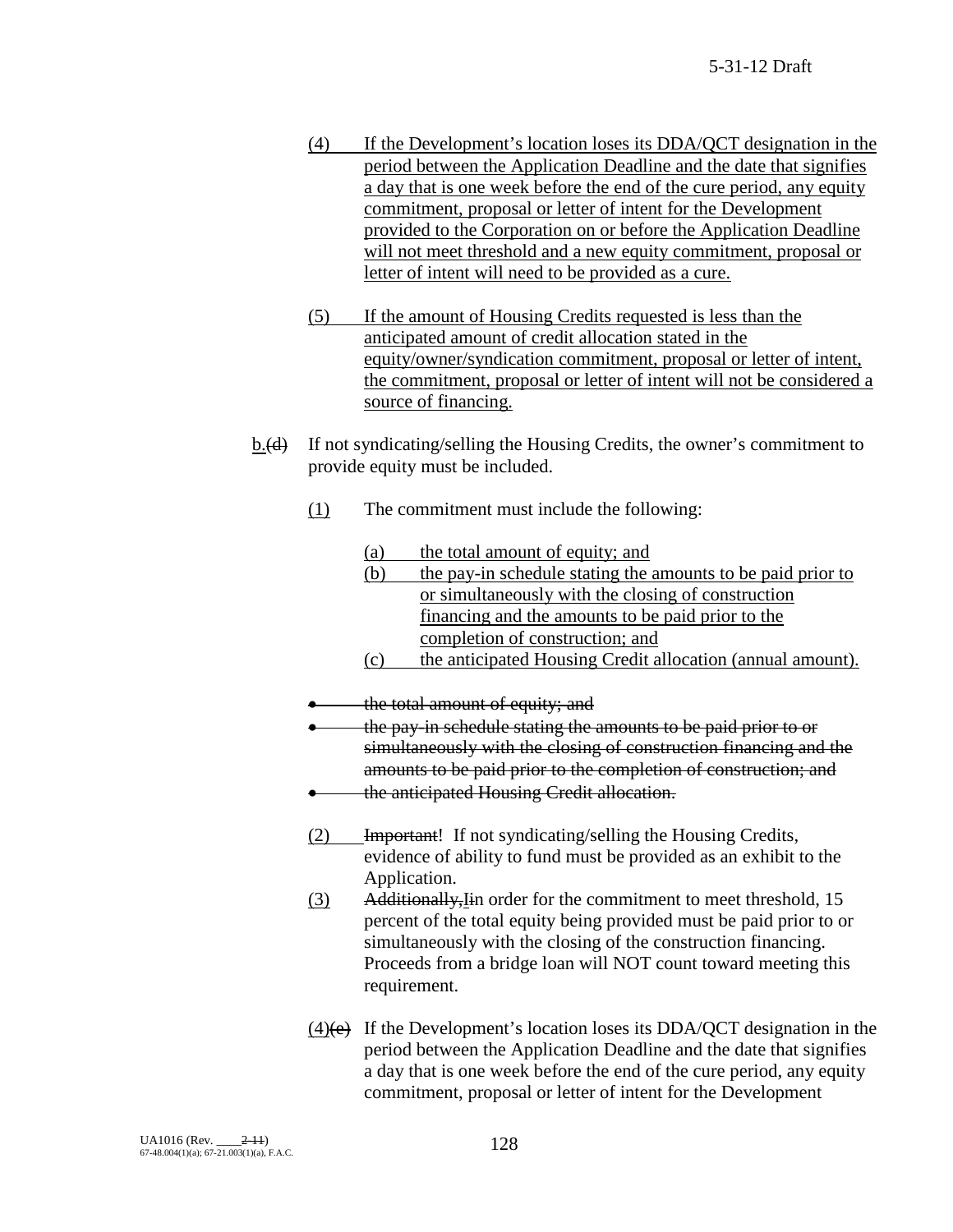- (4) If the Development's location loses its DDA/QCT designation in the period between the Application Deadline and the date that signifies a day that is one week before the end of the cure period, any equity commitment, proposal or letter of intent for the Development provided to the Corporation on or before the Application Deadline will not meet threshold and a new equity commitment, proposal or letter of intent will need to be provided as a cure.
- (5) If the amount of Housing Credits requested is less than the anticipated amount of credit allocation stated in the equity/owner/syndication commitment, proposal or letter of intent, the commitment, proposal or letter of intent will not be considered a source of financing.
- b.(d) If not syndicating/selling the Housing Credits, the owner's commitment to provide equity must be included.
	- (1) The commitment must include the following:
		- (a) the total amount of equity; and
		- (b) the pay-in schedule stating the amounts to be paid prior to or simultaneously with the closing of construction financing and the amounts to be paid prior to the completion of construction; and
		- (c) the anticipated Housing Credit allocation (annual amount).
	- the total amount of equity; and
	- the pay-in schedule stating the amounts to be paid prior to or simultaneously with the closing of construction financing and the amounts to be paid prior to the completion of construction; and
	- the anticipated Housing Credit allocation.
	- (2) Important! If not syndicating/selling the Housing Credits, evidence of ability to fund must be provided as an exhibit to the Application.
	- (3) Additionally,Iin order for the commitment to meet threshold, 15 percent of the total equity being provided must be paid prior to or simultaneously with the closing of the construction financing. Proceeds from a bridge loan will NOT count toward meeting this requirement.
	- $(4)$ (e) If the Development's location loses its DDA/QCT designation in the period between the Application Deadline and the date that signifies a day that is one week before the end of the cure period, any equity commitment, proposal or letter of intent for the Development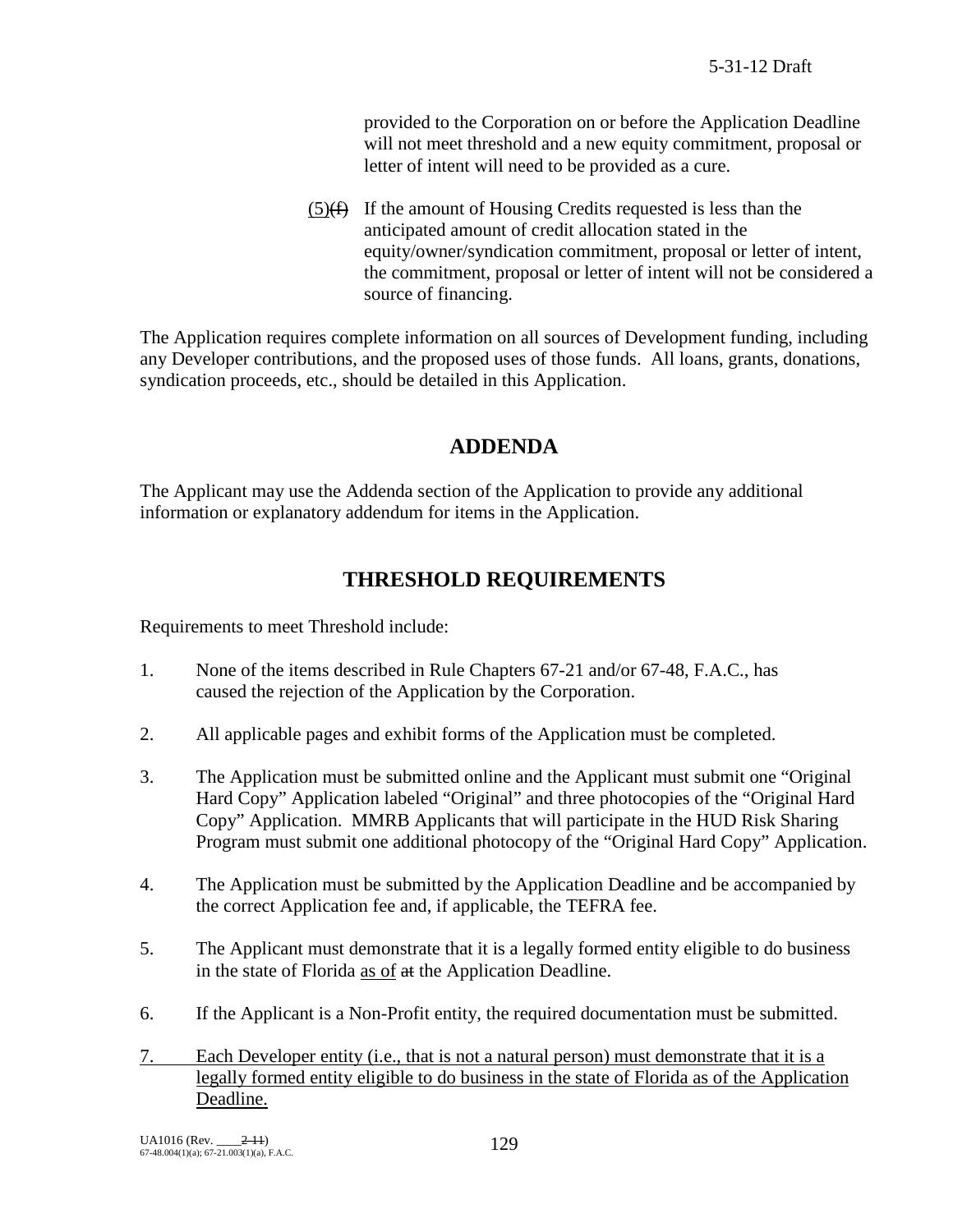provided to the Corporation on or before the Application Deadline will not meet threshold and a new equity commitment, proposal or letter of intent will need to be provided as a cure.

 $(5)$ (f) If the amount of Housing Credits requested is less than the anticipated amount of credit allocation stated in the equity/owner/syndication commitment, proposal or letter of intent, the commitment, proposal or letter of intent will not be considered a source of financing.

The Application requires complete information on all sources of Development funding, including any Developer contributions, and the proposed uses of those funds. All loans, grants, donations, syndication proceeds, etc., should be detailed in this Application.

# **ADDENDA**

The Applicant may use the Addenda section of the Application to provide any additional information or explanatory addendum for items in the Application.

# **THRESHOLD REQUIREMENTS**

Requirements to meet Threshold include:

- 1. None of the items described in Rule Chapters 67-21 and/or 67-48, F.A.C., has caused the rejection of the Application by the Corporation.
- 2. All applicable pages and exhibit forms of the Application must be completed.
- 3. The Application must be submitted online and the Applicant must submit one "Original Hard Copy" Application labeled "Original" and three photocopies of the "Original Hard Copy" Application. MMRB Applicants that will participate in the HUD Risk Sharing Program must submit one additional photocopy of the "Original Hard Copy" Application.
- 4. The Application must be submitted by the Application Deadline and be accompanied by the correct Application fee and, if applicable, the TEFRA fee.
- 5. The Applicant must demonstrate that it is a legally formed entity eligible to do business in the state of Florida as of at the Application Deadline.
- 6. If the Applicant is a Non-Profit entity, the required documentation must be submitted.
- 7. Each Developer entity (i.e., that is not a natural person) must demonstrate that it is a legally formed entity eligible to do business in the state of Florida as of the Application Deadline.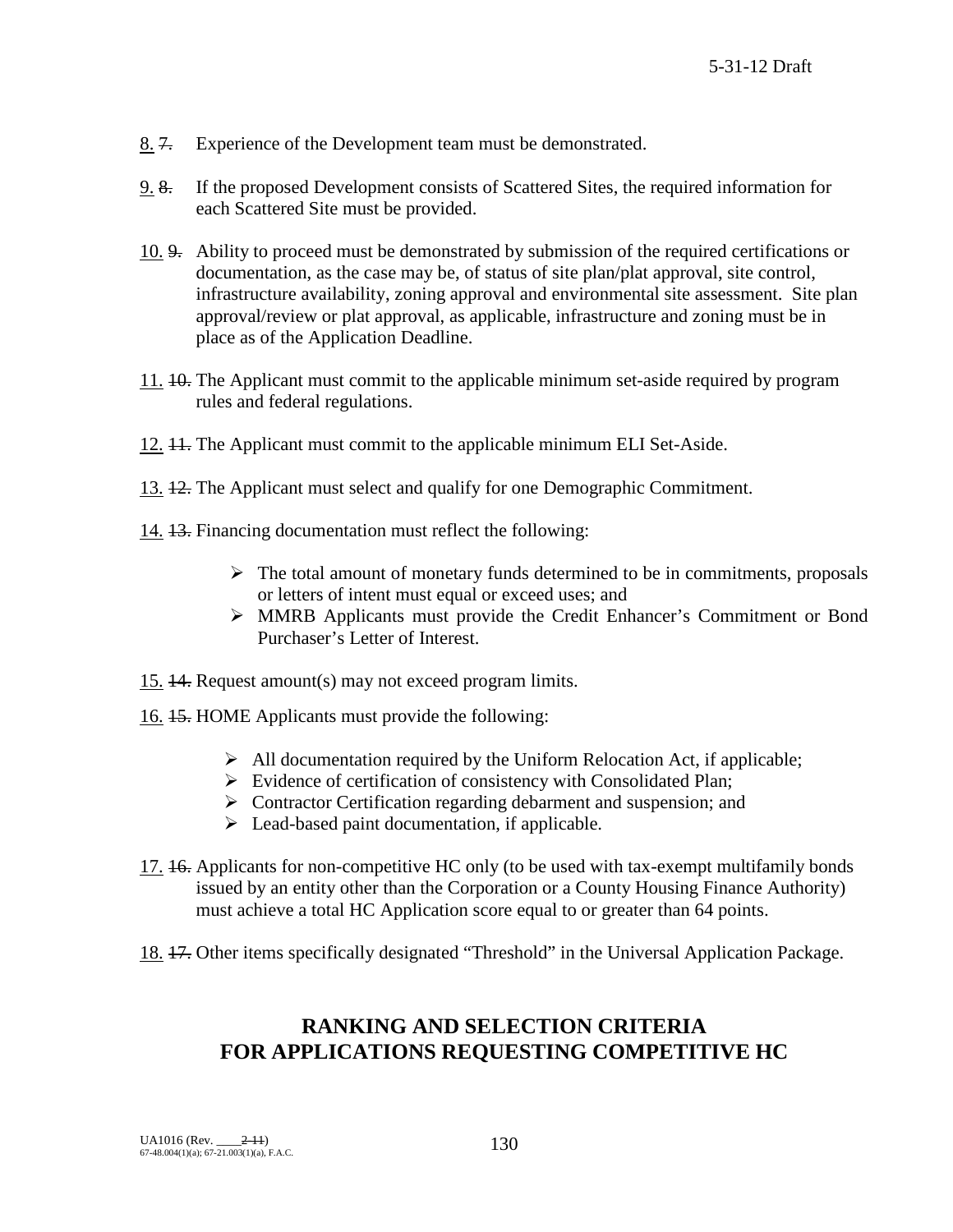- 8. 7. Experience of the Development team must be demonstrated.
- 9. 8. If the proposed Development consists of Scattered Sites, the required information for each Scattered Site must be provided.
- 10. 9. Ability to proceed must be demonstrated by submission of the required certifications or documentation, as the case may be, of status of site plan/plat approval, site control, infrastructure availability, zoning approval and environmental site assessment. Site plan approval/review or plat approval, as applicable, infrastructure and zoning must be in place as of the Application Deadline.
- 11. 10. The Applicant must commit to the applicable minimum set-aside required by program rules and federal regulations.
- 12. 11. The Applicant must commit to the applicable minimum ELI Set-Aside.
- 13. 12. The Applicant must select and qualify for one Demographic Commitment.
- 14. 13. Financing documentation must reflect the following:
	- $\triangleright$  The total amount of monetary funds determined to be in commitments, proposals or letters of intent must equal or exceed uses; and
	- MMRB Applicants must provide the Credit Enhancer's Commitment or Bond Purchaser's Letter of Interest.
- 15. 14. Request amount(s) may not exceed program limits.
- 16. 15. HOME Applicants must provide the following:
	- $\triangleright$  All documentation required by the Uniform Relocation Act, if applicable;
	- $\triangleright$  Evidence of certification of consistency with Consolidated Plan;
	- $\triangleright$  Contractor Certification regarding debarment and suspension; and
	- $\triangleright$  Lead-based paint documentation, if applicable.
- 17. 16. Applicants for non-competitive HC only (to be used with tax-exempt multifamily bonds issued by an entity other than the Corporation or a County Housing Finance Authority) must achieve a total HC Application score equal to or greater than 64 points.
- 18. 17. Other items specifically designated "Threshold" in the Universal Application Package.

# **RANKING AND SELECTION CRITERIA FOR APPLICATIONS REQUESTING COMPETITIVE HC**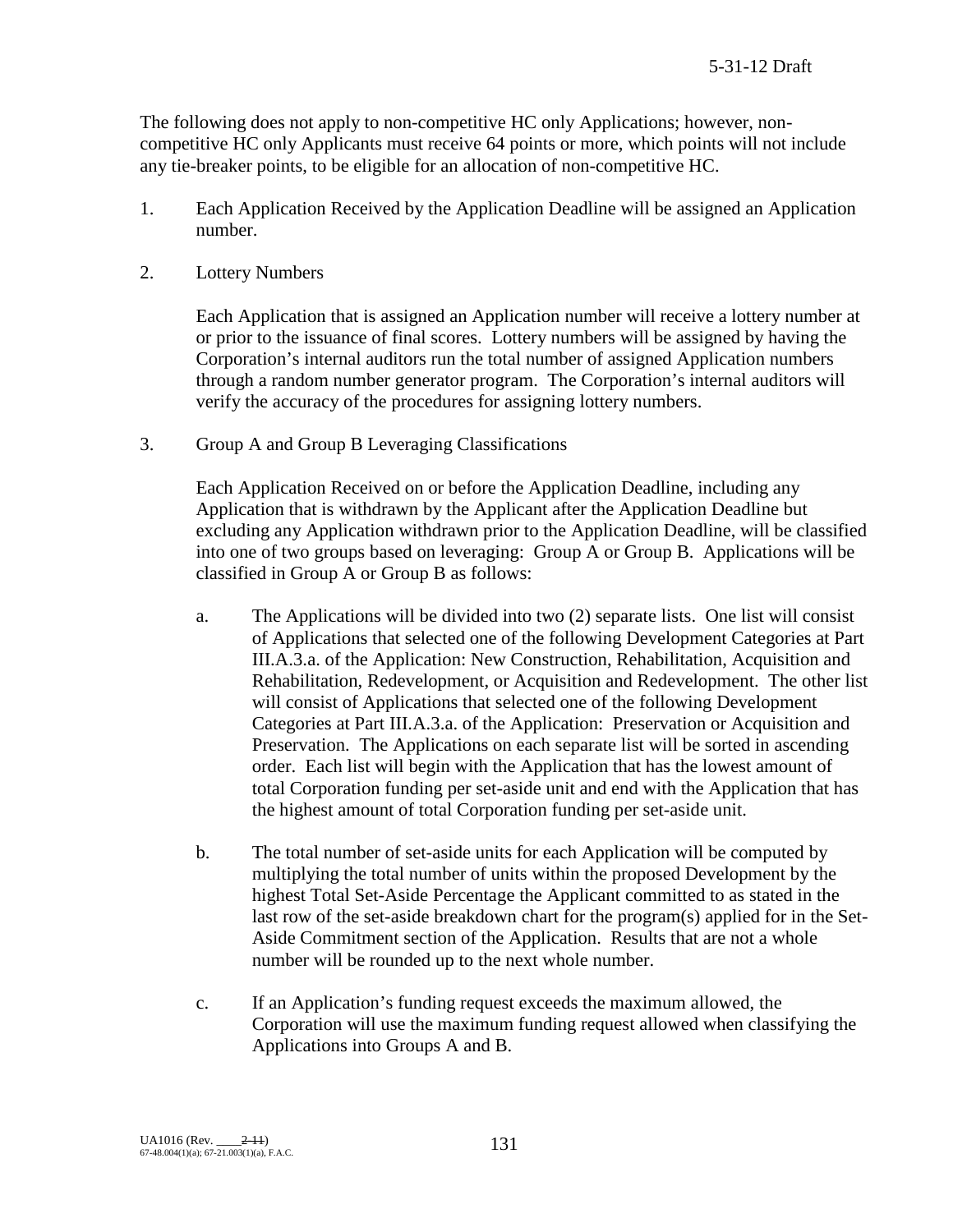The following does not apply to non-competitive HC only Applications; however, noncompetitive HC only Applicants must receive 64 points or more, which points will not include any tie-breaker points, to be eligible for an allocation of non-competitive HC.

- 1. Each Application Received by the Application Deadline will be assigned an Application number.
- 2. Lottery Numbers

Each Application that is assigned an Application number will receive a lottery number at or prior to the issuance of final scores. Lottery numbers will be assigned by having the Corporation's internal auditors run the total number of assigned Application numbers through a random number generator program. The Corporation's internal auditors will verify the accuracy of the procedures for assigning lottery numbers.

3. Group A and Group B Leveraging Classifications

Each Application Received on or before the Application Deadline, including any Application that is withdrawn by the Applicant after the Application Deadline but excluding any Application withdrawn prior to the Application Deadline, will be classified into one of two groups based on leveraging: Group A or Group B. Applications will be classified in Group A or Group B as follows:

- a. The Applications will be divided into two (2) separate lists. One list will consist of Applications that selected one of the following Development Categories at Part III.A.3.a. of the Application: New Construction, Rehabilitation, Acquisition and Rehabilitation, Redevelopment, or Acquisition and Redevelopment. The other list will consist of Applications that selected one of the following Development Categories at Part III.A.3.a. of the Application: Preservation or Acquisition and Preservation. The Applications on each separate list will be sorted in ascending order. Each list will begin with the Application that has the lowest amount of total Corporation funding per set-aside unit and end with the Application that has the highest amount of total Corporation funding per set-aside unit.
- b. The total number of set-aside units for each Application will be computed by multiplying the total number of units within the proposed Development by the highest Total Set-Aside Percentage the Applicant committed to as stated in the last row of the set-aside breakdown chart for the program(s) applied for in the Set-Aside Commitment section of the Application. Results that are not a whole number will be rounded up to the next whole number.
- c. If an Application's funding request exceeds the maximum allowed, the Corporation will use the maximum funding request allowed when classifying the Applications into Groups A and B.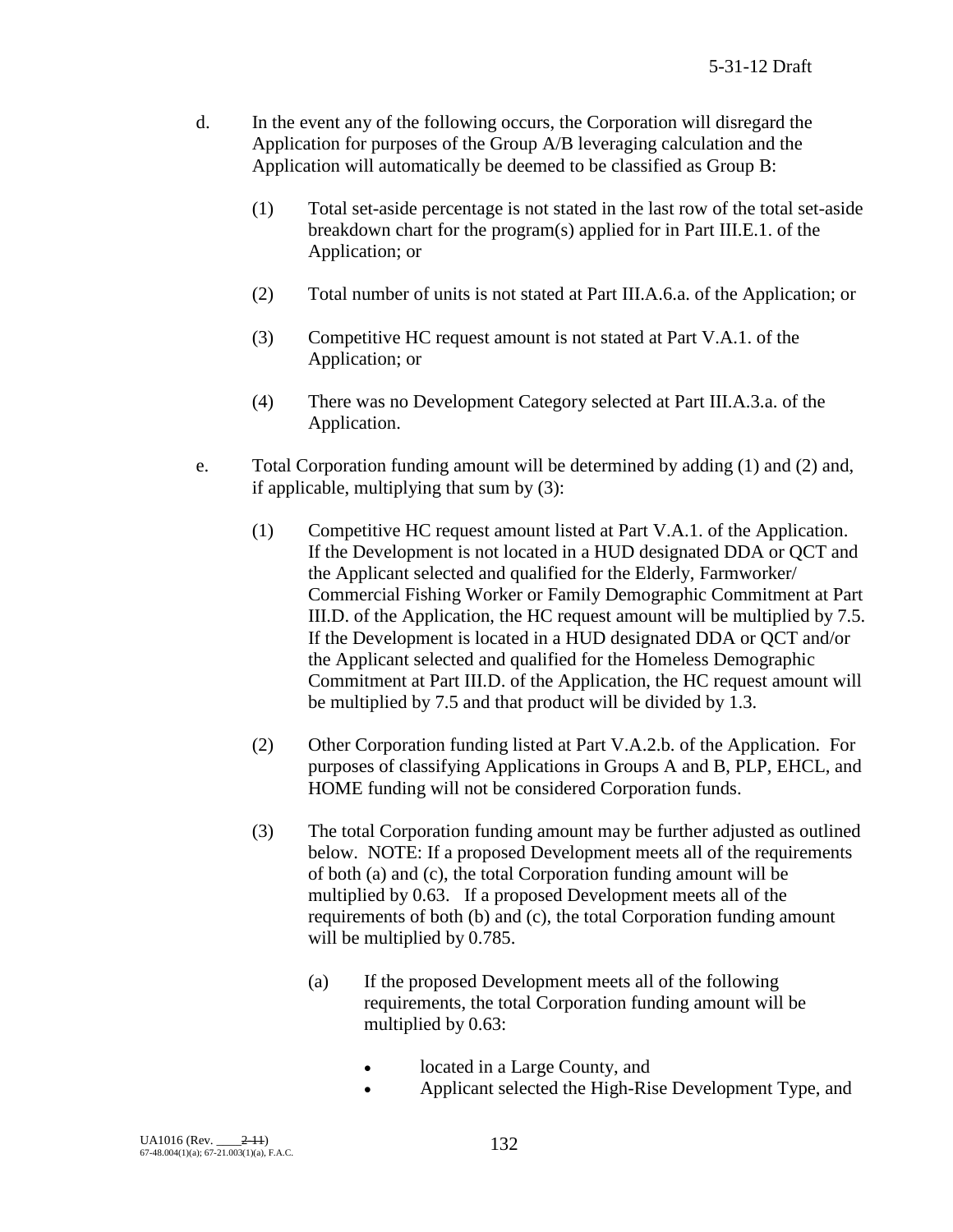- d. In the event any of the following occurs, the Corporation will disregard the Application for purposes of the Group A/B leveraging calculation and the Application will automatically be deemed to be classified as Group B:
	- (1) Total set-aside percentage is not stated in the last row of the total set-aside breakdown chart for the program(s) applied for in Part III.E.1. of the Application; or
	- (2) Total number of units is not stated at Part III.A.6.a. of the Application; or
	- (3) Competitive HC request amount is not stated at Part V.A.1. of the Application; or
	- (4) There was no Development Category selected at Part III.A.3.a. of the Application.
- e. Total Corporation funding amount will be determined by adding (1) and (2) and, if applicable, multiplying that sum by (3):
	- (1) Competitive HC request amount listed at Part V.A.1. of the Application. If the Development is not located in a HUD designated DDA or QCT and the Applicant selected and qualified for the Elderly, Farmworker/ Commercial Fishing Worker or Family Demographic Commitment at Part III.D. of the Application, the HC request amount will be multiplied by 7.5. If the Development is located in a HUD designated DDA or QCT and/or the Applicant selected and qualified for the Homeless Demographic Commitment at Part III.D. of the Application, the HC request amount will be multiplied by 7.5 and that product will be divided by 1.3.
	- (2) Other Corporation funding listed at Part V.A.2.b. of the Application. For purposes of classifying Applications in Groups A and B, PLP, EHCL, and HOME funding will not be considered Corporation funds.
	- (3) The total Corporation funding amount may be further adjusted as outlined below. NOTE: If a proposed Development meets all of the requirements of both (a) and (c), the total Corporation funding amount will be multiplied by 0.63. If a proposed Development meets all of the requirements of both (b) and (c), the total Corporation funding amount will be multiplied by 0.785.
		- (a) If the proposed Development meets all of the following requirements, the total Corporation funding amount will be multiplied by 0.63:
			- located in a Large County, and
			- Applicant selected the High-Rise Development Type, and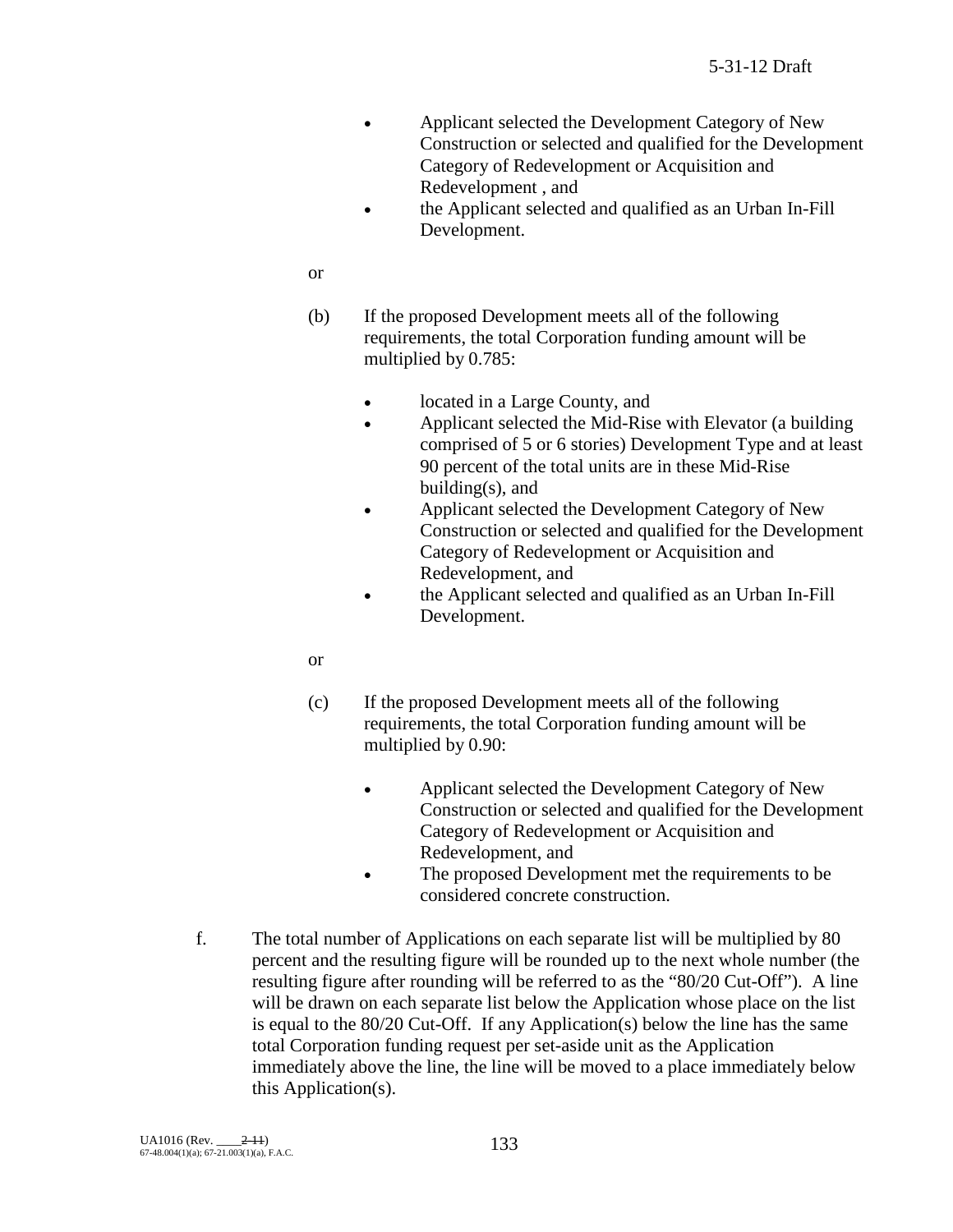- Applicant selected the Development Category of New Construction or selected and qualified for the Development Category of Redevelopment or Acquisition and Redevelopment , and
- the Applicant selected and qualified as an Urban In-Fill Development.

or

- (b) If the proposed Development meets all of the following requirements, the total Corporation funding amount will be multiplied by 0.785:
	- located in a Large County, and
	- Applicant selected the Mid-Rise with Elevator (a building comprised of 5 or 6 stories) Development Type and at least 90 percent of the total units are in these Mid-Rise building(s), and
	- Applicant selected the Development Category of New Construction or selected and qualified for the Development Category of Redevelopment or Acquisition and Redevelopment, and
	- the Applicant selected and qualified as an Urban In-Fill Development.
- or
- (c) If the proposed Development meets all of the following requirements, the total Corporation funding amount will be multiplied by 0.90:
	- Applicant selected the Development Category of New Construction or selected and qualified for the Development Category of Redevelopment or Acquisition and Redevelopment, and
	- The proposed Development met the requirements to be considered concrete construction.
- f. The total number of Applications on each separate list will be multiplied by 80 percent and the resulting figure will be rounded up to the next whole number (the resulting figure after rounding will be referred to as the "80/20 Cut-Off"). A line will be drawn on each separate list below the Application whose place on the list is equal to the 80/20 Cut-Off. If any Application(s) below the line has the same total Corporation funding request per set-aside unit as the Application immediately above the line, the line will be moved to a place immediately below this Application(s).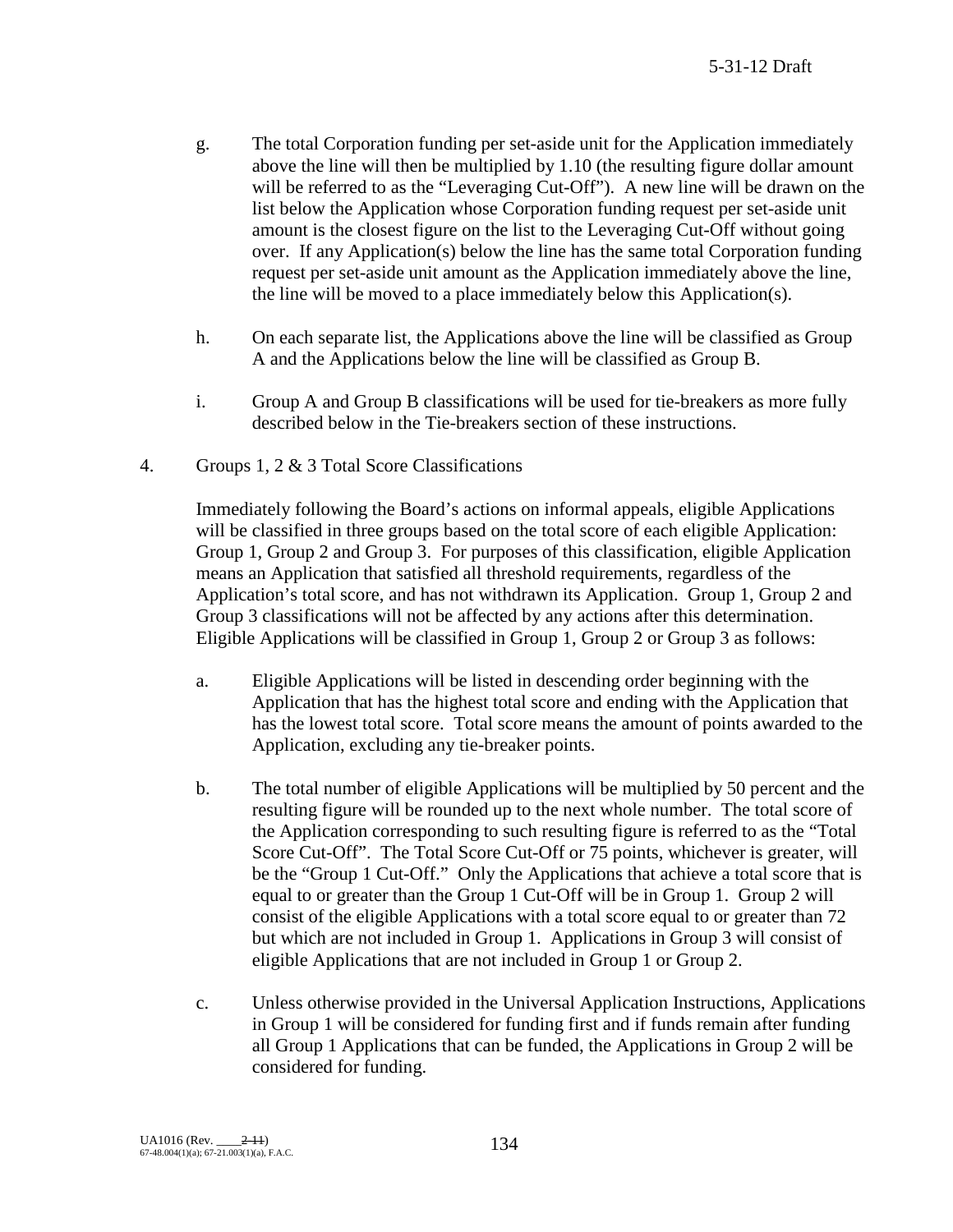- g. The total Corporation funding per set-aside unit for the Application immediately above the line will then be multiplied by 1.10 (the resulting figure dollar amount will be referred to as the "Leveraging Cut-Off"). A new line will be drawn on the list below the Application whose Corporation funding request per set-aside unit amount is the closest figure on the list to the Leveraging Cut-Off without going over. If any Application(s) below the line has the same total Corporation funding request per set-aside unit amount as the Application immediately above the line, the line will be moved to a place immediately below this Application(s).
- h. On each separate list, the Applications above the line will be classified as Group A and the Applications below the line will be classified as Group B.
- i. Group A and Group B classifications will be used for tie-breakers as more fully described below in the Tie-breakers section of these instructions.
- 4. Groups 1, 2 & 3 Total Score Classifications

Immediately following the Board's actions on informal appeals, eligible Applications will be classified in three groups based on the total score of each eligible Application: Group 1, Group 2 and Group 3. For purposes of this classification, eligible Application means an Application that satisfied all threshold requirements, regardless of the Application's total score, and has not withdrawn its Application. Group 1, Group 2 and Group 3 classifications will not be affected by any actions after this determination. Eligible Applications will be classified in Group 1, Group 2 or Group 3 as follows:

- a. Eligible Applications will be listed in descending order beginning with the Application that has the highest total score and ending with the Application that has the lowest total score. Total score means the amount of points awarded to the Application, excluding any tie-breaker points.
- b. The total number of eligible Applications will be multiplied by 50 percent and the resulting figure will be rounded up to the next whole number. The total score of the Application corresponding to such resulting figure is referred to as the "Total Score Cut-Off". The Total Score Cut-Off or 75 points, whichever is greater, will be the "Group 1 Cut-Off." Only the Applications that achieve a total score that is equal to or greater than the Group 1 Cut-Off will be in Group 1. Group 2 will consist of the eligible Applications with a total score equal to or greater than 72 but which are not included in Group 1. Applications in Group 3 will consist of eligible Applications that are not included in Group 1 or Group 2.
- c. Unless otherwise provided in the Universal Application Instructions, Applications in Group 1 will be considered for funding first and if funds remain after funding all Group 1 Applications that can be funded, the Applications in Group 2 will be considered for funding.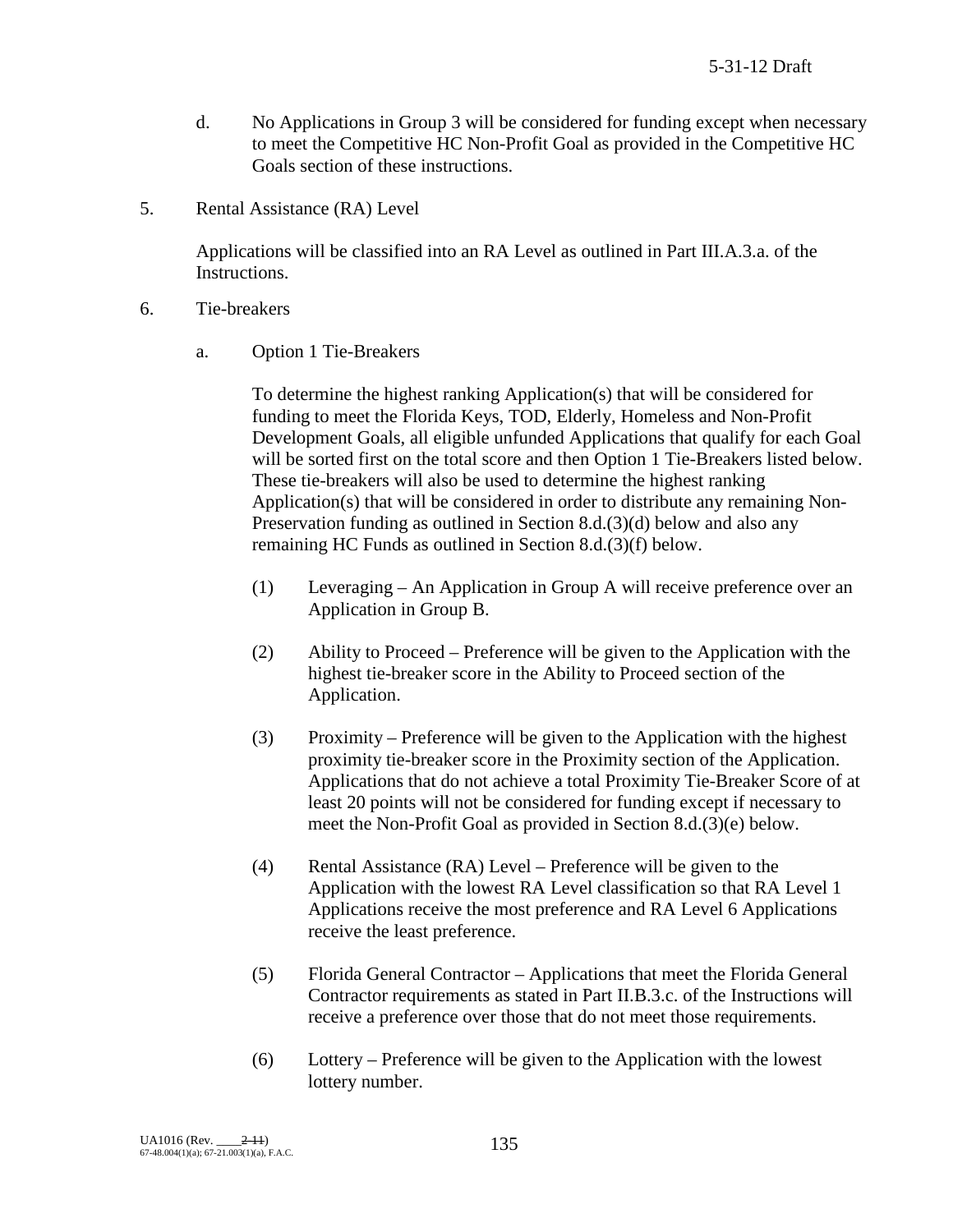- d. No Applications in Group 3 will be considered for funding except when necessary to meet the Competitive HC Non-Profit Goal as provided in the Competitive HC Goals section of these instructions.
- 5. Rental Assistance (RA) Level

Applications will be classified into an RA Level as outlined in Part III.A.3.a. of the Instructions.

- 6. Tie-breakers
	- a. Option 1 Tie-Breakers

To determine the highest ranking Application(s) that will be considered for funding to meet the Florida Keys, TOD, Elderly, Homeless and Non-Profit Development Goals, all eligible unfunded Applications that qualify for each Goal will be sorted first on the total score and then Option 1 Tie-Breakers listed below. These tie-breakers will also be used to determine the highest ranking Application(s) that will be considered in order to distribute any remaining Non-Preservation funding as outlined in Section 8.d.(3)(d) below and also any remaining HC Funds as outlined in Section 8.d.(3)(f) below.

- (1) Leveraging An Application in Group A will receive preference over an Application in Group B.
- (2) Ability to Proceed Preference will be given to the Application with the highest tie-breaker score in the Ability to Proceed section of the Application.
- (3) Proximity Preference will be given to the Application with the highest proximity tie-breaker score in the Proximity section of the Application. Applications that do not achieve a total Proximity Tie-Breaker Score of at least 20 points will not be considered for funding except if necessary to meet the Non-Profit Goal as provided in Section 8.d.(3)(e) below.
- (4) Rental Assistance (RA) Level Preference will be given to the Application with the lowest RA Level classification so that RA Level 1 Applications receive the most preference and RA Level 6 Applications receive the least preference.
- (5) Florida General Contractor Applications that meet the Florida General Contractor requirements as stated in Part II.B.3.c. of the Instructions will receive a preference over those that do not meet those requirements.
- (6) Lottery Preference will be given to the Application with the lowest lottery number.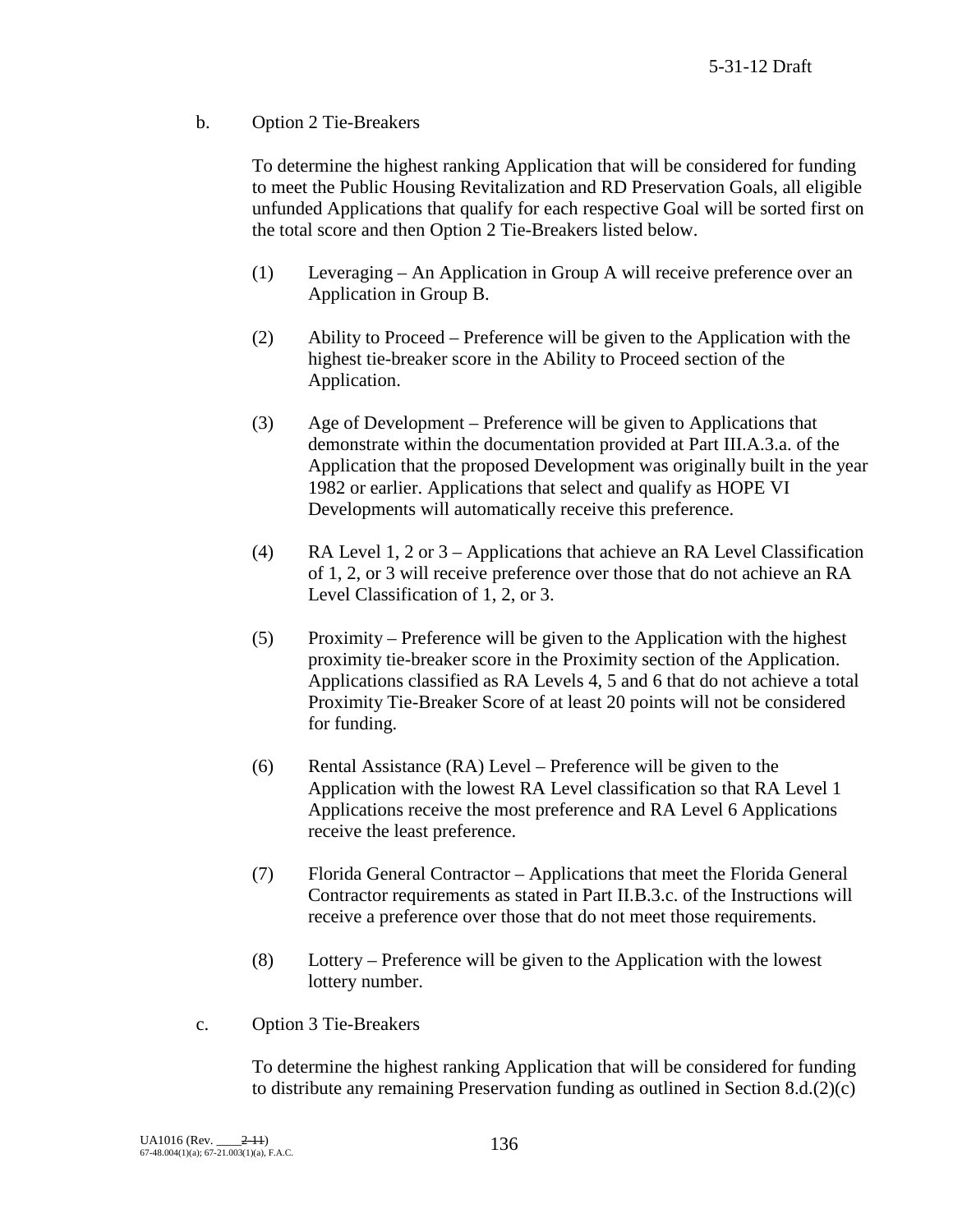b. Option 2 Tie-Breakers

To determine the highest ranking Application that will be considered for funding to meet the Public Housing Revitalization and RD Preservation Goals, all eligible unfunded Applications that qualify for each respective Goal will be sorted first on the total score and then Option 2 Tie-Breakers listed below.

- (1) Leveraging An Application in Group A will receive preference over an Application in Group B.
- (2) Ability to Proceed Preference will be given to the Application with the highest tie-breaker score in the Ability to Proceed section of the Application.
- (3) Age of Development Preference will be given to Applications that demonstrate within the documentation provided at Part III.A.3.a. of the Application that the proposed Development was originally built in the year 1982 or earlier. Applications that select and qualify as HOPE VI Developments will automatically receive this preference.
- (4) RA Level 1, 2 or 3 Applications that achieve an RA Level Classification of 1, 2, or 3 will receive preference over those that do not achieve an RA Level Classification of 1, 2, or 3.
- (5) Proximity Preference will be given to the Application with the highest proximity tie-breaker score in the Proximity section of the Application. Applications classified as RA Levels 4, 5 and 6 that do not achieve a total Proximity Tie-Breaker Score of at least 20 points will not be considered for funding.
- (6) Rental Assistance (RA) Level Preference will be given to the Application with the lowest RA Level classification so that RA Level 1 Applications receive the most preference and RA Level 6 Applications receive the least preference.
- (7) Florida General Contractor Applications that meet the Florida General Contractor requirements as stated in Part II.B.3.c. of the Instructions will receive a preference over those that do not meet those requirements.
- (8) Lottery Preference will be given to the Application with the lowest lottery number.
- c. Option 3 Tie-Breakers

To determine the highest ranking Application that will be considered for funding to distribute any remaining Preservation funding as outlined in Section 8.d.(2)(c)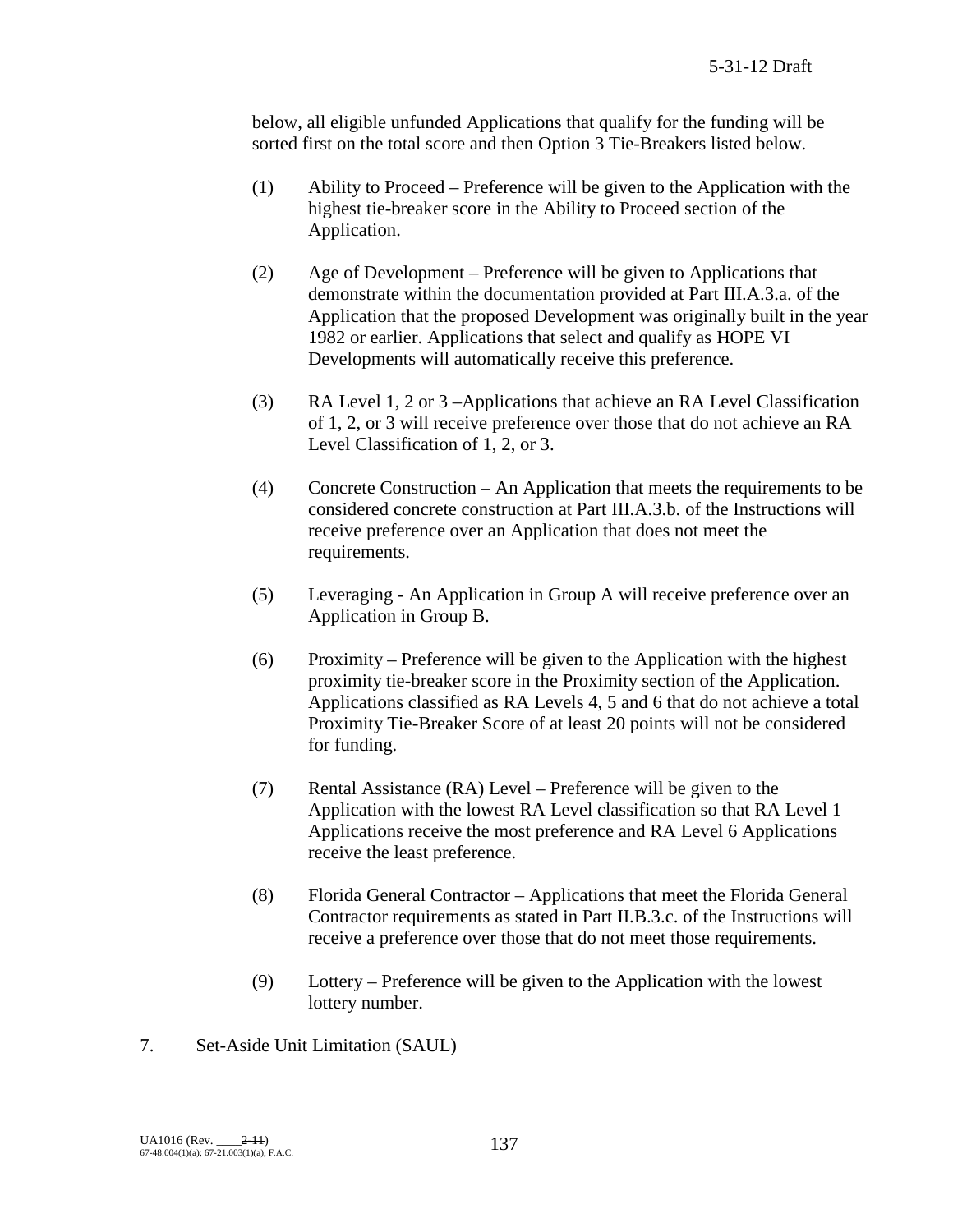below, all eligible unfunded Applications that qualify for the funding will be sorted first on the total score and then Option 3 Tie-Breakers listed below.

- (1) Ability to Proceed Preference will be given to the Application with the highest tie-breaker score in the Ability to Proceed section of the Application.
- (2) Age of Development Preference will be given to Applications that demonstrate within the documentation provided at Part III.A.3.a. of the Application that the proposed Development was originally built in the year 1982 or earlier. Applications that select and qualify as HOPE VI Developments will automatically receive this preference.
- (3) RA Level 1, 2 or 3 –Applications that achieve an RA Level Classification of 1, 2, or 3 will receive preference over those that do not achieve an RA Level Classification of 1, 2, or 3.
- (4) Concrete Construction An Application that meets the requirements to be considered concrete construction at Part III.A.3.b. of the Instructions will receive preference over an Application that does not meet the requirements.
- (5) Leveraging An Application in Group A will receive preference over an Application in Group B.
- (6) Proximity Preference will be given to the Application with the highest proximity tie-breaker score in the Proximity section of the Application. Applications classified as RA Levels 4, 5 and 6 that do not achieve a total Proximity Tie-Breaker Score of at least 20 points will not be considered for funding.
- (7) Rental Assistance (RA) Level Preference will be given to the Application with the lowest RA Level classification so that RA Level 1 Applications receive the most preference and RA Level 6 Applications receive the least preference.
- (8) Florida General Contractor Applications that meet the Florida General Contractor requirements as stated in Part II.B.3.c. of the Instructions will receive a preference over those that do not meet those requirements.
- (9) Lottery Preference will be given to the Application with the lowest lottery number.
- 7. Set-Aside Unit Limitation (SAUL)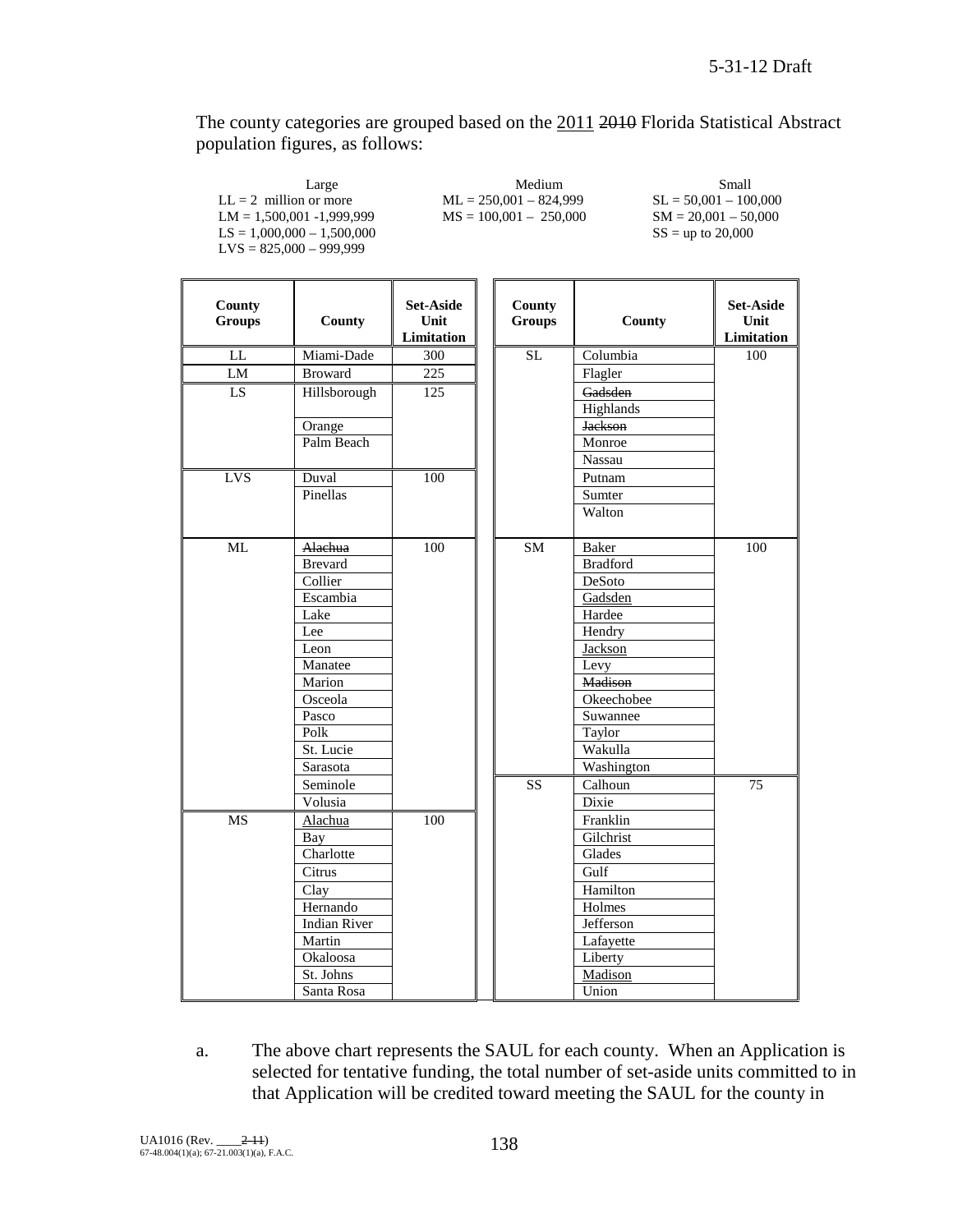The county categories are grouped based on the 2011 2010 Florida Statistical Abstract population figures, as follows:

| Large                        | Medium                   | Small                   |
|------------------------------|--------------------------|-------------------------|
| $LL = 2$ million or more     | $ML = 250.001 - 824.999$ | $SL = 50.001 - 100.000$ |
| $LM = 1.500.001 - 1.999.999$ | $MS = 100,001 - 250,000$ | $SM = 20.001 - 50.000$  |
| $LS = 1.000.000 - 1.500.000$ |                          | $SS =$ up to 20,000     |
| $LVS = 825,000 - 999,999$    |                          |                         |
|                              |                          |                         |

 $\blacksquare$ 

| <b>County</b><br><b>Groups</b> | County              | Set-Aside<br>Unit<br>Limitation | County<br>Groups | County          | Set-Aside<br>Unit<br>Limitation |
|--------------------------------|---------------------|---------------------------------|------------------|-----------------|---------------------------------|
| $\mathop{\rm LL}\nolimits$     | Miami-Dade          | 300                             | SL               | Columbia        | $\overline{100}$                |
| LM                             | <b>Broward</b>      | 225                             |                  | Flagler         |                                 |
| LS                             | Hillsborough        | 125                             |                  | Gadsden         |                                 |
|                                |                     |                                 |                  | Highlands       |                                 |
|                                | Orange              |                                 |                  | <b>Jackson</b>  |                                 |
|                                | Palm Beach          |                                 |                  | Monroe          |                                 |
|                                |                     |                                 |                  | Nassau          |                                 |
| <b>LVS</b>                     | Duval               | 100                             |                  | Putnam          |                                 |
|                                | Pinellas            |                                 |                  | Sumter          |                                 |
|                                |                     |                                 |                  | Walton          |                                 |
| ML                             | Alachua             | 100                             | SM               | <b>Baker</b>    | 100                             |
|                                | <b>Brevard</b>      |                                 |                  | <b>Bradford</b> |                                 |
|                                | Collier             |                                 |                  | DeSoto          |                                 |
|                                | Escambia            |                                 |                  | Gadsden         |                                 |
|                                | Lake                |                                 |                  | Hardee          |                                 |
|                                | Lee                 |                                 |                  | Hendry          |                                 |
|                                | Leon                |                                 |                  | Jackson         |                                 |
|                                | Manatee             |                                 |                  | Levy            |                                 |
|                                | Marion              |                                 |                  | <b>Madison</b>  |                                 |
|                                | Osceola             |                                 |                  | Okeechobee      |                                 |
|                                | Pasco               |                                 |                  | Suwannee        |                                 |
|                                | Polk                |                                 |                  | Taylor          |                                 |
|                                | St. Lucie           |                                 |                  | Wakulla         |                                 |
|                                | Sarasota            |                                 |                  | Washington      |                                 |
|                                | Seminole            |                                 | <b>SS</b>        | Calhoun         | 75                              |
|                                | Volusia             |                                 |                  | Dixie           |                                 |
| <b>MS</b>                      | Alachua             | 100                             |                  | Franklin        |                                 |
|                                | Bay                 |                                 |                  | Gilchrist       |                                 |
|                                | Charlotte           |                                 |                  | Glades          |                                 |
|                                | Citrus              |                                 |                  | Gulf            |                                 |
|                                | Clay                |                                 |                  | Hamilton        |                                 |
|                                | Hernando            |                                 |                  | Holmes          |                                 |
|                                | <b>Indian River</b> |                                 |                  | Jefferson       |                                 |
|                                | Martin              |                                 |                  | Lafayette       |                                 |
|                                | Okaloosa            |                                 |                  | Liberty         |                                 |
|                                | St. Johns           |                                 |                  | Madison         |                                 |
|                                | Santa Rosa          |                                 |                  | Union           |                                 |

a. The above chart represents the SAUL for each county. When an Application is selected for tentative funding, the total number of set-aside units committed to in that Application will be credited toward meeting the SAUL for the county in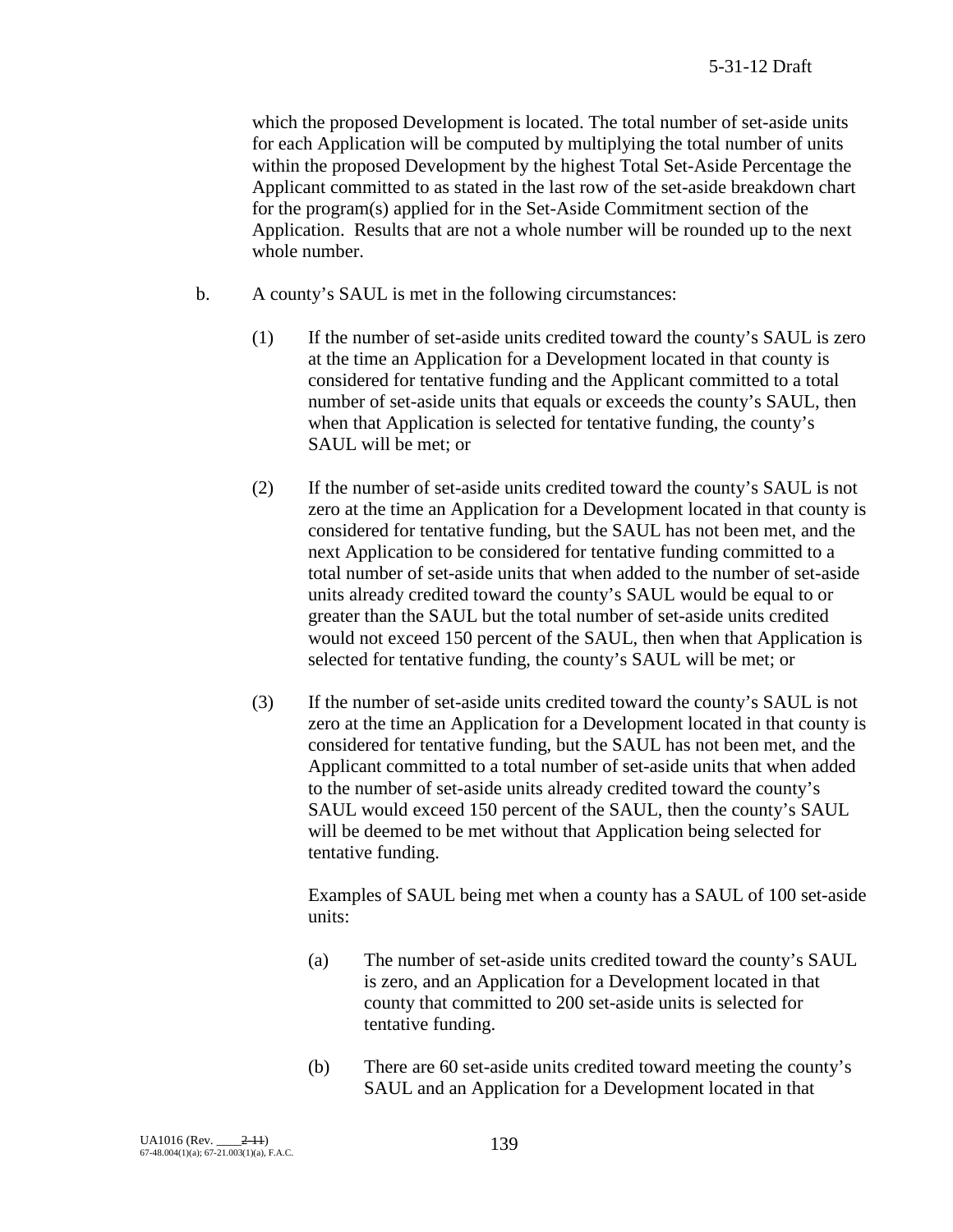which the proposed Development is located. The total number of set-aside units for each Application will be computed by multiplying the total number of units within the proposed Development by the highest Total Set-Aside Percentage the Applicant committed to as stated in the last row of the set-aside breakdown chart for the program(s) applied for in the Set-Aside Commitment section of the Application. Results that are not a whole number will be rounded up to the next whole number.

- b. A county's SAUL is met in the following circumstances:
	- (1) If the number of set-aside units credited toward the county's SAUL is zero at the time an Application for a Development located in that county is considered for tentative funding and the Applicant committed to a total number of set-aside units that equals or exceeds the county's SAUL, then when that Application is selected for tentative funding, the county's SAUL will be met; or
	- (2) If the number of set-aside units credited toward the county's SAUL is not zero at the time an Application for a Development located in that county is considered for tentative funding, but the SAUL has not been met, and the next Application to be considered for tentative funding committed to a total number of set-aside units that when added to the number of set-aside units already credited toward the county's SAUL would be equal to or greater than the SAUL but the total number of set-aside units credited would not exceed 150 percent of the SAUL, then when that Application is selected for tentative funding, the county's SAUL will be met; or
	- (3) If the number of set-aside units credited toward the county's SAUL is not zero at the time an Application for a Development located in that county is considered for tentative funding, but the SAUL has not been met, and the Applicant committed to a total number of set-aside units that when added to the number of set-aside units already credited toward the county's SAUL would exceed 150 percent of the SAUL, then the county's SAUL will be deemed to be met without that Application being selected for tentative funding.

Examples of SAUL being met when a county has a SAUL of 100 set-aside units:

- (a) The number of set-aside units credited toward the county's SAUL is zero, and an Application for a Development located in that county that committed to 200 set-aside units is selected for tentative funding.
- (b) There are 60 set-aside units credited toward meeting the county's SAUL and an Application for a Development located in that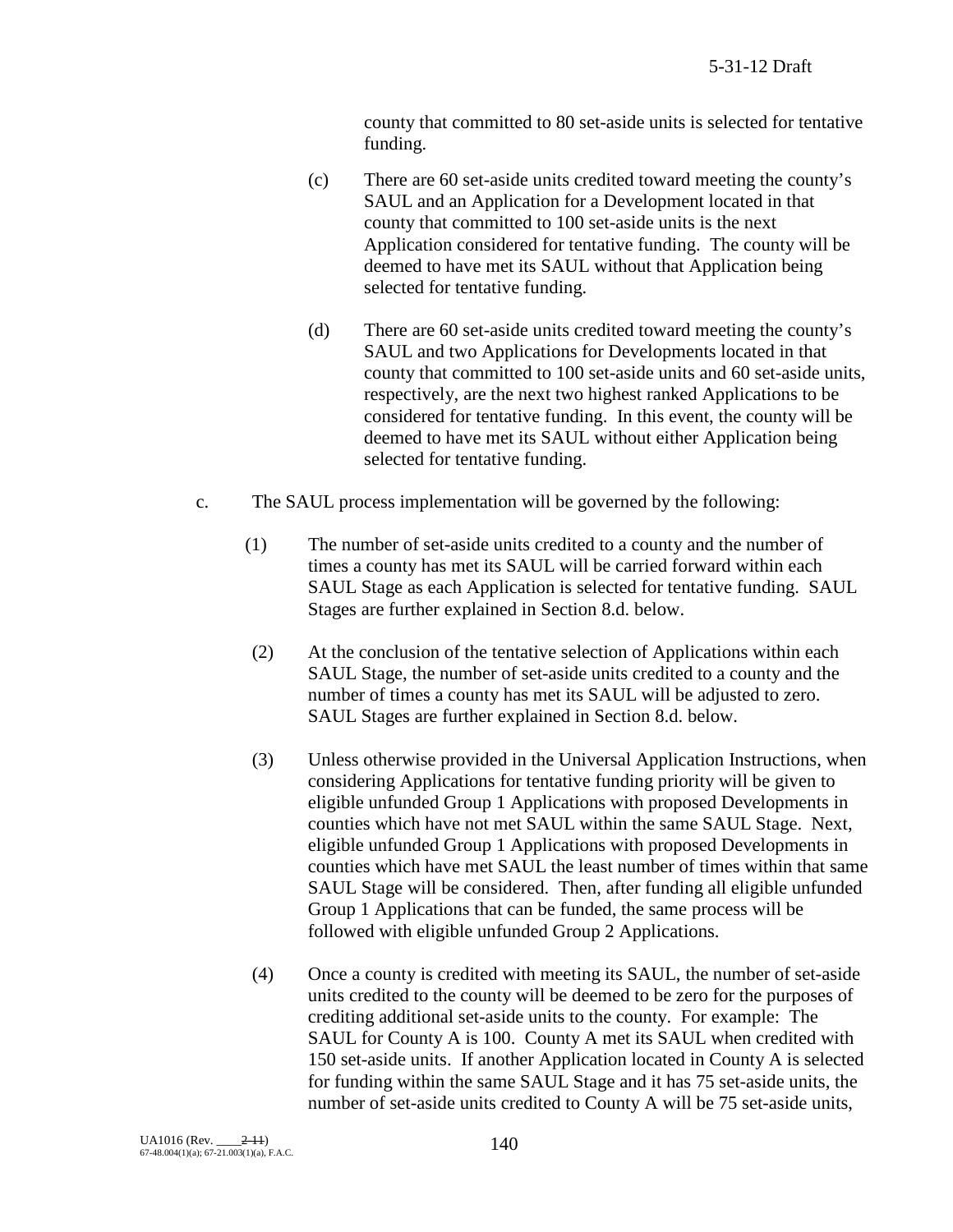county that committed to 80 set-aside units is selected for tentative funding.

- (c) There are 60 set-aside units credited toward meeting the county's SAUL and an Application for a Development located in that county that committed to 100 set-aside units is the next Application considered for tentative funding. The county will be deemed to have met its SAUL without that Application being selected for tentative funding.
- (d) There are 60 set-aside units credited toward meeting the county's SAUL and two Applications for Developments located in that county that committed to 100 set-aside units and 60 set-aside units, respectively, are the next two highest ranked Applications to be considered for tentative funding. In this event, the county will be deemed to have met its SAUL without either Application being selected for tentative funding.
- c. The SAUL process implementation will be governed by the following:
	- (1) The number of set-aside units credited to a county and the number of times a county has met its SAUL will be carried forward within each SAUL Stage as each Application is selected for tentative funding. SAUL Stages are further explained in Section 8.d. below.
	- (2) At the conclusion of the tentative selection of Applications within each SAUL Stage, the number of set-aside units credited to a county and the number of times a county has met its SAUL will be adjusted to zero. SAUL Stages are further explained in Section 8.d. below.
	- (3) Unless otherwise provided in the Universal Application Instructions, when considering Applications for tentative funding priority will be given to eligible unfunded Group 1 Applications with proposed Developments in counties which have not met SAUL within the same SAUL Stage. Next, eligible unfunded Group 1 Applications with proposed Developments in counties which have met SAUL the least number of times within that same SAUL Stage will be considered. Then, after funding all eligible unfunded Group 1 Applications that can be funded, the same process will be followed with eligible unfunded Group 2 Applications.
	- (4) Once a county is credited with meeting its SAUL, the number of set-aside units credited to the county will be deemed to be zero for the purposes of crediting additional set-aside units to the county. For example: The SAUL for County A is 100. County A met its SAUL when credited with 150 set-aside units. If another Application located in County A is selected for funding within the same SAUL Stage and it has 75 set-aside units, the number of set-aside units credited to County A will be 75 set-aside units,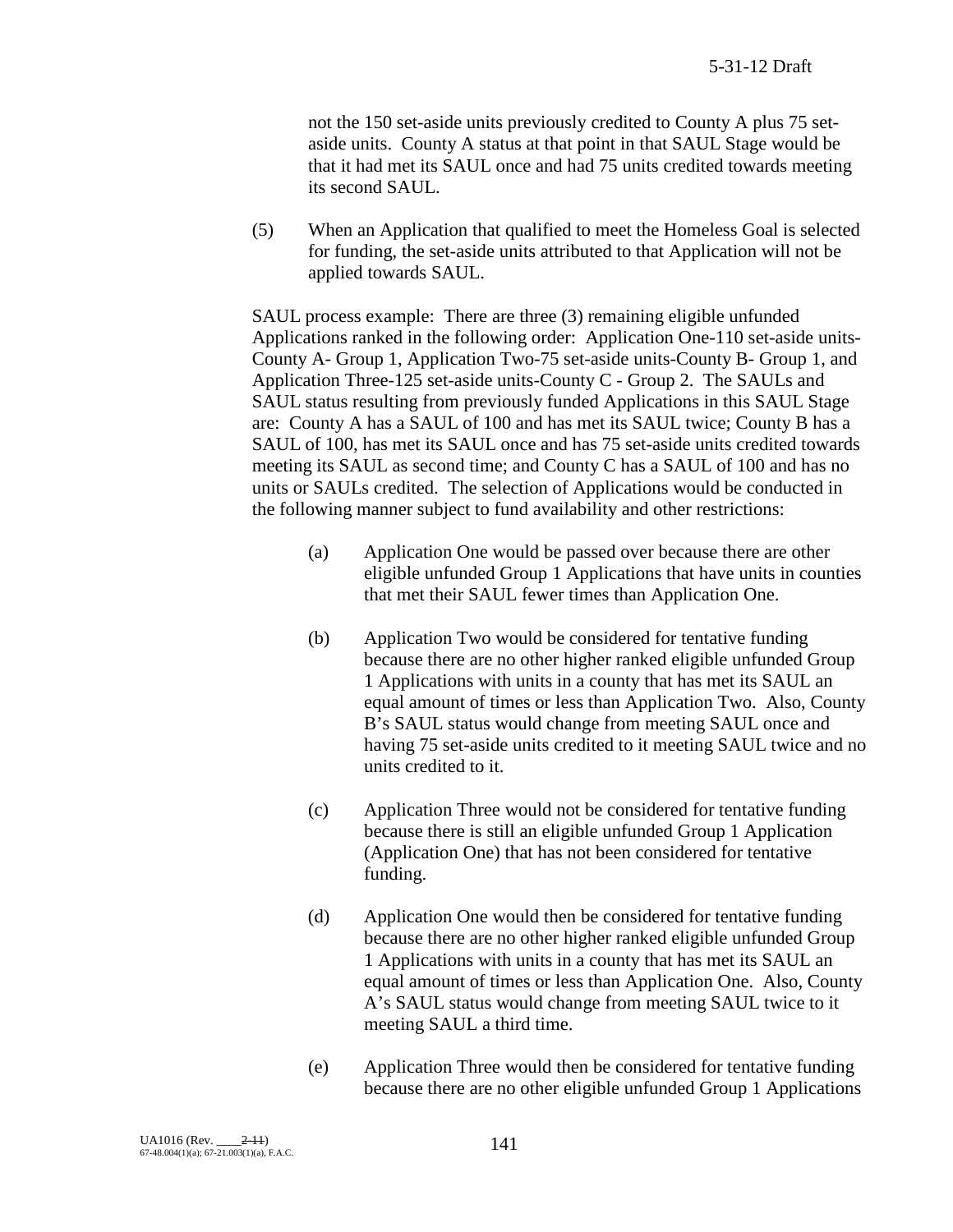not the 150 set-aside units previously credited to County A plus 75 setaside units. County A status at that point in that SAUL Stage would be that it had met its SAUL once and had 75 units credited towards meeting its second SAUL.

(5) When an Application that qualified to meet the Homeless Goal is selected for funding, the set-aside units attributed to that Application will not be applied towards SAUL.

SAUL process example: There are three (3) remaining eligible unfunded Applications ranked in the following order: Application One-110 set-aside units-County A- Group 1, Application Two-75 set-aside units-County B- Group 1, and Application Three-125 set-aside units-County C - Group 2. The SAULs and SAUL status resulting from previously funded Applications in this SAUL Stage are: County A has a SAUL of 100 and has met its SAUL twice; County B has a SAUL of 100, has met its SAUL once and has 75 set-aside units credited towards meeting its SAUL as second time; and County C has a SAUL of 100 and has no units or SAULs credited. The selection of Applications would be conducted in the following manner subject to fund availability and other restrictions:

- (a) Application One would be passed over because there are other eligible unfunded Group 1 Applications that have units in counties that met their SAUL fewer times than Application One.
- (b) Application Two would be considered for tentative funding because there are no other higher ranked eligible unfunded Group 1 Applications with units in a county that has met its SAUL an equal amount of times or less than Application Two. Also, County B's SAUL status would change from meeting SAUL once and having 75 set-aside units credited to it meeting SAUL twice and no units credited to it.
- (c) Application Three would not be considered for tentative funding because there is still an eligible unfunded Group 1 Application (Application One) that has not been considered for tentative funding.
- (d) Application One would then be considered for tentative funding because there are no other higher ranked eligible unfunded Group 1 Applications with units in a county that has met its SAUL an equal amount of times or less than Application One. Also, County A's SAUL status would change from meeting SAUL twice to it meeting SAUL a third time.
- (e) Application Three would then be considered for tentative funding because there are no other eligible unfunded Group 1 Applications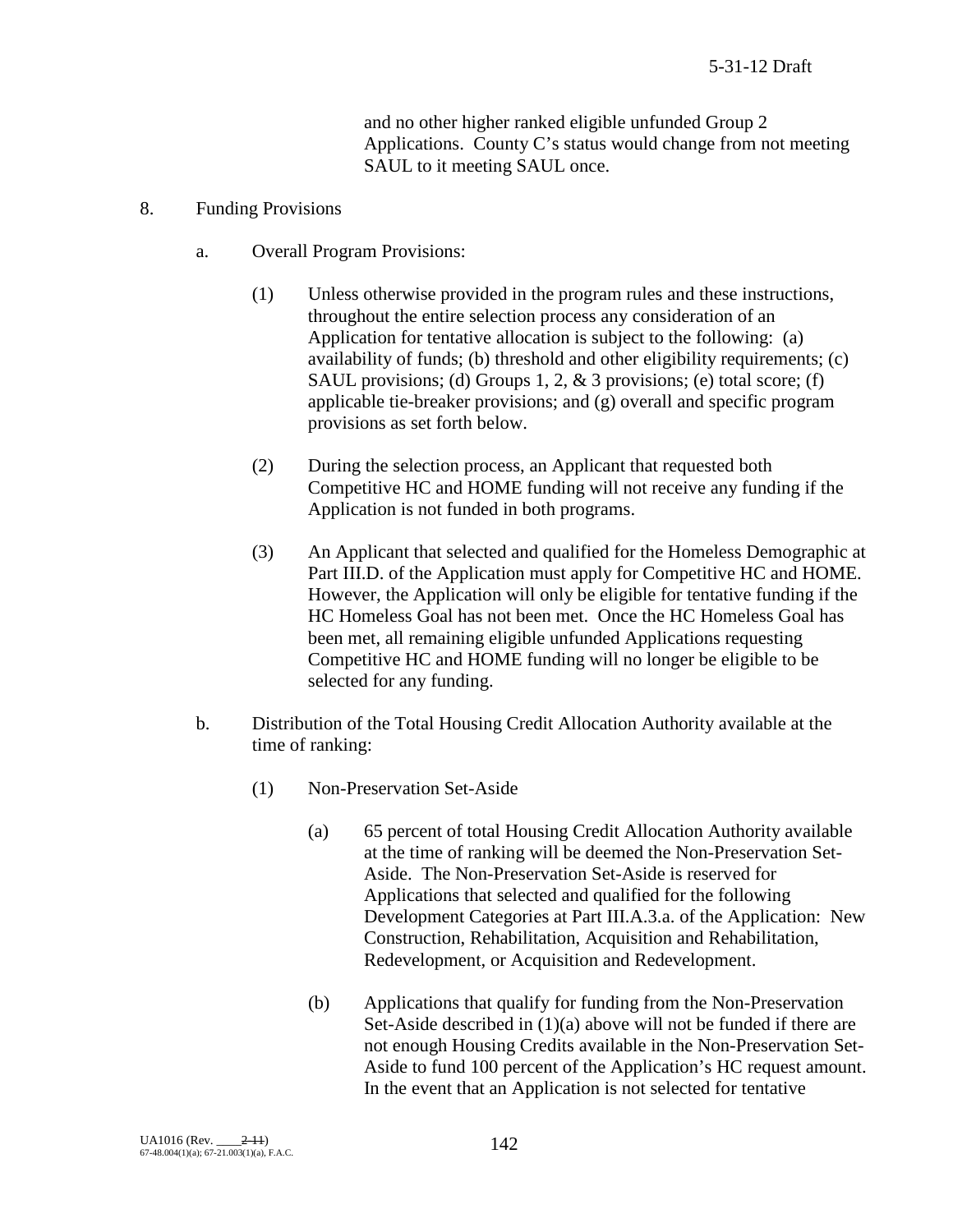and no other higher ranked eligible unfunded Group 2 Applications. County C's status would change from not meeting SAUL to it meeting SAUL once.

#### 8. Funding Provisions

- a. Overall Program Provisions:
	- (1) Unless otherwise provided in the program rules and these instructions, throughout the entire selection process any consideration of an Application for tentative allocation is subject to the following: (a) availability of funds; (b) threshold and other eligibility requirements; (c) SAUL provisions; (d) Groups 1, 2, & 3 provisions; (e) total score; (f) applicable tie-breaker provisions; and (g) overall and specific program provisions as set forth below.
	- (2) During the selection process, an Applicant that requested both Competitive HC and HOME funding will not receive any funding if the Application is not funded in both programs.
	- (3) An Applicant that selected and qualified for the Homeless Demographic at Part III.D. of the Application must apply for Competitive HC and HOME. However, the Application will only be eligible for tentative funding if the HC Homeless Goal has not been met. Once the HC Homeless Goal has been met, all remaining eligible unfunded Applications requesting Competitive HC and HOME funding will no longer be eligible to be selected for any funding.
- b. Distribution of the Total Housing Credit Allocation Authority available at the time of ranking:
	- (1) Non-Preservation Set-Aside
		- (a) 65 percent of total Housing Credit Allocation Authority available at the time of ranking will be deemed the Non-Preservation Set-Aside. The Non-Preservation Set-Aside is reserved for Applications that selected and qualified for the following Development Categories at Part III.A.3.a. of the Application: New Construction, Rehabilitation, Acquisition and Rehabilitation, Redevelopment, or Acquisition and Redevelopment.
		- (b) Applications that qualify for funding from the Non-Preservation Set-Aside described in (1)(a) above will not be funded if there are not enough Housing Credits available in the Non-Preservation Set-Aside to fund 100 percent of the Application's HC request amount. In the event that an Application is not selected for tentative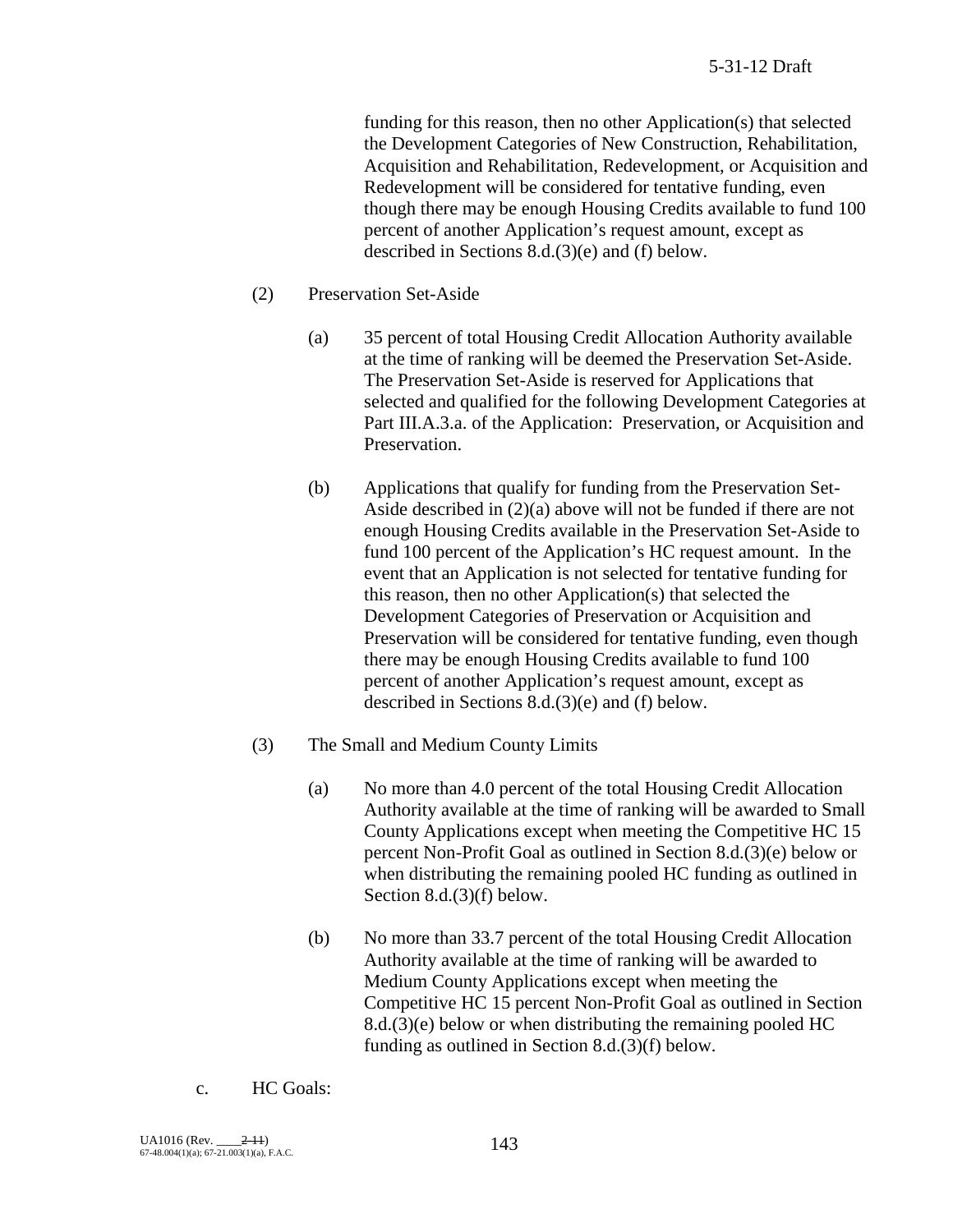funding for this reason, then no other Application(s) that selected the Development Categories of New Construction, Rehabilitation, Acquisition and Rehabilitation, Redevelopment, or Acquisition and Redevelopment will be considered for tentative funding, even though there may be enough Housing Credits available to fund 100 percent of another Application's request amount, except as described in Sections 8.d.(3)(e) and (f) below.

- (2) Preservation Set-Aside
	- (a) 35 percent of total Housing Credit Allocation Authority available at the time of ranking will be deemed the Preservation Set-Aside. The Preservation Set-Aside is reserved for Applications that selected and qualified for the following Development Categories at Part III.A.3.a. of the Application: Preservation, or Acquisition and Preservation.
	- (b) Applications that qualify for funding from the Preservation Set-Aside described in (2)(a) above will not be funded if there are not enough Housing Credits available in the Preservation Set-Aside to fund 100 percent of the Application's HC request amount. In the event that an Application is not selected for tentative funding for this reason, then no other Application(s) that selected the Development Categories of Preservation or Acquisition and Preservation will be considered for tentative funding, even though there may be enough Housing Credits available to fund 100 percent of another Application's request amount, except as described in Sections 8.d.(3)(e) and (f) below.
- (3) The Small and Medium County Limits
	- (a) No more than 4.0 percent of the total Housing Credit Allocation Authority available at the time of ranking will be awarded to Small County Applications except when meeting the Competitive HC 15 percent Non-Profit Goal as outlined in Section 8.d.(3)(e) below or when distributing the remaining pooled HC funding as outlined in Section 8.d.(3)(f) below.
	- (b) No more than 33.7 percent of the total Housing Credit Allocation Authority available at the time of ranking will be awarded to Medium County Applications except when meeting the Competitive HC 15 percent Non-Profit Goal as outlined in Section 8.d.(3)(e) below or when distributing the remaining pooled HC funding as outlined in Section 8.d.(3)(f) below.
- c. HC Goals: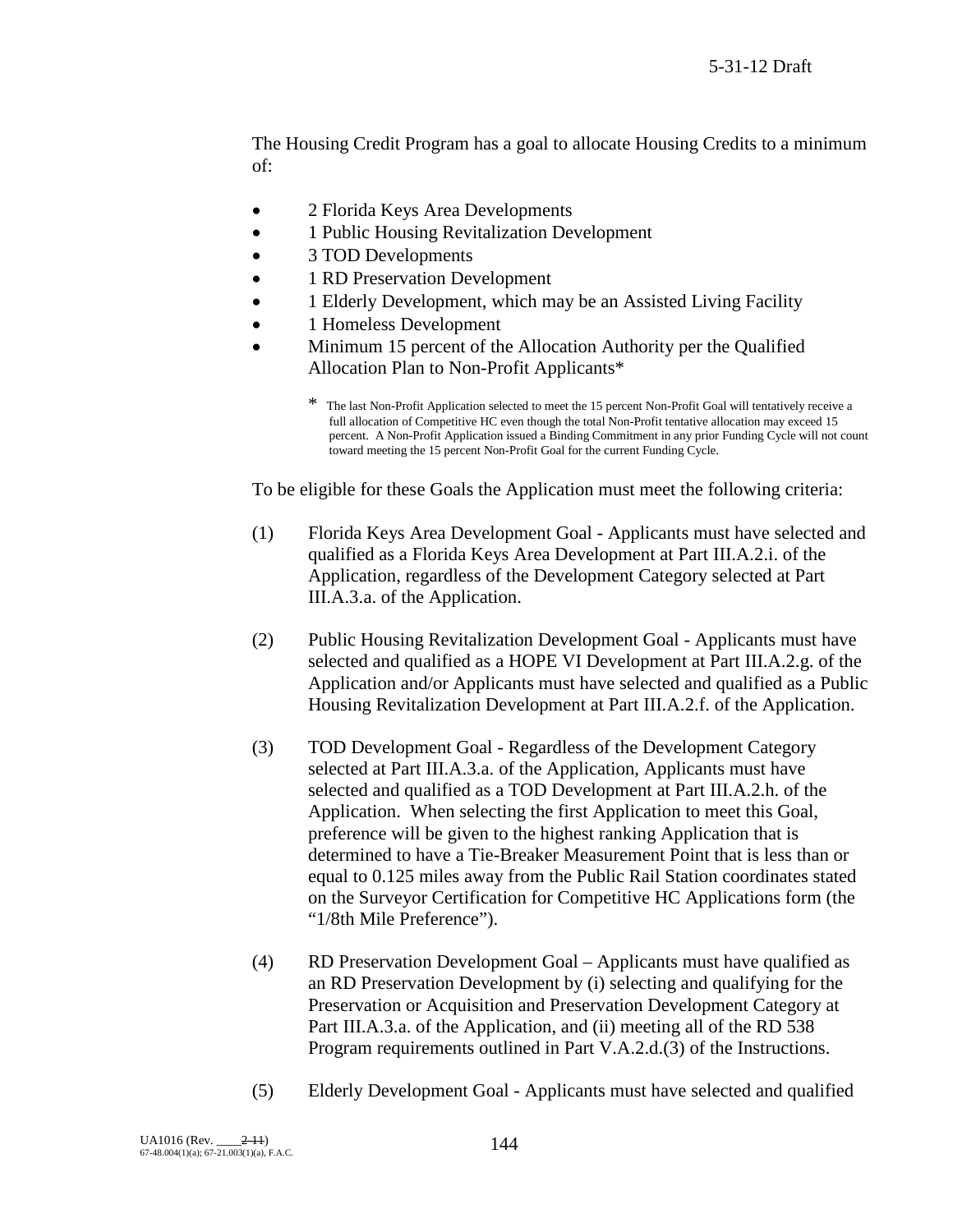The Housing Credit Program has a goal to allocate Housing Credits to a minimum of:

- 2 Florida Keys Area Developments
- 1 Public Housing Revitalization Development
- 3 TOD Developments
- 1 RD Preservation Development
- 1 Elderly Development, which may be an Assisted Living Facility
- 1 Homeless Development
- Minimum 15 percent of the Allocation Authority per the Qualified Allocation Plan to Non-Profit Applicants\*

To be eligible for these Goals the Application must meet the following criteria:

- (1) Florida Keys Area Development Goal Applicants must have selected and qualified as a Florida Keys Area Development at Part III.A.2.i. of the Application, regardless of the Development Category selected at Part III.A.3.a. of the Application.
- (2) Public Housing Revitalization Development Goal Applicants must have selected and qualified as a HOPE VI Development at Part III.A.2.g. of the Application and/or Applicants must have selected and qualified as a Public Housing Revitalization Development at Part III.A.2.f. of the Application.
- (3) TOD Development Goal Regardless of the Development Category selected at Part III.A.3.a. of the Application, Applicants must have selected and qualified as a TOD Development at Part III.A.2.h. of the Application. When selecting the first Application to meet this Goal, preference will be given to the highest ranking Application that is determined to have a Tie-Breaker Measurement Point that is less than or equal to 0.125 miles away from the Public Rail Station coordinates stated on the Surveyor Certification for Competitive HC Applications form (the "1/8th Mile Preference").
- (4) RD Preservation Development Goal Applicants must have qualified as an RD Preservation Development by (i) selecting and qualifying for the Preservation or Acquisition and Preservation Development Category at Part III.A.3.a. of the Application, and (ii) meeting all of the RD 538 Program requirements outlined in Part V.A.2.d.(3) of the Instructions.
- (5) Elderly Development Goal Applicants must have selected and qualified

<sup>\*</sup> The last Non-Profit Application selected to meet the 15 percent Non-Profit Goal will tentatively receive a full allocation of Competitive HC even though the total Non-Profit tentative allocation may exceed 15 percent. A Non-Profit Application issued a Binding Commitment in any prior Funding Cycle will not count toward meeting the 15 percent Non-Profit Goal for the current Funding Cycle.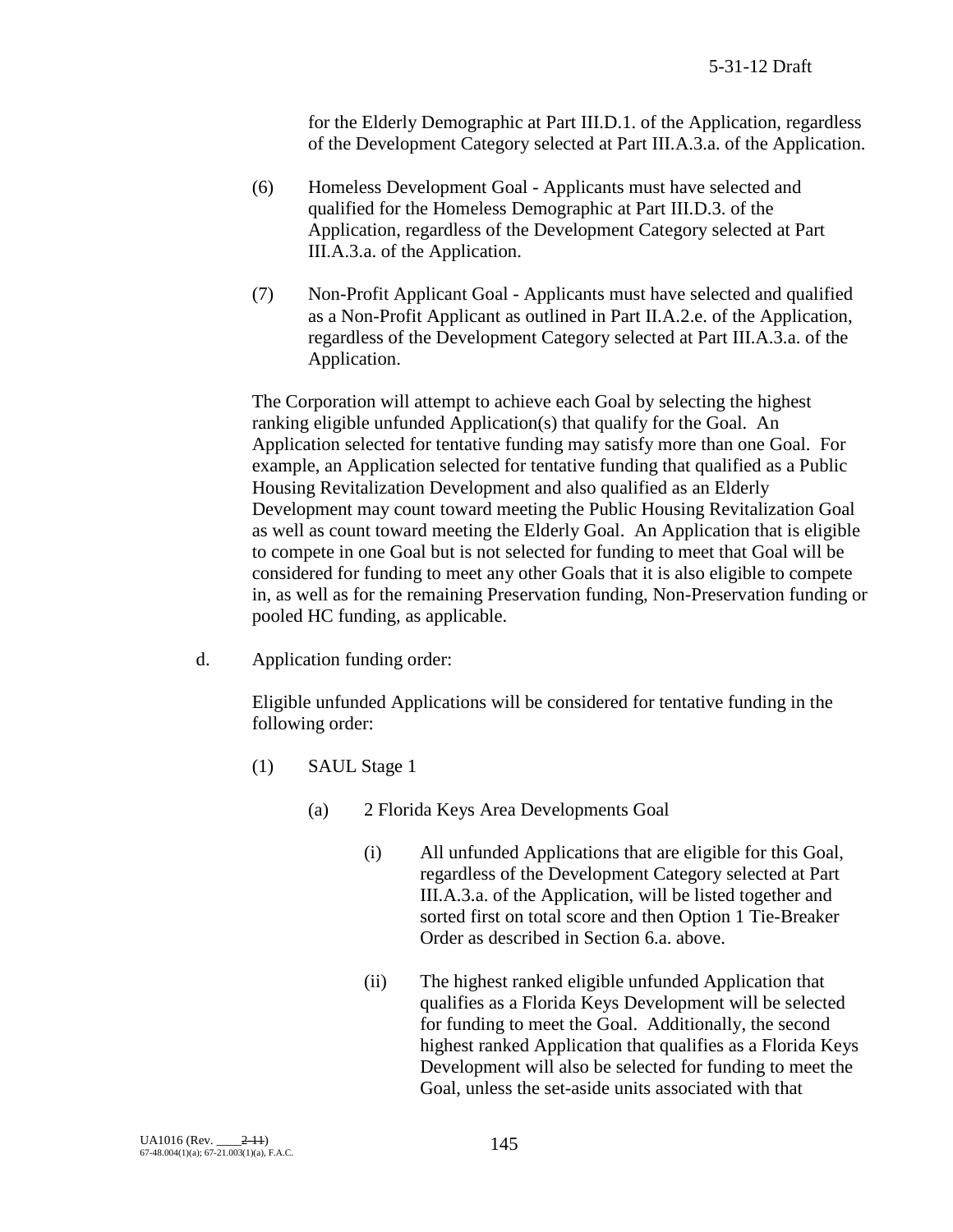for the Elderly Demographic at Part III.D.1. of the Application, regardless of the Development Category selected at Part III.A.3.a. of the Application.

- (6) Homeless Development Goal Applicants must have selected and qualified for the Homeless Demographic at Part III.D.3. of the Application, regardless of the Development Category selected at Part III.A.3.a. of the Application.
- (7) Non-Profit Applicant Goal Applicants must have selected and qualified as a Non-Profit Applicant as outlined in Part II.A.2.e. of the Application, regardless of the Development Category selected at Part III.A.3.a. of the Application.

The Corporation will attempt to achieve each Goal by selecting the highest ranking eligible unfunded Application(s) that qualify for the Goal. An Application selected for tentative funding may satisfy more than one Goal. For example, an Application selected for tentative funding that qualified as a Public Housing Revitalization Development and also qualified as an Elderly Development may count toward meeting the Public Housing Revitalization Goal as well as count toward meeting the Elderly Goal. An Application that is eligible to compete in one Goal but is not selected for funding to meet that Goal will be considered for funding to meet any other Goals that it is also eligible to compete in, as well as for the remaining Preservation funding, Non-Preservation funding or pooled HC funding, as applicable.

d. Application funding order:

Eligible unfunded Applications will be considered for tentative funding in the following order:

- (1) SAUL Stage 1
	- (a) 2 Florida Keys Area Developments Goal
		- (i) All unfunded Applications that are eligible for this Goal, regardless of the Development Category selected at Part III.A.3.a. of the Application, will be listed together and sorted first on total score and then Option 1 Tie-Breaker Order as described in Section 6.a. above.
		- (ii) The highest ranked eligible unfunded Application that qualifies as a Florida Keys Development will be selected for funding to meet the Goal. Additionally, the second highest ranked Application that qualifies as a Florida Keys Development will also be selected for funding to meet the Goal, unless the set-aside units associated with that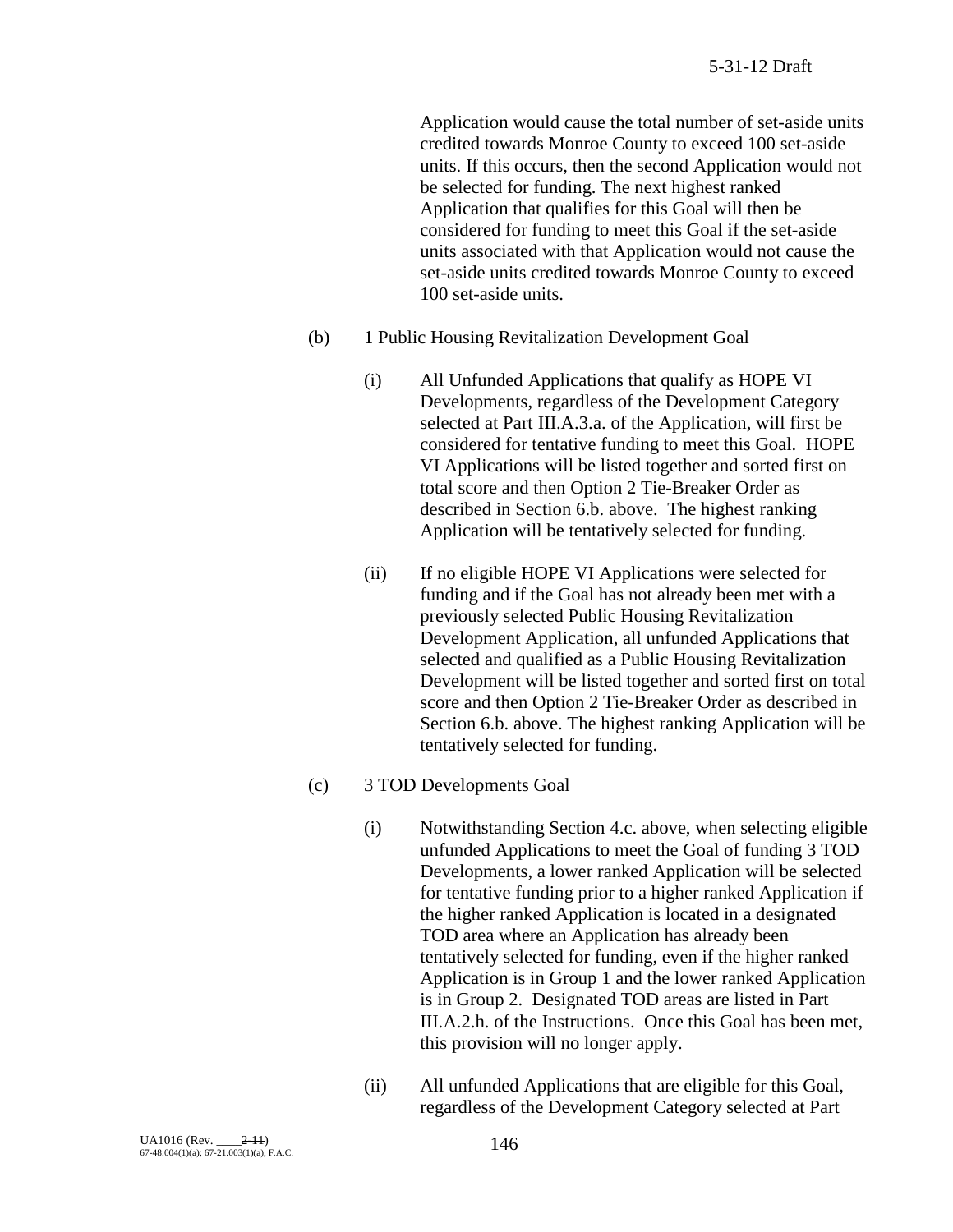Application would cause the total number of set-aside units credited towards Monroe County to exceed 100 set-aside units. If this occurs, then the second Application would not be selected for funding. The next highest ranked Application that qualifies for this Goal will then be considered for funding to meet this Goal if the set-aside units associated with that Application would not cause the set-aside units credited towards Monroe County to exceed 100 set-aside units.

- (b) 1 Public Housing Revitalization Development Goal
	- (i) All Unfunded Applications that qualify as HOPE VI Developments, regardless of the Development Category selected at Part III.A.3.a. of the Application, will first be considered for tentative funding to meet this Goal. HOPE VI Applications will be listed together and sorted first on total score and then Option 2 Tie-Breaker Order as described in Section 6.b. above. The highest ranking Application will be tentatively selected for funding.
	- (ii) If no eligible HOPE VI Applications were selected for funding and if the Goal has not already been met with a previously selected Public Housing Revitalization Development Application, all unfunded Applications that selected and qualified as a Public Housing Revitalization Development will be listed together and sorted first on total score and then Option 2 Tie-Breaker Order as described in Section 6.b. above. The highest ranking Application will be tentatively selected for funding.

#### (c) 3 TOD Developments Goal

- (i) Notwithstanding Section 4.c. above, when selecting eligible unfunded Applications to meet the Goal of funding 3 TOD Developments, a lower ranked Application will be selected for tentative funding prior to a higher ranked Application if the higher ranked Application is located in a designated TOD area where an Application has already been tentatively selected for funding, even if the higher ranked Application is in Group 1 and the lower ranked Application is in Group 2. Designated TOD areas are listed in Part III.A.2.h. of the Instructions. Once this Goal has been met, this provision will no longer apply.
- (ii) All unfunded Applications that are eligible for this Goal, regardless of the Development Category selected at Part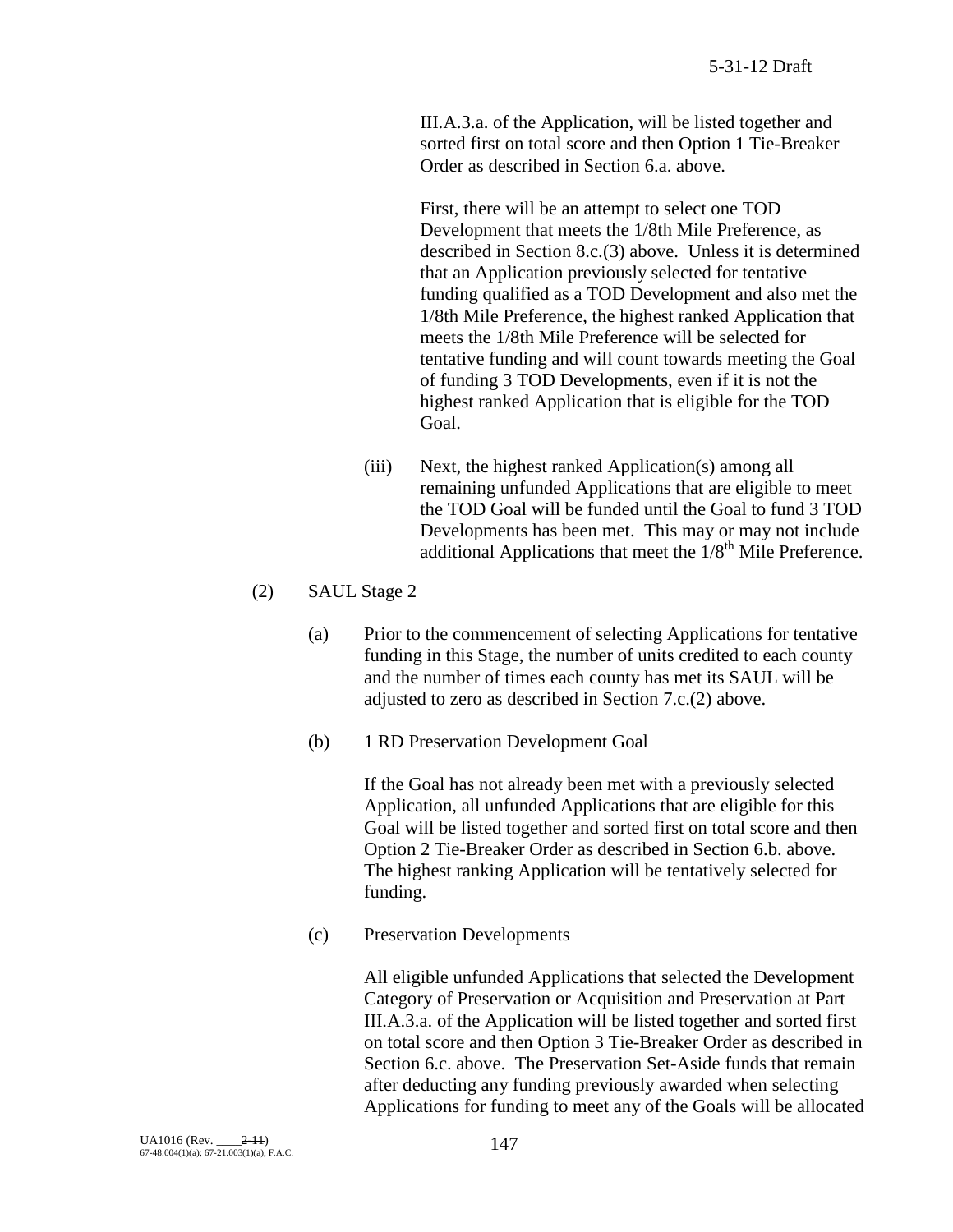III.A.3.a. of the Application, will be listed together and sorted first on total score and then Option 1 Tie-Breaker Order as described in Section 6.a. above.

First, there will be an attempt to select one TOD Development that meets the 1/8th Mile Preference, as described in Section 8.c.(3) above. Unless it is determined that an Application previously selected for tentative funding qualified as a TOD Development and also met the 1/8th Mile Preference, the highest ranked Application that meets the 1/8th Mile Preference will be selected for tentative funding and will count towards meeting the Goal of funding 3 TOD Developments, even if it is not the highest ranked Application that is eligible for the TOD Goal.

- (iii) Next, the highest ranked Application(s) among all remaining unfunded Applications that are eligible to meet the TOD Goal will be funded until the Goal to fund 3 TOD Developments has been met. This may or may not include additional Applications that meet the  $1/8^{th}$  Mile Preference.
- (2) SAUL Stage 2
	- (a) Prior to the commencement of selecting Applications for tentative funding in this Stage, the number of units credited to each county and the number of times each county has met its SAUL will be adjusted to zero as described in Section 7.c.(2) above.
	- (b) 1 RD Preservation Development Goal

If the Goal has not already been met with a previously selected Application, all unfunded Applications that are eligible for this Goal will be listed together and sorted first on total score and then Option 2 Tie-Breaker Order as described in Section 6.b. above. The highest ranking Application will be tentatively selected for funding.

(c) Preservation Developments

All eligible unfunded Applications that selected the Development Category of Preservation or Acquisition and Preservation at Part III.A.3.a. of the Application will be listed together and sorted first on total score and then Option 3 Tie-Breaker Order as described in Section 6.c. above. The Preservation Set-Aside funds that remain after deducting any funding previously awarded when selecting Applications for funding to meet any of the Goals will be allocated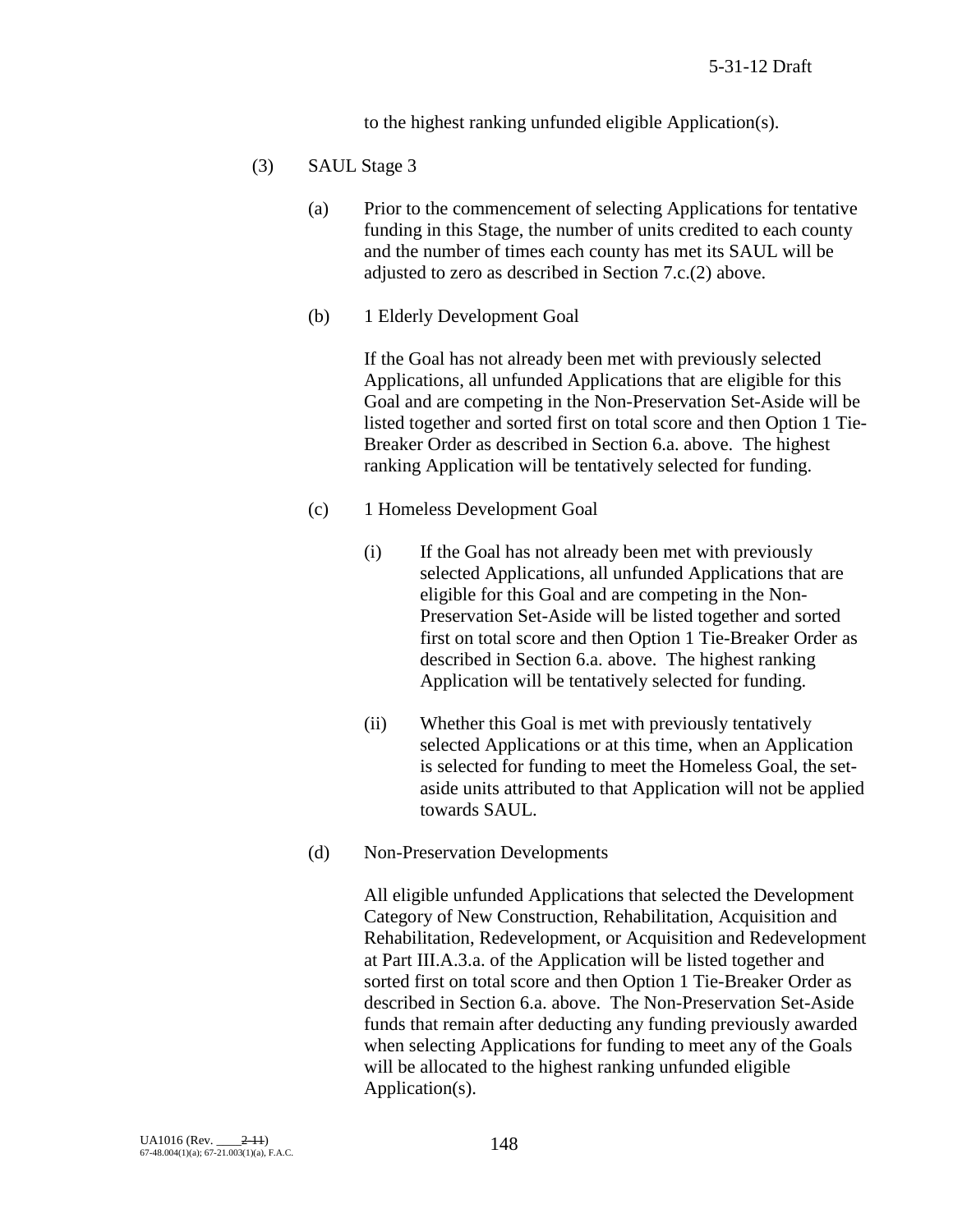to the highest ranking unfunded eligible Application(s).

- (3) SAUL Stage 3
	- (a) Prior to the commencement of selecting Applications for tentative funding in this Stage, the number of units credited to each county and the number of times each county has met its SAUL will be adjusted to zero as described in Section 7.c.(2) above.
	- (b) 1 Elderly Development Goal

If the Goal has not already been met with previously selected Applications, all unfunded Applications that are eligible for this Goal and are competing in the Non-Preservation Set-Aside will be listed together and sorted first on total score and then Option 1 Tie-Breaker Order as described in Section 6.a. above. The highest ranking Application will be tentatively selected for funding.

- (c) 1 Homeless Development Goal
	- (i) If the Goal has not already been met with previously selected Applications, all unfunded Applications that are eligible for this Goal and are competing in the Non-Preservation Set-Aside will be listed together and sorted first on total score and then Option 1 Tie-Breaker Order as described in Section 6.a. above. The highest ranking Application will be tentatively selected for funding.
	- (ii) Whether this Goal is met with previously tentatively selected Applications or at this time, when an Application is selected for funding to meet the Homeless Goal, the setaside units attributed to that Application will not be applied towards SAUL.
- (d) Non-Preservation Developments

All eligible unfunded Applications that selected the Development Category of New Construction, Rehabilitation, Acquisition and Rehabilitation, Redevelopment, or Acquisition and Redevelopment at Part III.A.3.a. of the Application will be listed together and sorted first on total score and then Option 1 Tie-Breaker Order as described in Section 6.a. above. The Non-Preservation Set-Aside funds that remain after deducting any funding previously awarded when selecting Applications for funding to meet any of the Goals will be allocated to the highest ranking unfunded eligible Application(s).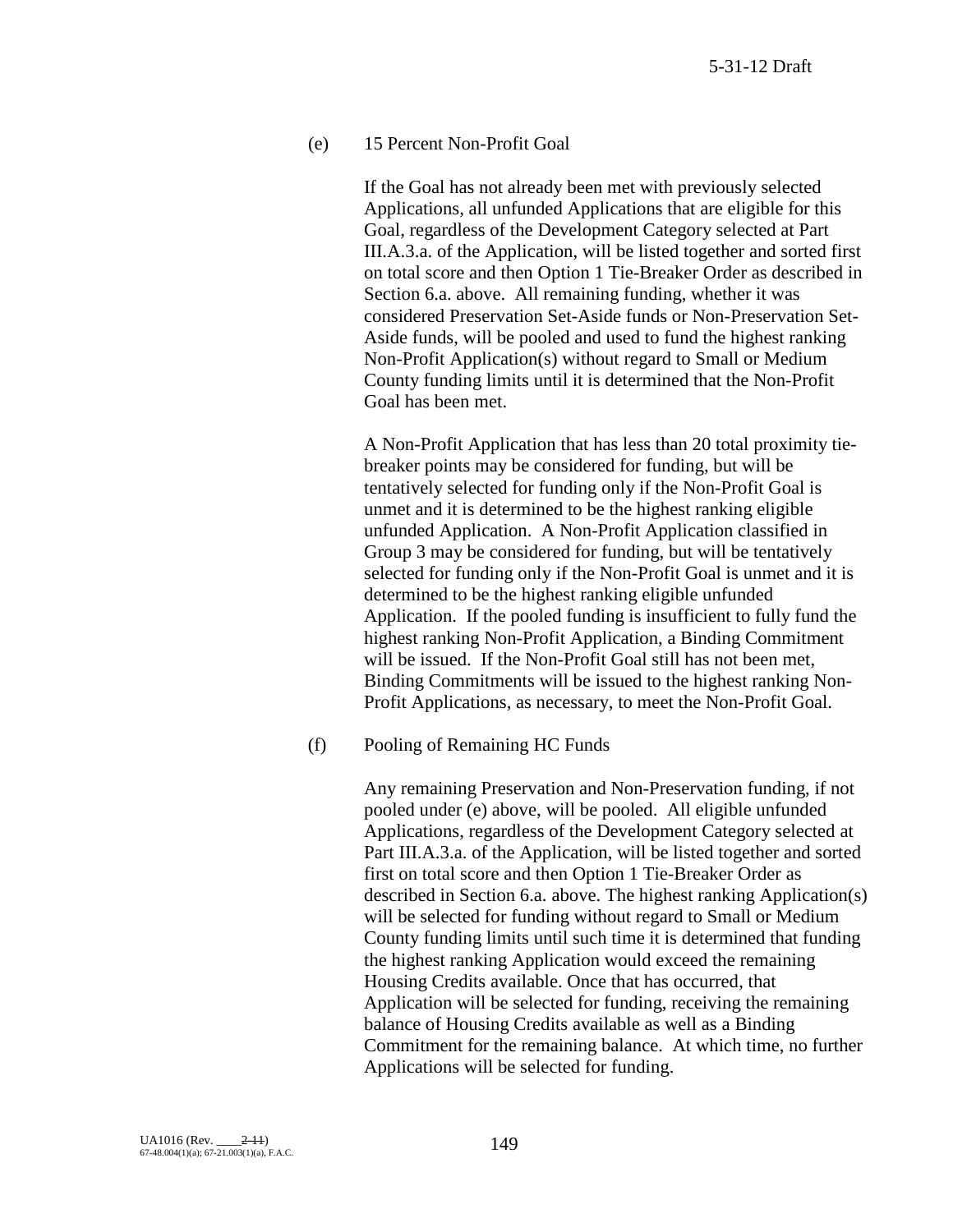### (e) 15 Percent Non-Profit Goal

If the Goal has not already been met with previously selected Applications, all unfunded Applications that are eligible for this Goal, regardless of the Development Category selected at Part III.A.3.a. of the Application, will be listed together and sorted first on total score and then Option 1 Tie-Breaker Order as described in Section 6.a. above. All remaining funding, whether it was considered Preservation Set-Aside funds or Non-Preservation Set-Aside funds, will be pooled and used to fund the highest ranking Non-Profit Application(s) without regard to Small or Medium County funding limits until it is determined that the Non-Profit Goal has been met.

A Non-Profit Application that has less than 20 total proximity tiebreaker points may be considered for funding, but will be tentatively selected for funding only if the Non-Profit Goal is unmet and it is determined to be the highest ranking eligible unfunded Application. A Non-Profit Application classified in Group 3 may be considered for funding, but will be tentatively selected for funding only if the Non-Profit Goal is unmet and it is determined to be the highest ranking eligible unfunded Application. If the pooled funding is insufficient to fully fund the highest ranking Non-Profit Application, a Binding Commitment will be issued. If the Non-Profit Goal still has not been met, Binding Commitments will be issued to the highest ranking Non-Profit Applications, as necessary, to meet the Non-Profit Goal.

#### (f) Pooling of Remaining HC Funds

Any remaining Preservation and Non-Preservation funding, if not pooled under (e) above, will be pooled. All eligible unfunded Applications, regardless of the Development Category selected at Part III.A.3.a. of the Application, will be listed together and sorted first on total score and then Option 1 Tie-Breaker Order as described in Section 6.a. above. The highest ranking Application(s) will be selected for funding without regard to Small or Medium County funding limits until such time it is determined that funding the highest ranking Application would exceed the remaining Housing Credits available. Once that has occurred, that Application will be selected for funding, receiving the remaining balance of Housing Credits available as well as a Binding Commitment for the remaining balance. At which time, no further Applications will be selected for funding.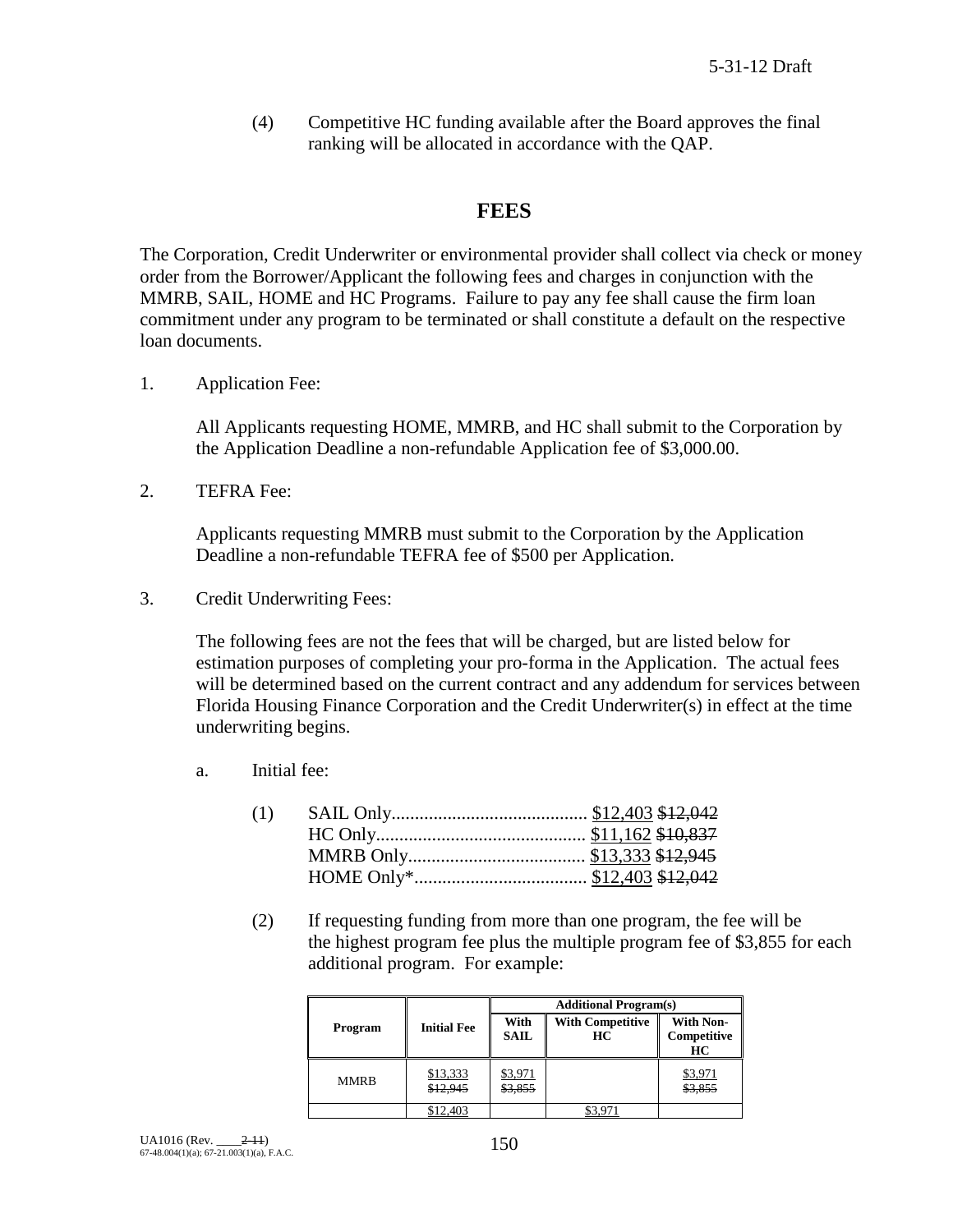(4) Competitive HC funding available after the Board approves the final ranking will be allocated in accordance with the QAP.

## **FEES**

The Corporation, Credit Underwriter or environmental provider shall collect via check or money order from the Borrower/Applicant the following fees and charges in conjunction with the MMRB, SAIL, HOME and HC Programs. Failure to pay any fee shall cause the firm loan commitment under any program to be terminated or shall constitute a default on the respective loan documents.

1. Application Fee:

All Applicants requesting HOME, MMRB, and HC shall submit to the Corporation by the Application Deadline a non-refundable Application fee of \$3,000.00.

2. TEFRA Fee:

Applicants requesting MMRB must submit to the Corporation by the Application Deadline a non-refundable TEFRA fee of \$500 per Application.

3. Credit Underwriting Fees:

The following fees are not the fees that will be charged, but are listed below for estimation purposes of completing your pro-forma in the Application. The actual fees will be determined based on the current contract and any addendum for services between Florida Housing Finance Corporation and the Credit Underwriter(s) in effect at the time underwriting begins.

a. Initial fee:

(2) If requesting funding from more than one program, the fee will be the highest program fee plus the multiple program fee of \$3,855 for each additional program. For example:

|             |                      | <b>Additional Program(s)</b> |                               |                                       |
|-------------|----------------------|------------------------------|-------------------------------|---------------------------------------|
| Program     | <b>Initial Fee</b>   | With<br><b>SAIL</b>          | <b>With Competitive</b><br>HС | <b>With Non-</b><br>Competitive<br>HС |
| <b>MMRB</b> | \$13,333<br>\$12.945 | \$3,971<br>\$3,855           |                               | \$3,971<br>\$3.855                    |
|             | \$12,403             |                              |                               |                                       |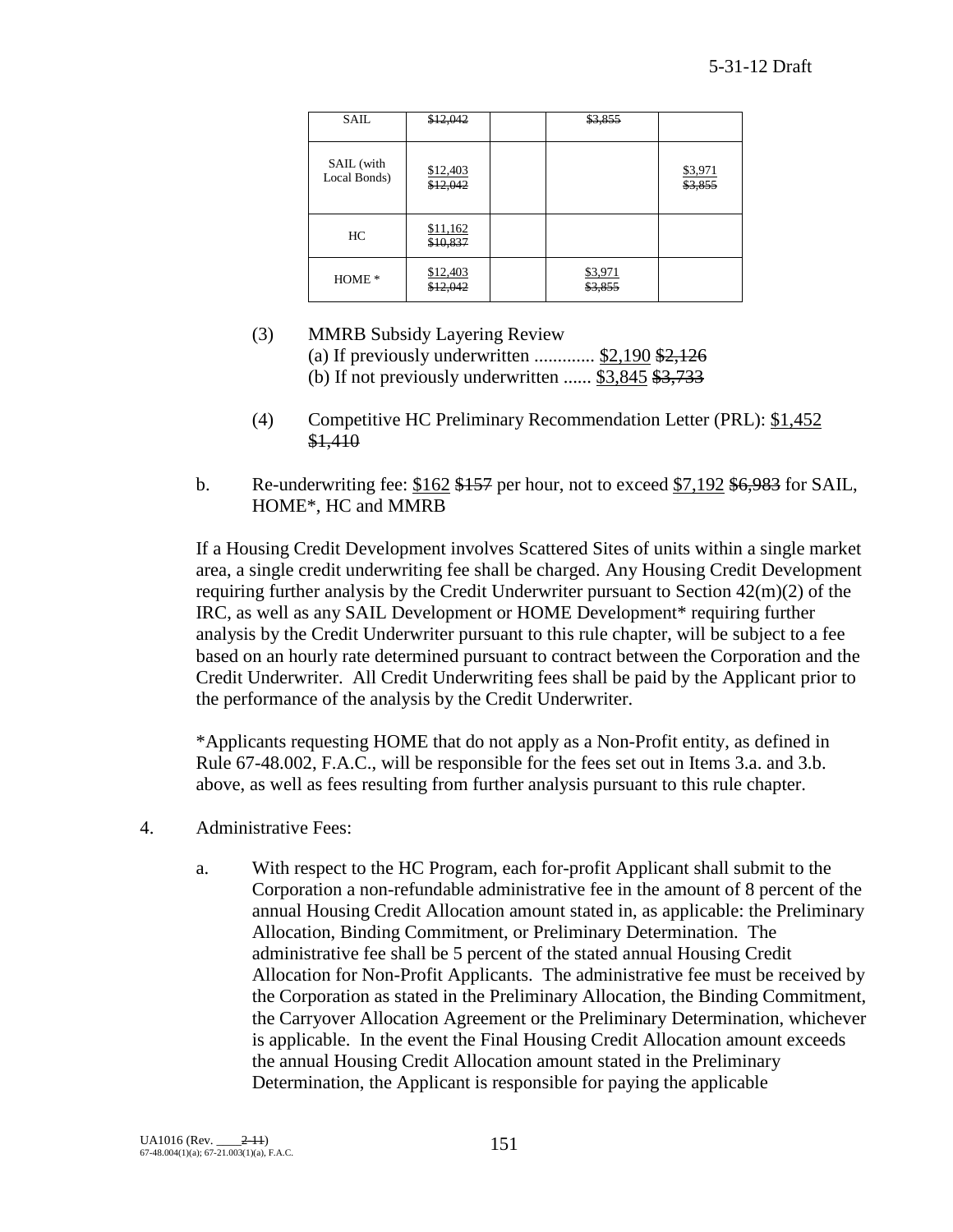| SAIL                       | \$12,042             | \$3,855            |                    |
|----------------------------|----------------------|--------------------|--------------------|
| SAIL (with<br>Local Bonds) | \$12,403<br>\$12,042 |                    | \$3,971<br>\$3,855 |
| HC                         | \$11,162<br>\$10,837 |                    |                    |
| HOME <sup>*</sup>          | \$12,403<br>\$12,042 | \$3,971<br>\$3,855 |                    |

- (3) MMRB Subsidy Layering Review (a) If previously underwritten  $\ldots$  \$2,190 \$2,126 (b) If not previously underwritten  $\ldots$  \$3,845 \$3,733
- (4) Competitive HC Preliminary Recommendation Letter (PRL): \$1,452 \$1,410
- b. Re-underwriting fee:  $$162$  \$157 per hour, not to exceed  $$7,192$  \$6,983 for SAIL, HOME\*, HC and MMRB

If a Housing Credit Development involves Scattered Sites of units within a single market area, a single credit underwriting fee shall be charged. Any Housing Credit Development requiring further analysis by the Credit Underwriter pursuant to Section 42(m)(2) of the IRC, as well as any SAIL Development or HOME Development\* requiring further analysis by the Credit Underwriter pursuant to this rule chapter, will be subject to a fee based on an hourly rate determined pursuant to contract between the Corporation and the Credit Underwriter. All Credit Underwriting fees shall be paid by the Applicant prior to the performance of the analysis by the Credit Underwriter.

\*Applicants requesting HOME that do not apply as a Non-Profit entity, as defined in Rule 67-48.002, F.A.C., will be responsible for the fees set out in Items 3.a. and 3.b. above, as well as fees resulting from further analysis pursuant to this rule chapter.

- 4. Administrative Fees:
	- a. With respect to the HC Program, each for-profit Applicant shall submit to the Corporation a non-refundable administrative fee in the amount of 8 percent of the annual Housing Credit Allocation amount stated in, as applicable: the Preliminary Allocation, Binding Commitment, or Preliminary Determination. The administrative fee shall be 5 percent of the stated annual Housing Credit Allocation for Non-Profit Applicants. The administrative fee must be received by the Corporation as stated in the Preliminary Allocation, the Binding Commitment, the Carryover Allocation Agreement or the Preliminary Determination, whichever is applicable. In the event the Final Housing Credit Allocation amount exceeds the annual Housing Credit Allocation amount stated in the Preliminary Determination, the Applicant is responsible for paying the applicable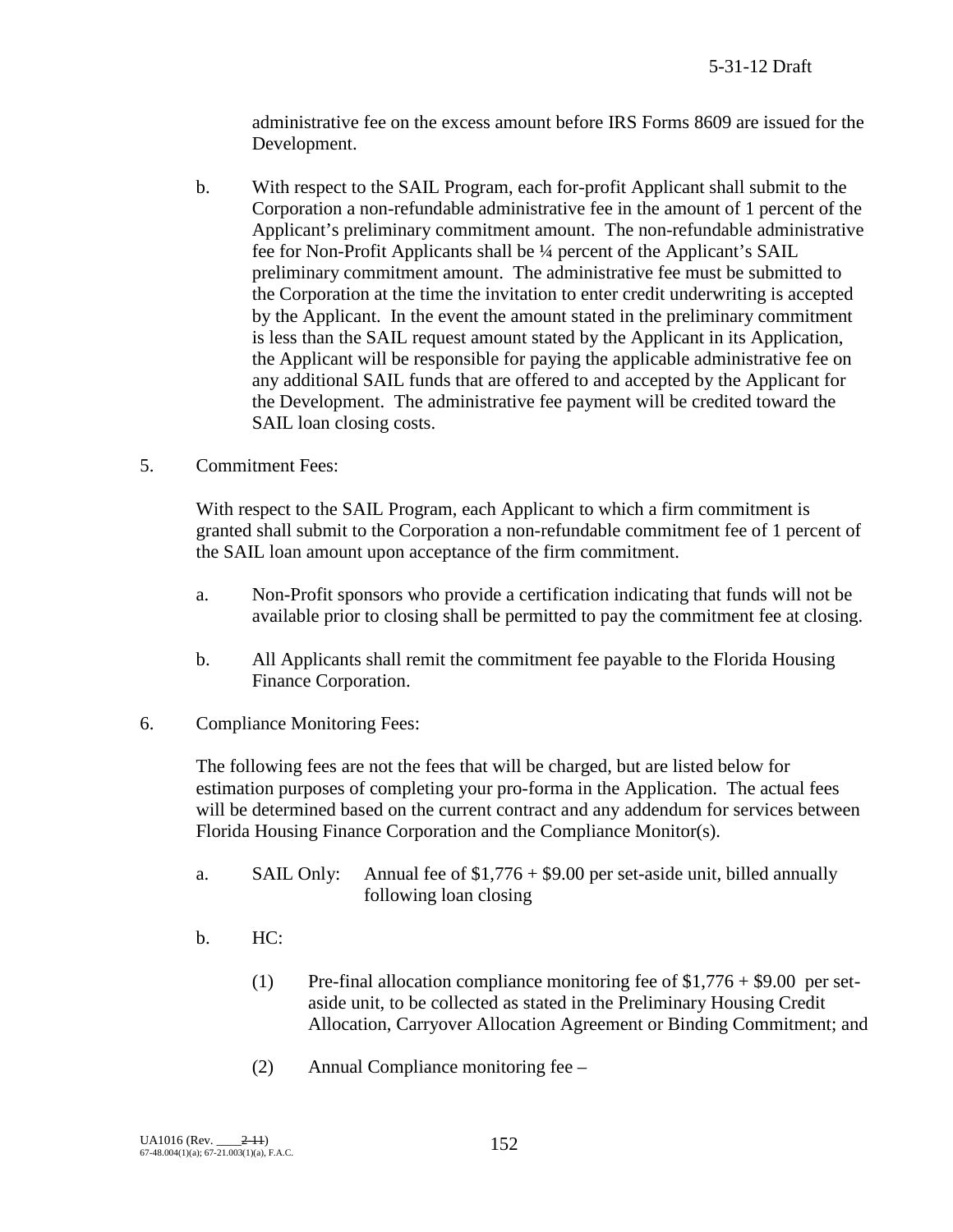administrative fee on the excess amount before IRS Forms 8609 are issued for the Development.

- b. With respect to the SAIL Program, each for-profit Applicant shall submit to the Corporation a non-refundable administrative fee in the amount of 1 percent of the Applicant's preliminary commitment amount. The non-refundable administrative fee for Non-Profit Applicants shall be ¼ percent of the Applicant's SAIL preliminary commitment amount. The administrative fee must be submitted to the Corporation at the time the invitation to enter credit underwriting is accepted by the Applicant. In the event the amount stated in the preliminary commitment is less than the SAIL request amount stated by the Applicant in its Application, the Applicant will be responsible for paying the applicable administrative fee on any additional SAIL funds that are offered to and accepted by the Applicant for the Development. The administrative fee payment will be credited toward the SAIL loan closing costs.
- 5. Commitment Fees:

With respect to the SAIL Program, each Applicant to which a firm commitment is granted shall submit to the Corporation a non-refundable commitment fee of 1 percent of the SAIL loan amount upon acceptance of the firm commitment.

- a. Non-Profit sponsors who provide a certification indicating that funds will not be available prior to closing shall be permitted to pay the commitment fee at closing.
- b. All Applicants shall remit the commitment fee payable to the Florida Housing Finance Corporation.
- 6. Compliance Monitoring Fees:

The following fees are not the fees that will be charged, but are listed below for estimation purposes of completing your pro-forma in the Application. The actual fees will be determined based on the current contract and any addendum for services between Florida Housing Finance Corporation and the Compliance Monitor(s).

- a. SAIL Only: Annual fee of  $$1,776 + $9.00$  per set-aside unit, billed annually following loan closing
- b. HC:
	- (1) Pre-final allocation compliance monitoring fee of  $$1,776 + $9.00$  per setaside unit, to be collected as stated in the Preliminary Housing Credit Allocation, Carryover Allocation Agreement or Binding Commitment; and
	- (2) Annual Compliance monitoring fee –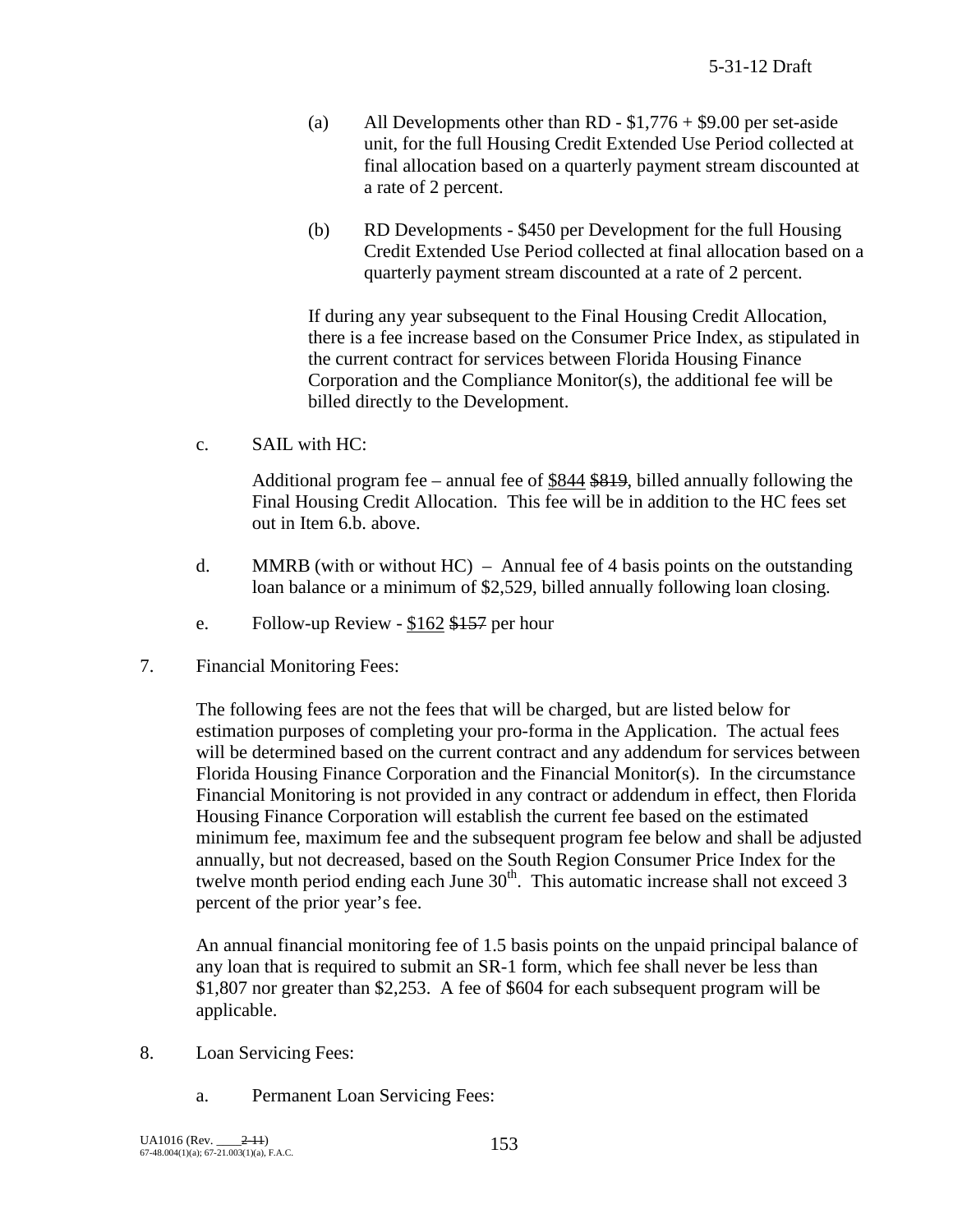- (a) All Developments other than RD  $$1,776 + $9.00$  per set-aside unit, for the full Housing Credit Extended Use Period collected at final allocation based on a quarterly payment stream discounted at a rate of 2 percent.
- (b) RD Developments \$450 per Development for the full Housing Credit Extended Use Period collected at final allocation based on a quarterly payment stream discounted at a rate of 2 percent.

If during any year subsequent to the Final Housing Credit Allocation, there is a fee increase based on the Consumer Price Index, as stipulated in the current contract for services between Florida Housing Finance Corporation and the Compliance Monitor(s), the additional fee will be billed directly to the Development.

c. SAIL with HC:

Additional program fee – annual fee of \$844 \$819, billed annually following the Final Housing Credit Allocation. This fee will be in addition to the HC fees set out in Item 6.b. above.

- d. MMRB (with or without  $HC$ ) Annual fee of 4 basis points on the outstanding loan balance or a minimum of \$2,529, billed annually following loan closing.
- e. Follow-up Review \$162 \$157 per hour
- 7. Financial Monitoring Fees:

The following fees are not the fees that will be charged, but are listed below for estimation purposes of completing your pro-forma in the Application. The actual fees will be determined based on the current contract and any addendum for services between Florida Housing Finance Corporation and the Financial Monitor(s). In the circumstance Financial Monitoring is not provided in any contract or addendum in effect, then Florida Housing Finance Corporation will establish the current fee based on the estimated minimum fee, maximum fee and the subsequent program fee below and shall be adjusted annually, but not decreased, based on the South Region Consumer Price Index for the twelve month period ending each June  $30<sup>th</sup>$ . This automatic increase shall not exceed 3 percent of the prior year's fee.

An annual financial monitoring fee of 1.5 basis points on the unpaid principal balance of any loan that is required to submit an SR-1 form, which fee shall never be less than \$1,807 nor greater than \$2,253. A fee of \$604 for each subsequent program will be applicable.

- 8. Loan Servicing Fees:
	- a. Permanent Loan Servicing Fees: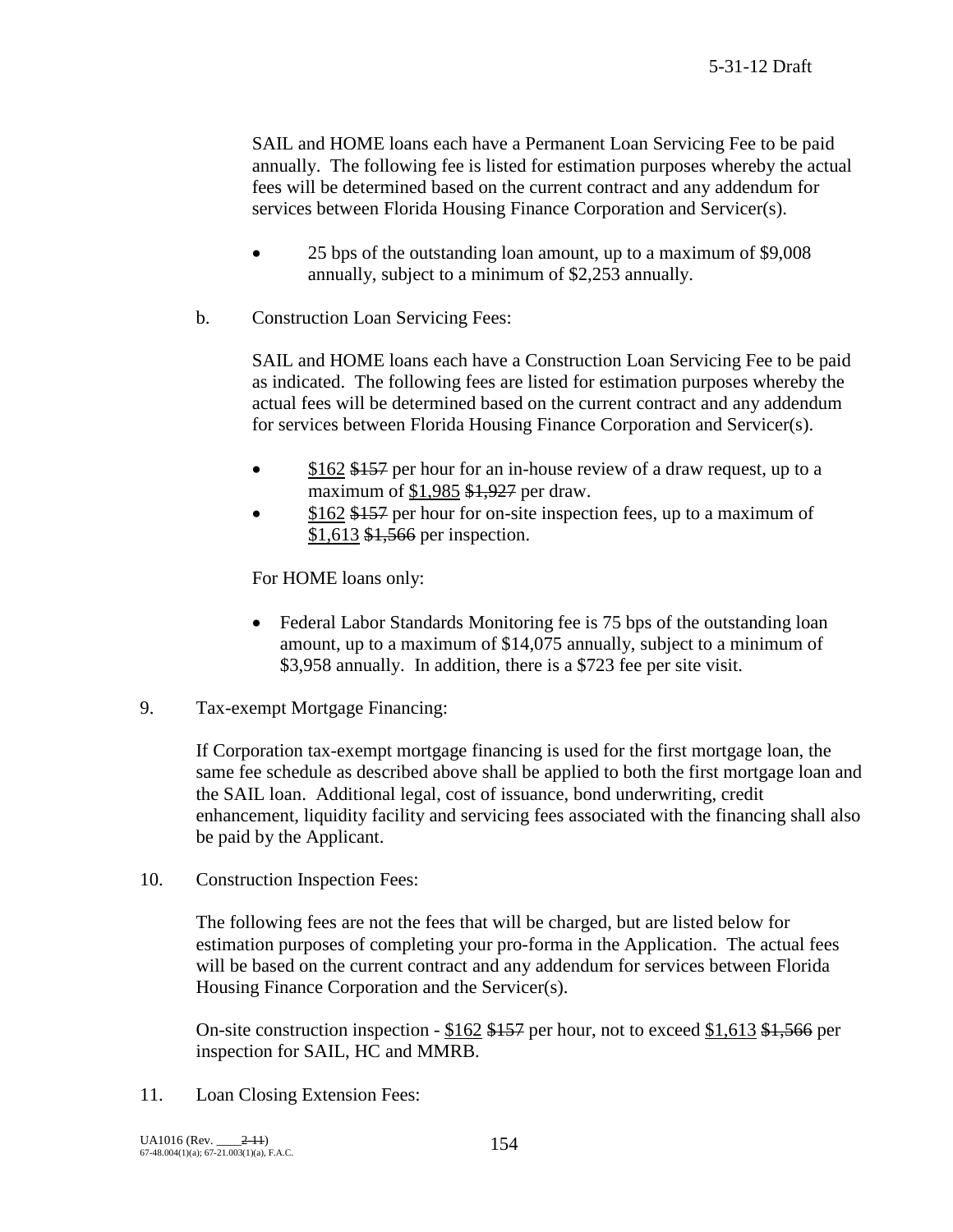SAIL and HOME loans each have a Permanent Loan Servicing Fee to be paid annually. The following fee is listed for estimation purposes whereby the actual fees will be determined based on the current contract and any addendum for services between Florida Housing Finance Corporation and Servicer(s).

- 25 bps of the outstanding loan amount, up to a maximum of \$9,008 annually, subject to a minimum of \$2,253 annually.
- b. Construction Loan Servicing Fees:

SAIL and HOME loans each have a Construction Loan Servicing Fee to be paid as indicated. The following fees are listed for estimation purposes whereby the actual fees will be determined based on the current contract and any addendum for services between Florida Housing Finance Corporation and Servicer(s).

- \$162 \$157 per hour for an in-house review of a draw request, up to a maximum of \$1,985 \$1,927 per draw.
- \$162 \$157 per hour for on-site inspection fees, up to a maximum of \$1,613 \$1,566 per inspection.

For HOME loans only:

- Federal Labor Standards Monitoring fee is 75 bps of the outstanding loan amount, up to a maximum of \$14,075 annually, subject to a minimum of \$3,958 annually. In addition, there is a \$723 fee per site visit.
- 9. Tax-exempt Mortgage Financing:

If Corporation tax-exempt mortgage financing is used for the first mortgage loan, the same fee schedule as described above shall be applied to both the first mortgage loan and the SAIL loan. Additional legal, cost of issuance, bond underwriting, credit enhancement, liquidity facility and servicing fees associated with the financing shall also be paid by the Applicant.

10. Construction Inspection Fees:

The following fees are not the fees that will be charged, but are listed below for estimation purposes of completing your pro-forma in the Application. The actual fees will be based on the current contract and any addendum for services between Florida Housing Finance Corporation and the Servicer(s).

On-site construction inspection - \$162 \$157 per hour, not to exceed \$1,613 \$1,566 per inspection for SAIL, HC and MMRB.

11. Loan Closing Extension Fees: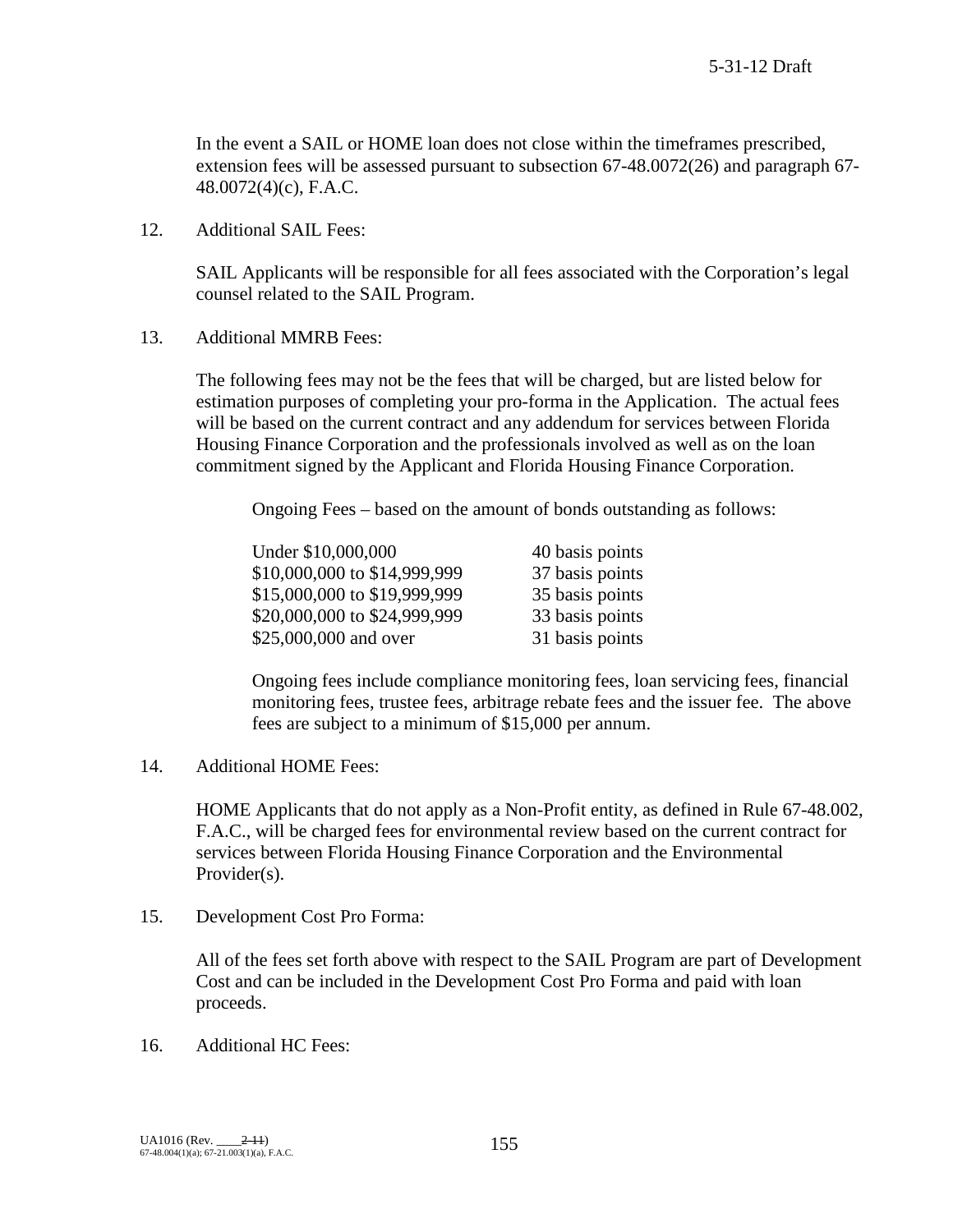In the event a SAIL or HOME loan does not close within the timeframes prescribed, extension fees will be assessed pursuant to subsection 67-48.0072(26) and paragraph 67- 48.0072(4)(c), F.A.C.

12. Additional SAIL Fees:

SAIL Applicants will be responsible for all fees associated with the Corporation's legal counsel related to the SAIL Program.

13. Additional MMRB Fees:

The following fees may not be the fees that will be charged, but are listed below for estimation purposes of completing your pro-forma in the Application. The actual fees will be based on the current contract and any addendum for services between Florida Housing Finance Corporation and the professionals involved as well as on the loan commitment signed by the Applicant and Florida Housing Finance Corporation.

Ongoing Fees – based on the amount of bonds outstanding as follows:

| Under \$10,000,000           | 40 basis points |
|------------------------------|-----------------|
| \$10,000,000 to \$14,999,999 | 37 basis points |
| \$15,000,000 to \$19,999,999 | 35 basis points |
| \$20,000,000 to \$24,999,999 | 33 basis points |
| \$25,000,000 and over        | 31 basis points |

Ongoing fees include compliance monitoring fees, loan servicing fees, financial monitoring fees, trustee fees, arbitrage rebate fees and the issuer fee. The above fees are subject to a minimum of \$15,000 per annum.

14. Additional HOME Fees:

HOME Applicants that do not apply as a Non-Profit entity, as defined in Rule 67-48.002, F.A.C., will be charged fees for environmental review based on the current contract for services between Florida Housing Finance Corporation and the Environmental Provider(s).

15. Development Cost Pro Forma:

All of the fees set forth above with respect to the SAIL Program are part of Development Cost and can be included in the Development Cost Pro Forma and paid with loan proceeds.

16. Additional HC Fees: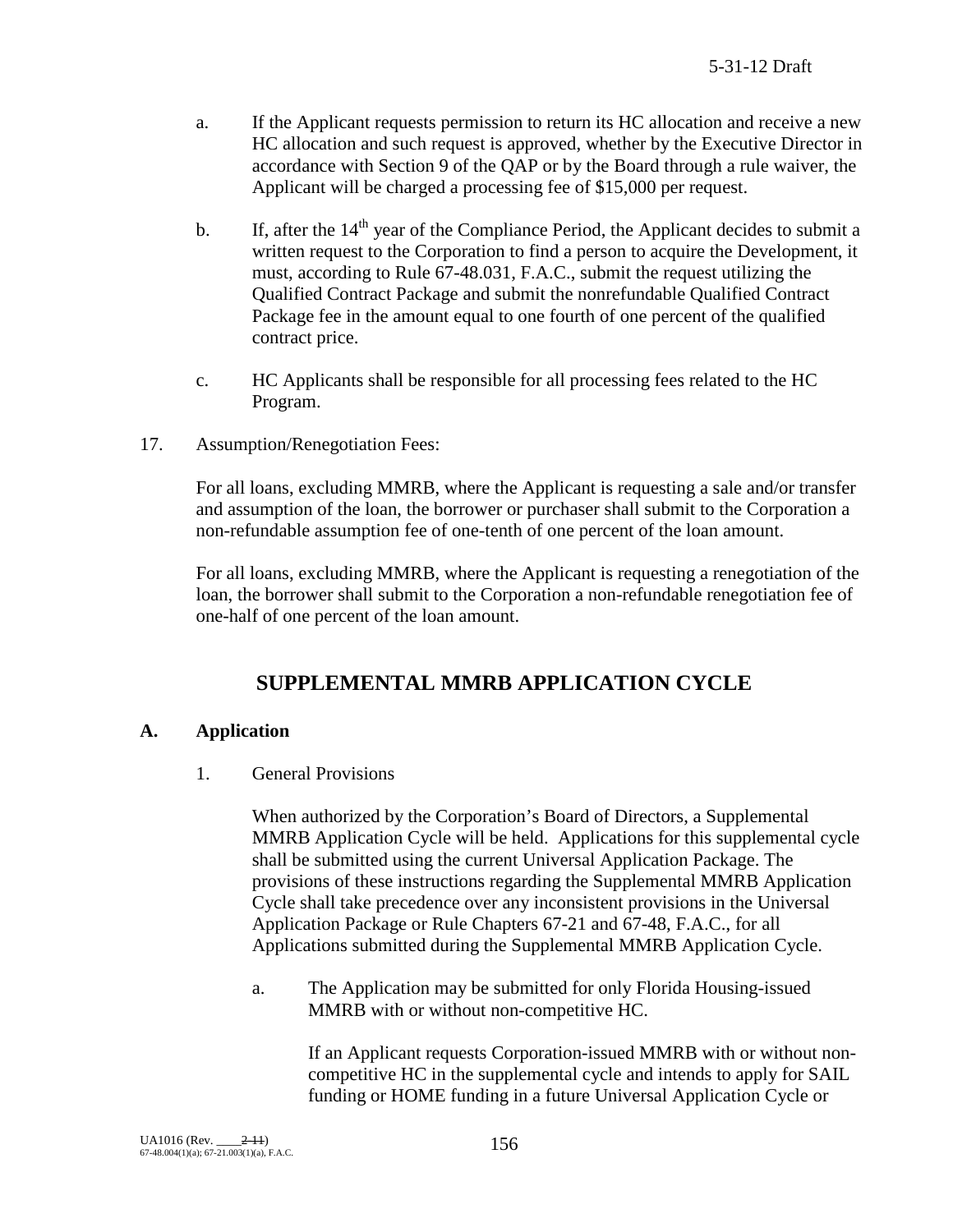- a. If the Applicant requests permission to return its HC allocation and receive a new HC allocation and such request is approved, whether by the Executive Director in accordance with Section 9 of the QAP or by the Board through a rule waiver, the Applicant will be charged a processing fee of \$15,000 per request.
- b. If, after the  $14<sup>th</sup>$  year of the Compliance Period, the Applicant decides to submit a written request to the Corporation to find a person to acquire the Development, it must, according to Rule 67-48.031, F.A.C., submit the request utilizing the Qualified Contract Package and submit the nonrefundable Qualified Contract Package fee in the amount equal to one fourth of one percent of the qualified contract price.
- c. HC Applicants shall be responsible for all processing fees related to the HC Program.
- 17. Assumption/Renegotiation Fees:

For all loans, excluding MMRB, where the Applicant is requesting a sale and/or transfer and assumption of the loan, the borrower or purchaser shall submit to the Corporation a non-refundable assumption fee of one-tenth of one percent of the loan amount.

For all loans, excluding MMRB, where the Applicant is requesting a renegotiation of the loan, the borrower shall submit to the Corporation a non-refundable renegotiation fee of one-half of one percent of the loan amount.

# **SUPPLEMENTAL MMRB APPLICATION CYCLE**

## **A. Application**

1. General Provisions

When authorized by the Corporation's Board of Directors, a Supplemental MMRB Application Cycle will be held. Applications for this supplemental cycle shall be submitted using the current Universal Application Package. The provisions of these instructions regarding the Supplemental MMRB Application Cycle shall take precedence over any inconsistent provisions in the Universal Application Package or Rule Chapters 67-21 and 67-48, F.A.C., for all Applications submitted during the Supplemental MMRB Application Cycle.

a. The Application may be submitted for only Florida Housing-issued MMRB with or without non-competitive HC.

> If an Applicant requests Corporation-issued MMRB with or without noncompetitive HC in the supplemental cycle and intends to apply for SAIL funding or HOME funding in a future Universal Application Cycle or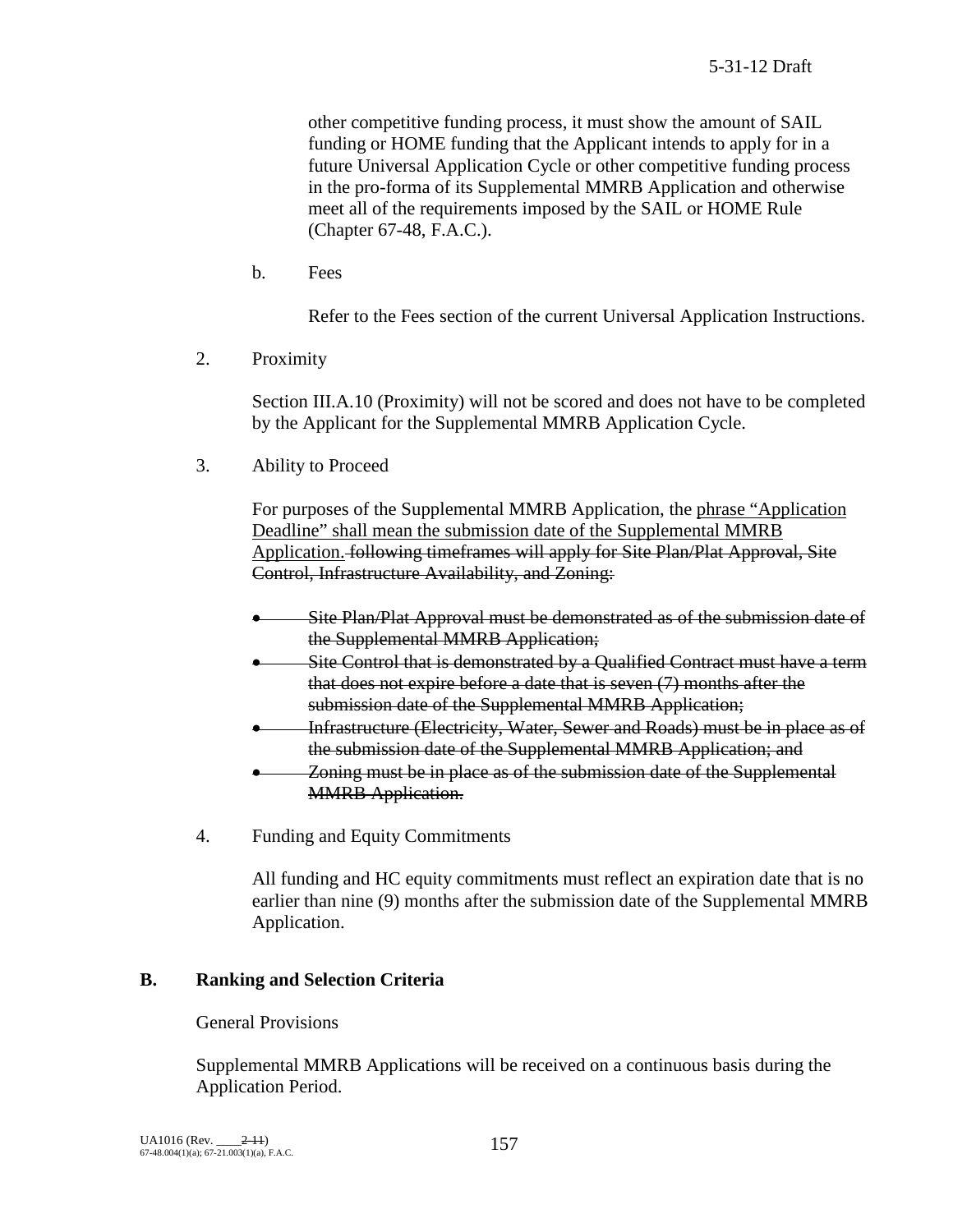other competitive funding process, it must show the amount of SAIL funding or HOME funding that the Applicant intends to apply for in a future Universal Application Cycle or other competitive funding process in the pro-forma of its Supplemental MMRB Application and otherwise meet all of the requirements imposed by the SAIL or HOME Rule (Chapter 67-48, F.A.C.).

b. Fees

Refer to the Fees section of the current Universal Application Instructions.

2. Proximity

Section III.A.10 (Proximity) will not be scored and does not have to be completed by the Applicant for the Supplemental MMRB Application Cycle.

3. Ability to Proceed

For purposes of the Supplemental MMRB Application, the phrase "Application Deadline" shall mean the submission date of the Supplemental MMRB Application. following timeframes will apply for Site Plan/Plat Approval, Site Control, Infrastructure Availability, and Zoning:

- Site Plan/Plat Approval must be demonstrated as of the submission date of the Supplemental MMRB Application;
- Site Control that is demonstrated by a Qualified Contract must have a term that does not expire before a date that is seven (7) months after the submission date of the Supplemental MMRB Application;
- Infrastructure (Electricity, Water, Sewer and Roads) must be in place as of the submission date of the Supplemental MMRB Application; and
- Zoning must be in place as of the submission date of the Supplemental **MMRB** Application.
- 4. Funding and Equity Commitments

All funding and HC equity commitments must reflect an expiration date that is no earlier than nine (9) months after the submission date of the Supplemental MMRB Application.

## **B. Ranking and Selection Criteria**

General Provisions

Supplemental MMRB Applications will be received on a continuous basis during the Application Period.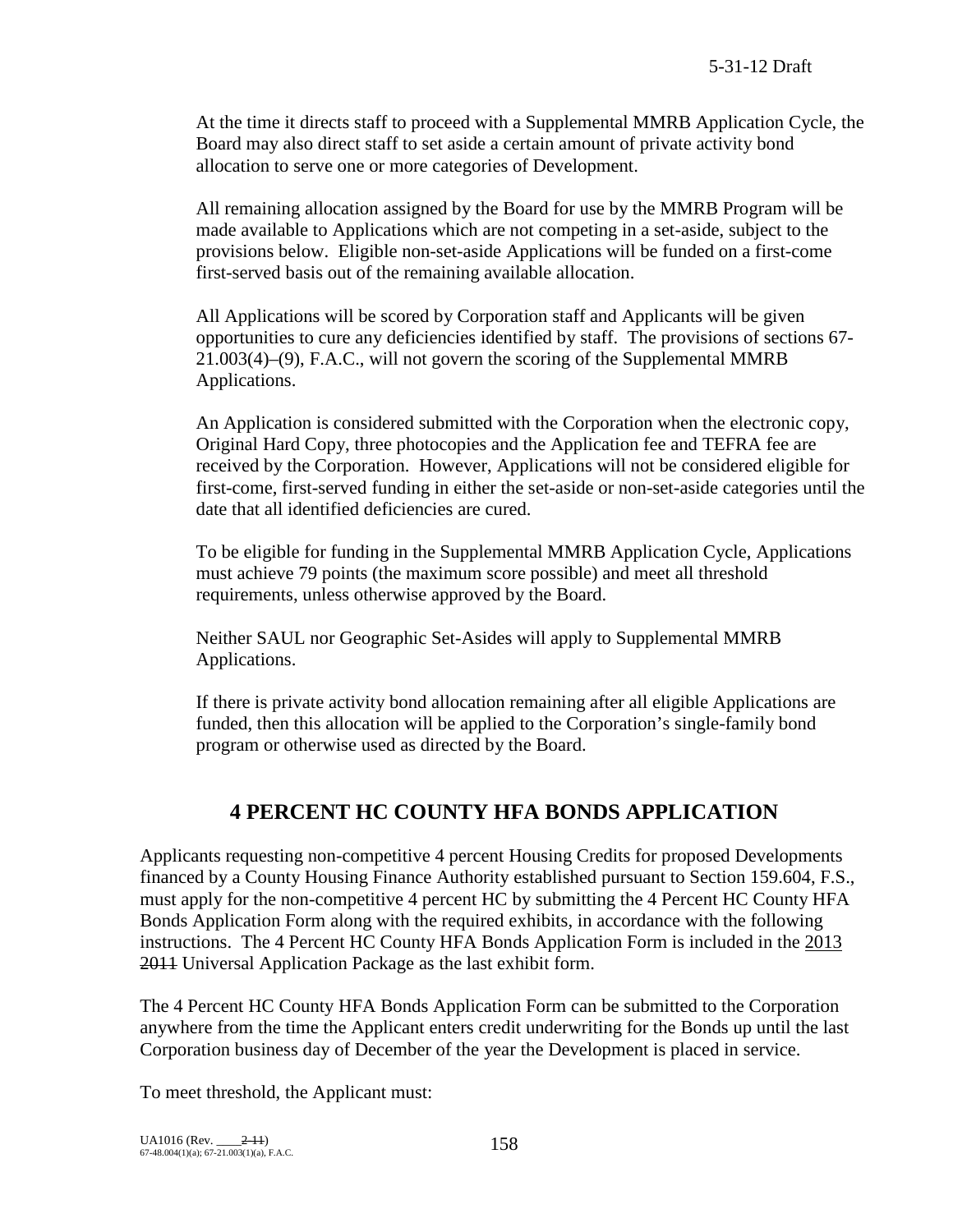At the time it directs staff to proceed with a Supplemental MMRB Application Cycle, the Board may also direct staff to set aside a certain amount of private activity bond allocation to serve one or more categories of Development.

All remaining allocation assigned by the Board for use by the MMRB Program will be made available to Applications which are not competing in a set-aside, subject to the provisions below. Eligible non-set-aside Applications will be funded on a first-come first-served basis out of the remaining available allocation.

All Applications will be scored by Corporation staff and Applicants will be given opportunities to cure any deficiencies identified by staff. The provisions of sections 67- 21.003(4)–(9), F.A.C., will not govern the scoring of the Supplemental MMRB Applications.

An Application is considered submitted with the Corporation when the electronic copy, Original Hard Copy, three photocopies and the Application fee and TEFRA fee are received by the Corporation. However, Applications will not be considered eligible for first-come, first-served funding in either the set-aside or non-set-aside categories until the date that all identified deficiencies are cured.

To be eligible for funding in the Supplemental MMRB Application Cycle, Applications must achieve 79 points (the maximum score possible) and meet all threshold requirements, unless otherwise approved by the Board.

Neither SAUL nor Geographic Set-Asides will apply to Supplemental MMRB Applications.

If there is private activity bond allocation remaining after all eligible Applications are funded, then this allocation will be applied to the Corporation's single-family bond program or otherwise used as directed by the Board.

# **4 PERCENT HC COUNTY HFA BONDS APPLICATION**

Applicants requesting non-competitive 4 percent Housing Credits for proposed Developments financed by a County Housing Finance Authority established pursuant to Section 159.604, F.S., must apply for the non-competitive 4 percent HC by submitting the 4 Percent HC County HFA Bonds Application Form along with the required exhibits, in accordance with the following instructions. The 4 Percent HC County HFA Bonds Application Form is included in the 2013 2011 Universal Application Package as the last exhibit form.

The 4 Percent HC County HFA Bonds Application Form can be submitted to the Corporation anywhere from the time the Applicant enters credit underwriting for the Bonds up until the last Corporation business day of December of the year the Development is placed in service.

To meet threshold, the Applicant must: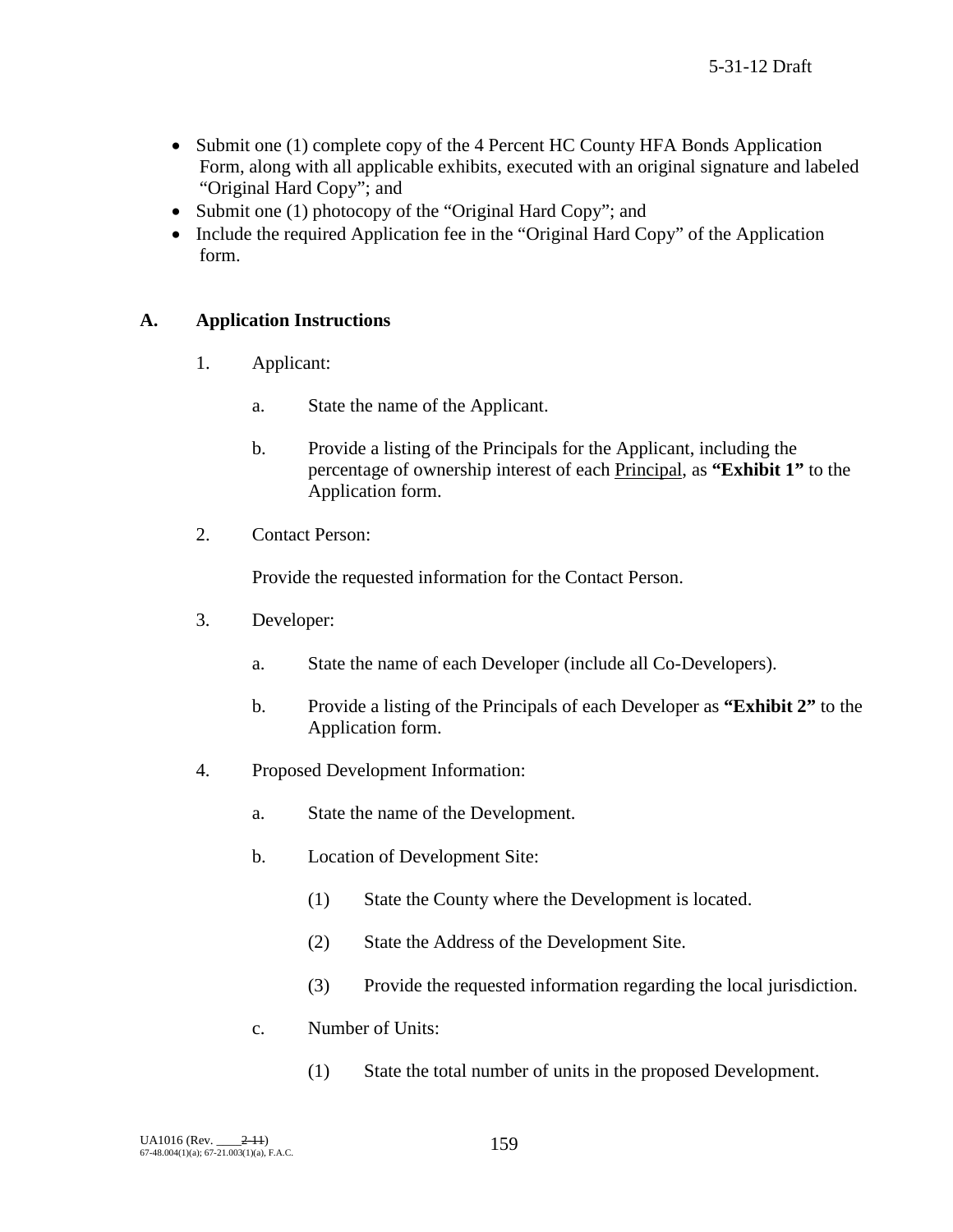- Submit one (1) complete copy of the 4 Percent HC County HFA Bonds Application Form, along with all applicable exhibits, executed with an original signature and labeled "Original Hard Copy"; and
- Submit one (1) photocopy of the "Original Hard Copy"; and
- Include the required Application fee in the "Original Hard Copy" of the Application form.

## **A. Application Instructions**

- 1. Applicant:
	- a. State the name of the Applicant.
	- b. Provide a listing of the Principals for the Applicant, including the percentage of ownership interest of each Principal, as **"Exhibit 1"** to the Application form.
- 2. Contact Person:

Provide the requested information for the Contact Person.

- 3. Developer:
	- a. State the name of each Developer (include all Co-Developers).
	- b. Provide a listing of the Principals of each Developer as **"Exhibit 2"** to the Application form.
- 4. Proposed Development Information:
	- a. State the name of the Development.
	- b. Location of Development Site:
		- (1) State the County where the Development is located.
		- (2) State the Address of the Development Site.
		- (3) Provide the requested information regarding the local jurisdiction.
	- c. Number of Units:
		- (1) State the total number of units in the proposed Development.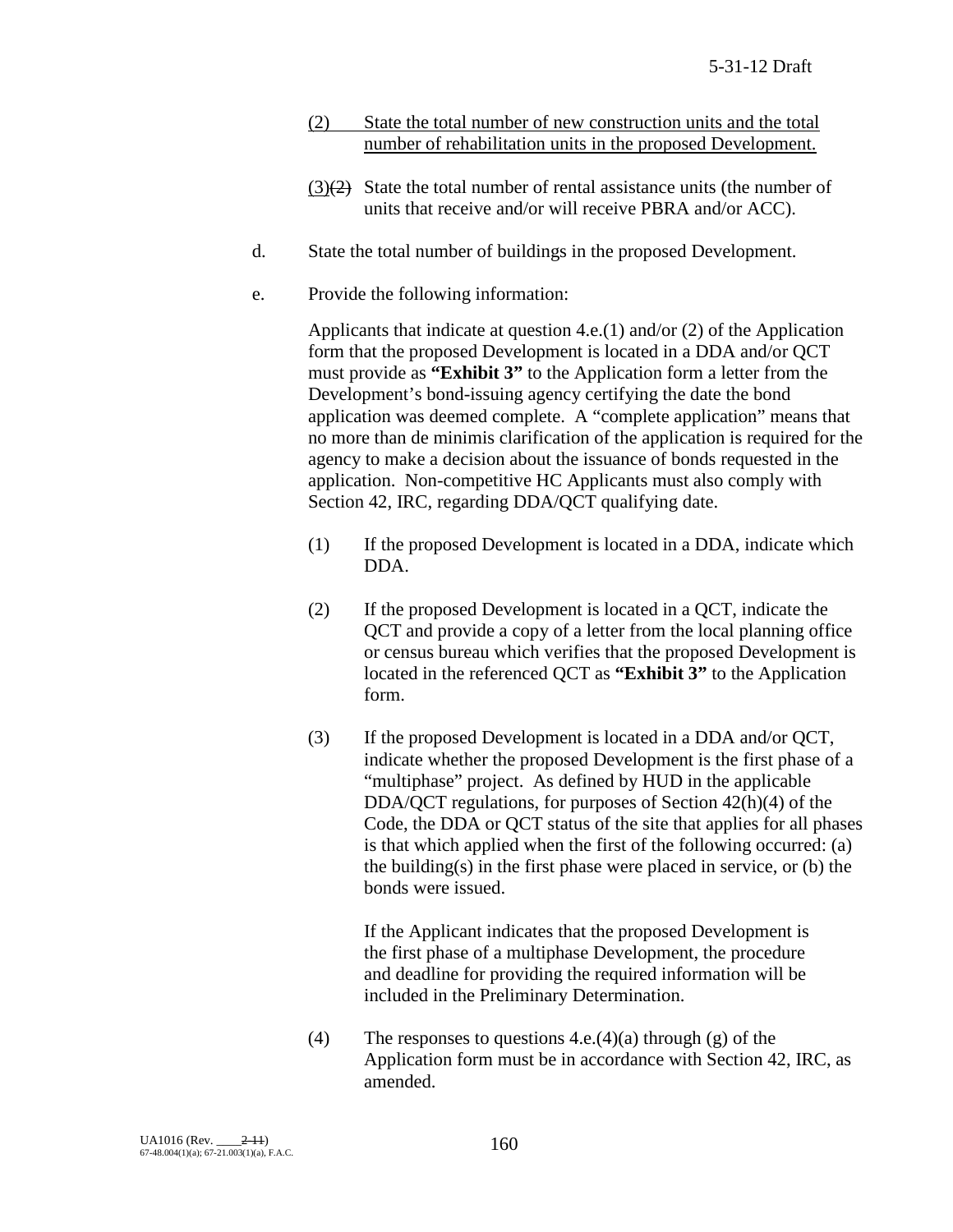- (2) State the total number of new construction units and the total number of rehabilitation units in the proposed Development.
- $(3)(2)$  State the total number of rental assistance units (the number of units that receive and/or will receive PBRA and/or ACC).
- d. State the total number of buildings in the proposed Development.
- e. Provide the following information:

Applicants that indicate at question 4.e.(1) and/or (2) of the Application form that the proposed Development is located in a DDA and/or QCT must provide as **"Exhibit 3"** to the Application form a letter from the Development's bond-issuing agency certifying the date the bond application was deemed complete. A "complete application" means that no more than de minimis clarification of the application is required for the agency to make a decision about the issuance of bonds requested in the application. Non-competitive HC Applicants must also comply with Section 42, IRC, regarding DDA/QCT qualifying date.

- (1) If the proposed Development is located in a DDA, indicate which DDA.
- (2) If the proposed Development is located in a QCT, indicate the QCT and provide a copy of a letter from the local planning office or census bureau which verifies that the proposed Development is located in the referenced QCT as **"Exhibit 3"** to the Application form.
- (3) If the proposed Development is located in a DDA and/or QCT, indicate whether the proposed Development is the first phase of a "multiphase" project. As defined by HUD in the applicable DDA/QCT regulations, for purposes of Section 42(h)(4) of the Code, the DDA or QCT status of the site that applies for all phases is that which applied when the first of the following occurred: (a) the building(s) in the first phase were placed in service, or (b) the bonds were issued.

If the Applicant indicates that the proposed Development is the first phase of a multiphase Development, the procedure and deadline for providing the required information will be included in the Preliminary Determination.

(4) The responses to questions  $4.e.(4)(a)$  through (g) of the Application form must be in accordance with Section 42, IRC, as amended.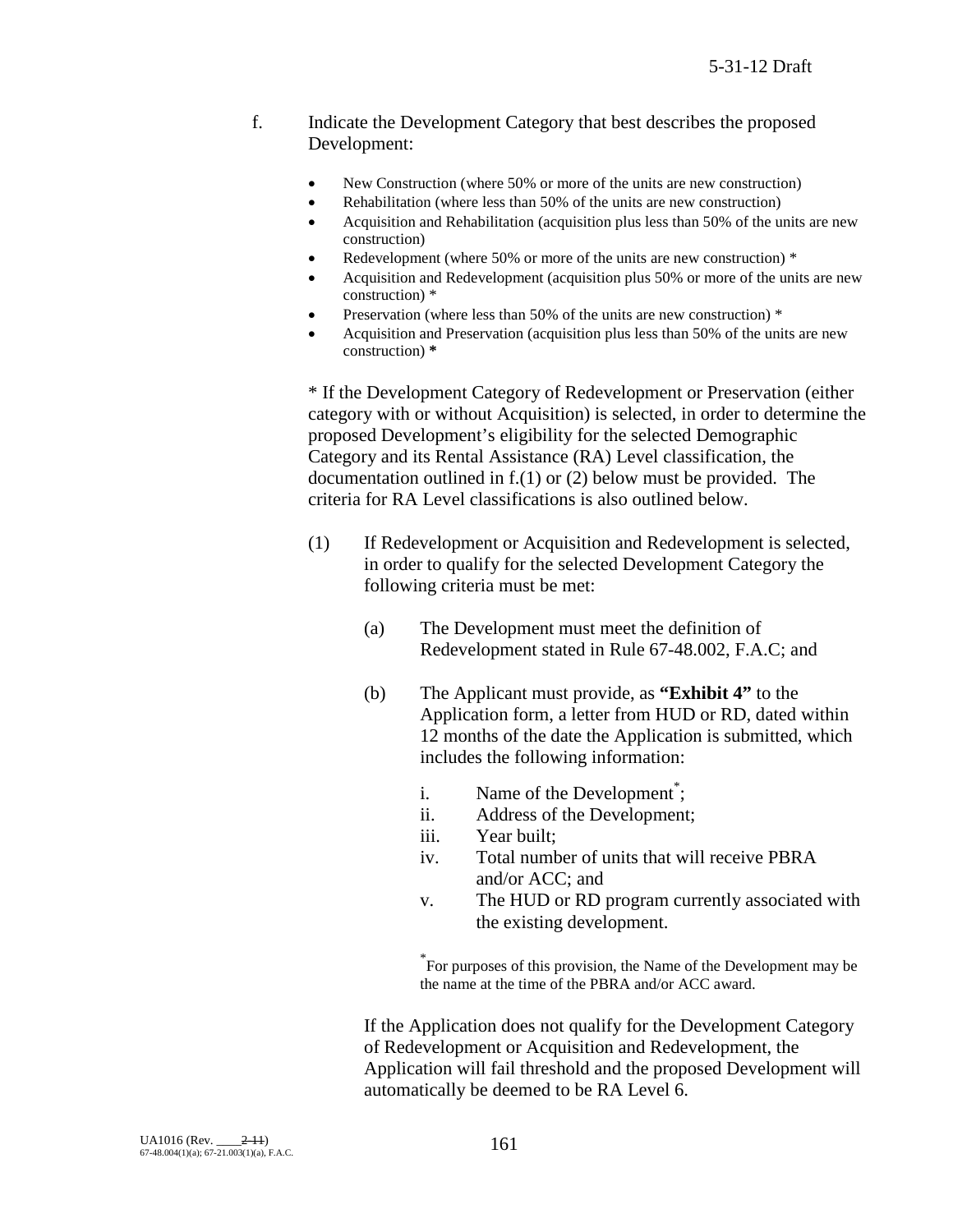### f. Indicate the Development Category that best describes the proposed Development:

- New Construction (where 50% or more of the units are new construction)
- Rehabilitation (where less than 50% of the units are new construction)
- Acquisition and Rehabilitation (acquisition plus less than 50% of the units are new construction)
- Redevelopment (where 50% or more of the units are new construction)  $*$
- Acquisition and Redevelopment (acquisition plus 50% or more of the units are new construction) \*
- Preservation (where less than 50% of the units are new construction)  $*$
- Acquisition and Preservation (acquisition plus less than 50% of the units are new construction) **\***

\* If the Development Category of Redevelopment or Preservation (either category with or without Acquisition) is selected, in order to determine the proposed Development's eligibility for the selected Demographic Category and its Rental Assistance (RA) Level classification, the documentation outlined in f.(1) or (2) below must be provided. The criteria for RA Level classifications is also outlined below.

- (1) If Redevelopment or Acquisition and Redevelopment is selected, in order to qualify for the selected Development Category the following criteria must be met:
	- (a) The Development must meet the definition of Redevelopment stated in Rule 67-48.002, F.A.C; and
	- (b) The Applicant must provide, as **"Exhibit 4"** to the Application form, a letter from HUD or RD, dated within 12 months of the date the Application is submitted, which includes the following information:
		- i. Name of the Development<sup>\*</sup>;
		- ii. Address of the Development;
		- iii. Year built;
		- iv. Total number of units that will receive PBRA and/or ACC; and
		- v. The HUD or RD program currently associated with the existing development.

\* For purposes of this provision, the Name of the Development may be the name at the time of the PBRA and/or ACC award.

If the Application does not qualify for the Development Category of Redevelopment or Acquisition and Redevelopment, the Application will fail threshold and the proposed Development will automatically be deemed to be RA Level 6.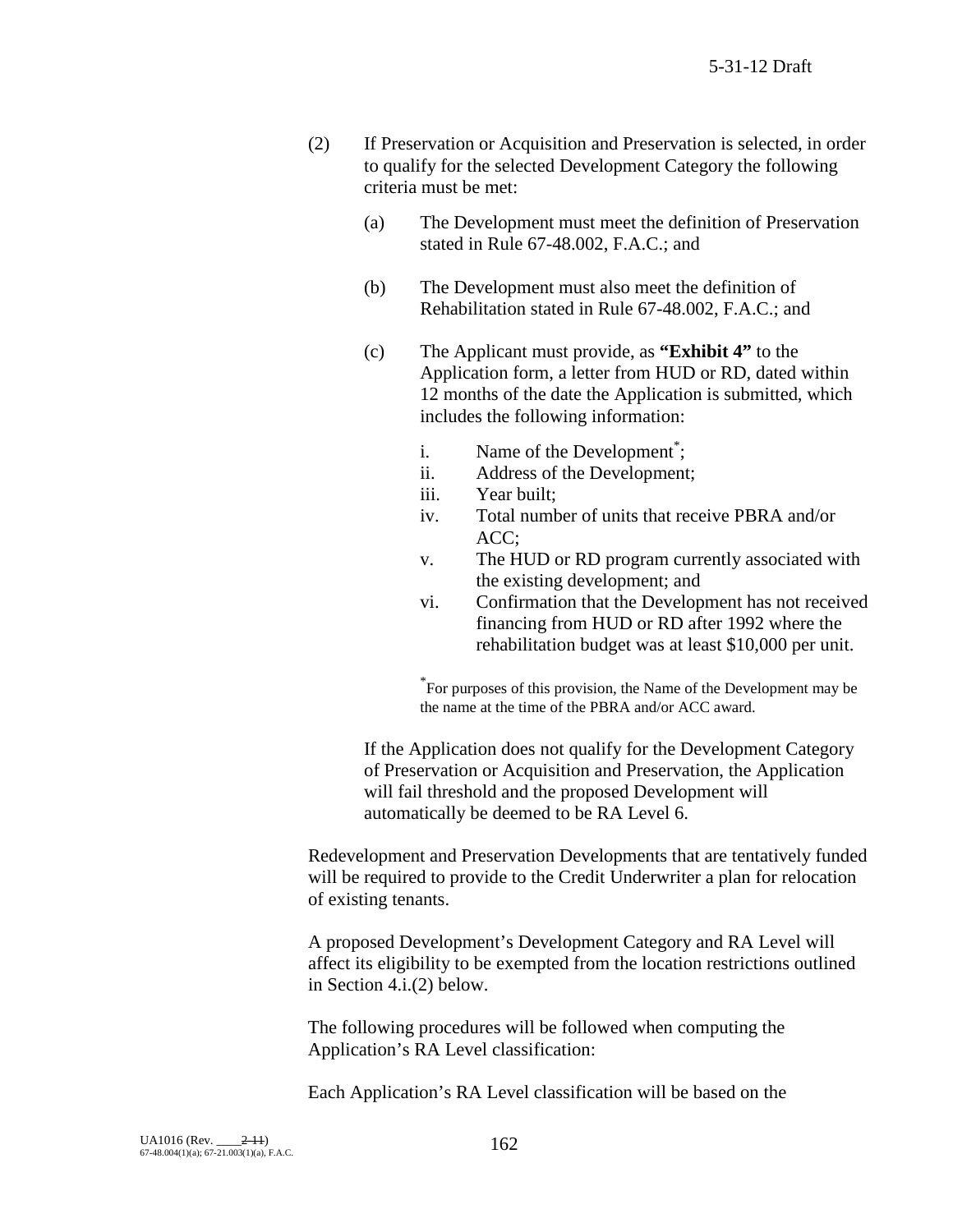- (2) If Preservation or Acquisition and Preservation is selected, in order to qualify for the selected Development Category the following criteria must be met:
	- (a) The Development must meet the definition of Preservation stated in Rule 67-48.002, F.A.C.; and
	- (b) The Development must also meet the definition of Rehabilitation stated in Rule 67-48.002, F.A.C.; and
	- (c) The Applicant must provide, as **"Exhibit 4"** to the Application form, a letter from HUD or RD, dated within 12 months of the date the Application is submitted, which includes the following information:
		- i. Name of the Development<sup>\*</sup>;
		- ii. Address of the Development;
		- iii. Year built;
		- iv. Total number of units that receive PBRA and/or ACC;
		- v. The HUD or RD program currently associated with the existing development; and
		- vi. Confirmation that the Development has not received financing from HUD or RD after 1992 where the rehabilitation budget was at least \$10,000 per unit.

\* For purposes of this provision, the Name of the Development may be the name at the time of the PBRA and/or ACC award.

If the Application does not qualify for the Development Category of Preservation or Acquisition and Preservation, the Application will fail threshold and the proposed Development will automatically be deemed to be RA Level 6.

Redevelopment and Preservation Developments that are tentatively funded will be required to provide to the Credit Underwriter a plan for relocation of existing tenants.

A proposed Development's Development Category and RA Level will affect its eligibility to be exempted from the location restrictions outlined in Section 4.i.(2) below.

The following procedures will be followed when computing the Application's RA Level classification:

Each Application's RA Level classification will be based on the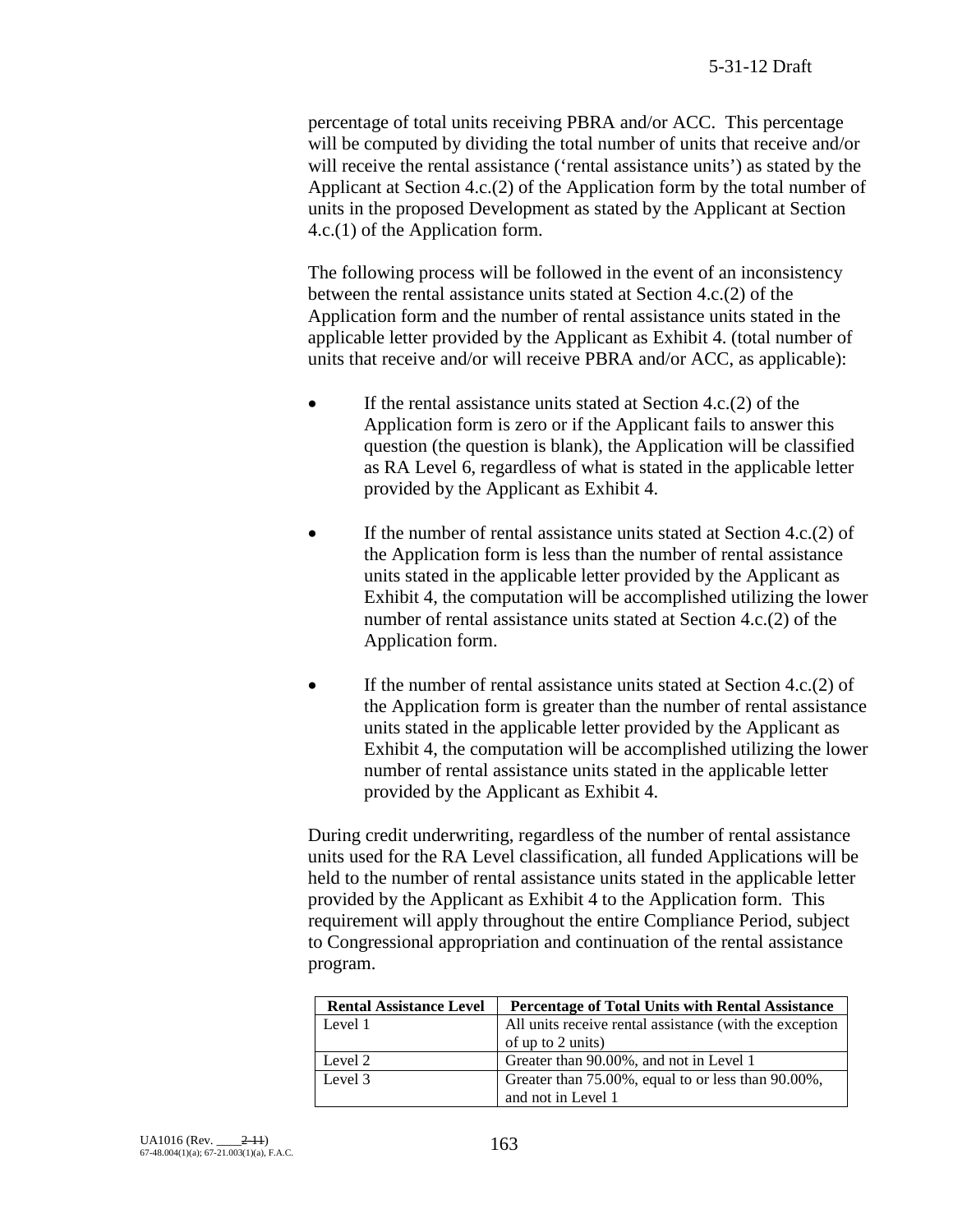percentage of total units receiving PBRA and/or ACC. This percentage will be computed by dividing the total number of units that receive and/or will receive the rental assistance ('rental assistance units') as stated by the Applicant at Section 4.c.(2) of the Application form by the total number of units in the proposed Development as stated by the Applicant at Section 4.c.(1) of the Application form.

The following process will be followed in the event of an inconsistency between the rental assistance units stated at Section 4.c.(2) of the Application form and the number of rental assistance units stated in the applicable letter provided by the Applicant as Exhibit 4. (total number of units that receive and/or will receive PBRA and/or ACC, as applicable):

- If the rental assistance units stated at Section  $4.c.(2)$  of the Application form is zero or if the Applicant fails to answer this question (the question is blank), the Application will be classified as RA Level 6, regardless of what is stated in the applicable letter provided by the Applicant as Exhibit 4.
- If the number of rental assistance units stated at Section 4.c.(2) of the Application form is less than the number of rental assistance units stated in the applicable letter provided by the Applicant as Exhibit 4, the computation will be accomplished utilizing the lower number of rental assistance units stated at Section 4.c.(2) of the Application form.
- If the number of rental assistance units stated at Section 4.c.(2) of the Application form is greater than the number of rental assistance units stated in the applicable letter provided by the Applicant as Exhibit 4, the computation will be accomplished utilizing the lower number of rental assistance units stated in the applicable letter provided by the Applicant as Exhibit 4.

During credit underwriting, regardless of the number of rental assistance units used for the RA Level classification, all funded Applications will be held to the number of rental assistance units stated in the applicable letter provided by the Applicant as Exhibit 4 to the Application form. This requirement will apply throughout the entire Compliance Period, subject to Congressional appropriation and continuation of the rental assistance program.

| <b>Rental Assistance Level</b> | <b>Percentage of Total Units with Rental Assistance</b> |
|--------------------------------|---------------------------------------------------------|
| Level 1                        | All units receive rental assistance (with the exception |
|                                | of up to 2 units)                                       |
| Level 2                        | Greater than 90.00%, and not in Level 1                 |
| Level 3                        | Greater than 75.00%, equal to or less than 90.00%,      |
|                                | and not in Level 1                                      |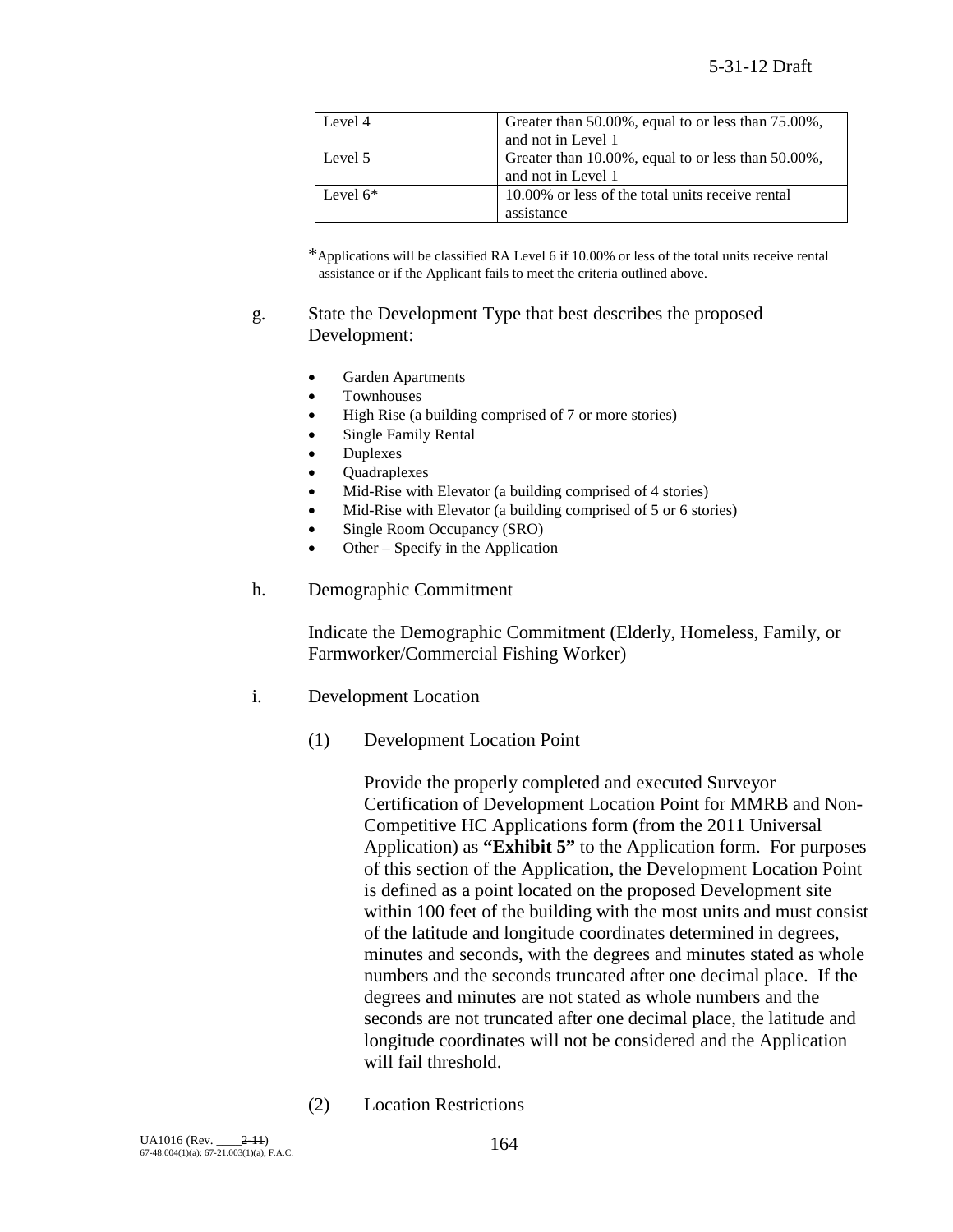| Level 4    | Greater than 50.00%, equal to or less than 75.00%, |  |
|------------|----------------------------------------------------|--|
|            | and not in Level 1                                 |  |
| Level 5    | Greater than 10.00%, equal to or less than 50.00%, |  |
|            | and not in Level 1                                 |  |
| Level $6*$ | 10.00% or less of the total units receive rental   |  |
|            | assistance                                         |  |

\*Applications will be classified RA Level 6 if 10.00% or less of the total units receive rental assistance or if the Applicant fails to meet the criteria outlined above.

#### g. State the Development Type that best describes the proposed Development:

- Garden Apartments
- Townhouses
- High Rise (a building comprised of 7 or more stories)
- Single Family Rental
- **Duplexes**
- Quadraplexes
- Mid-Rise with Elevator (a building comprised of 4 stories)
- Mid-Rise with Elevator (a building comprised of 5 or 6 stories)
- Single Room Occupancy (SRO)
- Other Specify in the Application
- h. Demographic Commitment

Indicate the Demographic Commitment (Elderly, Homeless, Family, or Farmworker/Commercial Fishing Worker)

- i. Development Location
	- (1) Development Location Point

Provide the properly completed and executed Surveyor Certification of Development Location Point for MMRB and Non-Competitive HC Applications form (from the 2011 Universal Application) as **"Exhibit 5"** to the Application form. For purposes of this section of the Application, the Development Location Point is defined as a point located on the proposed Development site within 100 feet of the building with the most units and must consist of the latitude and longitude coordinates determined in degrees, minutes and seconds, with the degrees and minutes stated as whole numbers and the seconds truncated after one decimal place. If the degrees and minutes are not stated as whole numbers and the seconds are not truncated after one decimal place, the latitude and longitude coordinates will not be considered and the Application will fail threshold.

(2) Location Restrictions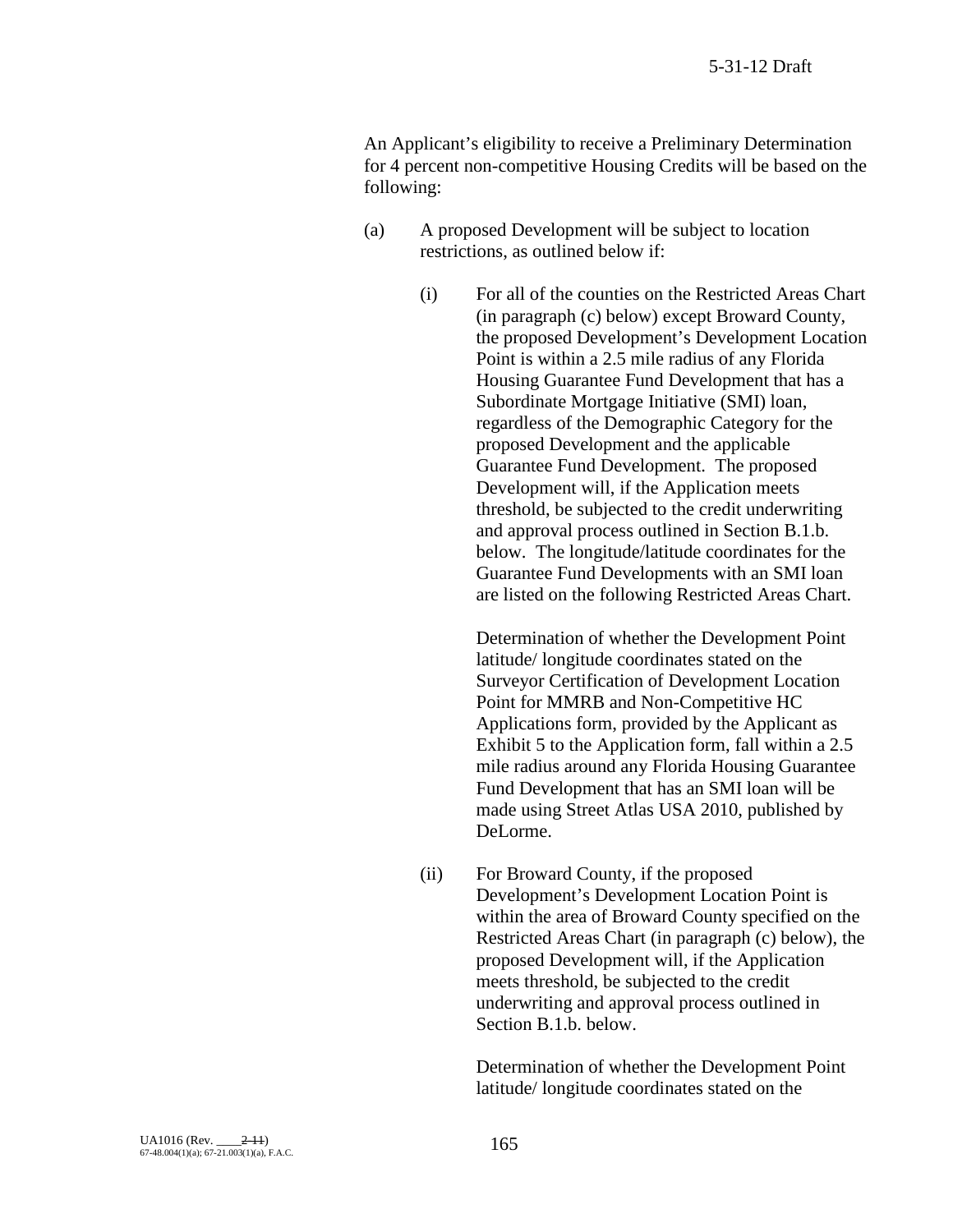An Applicant's eligibility to receive a Preliminary Determination for 4 percent non-competitive Housing Credits will be based on the following:

- (a) A proposed Development will be subject to location restrictions, as outlined below if:
	- (i) For all of the counties on the Restricted Areas Chart (in paragraph (c) below) except Broward County, the proposed Development's Development Location Point is within a 2.5 mile radius of any Florida Housing Guarantee Fund Development that has a Subordinate Mortgage Initiative (SMI) loan, regardless of the Demographic Category for the proposed Development and the applicable Guarantee Fund Development. The proposed Development will, if the Application meets threshold, be subjected to the credit underwriting and approval process outlined in Section B.1.b. below. The longitude/latitude coordinates for the Guarantee Fund Developments with an SMI loan are listed on the following Restricted Areas Chart.

Determination of whether the Development Point latitude/ longitude coordinates stated on the Surveyor Certification of Development Location Point for MMRB and Non-Competitive HC Applications form, provided by the Applicant as Exhibit 5 to the Application form, fall within a 2.5 mile radius around any Florida Housing Guarantee Fund Development that has an SMI loan will be made using Street Atlas USA 2010, published by DeLorme.

(ii) For Broward County, if the proposed Development's Development Location Point is within the area of Broward County specified on the Restricted Areas Chart (in paragraph (c) below), the proposed Development will, if the Application meets threshold, be subjected to the credit underwriting and approval process outlined in Section B.1.b. below.

> Determination of whether the Development Point latitude/ longitude coordinates stated on the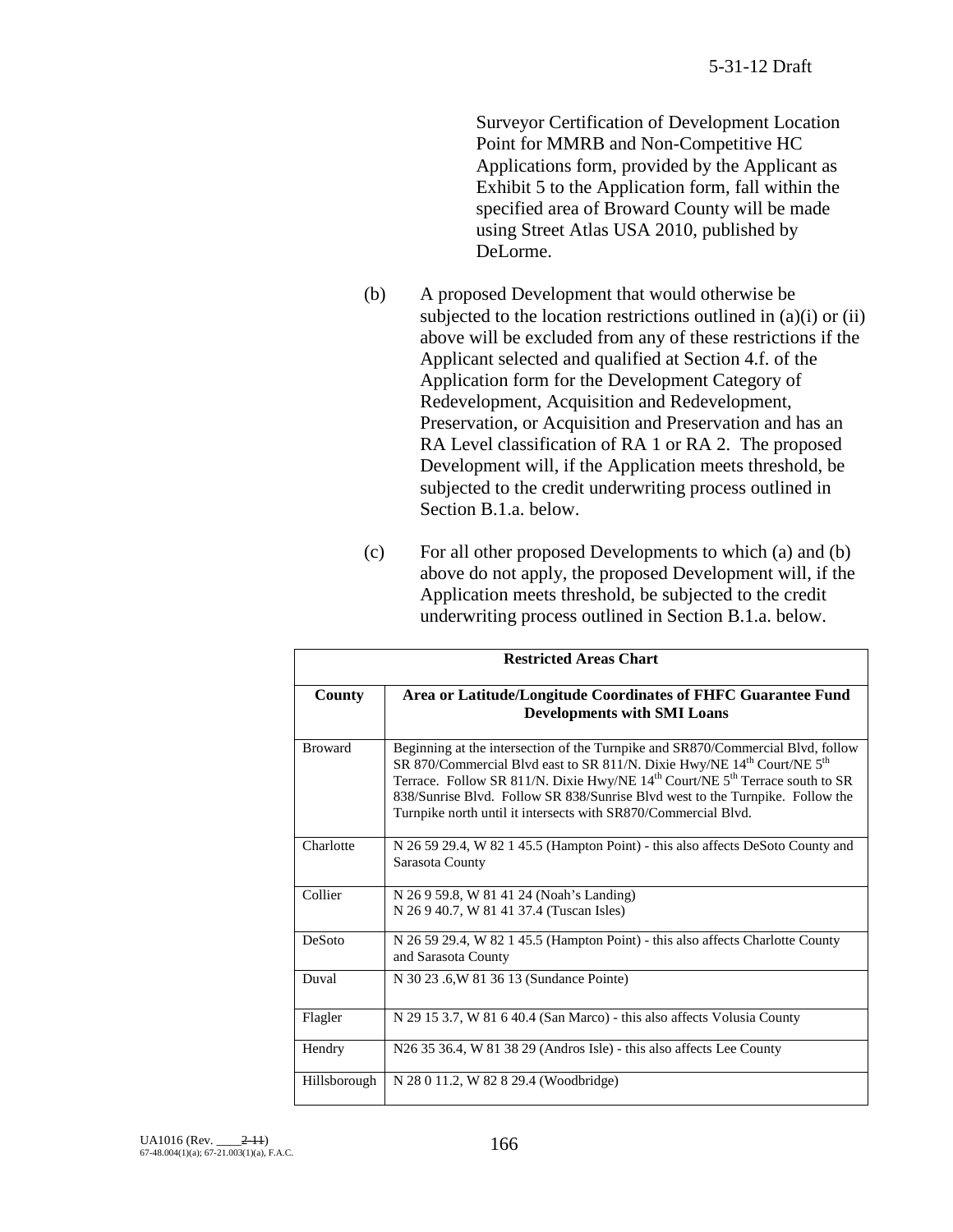Surveyor Certification of Development Location Point for MMRB and Non-Competitive HC Applications form, provided by the Applicant as Exhibit 5 to the Application form, fall within the specified area of Broward County will be made using Street Atlas USA 2010, published by DeLorme.

- (b) A proposed Development that would otherwise be subjected to the location restrictions outlined in  $(a)(i)$  or  $(ii)$ above will be excluded from any of these restrictions if the Applicant selected and qualified at Section 4.f. of the Application form for the Development Category of Redevelopment, Acquisition and Redevelopment, Preservation, or Acquisition and Preservation and has an RA Level classification of RA 1 or RA 2. The proposed Development will, if the Application meets threshold, be subjected to the credit underwriting process outlined in Section B.1.a. below.
- (c) For all other proposed Developments to which (a) and (b) above do not apply, the proposed Development will, if the Application meets threshold, be subjected to the credit underwriting process outlined in Section B.1.a. below.

| <b>Restricted Areas Chart</b> |                                                                                                                                                                                                                                                                                                                                                                                                                                               |  |
|-------------------------------|-----------------------------------------------------------------------------------------------------------------------------------------------------------------------------------------------------------------------------------------------------------------------------------------------------------------------------------------------------------------------------------------------------------------------------------------------|--|
| County                        | Area or Latitude/Longitude Coordinates of FHFC Guarantee Fund<br><b>Developments with SMI Loans</b>                                                                                                                                                                                                                                                                                                                                           |  |
| <b>Broward</b>                | Beginning at the intersection of the Turnpike and SR870/Commercial Blvd, follow<br>SR 870/Commercial Blvd east to SR 811/N. Dixie Hwy/NE 14 <sup>th</sup> Court/NE 5 <sup>th</sup><br>Terrace. Follow SR 811/N. Dixie Hwy/NE 14 <sup>th</sup> Court/NE 5 <sup>th</sup> Terrace south to SR<br>838/Sunrise Blvd. Follow SR 838/Sunrise Blvd west to the Turnpike. Follow the<br>Turnpike north until it intersects with SR870/Commercial Blvd. |  |
| Charlotte                     | N 26 59 29.4, W 82 1 45.5 (Hampton Point) - this also affects DeSoto County and<br>Sarasota County                                                                                                                                                                                                                                                                                                                                            |  |
| Collier                       | N 26 9 59.8, W 81 41 24 (Noah's Landing)<br>N 26 9 40.7, W 81 41 37.4 (Tuscan Isles)                                                                                                                                                                                                                                                                                                                                                          |  |
| DeSoto                        | N 26 59 29.4, W 82 1 45.5 (Hampton Point) - this also affects Charlotte County<br>and Sarasota County                                                                                                                                                                                                                                                                                                                                         |  |
| Duval                         | N 30 23 .6, W 81 36 13 (Sundance Pointe)                                                                                                                                                                                                                                                                                                                                                                                                      |  |
| Flagler                       | N 29 15 3.7, W 81 6 40.4 (San Marco) - this also affects Volusia County                                                                                                                                                                                                                                                                                                                                                                       |  |
| Hendry                        | N26 35 36.4, W 81 38 29 (Andros Isle) - this also affects Lee County                                                                                                                                                                                                                                                                                                                                                                          |  |
| Hillsborough                  | N 28 0 11.2, W 82 8 29.4 (Woodbridge)                                                                                                                                                                                                                                                                                                                                                                                                         |  |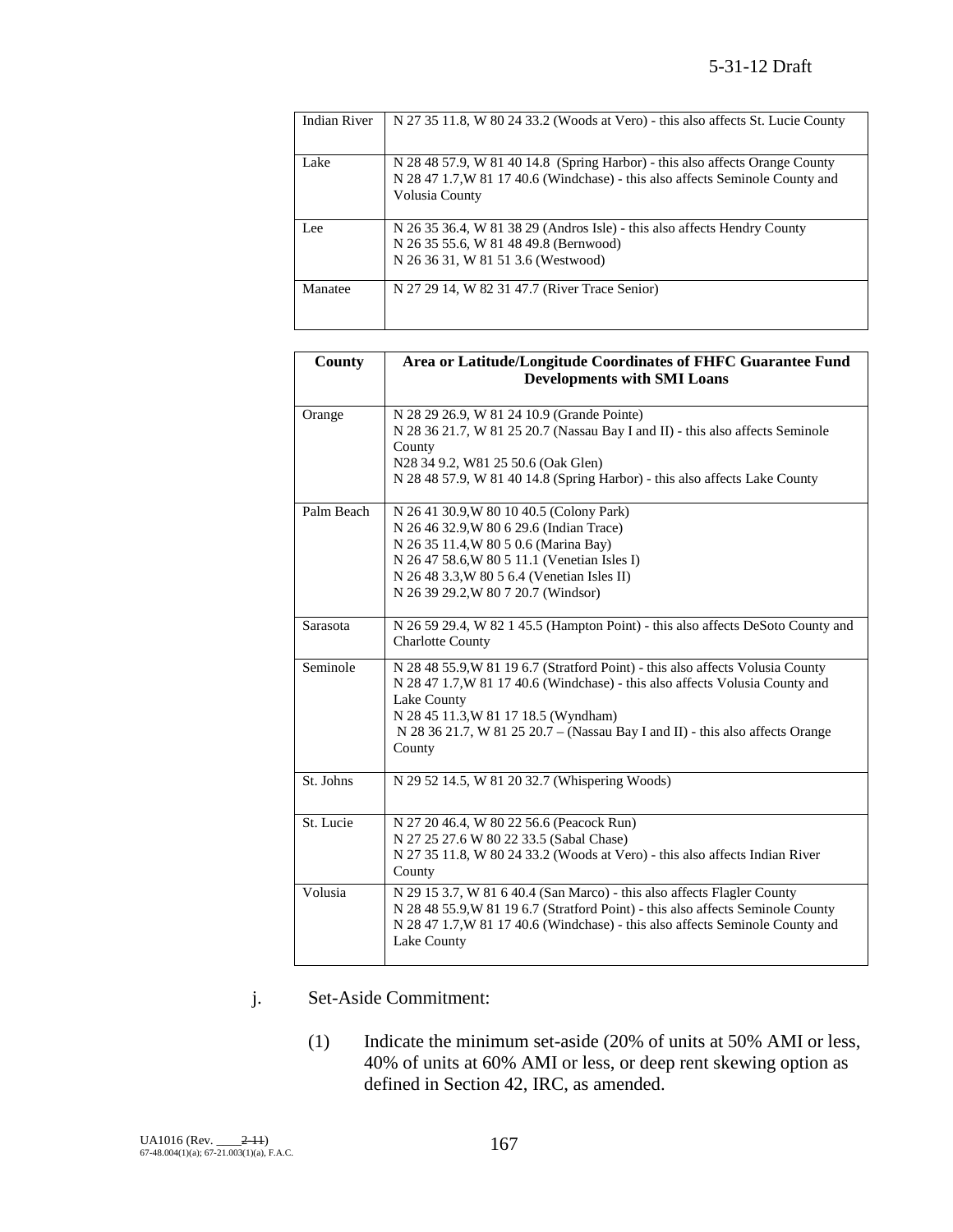| <b>Indian River</b> | N 27 35 11.8, W 80 24 33.2 (Woods at Vero) - this also affects St. Lucie County                                                                                                 |
|---------------------|---------------------------------------------------------------------------------------------------------------------------------------------------------------------------------|
| Lake                | N 28 48 57.9, W 81 40 14.8 (Spring Harbor) - this also affects Orange County<br>N 28 47 1.7, W 81 17 40.6 (Windchase) - this also affects Seminole County and<br>Volusia County |
| Lee                 | N 26 35 36.4, W 81 38 29 (Andros Isle) - this also affects Hendry County<br>N 26 35 55.6, W 81 48 49.8 (Bernwood)<br>N 26 36 31, W 81 51 3.6 (Westwood)                         |
| Manatee             | N 27 29 14, W 82 31 47.7 (River Trace Senior)                                                                                                                                   |

| County     | Area or Latitude/Longitude Coordinates of FHFC Guarantee Fund<br><b>Developments with SMI Loans</b>                                                                                                                                                                                                              |
|------------|------------------------------------------------------------------------------------------------------------------------------------------------------------------------------------------------------------------------------------------------------------------------------------------------------------------|
| Orange     | N 28 29 26.9, W 81 24 10.9 (Grande Pointe)<br>N 28 36 21.7, W 81 25 20.7 (Nassau Bay I and II) - this also affects Seminole<br>County<br>N28 34 9.2, W81 25 50.6 (Oak Glen)<br>N 28 48 57.9, W 81 40 14.8 (Spring Harbor) - this also affects Lake County                                                        |
| Palm Beach | N 26 41 30.9, W 80 10 40.5 (Colony Park)<br>N 26 46 32.9, W 80 6 29.6 (Indian Trace)<br>N 26 35 11.4, W 80 5 0.6 (Marina Bay)<br>N 26 47 58.6, W 80 5 11.1 (Venetian Isles I)<br>N 26 48 3.3, W 80 5 6.4 (Venetian Isles II)<br>N 26 39 29.2, W 80 7 20.7 (Windsor)                                              |
| Sarasota   | N 26 59 29.4, W 82 1 45.5 (Hampton Point) - this also affects DeSoto County and<br><b>Charlotte County</b>                                                                                                                                                                                                       |
| Seminole   | N 28 48 55.9, W 81 19 6.7 (Stratford Point) - this also affects Volusia County<br>N 28 47 1.7, W 81 17 40.6 (Windchase) - this also affects Volusia County and<br>Lake County<br>N 28 45 11.3, W 81 17 18.5 (Wyndham)<br>N 28 36 21.7, W 81 25 20.7 – (Nassau Bay I and II) - this also affects Orange<br>County |
| St. Johns  | N 29 52 14.5, W 81 20 32.7 (Whispering Woods)                                                                                                                                                                                                                                                                    |
| St. Lucie  | N 27 20 46.4, W 80 22 56.6 (Peacock Run)<br>N 27 25 27.6 W 80 22 33.5 (Sabal Chase)<br>N 27 35 11.8, W 80 24 33.2 (Woods at Vero) - this also affects Indian River<br>County                                                                                                                                     |
| Volusia    | N 29 15 3.7, W 81 6 40.4 (San Marco) - this also affects Flagler County<br>N 28 48 55.9, W 81 19 6.7 (Stratford Point) - this also affects Seminole County<br>N 28 47 1.7, W 81 17 40.6 (Windchase) - this also affects Seminole County and<br>Lake County                                                       |

## j. Set-Aside Commitment:

(1) Indicate the minimum set-aside (20% of units at 50% AMI or less, 40% of units at 60% AMI or less, or deep rent skewing option as defined in Section 42, IRC, as amended.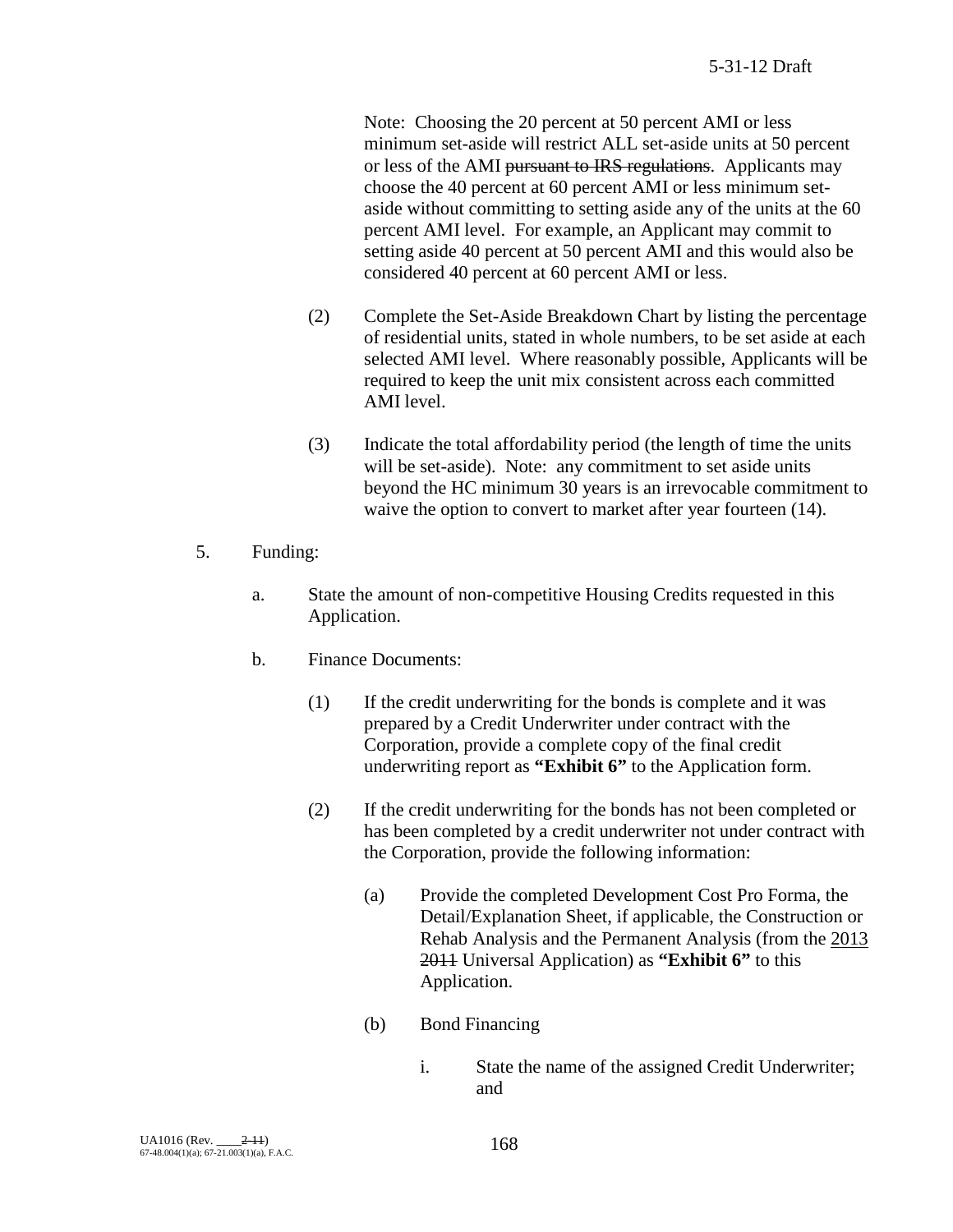Note: Choosing the 20 percent at 50 percent AMI or less minimum set-aside will restrict ALL set-aside units at 50 percent or less of the AMI pursuant to IRS regulations. Applicants may choose the 40 percent at 60 percent AMI or less minimum setaside without committing to setting aside any of the units at the 60 percent AMI level. For example, an Applicant may commit to setting aside 40 percent at 50 percent AMI and this would also be considered 40 percent at 60 percent AMI or less.

- (2) Complete the Set-Aside Breakdown Chart by listing the percentage of residential units, stated in whole numbers, to be set aside at each selected AMI level. Where reasonably possible, Applicants will be required to keep the unit mix consistent across each committed AMI level.
- (3) Indicate the total affordability period (the length of time the units will be set-aside). Note: any commitment to set aside units beyond the HC minimum 30 years is an irrevocable commitment to waive the option to convert to market after year fourteen (14).
- 5. Funding:
	- a. State the amount of non-competitive Housing Credits requested in this Application.
	- b. Finance Documents:
		- (1) If the credit underwriting for the bonds is complete and it was prepared by a Credit Underwriter under contract with the Corporation, provide a complete copy of the final credit underwriting report as **"Exhibit 6"** to the Application form.
		- (2) If the credit underwriting for the bonds has not been completed or has been completed by a credit underwriter not under contract with the Corporation, provide the following information:
			- (a) Provide the completed Development Cost Pro Forma, the Detail/Explanation Sheet, if applicable, the Construction or Rehab Analysis and the Permanent Analysis (from the 2013 2011 Universal Application) as **"Exhibit 6"** to this Application.
			- (b) Bond Financing
				- i. State the name of the assigned Credit Underwriter; and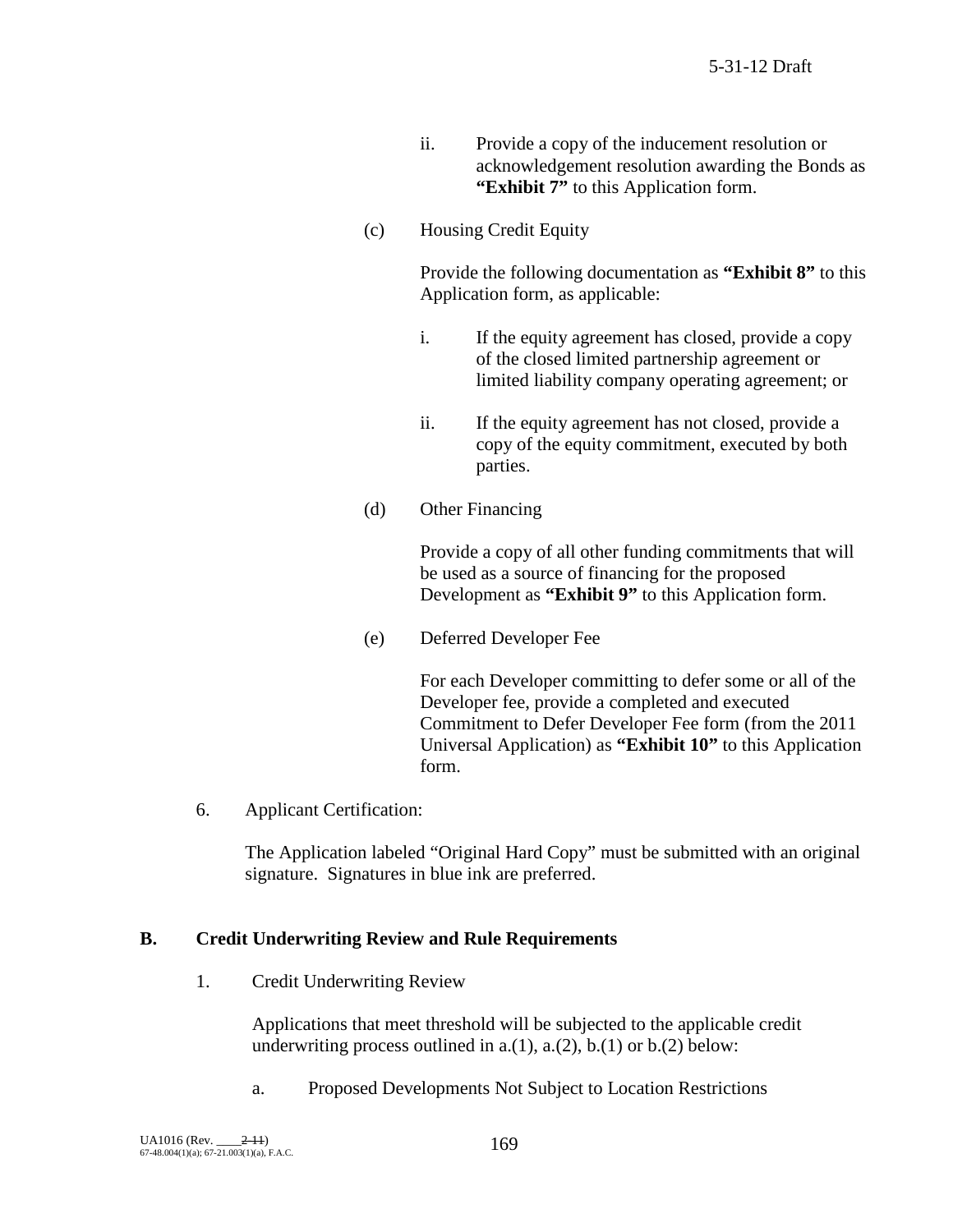- ii. Provide a copy of the inducement resolution or acknowledgement resolution awarding the Bonds as **"Exhibit 7"** to this Application form.
- (c) Housing Credit Equity

Provide the following documentation as **"Exhibit 8"** to this Application form, as applicable:

- i. If the equity agreement has closed, provide a copy of the closed limited partnership agreement or limited liability company operating agreement; or
- ii. If the equity agreement has not closed, provide a copy of the equity commitment, executed by both parties.
- (d) Other Financing

Provide a copy of all other funding commitments that will be used as a source of financing for the proposed Development as **"Exhibit 9"** to this Application form.

(e) Deferred Developer Fee

For each Developer committing to defer some or all of the Developer fee, provide a completed and executed Commitment to Defer Developer Fee form (from the 2011 Universal Application) as **"Exhibit 10"** to this Application form.

6. Applicant Certification:

The Application labeled "Original Hard Copy" must be submitted with an original signature. Signatures in blue ink are preferred.

#### **B. Credit Underwriting Review and Rule Requirements**

1. Credit Underwriting Review

Applications that meet threshold will be subjected to the applicable credit underwriting process outlined in  $a(1)$ ,  $a(2)$ ,  $b(1)$  or  $b(2)$  below:

a. Proposed Developments Not Subject to Location Restrictions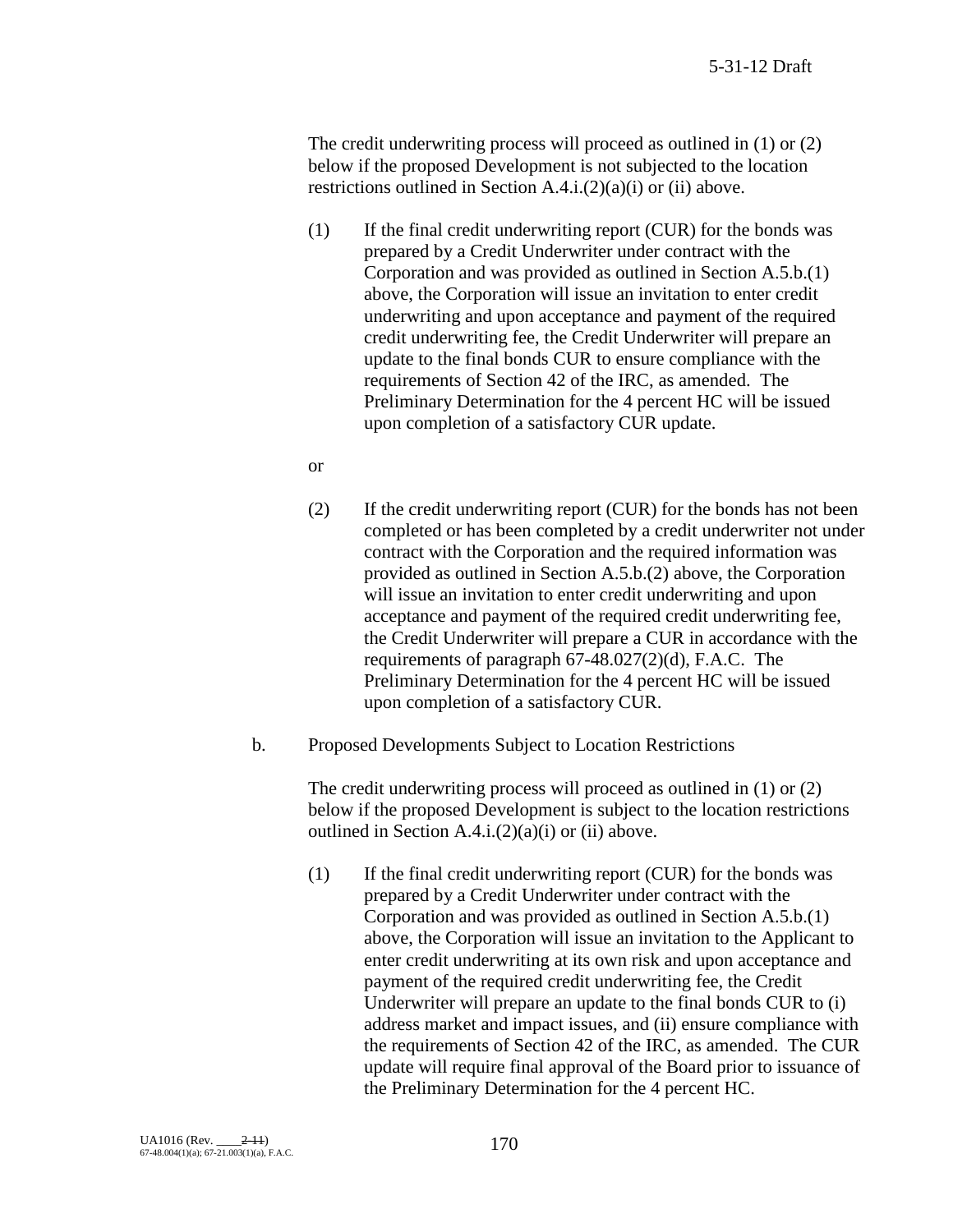The credit underwriting process will proceed as outlined in (1) or (2) below if the proposed Development is not subjected to the location restrictions outlined in Section  $A.4.i.(2)(a)(i)$  or (ii) above.

- (1) If the final credit underwriting report (CUR) for the bonds was prepared by a Credit Underwriter under contract with the Corporation and was provided as outlined in Section A.5.b.(1) above, the Corporation will issue an invitation to enter credit underwriting and upon acceptance and payment of the required credit underwriting fee, the Credit Underwriter will prepare an update to the final bonds CUR to ensure compliance with the requirements of Section 42 of the IRC, as amended. The Preliminary Determination for the 4 percent HC will be issued upon completion of a satisfactory CUR update.
- or
- (2) If the credit underwriting report (CUR) for the bonds has not been completed or has been completed by a credit underwriter not under contract with the Corporation and the required information was provided as outlined in Section A.5.b.(2) above, the Corporation will issue an invitation to enter credit underwriting and upon acceptance and payment of the required credit underwriting fee, the Credit Underwriter will prepare a CUR in accordance with the requirements of paragraph 67-48.027(2)(d), F.A.C. The Preliminary Determination for the 4 percent HC will be issued upon completion of a satisfactory CUR.
- b. Proposed Developments Subject to Location Restrictions

The credit underwriting process will proceed as outlined in (1) or (2) below if the proposed Development is subject to the location restrictions outlined in Section  $A.4.i.(2)(a)(i)$  or (ii) above.

(1) If the final credit underwriting report (CUR) for the bonds was prepared by a Credit Underwriter under contract with the Corporation and was provided as outlined in Section A.5.b.(1) above, the Corporation will issue an invitation to the Applicant to enter credit underwriting at its own risk and upon acceptance and payment of the required credit underwriting fee, the Credit Underwriter will prepare an update to the final bonds CUR to (i) address market and impact issues, and (ii) ensure compliance with the requirements of Section 42 of the IRC, as amended. The CUR update will require final approval of the Board prior to issuance of the Preliminary Determination for the 4 percent HC.